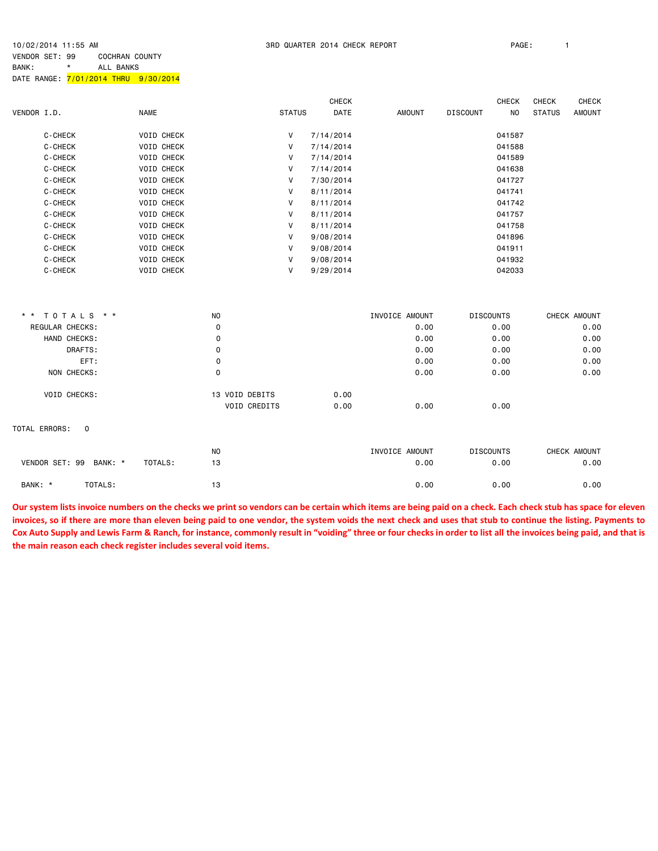10/02/2014 11:55 AM 3RD QUARTER 2014 CHECK REPORT PAGE: 1

VENDOR SET: 99 COCHRAN COUNTY BANK: \* ALL BANKS DATE RANGE: 7/01/2014 THRU 9/30/2014

|             |                              |                   |                |               | <b>CHECK</b> |                |                  | <b>CHECK</b>   | <b>CHECK</b>  | <b>CHECK</b>  |
|-------------|------------------------------|-------------------|----------------|---------------|--------------|----------------|------------------|----------------|---------------|---------------|
| VENDOR I.D. |                              | <b>NAME</b>       |                | <b>STATUS</b> | <b>DATE</b>  | <b>AMOUNT</b>  | <b>DISCOUNT</b>  | N <sub>O</sub> | <b>STATUS</b> | <b>AMOUNT</b> |
|             | C-CHECK                      | <b>VOID CHECK</b> |                | V             | 7/14/2014    |                |                  | 041587         |               |               |
|             | C-CHECK                      | VOID CHECK        |                | V             | 7/14/2014    |                |                  | 041588         |               |               |
|             | C-CHECK                      | <b>VOID CHECK</b> |                | V             | 7/14/2014    |                |                  | 041589         |               |               |
|             | C-CHECK                      | VOID CHECK        |                | V             | 7/14/2014    |                |                  | 041638         |               |               |
|             | C-CHECK                      | <b>VOID CHECK</b> |                | V             | 7/30/2014    |                |                  | 041727         |               |               |
|             | C-CHECK                      | <b>VOID CHECK</b> |                | V             | 8/11/2014    |                |                  | 041741         |               |               |
|             | C-CHECK                      | <b>VOID CHECK</b> |                | V             | 8/11/2014    |                |                  | 041742         |               |               |
|             | C-CHECK                      | <b>VOID CHECK</b> |                | V             | 8/11/2014    |                |                  | 041757         |               |               |
|             | C-CHECK                      | VOID CHECK        |                | V             | 8/11/2014    |                |                  | 041758         |               |               |
|             | C-CHECK                      | <b>VOID CHECK</b> |                | V             | 9/08/2014    |                |                  | 041896         |               |               |
|             | C-CHECK                      | VOID CHECK        |                | V             | 9/08/2014    |                |                  | 041911         |               |               |
|             | C-CHECK                      | <b>VOID CHECK</b> |                | V             | 9/08/2014    |                |                  | 041932         |               |               |
|             | C-CHECK                      | VOID CHECK        |                | V             | 9/29/2014    |                |                  | 042033         |               |               |
|             |                              |                   |                |               |              |                |                  |                |               |               |
|             | ** TOTALS **                 |                   | N <sub>O</sub> |               |              | INVOICE AMOUNT | <b>DISCOUNTS</b> |                |               | CHECK AMOUNT  |
|             | REGULAR CHECKS:              |                   | 0              |               |              | 0.00           |                  | 0.00           |               | 0.00          |
|             | HAND CHECKS:                 |                   | 0              |               |              | 0.00           |                  | 0.00           |               | 0.00          |
|             | DRAFTS:                      |                   | 0              |               |              | 0.00           |                  | 0.00           |               | 0.00          |
|             | EFT:                         |                   | 0              |               |              | 0.00           |                  | 0.00           |               | 0.00          |
|             | NON CHECKS:                  |                   | 0              |               |              | 0.00           |                  | 0.00           |               | 0.00          |
|             | VOID CHECKS:                 |                   | 13 VOID DEBITS |               | 0.00         |                |                  |                |               |               |
|             |                              |                   | VOID CREDITS   |               | 0.00         | 0.00           |                  | 0.00           |               |               |
|             | TOTAL ERRORS:<br>$\mathbf 0$ |                   |                |               |              |                |                  |                |               |               |
|             |                              |                   | <b>NO</b>      |               |              | INVOICE AMOUNT | <b>DISCOUNTS</b> |                |               | CHECK AMOUNT  |
|             | VENDOR SET: 99 BANK: *       | TOTALS:           | 13             |               |              | 0.00           |                  | 0.00           |               | 0.00          |
| BANK: *     | TOTALS:                      |                   | 13             |               |              | 0.00           |                  | 0.00           |               | 0.00          |

**Our system lists invoice numbers on the checks we print so vendors can be certain which items are being paid on a check. Each check stub has space for eleven invoices, so if there are more than eleven being paid to one vendor, the system voids the next check and uses that stub to continue the listing. Payments to**  Cox Auto Supply and Lewis Farm & Ranch, for instance, commonly result in "voiding" three or four checks in order to list all the invoices being paid, and that is **the main reason each check register includes several void items.**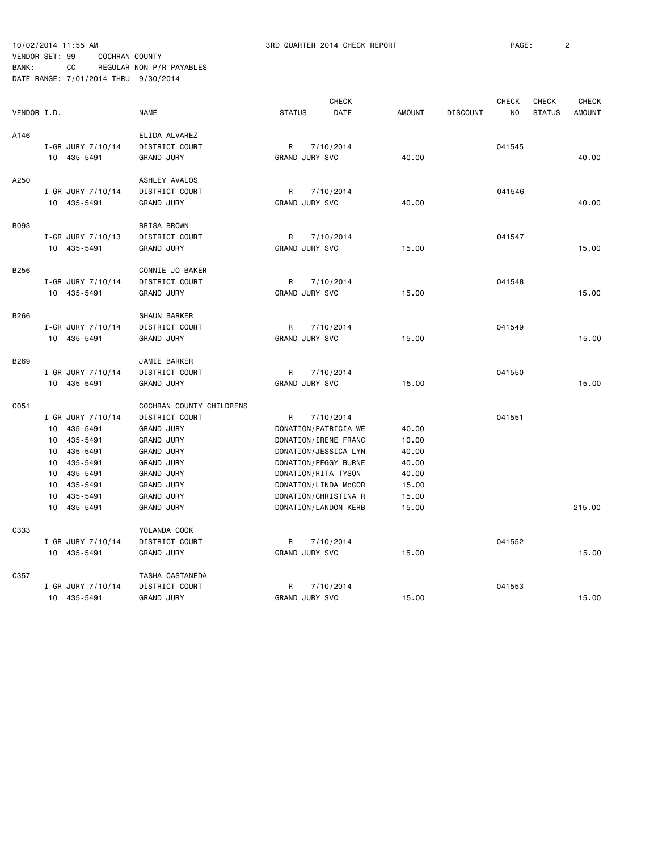|             |                   |                                            |                       | <b>CHECK</b>         |               |                 | <b>CHECK</b>   | <b>CHECK</b>  | <b>CHECK</b>  |
|-------------|-------------------|--------------------------------------------|-----------------------|----------------------|---------------|-----------------|----------------|---------------|---------------|
| VENDOR I.D. |                   | <b>NAME</b>                                | <b>STATUS</b>         | DATE                 | <b>AMOUNT</b> | <b>DISCOUNT</b> | N <sub>O</sub> | <b>STATUS</b> | <b>AMOUNT</b> |
| A146        |                   | ELIDA ALVAREZ                              |                       |                      |               |                 |                |               |               |
|             | I-GR JURY 7/10/14 | DISTRICT COURT                             | R                     | 7/10/2014            |               |                 | 041545         |               |               |
|             | 10 435-5491       | <b>GRAND JURY</b>                          | GRAND JURY SVC        |                      | 40.00         |                 |                |               | 40.00         |
| A250        |                   | ASHLEY AVALOS                              |                       |                      |               |                 |                |               |               |
|             | I-GR JURY 7/10/14 | DISTRICT COURT                             | R                     | 7/10/2014            |               |                 | 041546         |               |               |
|             | 10 435-5491       | <b>GRAND JURY</b>                          | GRAND JURY SVC        |                      | 40.00         |                 |                |               | 40.00         |
|             |                   |                                            |                       |                      |               |                 |                |               |               |
| <b>B093</b> |                   | <b>BRISA BROWN</b>                         |                       |                      |               |                 |                |               |               |
|             | I-GR JURY 7/10/13 | DISTRICT COURT                             | R                     | 7/10/2014            |               |                 | 041547         |               |               |
|             | 10 435-5491       | <b>GRAND JURY</b>                          | <b>GRAND JURY SVC</b> |                      | 15.00         |                 |                |               | 15.00         |
| B256        |                   | CONNIE JO BAKER                            |                       |                      |               |                 |                |               |               |
|             | I-GR JURY 7/10/14 | DISTRICT COURT                             | R                     | 7/10/2014            |               |                 | 041548         |               |               |
|             | 10 435-5491       | <b>GRAND JURY</b>                          | GRAND JURY SVC        |                      | 15.00         |                 |                |               | 15.00         |
|             |                   |                                            |                       |                      |               |                 |                |               |               |
| B266        |                   | SHAUN BARKER                               |                       |                      |               |                 |                |               |               |
|             | I-GR JURY 7/10/14 | DISTRICT COURT                             | R                     | 7/10/2014            |               |                 | 041549         |               |               |
|             | 10 435-5491       | <b>GRAND JURY</b>                          | GRAND JURY SVC        |                      | 15.00         |                 |                |               | 15.00         |
| B269        |                   | JAMIE BARKER                               |                       |                      |               |                 |                |               |               |
|             | I-GR JURY 7/10/14 | DISTRICT COURT                             | R                     | 7/10/2014            |               |                 | 041550         |               |               |
|             | 10 435-5491       | <b>GRAND JURY</b>                          | GRAND JURY SVC        |                      | 15.00         |                 |                |               | 15,00         |
|             |                   |                                            |                       |                      |               |                 |                |               |               |
| C051        | I-GR JURY 7/10/14 | COCHRAN COUNTY CHILDRENS<br>DISTRICT COURT | R                     | 7/10/2014            |               |                 | 041551         |               |               |
|             | 10 435-5491       | <b>GRAND JURY</b>                          |                       | DONATION/PATRICIA WE | 40.00         |                 |                |               |               |
|             | 10 435-5491       | <b>GRAND JURY</b>                          |                       | DONATION/IRENE FRANC | 10.00         |                 |                |               |               |
|             | 10 435-5491       | <b>GRAND JURY</b>                          |                       | DONATION/JESSICA LYN | 40.00         |                 |                |               |               |
|             | 10 435-5491       | <b>GRAND JURY</b>                          |                       | DONATION/PEGGY BURNE | 40.00         |                 |                |               |               |
|             | 10 435-5491       | <b>GRAND JURY</b>                          | DONATION/RITA TYSON   |                      | 40.00         |                 |                |               |               |
|             | 10 435-5491       | <b>GRAND JURY</b>                          |                       | DONATION/LINDA McCOR | 15.00         |                 |                |               |               |
|             | 10 435-5491       | <b>GRAND JURY</b>                          |                       | DONATION/CHRISTINA R | 15.00         |                 |                |               |               |
|             | 10<br>435-5491    | <b>GRAND JURY</b>                          |                       | DONATION/LANDON KERB | 15.00         |                 |                |               | 215.00        |
| C333        |                   | YOLANDA COOK                               |                       |                      |               |                 |                |               |               |
|             | I-GR JURY 7/10/14 | DISTRICT COURT                             | R                     | 7/10/2014            |               |                 | 041552         |               |               |
|             | 10 435-5491       | <b>GRAND JURY</b>                          | GRAND JURY SVC        |                      | 15.00         |                 |                |               | 15.00         |
| C357        |                   |                                            |                       |                      |               |                 |                |               |               |
|             | I-GR JURY 7/10/14 | TASHA CASTANEDA<br>DISTRICT COURT          | R                     | 7/10/2014            |               |                 | 041553         |               |               |
|             | 10 435-5491       | <b>GRAND JURY</b>                          | GRAND JURY SVC        |                      | 15.00         |                 |                |               | 15.00         |
|             |                   |                                            |                       |                      |               |                 |                |               |               |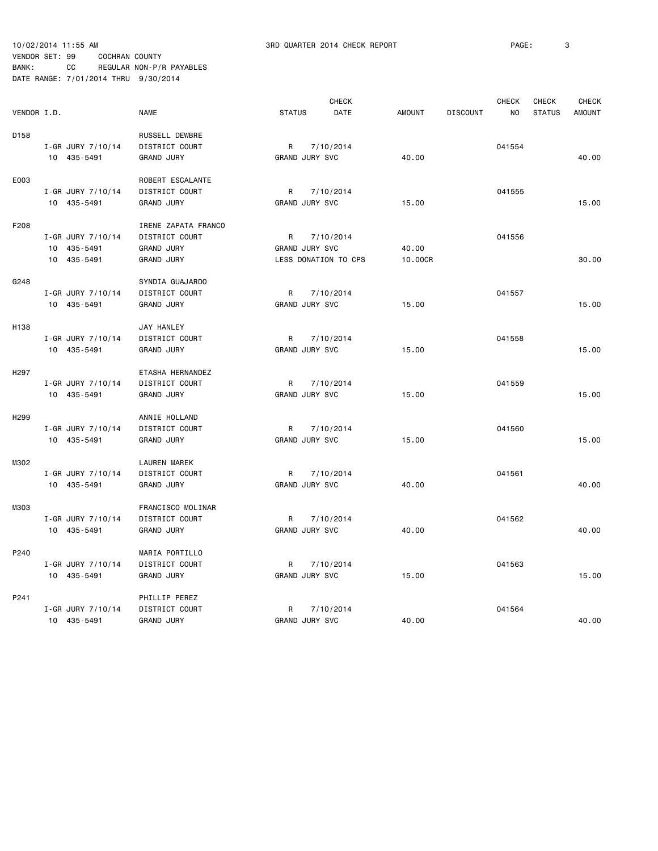|                  |                   |                   | <b>CHECK</b>        |               |                       |               |                 | CHECK          | CHECK         | CHECK         |
|------------------|-------------------|-------------------|---------------------|---------------|-----------------------|---------------|-----------------|----------------|---------------|---------------|
| VENDOR I.D.      |                   | <b>NAME</b>       |                     | <b>STATUS</b> | <b>DATE</b>           | <b>AMOUNT</b> | <b>DISCOUNT</b> | N <sub>O</sub> | <b>STATUS</b> | <b>AMOUNT</b> |
| D158             |                   |                   | RUSSELL DEWBRE      |               |                       |               |                 |                |               |               |
|                  | I-GR JURY 7/10/14 |                   | DISTRICT COURT      | R             | 7/10/2014             |               |                 | 041554         |               |               |
|                  | 10 435-5491       | <b>GRAND JURY</b> |                     |               | GRAND JURY SVC        | 40.00         |                 |                |               | 40.00         |
|                  |                   |                   |                     |               |                       |               |                 |                |               |               |
| E003             |                   |                   | ROBERT ESCALANTE    |               |                       |               |                 |                |               |               |
|                  | I-GR JURY 7/10/14 |                   | DISTRICT COURT      | R             | 7/10/2014             |               |                 | 041555         |               |               |
|                  | 10 435-5491       | <b>GRAND JURY</b> |                     |               | GRAND JURY SVC        | 15.00         |                 |                |               | 15.00         |
| F208             |                   |                   | IRENE ZAPATA FRANCO |               |                       |               |                 |                |               |               |
|                  | I-GR JURY 7/10/14 |                   | DISTRICT COURT      | R             | 7/10/2014             |               |                 | 041556         |               |               |
|                  | 10 435-5491       | <b>GRAND JURY</b> |                     |               | GRAND JURY SVC        | 40.00         |                 |                |               |               |
|                  | 10 435-5491       | <b>GRAND JURY</b> |                     |               | LESS DONATION TO CPS  | 10.00CR       |                 |                |               | 30.00         |
|                  |                   |                   |                     |               |                       |               |                 |                |               |               |
| G248             |                   |                   | SYNDIA GUAJARDO     |               |                       |               |                 |                |               |               |
|                  | I-GR JURY 7/10/14 |                   | DISTRICT COURT      | R             | 7/10/2014             |               |                 | 041557         |               |               |
|                  | 10 435-5491       | <b>GRAND JURY</b> |                     |               | GRAND JURY SVC        | 15.00         |                 |                |               | 15.00         |
|                  |                   |                   |                     |               |                       |               |                 |                |               |               |
| H138             |                   | JAY HANLEY        |                     |               |                       |               |                 |                |               |               |
|                  | I-GR JURY 7/10/14 |                   | DISTRICT COURT      | R             | 7/10/2014             |               |                 | 041558         |               |               |
|                  | 10 435-5491       | <b>GRAND JURY</b> |                     |               | <b>GRAND JURY SVC</b> | 15.00         |                 |                |               | 15.00         |
| H <sub>297</sub> |                   |                   | ETASHA HERNANDEZ    |               |                       |               |                 |                |               |               |
|                  | I-GR JURY 7/10/14 |                   | DISTRICT COURT      | R             | 7/10/2014             |               |                 | 041559         |               |               |
|                  | 10 435-5491       | <b>GRAND JURY</b> |                     |               | GRAND JURY SVC        | 15.00         |                 |                |               | 15.00         |
|                  |                   |                   |                     |               |                       |               |                 |                |               |               |
| H <sub>299</sub> |                   |                   | ANNIE HOLLAND       |               |                       |               |                 |                |               |               |
|                  | I-GR JURY 7/10/14 |                   | DISTRICT COURT      | R             | 7/10/2014             |               |                 | 041560         |               |               |
|                  | 10 435-5491       | <b>GRAND JURY</b> |                     |               | GRAND JURY SVC        | 15.00         |                 |                |               | 15.00         |
| M302             |                   |                   | <b>LAUREN MAREK</b> |               |                       |               |                 |                |               |               |
|                  | I-GR JURY 7/10/14 |                   | DISTRICT COURT      | R             | 7/10/2014             |               |                 | 041561         |               |               |
|                  | 10 435-5491       | <b>GRAND JURY</b> |                     |               | GRAND JURY SVC        | 40.00         |                 |                |               | 40.00         |
|                  |                   |                   |                     |               |                       |               |                 |                |               |               |
| M303             |                   |                   | FRANCISCO MOLINAR   |               |                       |               |                 |                |               |               |
|                  | I-GR JURY 7/10/14 |                   | DISTRICT COURT      | R             | 7/10/2014             |               |                 | 041562         |               |               |
|                  | 10 435-5491       | <b>GRAND JURY</b> |                     |               | GRAND JURY SVC        | 40.00         |                 |                |               | 40.00         |
| P240             |                   |                   | MARIA PORTILLO      |               |                       |               |                 |                |               |               |
|                  | I-GR JURY 7/10/14 |                   | DISTRICT COURT      | R             | 7/10/2014             |               |                 | 041563         |               |               |
|                  | 10 435-5491       | <b>GRAND JURY</b> |                     |               | GRAND JURY SVC        | 15.00         |                 |                |               | 15.00         |
|                  |                   |                   |                     |               |                       |               |                 |                |               |               |
| P241             |                   |                   | PHILLIP PEREZ       |               |                       |               |                 |                |               |               |
|                  | I-GR JURY 7/10/14 |                   | DISTRICT COURT      | R             | 7/10/2014             |               |                 | 041564         |               |               |
|                  | 10 435-5491       | <b>GRAND JURY</b> |                     |               | GRAND JURY SVC        | 40.00         |                 |                |               | 40.00         |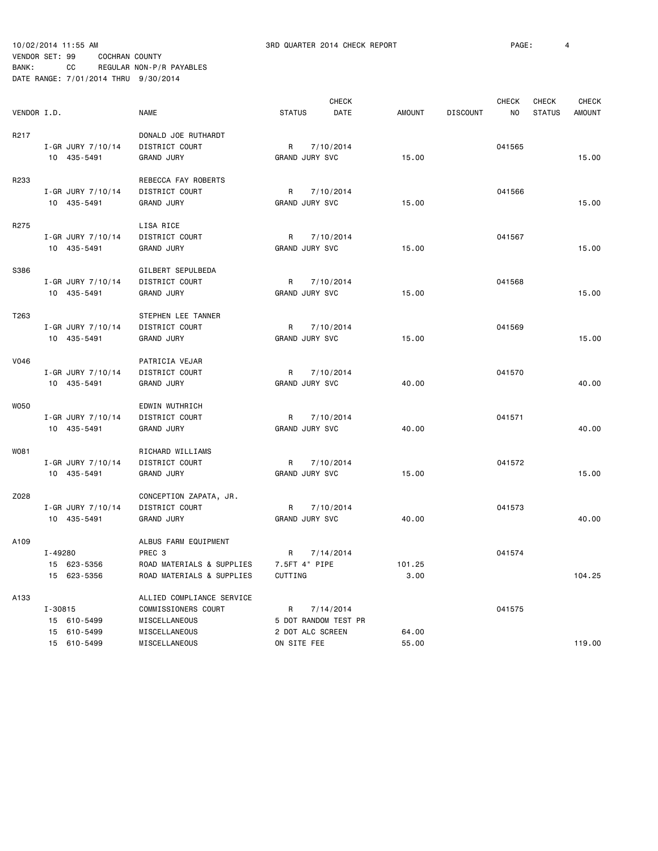|             |                                  |                           |                            | <b>CHECK</b> |               |                 | <b>CHECK</b>   | <b>CHECK</b>  | <b>CHECK</b>  |
|-------------|----------------------------------|---------------------------|----------------------------|--------------|---------------|-----------------|----------------|---------------|---------------|
| VENDOR I.D. |                                  | <b>NAME</b>               | <b>STATUS</b>              | DATE         | <b>AMOUNT</b> | <b>DISCOUNT</b> | N <sub>O</sub> | <b>STATUS</b> | <b>AMOUNT</b> |
| R217        |                                  | DONALD JOE RUTHARDT       |                            |              |               |                 |                |               |               |
|             | I-GR JURY 7/10/14                | DISTRICT COURT            | R                          | 7/10/2014    |               |                 | 041565         |               |               |
|             | 10 435-5491                      | <b>GRAND JURY</b>         | GRAND JURY SVC             |              | 15.00         |                 |                |               | 15.00         |
|             |                                  |                           |                            |              |               |                 |                |               |               |
| R233        |                                  | REBECCA FAY ROBERTS       |                            |              |               |                 |                |               |               |
|             | I-GR JURY 7/10/14                | DISTRICT COURT            | R                          | 7/10/2014    |               |                 | 041566         |               |               |
|             | 10 435-5491                      | <b>GRAND JURY</b>         | GRAND JURY SVC             |              | 15.00         |                 |                |               | 15.00         |
| R275        |                                  | LISA RICE                 |                            |              |               |                 |                |               |               |
|             |                                  |                           |                            |              |               |                 |                |               |               |
|             | I-GR JURY 7/10/14<br>10 435-5491 | DISTRICT COURT            | R<br><b>GRAND JURY SVC</b> | 7/10/2014    |               |                 | 041567         |               | 15.00         |
|             |                                  | <b>GRAND JURY</b>         |                            |              | 15.00         |                 |                |               |               |
| S386        |                                  | GILBERT SEPULBEDA         |                            |              |               |                 |                |               |               |
|             | I-GR JURY 7/10/14                | DISTRICT COURT            | R                          | 7/10/2014    |               |                 | 041568         |               |               |
|             | 10 435-5491                      | <b>GRAND JURY</b>         | GRAND JURY SVC             |              | 15.00         |                 |                |               | 15.00         |
|             |                                  |                           |                            |              |               |                 |                |               |               |
| T263        |                                  | STEPHEN LEE TANNER        |                            |              |               |                 |                |               |               |
|             | I-GR JURY 7/10/14                | DISTRICT COURT            | R                          | 7/10/2014    |               |                 | 041569         |               |               |
|             | 10 435-5491                      | <b>GRAND JURY</b>         | GRAND JURY SVC             |              | 15.00         |                 |                |               | 15.00         |
|             |                                  |                           |                            |              |               |                 |                |               |               |
| V046        |                                  | PATRICIA VEJAR            |                            |              |               |                 |                |               |               |
|             | I-GR JURY 7/10/14                | DISTRICT COURT            | R                          | 7/10/2014    |               |                 | 041570         |               |               |
|             | 10 435-5491                      | <b>GRAND JURY</b>         | GRAND JURY SVC             |              | 40.00         |                 |                |               | 40.00         |
|             |                                  |                           |                            |              |               |                 |                |               |               |
| <b>WO50</b> |                                  | EDWIN WUTHRICH            |                            |              |               |                 |                |               |               |
|             | I-GR JURY 7/10/14                | DISTRICT COURT            | R                          | 7/10/2014    |               |                 | 041571         |               |               |
|             | 10 435-5491                      | <b>GRAND JURY</b>         | <b>GRAND JURY SVC</b>      |              | 40.00         |                 |                |               | 40.00         |
|             |                                  |                           |                            |              |               |                 |                |               |               |
| W081        |                                  | RICHARD WILLIAMS          |                            |              |               |                 |                |               |               |
|             | I-GR JURY 7/10/14                | DISTRICT COURT            | R                          | 7/10/2014    |               |                 | 041572         |               |               |
|             | 10 435-5491                      | <b>GRAND JURY</b>         | GRAND JURY SVC             |              | 15.00         |                 |                |               | 15.00         |
| Z028        |                                  | CONCEPTION ZAPATA, JR.    |                            |              |               |                 |                |               |               |
|             | I-GR JURY 7/10/14                | DISTRICT COURT            | R                          | 7/10/2014    |               |                 | 041573         |               |               |
|             | 10 435-5491                      | <b>GRAND JURY</b>         | GRAND JURY SVC             |              | 40.00         |                 |                |               | 40.00         |
|             |                                  |                           |                            |              |               |                 |                |               |               |
| A109        |                                  | ALBUS FARM EQUIPMENT      |                            |              |               |                 |                |               |               |
|             | I-49280                          | PREC <sub>3</sub>         | R                          | 7/14/2014    |               |                 | 041574         |               |               |
|             | 15 623-5356                      | ROAD MATERIALS & SUPPLIES | 7.5FT 4" PIPE              |              | 101.25        |                 |                |               |               |
|             | 15 623-5356                      | ROAD MATERIALS & SUPPLIES | CUTTING                    |              | 3.00          |                 |                |               | 104.25        |
|             |                                  |                           |                            |              |               |                 |                |               |               |
| A133        |                                  | ALLIED COMPLIANCE SERVICE |                            |              |               |                 |                |               |               |
|             | $I - 30815$                      | COMMISSIONERS COURT       | R                          | 7/14/2014    |               |                 | 041575         |               |               |
|             | 15 610-5499                      | MISCELLANEOUS             | 5 DOT RANDOM TEST PR       |              |               |                 |                |               |               |
|             | 15 610-5499                      | MISCELLANEOUS             | 2 DOT ALC SCREEN           |              | 64.00         |                 |                |               |               |
|             | 15 610-5499                      | MISCELLANEOUS             | ON SITE FEE                |              | 55.00         |                 |                |               | 119.00        |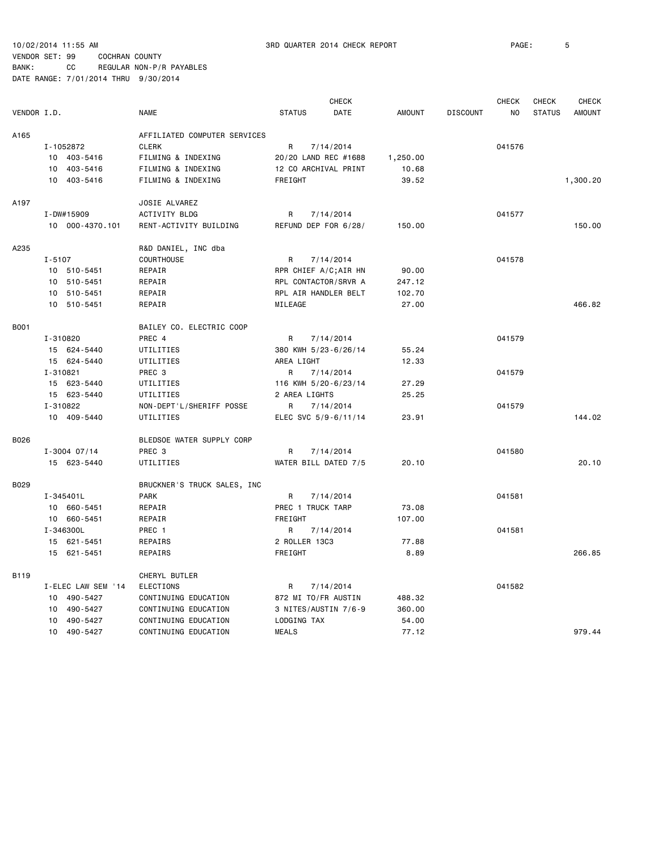|             |            |                    | <b>CHECK</b>                 |                      |           |               |                 | <b>CHECK</b> | <b>CHECK</b>  | <b>CHECK</b>  |
|-------------|------------|--------------------|------------------------------|----------------------|-----------|---------------|-----------------|--------------|---------------|---------------|
| VENDOR I.D. |            |                    | <b>NAME</b>                  | <b>STATUS</b>        | DATE      | <b>AMOUNT</b> | <b>DISCOUNT</b> | NO.          | <b>STATUS</b> | <b>AMOUNT</b> |
| A165        |            |                    | AFFILIATED COMPUTER SERVICES |                      |           |               |                 |              |               |               |
|             |            | I-1052872          | <b>CLERK</b>                 | R                    | 7/14/2014 |               |                 | 041576       |               |               |
|             |            | 10 403-5416        | FILMING & INDEXING           | 20/20 LAND REC #1688 |           | 1,250.00      |                 |              |               |               |
|             |            | 10 403-5416        | FILMING & INDEXING           | 12 CO ARCHIVAL PRINT |           | 10.68         |                 |              |               |               |
|             |            | 10 403-5416        | FILMING & INDEXING           | FREIGHT              |           | 39.52         |                 |              |               | 1,300.20      |
| A197        |            |                    | JOSIE ALVAREZ                |                      |           |               |                 |              |               |               |
|             |            | I-DW#15909         | ACTIVITY BLDG                | R                    | 7/14/2014 |               |                 | 041577       |               |               |
|             |            | 10 000-4370.101    | RENT-ACTIVITY BUILDING       | REFUND DEP FOR 6/28/ |           | 150.00        |                 |              |               | 150.00        |
| A235        |            |                    | R&D DANIEL, INC dba          |                      |           |               |                 |              |               |               |
|             | $I - 5107$ |                    | COURTHOUSE                   | R                    | 7/14/2014 |               |                 | 041578       |               |               |
|             |            | 10 510-5451        | REPAIR                       | RPR CHIEF A/C;AIR HN |           | 90.00         |                 |              |               |               |
|             |            | 10 510-5451        | REPAIR                       | RPL CONTACTOR/SRVR A |           | 247.12        |                 |              |               |               |
|             |            | 10 510-5451        | REPAIR                       | RPL AIR HANDLER BELT |           | 102.70        |                 |              |               |               |
|             |            | 10 510-5451        | REPAIR                       | MILEAGE              |           | 27.00         |                 |              |               | 466.82        |
| <b>B001</b> |            |                    | BAILEY CO. ELECTRIC COOP     |                      |           |               |                 |              |               |               |
|             | I-310820   |                    | PREC 4                       | R                    | 7/14/2014 |               |                 | 041579       |               |               |
|             |            | 15 624-5440        | UTILITIES                    | 380 KWH 5/23-6/26/14 |           | 55.24         |                 |              |               |               |
|             |            | 15 624-5440        | UTILITIES                    | AREA LIGHT           |           | 12.33         |                 |              |               |               |
|             | I-310821   |                    | PREC 3                       | R                    | 7/14/2014 |               |                 | 041579       |               |               |
|             |            | 15 623-5440        | UTILITIES                    | 116 KWH 5/20-6/23/14 |           | 27.29         |                 |              |               |               |
|             |            | 15 623-5440        | UTILITIES                    | 2 AREA LIGHTS        |           | 25.25         |                 |              |               |               |
|             | I-310822   |                    | NON-DEPT'L/SHERIFF POSSE     | R                    | 7/14/2014 |               |                 | 041579       |               |               |
|             |            | 10 409-5440        | UTILITIES                    | ELEC SVC 5/9-6/11/14 |           | 23.91         |                 |              |               | 144.02        |
| B026        |            |                    | BLEDSOE WATER SUPPLY CORP    |                      |           |               |                 |              |               |               |
|             |            | $I - 3004$ 07/14   | PREC <sub>3</sub>            | R                    | 7/14/2014 |               |                 | 041580       |               |               |
|             |            | 15 623-5440        | UTILITIES                    | WATER BILL DATED 7/5 |           | 20.10         |                 |              |               | 20.10         |
| B029        |            |                    | BRUCKNER'S TRUCK SALES, INC  |                      |           |               |                 |              |               |               |
|             |            | $I - 345401L$      | <b>PARK</b>                  | R                    | 7/14/2014 |               |                 | 041581       |               |               |
|             |            | 10 660-5451        | REPAIR                       | PREC 1 TRUCK TARP    |           | 73.08         |                 |              |               |               |
|             |            | 10 660-5451        | REPAIR                       | FREIGHT              |           | 107.00        |                 |              |               |               |
|             |            | I-346300L          | PREC 1                       | R                    | 7/14/2014 |               |                 | 041581       |               |               |
|             |            | 15 621-5451        | REPAIRS                      | 2 ROLLER 13C3        |           | 77.88         |                 |              |               |               |
|             |            | 15 621-5451        | REPAIRS                      | FREIGHT              |           | 8.89          |                 |              |               | 266.85        |
| B119        |            |                    | CHERYL BUTLER                |                      |           |               |                 |              |               |               |
|             |            | I-ELEC LAW SEM '14 | <b>ELECTIONS</b>             | R                    | 7/14/2014 |               |                 | 041582       |               |               |
|             |            | 10 490-5427        | CONTINUING EDUCATION         | 872 MI TO/FR AUSTIN  |           | 488.32        |                 |              |               |               |
|             | 10         | 490-5427           | CONTINUING EDUCATION         | 3 NITES/AUSTIN 7/6-9 |           | 360.00        |                 |              |               |               |
|             | 10         | 490-5427           | CONTINUING EDUCATION         | LODGING TAX          |           | 54.00         |                 |              |               |               |
|             |            | 10 490-5427        | CONTINUING EDUCATION         | <b>MEALS</b>         |           | 77.12         |                 |              |               | 979.44        |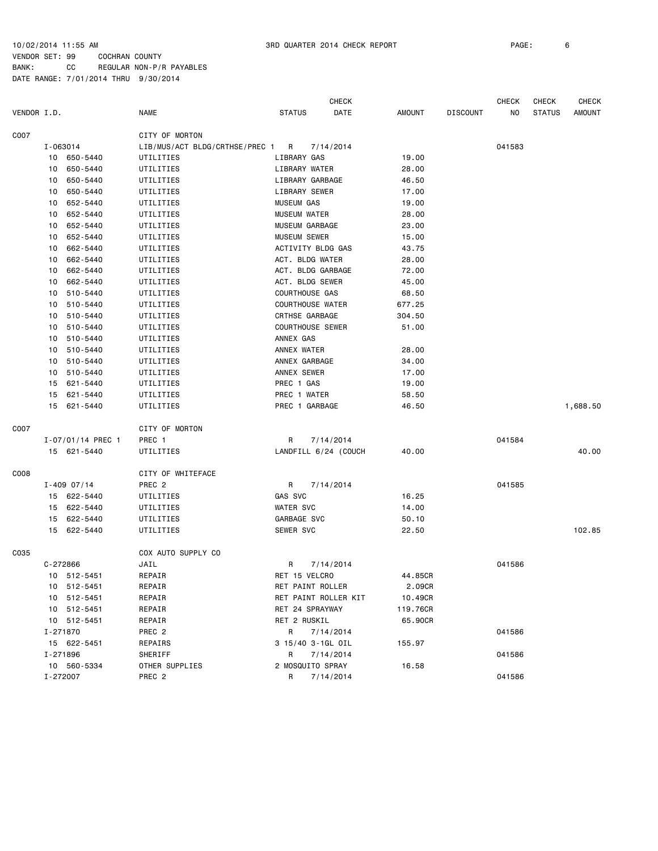|                  |          |                   |                                |                         | <b>CHECK</b>         |               |                 | <b>CHECK</b> | <b>CHECK</b>  | <b>CHECK</b>  |
|------------------|----------|-------------------|--------------------------------|-------------------------|----------------------|---------------|-----------------|--------------|---------------|---------------|
| VENDOR I.D.      |          |                   | <b>NAME</b>                    | <b>STATUS</b>           | DATE                 | <b>AMOUNT</b> | <b>DISCOUNT</b> | NO           | <b>STATUS</b> | <b>AMOUNT</b> |
| C007             |          |                   | CITY OF MORTON                 |                         |                      |               |                 |              |               |               |
|                  | I-063014 |                   | LIB/MUS/ACT BLDG/CRTHSE/PREC 1 | $\overline{R}$          | 7/14/2014            |               |                 | 041583       |               |               |
|                  |          | 10 650-5440       | UTILITIES                      | LIBRARY GAS             |                      | 19.00         |                 |              |               |               |
|                  | 10       | 650-5440          | UTILITIES                      | LIBRARY WATER           |                      | 28.00         |                 |              |               |               |
|                  | 10       | 650-5440          | UTILITIES                      | LIBRARY GARBAGE         |                      | 46.50         |                 |              |               |               |
|                  | 10       | 650-5440          | UTILITIES                      | LIBRARY SEWER           |                      | 17.00         |                 |              |               |               |
|                  | 10       | 652-5440          | UTILITIES                      | <b>MUSEUM GAS</b>       |                      | 19.00         |                 |              |               |               |
|                  | 10       | 652-5440          | UTILITIES                      | <b>MUSEUM WATER</b>     |                      | 28.00         |                 |              |               |               |
|                  | 10       | 652-5440          | UTILITIES                      | MUSEUM GARBAGE          |                      | 23.00         |                 |              |               |               |
|                  | 10       | 652-5440          | UTILITIES                      | MUSEUM SEWER            |                      | 15.00         |                 |              |               |               |
|                  | 10       | 662-5440          | UTILITIES                      | ACTIVITY BLDG GAS       |                      | 43.75         |                 |              |               |               |
|                  | 10       | 662-5440          | UTILITIES                      | ACT. BLDG WATER         |                      | 28.00         |                 |              |               |               |
|                  | 10       | 662-5440          | UTILITIES                      | ACT. BLDG GARBAGE       |                      | 72.00         |                 |              |               |               |
|                  | 10       | 662-5440          | UTILITIES                      | ACT. BLDG SEWER         |                      | 45.00         |                 |              |               |               |
|                  |          | 10 510-5440       | UTILITIES                      | COURTHOUSE GAS          |                      | 68.50         |                 |              |               |               |
|                  | 10       | 510-5440          | UTILITIES                      | <b>COURTHOUSE WATER</b> |                      | 677.25        |                 |              |               |               |
|                  | 10       | 510-5440          | UTILITIES                      | CRTHSE GARBAGE          |                      | 304.50        |                 |              |               |               |
|                  | 10       | 510-5440          | UTILITIES                      | <b>COURTHOUSE SEWER</b> |                      | 51.00         |                 |              |               |               |
|                  | 10       | 510-5440          | UTILITIES                      | ANNEX GAS               |                      |               |                 |              |               |               |
|                  | 10       | 510-5440          | UTILITIES                      | ANNEX WATER             |                      | 28.00         |                 |              |               |               |
|                  | 10       | 510-5440          | UTILITIES                      | ANNEX GARBAGE           |                      | 34.00         |                 |              |               |               |
|                  |          | 10 510-5440       | UTILITIES                      | ANNEX SEWER             |                      | 17.00         |                 |              |               |               |
|                  |          | 15 621-5440       | UTILITIES                      | PREC 1 GAS              |                      | 19.00         |                 |              |               |               |
|                  | 15       | 621-5440          | UTILITIES                      | PREC 1 WATER            |                      | 58.50         |                 |              |               |               |
|                  |          | 15 621-5440       | UTILITIES                      | PREC 1 GARBAGE          |                      | 46.50         |                 |              |               | 1,688.50      |
| C007             |          |                   | CITY OF MORTON                 |                         |                      |               |                 |              |               |               |
|                  |          | I-07/01/14 PREC 1 | PREC 1                         | R                       | 7/14/2014            |               |                 | 041584       |               |               |
|                  |          | 15 621-5440       | UTILITIES                      |                         | LANDFILL 6/24 (COUCH | 40.00         |                 |              |               | 40.00         |
| C <sub>008</sub> |          |                   | CITY OF WHITEFACE              |                         |                      |               |                 |              |               |               |
|                  |          | $I - 409$ 07/14   | PREC <sub>2</sub>              | R                       | 7/14/2014            |               |                 | 041585       |               |               |
|                  |          | 15 622-5440       | UTILITIES                      | GAS SVC                 |                      | 16.25         |                 |              |               |               |
|                  |          | 15 622-5440       | UTILITIES                      | WATER SVC               |                      | 14.00         |                 |              |               |               |
|                  |          | 15 622-5440       | UTILITIES                      | GARBAGE SVC             |                      | 50.10         |                 |              |               |               |
|                  |          | 15 622-5440       | UTILITIES                      | SEWER SVC               |                      | 22.50         |                 |              |               | 102.85        |
| C035             |          |                   | COX AUTO SUPPLY CO             |                         |                      |               |                 |              |               |               |
|                  | C-272866 |                   | JAIL                           | R                       | 7/14/2014            |               |                 | 041586       |               |               |
|                  |          | 10 512-5451       | REPAIR                         | RET 15 VELCRO           |                      | 44.85CR       |                 |              |               |               |
|                  |          | 10 512-5451       | REPAIR                         | RET PAINT ROLLER        |                      | 2.09CR        |                 |              |               |               |
|                  |          | 10 512-5451       | REPAIR                         |                         | RET PAINT ROLLER KIT | 10.49CR       |                 |              |               |               |
|                  |          | 10 512-5451       | REPAIR                         | RET 24 SPRAYWAY         |                      | 119.76CR      |                 |              |               |               |
|                  |          | 10 512-5451       | REPAIR                         | RET 2 RUSKIL            |                      | 65.90CR       |                 |              |               |               |
|                  | I-271870 |                   | PREC 2                         | R                       | 7/14/2014            |               |                 | 041586       |               |               |
|                  |          | 15 622-5451       | REPAIRS                        | 3 15/40 3-1GL OIL       |                      | 155.97        |                 |              |               |               |
|                  | I-271896 |                   | SHERIFF                        | R                       | 7/14/2014            |               |                 | 041586       |               |               |
|                  |          | 10 560-5334       | OTHER SUPPLIES                 | 2 MOSQUITO SPRAY        |                      | 16.58         |                 |              |               |               |
|                  | I-272007 |                   | PREC 2                         | R                       | 7/14/2014            |               |                 | 041586       |               |               |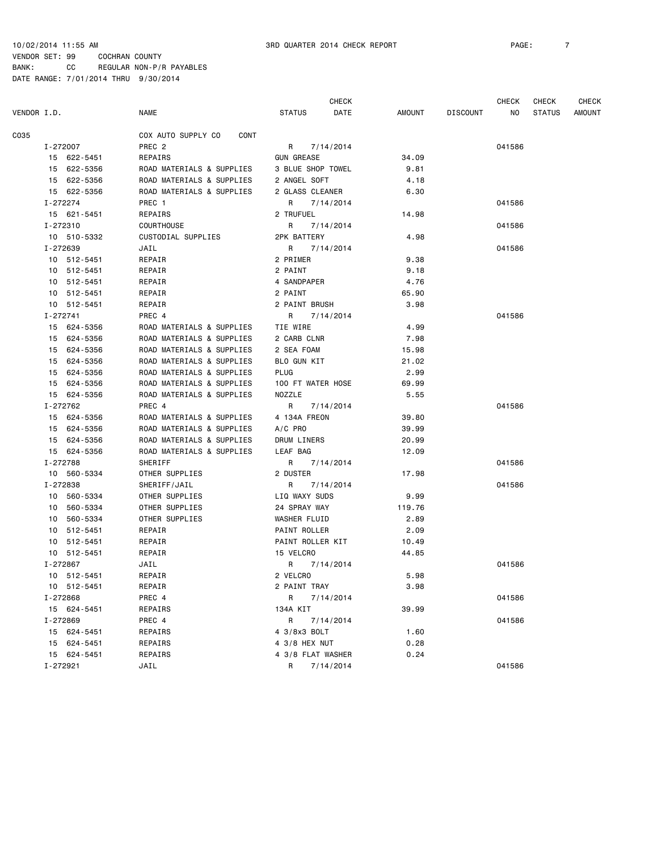|             |          |             |                            |                   | <b>CHECK</b> |        |                 | CHECK  | <b>CHECK</b>  | <b>CHECK</b> |
|-------------|----------|-------------|----------------------------|-------------------|--------------|--------|-----------------|--------|---------------|--------------|
| VENDOR I.D. |          |             | <b>NAME</b>                | <b>STATUS</b>     | DATE         | AMOUNT | <b>DISCOUNT</b> | NO.    | <b>STATUS</b> | AMOUNT       |
| C035        |          |             | COX AUTO SUPPLY CO<br>CONT |                   |              |        |                 |        |               |              |
|             |          | I-272007    | PREC <sub>2</sub>          | R                 | 7/14/2014    |        |                 | 041586 |               |              |
|             |          | 15 622-5451 | REPAIRS                    | <b>GUN GREASE</b> |              | 34.09  |                 |        |               |              |
|             |          | 15 622-5356 | ROAD MATERIALS & SUPPLIES  | 3 BLUE SHOP TOWEL |              | 9.81   |                 |        |               |              |
|             |          | 15 622-5356 | ROAD MATERIALS & SUPPLIES  | 2 ANGEL SOFT      |              | 4.18   |                 |        |               |              |
|             |          | 15 622-5356 | ROAD MATERIALS & SUPPLIES  | 2 GLASS CLEANER   |              | 6.30   |                 |        |               |              |
|             | I-272274 |             | PREC 1                     | R                 | 7/14/2014    |        |                 | 041586 |               |              |
|             |          | 15 621-5451 | REPAIRS                    | 2 TRUFUEL         |              | 14.98  |                 |        |               |              |
|             | I-272310 |             | <b>COURTHOUSE</b>          | R                 | 7/14/2014    |        |                 | 041586 |               |              |
|             |          | 10 510-5332 | CUSTODIAL SUPPLIES         | 2PK BATTERY       |              | 4.98   |                 |        |               |              |
|             | I-272639 |             | JAIL                       | R                 | 7/14/2014    |        |                 | 041586 |               |              |
|             |          | 10 512-5451 | REPAIR                     | 2 PRIMER          |              | 9.38   |                 |        |               |              |
|             |          | 10 512-5451 | REPAIR                     | 2 PAINT           |              | 9.18   |                 |        |               |              |
|             |          | 10 512-5451 | REPAIR                     | 4 SANDPAPER       |              | 4.76   |                 |        |               |              |
|             |          | 10 512-5451 | REPAIR                     | 2 PAINT           |              | 65.90  |                 |        |               |              |
|             |          | 10 512-5451 | REPAIR                     | 2 PAINT BRUSH     |              | 3.98   |                 |        |               |              |
|             | I-272741 |             | PREC 4                     | R                 | 7/14/2014    |        |                 | 041586 |               |              |
|             |          | 15 624-5356 | ROAD MATERIALS & SUPPLIES  | TIE WIRE          |              | 4.99   |                 |        |               |              |
|             |          | 15 624-5356 | ROAD MATERIALS & SUPPLIES  | 2 CARB CLNR       |              | 7.98   |                 |        |               |              |
|             |          | 15 624-5356 | ROAD MATERIALS & SUPPLIES  | 2 SEA FOAM        |              | 15.98  |                 |        |               |              |
|             |          | 15 624-5356 | ROAD MATERIALS & SUPPLIES  | BLO GUN KIT       |              | 21.02  |                 |        |               |              |
|             |          | 15 624-5356 | ROAD MATERIALS & SUPPLIES  | PLUG              |              | 2.99   |                 |        |               |              |
|             |          | 15 624-5356 | ROAD MATERIALS & SUPPLIES  | 100 FT WATER HOSE |              | 69.99  |                 |        |               |              |
|             |          | 15 624-5356 | ROAD MATERIALS & SUPPLIES  | NOZZLE            |              | 5.55   |                 |        |               |              |
|             |          | I-272762    | PREC 4                     | R                 | 7/14/2014    |        |                 | 041586 |               |              |
|             |          | 15 624-5356 | ROAD MATERIALS & SUPPLIES  | 4 134A FREON      |              | 39.80  |                 |        |               |              |
|             |          | 15 624-5356 | ROAD MATERIALS & SUPPLIES  | $A/C$ PRO         |              | 39.99  |                 |        |               |              |
|             |          | 15 624-5356 | ROAD MATERIALS & SUPPLIES  | DRUM LINERS       |              | 20.99  |                 |        |               |              |
|             |          | 15 624-5356 | ROAD MATERIALS & SUPPLIES  | LEAF BAG          |              | 12.09  |                 |        |               |              |
|             | I-272788 |             | SHERIFF                    | R                 | 7/14/2014    |        |                 | 041586 |               |              |
|             |          | 10 560-5334 | OTHER SUPPLIES             | 2 DUSTER          |              | 17.98  |                 |        |               |              |
|             | I-272838 |             | SHERIFF/JAIL               | R                 | 7/14/2014    |        |                 | 041586 |               |              |
|             |          | 10 560-5334 | OTHER SUPPLIES             | LIQ WAXY SUDS     |              | 9.99   |                 |        |               |              |
|             |          | 10 560-5334 | OTHER SUPPLIES             | 24 SPRAY WAY      |              | 119.76 |                 |        |               |              |
|             |          | 10 560-5334 | OTHER SUPPLIES             | WASHER FLUID      |              | 2.89   |                 |        |               |              |
|             | 10       | 512-5451    | REPAIR                     | PAINT ROLLER      |              | 2.09   |                 |        |               |              |
|             |          | 10 512-5451 | REPAIR                     | PAINT ROLLER KIT  |              | 10.49  |                 |        |               |              |
|             |          | 10 512-5451 | REPAIR                     | 15 VELCRO         |              | 44.85  |                 |        |               |              |
|             | I-272867 |             | JAIL                       | R                 | 7/14/2014    |        |                 | 041586 |               |              |
|             |          | 10 512-5451 | REPAIR                     | 2 VELCRO          |              | 5.98   |                 |        |               |              |
|             |          | 10 512-5451 | REPAIR                     | 2 PAINT TRAY      |              | 3.98   |                 |        |               |              |
|             |          | I-272868    | PREC 4                     | R i               | 7/14/2014    |        |                 | 041586 |               |              |
|             |          | 15 624-5451 | REPAIRS                    | 134A KIT          |              | 39.99  |                 |        |               |              |
|             |          | I-272869    | PREC 4                     | R                 | 7/14/2014    |        |                 | 041586 |               |              |
|             |          | 15 624-5451 | REPAIRS                    | 4 3/8x3 BOLT      |              | 1.60   |                 |        |               |              |
|             |          | 15 624-5451 | REPAIRS                    | 4 3/8 HEX NUT     |              | 0.28   |                 |        |               |              |
|             |          | 15 624-5451 | REPAIRS                    | 4 3/8 FLAT WASHER |              | 0.24   |                 |        |               |              |
|             | I-272921 |             | JAIL                       | R                 | 7/14/2014    |        |                 | 041586 |               |              |
|             |          |             |                            |                   |              |        |                 |        |               |              |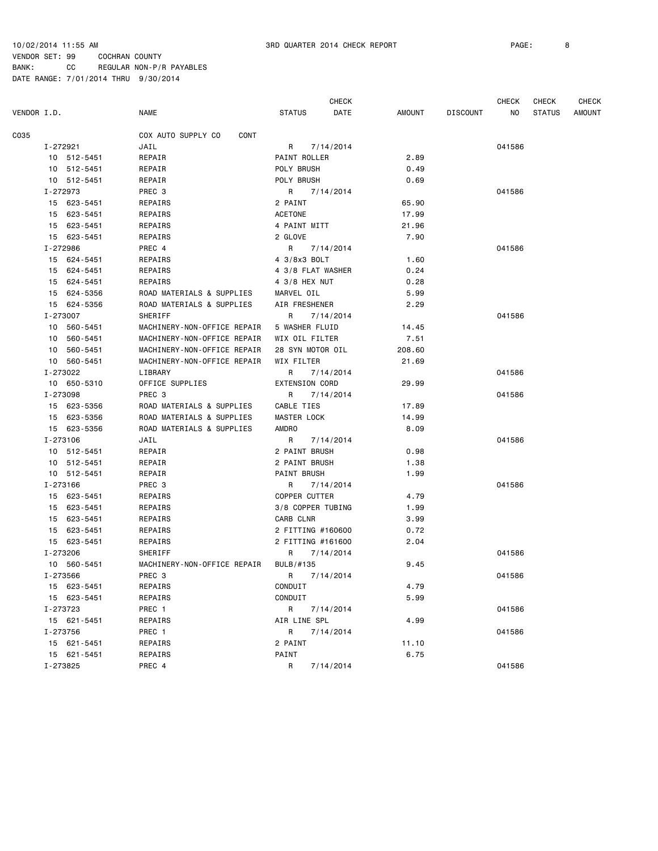| VENDOR I.D.    | <b>NAME</b>                 | <b>STATUS</b>         | <b>CHECK</b><br>DATE | <b>AMOUNT</b> | <b>DISCOUNT</b> | <b>CHECK</b><br>ΝO | <b>CHECK</b><br><b>STATUS</b> | <b>CHECK</b><br>AMOUNT |
|----------------|-----------------------------|-----------------------|----------------------|---------------|-----------------|--------------------|-------------------------------|------------------------|
| C035           | COX AUTO SUPPLY CO<br>CONT  |                       |                      |               |                 |                    |                               |                        |
| I-272921       | JAIL                        | R                     | 7/14/2014            |               |                 | 041586             |                               |                        |
| 10 512-5451    | REPAIR                      | PAINT ROLLER          |                      | 2.89          |                 |                    |                               |                        |
| 10 512-5451    | REPAIR                      | POLY BRUSH            |                      | 0.49          |                 |                    |                               |                        |
| 10 512-5451    | REPAIR                      | POLY BRUSH            |                      | 0.69          |                 |                    |                               |                        |
| I-272973       | PREC <sub>3</sub>           | R                     | 7/14/2014            |               |                 | 041586             |                               |                        |
| 15 623-5451    | REPAIRS                     | 2 PAINT               |                      | 65.90         |                 |                    |                               |                        |
| 15 623-5451    | REPAIRS                     | <b>ACETONE</b>        |                      | 17.99         |                 |                    |                               |                        |
| 15 623-5451    | REPAIRS                     | 4 PAINT MITT          |                      | 21.96         |                 |                    |                               |                        |
| 15 623-5451    | REPAIRS                     | 2 GLOVE               |                      | 7.90          |                 |                    |                               |                        |
| I-272986       | PREC 4                      | R                     | 7/14/2014            |               |                 | 041586             |                               |                        |
| 15 624-5451    | REPAIRS                     | 4 3/8x3 BOLT          |                      | 1.60          |                 |                    |                               |                        |
| 624-5451<br>15 | REPAIRS                     | 4 3/8 FLAT WASHER     |                      | 0.24          |                 |                    |                               |                        |
| 15 624-5451    | REPAIRS                     | 4 3/8 HEX NUT         |                      | 0.28          |                 |                    |                               |                        |
| 15<br>624-5356 | ROAD MATERIALS & SUPPLIES   | MARVEL OIL            |                      | 5.99          |                 |                    |                               |                        |
| 15 624-5356    | ROAD MATERIALS & SUPPLIES   | AIR FRESHENER         |                      | 2.29          |                 |                    |                               |                        |
| I-273007       | SHERIFF                     | R                     | 7/14/2014            |               |                 | 041586             |                               |                        |
| 10 560-5451    | MACHINERY-NON-OFFICE REPAIR | 5 WASHER FLUID        |                      | 14.45         |                 |                    |                               |                        |
| 10 560-5451    | MACHINERY-NON-OFFICE REPAIR | WIX OIL FILTER        |                      | 7.51          |                 |                    |                               |                        |
| 10 560-5451    | MACHINERY-NON-OFFICE REPAIR | 28 SYN MOTOR OIL      |                      | 208.60        |                 |                    |                               |                        |
| 10 560-5451    | MACHINERY-NON-OFFICE REPAIR | WIX FILTER            |                      | 21.69         |                 |                    |                               |                        |
| I-273022       | LIBRARY                     | R                     | 7/14/2014            |               |                 | 041586             |                               |                        |
| 10 650-5310    | OFFICE SUPPLIES             | <b>EXTENSION CORD</b> |                      | 29.99         |                 |                    |                               |                        |
| I-273098       | PREC <sub>3</sub>           | R                     | 7/14/2014            |               |                 | 041586             |                               |                        |
| 15 623-5356    | ROAD MATERIALS & SUPPLIES   | CABLE TIES            |                      | 17.89         |                 |                    |                               |                        |
| 15 623-5356    | ROAD MATERIALS & SUPPLIES   | <b>MASTER LOCK</b>    |                      | 14.99         |                 |                    |                               |                        |
| 15 623-5356    | ROAD MATERIALS & SUPPLIES   | <b>AMDRO</b>          |                      | 8.09          |                 |                    |                               |                        |
| I-273106       | JAIL                        | R                     | 7/14/2014            |               |                 | 041586             |                               |                        |
| 10 512-5451    | REPAIR                      | 2 PAINT BRUSH         |                      | 0.98          |                 |                    |                               |                        |
| 10 512-5451    | REPAIR                      | 2 PAINT BRUSH         |                      | 1.38          |                 |                    |                               |                        |
| 10 512-5451    | REPAIR                      | PAINT BRUSH           |                      | 1.99          |                 |                    |                               |                        |
| I-273166       | PREC <sub>3</sub>           | R                     | 7/14/2014            |               |                 | 041586             |                               |                        |
| 15 623-5451    | REPAIRS                     | <b>COPPER CUTTER</b>  |                      | 4.79          |                 |                    |                               |                        |
| 15 623-5451    | REPAIRS                     | 3/8 COPPER TUBING     |                      | 1.99          |                 |                    |                               |                        |
| 15<br>623-5451 | REPAIRS                     | CARB CLNR             |                      | 3.99          |                 |                    |                               |                        |
| 15 623-5451    | REPAIRS                     | 2 FITTING #160600     |                      | 0.72          |                 |                    |                               |                        |
| 15 623-5451    | REPAIRS                     | 2 FITTING #161600     |                      | 2.04          |                 |                    |                               |                        |
| I-273206       | SHERIFF                     | R                     | 7/14/2014            |               |                 | 041586             |                               |                        |
| 10 560-5451    | MACHINERY-NON-OFFICE REPAIR | BULB/#135             |                      | 9.45          |                 |                    |                               |                        |
| I-273566       | PREC 3                      | R 7/14/2014           |                      |               |                 | 041586             |                               |                        |
| 15 623-5451    | REPAIRS                     | CONDUIT               |                      | 4.79          |                 |                    |                               |                        |
| 15 623-5451    | REPAIRS                     | CONDUIT               |                      | 5.99          |                 |                    |                               |                        |
| I-273723       | PREC 1                      | R                     | 7/14/2014            |               |                 | 041586             |                               |                        |
| 15 621-5451    | REPAIRS                     | AIR LINE SPL          |                      | 4.99          |                 |                    |                               |                        |
| I-273756       | PREC 1                      | R                     | 7/14/2014            |               |                 | 041586             |                               |                        |
| 15 621-5451    | REPAIRS                     | 2 PAINT               |                      | 11.10         |                 |                    |                               |                        |
| 15 621-5451    | REPAIRS                     | PAINT                 |                      | 6.75          |                 |                    |                               |                        |
| I-273825       | PREC 4                      | R                     | 7/14/2014            |               |                 | 041586             |                               |                        |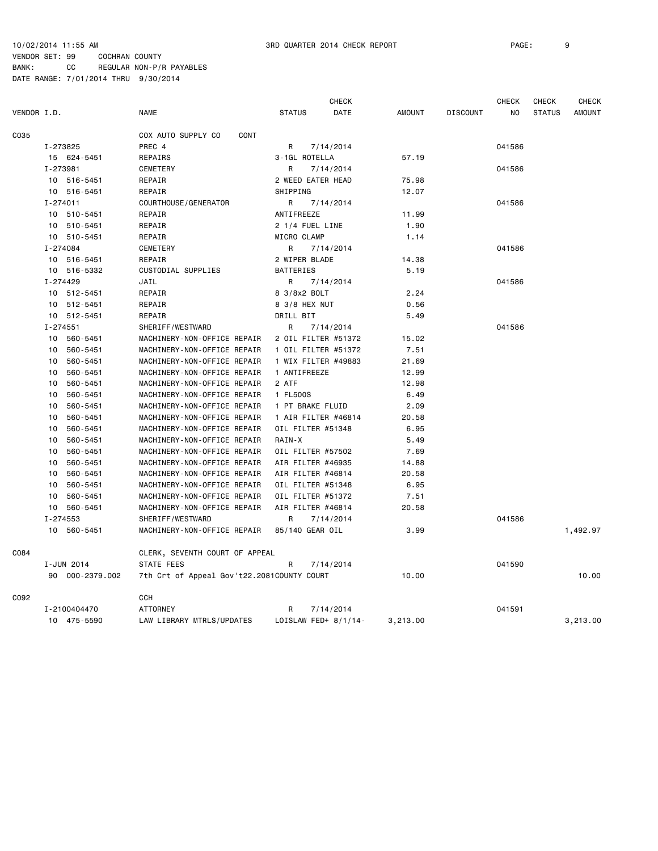CHECK CHECK CHECK CHECK VENDOR I.D. NAME STATUS DATE AMOUNT DISCOUNT NO STATUS AMOUNT C035 COX AUTO SUPPLY CO CONT I-273825 PREC 4 R 7/14/2014 041586 15 624-5451 REPAIRS 3-1GL ROTELLA 57.19 I-273981 CEMETERY R 7/14/2014 041586 10 516-5451 REPAIR 2 WEED EATER HEAD 75.98 10 516-5451 REPAIR SHIPPING 12.07 I-274011 COURTHOUSE/GENERATOR R 7/14/2014 041586 10 510-5451 REPAIR ANTIFREEZE 11.99 10 510-5451 REPAIR 2 1/4 FUEL LINE 1.90 10 510-5451 REPAIR MICRO CLAMP 1.14 I-274084 CEMETERY R 7/14/2014 041586 10 516-5451 REPAIR 2 WIPER BLADE 14.38 10 516-5332 CUSTODIAL SUPPLIES BATTERIES 5.19 I-274429 JAIL R 7/14/2014 041586 10 512-5451 REPAIR 8 3/8x2 BOLT 2.24 10 512-5451 REPAIR 8 3/8 HEX NUT 0.56 10 512-5451 REPAIR **REPAIR** DRILL BIT 5.49 I-274551 SHERIFF/WESTWARD R 7/14/2014 041586 10 560-5451 MACHINERY-NON-OFFICE REPAIR 2 OIL FILTER #51372 15.02 10 560-5451 MACHINERY-NON-OFFICE REPAIR 1 OIL FILTER #51372 7.51 10 560-5451 MACHINERY-NON-OFFICE REPAIR 1 WIX FILTER #49883 21.69 10 560-5451 MACHINERY-NON-OFFICE REPAIR 1 ANTIFREEZE 12.99 10 560-5451 MACHINERY-NON-OFFICE REPAIR 2 ATF 12.98 10 560-5451 MACHINERY-NON-OFFICE REPAIR 1 FL500S 6.49 10 560-5451 MACHINERY-NON-OFFICE REPAIR 1 PT BRAKE FLUID 2.09 10 560-5451 MACHINERY-NON-OFFICE REPAIR 1 AIR FILTER #46814 20.58 10 560-5451 MACHINERY-NON-OFFICE REPAIR OIL FILTER #51348 6.95 10 560-5451 MACHINERY-NON-OFFICE REPAIR RAIN-X 5.49 10 560-5451 MACHINERY-NON-OFFICE REPAIR OIL FILTER #57502 7.69 10 560-5451 MACHINERY-NON-OFFICE REPAIR AIR FILTER #46935 14.88 10 560-5451 MACHINERY-NON-OFFICE REPAIR AIR FILTER #46814 20.58 10 560-5451 MACHINERY-NON-OFFICE REPAIR OIL FILTER #51348 6.95 10 560-5451 MACHINERY-NON-OFFICE REPAIR OIL FILTER #51372 7.51 10 560-5451 MACHINERY-NON-OFFICE REPAIR AIR FILTER #46814 20.58 I-274553 SHERIFF/WESTWARD R 7/14/2014 041586 10 560-5451 MACHINERY-NON-OFFICE REPAIR 85/140 GEAR OIL 3.99 1,492.97 C084 CLERK, SEVENTH COURT OF APPEAL I-JUN 2014 STATE FEES R 7/14/2014 041590 90 000-2379.002 7th Crt of Appeal Gov't22.2081COUNTY COURT 10.00 10.00 C092 CCH I-2100404470 ATTORNEY R 7/14/2014 041591 10 475-5590 LAW LIBRARY MTRLS/UPDATES LOISLAW FED+ 8/1/14- 3,213.00 3,213.00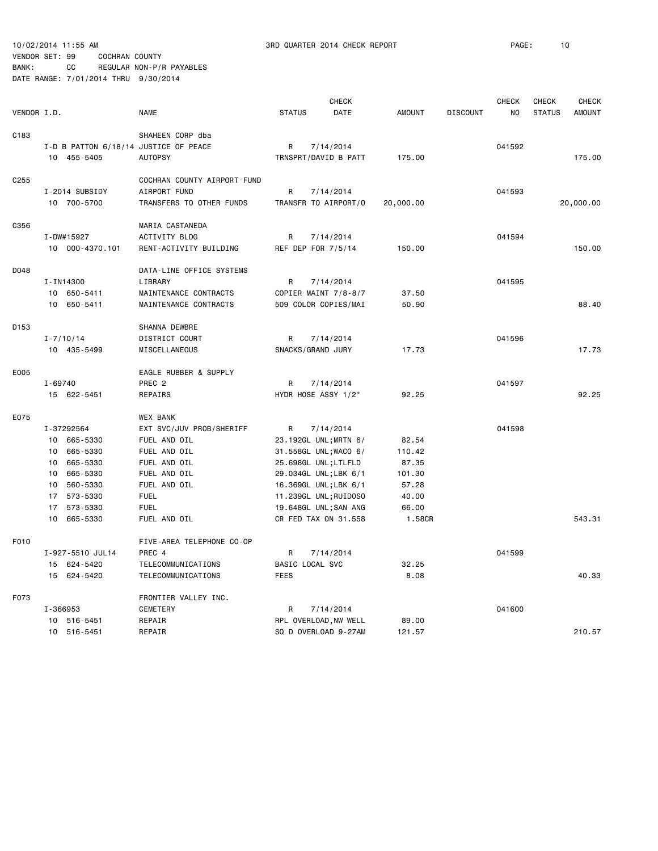10/02/2014 11:55 AM 3RD QUARTER 2014 CHECK REPORT PAGE: 10

#### VENDOR SET: 99 COCHRAN COUNTY BANK: CC REGULAR NON-P/R PAYABLES

|             |               |                  | <b>CHECK</b>                          |                 |                       |               |                 | <b>CHECK</b> | <b>CHECK</b>  | <b>CHECK</b>  |
|-------------|---------------|------------------|---------------------------------------|-----------------|-----------------------|---------------|-----------------|--------------|---------------|---------------|
| VENDOR I.D. |               |                  | <b>NAME</b>                           | <b>STATUS</b>   | DATE                  | <b>AMOUNT</b> | <b>DISCOUNT</b> | NO           | <b>STATUS</b> | <b>AMOUNT</b> |
| C183        |               |                  | SHAHEEN CORP dba                      |                 |                       |               |                 |              |               |               |
|             |               |                  | I-D B PATTON 6/18/14 JUSTICE OF PEACE | R               | 7/14/2014             |               |                 | 041592       |               |               |
|             |               | 10 455-5405      | <b>AUTOPSY</b>                        |                 | TRNSPRT/DAVID B PATT  | 175.00        |                 |              |               | 175.00        |
|             |               |                  |                                       |                 |                       |               |                 |              |               |               |
| C255        |               |                  | COCHRAN COUNTY AIRPORT FUND           |                 |                       |               |                 |              |               |               |
|             |               | I-2014 SUBSIDY   | AIRPORT FUND                          | R               | 7/14/2014             |               |                 | 041593       |               |               |
|             |               | 10 700-5700      | TRANSFERS TO OTHER FUNDS              |                 | TRANSFR TO AIRPORT/O  | 20,000.00     |                 |              |               | 20,000.00     |
| C356        |               |                  | MARIA CASTANEDA                       |                 |                       |               |                 |              |               |               |
|             | I-DW#15927    |                  | ACTIVITY BLDG                         | R               | 7/14/2014             |               |                 | 041594       |               |               |
|             |               | 10 000-4370.101  | RENT-ACTIVITY BUILDING                |                 | REF DEP FOR 7/5/14    | 150.00        |                 |              |               | 150.00        |
| D048        |               |                  | DATA-LINE OFFICE SYSTEMS              |                 |                       |               |                 |              |               |               |
|             | I-IN14300     |                  | LIBRARY                               | R               | 7/14/2014             |               |                 | 041595       |               |               |
|             |               | 10 650-5411      | MAINTENANCE CONTRACTS                 |                 | COPIER MAINT 7/8-8/7  | 37.50         |                 |              |               |               |
|             |               | 10 650-5411      | MAINTENANCE CONTRACTS                 |                 | 509 COLOR COPIES/MAI  | 50.90         |                 |              |               | 88,40         |
|             |               |                  |                                       |                 |                       |               |                 |              |               |               |
| D153        |               |                  | SHANNA DEWBRE                         |                 |                       |               |                 |              |               |               |
|             | $I - 7/10/14$ |                  | DISTRICT COURT                        | R               | 7/14/2014             |               |                 | 041596       |               |               |
|             |               | 10 435-5499      | MISCELLANEOUS                         |                 | SNACKS/GRAND JURY     | 17.73         |                 |              |               | 17.73         |
| E005        |               |                  | EAGLE RUBBER & SUPPLY                 |                 |                       |               |                 |              |               |               |
|             | $I - 69740$   |                  | PREC <sub>2</sub>                     | R               | 7/14/2014             |               |                 | 041597       |               |               |
|             |               | 15 622-5451      | REPAIRS                               |                 | HYDR HOSE ASSY 1/2"   | 92.25         |                 |              |               | 92.25         |
| E075        |               |                  | <b>WEX BANK</b>                       |                 |                       |               |                 |              |               |               |
|             | I-37292564    |                  | EXT SVC/JUV PROB/SHERIFF              | R               | 7/14/2014             |               |                 | 041598       |               |               |
|             |               | 10 665-5330      | FUEL AND OIL                          |                 | 23.192GL UNL; MRTN 6/ | 82.54         |                 |              |               |               |
|             |               | 10 665-5330      | FUEL AND OIL                          |                 | 31.558GL UNL; WACO 6/ | 110.42        |                 |              |               |               |
|             |               | 10 665-5330      | FUEL AND OIL                          |                 | 25.698GL UNL;LTLFLD   | 87.35         |                 |              |               |               |
|             | 10            | 665-5330         | FUEL AND OIL                          |                 | 29.034GL UNL; LBK 6/1 | 101.30        |                 |              |               |               |
|             |               | 10 560-5330      | FUEL AND OIL                          |                 | 16.369GL UNL;LBK 6/1  | 57.28         |                 |              |               |               |
|             |               | 17 573-5330      | <b>FUEL</b>                           |                 | 11.239GL UNL; RUIDOSO | 40.00         |                 |              |               |               |
|             |               | 17 573-5330      | <b>FUEL</b>                           |                 | 19.648GL UNL; SAN ANG | 66.00         |                 |              |               |               |
|             | 10            | 665-5330         | FUEL AND OIL                          |                 | CR FED TAX ON 31.558  | 1.58CR        |                 |              |               | 543.31        |
| F010        |               |                  | FIVE-AREA TELEPHONE CO-OP             |                 |                       |               |                 |              |               |               |
|             |               | I-927-5510 JUL14 | PREC 4                                | R               | 7/14/2014             |               |                 | 041599       |               |               |
|             |               | 15 624-5420      | TELECOMMUNICATIONS                    | BASIC LOCAL SVC |                       | 32.25         |                 |              |               |               |
|             |               | 15 624-5420      | TELECOMMUNICATIONS                    | <b>FEES</b>     |                       | 8.08          |                 |              |               | 40.33         |
| F073        |               |                  | FRONTIER VALLEY INC.                  |                 |                       |               |                 |              |               |               |
|             | I-366953      |                  | CEMETERY                              | R               | 7/14/2014             |               |                 | 041600       |               |               |
|             | 10            | 516-5451         | REPAIR                                |                 | RPL OVERLOAD, NW WELL | 89.00         |                 |              |               |               |
|             |               | 10 516-5451      | REPAIR                                |                 | SQ D OVERLOAD 9-27AM  | 121.57        |                 |              |               | 210.57        |
|             |               |                  |                                       |                 |                       |               |                 |              |               |               |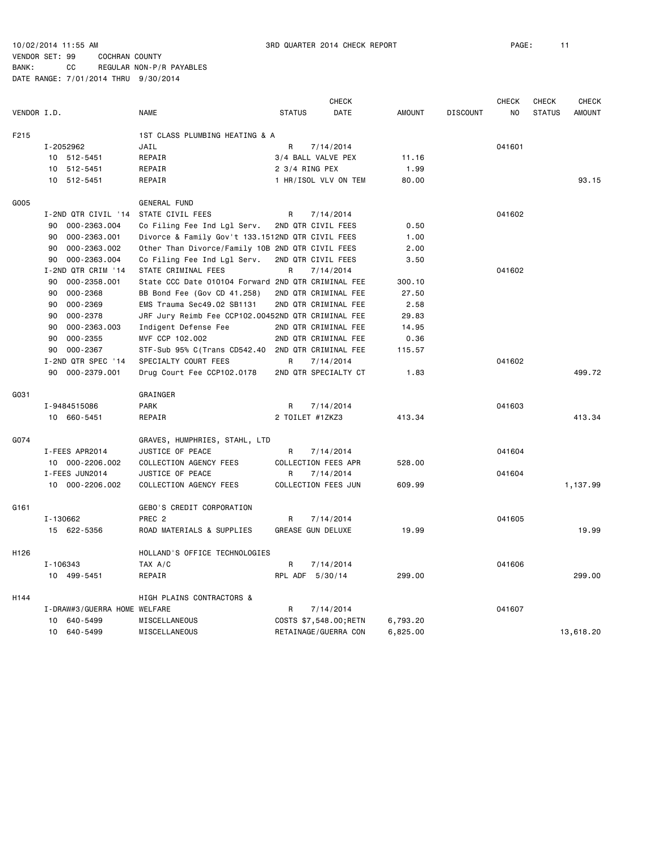|             | <b>CHECK</b>                 |                                                    |                 |                          |               | <b>CHECK</b>    | <b>CHECK</b> | <b>CHECK</b>  |               |
|-------------|------------------------------|----------------------------------------------------|-----------------|--------------------------|---------------|-----------------|--------------|---------------|---------------|
| VENDOR I.D. |                              | <b>NAME</b>                                        | <b>STATUS</b>   | DATE                     | <b>AMOUNT</b> | <b>DISCOUNT</b> | NO.          | <b>STATUS</b> | <b>AMOUNT</b> |
| F215        |                              | 1ST CLASS PLUMBING HEATING & A                     |                 |                          |               |                 |              |               |               |
|             | I-2052962                    | JAIL                                               | R               | 7/14/2014                |               |                 | 041601       |               |               |
|             | 10 512-5451                  | REPAIR                                             |                 | 3/4 BALL VALVE PEX       | 11.16         |                 |              |               |               |
|             | 512-5451<br>10               | REPAIR                                             | 2 3/4 RING PEX  |                          | 1.99          |                 |              |               |               |
|             | 10 512-5451                  | REPAIR                                             |                 | 1 HR/ISOL VLV ON TEM     | 80.00         |                 |              |               | 93.15         |
| G005        |                              | <b>GENERAL FUND</b>                                |                 |                          |               |                 |              |               |               |
|             | I-2ND QTR CIVIL '14          | STATE CIVIL FEES                                   | R               | 7/14/2014                |               |                 | 041602       |               |               |
|             | 000-2363.004<br>90           | Co Filing Fee Ind Lgl Serv.                        |                 | 2ND QTR CIVIL FEES       | 0.50          |                 |              |               |               |
|             | 000-2363.001<br>90           | Divorce & Family Gov't 133.1512ND QTR CIVIL FEES   |                 |                          | 1.00          |                 |              |               |               |
|             | 000-2363.002<br>90           | Other Than Divorce/Family 10B 2ND QTR CIVIL FEES   |                 |                          | 2.00          |                 |              |               |               |
|             | 90<br>000-2363.004           | Co Filing Fee Ind Lgl Serv.                        |                 | 2ND QTR CIVIL FEES       | 3.50          |                 |              |               |               |
|             | I-2ND QTR CRIM '14           | STATE CRIMINAL FEES                                | R               | 7/14/2014                |               |                 | 041602       |               |               |
|             | 000-2358.001<br>90           | State CCC Date 010104 Forward 2ND QTR CRIMINAL FEE |                 |                          | 300.10        |                 |              |               |               |
|             | 000-2368<br>90               | BB Bond Fee (Gov CD 41.258)                        |                 | 2ND QTR CRIMINAL FEE     | 27.50         |                 |              |               |               |
|             | 000-2369<br>90               | EMS Trauma Sec49.02 SB1131                         |                 | 2ND QTR CRIMINAL FEE     | 2.58          |                 |              |               |               |
|             | 000-2378<br>90               | JRF Jury Reimb Fee CCP102.00452ND QTR CRIMINAL FEE |                 |                          | 29.83         |                 |              |               |               |
|             | 000-2363.003<br>90           | Indigent Defense Fee                               |                 | 2ND QTR CRIMINAL FEE     | 14.95         |                 |              |               |               |
|             | 000-2355<br>90               | MVF CCP 102.002                                    |                 | 2ND QTR CRIMINAL FEE     | 0.36          |                 |              |               |               |
|             | 90<br>000-2367               | STF-Sub 95% C(Trans CD542.40 2ND QTR CRIMINAL FEE  |                 |                          | 115.57        |                 |              |               |               |
|             | I-2ND QTR SPEC '14           | SPECIALTY COURT FEES                               | R               | 7/14/2014                |               |                 | 041602       |               |               |
|             | 90<br>000-2379.001           | Drug Court Fee CCP102.0178                         |                 | 2ND QTR SPECIALTY CT     | 1.83          |                 |              |               | 499.72        |
| G031        |                              | GRAINGER                                           |                 |                          |               |                 |              |               |               |
|             | I-9484515086                 | <b>PARK</b>                                        | R               | 7/14/2014                |               |                 | 041603       |               |               |
|             | 10 660-5451                  | REPAIR                                             | 2 TOILET #1ZKZ3 |                          | 413.34        |                 |              |               | 413.34        |
| G074        |                              | GRAVES, HUMPHRIES, STAHL, LTD                      |                 |                          |               |                 |              |               |               |
|             | I-FEES APR2014               | JUSTICE OF PEACE                                   | R               | 7/14/2014                |               |                 | 041604       |               |               |
|             | 10 000-2206.002              | COLLECTION AGENCY FEES                             |                 | COLLECTION FEES APR      | 528.00        |                 |              |               |               |
|             | I-FEES JUN2014               | JUSTICE OF PEACE                                   | R               | 7/14/2014                |               |                 | 041604       |               |               |
|             | 10 000-2206.002              | COLLECTION AGENCY FEES                             |                 | COLLECTION FEES JUN      | 609.99        |                 |              |               | 1,137.99      |
| G161        |                              | GEBO'S CREDIT CORPORATION                          |                 |                          |               |                 |              |               |               |
|             | I-130662                     | PREC <sub>2</sub>                                  | R               | 7/14/2014                |               |                 | 041605       |               |               |
|             | 15 622-5356                  | ROAD MATERIALS & SUPPLIES                          |                 | <b>GREASE GUN DELUXE</b> | 19.99         |                 |              |               | 19.99         |
| H126        |                              | HOLLAND'S OFFICE TECHNOLOGIES                      |                 |                          |               |                 |              |               |               |
|             | I-106343                     | TAX A/C                                            | R               | 7/14/2014                |               |                 | 041606       |               |               |
|             | 10 499-5451                  | REPAIR                                             | RPL ADF 5/30/14 |                          | 299.00        |                 |              |               | 299.00        |
| H144        |                              | HIGH PLAINS CONTRACTORS &                          |                 |                          |               |                 |              |               |               |
|             | I-DRAW#3/GUERRA HOME WELFARE |                                                    | R               | 7/14/2014                |               |                 | 041607       |               |               |
|             | 640-5499<br>10               | MISCELLANEOUS                                      |                 | COSTS \$7,548.00;RETN    | 6,793.20      |                 |              |               |               |
|             | 10 640-5499                  | MISCELLANEOUS                                      |                 | RETAINAGE/GUERRA CON     | 6,825.00      |                 |              |               | 13,618.20     |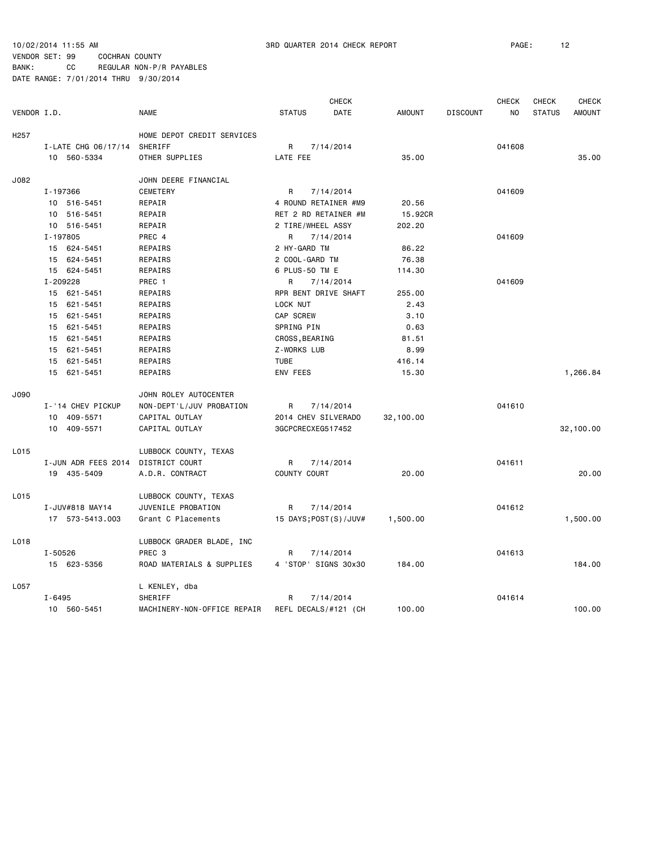|                  |                     |                             |                          | <b>CHECK</b> |               |                 | <b>CHECK</b> | <b>CHECK</b>  | <b>CHECK</b>  |
|------------------|---------------------|-----------------------------|--------------------------|--------------|---------------|-----------------|--------------|---------------|---------------|
| VENDOR I.D.      |                     | <b>NAME</b>                 | <b>STATUS</b>            | DATE         | <b>AMOUNT</b> | <b>DISCOUNT</b> | NO.          | <b>STATUS</b> | <b>AMOUNT</b> |
| H <sub>257</sub> |                     | HOME DEPOT CREDIT SERVICES  |                          |              |               |                 |              |               |               |
|                  | I-LATE CHG 06/17/14 | SHERIFF                     | R                        | 7/14/2014    |               |                 | 041608       |               |               |
|                  | 10 560-5334         | OTHER SUPPLIES              | LATE FEE                 |              | 35.00         |                 |              |               | 35.00         |
| J082             |                     | JOHN DEERE FINANCIAL        |                          |              |               |                 |              |               |               |
|                  | I-197366            | CEMETERY                    | R                        | 7/14/2014    |               |                 | 041609       |               |               |
|                  | 10 516-5451         | REPAIR                      | 4 ROUND RETAINER #M9     |              | 20.56         |                 |              |               |               |
|                  | 10 516-5451         | REPAIR                      | RET 2 RD RETAINER #M     |              | 15.92CR       |                 |              |               |               |
|                  | 10 516-5451         | REPAIR                      | 2 TIRE/WHEEL ASSY        |              | 202.20        |                 |              |               |               |
|                  | I-197805            | PREC 4                      | R                        | 7/14/2014    |               |                 | 041609       |               |               |
|                  | 15 624-5451         | REPAIRS                     | 2 HY-GARD TM             |              | 86.22         |                 |              |               |               |
|                  | 15 624-5451         | REPAIRS                     | 2 COOL-GARD TM           |              | 76.38         |                 |              |               |               |
|                  | 15 624-5451         | REPAIRS                     | 6 PLUS-50 TM E           |              | 114.30        |                 |              |               |               |
|                  | I-209228            | PREC 1                      | R                        | 7/14/2014    |               |                 | 041609       |               |               |
|                  | 15 621-5451         | REPAIRS                     | RPR BENT DRIVE SHAFT     |              | 255.00        |                 |              |               |               |
|                  | 15 621-5451         | REPAIRS                     | LOCK NUT                 |              | 2.43          |                 |              |               |               |
|                  | 15 621-5451         | REPAIRS                     | CAP SCREW                |              | 3.10          |                 |              |               |               |
|                  | 15 621-5451         | REPAIRS                     | SPRING PIN               |              | 0.63          |                 |              |               |               |
|                  | 15 621-5451         | REPAIRS                     | CROSS, BEARING           |              | 81.51         |                 |              |               |               |
|                  | 15 621-5451         | REPAIRS                     | Z-WORKS LUB              |              | 8.99          |                 |              |               |               |
|                  | 15 621-5451         | REPAIRS                     | <b>TUBE</b>              |              | 416.14        |                 |              |               |               |
|                  | 15 621-5451         | REPAIRS                     | ENV FEES                 |              | 15.30         |                 |              |               | 1,266.84      |
| J090             |                     | JOHN ROLEY AUTOCENTER       |                          |              |               |                 |              |               |               |
|                  | I-'14 CHEV PICKUP   | NON-DEPT'L/JUV PROBATION    | R                        | 7/14/2014    |               |                 | 041610       |               |               |
|                  | 10 409-5571         | CAPITAL OUTLAY              | 2014 CHEV SILVERADO      |              | 32,100.00     |                 |              |               |               |
|                  | 10 409-5571         | CAPITAL OUTLAY              | 3GCPCRECXEG517452        |              |               |                 |              |               | 32,100.00     |
| L015             |                     | LUBBOCK COUNTY, TEXAS       |                          |              |               |                 |              |               |               |
|                  | I-JUN ADR FEES 2014 | DISTRICT COURT              | R                        | 7/14/2014    |               |                 | 041611       |               |               |
|                  | 19 435-5409         | A.D.R. CONTRACT             | COUNTY COURT             |              | 20.00         |                 |              |               | 20.00         |
| L015             |                     | LUBBOCK COUNTY, TEXAS       |                          |              |               |                 |              |               |               |
|                  | I-JUV#818 MAY14     | JUVENILE PROBATION          | R                        | 7/14/2014    |               |                 | 041612       |               |               |
|                  | 17 573-5413.003     | Grant C Placements          | 15 DAYS; POST (S) / JUV# |              | 1,500.00      |                 |              |               | 1,500.00      |
| L018             |                     | LUBBOCK GRADER BLADE, INC   |                          |              |               |                 |              |               |               |
|                  | I-50526             | PREC 3                      | R                        | 7/14/2014    |               |                 | 041613       |               |               |
|                  | 15 623-5356         | ROAD MATERIALS & SUPPLIES   | 4 'STOP' SIGNS 30x30     |              | 184.00        |                 |              |               | 184.00        |
| L057             |                     | L KENLEY, dba               |                          |              |               |                 |              |               |               |
|                  | $I - 6495$          | SHERIFF                     | R                        | 7/14/2014    |               |                 | 041614       |               |               |
|                  | 10 560-5451         | MACHINERY-NON-OFFICE REPAIR | REFL DECALS/#121 (CH     |              | 100.00        |                 |              |               | 100.00        |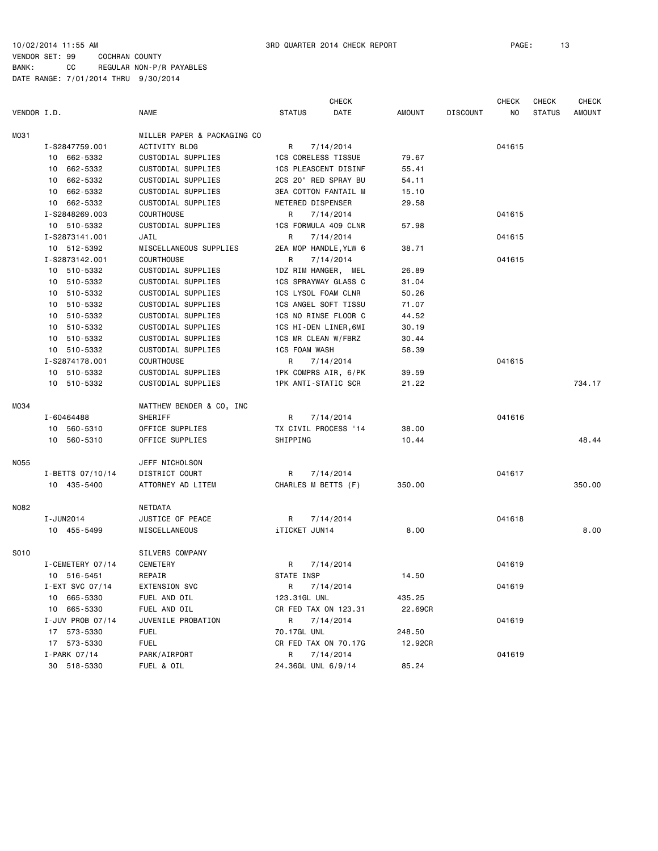|             |                  |                             |                            | <b>CHECK</b>                |               |                 | <b>CHECK</b> | <b>CHECK</b>  | <b>CHECK</b> |
|-------------|------------------|-----------------------------|----------------------------|-----------------------------|---------------|-----------------|--------------|---------------|--------------|
| VENDOR I.D. |                  | <b>NAME</b>                 | <b>STATUS</b>              | DATE                        | <b>AMOUNT</b> | <b>DISCOUNT</b> | NO.          | <b>STATUS</b> | AMOUNT       |
| M031        |                  | MILLER PAPER & PACKAGING CO |                            |                             |               |                 |              |               |              |
|             | I-S2847759.001   | ACTIVITY BLDG               | R                          | 7/14/2014                   |               |                 | 041615       |               |              |
|             | 10 662-5332      | CUSTODIAL SUPPLIES          | <b>1CS CORELESS TISSUE</b> |                             | 79.67         |                 |              |               |              |
|             | 10 662-5332      | CUSTODIAL SUPPLIES          |                            | 1CS PLEASCENT DISINF        | 55.41         |                 |              |               |              |
|             | 10 662-5332      | CUSTODIAL SUPPLIES          |                            | 2CS 20" RED SPRAY BU        | 54.11         |                 |              |               |              |
|             | 10 662-5332      | CUSTODIAL SUPPLIES          |                            | <b>3EA COTTON FANTAIL M</b> | 15.10         |                 |              |               |              |
|             | 10 662-5332      | CUSTODIAL SUPPLIES          | METERED DISPENSER          |                             | 29.58         |                 |              |               |              |
|             | I-S2848269.003   | <b>COURTHOUSE</b>           | R                          | 7/14/2014                   |               |                 | 041615       |               |              |
|             | 10 510-5332      | CUSTODIAL SUPPLIES          |                            | 1CS FORMULA 409 CLNR        | 57.98         |                 |              |               |              |
|             | I-S2873141.001   | JAIL                        | R                          | 7/14/2014                   |               |                 | 041615       |               |              |
|             | 10 512-5392      | MISCELLANEOUS SUPPLIES      |                            | 2EA MOP HANDLE, YLW 6       | 38.71         |                 |              |               |              |
|             | I-S2873142.001   | <b>COURTHOUSE</b>           | R                          | 7/14/2014                   |               |                 | 041615       |               |              |
|             | 10 510-5332      | CUSTODIAL SUPPLIES          |                            | 1DZ RIM HANGER, MEL         | 26.89         |                 |              |               |              |
|             | 10 510-5332      | CUSTODIAL SUPPLIES          |                            | 1CS SPRAYWAY GLASS C        | 31.04         |                 |              |               |              |
|             | 10 510-5332      | CUSTODIAL SUPPLIES          | 1CS LYSOL FOAM CLNR        |                             | 50.26         |                 |              |               |              |
|             | 10 510-5332      | CUSTODIAL SUPPLIES          |                            | 1CS ANGEL SOFT TISSU        | 71.07         |                 |              |               |              |
|             | 10 510-5332      | CUSTODIAL SUPPLIES          |                            | 1CS NO RINSE FLOOR C        | 44.52         |                 |              |               |              |
|             | 10 510-5332      | CUSTODIAL SUPPLIES          |                            | 1CS HI-DEN LINER, 6MI       | 30.19         |                 |              |               |              |
|             | 10 510-5332      | CUSTODIAL SUPPLIES          | 1CS MR CLEAN W/FBRZ        |                             | 30.44         |                 |              |               |              |
|             | 10 510-5332      | CUSTODIAL SUPPLIES          | <b>1CS FOAM WASH</b>       |                             | 58.39         |                 |              |               |              |
|             | I-S2874178.001   | <b>COURTHOUSE</b>           | R                          | 7/14/2014                   |               |                 | 041615       |               |              |
|             | 10 510-5332      | CUSTODIAL SUPPLIES          |                            | 1PK COMPRS AIR, 6/PK        | 39.59         |                 |              |               |              |
|             | 10 510-5332      | CUSTODIAL SUPPLIES          | <b>1PK ANTI-STATIC SCR</b> |                             | 21.22         |                 |              |               | 734.17       |
| M034        |                  | MATTHEW BENDER & CO, INC    |                            |                             |               |                 |              |               |              |
|             | I-60464488       | SHERIFF                     | R                          | 7/14/2014                   |               |                 | 041616       |               |              |
|             | 10 560-5310      | OFFICE SUPPLIES             |                            | TX CIVIL PROCESS '14        | 38.00         |                 |              |               |              |
|             | 10 560-5310      | OFFICE SUPPLIES             | SHIPPING                   |                             | 10.44         |                 |              |               | 48.44        |
| N055        |                  | JEFF NICHOLSON              |                            |                             |               |                 |              |               |              |
|             | I-BETTS 07/10/14 | DISTRICT COURT              | R                          | 7/14/2014                   |               |                 | 041617       |               |              |
|             | 10 435-5400      | ATTORNEY AD LITEM           | CHARLES M BETTS (F)        |                             | 350.00        |                 |              |               | 350.00       |
| N082        |                  | NETDATA                     |                            |                             |               |                 |              |               |              |
|             | I-JUN2014        | JUSTICE OF PEACE            | R                          | 7/14/2014                   |               |                 | 041618       |               |              |
|             | 10 455-5499      | MISCELLANEOUS               | iTICKET JUN14              |                             | 8.00          |                 |              |               | 8.00         |
| S010        |                  | SILVERS COMPANY             |                            |                             |               |                 |              |               |              |
|             | I-CEMETERY 07/14 | <b>CEMETERY</b>             | R                          | 7/14/2014                   |               |                 | 041619       |               |              |
|             | 10 516-5451      | REPAIR                      | STATE INSP                 |                             | 14.50         |                 |              |               |              |
|             | I-EXT SVC 07/14  | EXTENSION SVC               |                            | R 7/14/2014                 |               |                 | 041619       |               |              |
|             | 10 665-5330      | FUEL AND OIL                | 123.31GL UNL               |                             | 435.25        |                 |              |               |              |
|             | 10 665-5330      | FUEL AND OIL                |                            | CR FED TAX ON 123.31        | 22.69CR       |                 |              |               |              |
|             | I-JUV PROB 07/14 | JUVENILE PROBATION          | R                          | 7/14/2014                   |               |                 | 041619       |               |              |
|             | 17 573-5330      | <b>FUEL</b>                 | 70.17GL UNL                |                             | 248.50        |                 |              |               |              |
|             | 17 573-5330      | <b>FUEL</b>                 |                            | CR FED TAX ON 70.17G        | 12.92CR       |                 |              |               |              |
|             | $I-PARK$ 07/14   | PARK/AIRPORT                | R                          | 7/14/2014                   |               |                 | 041619       |               |              |
|             | 30 518-5330      | FUEL & OIL                  | 24.36GL UNL 6/9/14         |                             | 85.24         |                 |              |               |              |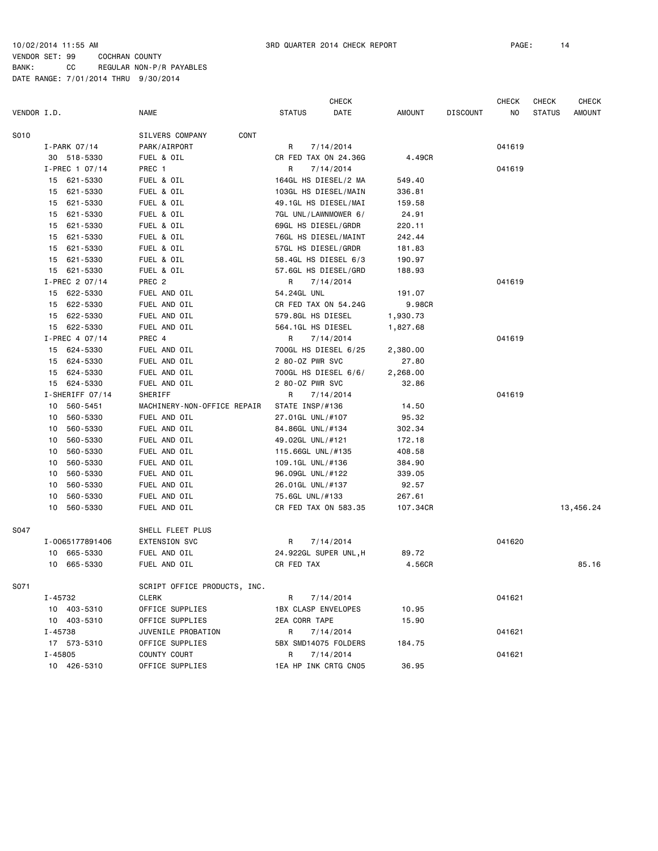|             |         |                 |                              |                 | <b>CHECK</b>               |               |          | <b>CHECK</b> | <b>CHECK</b>  | <b>CHECK</b> |
|-------------|---------|-----------------|------------------------------|-----------------|----------------------------|---------------|----------|--------------|---------------|--------------|
| VENDOR I.D. |         |                 | <b>NAME</b>                  | <b>STATUS</b>   | DATE                       | <b>AMOUNT</b> | DISCOUNT | NO           | <b>STATUS</b> | AMOUNT       |
| S010        |         |                 | CONT<br>SILVERS COMPANY      |                 |                            |               |          |              |               |              |
|             |         | I-PARK 07/14    | PARK/AIRPORT                 | R               | 7/14/2014                  |               |          | 041619       |               |              |
|             |         | 30 518-5330     | FUEL & OIL                   |                 | CR FED TAX ON 24.36G       | 4.49CR        |          |              |               |              |
|             |         | I-PREC 1 07/14  | PREC 1                       | R               | 7/14/2014                  |               |          | 041619       |               |              |
|             |         | 15 621-5330     | FUEL & OIL                   |                 | 164GL HS DIESEL/2 MA       | 549.40        |          |              |               |              |
|             | 15      | 621-5330        | FUEL & OIL                   |                 | 103GL HS DIESEL/MAIN       | 336.81        |          |              |               |              |
|             | 15      | 621-5330        | FUEL & OIL                   |                 | 49.1GL HS DIESEL/MAI       | 159.58        |          |              |               |              |
|             | 15      | 621-5330        | FUEL & OIL                   |                 | 7GL UNL/LAWNMOWER 6/       | 24.91         |          |              |               |              |
|             | 15      | 621-5330        | FUEL & OIL                   |                 | 69GL HS DIESEL/GRDR        | 220.11        |          |              |               |              |
|             | 15      | 621-5330        | FUEL & OIL                   |                 | 76GL HS DIESEL/MAINT       | 242.44        |          |              |               |              |
|             | 15      | 621-5330        | FUEL & OIL                   |                 | 57GL HS DIESEL/GRDR        | 181.83        |          |              |               |              |
|             | 15      | 621-5330        | FUEL & OIL                   |                 | 58.4GL HS DIESEL 6/3       | 190.97        |          |              |               |              |
|             |         | 15 621-5330     | FUEL & OIL                   |                 | 57.6GL HS DIESEL/GRD       | 188.93        |          |              |               |              |
|             |         | I-PREC 2 07/14  | PREC <sub>2</sub>            | R               | 7/14/2014                  |               |          | 041619       |               |              |
|             |         | 15 622-5330     | FUEL AND OIL                 | 54.24GL UNL     |                            | 191.07        |          |              |               |              |
|             | 15      | 622-5330        | FUEL AND OIL                 |                 | CR FED TAX ON 54.24G       | 9.98CR        |          |              |               |              |
|             | 15      | 622-5330        | FUEL AND OIL                 |                 | 579.8GL HS DIESEL          | 1,930.73      |          |              |               |              |
|             |         | 15 622-5330     | FUEL AND OIL                 |                 | 564.1GL HS DIESEL          | 1,827.68      |          |              |               |              |
|             |         | I-PREC 4 07/14  | PREC 4                       | R               | 7/14/2014                  |               |          | 041619       |               |              |
|             |         | 15 624-5330     | FUEL AND OIL                 |                 | 700GL HS DIESEL 6/25       | 2,380.00      |          |              |               |              |
|             | 15      | 624-5330        | FUEL AND OIL                 | 2 80-0Z PWR SVC |                            | 27.80         |          |              |               |              |
|             | 15      | 624-5330        | FUEL AND OIL                 |                 | 700GL HS DIESEL 6/6/       | 2,268.00      |          |              |               |              |
|             |         | 15 624-5330     | FUEL AND OIL                 | 2 80-0Z PWR SVC |                            | 32.86         |          |              |               |              |
|             |         | I-SHERIFF 07/14 | SHERIFF                      | R               | 7/14/2014                  |               |          | 041619       |               |              |
|             | 10      | 560-5451        | MACHINERY-NON-OFFICE REPAIR  | STATE INSP/#136 |                            | 14.50         |          |              |               |              |
|             | 10      | 560-5330        | FUEL AND OIL                 |                 | 27.01GL UNL/#107           | 95.32         |          |              |               |              |
|             | 10      | 560-5330        | FUEL AND OIL                 |                 | 84.86GL UNL/#134           | 302.34        |          |              |               |              |
|             | 10      | 560-5330        | FUEL AND OIL                 |                 | 49.02GL UNL/#121           | 172.18        |          |              |               |              |
|             | 10      | 560-5330        | FUEL AND OIL                 |                 | 115.66GL UNL/#135          | 408.58        |          |              |               |              |
|             | 10      | 560-5330        | FUEL AND OIL                 |                 | 109.1GL UNL/#136           | 384.90        |          |              |               |              |
|             | 10      | 560-5330        | FUEL AND OIL                 |                 | 96.09GL UNL/#122           | 339.05        |          |              |               |              |
|             | 10      | 560-5330        | FUEL AND OIL                 |                 | 26.01GL UNL/#137           | 92.57         |          |              |               |              |
|             | 10      | 560-5330        | FUEL AND OIL                 | 75.6GL UNL/#133 |                            | 267.61        |          |              |               |              |
|             | 10      | 560-5330        | FUEL AND OIL                 |                 | CR FED TAX ON 583.35       | 107.34CR      |          |              |               | 13,456.24    |
| S047        |         |                 | SHELL FLEET PLUS             |                 |                            |               |          |              |               |              |
|             |         | I-0065177891406 | <b>EXTENSION SVC</b>         | R               | 7/14/2014                  |               |          | 041620       |               |              |
|             |         | 10 665-5330     | FUEL AND OIL                 |                 | 24.922GL SUPER UNL, H      | 89.72         |          |              |               |              |
|             |         | 10 665-5330     | FUEL AND OIL                 | CR FED TAX      |                            | 4.56CR        |          |              |               | 85.16        |
| S071        |         |                 | SCRIPT OFFICE PRODUCTS, INC. |                 |                            |               |          |              |               |              |
|             | I-45732 |                 | CLERK                        | R               | 7/14/2014                  |               |          | 041621       |               |              |
|             |         | 10 403-5310     | OFFICE SUPPLIES              |                 | <b>1BX CLASP ENVELOPES</b> | 10.95         |          |              |               |              |
|             |         | 10 403-5310     | OFFICE SUPPLIES              | 2EA CORR TAPE   |                            | 15.90         |          |              |               |              |
|             | I-45738 |                 | JUVENILE PROBATION           | R               | 7/14/2014                  |               |          | 041621       |               |              |
|             |         | 17 573-5310     | OFFICE SUPPLIES              |                 | 5BX SMD14075 FOLDERS       | 184.75        |          |              |               |              |
|             | I-45805 |                 | COUNTY COURT                 | R               | 7/14/2014                  |               |          | 041621       |               |              |
|             |         | 10 426-5310     | OFFICE SUPPLIES              |                 | 1EA HP INK CRTG CN05       | 36.95         |          |              |               |              |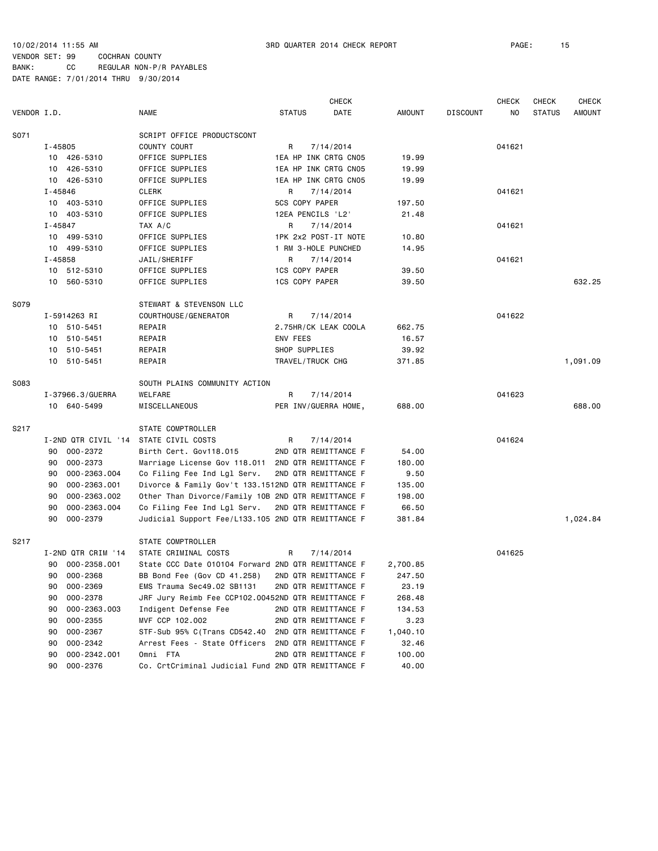| VENDOR I.D. |             |                      | <b>NAME</b>                                                  |   | <b>STATUS</b>         | <b>CHECK</b><br>DATE                         | <b>AMOUNT</b>     | <b>DISCOUNT</b> | <b>CHECK</b><br>NO | <b>CHECK</b><br><b>STATUS</b> | <b>CHECK</b><br><b>AMOUNT</b> |
|-------------|-------------|----------------------|--------------------------------------------------------------|---|-----------------------|----------------------------------------------|-------------------|-----------------|--------------------|-------------------------------|-------------------------------|
| S071        |             |                      | SCRIPT OFFICE PRODUCTSCONT                                   |   |                       |                                              |                   |                 |                    |                               |                               |
|             | I-45805     |                      | COUNTY COURT                                                 | R |                       | 7/14/2014                                    |                   |                 | 041621             |                               |                               |
|             |             | 10 426-5310          | OFFICE SUPPLIES                                              |   |                       | 1EA HP INK CRTG CN05                         | 19.99             |                 |                    |                               |                               |
|             |             | 10 426-5310          | OFFICE SUPPLIES                                              |   |                       | 1EA HP INK CRTG CN05                         | 19.99             |                 |                    |                               |                               |
|             |             | 10 426-5310          | OFFICE SUPPLIES                                              |   |                       | 1EA HP INK CRTG CN05                         | 19.99             |                 |                    |                               |                               |
|             | $I - 45846$ |                      | <b>CLERK</b>                                                 | R |                       | 7/14/2014                                    |                   |                 | 041621             |                               |                               |
|             |             | 10 403-5310          | OFFICE SUPPLIES                                              |   | 5CS COPY PAPER        |                                              | 197.50            |                 |                    |                               |                               |
|             |             | 10 403-5310          | OFFICE SUPPLIES                                              |   | 12EA PENCILS 'L2'     |                                              | 21.48             |                 |                    |                               |                               |
|             | I-45847     |                      | TAX A/C                                                      | R |                       | 7/14/2014                                    |                   |                 | 041621             |                               |                               |
|             |             | 10 499-5310          | OFFICE SUPPLIES                                              |   |                       | 1PK 2x2 POST-IT NOTE                         | 10.80             |                 |                    |                               |                               |
|             |             | 10 499-5310          | OFFICE SUPPLIES                                              |   |                       | 1 RM 3-HOLE PUNCHED                          | 14.95             |                 |                    |                               |                               |
|             | $I - 45858$ |                      | JAIL/SHERIFF                                                 | R |                       | 7/14/2014                                    |                   |                 | 041621             |                               |                               |
|             |             | 10 512-5310          | OFFICE SUPPLIES                                              |   | <b>1CS COPY PAPER</b> |                                              | 39.50             |                 |                    |                               |                               |
|             |             | 10 560-5310          | OFFICE SUPPLIES                                              |   | 1CS COPY PAPER        |                                              | 39.50             |                 |                    |                               | 632.25                        |
| S079        |             |                      | STEWART & STEVENSON LLC                                      |   |                       |                                              |                   |                 |                    |                               |                               |
|             |             | I-5914263 RI         | COURTHOUSE / GENERATOR                                       | R |                       | 7/14/2014                                    |                   |                 | 041622             |                               |                               |
|             |             | 10 510-5451          | REPAIR                                                       |   |                       | 2.75HR/CK LEAK COOLA                         | 662.75            |                 |                    |                               |                               |
|             |             | 10 510-5451          | REPAIR                                                       |   | ENV FEES              |                                              | 16.57             |                 |                    |                               |                               |
|             |             | 10 510-5451          | REPAIR                                                       |   | SHOP SUPPLIES         |                                              | 39.92             |                 |                    |                               |                               |
|             |             | 10 510-5451          | REPAIR                                                       |   | TRAVEL/TRUCK CHG      |                                              | 371.85            |                 |                    |                               | 1,091.09                      |
| S083        |             |                      | SOUTH PLAINS COMMUNITY ACTION                                |   |                       |                                              |                   |                 |                    |                               |                               |
|             |             | I-37966.3/GUERRA     | WELFARE                                                      | R |                       | 7/14/2014                                    |                   |                 | 041623             |                               |                               |
|             |             | 10 640-5499          | MISCELLANEOUS                                                |   |                       | PER INV/GUERRA HOME,                         | 688.00            |                 |                    |                               | 688.00                        |
| S217        |             |                      | STATE COMPTROLLER                                            |   |                       |                                              |                   |                 |                    |                               |                               |
|             |             | I-2ND QTR CIVIL '14  | STATE CIVIL COSTS                                            | R |                       | 7/14/2014                                    |                   |                 | 041624             |                               |                               |
|             |             | 90 000-2372          | Birth Cert. Gov118.015                                       |   |                       | 2ND QTR REMITTANCE F                         | 54.00             |                 |                    |                               |                               |
|             | 90          | 000-2373             | Marriage License Gov 118.011 2ND QTR REMITTANCE F            |   |                       |                                              | 180.00            |                 |                    |                               |                               |
|             | 90          | 000-2363.004         | Co Filing Fee Ind Lgl Serv.                                  |   |                       | 2ND QTR REMITTANCE F                         | 9.50              |                 |                    |                               |                               |
|             | 90          | 000-2363.001         | Divorce & Family Gov't 133.1512ND QTR REMITTANCE F           |   |                       |                                              | 135.00            |                 |                    |                               |                               |
|             | 90          | 000-2363.002         | Other Than Divorce/Family 10B 2ND QTR REMITTANCE F           |   |                       |                                              | 198.00            |                 |                    |                               |                               |
|             | 90          | 000-2363.004         | Co Filing Fee Ind Lgl Serv.                                  |   |                       | 2ND QTR REMITTANCE F                         | 66.50             |                 |                    |                               |                               |
|             | 90          | 000-2379             | Judicial Support Fee/L133.105 2ND QTR REMITTANCE F           |   |                       |                                              | 381.84            |                 |                    |                               | 1,024.84                      |
| S217        |             |                      | STATE COMPTROLLER                                            |   |                       |                                              |                   |                 |                    |                               |                               |
|             |             | I-2ND QTR CRIM '14   | STATE CRIMINAL COSTS                                         | R |                       | 7/14/2014                                    |                   |                 | 041625             |                               |                               |
|             |             | 90 000-2358.001      | State CCC Date 010104 Forward 2ND QTR REMITTANCE F           |   |                       |                                              | 2,700.85          |                 |                    |                               |                               |
|             |             | 90 000-2368          | BB Bond Fee (Gov CD 41.258) 2ND QTR REMITTANCE F             |   |                       |                                              | 247.50            |                 |                    |                               |                               |
|             | 90          | 000-2369             | EMS Trauma Sec49.02 SB1131                                   |   |                       | 2ND QTR REMITTANCE F                         | 23.19             |                 |                    |                               |                               |
|             | 90          | 000-2378             | JRF Jury Reimb Fee CCP102.00452ND QTR REMITTANCE F           |   |                       |                                              | 268.48            |                 |                    |                               |                               |
|             | 90          | 000-2363.003         | Indigent Defense Fee                                         |   |                       | 2ND QTR REMITTANCE F                         | 134.53            |                 |                    |                               |                               |
|             | 90          | 000-2355             | MVF CCP 102.002                                              |   |                       | 2ND QTR REMITTANCE F                         | 3.23              |                 |                    |                               |                               |
|             | 90<br>90    | 000-2367<br>000-2342 | STF-Sub 95% C(Trans CD542.40<br>Arrest Fees - State Officers |   |                       | 2ND QTR REMITTANCE F<br>2ND QTR REMITTANCE F | 1,040.10<br>32.46 |                 |                    |                               |                               |
|             | 90          | 000-2342.001         | Omni FTA                                                     |   |                       | 2ND QTR REMITTANCE F                         | 100.00            |                 |                    |                               |                               |
|             | 90          | 000-2376             | Co. CrtCriminal Judicial Fund 2ND QTR REMITTANCE F           |   |                       |                                              | 40.00             |                 |                    |                               |                               |
|             |             |                      |                                                              |   |                       |                                              |                   |                 |                    |                               |                               |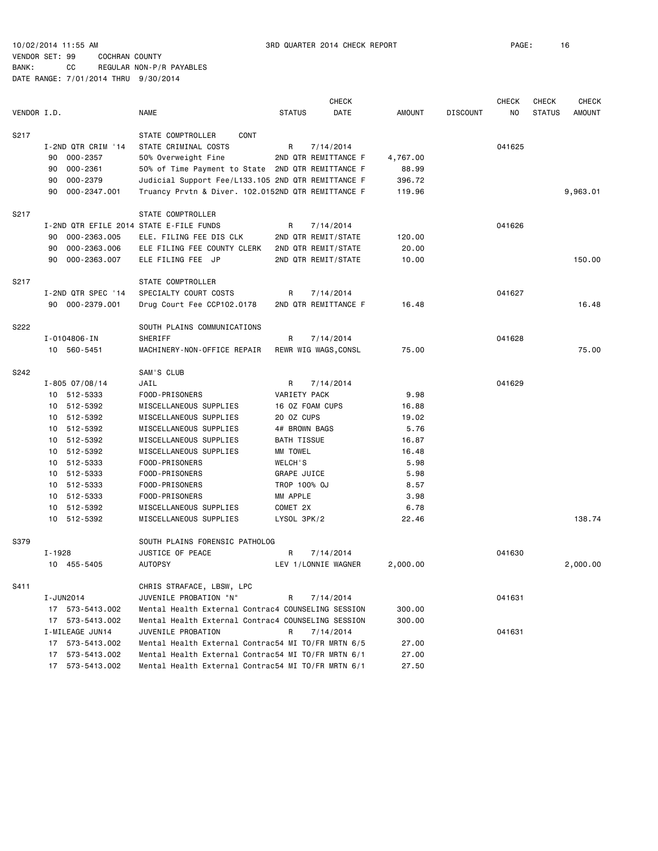10/02/2014 11:55 AM 3RD QUARTER 2014 CHECK REPORT PAGE: 16

|             |                                         |                                                    |                    | <b>CHECK</b>                      |               |                 | <b>CHECK</b> | <b>CHECK</b>  | <b>CHECK</b>  |
|-------------|-----------------------------------------|----------------------------------------------------|--------------------|-----------------------------------|---------------|-----------------|--------------|---------------|---------------|
| VENDOR I.D. |                                         | <b>NAME</b>                                        | <b>STATUS</b>      | DATE                              | <b>AMOUNT</b> | <b>DISCOUNT</b> | NO.          | <b>STATUS</b> | <b>AMOUNT</b> |
| S217        |                                         | STATE COMPTROLLER<br>CONT                          |                    |                                   |               |                 |              |               |               |
|             | I-2ND QTR CRIM '14                      | STATE CRIMINAL COSTS                               | R                  | 7/14/2014                         |               |                 | 041625       |               |               |
|             | 000-2357<br>90                          | 50% Overweight Fine                                |                    | 2ND QTR REMITTANCE F              | 4,767.00      |                 |              |               |               |
|             | $000 - 2361$<br>90                      | 50% of Time Payment to State 2ND QTR REMITTANCE F  |                    |                                   | 88.99         |                 |              |               |               |
|             | 000-2379<br>90                          | Judicial Support Fee/L133.105 2ND QTR REMITTANCE F |                    |                                   | 396.72        |                 |              |               |               |
|             | 000-2347.001<br>90                      | Truancy Prvtn & Diver. 102.0152ND QTR REMITTANCE F |                    |                                   | 119.96        |                 |              |               | 9,963.01      |
| S217        |                                         | STATE COMPTROLLER                                  |                    |                                   |               |                 |              |               |               |
|             | I-2ND QTR EFILE 2014 STATE E-FILE FUNDS |                                                    | R                  | 7/14/2014                         |               |                 | 041626       |               |               |
|             | 000-2363.005<br>90                      | ELE. FILING FEE DIS CLK                            |                    | 2ND QTR REMIT/STATE               | 120.00        |                 |              |               |               |
|             | 000-2363.006<br>90                      | ELE FILING FEE COUNTY CLERK                        |                    | 2ND QTR REMIT/STATE               | 20,00         |                 |              |               |               |
|             | 000-2363.007<br>90                      | ELE FILING FEE JP                                  |                    | 2ND QTR REMIT/STATE               | 10.00         |                 |              |               | 150.00        |
| S217        |                                         | STATE COMPTROLLER                                  |                    |                                   |               |                 |              |               |               |
|             | I-2ND QTR SPEC '14                      | SPECIALTY COURT COSTS                              | R                  | 7/14/2014                         |               |                 | 041627       |               |               |
|             | 90 000-2379.001                         | Drug Court Fee CCP102.0178                         |                    | 2ND QTR REMITTANCE F              | 16.48         |                 |              |               | 16.48         |
| S222        |                                         |                                                    |                    |                                   |               |                 |              |               |               |
|             | I-0104806-IN                            | SOUTH PLAINS COMMUNICATIONS<br>SHERIFF             | R                  |                                   |               |                 | 041628       |               |               |
|             | 10 560-5451                             | MACHINERY-NON-OFFICE REPAIR                        |                    | 7/14/2014<br>REWR WIG WAGS, CONSL | 75.00         |                 |              |               | 75.00         |
|             |                                         |                                                    |                    |                                   |               |                 |              |               |               |
| S242        |                                         | SAM'S CLUB                                         |                    |                                   |               |                 |              |               |               |
|             | $I - 805 07/08/14$                      | JAIL                                               | R                  | 7/14/2014                         |               |                 | 041629       |               |               |
|             | 10 512-5333                             | FOOD-PRISONERS                                     | VARIETY PACK       |                                   | 9.98          |                 |              |               |               |
|             | 512-5392<br>10                          | MISCELLANEOUS SUPPLIES                             | 16 OZ FOAM CUPS    |                                   | 16.88         |                 |              |               |               |
|             | 512-5392<br>10                          | MISCELLANEOUS SUPPLIES                             | 20 OZ CUPS         |                                   | 19.02         |                 |              |               |               |
|             | 512-5392<br>10                          | MISCELLANEOUS SUPPLIES                             | 4# BROWN BAGS      |                                   | 5.76          |                 |              |               |               |
|             | 512-5392<br>10                          | MISCELLANEOUS SUPPLIES                             | <b>BATH TISSUE</b> |                                   | 16.87         |                 |              |               |               |
|             | 10 512-5392                             | MISCELLANEOUS SUPPLIES                             | MM TOWEL           |                                   | 16.48         |                 |              |               |               |
|             | 10 512-5333                             | FOOD-PRISONERS                                     | WELCH'S            |                                   | 5.98          |                 |              |               |               |
|             | 512-5333<br>10                          | FOOD-PRISONERS                                     | GRAPE JUICE        |                                   | 5.98          |                 |              |               |               |
|             | 512-5333<br>10                          | FOOD-PRISONERS                                     | TROP 100% OJ       |                                   | 8.57          |                 |              |               |               |
|             | 512-5333<br>10                          | FOOD-PRISONERS                                     | MM APPLE           |                                   | 3.98          |                 |              |               |               |
|             | 10 512-5392                             | MISCELLANEOUS SUPPLIES                             | COMET 2X           |                                   | 6.78          |                 |              |               |               |
|             | 512-5392<br>10                          | MISCELLANEOUS SUPPLIES                             | LYSOL 3PK/2        |                                   | 22.46         |                 |              |               | 138.74        |
| S379        |                                         | SOUTH PLAINS FORENSIC PATHOLOG                     |                    |                                   |               |                 |              |               |               |
|             | I-1928                                  | JUSTICE OF PEACE                                   | R                  | 7/14/2014                         |               |                 | 041630       |               |               |
|             | 10 455-5405                             | <b>AUTOPSY</b>                                     |                    | LEV 1/LONNIE WAGNER               | 2,000.00      |                 |              |               | 2,000.00      |
| S411        |                                         | CHRIS STRAFACE, LBSW, LPC                          |                    |                                   |               |                 |              |               |               |
|             | I-JUN2014                               | JUVENILE PROBATION "N"                             | R                  | 7/14/2014                         |               |                 | 041631       |               |               |
|             | 17 573-5413.002                         | Mental Health External Contrac4 COUNSELING SESSION |                    |                                   | 300.00        |                 |              |               |               |
|             | 17 573-5413.002                         | Mental Health External Contrac4 COUNSELING SESSION |                    |                                   | 300.00        |                 |              |               |               |
|             | I-MILEAGE JUN14                         | JUVENILE PROBATION                                 | R                  | 7/14/2014                         |               |                 | 041631       |               |               |
|             | 573-5413.002<br>17                      | Mental Health External Contrac54 MI TO/FR MRTN 6/5 |                    |                                   | 27.00         |                 |              |               |               |
|             | 573-5413.002<br>17                      | Mental Health External Contrac54 MI TO/FR MRTN 6/1 |                    |                                   | 27.00         |                 |              |               |               |
|             | 17 573-5413.002                         | Mental Health External Contrac54 MI TO/FR MRTN 6/1 |                    |                                   | 27.50         |                 |              |               |               |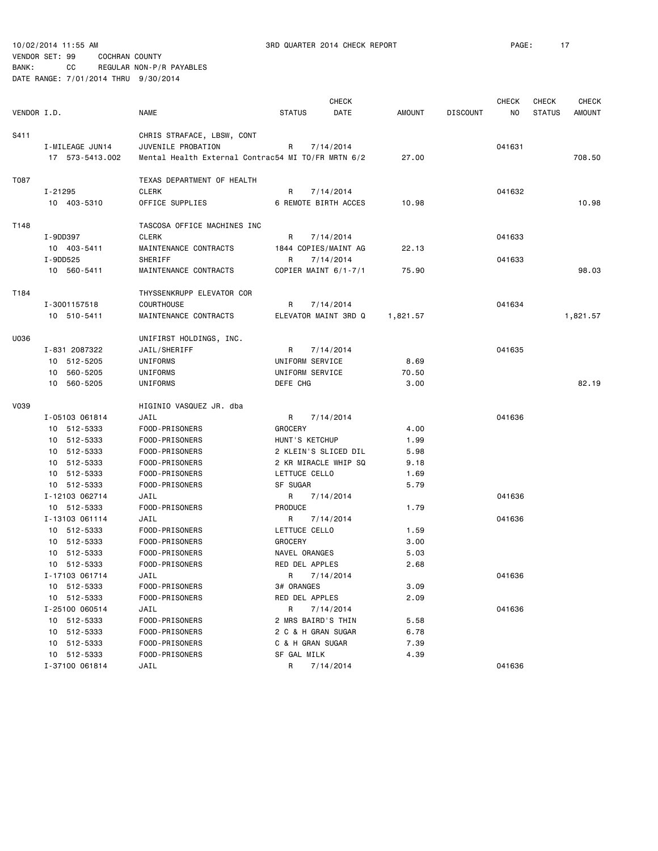| VENDOR I.D. |                 | <b>NAME</b>                                        | <b>STATUS</b>        | <b>CHECK</b><br>DATE | <b>AMOUNT</b> | <b>DISCOUNT</b> | <b>CHECK</b><br>NO | <b>CHECK</b><br><b>STATUS</b> | <b>CHECK</b><br>AMOUNT |
|-------------|-----------------|----------------------------------------------------|----------------------|----------------------|---------------|-----------------|--------------------|-------------------------------|------------------------|
|             |                 |                                                    |                      |                      |               |                 |                    |                               |                        |
| S411        |                 | CHRIS STRAFACE, LBSW, CONT                         |                      |                      |               |                 |                    |                               |                        |
|             | I-MILEAGE JUN14 | JUVENILE PROBATION                                 | R                    | 7/14/2014            |               |                 | 041631             |                               |                        |
|             | 17 573-5413.002 | Mental Health External Contrac54 MI TO/FR MRTN 6/2 |                      |                      | 27.00         |                 |                    |                               | 708.50                 |
| T087        |                 | TEXAS DEPARTMENT OF HEALTH                         |                      |                      |               |                 |                    |                               |                        |
|             | I-21295         | <b>CLERK</b>                                       | R                    | 7/14/2014            |               |                 | 041632             |                               |                        |
|             | 10 403-5310     | OFFICE SUPPLIES                                    | 6 REMOTE BIRTH ACCES |                      | 10.98         |                 |                    |                               | 10.98                  |
| T148        |                 | TASCOSA OFFICE MACHINES INC                        |                      |                      |               |                 |                    |                               |                        |
|             | I-9DD397        | <b>CLERK</b>                                       | R                    | 7/14/2014            |               |                 | 041633             |                               |                        |
|             | 10 403-5411     | MAINTENANCE CONTRACTS                              | 1844 COPIES/MAINT AG |                      | 22.13         |                 |                    |                               |                        |
|             | I-9DD525        | SHERIFF                                            | R                    | 7/14/2014            |               |                 | 041633             |                               |                        |
|             | 10 560-5411     | MAINTENANCE CONTRACTS                              | COPIER MAINT 6/1-7/1 |                      | 75.90         |                 |                    |                               | 98.03                  |
| T184        |                 | THYSSENKRUPP ELEVATOR COR                          |                      |                      |               |                 |                    |                               |                        |
|             | I-3001157518    | <b>COURTHOUSE</b>                                  | R                    | 7/14/2014            |               |                 | 041634             |                               |                        |
|             | 10 510-5411     | MAINTENANCE CONTRACTS                              | ELEVATOR MAINT 3RD Q |                      | 1,821.57      |                 |                    |                               | 1,821.57               |
| U036        |                 | UNIFIRST HOLDINGS, INC.                            |                      |                      |               |                 |                    |                               |                        |
|             | I-831 2087322   | JAIL/SHERIFF                                       | R                    | 7/14/2014            |               |                 | 041635             |                               |                        |
|             | 10 512-5205     | UNIFORMS                                           | UNIFORM SERVICE      |                      | 8.69          |                 |                    |                               |                        |
|             | 10 560-5205     | UNIFORMS                                           | UNIFORM SERVICE      |                      | 70.50         |                 |                    |                               |                        |
|             | 10 560-5205     | UNIFORMS                                           | DEFE CHG             |                      | 3.00          |                 |                    |                               | 82.19                  |
| <b>V039</b> |                 | HIGINIO VASQUEZ JR. dba                            |                      |                      |               |                 |                    |                               |                        |
|             | I-05103 061814  | JAIL                                               | R                    | 7/14/2014            |               |                 | 041636             |                               |                        |
|             | 10 512-5333     | FOOD-PRISONERS                                     | <b>GROCERY</b>       |                      | 4.00          |                 |                    |                               |                        |
|             | 10 512-5333     | FOOD-PRISONERS                                     | HUNT'S KETCHUP       |                      | 1.99          |                 |                    |                               |                        |
|             | 10 512-5333     | FOOD-PRISONERS                                     | 2 KLEIN'S SLICED DIL |                      | 5.98          |                 |                    |                               |                        |
|             | 10 512-5333     | FOOD-PRISONERS                                     | 2 KR MIRACLE WHIP SQ |                      | 9.18          |                 |                    |                               |                        |
|             | 10 512-5333     | FOOD-PRISONERS                                     | LETTUCE CELLO        |                      | 1.69          |                 |                    |                               |                        |
|             | 10 512-5333     | FOOD-PRISONERS                                     | SF SUGAR             |                      | 5.79          |                 |                    |                               |                        |
|             | I-12103 062714  | JAIL                                               | R                    | 7/14/2014            |               |                 | 041636             |                               |                        |
|             | 10 512-5333     | FOOD-PRISONERS                                     | PRODUCE              |                      | 1.79          |                 |                    |                               |                        |
|             | I-13103 061114  | JAIL                                               | R                    | 7/14/2014            |               |                 | 041636             |                               |                        |
|             | 10 512-5333     | FOOD-PRISONERS                                     | LETTUCE CELLO        |                      | 1.59          |                 |                    |                               |                        |
|             | 10 512-5333     | FOOD-PRISONERS                                     | <b>GROCERY</b>       |                      | 3.00          |                 |                    |                               |                        |
|             | 10 512-5333     | FOOD-PRISONERS                                     | NAVEL ORANGES        |                      | 5.03          |                 |                    |                               |                        |
|             | 10 512-5333     | FOOD-PRISONERS                                     | RED DEL APPLES       |                      | 2.68          |                 |                    |                               |                        |
|             | I-17103 061714  | JAIL                                               | R 7/14/2014          |                      |               |                 | 041636             |                               |                        |
|             | 10 512-5333     | FOOD-PRISONERS                                     | 3# ORANGES           |                      | 3.09          |                 |                    |                               |                        |
|             | 10 512-5333     | FOOD-PRISONERS                                     | RED DEL APPLES       |                      | 2.09          |                 |                    |                               |                        |
|             | I-25100 060514  | JAIL                                               | R                    | 7/14/2014            |               |                 | 041636             |                               |                        |
|             | 10 512-5333     | FOOD-PRISONERS                                     | 2 MRS BAIRD'S THIN   |                      | 5.58          |                 |                    |                               |                        |
|             | 10 512-5333     | FOOD-PRISONERS                                     | 2 C & H GRAN SUGAR   |                      | 6.78          |                 |                    |                               |                        |
|             | 10 512-5333     | FOOD-PRISONERS                                     | C & H GRAN SUGAR     |                      | 7.39          |                 |                    |                               |                        |
|             | 10 512-5333     | FOOD-PRISONERS                                     | SF GAL MILK          |                      | 4.39          |                 |                    |                               |                        |
|             | I-37100 061814  | JAIL                                               | R                    | 7/14/2014            |               |                 | 041636             |                               |                        |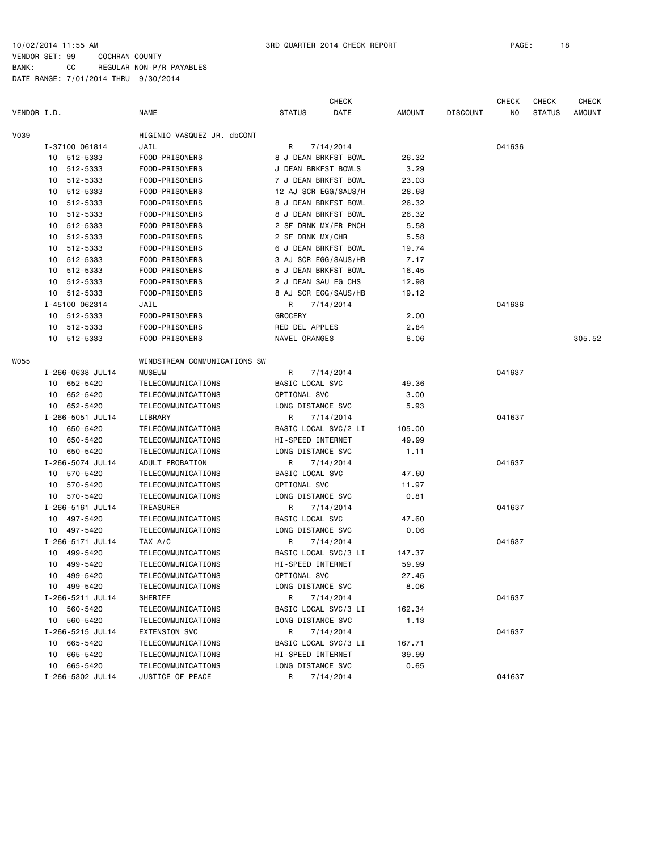|             |                  |                              |                     | <b>CHECK</b>         |               |                 | <b>CHECK</b> | <b>CHECK</b>  | <b>CHECK</b>  |
|-------------|------------------|------------------------------|---------------------|----------------------|---------------|-----------------|--------------|---------------|---------------|
| VENDOR I.D. |                  | NAME                         | <b>STATUS</b>       | DATE                 | <b>AMOUNT</b> | <b>DISCOUNT</b> | NO           | <b>STATUS</b> | <b>AMOUNT</b> |
| <b>V039</b> |                  | HIGINIO VASQUEZ JR. dbCONT   |                     |                      |               |                 |              |               |               |
|             | I-37100 061814   | JAIL                         | R                   | 7/14/2014            |               |                 | 041636       |               |               |
|             | 10 512-5333      | FOOD-PRISONERS               |                     | 8 J DEAN BRKFST BOWL | 26.32         |                 |              |               |               |
|             | 10 512-5333      | FOOD-PRISONERS               | J DEAN BRKFST BOWLS |                      | 3.29          |                 |              |               |               |
|             | 10 512-5333      | FOOD-PRISONERS               |                     | 7 J DEAN BRKFST BOWL | 23.03         |                 |              |               |               |
|             | 10 512-5333      | FOOD-PRISONERS               |                     | 12 AJ SCR EGG/SAUS/H | 28.68         |                 |              |               |               |
|             | 512-5333<br>10   | FOOD-PRISONERS               |                     | 8 J DEAN BRKFST BOWL | 26.32         |                 |              |               |               |
|             | 10 512-5333      | FOOD-PRISONERS               |                     | 8 J DEAN BRKFST BOWL | 26.32         |                 |              |               |               |
|             | 512-5333<br>10   | FOOD-PRISONERS               |                     | 2 SF DRNK MX/FR PNCH | 5.58          |                 |              |               |               |
|             | 512-5333<br>10   | FOOD-PRISONERS               | 2 SF DRNK MX/CHR    |                      | 5.58          |                 |              |               |               |
|             | 10 512-5333      | FOOD-PRISONERS               |                     | 6 J DEAN BRKFST BOWL | 19.74         |                 |              |               |               |
|             | 10 512-5333      | FOOD-PRISONERS               |                     | 3 AJ SCR EGG/SAUS/HB | 7.17          |                 |              |               |               |
|             | 10 512-5333      | FOOD-PRISONERS               |                     | 5 J DEAN BRKFST BOWL | 16.45         |                 |              |               |               |
|             | 512-5333<br>10   | FOOD-PRISONERS               | 2 J DEAN SAU EG CHS |                      | 12.98         |                 |              |               |               |
|             | 10 512-5333      | FOOD-PRISONERS               |                     | 8 AJ SCR EGG/SAUS/HB | 19.12         |                 |              |               |               |
|             | I-45100 062314   | JAIL                         | R                   | 7/14/2014            |               |                 | 041636       |               |               |
|             | 10 512-5333      | FOOD-PRISONERS               | <b>GROCERY</b>      |                      | 2.00          |                 |              |               |               |
|             | 10 512-5333      | FOOD-PRISONERS               | RED DEL APPLES      |                      | 2.84          |                 |              |               |               |
|             | 10 512-5333      | FOOD-PRISONERS               | NAVEL ORANGES       |                      | 8.06          |                 |              |               | 305.52        |
| <b>WO55</b> |                  | WINDSTREAM COMMUNICATIONS SW |                     |                      |               |                 |              |               |               |
|             | I-266-0638 JUL14 | <b>MUSEUM</b>                | R                   | 7/14/2014            |               |                 | 041637       |               |               |
|             | 10 652-5420      | TELECOMMUNICATIONS           | BASIC LOCAL SVC     |                      | 49.36         |                 |              |               |               |
|             | 652-5420<br>10   | TELECOMMUNICATIONS           | OPTIONAL SVC        |                      | 3.00          |                 |              |               |               |
|             | 10 652-5420      | TELECOMMUNICATIONS           | LONG DISTANCE SVC   |                      | 5.93          |                 |              |               |               |
|             | I-266-5051 JUL14 | LIBRARY                      | R                   | 7/14/2014            |               |                 | 041637       |               |               |
|             | 10 650-5420      | TELECOMMUNICATIONS           |                     | BASIC LOCAL SVC/2 LI | 105.00        |                 |              |               |               |
|             | 650-5420<br>10   | TELECOMMUNICATIONS           | HI-SPEED INTERNET   |                      | 49.99         |                 |              |               |               |
|             | 10 650-5420      | TELECOMMUNICATIONS           | LONG DISTANCE SVC   |                      | 1.11          |                 |              |               |               |
|             | I-266-5074 JUL14 | ADULT PROBATION              | R                   | 7/14/2014            |               |                 | 041637       |               |               |
|             | 10 570-5420      | TELECOMMUNICATIONS           | BASIC LOCAL SVC     |                      | 47.60         |                 |              |               |               |
|             | 570-5420<br>10   | TELECOMMUNICATIONS           | OPTIONAL SVC        |                      | 11.97         |                 |              |               |               |
|             | 10 570-5420      | TELECOMMUNICATIONS           | LONG DISTANCE SVC   |                      | 0.81          |                 |              |               |               |
|             | I-266-5161 JUL14 | TREASURER                    | R                   | 7/14/2014            |               |                 | 041637       |               |               |
|             | 10 497-5420      | TELECOMMUNICATIONS           | BASIC LOCAL SVC     |                      | 47.60         |                 |              |               |               |
|             | 10 497-5420      | TELECOMMUNICATIONS           | LONG DISTANCE SVC   |                      | 0.06          |                 |              |               |               |
|             | I-266-5171 JUL14 | TAX A/C                      | R                   | 7/14/2014            |               |                 | 041637       |               |               |
|             | 10<br>499-5420   | TELECOMMUNICATIONS           |                     | BASIC LOCAL SVC/3 LI | 147.37        |                 |              |               |               |
|             | 10 499-5420      | TELECOMMUNICATIONS           | HI-SPEED INTERNET   |                      | 59.99         |                 |              |               |               |
|             | 10 499-5420      | TELECOMMUNICATIONS           | OPTIONAL SVC        |                      | 27.45         |                 |              |               |               |
|             | 10 499-5420      | TELECOMMUNICATIONS           | LONG DISTANCE SVC   |                      | 8.06          |                 |              |               |               |
|             | I-266-5211 JUL14 | SHERIFF                      | R                   | 7/14/2014            |               |                 | 041637       |               |               |
|             | 10 560-5420      | TELECOMMUNICATIONS           |                     | BASIC LOCAL SVC/3 LI | 162.34        |                 |              |               |               |
|             | 10 560-5420      | TELECOMMUNICATIONS           | LONG DISTANCE SVC   |                      | 1.13          |                 |              |               |               |
|             | I-266-5215 JUL14 | <b>EXTENSION SVC</b>         | R                   | 7/14/2014            |               |                 | 041637       |               |               |
|             | 10 665-5420      | TELECOMMUNICATIONS           |                     | BASIC LOCAL SVC/3 LI | 167.71        |                 |              |               |               |
|             | 10 665-5420      | TELECOMMUNICATIONS           | HI-SPEED INTERNET   |                      | 39.99         |                 |              |               |               |
|             | 10 665-5420      | TELECOMMUNICATIONS           | LONG DISTANCE SVC   |                      | 0.65          |                 |              |               |               |
|             | I-266-5302 JUL14 | JUSTICE OF PEACE             | R                   | 7/14/2014            |               |                 | 041637       |               |               |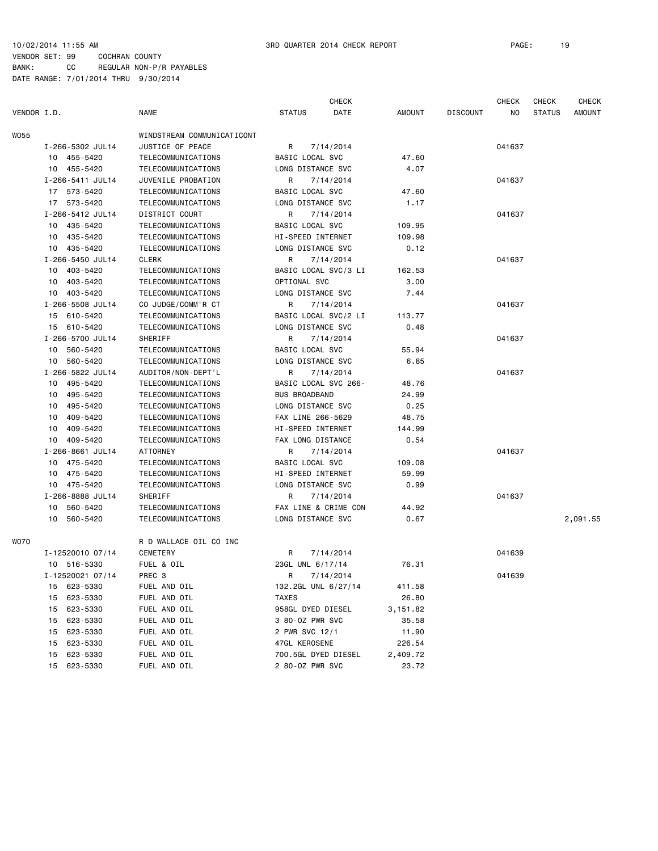| VENDOR I.D. |                  | <b>NAME</b>                | <b>STATUS</b>          | CHECK<br>DATE        | <b>AMOUNT</b> | <b>DISCOUNT</b> | <b>CHECK</b><br>NO. | <b>CHECK</b><br><b>STATUS</b> | <b>CHECK</b><br>AMOUNT |
|-------------|------------------|----------------------------|------------------------|----------------------|---------------|-----------------|---------------------|-------------------------------|------------------------|
|             |                  |                            |                        |                      |               |                 |                     |                               |                        |
| WO55        |                  | WINDSTREAM COMMUNICATICONT |                        |                      |               |                 |                     |                               |                        |
|             | I-266-5302 JUL14 | JUSTICE OF PEACE           | R                      | 7/14/2014            |               |                 | 041637              |                               |                        |
|             | 10 455-5420      | TELECOMMUNICATIONS         | BASIC LOCAL SVC        |                      | 47.60         |                 |                     |                               |                        |
|             | 10 455-5420      | TELECOMMUNICATIONS         | LONG DISTANCE SVC      |                      | 4.07          |                 |                     |                               |                        |
|             | I-266-5411 JUL14 | JUVENILE PROBATION         | R                      | 7/14/2014            |               |                 | 041637              |                               |                        |
|             | 17 573-5420      | TELECOMMUNICATIONS         | BASIC LOCAL SVC        |                      | 47.60         |                 |                     |                               |                        |
|             | 17 573-5420      | TELECOMMUNICATIONS         | LONG DISTANCE SVC      |                      | 1.17          |                 |                     |                               |                        |
|             | I-266-5412 JUL14 | DISTRICT COURT             | R                      | 7/14/2014            |               |                 | 041637              |                               |                        |
|             | 10 435-5420      | TELECOMMUNICATIONS         | BASIC LOCAL SVC        |                      | 109.95        |                 |                     |                               |                        |
|             | 10 435-5420      | TELECOMMUNICATIONS         | HI-SPEED INTERNET      |                      | 109.98        |                 |                     |                               |                        |
|             | 10 435-5420      | TELECOMMUNICATIONS         | LONG DISTANCE SVC      |                      | 0.12          |                 |                     |                               |                        |
|             | I-266-5450 JUL14 | <b>CLERK</b>               | R                      | 7/14/2014            |               |                 | 041637              |                               |                        |
|             | 10 403-5420      | TELECOMMUNICATIONS         |                        | BASIC LOCAL SVC/3 LI | 162.53        |                 |                     |                               |                        |
|             | 10 403-5420      | TELECOMMUNICATIONS         | OPTIONAL SVC           |                      | 3.00          |                 |                     |                               |                        |
|             | 10 403-5420      | TELECOMMUNICATIONS         | LONG DISTANCE SVC      |                      | 7.44          |                 |                     |                               |                        |
|             | I-266-5508 JUL14 | CO JUDGE/COMM'R CT         | R                      | 7/14/2014            |               |                 | 041637              |                               |                        |
|             | 15 610-5420      | TELECOMMUNICATIONS         |                        | BASIC LOCAL SVC/2 LI | 113.77        |                 |                     |                               |                        |
|             | 15 610-5420      | TELECOMMUNICATIONS         | LONG DISTANCE SVC      |                      | 0.48          |                 |                     |                               |                        |
|             | I-266-5700 JUL14 | SHERIFF                    | R                      | 7/14/2014            |               |                 | 041637              |                               |                        |
|             | 10 560-5420      | TELECOMMUNICATIONS         | <b>BASIC LOCAL SVC</b> |                      | 55.94         |                 |                     |                               |                        |
|             | 10 560-5420      | TELECOMMUNICATIONS         | LONG DISTANCE SVC      |                      | 6.85          |                 |                     |                               |                        |
|             | I-266-5822 JUL14 | AUDITOR/NON-DEPT'L         | R                      | 7/14/2014            |               |                 | 041637              |                               |                        |
|             | 10 495-5420      | TELECOMMUNICATIONS         | BASIC LOCAL SVC 266-   |                      | 48.76         |                 |                     |                               |                        |
|             | 10 495-5420      | TELECOMMUNICATIONS         | <b>BUS BROADBAND</b>   |                      | 24.99         |                 |                     |                               |                        |
|             | 10 495-5420      | TELECOMMUNICATIONS         | LONG DISTANCE SVC      |                      | 0.25          |                 |                     |                               |                        |
|             | 409-5420<br>10   | TELECOMMUNICATIONS         | FAX LINE 266-5629      |                      | 48.75         |                 |                     |                               |                        |
|             | 10 409-5420      | TELECOMMUNICATIONS         | HI-SPEED INTERNET      |                      | 144.99        |                 |                     |                               |                        |
|             | 409-5420<br>10   | TELECOMMUNICATIONS         | FAX LONG DISTANCE      |                      | 0.54          |                 |                     |                               |                        |
|             | I-266-8661 JUL14 | ATTORNEY                   | R                      | 7/14/2014            |               |                 | 041637              |                               |                        |
|             | 10 475-5420      | TELECOMMUNICATIONS         | BASIC LOCAL SVC        |                      | 109.08        |                 |                     |                               |                        |
|             | 10 475-5420      | TELECOMMUNICATIONS         | HI-SPEED INTERNET      |                      | 59.99         |                 |                     |                               |                        |
|             | 10 475-5420      | TELECOMMUNICATIONS         | LONG DISTANCE SVC      |                      | 0.99          |                 |                     |                               |                        |
|             | I-266-8888 JUL14 | SHERIFF                    | R                      | 7/14/2014            |               |                 | 041637              |                               |                        |
|             | 10<br>560-5420   | TELECOMMUNICATIONS         |                        | FAX LINE & CRIME CON | 44.92         |                 |                     |                               |                        |
|             | 10 560-5420      | TELECOMMUNICATIONS         | LONG DISTANCE SVC      |                      | 0.67          |                 |                     |                               | 2,091.55               |
| WO70        |                  | R D WALLACE OIL CO INC     |                        |                      |               |                 |                     |                               |                        |
|             | I-12520010 07/14 | CEMETERY                   | R                      | 7/14/2014            |               |                 | 041639              |                               |                        |
|             | 10 516-5330      | FUEL & OIL                 | 23GL UNL 6/17/14       |                      | 76.31         |                 |                     |                               |                        |
|             | I-12520021 07/14 | PREC 3                     | R 7/14/2014            |                      |               |                 | 041639              |                               |                        |
|             | 15 623-5330      | FUEL AND OIL               | 132.2GL UNL 6/27/14    |                      | 411.58        |                 |                     |                               |                        |
|             | 623-5330<br>15   | FUEL AND OIL               | TAXES                  |                      | 26.80         |                 |                     |                               |                        |
|             | 15 623-5330      | FUEL AND OIL               | 958GL DYED DIESEL      |                      | 3,151.82      |                 |                     |                               |                        |
|             | 623-5330<br>15   | FUEL AND OIL               | 3 80-0Z PWR SVC        |                      | 35.58         |                 |                     |                               |                        |
|             | 623-5330<br>15   | FUEL AND OIL               | 2 PWR SVC 12/1         |                      | 11.90         |                 |                     |                               |                        |
|             | 623-5330<br>15   | FUEL AND OIL               | 47GL KEROSENE          |                      | 226.54        |                 |                     |                               |                        |
|             | 15<br>623-5330   | FUEL AND OIL               | 700.5GL DYED DIESEL    |                      | 2,409.72      |                 |                     |                               |                        |
|             | 623-5330<br>15   | FUEL AND OIL               | 2 80-0Z PWR SVC        |                      | 23.72         |                 |                     |                               |                        |
|             |                  |                            |                        |                      |               |                 |                     |                               |                        |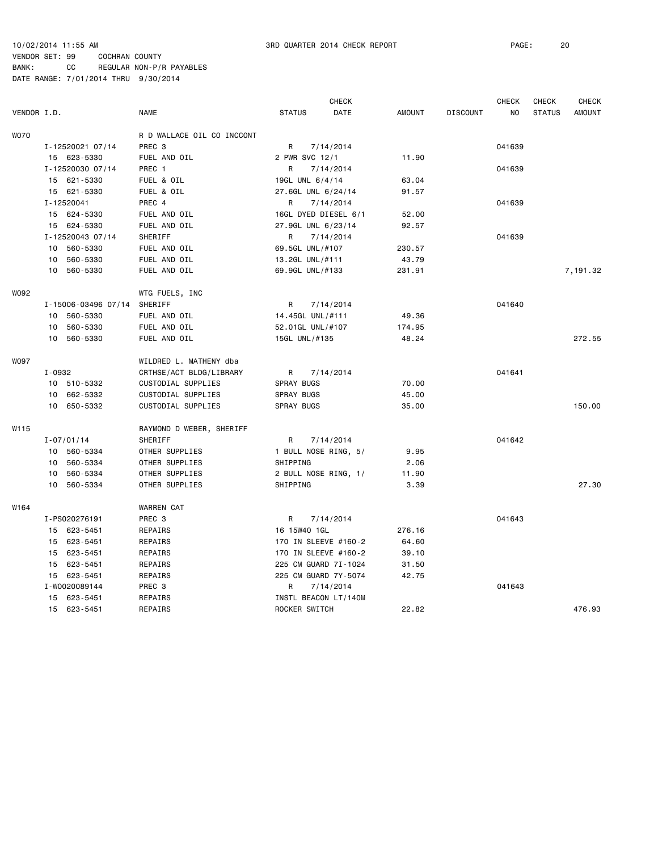|             |        |                     |                            |                    | <b>CHECK</b>         |               |                 | <b>CHECK</b> | <b>CHECK</b>  | <b>CHECK</b>  |
|-------------|--------|---------------------|----------------------------|--------------------|----------------------|---------------|-----------------|--------------|---------------|---------------|
| VENDOR I.D. |        |                     | <b>NAME</b>                | <b>STATUS</b>      | DATE                 | <b>AMOUNT</b> | <b>DISCOUNT</b> | NO           | <b>STATUS</b> | <b>AMOUNT</b> |
| <b>WO70</b> |        |                     | R D WALLACE OIL CO INCCONT |                    |                      |               |                 |              |               |               |
|             |        | I-12520021 07/14    | PREC 3                     | R                  | 7/14/2014            |               |                 | 041639       |               |               |
|             |        | 15 623-5330         | FUEL AND OIL               | 2 PWR SVC 12/1     |                      | 11.90         |                 |              |               |               |
|             |        | I-12520030 07/14    | PREC 1                     | R                  | 7/14/2014            |               |                 | 041639       |               |               |
|             |        | 15 621-5330         | FUEL & OIL                 | 19GL UNL 6/4/14    |                      | 63.04         |                 |              |               |               |
|             |        | 15 621-5330         | FUEL & OIL                 | 27.6GL UNL 6/24/14 |                      | 91.57         |                 |              |               |               |
|             |        | I-12520041          | PREC 4                     | R                  | 7/14/2014            |               |                 | 041639       |               |               |
|             |        | 15 624-5330         | FUEL AND OIL               |                    | 16GL DYED DIESEL 6/1 | 52.00         |                 |              |               |               |
|             |        | 15 624-5330         | FUEL AND OIL               | 27.9GL UNL 6/23/14 |                      | 92.57         |                 |              |               |               |
|             |        | I-12520043 07/14    | SHERIFF                    | R                  | 7/14/2014            |               |                 | 041639       |               |               |
|             |        | 10 560-5330         | FUEL AND OIL               | 69.5GL UNL/#107    |                      | 230.57        |                 |              |               |               |
|             | 10     | 560-5330            | FUEL AND OIL               | 13.2GL UNL/#111    |                      | 43.79         |                 |              |               |               |
|             |        | 10 560-5330         | FUEL AND OIL               | 69.9GL UNL/#133    |                      | 231.91        |                 |              |               | 7,191.32      |
| W092        |        |                     | WTG FUELS, INC             |                    |                      |               |                 |              |               |               |
|             |        | I-15006-03496 07/14 | SHERIFF                    | R                  | 7/14/2014            |               |                 | 041640       |               |               |
|             |        | 10 560-5330         | FUEL AND OIL               | 14.45GL UNL/#111   |                      | 49.36         |                 |              |               |               |
|             |        | 10 560-5330         | FUEL AND OIL               | 52.01GL UNL/#107   |                      | 174.95        |                 |              |               |               |
|             |        | 10 560-5330         | FUEL AND OIL               | 15GL UNL/#135      |                      | 48.24         |                 |              |               | 272.55        |
| <b>WO97</b> |        |                     | WILDRED L. MATHENY dba     |                    |                      |               |                 |              |               |               |
|             | I-0932 |                     | CRTHSE/ACT BLDG/LIBRARY    | R                  | 7/14/2014            |               |                 | 041641       |               |               |
|             |        | 10 510-5332         | CUSTODIAL SUPPLIES         | SPRAY BUGS         |                      | 70.00         |                 |              |               |               |
|             |        | 10 662-5332         | CUSTODIAL SUPPLIES         | SPRAY BUGS         |                      | 45.00         |                 |              |               |               |
|             |        | 10 650-5332         | CUSTODIAL SUPPLIES         | SPRAY BUGS         |                      | 35,00         |                 |              |               | 150.00        |
| W115        |        |                     | RAYMOND D WEBER, SHERIFF   |                    |                      |               |                 |              |               |               |
|             |        | $I - 07/01/14$      | SHERIFF                    | R                  | 7/14/2014            |               |                 | 041642       |               |               |
|             |        | 10 560-5334         | OTHER SUPPLIES             |                    | 1 BULL NOSE RING, 5/ | 9.95          |                 |              |               |               |
|             |        | 10 560-5334         | OTHER SUPPLIES             | SHIPPING           |                      | 2.06          |                 |              |               |               |
|             | 10     | 560-5334            | OTHER SUPPLIES             |                    | 2 BULL NOSE RING, 1/ | 11.90         |                 |              |               |               |
|             |        | 10 560-5334         | OTHER SUPPLIES             | SHIPPING           |                      | 3.39          |                 |              |               | 27.30         |
| W164        |        |                     | <b>WARREN CAT</b>          |                    |                      |               |                 |              |               |               |
|             |        | I-PS020276191       | PREC 3                     | R                  | 7/14/2014            |               |                 | 041643       |               |               |
|             |        | 15 623-5451         | REPAIRS                    | 16 15W40 1GL       |                      | 276.16        |                 |              |               |               |
|             |        | 15 623-5451         | REPAIRS                    |                    | 170 IN SLEEVE #160-2 | 64.60         |                 |              |               |               |
|             |        | 15 623-5451         | REPAIRS                    |                    | 170 IN SLEEVE #160-2 | 39.10         |                 |              |               |               |
|             |        | 15 623-5451         | REPAIRS                    |                    | 225 CM GUARD 7I-1024 | 31.50         |                 |              |               |               |
|             |        | 15 623-5451         | REPAIRS                    |                    | 225 CM GUARD 7Y-5074 | 42.75         |                 |              |               |               |
|             |        | I-W0020089144       | PREC 3                     | R                  | 7/14/2014            |               |                 | 041643       |               |               |
|             | 15     | 623-5451            | REPAIRS                    |                    | INSTL BEACON LT/140M |               |                 |              |               |               |
|             |        | 15 623-5451         | REPAIRS                    | ROCKER SWITCH      |                      | 22.82         |                 |              |               | 476.93        |
|             |        |                     |                            |                    |                      |               |                 |              |               |               |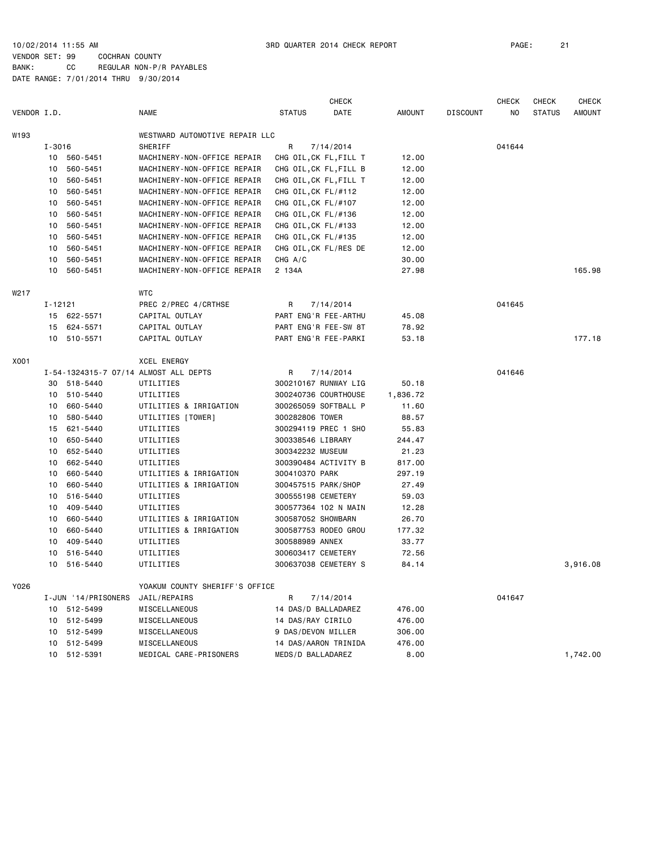|             |             |                     |                                       |                      | <b>CHECK</b>           |               |                 | <b>CHECK</b> | <b>CHECK</b>  | <b>CHECK</b>  |
|-------------|-------------|---------------------|---------------------------------------|----------------------|------------------------|---------------|-----------------|--------------|---------------|---------------|
| VENDOR I.D. |             |                     | <b>NAME</b>                           | <b>STATUS</b>        | <b>DATE</b>            | <b>AMOUNT</b> | <b>DISCOUNT</b> | NO.          | <b>STATUS</b> | <b>AMOUNT</b> |
| W193        |             |                     | WESTWARD AUTOMOTIVE REPAIR LLC        |                      |                        |               |                 |              |               |               |
|             | $I - 3016$  |                     | SHERIFF                               | R                    | 7/14/2014              |               |                 | 041644       |               |               |
|             |             | 10 560-5451         | MACHINERY-NON-OFFICE REPAIR           |                      | CHG OIL, CK FL, FILL T | 12.00         |                 |              |               |               |
|             | 10          | 560-5451            | MACHINERY-NON-OFFICE REPAIR           |                      | CHG OIL, CK FL, FILL B | 12.00         |                 |              |               |               |
|             | 10          | 560-5451            | MACHINERY-NON-OFFICE REPAIR           |                      | CHG OIL, CK FL, FILL T | 12.00         |                 |              |               |               |
|             | 10          | 560-5451            | MACHINERY-NON-OFFICE REPAIR           | CHG OIL, CK FL/#112  |                        | 12.00         |                 |              |               |               |
|             | 10          | 560-5451            | MACHINERY-NON-OFFICE REPAIR           | CHG OIL, CK FL/#107  |                        | 12.00         |                 |              |               |               |
|             | 10          | 560-5451            | MACHINERY-NON-OFFICE REPAIR           | CHG OIL, CK FL/#136  |                        | 12.00         |                 |              |               |               |
|             | 10          | 560-5451            | MACHINERY-NON-OFFICE REPAIR           | CHG OIL, CK FL/#133  |                        | 12.00         |                 |              |               |               |
|             | 10          | 560-5451            | MACHINERY-NON-OFFICE REPAIR           | CHG OIL, CK FL/#135  |                        | 12.00         |                 |              |               |               |
|             | 10          | 560-5451            | MACHINERY-NON-OFFICE REPAIR           |                      | CHG OIL, CK FL/RES DE  | 12.00         |                 |              |               |               |
|             | 10          | 560-5451            | MACHINERY-NON-OFFICE REPAIR           | CHG A/C              |                        | 30.00         |                 |              |               |               |
|             | 10          | 560-5451            | MACHINERY-NON-OFFICE REPAIR           | 2 134A               |                        | 27.98         |                 |              |               | 165.98        |
| W217        |             |                     | <b>WTC</b>                            |                      |                        |               |                 |              |               |               |
|             | $I - 12121$ |                     | PREC 2/PREC 4/CRTHSE                  | R                    | 7/14/2014              |               |                 | 041645       |               |               |
|             |             | 15 622-5571         | CAPITAL OUTLAY                        |                      | PART ENG'R FEE-ARTHU   | 45.08         |                 |              |               |               |
|             | 15          | 624-5571            | CAPITAL OUTLAY                        | PART ENG'R FEE-SW 8T |                        | 78.92         |                 |              |               |               |
|             | 10          | 510-5571            | CAPITAL OUTLAY                        |                      | PART ENG'R FEE-PARKI   | 53.18         |                 |              |               | 177.18        |
| X001        |             |                     | <b>XCEL ENERGY</b>                    |                      |                        |               |                 |              |               |               |
|             |             |                     | I-54-1324315-7 07/14 ALMOST ALL DEPTS | R                    | 7/14/2014              |               |                 | 041646       |               |               |
|             | 30          | 518-5440            | UTILITIES                             |                      | 300210167 RUNWAY LIG   | 50.18         |                 |              |               |               |
|             | 10          | 510-5440            | UTILITIES                             |                      | 300240736 COURTHOUSE   | 1,836.72      |                 |              |               |               |
|             | 10          | 660-5440            | UTILITIES & IRRIGATION                | 300265059 SOFTBALL P |                        | 11.60         |                 |              |               |               |
|             | 10          | 580-5440            | UTILITIES [TOWER]                     | 300282806 TOWER      |                        | 88.57         |                 |              |               |               |
|             | 15          | 621-5440            | UTILITIES                             | 300294119 PREC 1 SHO |                        | 55.83         |                 |              |               |               |
|             | 10          | 650-5440            | UTILITIES                             | 300338546 LIBRARY    |                        | 244.47        |                 |              |               |               |
|             | 10          | 652-5440            | UTILITIES                             | 300342232 MUSEUM     |                        | 21.23         |                 |              |               |               |
|             | 10          | 662-5440            | UTILITIES                             | 300390484 ACTIVITY B |                        | 817.00        |                 |              |               |               |
|             | 10          | 660-5440            | UTILITIES & IRRIGATION                | 300410370 PARK       |                        | 297.19        |                 |              |               |               |
|             | 10          | 660-5440            | UTILITIES & IRRIGATION                | 300457515 PARK/SHOP  |                        | 27.49         |                 |              |               |               |
|             | 10          | 516-5440            | UTILITIES                             | 300555198 CEMETERY   |                        | 59.03         |                 |              |               |               |
|             | 10          | 409-5440            | UTILITIES                             | 300577364 102 N MAIN |                        | 12.28         |                 |              |               |               |
|             | 10          | 660-5440            | UTILITIES & IRRIGATION                | 300587052 SHOWBARN   |                        | 26.70         |                 |              |               |               |
|             | 10          | 660-5440            | UTILITIES & IRRIGATION                | 300587753 RODEO GROU |                        | 177.32        |                 |              |               |               |
|             | 10          | 409-5440            | UTILITIES                             | 300588989 ANNEX      |                        | 33.77         |                 |              |               |               |
|             | 10          | 516-5440            | UTILITIES                             | 300603417 CEMETERY   |                        | 72.56         |                 |              |               |               |
|             | 10          | 516-5440            | UTILITIES                             |                      | 300637038 CEMETERY S   | 84.14         |                 |              |               | 3,916.08      |
| Y026        |             |                     | YOAKUM COUNTY SHERIFF'S OFFICE        |                      |                        |               |                 |              |               |               |
|             |             | I-JUN '14/PRISONERS | JAIL/REPAIRS                          | R                    | 7/14/2014              |               |                 | 041647       |               |               |
|             |             | 10 512-5499         | MISCELLANEOUS                         | 14 DAS/D BALLADAREZ  |                        | 476.00        |                 |              |               |               |
|             |             | 10 512-5499         | MISCELLANEOUS                         | 14 DAS/RAY CIRILO    |                        | 476.00        |                 |              |               |               |
|             | 10          | 512-5499            | MISCELLANEOUS                         | 9 DAS/DEVON MILLER   |                        | 306.00        |                 |              |               |               |
|             | 10          | 512-5499            | MISCELLANEOUS                         | 14 DAS/AARON TRINIDA |                        | 476.00        |                 |              |               |               |
|             |             | 10 512-5391         | MEDICAL CARE-PRISONERS                | MEDS/D BALLADAREZ    |                        | 8.00          |                 |              |               | 1,742.00      |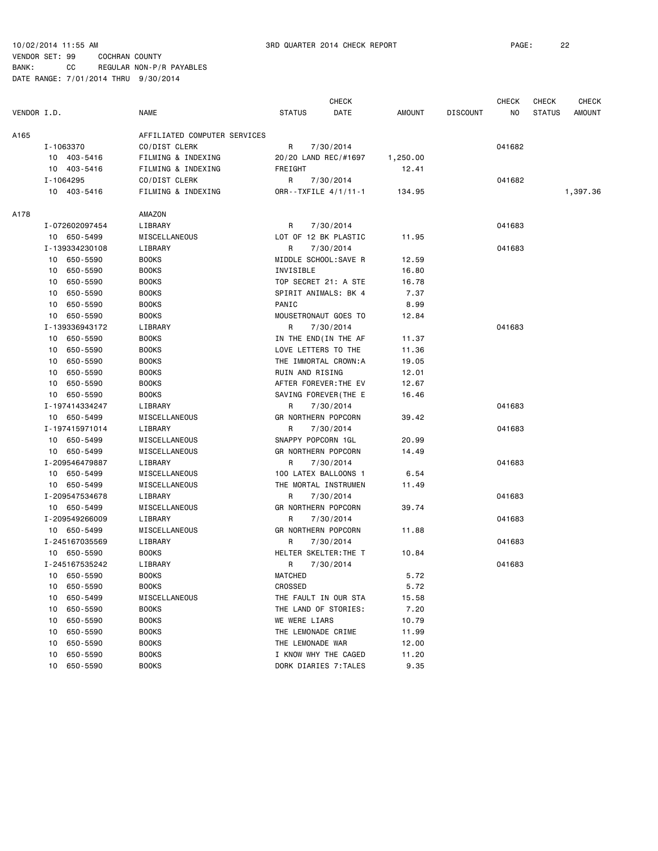CHECK CHECK CHECK CHECK VENDOR I.D. NAME STATUS DATE AMOUNT DISCOUNT NO STATUS AMOUNT A165 AFFILIATED COMPUTER SERVICES I-1063370 CO/DIST CLERK R 7/30/2014 R 7/30/2014 041682 10 403-5416 FILMING & INDEXING 20/20 LAND REC/#1697 1,250.00 10 403-5416 FILMING & INDEXING FREIGHT 12.41 I-1064295 CO/DIST CLERK R 7/30/2014 041682 10 403-5416 FILMING & INDEXING ORR--TXFILE 4/1/11-1 134.95 1,397.36 A178 AMAZON I-072602097454 LIBRARY R 7/30/2014 041683 10 650-5499 MISCELLANEOUS LOT OF 12 BK PLASTIC 11.95 I-139334230108 LIBRARY R 7/30/2014 041683 10 650-5590 BOOKS MIDDLE SCHOOL:SAVE R 12.59 10 650-5590 BOOKS INVISIBLE 16.80 10 650-5590 BOOKS TOP SECRET 21: A STE 16.78 10 650-5590 BOOKS SPIRIT ANIMALS: BK 4 7.37 10 650-5590 BOOKS PANIC 8.99 10 650-5590 BOOKS MOUSETRONAUT GOES TO 12.84 I-139336943172 LIBRARY R 7/30/2014 041683 10 650-5590 BOOKS IN THE END(IN THE AF 11.37 10 650-5590 BOOKS LOVE LETTERS TO THE 11.36 10 650-5590 BOOKS THE IMMORTAL CROWN:A 19.05 10 650-5590 BOOKS RUIN AND RISING 12.01 10 650-5590 BOOKS AFTER FOREVER:THE EV 12.67 10 650-5590 BOOKS SAVING FOREVER(THE E 16.46 I-197414334247 LIBRARY R 7/30/2014 041683 10 650-5499 MISCELLANEOUS GR NORTHERN POPCORN 39.42 I-197415971014 LIBRARY R 7/30/2014 041683 10 650-5499 MISCELLANEOUS SNAPPY POPCORN 1GL 20.99 10 650-5499 MISCELLANEOUS GR NORTHERN POPCORN 14.49 I-209546479887 LIBRARY R 7/30/2014 041683 10 650-5499 MISCELLANEOUS 100 LATEX BALLOONS 1 6.54 10 650-5499 MISCELLANEOUS THE MORTAL INSTRUMEN 11.49 I-209547534678 LIBRARY R 7/30/2014 041683 10 650-5499 MISCELLANEOUS GR NORTHERN POPCORN 39.74 I-209549266009 LIBRARY R 7/30/2014 041683 10 650-5499 MISCELLANEOUS GR NORTHERN POPCORN 11.88 I-245167035569 LIBRARY R 7/30/2014 041683 10 650-5590 BOOKS HELTER SKELTER:THE T 10.84 I-245167535242 LIBRARY R 7/30/2014 041683 10 650-5590 BOOKS MATCHED 5.72 10 650-5590 BOOKS CROSSED 5.72 10 650-5499 MISCELLANEOUS THE FAULT IN OUR STA 15.58 10 650-5590 BOOKS THE LAND OF STORIES: 7.20 10 650-5590 BOOKS WE WERE LIARS 10.79 10 650-5590 BOOKS THE LEMONADE CRIME 11.99 10 650-5590 BOOKS THE LEMONADE WAR 12.00 10 650-5590 BOOKS I KNOW WHY THE CAGED 11.20 10 650-5590 BOOKS DORK DIARIES 7:TALES 9.35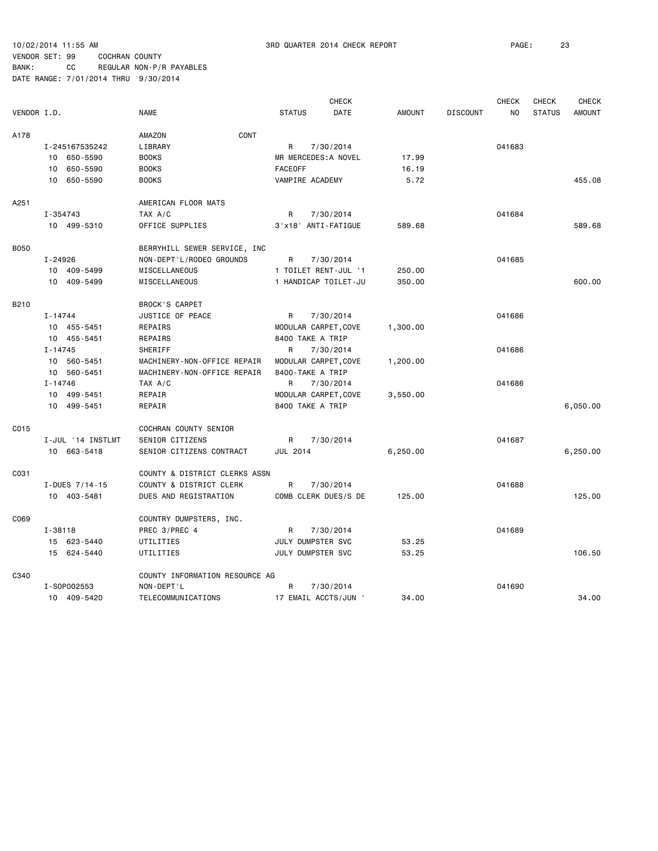|             |                   |                                |                      | <b>CHECK</b> |               |                 | <b>CHECK</b>   | <b>CHECK</b>  | <b>CHECK</b>  |
|-------------|-------------------|--------------------------------|----------------------|--------------|---------------|-----------------|----------------|---------------|---------------|
| VENDOR I.D. |                   | <b>NAME</b>                    | <b>STATUS</b>        | DATE         | <b>AMOUNT</b> | <b>DISCOUNT</b> | N <sub>O</sub> | <b>STATUS</b> | <b>AMOUNT</b> |
| A178        |                   | CONT<br>AMAZON                 |                      |              |               |                 |                |               |               |
|             | I-245167535242    | LIBRARY                        | R                    | 7/30/2014    |               |                 | 041683         |               |               |
|             | 10 650-5590       | <b>BOOKS</b>                   | MR MERCEDES: A NOVEL |              | 17.99         |                 |                |               |               |
|             | 650-5590<br>10    | <b>BOOKS</b>                   | <b>FACEOFF</b>       |              | 16.19         |                 |                |               |               |
|             | 10 650-5590       | <b>BOOKS</b>                   | VAMPIRE ACADEMY      |              | 5.72          |                 |                |               | 455.08        |
| A251        |                   | AMERICAN FLOOR MATS            |                      |              |               |                 |                |               |               |
|             | I-354743          | TAX A/C                        | R                    | 7/30/2014    |               |                 | 041684         |               |               |
|             | 10 499-5310       | OFFICE SUPPLIES                | 3'x18' ANTI-FATIGUE  |              | 589.68        |                 |                |               | 589.68        |
|             |                   |                                |                      |              |               |                 |                |               |               |
| <b>B050</b> |                   | BERRYHILL SEWER SERVICE, INC   |                      |              |               |                 |                |               |               |
|             | I-24926           | NON-DEPT'L/RODEO GROUNDS       | $\mathsf{R}$         | 7/30/2014    |               |                 | 041685         |               |               |
|             | 10 409-5499       | MISCELLANEOUS                  | 1 TOILET RENT-JUL '1 |              | 250.00        |                 |                |               |               |
|             | 10 409-5499       | <b>MISCELLANEOUS</b>           | 1 HANDICAP TOILET-JU |              | 350.00        |                 |                |               | 600.00        |
| B210        |                   | <b>BROCK'S CARPET</b>          |                      |              |               |                 |                |               |               |
|             | $I - 14744$       | JUSTICE OF PEACE               | R                    | 7/30/2014    |               |                 | 041686         |               |               |
|             | 10 455-5451       | REPAIRS                        | MODULAR CARPET, COVE |              | 1,300.00      |                 |                |               |               |
|             | 10 455-5451       | REPAIRS                        | 8400 TAKE A TRIP     |              |               |                 |                |               |               |
|             | $I - 14745$       | SHERIFF                        | R                    | 7/30/2014    |               |                 | 041686         |               |               |
|             | 10 560-5451       | MACHINERY-NON-OFFICE REPAIR    | MODULAR CARPET, COVE |              | 1,200.00      |                 |                |               |               |
|             | 10 560-5451       | MACHINERY-NON-OFFICE REPAIR    | 8400-TAKE A TRIP     |              |               |                 |                |               |               |
|             | I-14746           | TAX A/C                        | R                    | 7/30/2014    |               |                 | 041686         |               |               |
|             | 10 499-5451       | REPAIR                         | MODULAR CARPET, COVE |              | 3,550.00      |                 |                |               |               |
|             | 10 499-5451       | REPAIR                         | 8400 TAKE A TRIP     |              |               |                 |                |               | 6,050.00      |
|             |                   |                                |                      |              |               |                 |                |               |               |
| C015        |                   | COCHRAN COUNTY SENIOR          |                      |              |               |                 |                |               |               |
|             | I-JUL '14 INSTLMT | SENIOR CITIZENS                | R                    | 7/30/2014    |               |                 | 041687         |               |               |
|             | 10 663-5418       | SENIOR CITIZENS CONTRACT       | <b>JUL 2014</b>      |              | 6,250.00      |                 |                |               | 6,250.00      |
| C031        |                   | COUNTY & DISTRICT CLERKS ASSN  |                      |              |               |                 |                |               |               |
|             | I-DUES 7/14-15    | COUNTY & DISTRICT CLERK        | R                    | 7/30/2014    |               |                 | 041688         |               |               |
|             | 10 403-5481       | DUES AND REGISTRATION          | COMB CLERK DUES/S DE |              | 125.00        |                 |                |               | 125.00        |
|             |                   |                                |                      |              |               |                 |                |               |               |
| C069        |                   | COUNTRY DUMPSTERS, INC.        |                      |              |               |                 |                |               |               |
|             | I-38118           | PREC 3/PREC 4                  | R                    | 7/30/2014    |               |                 | 041689         |               |               |
|             | 15 623-5440       | UTILITIES                      | JULY DUMPSTER SVC    |              | 53.25         |                 |                |               |               |
|             | 15 624-5440       | UTILITIES                      | JULY DUMPSTER SVC    |              | 53.25         |                 |                |               | 106.50        |
| C340        |                   | COUNTY INFORMATION RESOURCE AG |                      |              |               |                 |                |               |               |
|             | I-S0P002553       | NON-DEPT'L                     | R                    | 7/30/2014    |               |                 | 041690         |               |               |
|             | 10 409-5420       | TELECOMMUNICATIONS             | 17 EMAIL ACCTS/JUN ' |              | 34.00         |                 |                |               | 34,00         |
|             |                   |                                |                      |              |               |                 |                |               |               |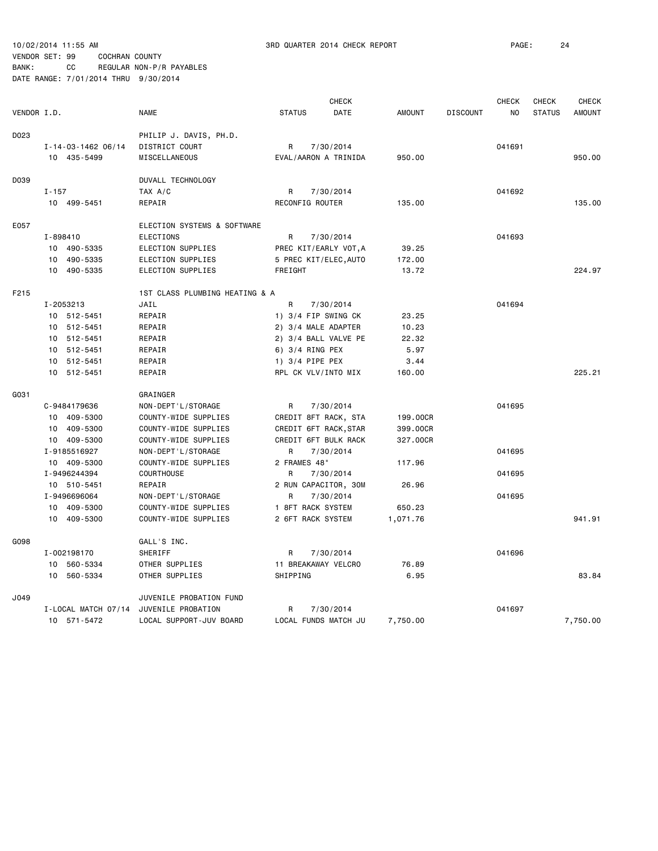|             |                     |                                |                       | <b>CHECK</b>          |               |                 | <b>CHECK</b>   | <b>CHECK</b>  | <b>CHECK</b>  |
|-------------|---------------------|--------------------------------|-----------------------|-----------------------|---------------|-----------------|----------------|---------------|---------------|
| VENDOR I.D. |                     | <b>NAME</b>                    | <b>STATUS</b>         | DATE                  | <b>AMOUNT</b> | <b>DISCOUNT</b> | N <sub>O</sub> | <b>STATUS</b> | <b>AMOUNT</b> |
| D023        |                     | PHILIP J. DAVIS, PH.D.         |                       |                       |               |                 |                |               |               |
|             | I-14-03-1462 06/14  | DISTRICT COURT                 | R                     | 7/30/2014             |               |                 | 041691         |               |               |
|             | 10 435-5499         | MISCELLANEOUS                  | EVAL/AARON A TRINIDA  |                       | 950.00        |                 |                |               | 950.00        |
| D039        |                     | DUVALL TECHNOLOGY              |                       |                       |               |                 |                |               |               |
|             | $I - 157$           | TAX A/C                        | R                     | 7/30/2014             |               |                 | 041692         |               |               |
|             | 10 499-5451         | REPAIR                         | RECONFIG ROUTER       |                       | 135.00        |                 |                |               | 135.00        |
|             |                     |                                |                       |                       |               |                 |                |               |               |
| E057        |                     | ELECTION SYSTEMS & SOFTWARE    |                       |                       |               |                 |                |               |               |
|             | $I - 898410$        | <b>ELECTIONS</b>               | R                     | 7/30/2014             |               |                 | 041693         |               |               |
|             | 10 490-5335         | ELECTION SUPPLIES              |                       | PREC KIT/EARLY VOT, A | 39.25         |                 |                |               |               |
|             | 10 490-5335         | ELECTION SUPPLIES              | 5 PREC KIT/ELEC, AUTO |                       | 172.00        |                 |                |               |               |
|             | 10 490-5335         | ELECTION SUPPLIES              | FREIGHT               |                       | 13.72         |                 |                |               | 224.97        |
| F215        |                     | 1ST CLASS PLUMBING HEATING & A |                       |                       |               |                 |                |               |               |
|             | I-2053213           | JAIL                           | R                     | 7/30/2014             |               |                 | 041694         |               |               |
|             | 10 512-5451         | REPAIR                         | 1) $3/4$ FIP SWING CK |                       | 23.25         |                 |                |               |               |
|             | 10 512-5451         | REPAIR                         | 2) 3/4 MALE ADAPTER   |                       | 10.23         |                 |                |               |               |
|             | 10 512-5451         | REPAIR                         | 2) 3/4 BALL VALVE PE  |                       | 22.32         |                 |                |               |               |
|             | 10 512-5451         | REPAIR                         | 6) 3/4 RING PEX       |                       | 5.97          |                 |                |               |               |
|             | 10 512-5451         | REPAIR                         | 1) 3/4 PIPE PEX       |                       | 3.44          |                 |                |               |               |
|             | 10 512-5451         | REPAIR                         | RPL CK VLV/INTO MIX   |                       | 160.00        |                 |                |               | 225.21        |
| G031        |                     | GRAINGER                       |                       |                       |               |                 |                |               |               |
|             | C-9484179636        | NON-DEPT'L/STORAGE             | R                     | 7/30/2014             |               |                 | 041695         |               |               |
|             | 10 409-5300         | COUNTY-WIDE SUPPLIES           | CREDIT 8FT RACK, STA  |                       | 199.00CR      |                 |                |               |               |
|             | 10 409-5300         | COUNTY-WIDE SUPPLIES           | CREDIT 6FT RACK, STAR |                       | 399.00CR      |                 |                |               |               |
|             | 10 409-5300         | COUNTY-WIDE SUPPLIES           |                       | CREDIT 6FT BULK RACK  | 327.00CR      |                 |                |               |               |
|             | I-9185516927        |                                | R                     |                       |               |                 | 041695         |               |               |
|             | 10 409-5300         | NON-DEPT'L/STORAGE             | 2 FRAMES 48"          | 7/30/2014             |               |                 |                |               |               |
|             |                     | COUNTY-WIDE SUPPLIES           |                       |                       | 117.96        |                 |                |               |               |
|             | I-9496244394        | COURTHOUSE                     | R                     | 7/30/2014             |               |                 | 041695         |               |               |
|             | 10 510-5451         | REPAIR                         | 2 RUN CAPACITOR, 30M  |                       | 26.96         |                 |                |               |               |
|             | I-9496696064        | NON-DEPT'L/STORAGE             | R                     | 7/30/2014             |               |                 | 041695         |               |               |
|             | 10 409-5300         | COUNTY-WIDE SUPPLIES           | 1 8FT RACK SYSTEM     |                       | 650.23        |                 |                |               |               |
|             | 10 409-5300         | COUNTY-WIDE SUPPLIES           | 2 6FT RACK SYSTEM     |                       | 1,071.76      |                 |                |               | 941.91        |
| G098        |                     | GALL'S INC.                    |                       |                       |               |                 |                |               |               |
|             | I-002198170         | SHERIFF                        | R                     | 7/30/2014             |               |                 | 041696         |               |               |
|             | 10 560-5334         | OTHER SUPPLIES                 | 11 BREAKAWAY VELCRO   |                       | 76.89         |                 |                |               |               |
|             | 10 560-5334         | OTHER SUPPLIES                 | SHIPPING              |                       | 6.95          |                 |                |               | 83.84         |
| J049        |                     | JUVENILE PROBATION FUND        |                       |                       |               |                 |                |               |               |
|             | I-LOCAL MATCH 07/14 | JUVENILE PROBATION             | R                     | 7/30/2014             |               |                 | 041697         |               |               |
|             | 10 571-5472         | LOCAL SUPPORT-JUV BOARD        |                       | LOCAL FUNDS MATCH JU  | 7,750.00      |                 |                |               | 7,750.00      |
|             |                     |                                |                       |                       |               |                 |                |               |               |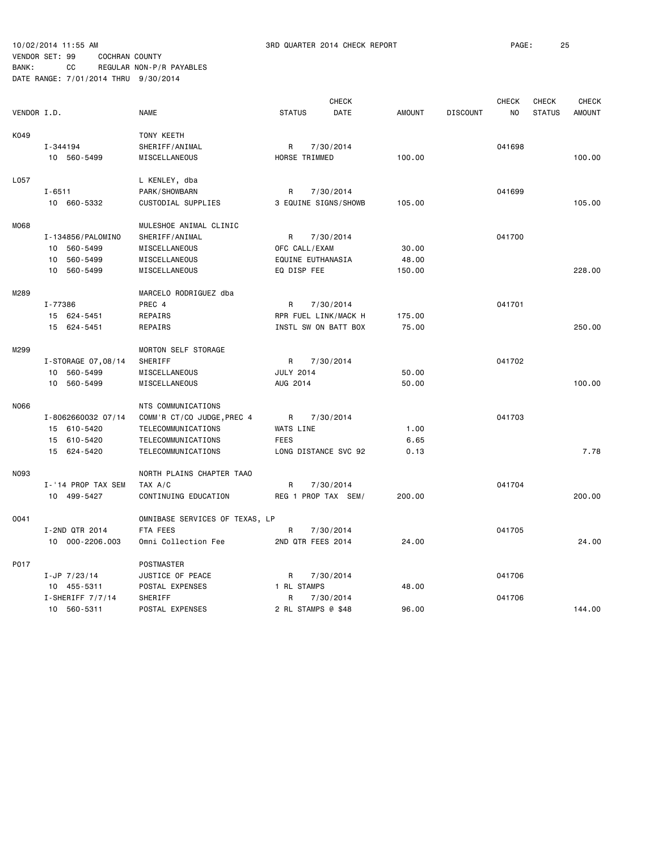|             |                    |                                |                  | <b>CHECK</b>         |               |                 | <b>CHECK</b>   | <b>CHECK</b>  | <b>CHECK</b>  |
|-------------|--------------------|--------------------------------|------------------|----------------------|---------------|-----------------|----------------|---------------|---------------|
| VENDOR I.D. |                    | <b>NAME</b>                    | <b>STATUS</b>    | DATE                 | <b>AMOUNT</b> | <b>DISCOUNT</b> | N <sub>O</sub> | <b>STATUS</b> | <b>AMOUNT</b> |
| K049        |                    | TONY KEETH                     |                  |                      |               |                 |                |               |               |
|             | I-344194           | SHERIFF/ANIMAL                 | R                | 7/30/2014            |               |                 | 041698         |               |               |
|             | 10 560-5499        | MISCELLANEOUS                  | HORSE TRIMMED    |                      | 100.00        |                 |                |               | 100.00        |
| L057        |                    | L KENLEY, dba                  |                  |                      |               |                 |                |               |               |
|             | $I - 6511$         | PARK/SHOWBARN                  | R                | 7/30/2014            |               |                 | 041699         |               |               |
|             | 10 660-5332        | CUSTODIAL SUPPLIES             |                  | 3 EQUINE SIGNS/SHOWB | 105.00        |                 |                |               | 105.00        |
| M068        |                    | MULESHOE ANIMAL CLINIC         |                  |                      |               |                 |                |               |               |
|             | I-134856/PALOMINO  | SHERIFF/ANIMAL                 | R                | 7/30/2014            |               |                 | 041700         |               |               |
|             | 10 560-5499        | MISCELLANEOUS                  | OFC CALL/EXAM    |                      | 30.00         |                 |                |               |               |
|             | 560-5499<br>10     | MISCELLANEOUS                  |                  | EQUINE EUTHANASIA    | 48.00         |                 |                |               |               |
|             | 10 560-5499        | MISCELLANEOUS                  | EQ DISP FEE      |                      | 150.00        |                 |                |               | 228,00        |
| M289        |                    | MARCELO RODRIGUEZ dba          |                  |                      |               |                 |                |               |               |
|             | I-77386            | PREC 4                         | R                | 7/30/2014            |               |                 | 041701         |               |               |
|             | 15 624-5451        | REPAIRS                        |                  | RPR FUEL LINK/MACK H | 175.00        |                 |                |               |               |
|             |                    |                                |                  |                      | 75.00         |                 |                |               | 250.00        |
|             | 15 624-5451        | REPAIRS                        |                  | INSTL SW ON BATT BOX |               |                 |                |               |               |
| M299        |                    | MORTON SELF STORAGE            |                  |                      |               |                 |                |               |               |
|             | I-STORAGE 07,08/14 | SHERIFF                        | R                | 7/30/2014            |               |                 | 041702         |               |               |
|             | 560-5499<br>10     | MISCELLANEOUS                  | <b>JULY 2014</b> |                      | 50.00         |                 |                |               |               |
|             | 10<br>560-5499     | MISCELLANEOUS                  | AUG 2014         |                      | 50.00         |                 |                |               | 100.00        |
| N066        |                    | NTS COMMUNICATIONS             |                  |                      |               |                 |                |               |               |
|             | I-8062660032 07/14 | COMM'R CT/CO JUDGE, PREC 4     | R                | 7/30/2014            |               |                 | 041703         |               |               |
|             | 15 610-5420        | TELECOMMUNICATIONS             | WATS LINE        |                      | 1.00          |                 |                |               |               |
|             | 15 610-5420        | TELECOMMUNICATIONS             | <b>FEES</b>      |                      | 6.65          |                 |                |               |               |
|             | 15 624-5420        | TELECOMMUNICATIONS             |                  | LONG DISTANCE SVC 92 | 0.13          |                 |                |               | 7.78          |
|             |                    |                                |                  |                      |               |                 |                |               |               |
| N093        |                    | NORTH PLAINS CHAPTER TAAO      |                  |                      |               |                 |                |               |               |
|             | I-'14 PROP TAX SEM | TAX A/C                        | R                | 7/30/2014            |               |                 | 041704         |               |               |
|             | 10 499-5427        | CONTINUING EDUCATION           |                  | REG 1 PROP TAX SEM/  | 200.00        |                 |                |               | 200.00        |
| 0041        |                    | OMNIBASE SERVICES OF TEXAS, LP |                  |                      |               |                 |                |               |               |
|             | I-2ND QTR 2014     | FTA FEES                       | R                | 7/30/2014            |               |                 | 041705         |               |               |
|             | 10 000-2206.003    | Omni Collection Fee            |                  | 2ND QTR FEES 2014    | 24.00         |                 |                |               | 24.00         |
| P017        |                    | POSTMASTER                     |                  |                      |               |                 |                |               |               |
|             | $I-JP$ 7/23/14     | JUSTICE OF PEACE               | R                | 7/30/2014            |               |                 | 041706         |               |               |
|             | 10 455-5311        | POSTAL EXPENSES                | 1 RL STAMPS      |                      | 48.00         |                 |                |               |               |
|             | $I-SHERIFF 7/7/14$ | SHERIFF                        | R                | 7/30/2014            |               |                 | 041706         |               |               |
|             | 10 560-5311        | POSTAL EXPENSES                |                  | 2 RL STAMPS @ \$48   | 96.00         |                 |                |               | 144.00        |
|             |                    |                                |                  |                      |               |                 |                |               |               |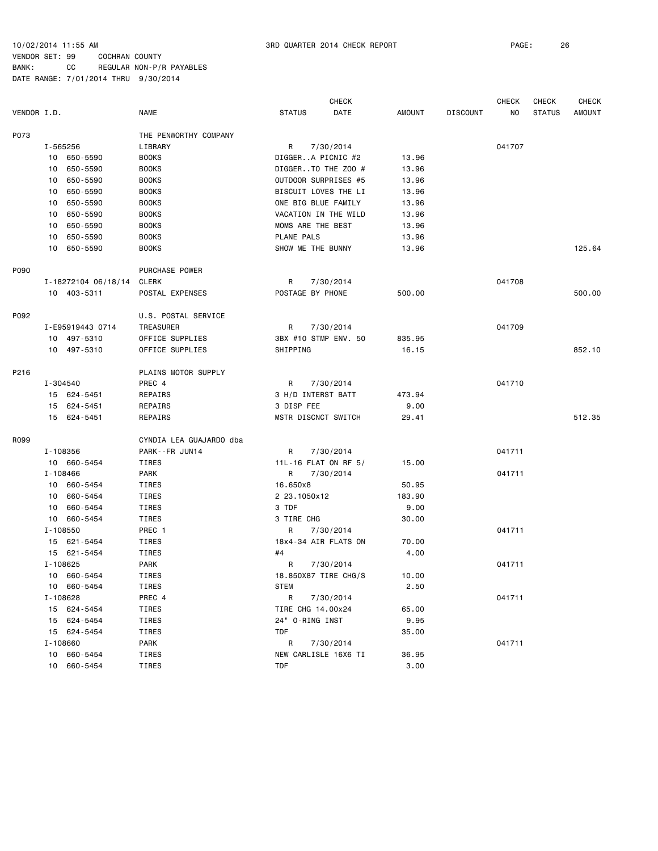|             |          |                     |                         |                      | <b>CHECK</b>         |        |                 | <b>CHECK</b> | <b>CHECK</b>  | CHECK         |
|-------------|----------|---------------------|-------------------------|----------------------|----------------------|--------|-----------------|--------------|---------------|---------------|
| VENDOR I.D. |          |                     | <b>NAME</b>             | <b>STATUS</b>        | DATE                 | AMOUNT | <b>DISCOUNT</b> | NO.          | <b>STATUS</b> | <b>AMOUNT</b> |
| P073        |          |                     | THE PENWORTHY COMPANY   |                      |                      |        |                 |              |               |               |
|             | I-565256 |                     | LIBRARY                 | R                    | 7/30/2014            |        |                 | 041707       |               |               |
|             |          | 10 650-5590         | <b>BOOKS</b>            | DIGGERA PICNIC #2    |                      | 13.96  |                 |              |               |               |
|             |          | 10 650-5590         | <b>BOOKS</b>            |                      | DIGGERTO THE ZOO #   | 13.96  |                 |              |               |               |
|             | 10       | 650-5590            | <b>BOOKS</b>            |                      | OUTDOOR SURPRISES #5 | 13.96  |                 |              |               |               |
|             | 10       | 650-5590            | <b>BOOKS</b>            |                      | BISCUIT LOVES THE LI | 13.96  |                 |              |               |               |
|             | 10       | 650-5590            | <b>BOOKS</b>            | ONE BIG BLUE FAMILY  |                      | 13.96  |                 |              |               |               |
|             | 10       | 650-5590            | <b>BOOKS</b>            |                      | VACATION IN THE WILD | 13.96  |                 |              |               |               |
|             | 10       | 650-5590            | <b>BOOKS</b>            | MOMS ARE THE BEST    |                      | 13.96  |                 |              |               |               |
|             | 10       | 650-5590            | <b>BOOKS</b>            | PLANE PALS           |                      | 13.96  |                 |              |               |               |
|             |          | 10 650-5590         | <b>BOOKS</b>            | SHOW ME THE BUNNY    |                      | 13.96  |                 |              |               | 125.64        |
| P090        |          |                     | PURCHASE POWER          |                      |                      |        |                 |              |               |               |
|             |          | I-18272104 06/18/14 | CLERK                   | R                    | 7/30/2014            |        |                 | 041708       |               |               |
|             |          | 10 403-5311         | POSTAL EXPENSES         | POSTAGE BY PHONE     |                      | 500.00 |                 |              |               | 500.00        |
| P092        |          |                     | U.S. POSTAL SERVICE     |                      |                      |        |                 |              |               |               |
|             |          | I-E95919443 0714    | TREASURER               | R                    | 7/30/2014            |        |                 | 041709       |               |               |
|             |          | 10 497-5310         | OFFICE SUPPLIES         |                      | 3BX #10 STMP ENV. 50 | 835.95 |                 |              |               |               |
|             |          | 10 497-5310         | OFFICE SUPPLIES         | SHIPPING             |                      | 16.15  |                 |              |               | 852.10        |
| P216        |          |                     | PLAINS MOTOR SUPPLY     |                      |                      |        |                 |              |               |               |
|             | I-304540 |                     | PREC 4                  | R                    | 7/30/2014            |        |                 | 041710       |               |               |
|             |          | 15 624-5451         | REPAIRS                 | 3 H/D INTERST BATT   |                      | 473.94 |                 |              |               |               |
|             |          | 15 624-5451         | REPAIRS                 | 3 DISP FEE           |                      | 9.00   |                 |              |               |               |
|             |          | 15 624-5451         | REPAIRS                 | MSTR DISCNCT SWITCH  |                      | 29.41  |                 |              |               | 512.35        |
| R099        |          |                     | CYNDIA LEA GUAJARDO dba |                      |                      |        |                 |              |               |               |
|             | I-108356 |                     | PARK--FR JUN14          | R                    | 7/30/2014            |        |                 | 041711       |               |               |
|             |          | 10 660-5454         | <b>TIRES</b>            | 11L-16 FLAT ON RF 5/ |                      | 15.00  |                 |              |               |               |
|             | I-108466 |                     | <b>PARK</b>             | R                    | 7/30/2014            |        |                 | 041711       |               |               |
|             |          | 10 660-5454         | TIRES                   | 16.650x8             |                      | 50.95  |                 |              |               |               |
|             |          | 10 660-5454         | TIRES                   | 2 23.1050x12         |                      | 183.90 |                 |              |               |               |
|             |          | 10 660-5454         | TIRES                   | 3 TDF                |                      | 9.00   |                 |              |               |               |
|             |          | 10 660-5454         | TIRES                   | 3 TIRE CHG           |                      | 30.00  |                 |              |               |               |
|             | I-108550 |                     | PREC 1                  | R                    | 7/30/2014            |        |                 | 041711       |               |               |
|             |          | 15 621-5454         | TIRES                   |                      | 18x4-34 AIR FLATS ON | 70.00  |                 |              |               |               |
|             |          | 15 621-5454         | TIRES                   | #4                   |                      | 4.00   |                 |              |               |               |
|             | I-108625 |                     | <b>PARK</b>             | R                    | 7/30/2014            |        |                 | 041711       |               |               |
|             |          | 10 660-5454         | <b>TIRES</b>            |                      | 18.850X87 TIRE CHG/S | 10.00  |                 |              |               |               |
|             |          | 10 660-5454         | TIRES                   | <b>STEM</b>          |                      | 2.50   |                 |              |               |               |
|             | I-108628 |                     | PREC 4                  | R                    | 7/30/2014            |        |                 | 041711       |               |               |
|             |          | 15 624-5454         | TIRES                   | TIRE CHG 14.00x24    |                      | 65.00  |                 |              |               |               |
|             |          | 15 624-5454         | TIRES                   | 24" O-RING INST      |                      | 9.95   |                 |              |               |               |
|             |          | 15 624-5454         | TIRES                   | <b>TDF</b>           |                      | 35.00  |                 |              |               |               |
|             | I-108660 |                     | PARK                    | R                    | 7/30/2014            |        |                 | 041711       |               |               |
|             |          | 10 660-5454         | TIRES                   |                      | NEW CARLISLE 16X6 TI | 36.95  |                 |              |               |               |
|             |          | 10 660-5454         | TIRES                   | TDF                  |                      | 3.00   |                 |              |               |               |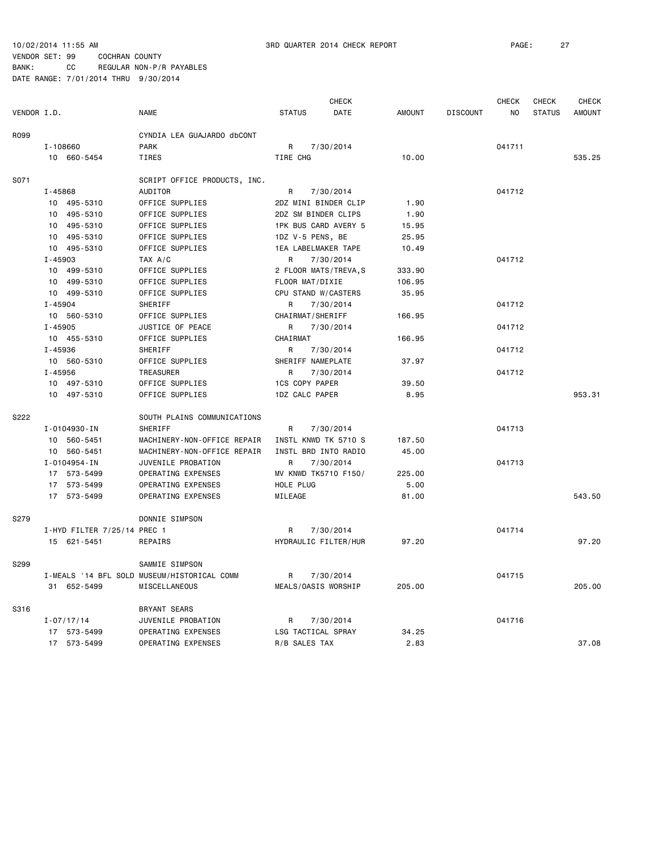|             |                             |                                             |                       | <b>CHECK</b> |               |                 | <b>CHECK</b> | <b>CHECK</b>  | <b>CHECK</b>  |
|-------------|-----------------------------|---------------------------------------------|-----------------------|--------------|---------------|-----------------|--------------|---------------|---------------|
| VENDOR I.D. |                             | <b>NAME</b>                                 | <b>STATUS</b>         | DATE         | <b>AMOUNT</b> | <b>DISCOUNT</b> | NO           | <b>STATUS</b> | <b>AMOUNT</b> |
| R099        |                             | CYNDIA LEA GUAJARDO dbCONT                  |                       |              |               |                 |              |               |               |
|             | I-108660                    | <b>PARK</b>                                 | R                     | 7/30/2014    |               |                 | 041711       |               |               |
|             | 10 660-5454                 | <b>TIRES</b>                                | TIRE CHG              |              | 10.00         |                 |              |               | 535.25        |
| S071        |                             | SCRIPT OFFICE PRODUCTS, INC.                |                       |              |               |                 |              |               |               |
|             | $I - 45868$                 | AUDITOR                                     | R                     | 7/30/2014    |               |                 | 041712       |               |               |
|             | 10 495-5310                 | OFFICE SUPPLIES                             | 2DZ MINI BINDER CLIP  |              | 1.90          |                 |              |               |               |
|             | 10 495-5310                 | OFFICE SUPPLIES                             | 2DZ SM BINDER CLIPS   |              | 1.90          |                 |              |               |               |
|             | 10 495-5310                 | OFFICE SUPPLIES                             | 1PK BUS CARD AVERY 5  |              | 15.95         |                 |              |               |               |
|             | 10 495-5310                 | OFFICE SUPPLIES                             | 1DZ V-5 PENS, BE      |              | 25.95         |                 |              |               |               |
|             | 10 495-5310                 | OFFICE SUPPLIES                             | 1EA LABELMAKER TAPE   |              | 10.49         |                 |              |               |               |
|             | $I - 45903$                 | TAX A/C                                     | R                     | 7/30/2014    |               |                 | 041712       |               |               |
|             | 10 499-5310                 | OFFICE SUPPLIES                             | 2 FLOOR MATS/TREVA, S |              | 333.90        |                 |              |               |               |
|             | 10 499-5310                 | OFFICE SUPPLIES                             | FLOOR MAT/DIXIE       |              | 106.95        |                 |              |               |               |
|             | 10 499-5310                 | OFFICE SUPPLIES                             | CPU STAND W/CASTERS   |              | 35.95         |                 |              |               |               |
|             | $I - 45904$                 | SHERIFF                                     | R                     | 7/30/2014    |               |                 | 041712       |               |               |
|             | 10 560-5310                 | OFFICE SUPPLIES                             | CHAIRMAT/SHERIFF      |              | 166.95        |                 |              |               |               |
|             | $I - 45905$                 | JUSTICE OF PEACE                            | R                     | 7/30/2014    |               |                 | 041712       |               |               |
|             | 10 455-5310                 | OFFICE SUPPLIES                             | CHAIRMAT              |              | 166.95        |                 |              |               |               |
|             | I-45936                     | SHERIFF                                     | R                     | 7/30/2014    |               |                 | 041712       |               |               |
|             | 10 560-5310                 | OFFICE SUPPLIES                             | SHERIFF NAMEPLATE     |              | 37.97         |                 |              |               |               |
|             | $I - 45956$                 | TREASURER                                   | R                     | 7/30/2014    |               |                 | 041712       |               |               |
|             | 10 497-5310                 | OFFICE SUPPLIES                             | <b>1CS COPY PAPER</b> |              | 39.50         |                 |              |               |               |
|             | 10 497-5310                 | OFFICE SUPPLIES                             | 1DZ CALC PAPER        |              | 8.95          |                 |              |               | 953.31        |
| S222        |                             | SOUTH PLAINS COMMUNICATIONS                 |                       |              |               |                 |              |               |               |
|             | I-0104930-IN                | SHERIFF                                     | R                     | 7/30/2014    |               |                 | 041713       |               |               |
|             | 10 560-5451                 | MACHINERY-NON-OFFICE REPAIR                 | INSTL KNWD TK 5710 S  |              | 187.50        |                 |              |               |               |
|             | 10 560-5451                 | MACHINERY-NON-OFFICE REPAIR                 | INSTL BRD INTO RADIO  |              | 45.00         |                 |              |               |               |
|             | I-0104954-IN                | JUVENILE PROBATION                          | R                     | 7/30/2014    |               |                 | 041713       |               |               |
|             | 17 573-5499                 | OPERATING EXPENSES                          | MV KNWD TK5710 F150/  |              | 225.00        |                 |              |               |               |
|             | 17 573-5499                 | OPERATING EXPENSES                          | HOLE PLUG             |              | 5.00          |                 |              |               |               |
|             | 17 573-5499                 | OPERATING EXPENSES                          | MILEAGE               |              | 81.00         |                 |              |               | 543.50        |
| S279        |                             | DONNIE SIMPSON                              |                       |              |               |                 |              |               |               |
|             | I-HYD FILTER 7/25/14 PREC 1 |                                             | $\mathsf{R}$          | 7/30/2014    |               |                 | 041714       |               |               |
|             | 15 621-5451                 | <b>REPAIRS</b>                              | HYDRAULIC FILTER/HUR  |              | 97.20         |                 |              |               | 97.20         |
| S299        |                             | SAMMIE SIMPSON                              |                       |              |               |                 |              |               |               |
|             |                             | I-MEALS '14 BFL SOLD MUSEUM/HISTORICAL COMM | R                     | 7/30/2014    |               |                 | 041715       |               |               |
|             | 31 652-5499                 | MISCELLANEOUS                               | MEALS/OASIS WORSHIP   |              | 205.00        |                 |              |               | 205.00        |
| S316        |                             | <b>BRYANT SEARS</b>                         |                       |              |               |                 |              |               |               |
|             | $I - 07/17/14$              | JUVENILE PROBATION                          | R                     | 7/30/2014    |               |                 | 041716       |               |               |
|             | 17 573-5499                 | OPERATING EXPENSES                          | LSG TACTICAL SPRAY    |              | 34.25         |                 |              |               |               |
|             | 17 573-5499                 | OPERATING EXPENSES                          | R/B SALES TAX         |              | 2.83          |                 |              |               | 37.08         |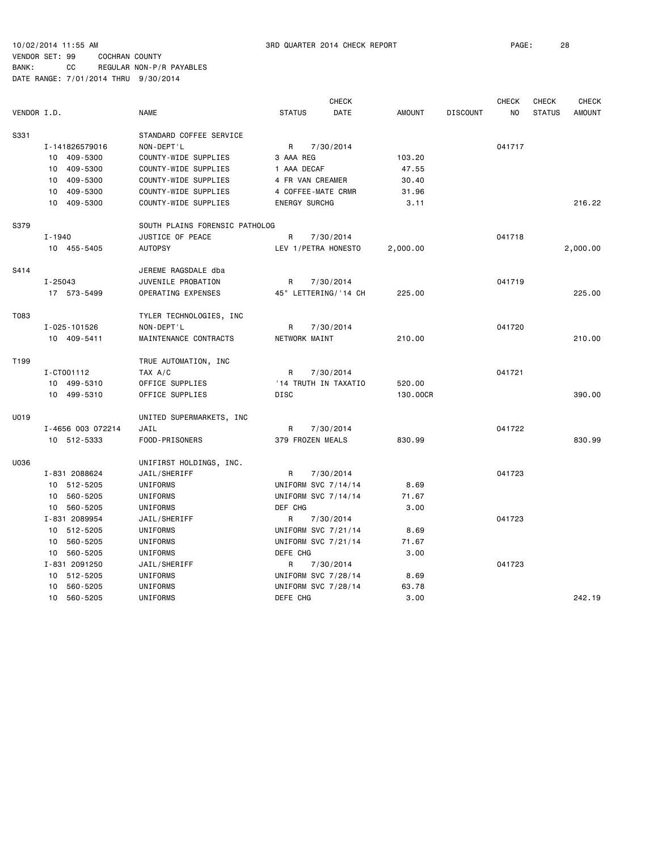10/02/2014 11:55 AM 3RD QUARTER 2014 CHECK REPORT PAGE: 28

VENDOR SET: 99 COCHRAN COUNTY BANK: CC REGULAR NON-P/R PAYABLES

|             |                   |                                |                      | <b>CHECK</b>         |               |                 | <b>CHECK</b> | <b>CHECK</b>  | <b>CHECK</b>  |
|-------------|-------------------|--------------------------------|----------------------|----------------------|---------------|-----------------|--------------|---------------|---------------|
| VENDOR I.D. |                   | <b>NAME</b>                    | <b>STATUS</b>        | DATE                 | <b>AMOUNT</b> | <b>DISCOUNT</b> | NO           | <b>STATUS</b> | <b>AMOUNT</b> |
| S331        |                   | STANDARD COFFEE SERVICE        |                      |                      |               |                 |              |               |               |
|             | I-141826579016    | NON-DEPT'L                     | R                    | 7/30/2014            |               |                 | 041717       |               |               |
|             | 10 409-5300       | COUNTY-WIDE SUPPLIES           | 3 AAA REG            |                      | 103.20        |                 |              |               |               |
|             | 10 409-5300       | COUNTY-WIDE SUPPLIES           | 1 AAA DECAF          |                      | 47.55         |                 |              |               |               |
|             | 10<br>409-5300    | COUNTY-WIDE SUPPLIES           | 4 FR VAN CREAMER     |                      | 30.40         |                 |              |               |               |
|             | 409-5300<br>10    | COUNTY-WIDE SUPPLIES           | 4 COFFEE-MATE CRMR   |                      | 31.96         |                 |              |               |               |
|             | 10 409-5300       | COUNTY-WIDE SUPPLIES           | <b>ENERGY SURCHG</b> |                      | 3.11          |                 |              |               | 216.22        |
| S379        |                   | SOUTH PLAINS FORENSIC PATHOLOG |                      |                      |               |                 |              |               |               |
|             | I-1940            | JUSTICE OF PEACE               | R                    | 7/30/2014            |               |                 | 041718       |               |               |
|             | 10 455-5405       | <b>AUTOPSY</b>                 | LEV 1/PETRA HONESTO  |                      | 2,000.00      |                 |              |               | 2,000.00      |
| S414        |                   | JEREME RAGSDALE dba            |                      |                      |               |                 |              |               |               |
|             | I-25043           | JUVENILE PROBATION             | R                    | 7/30/2014            |               |                 | 041719       |               |               |
|             | 17 573-5499       | OPERATING EXPENSES             |                      | 45" LETTERING/'14 CH | 225.00        |                 |              |               | 225.00        |
| T083        |                   | TYLER TECHNOLOGIES, INC        |                      |                      |               |                 |              |               |               |
|             | I-025-101526      | NON-DEPT'L                     | R                    | 7/30/2014            |               |                 | 041720       |               |               |
|             | 10 409-5411       | MAINTENANCE CONTRACTS          | NETWORK MAINT        |                      | 210.00        |                 |              |               | 210.00        |
| T199        |                   | TRUE AUTOMATION, INC           |                      |                      |               |                 |              |               |               |
|             | I-CT001112        | TAX A/C                        | R                    | 7/30/2014            |               |                 | 041721       |               |               |
|             | 10 499-5310       | OFFICE SUPPLIES                |                      | '14 TRUTH IN TAXATIO | 520.00        |                 |              |               |               |
|             | 10 499-5310       | OFFICE SUPPLIES                | <b>DISC</b>          |                      | 130.00CR      |                 |              |               | 390.00        |
| U019        |                   | UNITED SUPERMARKETS, INC       |                      |                      |               |                 |              |               |               |
|             | I-4656 003 072214 | JAIL                           | R                    | 7/30/2014            |               |                 | 041722       |               |               |
|             | 10 512-5333       | FOOD-PRISONERS                 | 379 FROZEN MEALS     |                      | 830.99        |                 |              |               | 830.99        |
| U036        |                   | UNIFIRST HOLDINGS, INC.        |                      |                      |               |                 |              |               |               |
|             | I-831 2088624     | JAIL/SHERIFF                   | R                    | 7/30/2014            |               |                 | 041723       |               |               |
|             | 10 512-5205       | UNIFORMS                       | UNIFORM SVC 7/14/14  |                      | 8.69          |                 |              |               |               |
|             | 10 560-5205       | UNIFORMS                       | UNIFORM SVC 7/14/14  |                      | 71.67         |                 |              |               |               |
|             | 10 560-5205       | UNIFORMS                       | DEF CHG              |                      | 3.00          |                 |              |               |               |
|             | I-831 2089954     | JAIL/SHERIFF                   | R                    | 7/30/2014            |               |                 | 041723       |               |               |
|             | 10 512-5205       | UNIFORMS                       | UNIFORM SVC 7/21/14  |                      | 8.69          |                 |              |               |               |
|             | 10 560-5205       | UNIFORMS                       | UNIFORM SVC 7/21/14  |                      | 71.67         |                 |              |               |               |
|             | 10 560-5205       | UNIFORMS                       | DEFE CHG             |                      | 3.00          |                 |              |               |               |
|             | I-831 2091250     | JAIL/SHERIFF                   | R                    | 7/30/2014            |               |                 | 041723       |               |               |
|             | 10 512-5205       | UNIFORMS                       | UNIFORM SVC 7/28/14  |                      | 8.69          |                 |              |               |               |
|             | 560-5205<br>10    | UNIFORMS                       | UNIFORM SVC 7/28/14  |                      | 63.78         |                 |              |               |               |
|             | 10 560-5205       | UNIFORMS                       | DEFE CHG             |                      | 3.00          |                 |              |               | 242.19        |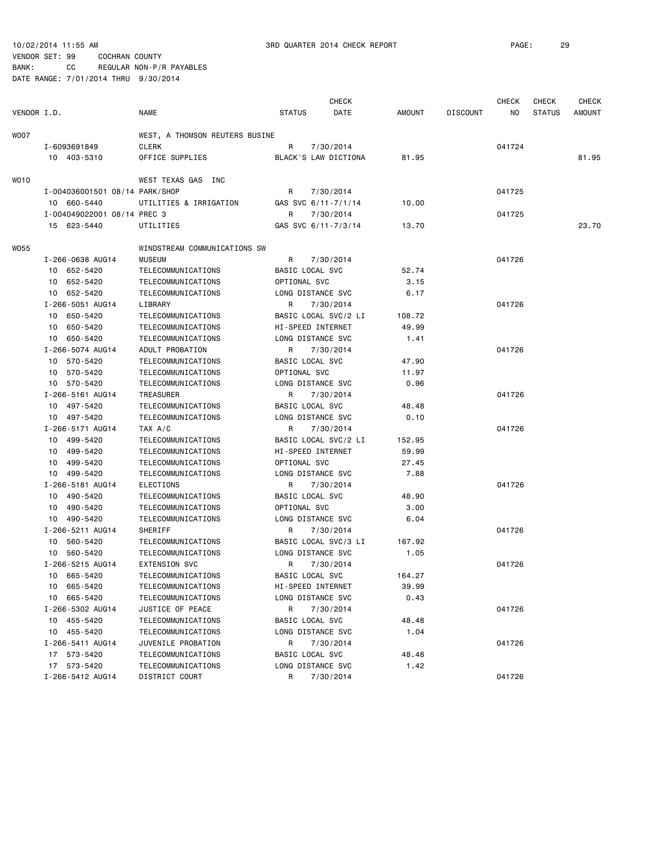|                  |                                 |                                          |                      | <b>CHECK</b>         |               |                 | <b>CHECK</b> | <b>CHECK</b>  | <b>CHECK</b> |
|------------------|---------------------------------|------------------------------------------|----------------------|----------------------|---------------|-----------------|--------------|---------------|--------------|
| VENDOR I.D.      |                                 | <b>NAME</b>                              | <b>STATUS</b>        | DATE                 | <b>AMOUNT</b> | <b>DISCOUNT</b> | ΝO           | <b>STATUS</b> | AMOUNT       |
| WO07             |                                 | WEST, A THOMSON REUTERS BUSINE           |                      |                      |               |                 |              |               |              |
|                  | I-6093691849                    | CLERK                                    | R                    | 7/30/2014            |               |                 | 041724       |               |              |
|                  | 10 403-5310                     | OFFICE SUPPLIES                          |                      | BLACK'S LAW DICTIONA | 81.95         |                 |              |               | 81.95        |
| WO <sub>10</sub> |                                 | WEST TEXAS GAS INC                       |                      |                      |               |                 |              |               |              |
|                  | I-004036001501 08/14 PARK/SHOP  |                                          | R                    | 7/30/2014            |               |                 | 041725       |               |              |
|                  | 10 660-5440                     | UTILITIES & IRRIGATION                   | GAS SVC 6/11-7/1/14  |                      | 10.00         |                 |              |               |              |
|                  | I-004049022001 08/14 PREC 3     |                                          | R                    | 7/30/2014            |               |                 | 041725       |               |              |
|                  | 15 623-5440                     | UTILITIES                                | GAS SVC 6/11-7/3/14  |                      | 13.70         |                 |              |               | 23.70        |
| W055             |                                 | WINDSTREAM COMMUNICATIONS SW             |                      |                      |               |                 |              |               |              |
|                  | I-266-0638 AUG14                | <b>MUSEUM</b>                            | R                    | 7/30/2014            |               |                 | 041726       |               |              |
|                  | 10 652-5420                     | TELECOMMUNICATIONS                       | BASIC LOCAL SVC      |                      | 52.74         |                 |              |               |              |
|                  | 10 652-5420                     | TELECOMMUNICATIONS                       | OPTIONAL SVC         |                      | 3.15          |                 |              |               |              |
|                  | 10 652-5420                     | TELECOMMUNICATIONS                       | LONG DISTANCE SVC    |                      | 6.17          |                 |              |               |              |
|                  | I-266-5051 AUG14                | LIBRARY                                  | R                    | 7/30/2014            |               |                 | 041726       |               |              |
|                  | 10 650-5420                     | TELECOMMUNICATIONS                       | BASIC LOCAL SVC/2 LI |                      | 108.72        |                 |              |               |              |
|                  | 10 650-5420                     | TELECOMMUNICATIONS                       | HI-SPEED INTERNET    |                      | 49.99         |                 |              |               |              |
|                  | 10 650-5420                     | TELECOMMUNICATIONS                       | LONG DISTANCE SVC    |                      | 1.41          |                 |              |               |              |
|                  | I-266-5074 AUG14                | ADULT PROBATION                          | R                    | 7/30/2014            |               |                 | 041726       |               |              |
|                  | 10 570-5420                     | TELECOMMUNICATIONS                       | BASIC LOCAL SVC      |                      | 47.90         |                 |              |               |              |
|                  | 10 570-5420                     | TELECOMMUNICATIONS                       | OPTIONAL SVC         |                      | 11.97         |                 |              |               |              |
|                  | 10 570-5420                     | TELECOMMUNICATIONS                       | LONG DISTANCE SVC    |                      | 0.96          |                 |              |               |              |
|                  | I-266-5161 AUG14                | TREASURER                                | R                    | 7/30/2014            |               |                 | 041726       |               |              |
|                  | 10 497-5420                     | TELECOMMUNICATIONS                       | BASIC LOCAL SVC      |                      | 48.48         |                 |              |               |              |
|                  | 10 497-5420                     | TELECOMMUNICATIONS                       | LONG DISTANCE SVC    |                      | 0.10          |                 |              |               |              |
|                  | I-266-5171 AUG14                | TAX A/C                                  | R                    | 7/30/2014            |               |                 | 041726       |               |              |
|                  | 10 499-5420                     | TELECOMMUNICATIONS                       | BASIC LOCAL SVC/2 LI |                      | 152.95        |                 |              |               |              |
|                  | 10 499-5420                     | TELECOMMUNICATIONS                       | HI-SPEED INTERNET    |                      | 59.99         |                 |              |               |              |
|                  | 10 499-5420                     | TELECOMMUNICATIONS                       | OPTIONAL SVC         |                      | 27.45         |                 |              |               |              |
|                  | 10 499-5420                     | TELECOMMUNICATIONS                       | LONG DISTANCE SVC    |                      | 7.88          |                 |              |               |              |
|                  | I-266-5181 AUG14                | ELECTIONS                                | R                    | 7/30/2014            |               |                 | 041726       |               |              |
|                  | 10 490-5420                     | TELECOMMUNICATIONS                       | BASIC LOCAL SVC      |                      | 48.90         |                 |              |               |              |
|                  | 10 490-5420                     | TELECOMMUNICATIONS                       | OPTIONAL SVC         |                      | 3.00          |                 |              |               |              |
|                  | 10 490-5420                     | TELECOMMUNICATIONS                       | LONG DISTANCE SVC    |                      | 6.04          |                 |              |               |              |
|                  | I-266-5211 AUG14                | <b>SHERIFF</b>                           | R                    | 7/30/2014            |               |                 | 041726       |               |              |
|                  | 10 560-5420                     | TELECOMMUNICATIONS                       | BASIC LOCAL SVC/3 LI |                      | 167.92        |                 |              |               |              |
|                  | 10 560-5420                     | TELECOMMUNICATIONS                       | LONG DISTANCE SVC    |                      | 1.05          |                 |              |               |              |
|                  | I-266-5215 AUG14                | <b>EXTENSION SVC</b>                     | R                    | 7/30/2014            |               |                 | 041726       |               |              |
|                  | 10 665-5420                     | TELECOMMUNICATIONS                       | BASIC LOCAL SVC      |                      | 164.27        |                 |              |               |              |
|                  | 10 665-5420                     | TELECOMMUNICATIONS                       | HI-SPEED INTERNET    |                      | 39.99         |                 |              |               |              |
|                  | 10 665-5420                     | TELECOMMUNICATIONS<br>JUSTICE OF PEACE   | LONG DISTANCE SVC    |                      | 0.43          |                 |              |               |              |
|                  | I-266-5302 AUG14                |                                          | R                    | 7/30/2014            |               |                 | 041726       |               |              |
|                  | 10 455-5420                     | TELECOMMUNICATIONS                       | BASIC LOCAL SVC      |                      | 48.48         |                 |              |               |              |
|                  | 10 455-5420                     | TELECOMMUNICATIONS                       | LONG DISTANCE SVC    |                      | 1.04          |                 |              |               |              |
|                  | I-266-5411 AUG14<br>17 573-5420 | JUVENILE PROBATION<br>TELECOMMUNICATIONS | R<br>BASIC LOCAL SVC | 7/30/2014            | 48.48         |                 | 041726       |               |              |
|                  | 17 573-5420                     | TELECOMMUNICATIONS                       | LONG DISTANCE SVC    |                      | 1.42          |                 |              |               |              |
|                  | I-266-5412 AUG14                | DISTRICT COURT                           | R                    | 7/30/2014            |               |                 | 041726       |               |              |
|                  |                                 |                                          |                      |                      |               |                 |              |               |              |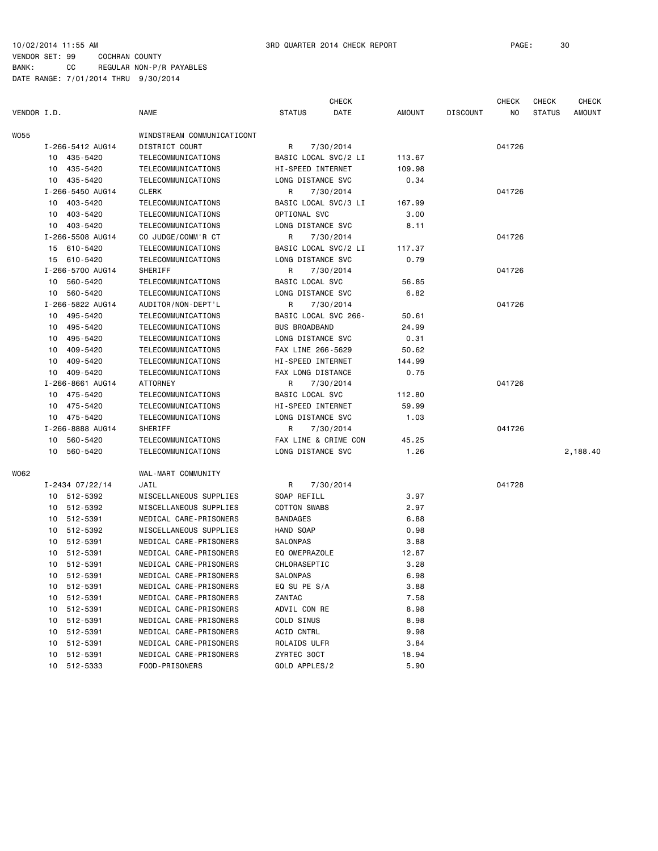|             |    |                  |                            |                      | <b>CHECK</b>         |               |          | <b>CHECK</b> | <b>CHECK</b>  | <b>CHECK</b>  |
|-------------|----|------------------|----------------------------|----------------------|----------------------|---------------|----------|--------------|---------------|---------------|
| VENDOR I.D. |    |                  | <b>NAME</b>                | <b>STATUS</b>        | DATE                 | <b>AMOUNT</b> | DISCOUNT | NO           | <b>STATUS</b> | <b>AMOUNT</b> |
| <b>WO55</b> |    |                  | WINDSTREAM COMMUNICATICONT |                      |                      |               |          |              |               |               |
|             |    | I-266-5412 AUG14 | DISTRICT COURT             | R                    | 7/30/2014            |               |          | 041726       |               |               |
|             |    | 10 435-5420      | TELECOMMUNICATIONS         |                      | BASIC LOCAL SVC/2 LI | 113.67        |          |              |               |               |
|             |    | 10 435-5420      | TELECOMMUNICATIONS         | HI-SPEED INTERNET    |                      | 109.98        |          |              |               |               |
|             |    | 10 435-5420      | TELECOMMUNICATIONS         | LONG DISTANCE SVC    |                      | 0.34          |          |              |               |               |
|             |    | I-266-5450 AUG14 | <b>CLERK</b>               | R                    | 7/30/2014            |               |          | 041726       |               |               |
|             |    | 10 403-5420      | TELECOMMUNICATIONS         |                      | BASIC LOCAL SVC/3 LI | 167.99        |          |              |               |               |
|             |    | 10 403-5420      | TELECOMMUNICATIONS         | OPTIONAL SVC         |                      | 3.00          |          |              |               |               |
|             |    | 10 403-5420      | TELECOMMUNICATIONS         | LONG DISTANCE SVC    |                      | 8.11          |          |              |               |               |
|             |    | I-266-5508 AUG14 | CO JUDGE/COMM'R CT         | R                    | 7/30/2014            |               |          | 041726       |               |               |
|             |    | 15 610-5420      | TELECOMMUNICATIONS         |                      | BASIC LOCAL SVC/2 LI | 117.37        |          |              |               |               |
|             |    | 15 610-5420      | TELECOMMUNICATIONS         | LONG DISTANCE SVC    |                      | 0.79          |          |              |               |               |
|             |    | I-266-5700 AUG14 | SHERIFF                    | R                    | 7/30/2014            |               |          | 041726       |               |               |
|             |    | 10 560-5420      | TELECOMMUNICATIONS         | BASIC LOCAL SVC      |                      | 56.85         |          |              |               |               |
|             |    | 10 560-5420      | TELECOMMUNICATIONS         | LONG DISTANCE SVC    |                      | 6.82          |          |              |               |               |
|             |    | I-266-5822 AUG14 | AUDITOR/NON-DEPT'L         | R                    | 7/30/2014            |               |          | 041726       |               |               |
|             |    | 10 495-5420      | TELECOMMUNICATIONS         | BASIC LOCAL SVC 266- |                      | 50.61         |          |              |               |               |
|             |    | 10 495-5420      | TELECOMMUNICATIONS         | <b>BUS BROADBAND</b> |                      | 24.99         |          |              |               |               |
|             |    | 10 495-5420      | TELECOMMUNICATIONS         | LONG DISTANCE SVC    |                      | 0.31          |          |              |               |               |
|             | 10 | 409-5420         | TELECOMMUNICATIONS         | FAX LINE 266-5629    |                      | 50.62         |          |              |               |               |
|             |    | 10 409-5420      | TELECOMMUNICATIONS         | HI-SPEED INTERNET    |                      | 144.99        |          |              |               |               |
|             |    | 10 409-5420      | TELECOMMUNICATIONS         | FAX LONG DISTANCE    |                      | 0.75          |          |              |               |               |
|             |    | I-266-8661 AUG14 | <b>ATTORNEY</b>            | R                    | 7/30/2014            |               |          | 041726       |               |               |
|             |    | 10 475-5420      | TELECOMMUNICATIONS         | BASIC LOCAL SVC      |                      | 112.80        |          |              |               |               |
|             |    | 10 475-5420      | TELECOMMUNICATIONS         | HI-SPEED INTERNET    |                      | 59.99         |          |              |               |               |
|             |    | 10 475-5420      | TELECOMMUNICATIONS         | LONG DISTANCE SVC    |                      | 1.03          |          |              |               |               |
|             |    | I-266-8888 AUG14 | SHERIFF                    | R                    | 7/30/2014            |               |          | 041726       |               |               |
|             |    | 10 560-5420      | TELECOMMUNICATIONS         |                      | FAX LINE & CRIME CON | 45.25         |          |              |               |               |
|             |    | 10 560-5420      | TELECOMMUNICATIONS         | LONG DISTANCE SVC    |                      | 1.26          |          |              |               | 2,188.40      |
| W062        |    |                  | WAL-MART COMMUNITY         |                      |                      |               |          |              |               |               |
|             |    | I-2434 07/22/14  | JAIL                       | R                    | 7/30/2014            |               |          | 041728       |               |               |
|             |    | 10 512-5392      | MISCELLANEOUS SUPPLIES     | SOAP REFILL          |                      | 3.97          |          |              |               |               |
|             |    | 10 512-5392      | MISCELLANEOUS SUPPLIES     | <b>COTTON SWABS</b>  |                      | 2.97          |          |              |               |               |
|             |    | 10 512-5391      | MEDICAL CARE-PRISONERS     | <b>BANDAGES</b>      |                      | 6.88          |          |              |               |               |
|             |    | 10 512-5392      | MISCELLANEOUS SUPPLIES     | HAND SOAP            |                      | 0.98          |          |              |               |               |
|             |    | 10 512-5391      | MEDICAL CARE-PRISONERS     | SALONPAS             |                      | 3.88          |          |              |               |               |
|             |    | 10 512-5391      | MEDICAL CARE-PRISONERS     | EQ OMEPRAZOLE        |                      | 12.87         |          |              |               |               |
|             |    | 10 512-5391      | MEDICAL CARE-PRISONERS     | CHLORASEPTIC         |                      | 3.28          |          |              |               |               |
|             |    | 10 512-5391      | MEDICAL CARE-PRISONERS     | SALONPAS             |                      | 6.98          |          |              |               |               |
|             |    | 10 512-5391      | MEDICAL CARE-PRISONERS     | EQ SU PE S/A         |                      | 3.88          |          |              |               |               |
|             |    | 10 512-5391      | MEDICAL CARE-PRISONERS     | ZANTAC               |                      | 7.58          |          |              |               |               |
|             |    | 10 512-5391      | MEDICAL CARE-PRISONERS     | ADVIL CON RE         |                      | 8.98          |          |              |               |               |
|             |    | 10 512-5391      | MEDICAL CARE-PRISONERS     | COLD SINUS           |                      | 8.98          |          |              |               |               |
|             |    | 10 512-5391      | MEDICAL CARE-PRISONERS     | ACID CNTRL           |                      | 9.98          |          |              |               |               |
|             |    | 10 512-5391      | MEDICAL CARE-PRISONERS     | ROLAIDS ULFR         |                      | 3.84          |          |              |               |               |
|             |    | 10 512-5391      | MEDICAL CARE-PRISONERS     | ZYRTEC 30CT          |                      | 18.94         |          |              |               |               |
|             |    | 10 512-5333      | FOOD-PRISONERS             | GOLD APPLES/2        |                      | 5.90          |          |              |               |               |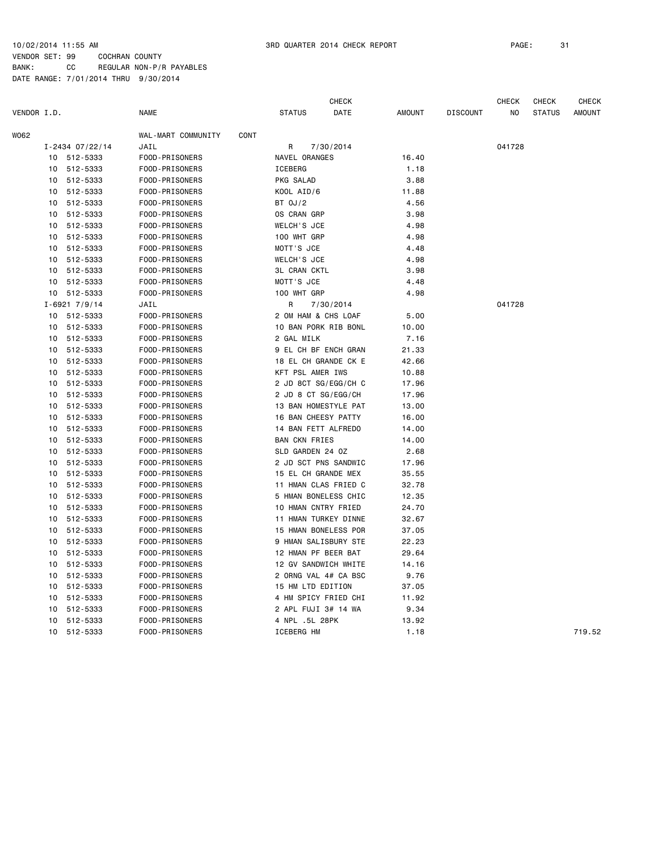| VENDOR I.D.<br><b>NAME</b><br><b>STATUS</b><br><b>AMOUNT</b><br><b>AMOUNT</b><br>DATE<br><b>DISCOUNT</b><br>NO<br><b>STATUS</b><br>W062<br>WAL-MART COMMUNITY<br>CONT<br>$I - 2434 07/22/14$<br>JAIL<br>R<br>7/30/2014<br>041728<br>512-5333<br>FOOD-PRISONERS<br>NAVEL ORANGES<br>16.40<br>10<br>512-5333<br>FOOD-PRISONERS<br>ICEBERG<br>10<br>1.18<br>512-5333<br>FOOD-PRISONERS<br>PKG SALAD<br>3.88<br>10<br>512-5333<br>KOOL AID/6<br>10<br>FOOD-PRISONERS<br>11.88<br>512-5333<br>FOOD-PRISONERS<br>BT 0J/2<br>4.56<br>10<br>3.98<br>512-5333<br>FOOD-PRISONERS<br>OS CRAN GRP<br>10<br>4.98<br>512-5333<br>WELCH'S JCE<br>10<br>FOOD-PRISONERS<br>10<br>512-5333<br>FOOD-PRISONERS<br>100 WHT GRP<br>4.98<br>512-5333<br>FOOD-PRISONERS<br>MOTT'S JCE<br>4.48<br>10<br>512-5333<br>FOOD-PRISONERS<br><b>WELCH'S JCE</b><br>4.98<br>10<br>512-5333<br>FOOD-PRISONERS<br><b>3L CRAN CKTL</b><br>3.98<br>10<br>512-5333<br>FOOD-PRISONERS<br>MOTT'S JCE<br>4.48<br>10<br>10 512-5333<br>FOOD-PRISONERS<br>100 WHT GRP<br>4.98<br>I-6921 7/9/14<br>JAIL<br>R<br>7/30/2014<br>041728<br>10 512-5333<br>FOOD-PRISONERS<br>2 OM HAM & CHS LOAF<br>5.00<br>10 BAN PORK RIB BONL<br>512-5333<br>10.00<br>10<br>FOOD-PRISONERS<br>2 GAL MILK<br>512-5333<br>FOOD-PRISONERS<br>7.16<br>10<br>9 EL CH BF ENCH GRAN<br>10<br>512-5333<br>FOOD-PRISONERS<br>21.33<br>512-5333<br>FOOD-PRISONERS<br>18 EL CH GRANDE CK E<br>10<br>42.66<br>512-5333<br>FOOD-PRISONERS<br>KFT PSL AMER IWS<br>10<br>10.88<br>512-5333<br>FOOD-PRISONERS<br>2 JD 8CT SG/EGG/CH C<br>10<br>17.96<br>512-5333<br>FOOD-PRISONERS<br>2 JD 8 CT SG/EGG/CH<br>17.96<br>10<br>10<br>512-5333<br>FOOD-PRISONERS<br>13 BAN HOMESTYLE PAT<br>13.00<br>512-5333<br>16 BAN CHEESY PATTY<br>10<br>FOOD-PRISONERS<br>16.00<br>512-5333<br>FOOD-PRISONERS<br>14 BAN FETT ALFREDO<br>14.00<br>10<br><b>BAN CKN FRIES</b><br>512-5333<br>FOOD-PRISONERS<br>14.00<br>10<br>SLD GARDEN 24 OZ<br>512-5333<br>FOOD-PRISONERS<br>2.68<br>10<br>2 JD SCT PNS SANDWIC<br>10<br>512-5333<br>FOOD-PRISONERS<br>17.96<br>512-5333<br>FOOD-PRISONERS<br>15 EL CH GRANDE MEX<br>10<br>35.55<br>11 HMAN CLAS FRIED C<br>512-5333<br>FOOD-PRISONERS<br>32.78<br>10<br>5 HMAN BONELESS CHIC<br>512-5333<br>FOOD-PRISONERS<br>12.35<br>10<br>10 HMAN CNTRY FRIED<br>512-5333<br>FOOD-PRISONERS<br>24.70<br>10<br>10<br>512-5333<br>FOOD-PRISONERS<br>11 HMAN TURKEY DINNE<br>32.67<br>512-5333<br>15 HMAN BONELESS POR<br>37.05<br>10<br>FOOD-PRISONERS<br>9 HMAN SALISBURY STE<br>512-5333<br>FOOD-PRISONERS<br>22.23<br>10<br>12 HMAN PF BEER BAT<br>512-5333<br>FOOD-PRISONERS<br>29.64<br>10<br>12 GV SANDWICH WHITE<br>512-5333<br>FOOD-PRISONERS<br>14.16<br>10<br>10<br>512-5333<br>FOOD-PRISONERS<br>2 ORNG VAL 4# CA BSC<br>9.76<br>512-5333<br>15 HM LTD EDITION<br>37.05<br>10<br>FOOD-PRISONERS<br>512-5333<br>FOOD-PRISONERS<br>4 HM SPICY FRIED CHI<br>11.92<br>10 |  | <b>CHECK</b> |  |  | <b>CHECK</b> | <b>CHECK</b> | <b>CHECK</b> |  |
|------------------------------------------------------------------------------------------------------------------------------------------------------------------------------------------------------------------------------------------------------------------------------------------------------------------------------------------------------------------------------------------------------------------------------------------------------------------------------------------------------------------------------------------------------------------------------------------------------------------------------------------------------------------------------------------------------------------------------------------------------------------------------------------------------------------------------------------------------------------------------------------------------------------------------------------------------------------------------------------------------------------------------------------------------------------------------------------------------------------------------------------------------------------------------------------------------------------------------------------------------------------------------------------------------------------------------------------------------------------------------------------------------------------------------------------------------------------------------------------------------------------------------------------------------------------------------------------------------------------------------------------------------------------------------------------------------------------------------------------------------------------------------------------------------------------------------------------------------------------------------------------------------------------------------------------------------------------------------------------------------------------------------------------------------------------------------------------------------------------------------------------------------------------------------------------------------------------------------------------------------------------------------------------------------------------------------------------------------------------------------------------------------------------------------------------------------------------------------------------------------------------------------------------------------------------------------------------------------------------------------------------------------------------------------------------------------------------------------------------------------------------------------------------------------------------------------------------------------------------------------------------------------------------------|--|--------------|--|--|--------------|--------------|--------------|--|
|                                                                                                                                                                                                                                                                                                                                                                                                                                                                                                                                                                                                                                                                                                                                                                                                                                                                                                                                                                                                                                                                                                                                                                                                                                                                                                                                                                                                                                                                                                                                                                                                                                                                                                                                                                                                                                                                                                                                                                                                                                                                                                                                                                                                                                                                                                                                                                                                                                                                                                                                                                                                                                                                                                                                                                                                                                                                                                                        |  |              |  |  |              |              |              |  |
|                                                                                                                                                                                                                                                                                                                                                                                                                                                                                                                                                                                                                                                                                                                                                                                                                                                                                                                                                                                                                                                                                                                                                                                                                                                                                                                                                                                                                                                                                                                                                                                                                                                                                                                                                                                                                                                                                                                                                                                                                                                                                                                                                                                                                                                                                                                                                                                                                                                                                                                                                                                                                                                                                                                                                                                                                                                                                                                        |  |              |  |  |              |              |              |  |
|                                                                                                                                                                                                                                                                                                                                                                                                                                                                                                                                                                                                                                                                                                                                                                                                                                                                                                                                                                                                                                                                                                                                                                                                                                                                                                                                                                                                                                                                                                                                                                                                                                                                                                                                                                                                                                                                                                                                                                                                                                                                                                                                                                                                                                                                                                                                                                                                                                                                                                                                                                                                                                                                                                                                                                                                                                                                                                                        |  |              |  |  |              |              |              |  |
|                                                                                                                                                                                                                                                                                                                                                                                                                                                                                                                                                                                                                                                                                                                                                                                                                                                                                                                                                                                                                                                                                                                                                                                                                                                                                                                                                                                                                                                                                                                                                                                                                                                                                                                                                                                                                                                                                                                                                                                                                                                                                                                                                                                                                                                                                                                                                                                                                                                                                                                                                                                                                                                                                                                                                                                                                                                                                                                        |  |              |  |  |              |              |              |  |
|                                                                                                                                                                                                                                                                                                                                                                                                                                                                                                                                                                                                                                                                                                                                                                                                                                                                                                                                                                                                                                                                                                                                                                                                                                                                                                                                                                                                                                                                                                                                                                                                                                                                                                                                                                                                                                                                                                                                                                                                                                                                                                                                                                                                                                                                                                                                                                                                                                                                                                                                                                                                                                                                                                                                                                                                                                                                                                                        |  |              |  |  |              |              |              |  |
|                                                                                                                                                                                                                                                                                                                                                                                                                                                                                                                                                                                                                                                                                                                                                                                                                                                                                                                                                                                                                                                                                                                                                                                                                                                                                                                                                                                                                                                                                                                                                                                                                                                                                                                                                                                                                                                                                                                                                                                                                                                                                                                                                                                                                                                                                                                                                                                                                                                                                                                                                                                                                                                                                                                                                                                                                                                                                                                        |  |              |  |  |              |              |              |  |
|                                                                                                                                                                                                                                                                                                                                                                                                                                                                                                                                                                                                                                                                                                                                                                                                                                                                                                                                                                                                                                                                                                                                                                                                                                                                                                                                                                                                                                                                                                                                                                                                                                                                                                                                                                                                                                                                                                                                                                                                                                                                                                                                                                                                                                                                                                                                                                                                                                                                                                                                                                                                                                                                                                                                                                                                                                                                                                                        |  |              |  |  |              |              |              |  |
|                                                                                                                                                                                                                                                                                                                                                                                                                                                                                                                                                                                                                                                                                                                                                                                                                                                                                                                                                                                                                                                                                                                                                                                                                                                                                                                                                                                                                                                                                                                                                                                                                                                                                                                                                                                                                                                                                                                                                                                                                                                                                                                                                                                                                                                                                                                                                                                                                                                                                                                                                                                                                                                                                                                                                                                                                                                                                                                        |  |              |  |  |              |              |              |  |
|                                                                                                                                                                                                                                                                                                                                                                                                                                                                                                                                                                                                                                                                                                                                                                                                                                                                                                                                                                                                                                                                                                                                                                                                                                                                                                                                                                                                                                                                                                                                                                                                                                                                                                                                                                                                                                                                                                                                                                                                                                                                                                                                                                                                                                                                                                                                                                                                                                                                                                                                                                                                                                                                                                                                                                                                                                                                                                                        |  |              |  |  |              |              |              |  |
|                                                                                                                                                                                                                                                                                                                                                                                                                                                                                                                                                                                                                                                                                                                                                                                                                                                                                                                                                                                                                                                                                                                                                                                                                                                                                                                                                                                                                                                                                                                                                                                                                                                                                                                                                                                                                                                                                                                                                                                                                                                                                                                                                                                                                                                                                                                                                                                                                                                                                                                                                                                                                                                                                                                                                                                                                                                                                                                        |  |              |  |  |              |              |              |  |
|                                                                                                                                                                                                                                                                                                                                                                                                                                                                                                                                                                                                                                                                                                                                                                                                                                                                                                                                                                                                                                                                                                                                                                                                                                                                                                                                                                                                                                                                                                                                                                                                                                                                                                                                                                                                                                                                                                                                                                                                                                                                                                                                                                                                                                                                                                                                                                                                                                                                                                                                                                                                                                                                                                                                                                                                                                                                                                                        |  |              |  |  |              |              |              |  |
|                                                                                                                                                                                                                                                                                                                                                                                                                                                                                                                                                                                                                                                                                                                                                                                                                                                                                                                                                                                                                                                                                                                                                                                                                                                                                                                                                                                                                                                                                                                                                                                                                                                                                                                                                                                                                                                                                                                                                                                                                                                                                                                                                                                                                                                                                                                                                                                                                                                                                                                                                                                                                                                                                                                                                                                                                                                                                                                        |  |              |  |  |              |              |              |  |
|                                                                                                                                                                                                                                                                                                                                                                                                                                                                                                                                                                                                                                                                                                                                                                                                                                                                                                                                                                                                                                                                                                                                                                                                                                                                                                                                                                                                                                                                                                                                                                                                                                                                                                                                                                                                                                                                                                                                                                                                                                                                                                                                                                                                                                                                                                                                                                                                                                                                                                                                                                                                                                                                                                                                                                                                                                                                                                                        |  |              |  |  |              |              |              |  |
|                                                                                                                                                                                                                                                                                                                                                                                                                                                                                                                                                                                                                                                                                                                                                                                                                                                                                                                                                                                                                                                                                                                                                                                                                                                                                                                                                                                                                                                                                                                                                                                                                                                                                                                                                                                                                                                                                                                                                                                                                                                                                                                                                                                                                                                                                                                                                                                                                                                                                                                                                                                                                                                                                                                                                                                                                                                                                                                        |  |              |  |  |              |              |              |  |
|                                                                                                                                                                                                                                                                                                                                                                                                                                                                                                                                                                                                                                                                                                                                                                                                                                                                                                                                                                                                                                                                                                                                                                                                                                                                                                                                                                                                                                                                                                                                                                                                                                                                                                                                                                                                                                                                                                                                                                                                                                                                                                                                                                                                                                                                                                                                                                                                                                                                                                                                                                                                                                                                                                                                                                                                                                                                                                                        |  |              |  |  |              |              |              |  |
|                                                                                                                                                                                                                                                                                                                                                                                                                                                                                                                                                                                                                                                                                                                                                                                                                                                                                                                                                                                                                                                                                                                                                                                                                                                                                                                                                                                                                                                                                                                                                                                                                                                                                                                                                                                                                                                                                                                                                                                                                                                                                                                                                                                                                                                                                                                                                                                                                                                                                                                                                                                                                                                                                                                                                                                                                                                                                                                        |  |              |  |  |              |              |              |  |
|                                                                                                                                                                                                                                                                                                                                                                                                                                                                                                                                                                                                                                                                                                                                                                                                                                                                                                                                                                                                                                                                                                                                                                                                                                                                                                                                                                                                                                                                                                                                                                                                                                                                                                                                                                                                                                                                                                                                                                                                                                                                                                                                                                                                                                                                                                                                                                                                                                                                                                                                                                                                                                                                                                                                                                                                                                                                                                                        |  |              |  |  |              |              |              |  |
|                                                                                                                                                                                                                                                                                                                                                                                                                                                                                                                                                                                                                                                                                                                                                                                                                                                                                                                                                                                                                                                                                                                                                                                                                                                                                                                                                                                                                                                                                                                                                                                                                                                                                                                                                                                                                                                                                                                                                                                                                                                                                                                                                                                                                                                                                                                                                                                                                                                                                                                                                                                                                                                                                                                                                                                                                                                                                                                        |  |              |  |  |              |              |              |  |
|                                                                                                                                                                                                                                                                                                                                                                                                                                                                                                                                                                                                                                                                                                                                                                                                                                                                                                                                                                                                                                                                                                                                                                                                                                                                                                                                                                                                                                                                                                                                                                                                                                                                                                                                                                                                                                                                                                                                                                                                                                                                                                                                                                                                                                                                                                                                                                                                                                                                                                                                                                                                                                                                                                                                                                                                                                                                                                                        |  |              |  |  |              |              |              |  |
|                                                                                                                                                                                                                                                                                                                                                                                                                                                                                                                                                                                                                                                                                                                                                                                                                                                                                                                                                                                                                                                                                                                                                                                                                                                                                                                                                                                                                                                                                                                                                                                                                                                                                                                                                                                                                                                                                                                                                                                                                                                                                                                                                                                                                                                                                                                                                                                                                                                                                                                                                                                                                                                                                                                                                                                                                                                                                                                        |  |              |  |  |              |              |              |  |
|                                                                                                                                                                                                                                                                                                                                                                                                                                                                                                                                                                                                                                                                                                                                                                                                                                                                                                                                                                                                                                                                                                                                                                                                                                                                                                                                                                                                                                                                                                                                                                                                                                                                                                                                                                                                                                                                                                                                                                                                                                                                                                                                                                                                                                                                                                                                                                                                                                                                                                                                                                                                                                                                                                                                                                                                                                                                                                                        |  |              |  |  |              |              |              |  |
|                                                                                                                                                                                                                                                                                                                                                                                                                                                                                                                                                                                                                                                                                                                                                                                                                                                                                                                                                                                                                                                                                                                                                                                                                                                                                                                                                                                                                                                                                                                                                                                                                                                                                                                                                                                                                                                                                                                                                                                                                                                                                                                                                                                                                                                                                                                                                                                                                                                                                                                                                                                                                                                                                                                                                                                                                                                                                                                        |  |              |  |  |              |              |              |  |
|                                                                                                                                                                                                                                                                                                                                                                                                                                                                                                                                                                                                                                                                                                                                                                                                                                                                                                                                                                                                                                                                                                                                                                                                                                                                                                                                                                                                                                                                                                                                                                                                                                                                                                                                                                                                                                                                                                                                                                                                                                                                                                                                                                                                                                                                                                                                                                                                                                                                                                                                                                                                                                                                                                                                                                                                                                                                                                                        |  |              |  |  |              |              |              |  |
|                                                                                                                                                                                                                                                                                                                                                                                                                                                                                                                                                                                                                                                                                                                                                                                                                                                                                                                                                                                                                                                                                                                                                                                                                                                                                                                                                                                                                                                                                                                                                                                                                                                                                                                                                                                                                                                                                                                                                                                                                                                                                                                                                                                                                                                                                                                                                                                                                                                                                                                                                                                                                                                                                                                                                                                                                                                                                                                        |  |              |  |  |              |              |              |  |
|                                                                                                                                                                                                                                                                                                                                                                                                                                                                                                                                                                                                                                                                                                                                                                                                                                                                                                                                                                                                                                                                                                                                                                                                                                                                                                                                                                                                                                                                                                                                                                                                                                                                                                                                                                                                                                                                                                                                                                                                                                                                                                                                                                                                                                                                                                                                                                                                                                                                                                                                                                                                                                                                                                                                                                                                                                                                                                                        |  |              |  |  |              |              |              |  |
|                                                                                                                                                                                                                                                                                                                                                                                                                                                                                                                                                                                                                                                                                                                                                                                                                                                                                                                                                                                                                                                                                                                                                                                                                                                                                                                                                                                                                                                                                                                                                                                                                                                                                                                                                                                                                                                                                                                                                                                                                                                                                                                                                                                                                                                                                                                                                                                                                                                                                                                                                                                                                                                                                                                                                                                                                                                                                                                        |  |              |  |  |              |              |              |  |
|                                                                                                                                                                                                                                                                                                                                                                                                                                                                                                                                                                                                                                                                                                                                                                                                                                                                                                                                                                                                                                                                                                                                                                                                                                                                                                                                                                                                                                                                                                                                                                                                                                                                                                                                                                                                                                                                                                                                                                                                                                                                                                                                                                                                                                                                                                                                                                                                                                                                                                                                                                                                                                                                                                                                                                                                                                                                                                                        |  |              |  |  |              |              |              |  |
|                                                                                                                                                                                                                                                                                                                                                                                                                                                                                                                                                                                                                                                                                                                                                                                                                                                                                                                                                                                                                                                                                                                                                                                                                                                                                                                                                                                                                                                                                                                                                                                                                                                                                                                                                                                                                                                                                                                                                                                                                                                                                                                                                                                                                                                                                                                                                                                                                                                                                                                                                                                                                                                                                                                                                                                                                                                                                                                        |  |              |  |  |              |              |              |  |
|                                                                                                                                                                                                                                                                                                                                                                                                                                                                                                                                                                                                                                                                                                                                                                                                                                                                                                                                                                                                                                                                                                                                                                                                                                                                                                                                                                                                                                                                                                                                                                                                                                                                                                                                                                                                                                                                                                                                                                                                                                                                                                                                                                                                                                                                                                                                                                                                                                                                                                                                                                                                                                                                                                                                                                                                                                                                                                                        |  |              |  |  |              |              |              |  |
|                                                                                                                                                                                                                                                                                                                                                                                                                                                                                                                                                                                                                                                                                                                                                                                                                                                                                                                                                                                                                                                                                                                                                                                                                                                                                                                                                                                                                                                                                                                                                                                                                                                                                                                                                                                                                                                                                                                                                                                                                                                                                                                                                                                                                                                                                                                                                                                                                                                                                                                                                                                                                                                                                                                                                                                                                                                                                                                        |  |              |  |  |              |              |              |  |
|                                                                                                                                                                                                                                                                                                                                                                                                                                                                                                                                                                                                                                                                                                                                                                                                                                                                                                                                                                                                                                                                                                                                                                                                                                                                                                                                                                                                                                                                                                                                                                                                                                                                                                                                                                                                                                                                                                                                                                                                                                                                                                                                                                                                                                                                                                                                                                                                                                                                                                                                                                                                                                                                                                                                                                                                                                                                                                                        |  |              |  |  |              |              |              |  |
|                                                                                                                                                                                                                                                                                                                                                                                                                                                                                                                                                                                                                                                                                                                                                                                                                                                                                                                                                                                                                                                                                                                                                                                                                                                                                                                                                                                                                                                                                                                                                                                                                                                                                                                                                                                                                                                                                                                                                                                                                                                                                                                                                                                                                                                                                                                                                                                                                                                                                                                                                                                                                                                                                                                                                                                                                                                                                                                        |  |              |  |  |              |              |              |  |
|                                                                                                                                                                                                                                                                                                                                                                                                                                                                                                                                                                                                                                                                                                                                                                                                                                                                                                                                                                                                                                                                                                                                                                                                                                                                                                                                                                                                                                                                                                                                                                                                                                                                                                                                                                                                                                                                                                                                                                                                                                                                                                                                                                                                                                                                                                                                                                                                                                                                                                                                                                                                                                                                                                                                                                                                                                                                                                                        |  |              |  |  |              |              |              |  |
|                                                                                                                                                                                                                                                                                                                                                                                                                                                                                                                                                                                                                                                                                                                                                                                                                                                                                                                                                                                                                                                                                                                                                                                                                                                                                                                                                                                                                                                                                                                                                                                                                                                                                                                                                                                                                                                                                                                                                                                                                                                                                                                                                                                                                                                                                                                                                                                                                                                                                                                                                                                                                                                                                                                                                                                                                                                                                                                        |  |              |  |  |              |              |              |  |
|                                                                                                                                                                                                                                                                                                                                                                                                                                                                                                                                                                                                                                                                                                                                                                                                                                                                                                                                                                                                                                                                                                                                                                                                                                                                                                                                                                                                                                                                                                                                                                                                                                                                                                                                                                                                                                                                                                                                                                                                                                                                                                                                                                                                                                                                                                                                                                                                                                                                                                                                                                                                                                                                                                                                                                                                                                                                                                                        |  |              |  |  |              |              |              |  |
|                                                                                                                                                                                                                                                                                                                                                                                                                                                                                                                                                                                                                                                                                                                                                                                                                                                                                                                                                                                                                                                                                                                                                                                                                                                                                                                                                                                                                                                                                                                                                                                                                                                                                                                                                                                                                                                                                                                                                                                                                                                                                                                                                                                                                                                                                                                                                                                                                                                                                                                                                                                                                                                                                                                                                                                                                                                                                                                        |  |              |  |  |              |              |              |  |
|                                                                                                                                                                                                                                                                                                                                                                                                                                                                                                                                                                                                                                                                                                                                                                                                                                                                                                                                                                                                                                                                                                                                                                                                                                                                                                                                                                                                                                                                                                                                                                                                                                                                                                                                                                                                                                                                                                                                                                                                                                                                                                                                                                                                                                                                                                                                                                                                                                                                                                                                                                                                                                                                                                                                                                                                                                                                                                                        |  |              |  |  |              |              |              |  |
|                                                                                                                                                                                                                                                                                                                                                                                                                                                                                                                                                                                                                                                                                                                                                                                                                                                                                                                                                                                                                                                                                                                                                                                                                                                                                                                                                                                                                                                                                                                                                                                                                                                                                                                                                                                                                                                                                                                                                                                                                                                                                                                                                                                                                                                                                                                                                                                                                                                                                                                                                                                                                                                                                                                                                                                                                                                                                                                        |  |              |  |  |              |              |              |  |
|                                                                                                                                                                                                                                                                                                                                                                                                                                                                                                                                                                                                                                                                                                                                                                                                                                                                                                                                                                                                                                                                                                                                                                                                                                                                                                                                                                                                                                                                                                                                                                                                                                                                                                                                                                                                                                                                                                                                                                                                                                                                                                                                                                                                                                                                                                                                                                                                                                                                                                                                                                                                                                                                                                                                                                                                                                                                                                                        |  |              |  |  |              |              |              |  |
|                                                                                                                                                                                                                                                                                                                                                                                                                                                                                                                                                                                                                                                                                                                                                                                                                                                                                                                                                                                                                                                                                                                                                                                                                                                                                                                                                                                                                                                                                                                                                                                                                                                                                                                                                                                                                                                                                                                                                                                                                                                                                                                                                                                                                                                                                                                                                                                                                                                                                                                                                                                                                                                                                                                                                                                                                                                                                                                        |  |              |  |  |              |              |              |  |
|                                                                                                                                                                                                                                                                                                                                                                                                                                                                                                                                                                                                                                                                                                                                                                                                                                                                                                                                                                                                                                                                                                                                                                                                                                                                                                                                                                                                                                                                                                                                                                                                                                                                                                                                                                                                                                                                                                                                                                                                                                                                                                                                                                                                                                                                                                                                                                                                                                                                                                                                                                                                                                                                                                                                                                                                                                                                                                                        |  |              |  |  |              |              |              |  |
|                                                                                                                                                                                                                                                                                                                                                                                                                                                                                                                                                                                                                                                                                                                                                                                                                                                                                                                                                                                                                                                                                                                                                                                                                                                                                                                                                                                                                                                                                                                                                                                                                                                                                                                                                                                                                                                                                                                                                                                                                                                                                                                                                                                                                                                                                                                                                                                                                                                                                                                                                                                                                                                                                                                                                                                                                                                                                                                        |  |              |  |  |              |              |              |  |
|                                                                                                                                                                                                                                                                                                                                                                                                                                                                                                                                                                                                                                                                                                                                                                                                                                                                                                                                                                                                                                                                                                                                                                                                                                                                                                                                                                                                                                                                                                                                                                                                                                                                                                                                                                                                                                                                                                                                                                                                                                                                                                                                                                                                                                                                                                                                                                                                                                                                                                                                                                                                                                                                                                                                                                                                                                                                                                                        |  |              |  |  |              |              |              |  |
| 512-5333<br>FOOD-PRISONERS<br>2 APL FUJI 3# 14 WA<br>9.34<br>10                                                                                                                                                                                                                                                                                                                                                                                                                                                                                                                                                                                                                                                                                                                                                                                                                                                                                                                                                                                                                                                                                                                                                                                                                                                                                                                                                                                                                                                                                                                                                                                                                                                                                                                                                                                                                                                                                                                                                                                                                                                                                                                                                                                                                                                                                                                                                                                                                                                                                                                                                                                                                                                                                                                                                                                                                                                        |  |              |  |  |              |              |              |  |
| 512-5333<br>FOOD-PRISONERS<br>4 NPL .5L 28PK<br>13.92<br>10                                                                                                                                                                                                                                                                                                                                                                                                                                                                                                                                                                                                                                                                                                                                                                                                                                                                                                                                                                                                                                                                                                                                                                                                                                                                                                                                                                                                                                                                                                                                                                                                                                                                                                                                                                                                                                                                                                                                                                                                                                                                                                                                                                                                                                                                                                                                                                                                                                                                                                                                                                                                                                                                                                                                                                                                                                                            |  |              |  |  |              |              |              |  |
| ICEBERG HM<br>1.18<br>719.52<br>10<br>512-5333<br>FOOD-PRISONERS                                                                                                                                                                                                                                                                                                                                                                                                                                                                                                                                                                                                                                                                                                                                                                                                                                                                                                                                                                                                                                                                                                                                                                                                                                                                                                                                                                                                                                                                                                                                                                                                                                                                                                                                                                                                                                                                                                                                                                                                                                                                                                                                                                                                                                                                                                                                                                                                                                                                                                                                                                                                                                                                                                                                                                                                                                                       |  |              |  |  |              |              |              |  |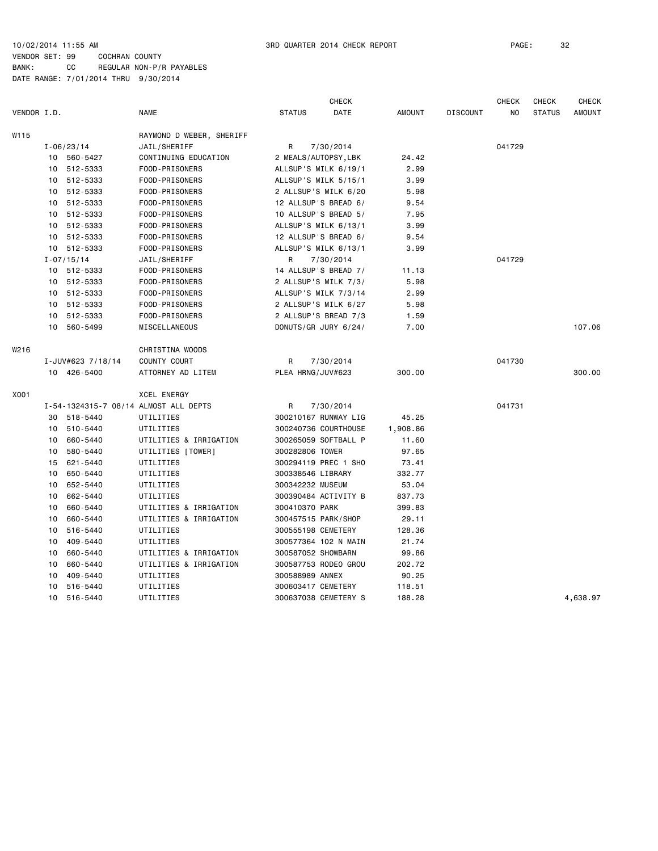|             |                 |                   |                                       |                      | <b>CHECK</b> |               |                 | <b>CHECK</b> | CHECK         | CHECK         |
|-------------|-----------------|-------------------|---------------------------------------|----------------------|--------------|---------------|-----------------|--------------|---------------|---------------|
| VENDOR I.D. |                 |                   | <b>NAME</b>                           | <b>STATUS</b>        | DATE         | <b>AMOUNT</b> | <b>DISCOUNT</b> | NO           | <b>STATUS</b> | <b>AMOUNT</b> |
| W115        |                 |                   | RAYMOND D WEBER, SHERIFF              |                      |              |               |                 |              |               |               |
|             |                 | $I - 06/23/14$    | JAIL/SHERIFF                          | R                    | 7/30/2014    |               |                 | 041729       |               |               |
|             |                 | 10 560-5427       | CONTINUING EDUCATION                  | 2 MEALS/AUTOPSY, LBK |              | 24.42         |                 |              |               |               |
|             |                 | 10 512-5333       | FOOD-PRISONERS                        | ALLSUP'S MILK 6/19/1 |              | 2.99          |                 |              |               |               |
|             |                 | 10 512-5333       | FOOD-PRISONERS                        | ALLSUP'S MILK 5/15/1 |              | 3.99          |                 |              |               |               |
|             | 10              | 512-5333          | FOOD-PRISONERS                        | 2 ALLSUP'S MILK 6/20 |              | 5.98          |                 |              |               |               |
|             | 10              | 512-5333          | FOOD-PRISONERS                        | 12 ALLSUP'S BREAD 6/ |              | 9.54          |                 |              |               |               |
|             |                 | 10 512-5333       | FOOD-PRISONERS                        | 10 ALLSUP'S BREAD 5/ |              | 7.95          |                 |              |               |               |
|             | 10              | 512-5333          | FOOD-PRISONERS                        | ALLSUP'S MILK 6/13/1 |              | 3.99          |                 |              |               |               |
|             |                 | 10 512-5333       | FOOD-PRISONERS                        | 12 ALLSUP'S BREAD 6/ |              | 9.54          |                 |              |               |               |
|             |                 | 10 512-5333       | FOOD-PRISONERS                        | ALLSUP'S MILK 6/13/1 |              | 3.99          |                 |              |               |               |
|             |                 | $I - 07/15/14$    | JAIL/SHERIFF                          | R                    | 7/30/2014    |               |                 | 041729       |               |               |
|             |                 | 10 512-5333       | FOOD-PRISONERS                        | 14 ALLSUP'S BREAD 7/ |              | 11.13         |                 |              |               |               |
|             |                 | 10 512-5333       | FOOD-PRISONERS                        | 2 ALLSUP'S MILK 7/3/ |              | 5.98          |                 |              |               |               |
|             |                 | 10 512-5333       | FOOD-PRISONERS                        | ALLSUP'S MILK 7/3/14 |              | 2.99          |                 |              |               |               |
|             | 10              | 512-5333          | FOOD-PRISONERS                        | 2 ALLSUP'S MILK 6/27 |              | 5.98          |                 |              |               |               |
|             | 10              | 512-5333          | FOOD-PRISONERS                        | 2 ALLSUP'S BREAD 7/3 |              | 1.59          |                 |              |               |               |
|             | 10              | 560-5499          | MISCELLANEOUS                         | DONUTS/GR JURY 6/24/ |              | 7.00          |                 |              |               | 107.06        |
| W216        |                 |                   | CHRISTINA WOODS                       |                      |              |               |                 |              |               |               |
|             |                 | I-JUV#623 7/18/14 | COUNTY COURT                          | R                    | 7/30/2014    |               |                 | 041730       |               |               |
|             |                 | 10 426-5400       | ATTORNEY AD LITEM                     | PLEA HRNG/JUV#623    |              | 300.00        |                 |              |               | 300.00        |
| X001        |                 |                   | XCEL ENERGY                           |                      |              |               |                 |              |               |               |
|             |                 |                   | I-54-1324315-7 08/14 ALMOST ALL DEPTS | R                    | 7/30/2014    |               |                 | 041731       |               |               |
|             | 30              | 518-5440          | UTILITIES                             | 300210167 RUNWAY LIG |              | 45.25         |                 |              |               |               |
|             | 10              | 510-5440          | UTILITIES                             | 300240736 COURTHOUSE |              | 1,908.86      |                 |              |               |               |
|             | 10              | 660-5440          | UTILITIES & IRRIGATION                | 300265059 SOFTBALL P |              | 11.60         |                 |              |               |               |
|             | 10              | 580-5440          | UTILITIES [TOWER]                     | 300282806 TOWER      |              | 97.65         |                 |              |               |               |
|             | 15              | 621-5440          | UTILITIES                             | 300294119 PREC 1 SHO |              | 73.41         |                 |              |               |               |
|             | 10              | 650-5440          | UTILITIES                             | 300338546 LIBRARY    |              | 332.77        |                 |              |               |               |
|             | 10              | 652-5440          | UTILITIES                             | 300342232 MUSEUM     |              | 53.04         |                 |              |               |               |
|             | 10              | 662-5440          | UTILITIES                             | 300390484 ACTIVITY B |              | 837.73        |                 |              |               |               |
|             | 10              | 660-5440          | UTILITIES & IRRIGATION                | 300410370 PARK       |              | 399.83        |                 |              |               |               |
|             | 10              | 660-5440          | UTILITIES & IRRIGATION                | 300457515 PARK/SHOP  |              | 29.11         |                 |              |               |               |
|             | 10              | 516-5440          | UTILITIES                             | 300555198 CEMETERY   |              | 128.36        |                 |              |               |               |
|             | 10              | 409-5440          | UTILITIES                             | 300577364 102 N MAIN |              | 21.74         |                 |              |               |               |
|             | 10              | 660-5440          | UTILITIES & IRRIGATION                | 300587052 SHOWBARN   |              | 99.86         |                 |              |               |               |
|             | 10              | 660-5440          | UTILITIES & IRRIGATION                | 300587753 RODEO GROU |              | 202.72        |                 |              |               |               |
|             | 10              | 409-5440          | UTILITIES                             | 300588989 ANNEX      |              | 90.25         |                 |              |               |               |
|             | 10              | 516-5440          | UTILITIES                             | 300603417 CEMETERY   |              | 118.51        |                 |              |               |               |
|             | 10 <sup>1</sup> | 516-5440          | UTILITIES                             | 300637038 CEMETERY S |              | 188.28        |                 |              |               | 4,638.97      |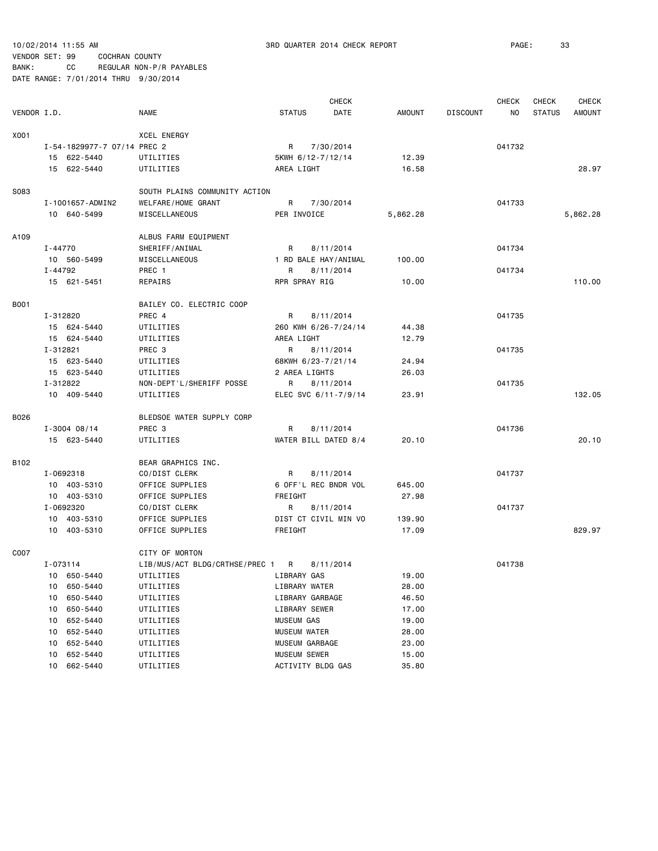| VENDOR I.D. |          |                             | <b>NAME</b>                      | <b>STATUS</b> |                     | <b>CHECK</b><br>DATE | AMOUNT   | <b>DISCOUNT</b> | <b>CHECK</b><br>ΝO | <b>CHECK</b><br><b>STATUS</b> | <b>CHECK</b><br><b>AMOUNT</b> |
|-------------|----------|-----------------------------|----------------------------------|---------------|---------------------|----------------------|----------|-----------------|--------------------|-------------------------------|-------------------------------|
| X001        |          |                             | <b>XCEL ENERGY</b>               |               |                     |                      |          |                 |                    |                               |                               |
|             |          | I-54-1829977-7 07/14 PREC 2 |                                  | R             |                     | 7/30/2014            |          |                 | 041732             |                               |                               |
|             |          | 15 622-5440                 | UTILITIES                        |               |                     | 5KWH 6/12-7/12/14    | 12.39    |                 |                    |                               |                               |
|             |          | 15 622-5440                 | UTILITIES                        |               | AREA LIGHT          |                      | 16.58    |                 |                    |                               | 28.97                         |
|             |          |                             |                                  |               |                     |                      |          |                 |                    |                               |                               |
| S083        |          |                             | SOUTH PLAINS COMMUNITY ACTION    |               |                     |                      |          |                 |                    |                               |                               |
|             |          | I-1001657-ADMIN2            | WELFARE/HOME GRANT               | R             |                     | 7/30/2014            |          |                 | 041733             |                               |                               |
|             |          | 10 640-5499                 | MISCELLANEOUS                    |               | PER INVOICE         |                      | 5,862.28 |                 |                    |                               | 5,862.28                      |
|             |          |                             |                                  |               |                     |                      |          |                 |                    |                               |                               |
| A109        |          |                             | ALBUS FARM EQUIPMENT             |               |                     |                      |          |                 |                    |                               |                               |
|             | I-44770  |                             | SHERIFF/ANIMAL                   | R             |                     | 8/11/2014            |          |                 | 041734             |                               |                               |
|             |          | 10 560-5499                 | MISCELLANEOUS                    |               |                     | 1 RD BALE HAY/ANIMAL | 100.00   |                 |                    |                               |                               |
|             | I-44792  |                             | PREC 1                           | R             |                     | 8/11/2014            |          |                 | 041734             |                               |                               |
|             |          | 15 621-5451                 | REPAIRS                          |               | RPR SPRAY RIG       |                      | 10.00    |                 |                    |                               | 110.00                        |
| <b>B001</b> |          |                             | BAILEY CO. ELECTRIC COOP         |               |                     |                      |          |                 |                    |                               |                               |
|             | I-312820 |                             | PREC 4                           | R             |                     | 8/11/2014            |          |                 | 041735             |                               |                               |
|             |          | 15 624-5440                 | UTILITIES                        |               |                     | 260 KWH 6/26-7/24/14 | 44.38    |                 |                    |                               |                               |
|             |          | 15 624-5440                 | UTILITIES                        |               | AREA LIGHT          |                      | 12.79    |                 |                    |                               |                               |
|             | I-312821 |                             | PREC 3                           | R             |                     | 8/11/2014            |          |                 | 041735             |                               |                               |
|             |          | 15 623-5440                 | UTILITIES                        |               |                     | 68KWH 6/23-7/21/14   | 24.94    |                 |                    |                               |                               |
|             |          | 15 623-5440                 | UTILITIES                        |               | 2 AREA LIGHTS       |                      | 26.03    |                 |                    |                               |                               |
|             | I-312822 |                             | NON-DEPT'L/SHERIFF POSSE         | R             |                     | 8/11/2014            |          |                 | 041735             |                               |                               |
|             |          | 10 409-5440                 | UTILITIES                        |               |                     | ELEC SVC 6/11-7/9/14 | 23.91    |                 |                    |                               | 132.05                        |
|             |          |                             |                                  |               |                     |                      |          |                 |                    |                               |                               |
| B026        |          |                             | BLEDSOE WATER SUPPLY CORP        |               |                     |                      |          |                 |                    |                               |                               |
|             |          | $I - 3004 08/14$            | PREC 3                           | R             |                     | 8/11/2014            |          |                 | 041736             |                               |                               |
|             |          | 15 623-5440                 | UTILITIES                        |               |                     | WATER BILL DATED 8/4 | 20.10    |                 |                    |                               | 20.10                         |
| B102        |          |                             | BEAR GRAPHICS INC.               |               |                     |                      |          |                 |                    |                               |                               |
|             |          | I-0692318                   | CO/DIST CLERK                    | R             |                     | 8/11/2014            |          |                 | 041737             |                               |                               |
|             |          | 10 403-5310                 | OFFICE SUPPLIES                  |               |                     | 6 OFF'L REC BNDR VOL | 645.00   |                 |                    |                               |                               |
|             |          | 10 403-5310                 | OFFICE SUPPLIES                  | FREIGHT       |                     |                      | 27.98    |                 |                    |                               |                               |
|             |          | I-0692320                   | CO/DIST CLERK                    | R             |                     | 8/11/2014            |          |                 | 041737             |                               |                               |
|             |          | 10 403-5310                 | OFFICE SUPPLIES                  |               |                     | DIST CT CIVIL MIN VO | 139.90   |                 |                    |                               |                               |
|             |          | 10 403-5310                 | OFFICE SUPPLIES                  | FREIGHT       |                     |                      | 17.09    |                 |                    |                               | 829.97                        |
|             |          |                             |                                  |               |                     |                      |          |                 |                    |                               |                               |
| C007        |          |                             | CITY OF MORTON                   |               |                     |                      |          |                 |                    |                               |                               |
|             | I-073114 |                             | LIB/MUS/ACT BLDG/CRTHSE/PREC 1 R |               |                     | 8/11/2014            |          |                 | 041738             |                               |                               |
|             |          | 10 650-5440                 | UTILITIES<br>LIBRARY GAS         |               |                     |                      | 19.00    |                 |                    |                               |                               |
|             | 10       | 650-5440                    | UTILITIES                        |               | LIBRARY WATER       |                      | 28.00    |                 |                    |                               |                               |
|             | 10       | 650-5440                    | UTILITIES                        |               | LIBRARY GARBAGE     |                      | 46.50    |                 |                    |                               |                               |
|             | 10       | 650-5440                    | UTILITIES                        |               | LIBRARY SEWER       |                      | 17.00    |                 |                    |                               |                               |
|             | 10       | 652-5440                    | UTILITIES                        |               | MUSEUM GAS          |                      | 19.00    |                 |                    |                               |                               |
|             | 10       | 652-5440                    | UTILITIES                        |               | <b>MUSEUM WATER</b> |                      | 28.00    |                 |                    |                               |                               |
|             | 10       | 652-5440                    | UTILITIES                        |               | MUSEUM GARBAGE      |                      | 23.00    |                 |                    |                               |                               |
|             | 10       | 652-5440                    | UTILITIES                        |               | MUSEUM SEWER        |                      | 15.00    |                 |                    |                               |                               |
|             | 10       | 662-5440                    | UTILITIES                        |               |                     | ACTIVITY BLDG GAS    | 35.80    |                 |                    |                               |                               |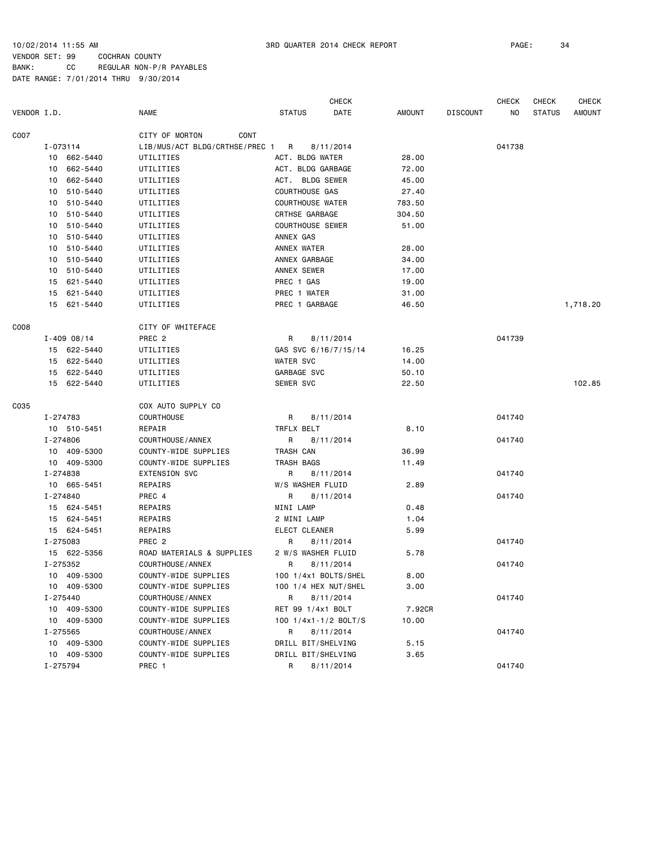CHECK CHECK CHECK CHECK VENDOR I.D. NAME STATUS DATE AMOUNT DISCOUNT NO STATUS AMOUNT C007 CONT CITY OF MORTON CONT I-073114 LIB/MUS/ACT BLDG/CRTHSE/PREC 1 R 8/11/2014 041738 10 662-5440 UTILITIES ACT. BLDG WATER 28.00 10 662-5440 UTILITIES ACT. BLDG GARBAGE 72.00 10 662-5440 UTILITIES ACT. BLDG SEWER 45.00 10 510-5440 UTILITIES COURTHOUSE GAS 27.40 10 510-5440 UTILITIES COURTHOUSE WATER 783.50 10 510-5440 UTILITIES CRTHSE GARBAGE 304.50 10 510-5440 UTILITIES COURTHOUSE SEWER 51.00 10 510-5440 UTILITIES ANNEX GAS 10 510-5440 UTILITIES ANNEX WATER 28.00 10 510-5440 UTILITIES ANNEX GARBAGE 34.00 10 510-5440 UTILITIES ANNEX SEWER 17.00 15 621-5440 UTILITIES PREC 1 GAS 19.00 15 621-5440 UTILITIES PREC 1 WATER 31.00 15 621-5440 UTILITIES PREC 1 GARBAGE 46.50 1,718.20 C008 COOS CITY OF WHITEFACE I-409 08/14 PREC 2 R 8/11/2014 041739 15 622-5440 UTILITIES GAS SVC 6/16/7/15/14 16.25 15 622-5440 UTILITIES WATER SVC 14.00 15 622-5440 UTILITIES GARBAGE SVC 50.10 15 622-5440 UTILITIES SEWER SVC 22.50 102.85 C035 COX AUTO SUPPLY CO I-274783 COURTHOUSE R 8/11/2014 041740 10 510-5451 REPAIR TRFLX BELT 8.10 I-274806 COURTHOUSE/ANNEX R 8/11/2014 041740 10 409-5300 COUNTY-WIDE SUPPLIES TRASH CAN 36.99 10 409-5300 COUNTY-WIDE SUPPLIES TRASH BAGS 11.49 I-274838 EXTENSION SVC R 8/11/2014 041740 10 665-5451 REPAIRS W/S WASHER FLUID 2.89 I-274840 PREC 4 R 8/11/2014 041740 15 624-5451 REPAIRS MINI LAMP 0.48 15 624-5451 REPAIRS 2 MINI LAMP 1.04 15 624-5451 REPAIRS ELECT CLEANER 5.99 I-275083 PREC 2 R 8/11/2014 041740 15 622-5356 ROAD MATERIALS & SUPPLIES 2 W/S WASHER FLUID 5.78 I-275352 COURTHOUSE/ANNEX R 8/11/2014 041740 10 409-5300 COUNTY-WIDE SUPPLIES 100 1/4x1 BOLTS/SHEL 8.00 10 409-5300 COUNTY-WIDE SUPPLIES 100 1/4 HEX NUT/SHEL 3.00 I-275440 COURTHOUSE/ANNEX R 8/11/2014 041740 10 409-5300 COUNTY-WIDE SUPPLIES RET 99 1/4x1 BOLT 7.92CR 10 409-5300 COUNTY-WIDE SUPPLIES 100 1/4x1-1/2 BOLT/S 10.00 I-275565 COURTHOUSE/ANNEX R 8/11/2014 041740 10 409-5300 COUNTY-WIDE SUPPLIES DRILL BIT/SHELVING 5.15 10 409-5300 COUNTY-WIDE SUPPLIES DRILL BIT/SHELVING 3.65 I-275794 PREC 1 R 8/11/2014 041740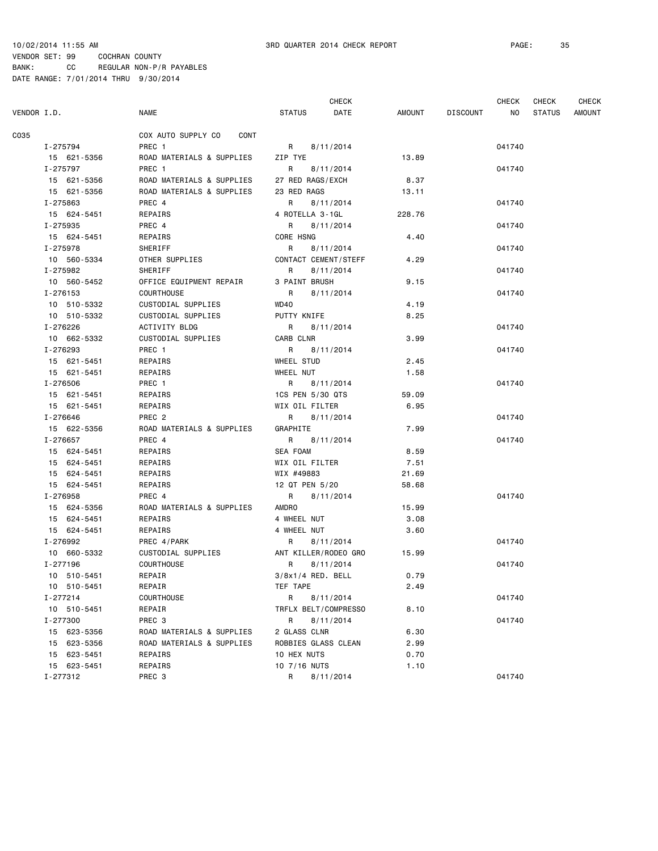|             |              |                            | <b>CHECK</b>        |                      |        | CHECK           | CHECK  | <b>CHECK</b>  |        |
|-------------|--------------|----------------------------|---------------------|----------------------|--------|-----------------|--------|---------------|--------|
| VENDOR I.D. |              | <b>NAME</b>                | <b>STATUS</b>       | DATE                 | AMOUNT | <b>DISCOUNT</b> | NO.    | <b>STATUS</b> | AMOUNT |
| C035        |              | COX AUTO SUPPLY CO<br>CONT |                     |                      |        |                 |        |               |        |
|             | I-275794     | PREC 1                     | R                   | 8/11/2014            |        |                 | 041740 |               |        |
|             | 15 621-5356  | ROAD MATERIALS & SUPPLIES  | ZIP TYE             |                      | 13.89  |                 |        |               |        |
|             | I-275797     | PREC <sub>1</sub>          | R                   | 8/11/2014            |        |                 | 041740 |               |        |
|             | 15 621-5356  | ROAD MATERIALS & SUPPLIES  | 27 RED RAGS/EXCH    |                      | 8.37   |                 |        |               |        |
|             | 15 621-5356  | ROAD MATERIALS & SUPPLIES  | 23 RED RAGS         |                      | 13.11  |                 |        |               |        |
|             | I-275863     | PREC 4                     | R                   | 8/11/2014            |        |                 | 041740 |               |        |
|             | 15 624-5451  | REPAIRS                    | 4 ROTELLA 3-1GL     |                      | 228.76 |                 |        |               |        |
|             | I-275935     | PREC 4                     | R                   | 8/11/2014            |        |                 | 041740 |               |        |
|             | 15 624-5451  | REPAIRS                    | CORE HSNG           |                      | 4.40   |                 |        |               |        |
|             | I-275978     | <b>SHERIFF</b>             | R                   | 8/11/2014            |        |                 | 041740 |               |        |
|             | 10 560-5334  | OTHER SUPPLIES             |                     | CONTACT CEMENT/STEFF | 4.29   |                 |        |               |        |
|             | I-275982     | SHERIFF                    | R                   | 8/11/2014            |        |                 | 041740 |               |        |
|             | 10 560-5452  | OFFICE EQUIPMENT REPAIR    | 3 PAINT BRUSH       |                      | 9.15   |                 |        |               |        |
|             | I-276153     | <b>COURTHOUSE</b>          | R                   | 8/11/2014            |        |                 | 041740 |               |        |
|             | 10 510-5332  | CUSTODIAL SUPPLIES         | WD40                |                      | 4.19   |                 |        |               |        |
|             | 10 510-5332  | CUSTODIAL SUPPLIES         | PUTTY KNIFE         |                      | 8.25   |                 |        |               |        |
|             | I-276226     | ACTIVITY BLDG              | R                   | 8/11/2014            |        |                 | 041740 |               |        |
|             | 10 662-5332  | <b>CUSTODIAL SUPPLIES</b>  | CARB CLNR           |                      | 3.99   |                 |        |               |        |
|             | I-276293     | PREC 1                     | $\mathsf{R}$        | 8/11/2014            |        |                 | 041740 |               |        |
|             | 15 621-5451  | REPAIRS                    | WHEEL STUD          |                      | 2.45   |                 |        |               |        |
|             | 15 621-5451  | REPAIRS                    | WHEEL NUT           |                      | 1.58   |                 |        |               |        |
|             | I-276506     | PREC 1                     | R                   | 8/11/2014            |        |                 | 041740 |               |        |
|             | 15 621-5451  | REPAIRS                    | 1CS PEN 5/30 QTS    |                      | 59.09  |                 |        |               |        |
|             | 15 621-5451  | REPAIRS                    | WIX OIL FILTER      |                      | 6.95   |                 |        |               |        |
|             | I-276646     | PREC <sub>2</sub>          | R                   | 8/11/2014            |        |                 | 041740 |               |        |
|             | 15 622-5356  | ROAD MATERIALS & SUPPLIES  | GRAPHITE            |                      | 7.99   |                 |        |               |        |
|             | I-276657     | PREC 4                     | R                   | 8/11/2014            |        |                 | 041740 |               |        |
|             | 15 624-5451  | REPAIRS                    | SEA FOAM            |                      | 8.59   |                 |        |               |        |
|             | 15 624-5451  | REPAIRS                    | WIX OIL FILTER      |                      | 7.51   |                 |        |               |        |
|             | 15 624-5451  | REPAIRS                    | WIX #49883          |                      | 21.69  |                 |        |               |        |
|             | 15 624-5451  | REPAIRS                    | 12 QT PEN 5/20      |                      | 58.68  |                 |        |               |        |
|             | I-276958     | PREC 4                     | R                   | 8/11/2014            |        |                 | 041740 |               |        |
|             | 15 624-5356  | ROAD MATERIALS & SUPPLIES  | AMDRO               |                      | 15.99  |                 |        |               |        |
|             | 15 624-5451  | REPAIRS                    | 4 WHEEL NUT         |                      | 3.08   |                 |        |               |        |
|             | 15 624-5451  | REPAIRS                    | 4 WHEEL NUT         |                      | 3.60   |                 |        |               |        |
|             | I-276992     | PREC 4/PARK                | R                   | 8/11/2014            |        |                 | 041740 |               |        |
|             | 10 660-5332  | CUSTODIAL SUPPLIES         |                     | ANT KILLER/RODEO GRO | 15.99  |                 |        |               |        |
|             | I-277196     | <b>COURTHOUSE</b>          | R                   | 8/11/2014            |        |                 | 041740 |               |        |
|             | 10 510-5451  | REPAIR                     | 3/8x1/4 RED. BELL   |                      | 0.79   |                 |        |               |        |
|             | 10 510-5451  | REPAIR                     | TEF TAPE            |                      | 2.49   |                 |        |               |        |
|             | $I - 277214$ | COURTHOUSE                 | R                   | 8/11/2014            |        |                 | 041740 |               |        |
|             | 10 510-5451  | REPAIR                     |                     | TRFLX BELT/COMPRESSO | 8.10   |                 |        |               |        |
|             | I-277300     | PREC 3                     | R                   | 8/11/2014            |        |                 | 041740 |               |        |
|             | 15 623-5356  | ROAD MATERIALS & SUPPLIES  | 2 GLASS CLNR        |                      | 6.30   |                 |        |               |        |
|             | 15 623-5356  | ROAD MATERIALS & SUPPLIES  | ROBBIES GLASS CLEAN |                      | 2.99   |                 |        |               |        |
|             | 15 623-5451  | REPAIRS                    | 10 HEX NUTS         |                      | 0.70   |                 |        |               |        |
|             | 15 623-5451  | REPAIRS                    | 10 7/16 NUTS        |                      | 1.10   |                 |        |               |        |
|             | I-277312     | PREC 3                     | R                   | 8/11/2014            |        |                 | 041740 |               |        |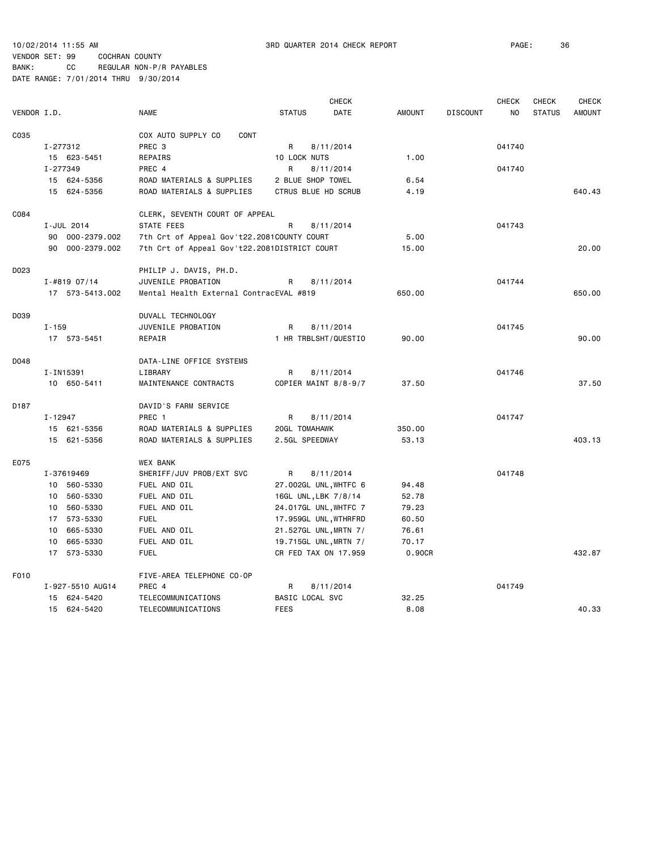|             |           |                  |                                              |                 | <b>CHECK</b>          |               |                 | <b>CHECK</b>   | <b>CHECK</b>  | <b>CHECK</b>  |
|-------------|-----------|------------------|----------------------------------------------|-----------------|-----------------------|---------------|-----------------|----------------|---------------|---------------|
| VENDOR I.D. |           |                  | <b>NAME</b>                                  | <b>STATUS</b>   | <b>DATE</b>           | <b>AMOUNT</b> | <b>DISCOUNT</b> | N <sub>O</sub> | <b>STATUS</b> | <b>AMOUNT</b> |
| C035        |           |                  | COX AUTO SUPPLY CO<br>CONT                   |                 |                       |               |                 |                |               |               |
|             | I-277312  |                  | PREC 3                                       | R               | 8/11/2014             |               |                 | 041740         |               |               |
|             |           | 15 623-5451      | REPAIRS                                      | 10 LOCK NUTS    |                       | 1.00          |                 |                |               |               |
|             | I-277349  |                  | PREC 4                                       | R               | 8/11/2014             |               |                 | 041740         |               |               |
|             |           | 15 624-5356      | ROAD MATERIALS & SUPPLIES                    |                 | 2 BLUE SHOP TOWEL     | 6.54          |                 |                |               |               |
|             |           | 15 624-5356      | ROAD MATERIALS & SUPPLIES                    |                 | CTRUS BLUE HD SCRUB   | 4.19          |                 |                |               | 640.43        |
| C084        |           |                  | CLERK, SEVENTH COURT OF APPEAL               |                 |                       |               |                 |                |               |               |
|             |           | I-JUL 2014       | STATE FEES                                   | R               | 8/11/2014             |               |                 | 041743         |               |               |
|             |           | 90 000-2379.002  | 7th Crt of Appeal Gov't22.2081COUNTY COURT   |                 |                       | 5.00          |                 |                |               |               |
|             |           | 90 000-2379.002  | 7th Crt of Appeal Gov't22.2081DISTRICT COURT |                 |                       | 15.00         |                 |                |               | 20.00         |
| D023        |           |                  | PHILIP J. DAVIS, PH.D.                       |                 |                       |               |                 |                |               |               |
|             |           | $I - #81907/14$  | JUVENILE PROBATION                           | R               | 8/11/2014             |               |                 | 041744         |               |               |
|             |           | 17 573-5413.002  | Mental Health External ContracEVAL #819      |                 |                       | 650.00        |                 |                |               | 650.00        |
|             |           |                  |                                              |                 |                       |               |                 |                |               |               |
| D039        |           |                  | DUVALL TECHNOLOGY                            |                 |                       |               |                 |                |               |               |
|             | $I - 159$ |                  | JUVENILE PROBATION                           | R               | 8/11/2014             |               |                 | 041745         |               |               |
|             |           | 17 573-5451      | REPAIR                                       |                 | 1 HR TRBLSHT/QUESTIO  | 90.00         |                 |                |               | 90.00         |
| D048        |           |                  | DATA-LINE OFFICE SYSTEMS                     |                 |                       |               |                 |                |               |               |
|             |           | I-IN15391        | LIBRARY                                      | R               | 8/11/2014             |               |                 | 041746         |               |               |
|             |           | 10 650-5411      | MAINTENANCE CONTRACTS                        |                 | COPIER MAINT 8/8-9/7  | 37.50         |                 |                |               | 37.50         |
| D187        |           |                  | DAVID'S FARM SERVICE                         |                 |                       |               |                 |                |               |               |
|             | I-12947   |                  | PREC 1                                       | R               | 8/11/2014             |               |                 | 041747         |               |               |
|             |           | 15 621-5356      | ROAD MATERIALS & SUPPLIES                    | 20GL TOMAHAWK   |                       | 350.00        |                 |                |               |               |
|             |           | 15 621-5356      | ROAD MATERIALS & SUPPLIES                    | 2.5GL SPEEDWAY  |                       | 53.13         |                 |                |               | 403.13        |
| E075        |           |                  | <b>WEX BANK</b>                              |                 |                       |               |                 |                |               |               |
|             |           | I-37619469       | SHERIFF/JUV PROB/EXT SVC                     | R               | 8/11/2014             |               |                 | 041748         |               |               |
|             |           | 10 560-5330      | FUEL AND OIL                                 |                 | 27.002GL UNL, WHTFC 6 | 94.48         |                 |                |               |               |
|             |           | 10 560-5330      | FUEL AND OIL                                 |                 | 16GL UNL, LBK 7/8/14  | 52.78         |                 |                |               |               |
|             |           | 10 560-5330      | FUEL AND OIL                                 |                 | 24.017GL UNL, WHTFC 7 | 79.23         |                 |                |               |               |
|             |           | 17 573-5330      | <b>FUEL</b>                                  |                 | 17.959GL UNL, WTHRFRD | 60.50         |                 |                |               |               |
|             |           | 10 665-5330      | FUEL AND OIL                                 |                 | 21.527GL UNL, MRTN 7/ | 76.61         |                 |                |               |               |
|             |           | 10 665-5330      | FUEL AND OIL                                 |                 | 19.715GL UNL, MRTN 7/ | 70.17         |                 |                |               |               |
|             |           | 17 573-5330      | <b>FUEL</b>                                  |                 | CR FED TAX ON 17.959  | 0.90CR        |                 |                |               | 432.87        |
| F010        |           |                  | FIVE-AREA TELEPHONE CO-OP                    |                 |                       |               |                 |                |               |               |
|             |           | I-927-5510 AUG14 | PREC 4                                       | R               | 8/11/2014             |               |                 | 041749         |               |               |
|             |           | 15 624-5420      | TELECOMMUNICATIONS                           | BASIC LOCAL SVC |                       | 32.25         |                 |                |               |               |
|             |           | 15 624-5420      | TELECOMMUNICATIONS                           | <b>FEES</b>     |                       | 8.08          |                 |                |               | 40.33         |
|             |           |                  |                                              |                 |                       |               |                 |                |               |               |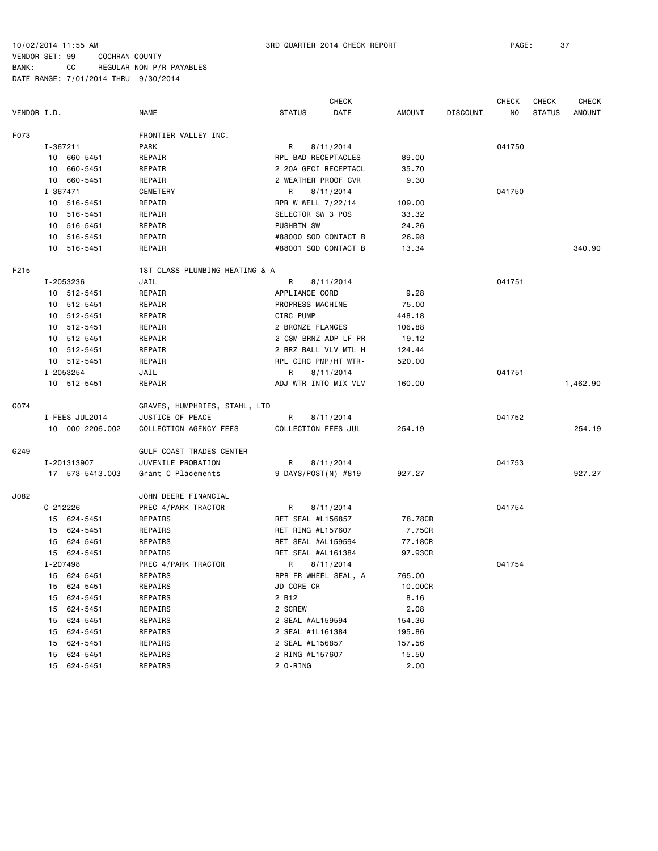|             |                 |                                |                          | <b>CHECK</b> |         |                 | <b>CHECK</b> | <b>CHECK</b>  | <b>CHECK</b>  |
|-------------|-----------------|--------------------------------|--------------------------|--------------|---------|-----------------|--------------|---------------|---------------|
| VENDOR I.D. |                 | NAME                           | <b>STATUS</b>            | DATE         | AMOUNT  | <b>DISCOUNT</b> | NO           | <b>STATUS</b> | <b>AMOUNT</b> |
| F073        |                 | FRONTIER VALLEY INC.           |                          |              |         |                 |              |               |               |
|             | I-367211        | <b>PARK</b>                    | R                        | 8/11/2014    |         |                 | 041750       |               |               |
|             | 10 660-5451     | REPAIR                         | RPL BAD RECEPTACLES      |              | 89.00   |                 |              |               |               |
|             | 10 660-5451     | REPAIR                         | 2 20A GFCI RECEPTACL     |              | 35.70   |                 |              |               |               |
|             | 10 660-5451     | REPAIR                         | 2 WEATHER PROOF CVR      |              | 9.30    |                 |              |               |               |
|             | $I - 367471$    | CEMETERY                       | R                        | 8/11/2014    |         |                 | 041750       |               |               |
|             | 10 516-5451     | REPAIR                         | RPR W WELL 7/22/14       |              | 109.00  |                 |              |               |               |
|             | 10 516-5451     | REPAIR                         | <b>SELECTOR SW 3 POS</b> |              | 33.32   |                 |              |               |               |
|             | 10 516-5451     | REPAIR                         | PUSHBTN SW               |              | 24.26   |                 |              |               |               |
|             | 10 516-5451     | REPAIR                         | #88000 SQD CONTACT B     |              | 26.98   |                 |              |               |               |
|             | 10 516-5451     | REPAIR                         | #88001 SQD CONTACT B     |              | 13.34   |                 |              |               | 340.90        |
| F215        |                 | 1ST CLASS PLUMBING HEATING & A |                          |              |         |                 |              |               |               |
|             | I-2053236       | JAIL                           | R                        | 8/11/2014    |         |                 | 041751       |               |               |
|             | 10 512-5451     | REPAIR                         | APPLIANCE CORD           |              | 9.28    |                 |              |               |               |
|             | 10 512-5451     | REPAIR                         | PROPRESS MACHINE         |              | 75.00   |                 |              |               |               |
|             | 10 512-5451     | REPAIR                         | CIRC PUMP                |              | 448.18  |                 |              |               |               |
|             | 10 512-5451     | REPAIR                         | 2 BRONZE FLANGES         |              | 106.88  |                 |              |               |               |
|             | 10 512-5451     | REPAIR                         | 2 CSM BRNZ ADP LF PR     |              | 19.12   |                 |              |               |               |
|             | 10 512-5451     | REPAIR                         | 2 BRZ BALL VLV MTL H     |              | 124.44  |                 |              |               |               |
|             | 10 512-5451     | REPAIR                         | RPL CIRC PMP/HT WTR-     |              | 520.00  |                 |              |               |               |
|             | I-2053254       | JAIL                           | R                        | 8/11/2014    |         |                 | 041751       |               |               |
|             | 10 512-5451     | REPAIR                         | ADJ WTR INTO MIX VLV     |              | 160.00  |                 |              |               | 1,462.90      |
| G074        |                 | GRAVES, HUMPHRIES, STAHL, LTD  |                          |              |         |                 |              |               |               |
|             | I-FEES JUL2014  | JUSTICE OF PEACE               | R                        | 8/11/2014    |         |                 | 041752       |               |               |
|             | 10 000-2206.002 | COLLECTION AGENCY FEES         | COLLECTION FEES JUL      |              | 254.19  |                 |              |               | 254.19        |
| G249        |                 | GULF COAST TRADES CENTER       |                          |              |         |                 |              |               |               |
|             | I-201313907     | JUVENILE PROBATION             | R                        | 8/11/2014    |         |                 | 041753       |               |               |
|             | 17 573-5413.003 | Grant C Placements             | 9 DAYS/POST(N) #819      |              | 927.27  |                 |              |               | 927.27        |
| J082        |                 | JOHN DEERE FINANCIAL           |                          |              |         |                 |              |               |               |
|             | $C - 212226$    | PREC 4/PARK TRACTOR            | R                        | 8/11/2014    |         |                 | 041754       |               |               |
|             | 15 624-5451     | REPAIRS                        | RET SEAL #L156857        |              | 78.78CR |                 |              |               |               |
|             | 15 624-5451     | REPAIRS                        | RET RING #L157607        |              | 7.75CR  |                 |              |               |               |
|             | 15 624-5451     | REPAIRS                        | RET SEAL #AL159594       |              | 77.18CR |                 |              |               |               |
|             | 15 624-5451     | REPAIRS                        | RET SEAL #AL161384       |              | 97.93CR |                 |              |               |               |
|             | I-207498        | PREC 4/PARK TRACTOR            | R                        | 8/11/2014    |         |                 | 041754       |               |               |
|             | 15 624-5451     | REPAIRS                        | RPR FR WHEEL SEAL, A     |              | 765.00  |                 |              |               |               |
|             | 624-5451<br>15  | REPAIRS                        | JD CORE CR               |              | 10.00CR |                 |              |               |               |
|             | 624-5451<br>15  | REPAIRS                        | 2 B12                    |              | 8.16    |                 |              |               |               |
|             | 624-5451<br>15  | REPAIRS                        | 2 SCREW                  |              | 2.08    |                 |              |               |               |
|             | 15<br>624-5451  | REPAIRS                        | 2 SEAL #AL159594         |              | 154.36  |                 |              |               |               |
|             | 624-5451<br>15  | REPAIRS                        | 2 SEAL #1L161384         |              | 195.86  |                 |              |               |               |
|             | 624-5451<br>15  | REPAIRS                        | 2 SEAL #L156857          |              | 157.56  |                 |              |               |               |
|             | 624-5451<br>15  | REPAIRS                        | 2 RING #L157607          |              | 15.50   |                 |              |               |               |
|             | 624-5451<br>15  | REPAIRS                        | 2 O-RING                 |              | 2.00    |                 |              |               |               |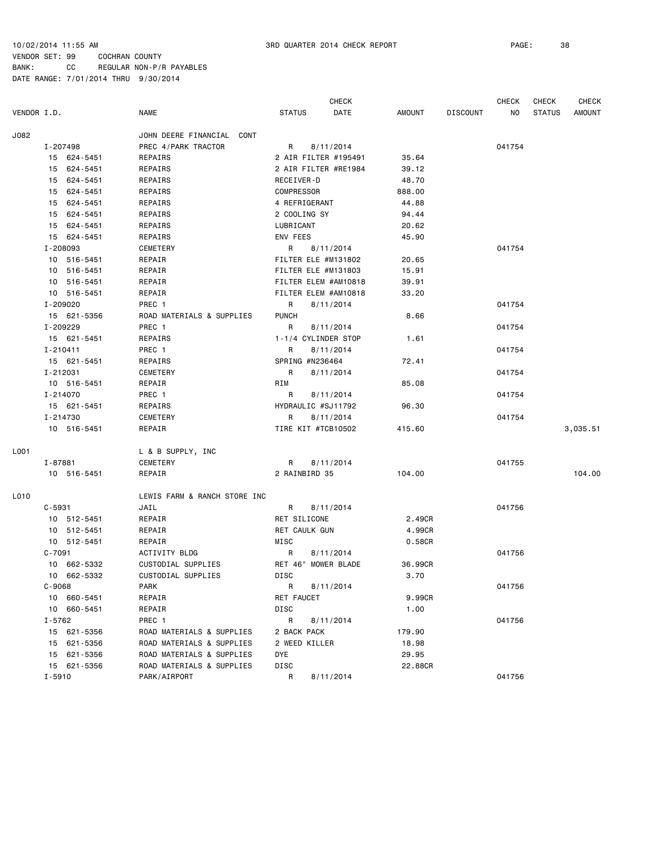CHECK CHECK CHECK CHECK VENDOR I.D. NAME STATUS DATE AMOUNT DISCOUNT NO STATUS AMOUNT J082 JOHN DEERE FINANCIAL CONT I-207498 PREC 4/PARK TRACTOR R 8/11/2014 041754 15 624-5451 REPAIRS 2 AIR FILTER #195491 35.64 15 624-5451 REPAIRS 2 AIR FILTER #RE1984 39.12 15 624-5451 REPAIRS RECEIVER-D 48.70 15 624-5451 REPAIRS COMPRESSOR 888.00 15 624-5451 REPAIRS 4 REFRIGERANT 44.88 15 624-5451 REPAIRS 2 COOLING SY 94.44 15 624-5451 REPAIRS LUBRICANT 20.62 15 624-5451 REPAIRS ENV FEES 45.90 I-208093 CEMETERY R 8/11/2014 041754 10 516-5451 REPAIR FILTER ELE #M131802 20.65 10 516-5451 REPAIR FILTER ELE #M131803 15.91 10 516-5451 REPAIR FILTER ELEM #AM10818 39.91 10 516-5451 REPAIR FILTER ELEM #AM10818 33.20 I-209020 PREC 1 R 8/11/2014 2010 201754 15 621-5356 ROAD MATERIALS & SUPPLIES PUNCH 8.66 I-209229 PREC 1 R 8/11/2014 041754 15 621-5451 REPAIRS 1-1/4 CYLINDER STOP 1.61 I-210411 PREC 1 R 8/11/2014 041754 15 621-5451 REPAIRS SPRING #N236464 72.41 I-212031 CEMETERY R 8/11/2014 041754 10 516-5451 REPAIR RIM 85.08 I-214070 PREC 1 R 8/11/2014 PREC 1 R 911/2014 15 621-5451 REPAIRS HYDRAULIC #SJ11792 96.30 I-214730 CEMETERY R 8/11/2014 041754 10 516-5451 REPAIR TIRE KIT #TCB10502 415.60 3,035.51 L001 L & B SUPPLY, INC I-87881 CEMETERY R 8/11/2014 041755 10 516-5451 REPAIR 2 RAINBIRD 35 104.00 104.00 L010 LEWIS FARM & RANCH STORE INC C-5931 JAIL JAIL R 8/11/2014 2014 041756 10 512-5451 REPAIR RET SILICONE 2.49CR 10 512-5451 REPAIR RET CAULK GUN 4.99CR 10 512-5451 REPAIR MISC 0.58CR C-7091 ACTIVITY BLDG R 8/11/2014 041756 10 662-5332 CUSTODIAL SUPPLIES RET 46" MOWER BLADE 36.99CR 10 662-5332 CUSTODIAL SUPPLIES DISC 3.70 C-9068 PARK R 8/11/2014 041756 10 660-5451 REPAIR RET FAUCET 9.99CR 10 660-5451 REPAIR DISC 1.00 I-5762 PREC 1 R 8/11/2014 041756 15 621-5356 ROAD MATERIALS & SUPPLIES 2 BACK PACK 179.90 ROAD MATERIALS & SUPPLIES 2 WEED KILLER 18.98 15 621-5356 ROAD MATERIALS & SUPPLIES DYE 29.95 15 621-5356 ROAD MATERIALS & SUPPLIES DISC 22.88CR I-5910 PARK/AIRPORT R 8/11/2014 041756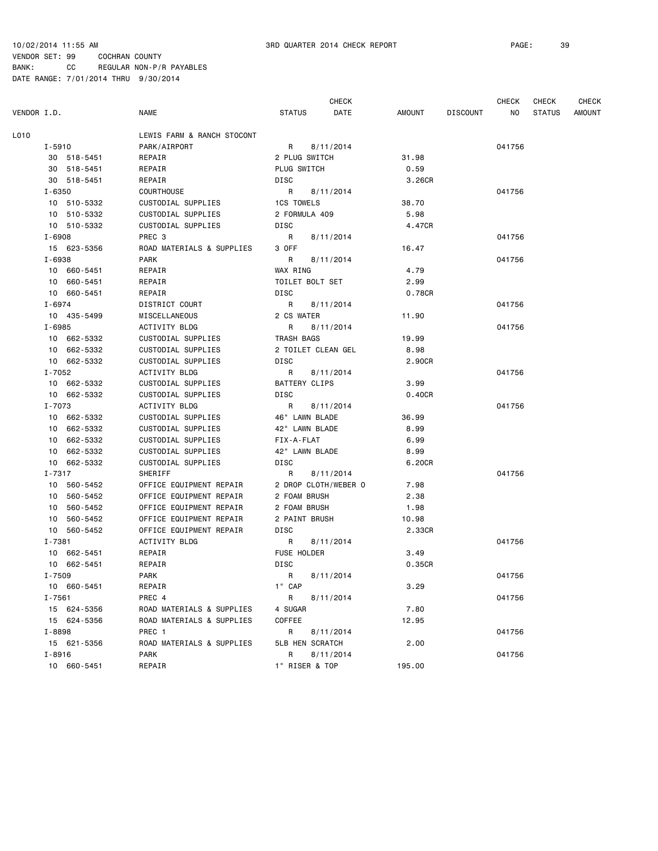CHECK CHECK CHECK CHECK VENDOR I.D. NAME STATUS DATE AMOUNT DISCOUNT NO STATUS AMOUNT L010 LEWIS FARM & RANCH STOCONT I-5910 PARK/AIRPORT R 8/11/2014 041756 30 518-5451 REPAIR 2 PLUG SWITCH 31.98 30 518-5451 REPAIR PLUG SWITCH 0.59 30 518-5451 REPAIR DISC 3.26CR I-6350 COURTHOUSE R 8/11/2014 041756 10 510-5332 CUSTODIAL SUPPLIES 1CS TOWELS 38.70 10 510-5332 CUSTODIAL SUPPLIES 2 FORMULA 409 5.98 10 510-5332 CUSTODIAL SUPPLIES DISC 4.47CR I-6908 PREC 3 R 8/11/2014 041756 15 623-5356 ROAD MATERIALS & SUPPLIES 3 OFF 16.47 I-6938 PARK R 8/11/2014 041756 10 660-5451 REPAIR WAX RING 4.79 10 660-5451 REPAIR TOILET BOLT SET 2.99 10 660-5451 REPAIR DISC 0.78CR I-6974 DISTRICT COURT R 8/11/2014 2014 041756 10 435-5499 MISCELLANEOUS 2 CS WATER 11.90 I-6985 ACTIVITY BLDG R 8/11/2014 041756 10 662-5332 CUSTODIAL SUPPLIES TRASH BAGS 19.99 10 662-5332 CUSTODIAL SUPPLIES 2 TOILET CLEAN GEL 8.98 10 662-5332 CUSTODIAL SUPPLIES DISC 2.90CR I-7052 ACTIVITY BLDG R 8/11/2014 041756 10 662-5332 CUSTODIAL SUPPLIES BATTERY CLIPS 3.99 10 662-5332 CUSTODIAL SUPPLIES DISC 0.40CR I-7073 ACTIVITY BLDG R 8/11/2014 041756 10 662-5332 CUSTODIAL SUPPLIES 46" LAWN BLADE 36.99 10 662-5332 CUSTODIAL SUPPLIES 42" LAWN BLADE 8.99 10 662-5332 CUSTODIAL SUPPLIES FIX-A-FLAT 6.99 10 662-5332 CUSTODIAL SUPPLIES 42" LAWN BLADE 8.99 10 662-5332 CUSTODIAL SUPPLIES DISC 6.20CR I-7317 SHERIFF R 8/11/2014 041756 10 560-5452 OFFICE EQUIPMENT REPAIR 2 DROP CLOTH/WEBER O 7.98 10 560-5452 OFFICE EQUIPMENT REPAIR 2 FOAM BRUSH 2.38 10 560-5452 OFFICE EQUIPMENT REPAIR 2 FOAM BRUSH 1.98 10 560-5452 OFFICE EQUIPMENT REPAIR 2 PAINT BRUSH 10.98 10 560-5452 OFFICE EQUIPMENT REPAIR DISC 2.33CR I-7381 ACTIVITY BLDG R 8/11/2014 041756 10 662-5451 REPAIR FUSE HOLDER 3.49 10 662-5451 REPAIR DISC 0.35CR I-7509 PARK R 8/11/2014 041756 10 660-5451 REPAIR 1" CAP 3.29 I-7561 PREC 4 R 8/11/2014 2011 2014 041756 15 624-5356 ROAD MATERIALS & SUPPLIES 4 SUGAR 7.80 15 624-5356 ROAD MATERIALS & SUPPLIES COFFEE 12.95 I-8898 PREC 1 R 8/11/2014 041756 15 621-5356 ROAD MATERIALS & SUPPLIES 5LB HEN SCRATCH 2.00 I-8916 PARK R 8/11/2014 041756 10 660-5451 REPAIR 1" RISER & TOP 195.00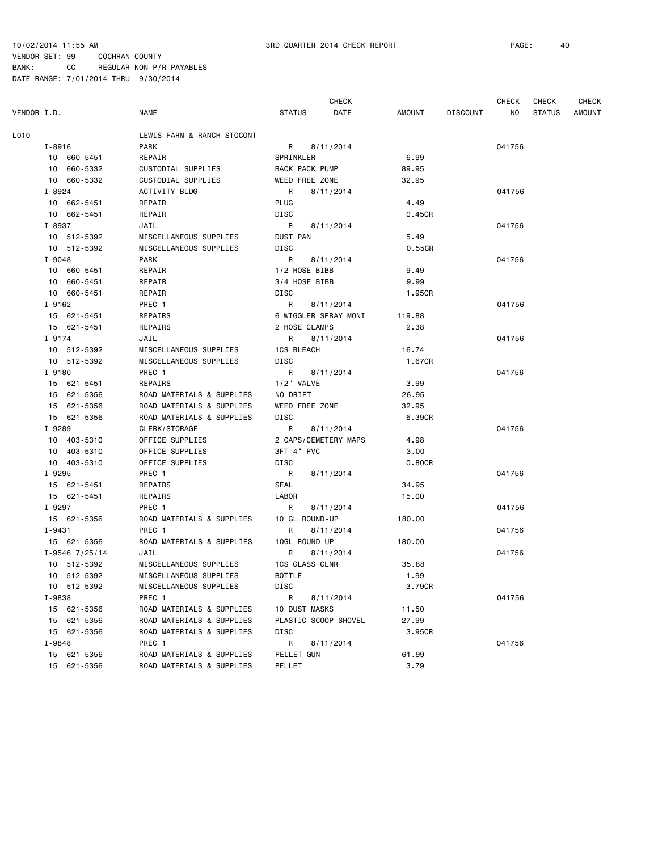CHECK CHECK CHECK CHECK VENDOR I.D. NAME STATUS DATE AMOUNT DISCOUNT NO STATUS AMOUNT L010 LEWIS FARM & RANCH STOCONT I-8916 PARK R 8/11/2014 041756 10 660-5451 REPAIR SPRINKLER 6.99 10 660-5332 CUSTODIAL SUPPLIES BACK PACK PUMP 89.95 10 660-5332 CUSTODIAL SUPPLIES WEED FREE ZONE 32.95 I-8924 ACTIVITY BLDG R 8/11/2014 041756 10 662-5451 REPAIR PLUG 4.49 10 662-5451 REPAIR DISC 0.45CR I-8937 JAIL R 8/11/2014 041756 10 512-5392 MISCELLANEOUS SUPPLIES DUST PAN 5.49 10 512-5392 MISCELLANEOUS SUPPLIES DISC 0.55CR I-9048 PARK R 8/11/2014 041756 10 660-5451 REPAIR 1/2 HOSE BIBB 9.49 10 660-5451 REPAIR 3/4 HOSE BIBB 9.99 10 660-5451 REPAIR DISC 1.95CR I-9162 PREC 1 R 8/11/2014 20156 15 621-5451 REPAIRS 6 WIGGLER SPRAY MONI 119.88 15 621-5451 REPAIRS 2 HOSE CLAMPS 2.38 I-9174 JAIL R 8/11/2014 041756 10 512-5392 MISCELLANEOUS SUPPLIES 1CS BLEACH 16.74 10 512-5392 MISCELLANEOUS SUPPLIES DISC 1.67CR I-9180 PREC 1 R 8/11/2014 2013 041756 15 621-5451 REPAIRS 1/2" VALVE 3.99 15 621-5356 ROAD MATERIALS & SUPPLIES NO DRIFT 26.95 15 621-5356 ROAD MATERIALS & SUPPLIES WEED FREE ZONE 32.95 15 621-5356 ROAD MATERIALS & SUPPLIES DISC 6.39CR I-9289 CLERK/STORAGE R 8/11/2014 041756 10 403-5310 OFFICE SUPPLIES 2 CAPS/CEMETERY MAPS 4.98 10 403-5310 OFFICE SUPPLIES 3FT 4" PVC 3.00 10 403-5310 OFFICE SUPPLIES DISC 0.80CR I-9295 PREC 1 R 8/11/2014 041756 15 621-5451 REPAIRS SEAL 34.95 15 621-5451 REPAIRS LABOR 15.00 I-9297 PREC 1 R 8/11/2014 2011 1-9297 041756 15 621-5356 ROAD MATERIALS & SUPPLIES 10 GL ROUND-UP 180.00 I-9431 **PREC 1** R 8/11/2014 **PREC 1** R 941756 15 621-5356 ROAD MATERIALS & SUPPLIES 10GL ROUND-UP 180.00 I-9546 7/25/14 JAIL R 8/11/2014 041756 10 512-5392 MISCELLANEOUS SUPPLIES 1CS GLASS CLNR 35.88 10 512-5392 MISCELLANEOUS SUPPLIES BOTTLE 1.99 10 512-5392 MISCELLANEOUS SUPPLIES DISC 3.79CR I-9838 PREC 1 R 8/11/2014 2014 041756 15 621-5356 ROAD MATERIALS & SUPPLIES 10 DUST MASKS 11.50 15 621-5356 ROAD MATERIALS & SUPPLIES PLASTIC SCOOP SHOVEL 27.99 15 621-5356 ROAD MATERIALS & SUPPLIES DISC 3.95CR I-9848 PREC 1 R 8/11/2014 041756 15 621-5356 ROAD MATERIALS & SUPPLIES PELLET GUN 61.99 15 621-5356 ROAD MATERIALS & SUPPLIES PELLET 3.79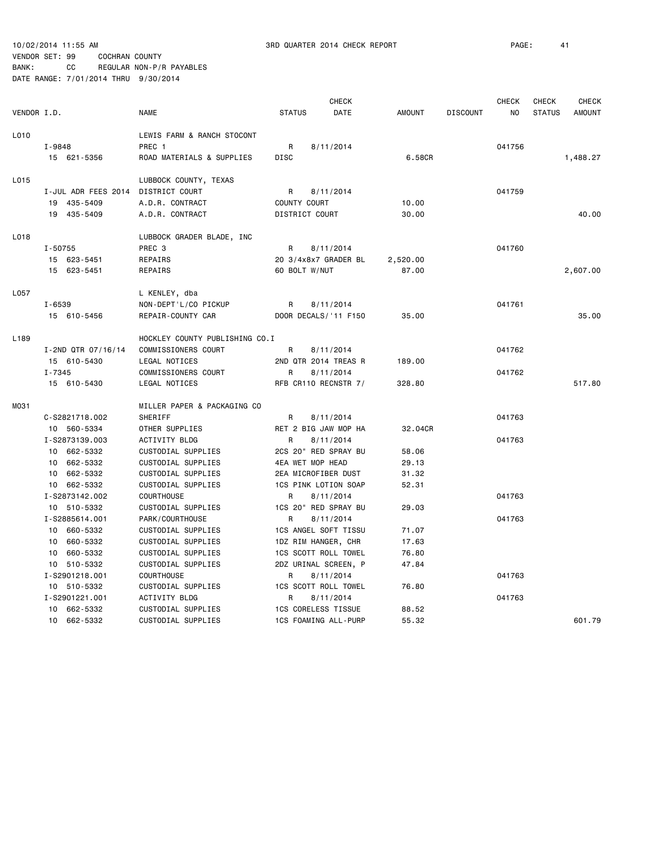CHECK CHECK CHECK CHECK VENDOR I.D. NAME STATUS DATE AMOUNT DISCOUNT NO STATUS AMOUNT L010 LEWIS FARM & RANCH STOCONT I-9848 PREC 1 R 8/11/2014 R 8/11/2014 041756 15 621-5356 ROAD MATERIALS & SUPPLIES DISC 6.58CR 1,488.27 L015 LUBBOCK COUNTY, TEXAS I-JUL ADR FEES 2014 DISTRICT COURT R 8/11/2014 041759 19 435-5409 A.D.R. CONTRACT COUNTY COURT 10.00 19 435-5409 A.D.R. CONTRACT DISTRICT COURT 30.00 40.00 L018 LUBBOCK GRADER BLADE, INC I-50755 PREC 3 R 8/11/2014 041760 15 623-5451 REPAIRS 20 3/4x8x7 GRADER BL 2,520.00 15 623-5451 REPAIRS 60 BOLT W/NUT 87.00 2,607.00 L057 L KENLEY, dba I-6539 NON-DEPT'L/CO PICKUP R 8/11/2014 041761 15 610-5456 REPAIR-COUNTY CAR DOOR DECALS/'11 F150 35.00 35.00 L189 HOCKLEY COUNTY PUBLISHING CO.I I-2ND QTR 07/16/14 COMMISSIONERS COURT R 8/11/2014 041762 15 610-5430 LEGAL NOTICES 2ND QTR 2014 TREAS R 189.00 I-7345 COMMISSIONERS COURT R 8/11/2014 R 8-11/2014 041762 15 610-5430 LEGAL NOTICES RFB CR110 RECNSTR 7/ 328.80 517.80 M031 MILLER PAPER & PACKAGING CO C-S2821718.002 SHERIFF R 8/11/2014 R 8/11/2014 041763 10 560-5334 OTHER SUPPLIES RET 2 BIG JAW MOP HA 32.04CR I-S2873139.003 ACTIVITY BLDG R 8/11/2014 041763 10 662-5332 CUSTODIAL SUPPLIES 2CS 20" RED SPRAY BU 58.06 10 662-5332 CUSTODIAL SUPPLIES 4EA WET MOP HEAD 29.13 10 662-5332 CUSTODIAL SUPPLIES 2EA MICROFIBER DUST 31.32 10 662-5332 CUSTODIAL SUPPLIES 1CS PINK LOTION SOAP 52.31 I-S2873142.002 COURTHOUSE R 8/11/2014 041763 10 510-5332 CUSTODIAL SUPPLIES 1CS 20" RED SPRAY BU 29.03 I-S2885614.001 PARK/COURTHOUSE R 8/11/2014 041763 10 660-5332 CUSTODIAL SUPPLIES 1CS ANGEL SOFT TISSU 71.07 10 660-5332 CUSTODIAL SUPPLIES 1DZ RIM HANGER, CHR 17.63 10 660-5332 CUSTODIAL SUPPLIES 1CS SCOTT ROLL TOWEL 76.80 10 510-5332 CUSTODIAL SUPPLIES 2DZ URINAL SCREEN, P 47.84 I-S2901218.001 COURTHOUSE R 8/11/2014 041763 10 510-5332 CUSTODIAL SUPPLIES 1CS SCOTT ROLL TOWEL 76.80 I-S2901221.001 ACTIVITY BLDG R 8/11/2014 041763 10 662-5332 CUSTODIAL SUPPLIES 1CS CORELESS TISSUE 88.52 10 662-5332 CUSTODIAL SUPPLIES 1CS FOAMING ALL-PURP 55.32 601.79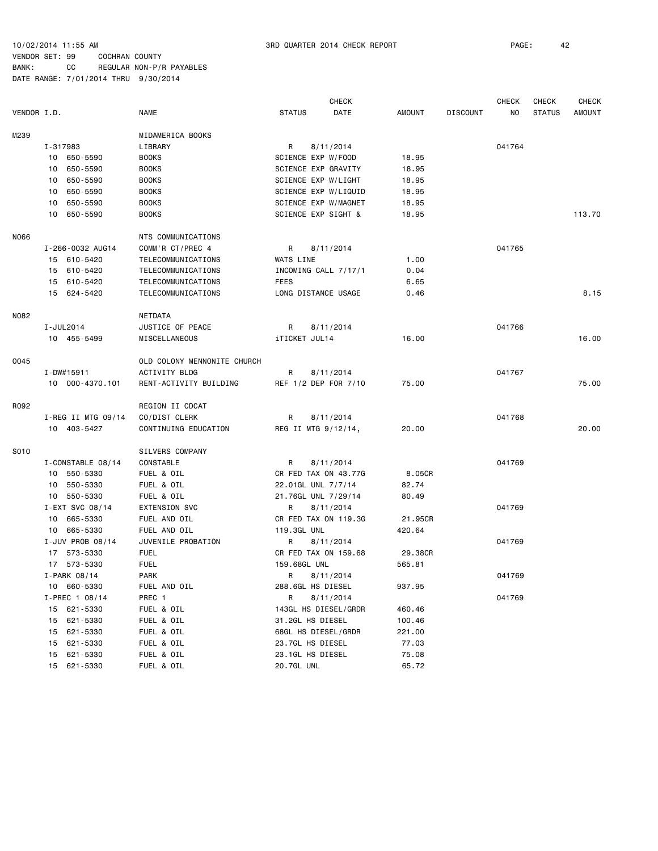BANK: CC REGULAR NON-P/R PAYABLES DATE RANGE: 7/01/2014 THRU 9/30/2014

|             |                      |                             |                    | <b>CHECK</b>         |               |                 | <b>CHECK</b> | <b>CHECK</b>  | <b>CHECK</b>  |
|-------------|----------------------|-----------------------------|--------------------|----------------------|---------------|-----------------|--------------|---------------|---------------|
| VENDOR I.D. |                      | <b>NAME</b>                 | <b>STATUS</b>      | DATE                 | <b>AMOUNT</b> | <b>DISCOUNT</b> | NO.          | <b>STATUS</b> | <b>AMOUNT</b> |
| M239        |                      | MIDAMERICA BOOKS            |                    |                      |               |                 |              |               |               |
|             | I-317983             | LIBRARY                     | R                  | 8/11/2014            |               |                 | 041764       |               |               |
|             | 10 650-5590          | <b>BOOKS</b>                | SCIENCE EXP W/FOOD |                      | 18.95         |                 |              |               |               |
|             | 650-5590<br>10       | <b>BOOKS</b>                |                    | SCIENCE EXP GRAVITY  | 18.95         |                 |              |               |               |
|             | 650-5590<br>10       | <b>BOOKS</b>                |                    | SCIENCE EXP W/LIGHT  | 18.95         |                 |              |               |               |
|             | 650-5590<br>10       | <b>BOOKS</b>                |                    | SCIENCE EXP W/LIQUID | 18.95         |                 |              |               |               |
|             | 650-5590<br>10       | <b>BOOKS</b>                |                    | SCIENCE EXP W/MAGNET | 18.95         |                 |              |               |               |
|             | 10<br>650-5590       | <b>BOOKS</b>                |                    | SCIENCE EXP SIGHT &  | 18.95         |                 |              |               | 113.70        |
|             |                      |                             |                    |                      |               |                 |              |               |               |
| N066        |                      | NTS COMMUNICATIONS          |                    |                      |               |                 |              |               |               |
|             | I-266-0032 AUG14     | COMM'R CT/PREC 4            | R                  | 8/11/2014            |               |                 | 041765       |               |               |
|             | 15 610-5420          | TELECOMMUNICATIONS          | WATS LINE          |                      | 1.00          |                 |              |               |               |
|             | 15 610-5420          | TELECOMMUNICATIONS          |                    | INCOMING CALL 7/17/1 | 0.04          |                 |              |               |               |
|             | 15 610-5420          | TELECOMMUNICATIONS          | FEES               |                      | 6.65          |                 |              |               |               |
|             | 15 624-5420          | TELECOMMUNICATIONS          |                    | LONG DISTANCE USAGE  | 0.46          |                 |              |               | 8.15          |
| N082        |                      | NETDATA                     |                    |                      |               |                 |              |               |               |
|             | I-JUL2014            | JUSTICE OF PEACE            | R                  | 8/11/2014            |               |                 | 041766       |               |               |
|             | 10 455-5499          | MISCELLANEOUS               | iTICKET JUL14      |                      | 16.00         |                 |              |               | 16.00         |
| 0045        |                      | OLD COLONY MENNONITE CHURCH |                    |                      |               |                 |              |               |               |
|             | I-DW#15911           | ACTIVITY BLDG               | R                  | 8/11/2014            |               |                 | 041767       |               |               |
|             | 10 000-4370.101      | RENT-ACTIVITY BUILDING      |                    | REF 1/2 DEP FOR 7/10 | 75.00         |                 |              |               | 75.00         |
|             |                      |                             |                    |                      |               |                 |              |               |               |
| R092        |                      | REGION II CDCAT             |                    |                      |               |                 |              |               |               |
|             | $I-REG$ II MTG 09/14 | CO/DIST CLERK               | R                  | 8/11/2014            |               |                 | 041768       |               |               |
|             | 10 403-5427          | CONTINUING EDUCATION        |                    | REG II MTG 9/12/14,  | 20.00         |                 |              |               | 20.00         |
| S010        |                      | SILVERS COMPANY             |                    |                      |               |                 |              |               |               |
|             | I-CONSTABLE 08/14    | CONSTABLE                   | R                  | 8/11/2014            |               |                 | 041769       |               |               |
|             | 10 550-5330          | FUEL & OIL                  |                    | CR FED TAX ON 43.77G | 8.05CR        |                 |              |               |               |
|             | 10 550-5330          | FUEL & OIL                  | 22.01GL UNL 7/7/14 |                      | 82.74         |                 |              |               |               |
|             | 10 550-5330          | FUEL & OIL                  |                    | 21.76GL UNL 7/29/14  | 80.49         |                 |              |               |               |
|             | I-EXT SVC 08/14      | <b>EXTENSION SVC</b>        | R                  | 8/11/2014            |               |                 | 041769       |               |               |
|             | 10 665-5330          | FUEL AND OIL                |                    | CR FED TAX ON 119.3G | 21.95CR       |                 |              |               |               |
|             | 665-5330<br>10       | FUEL AND OIL                | 119.3GL UNL        |                      | 420.64        |                 |              |               |               |
|             | I-JUV PROB 08/14     | JUVENILE PROBATION          | R                  | 8/11/2014            |               |                 | 041769       |               |               |
|             | 17 573-5330          | <b>FUEL</b>                 |                    | CR FED TAX ON 159.68 | 29.38CR       |                 |              |               |               |
|             | 17 573-5330          | <b>FUEL</b>                 | 159.68GL UNL       |                      | 565.81        |                 |              |               |               |
|             | I-PARK 08/14         | PARK                        | R 8/11/2014        |                      |               |                 | 041769       |               |               |
|             | 10 660-5330          | FUEL AND OIL                | 288.6GL HS DIESEL  |                      | 937.95        |                 |              |               |               |
|             | I-PREC 1 08/14       | PREC 1                      | R                  | 8/11/2014            |               |                 | 041769       |               |               |
|             | 15 621-5330          | FUEL & OIL                  |                    | 143GL HS DIESEL/GRDR | 460.46        |                 |              |               |               |
|             | 621-5330<br>15       | FUEL & OIL                  | 31.2GL HS DIESEL   |                      | 100.46        |                 |              |               |               |
|             | 621-5330<br>15       | FUEL & OIL                  |                    | 68GL HS DIESEL/GRDR  | 221.00        |                 |              |               |               |
|             | 621-5330<br>15       | FUEL & OIL                  | 23.7GL HS DIESEL   |                      | 77.03         |                 |              |               |               |
|             | 621-5330<br>15       | FUEL & OIL                  | 23.1GL HS DIESEL   |                      | 75.08         |                 |              |               |               |
|             | 621-5330<br>15       | FUEL & OIL                  | 20.7GL UNL         |                      | 65.72         |                 |              |               |               |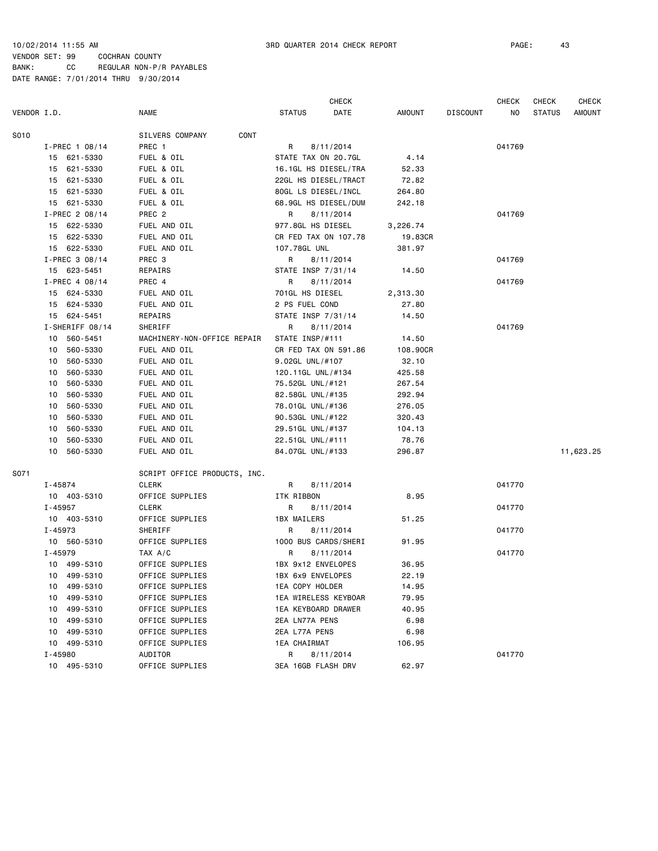|                |                 |                              |                      | <b>CHECK</b>                  |               |                 | <b>CHECK</b> | <b>CHECK</b>  | <b>CHECK</b>  |
|----------------|-----------------|------------------------------|----------------------|-------------------------------|---------------|-----------------|--------------|---------------|---------------|
| VENDOR I.D.    |                 | <b>NAME</b>                  | <b>STATUS</b>        | DATE                          | <b>AMOUNT</b> | <b>DISCOUNT</b> | NO           | <b>STATUS</b> | <b>AMOUNT</b> |
| S010           |                 | CONT<br>SILVERS COMPANY      |                      |                               |               |                 |              |               |               |
|                | I-PREC 1 08/14  | PREC 1                       | R                    | 8/11/2014                     |               |                 | 041769       |               |               |
|                | 15 621-5330     | FUEL & OIL                   | STATE TAX ON 20.7GL  |                               | 4.14          |                 |              |               |               |
|                | 15 621-5330     | FUEL & OIL                   | 16.1GL HS DIESEL/TRA |                               | 52.33         |                 |              |               |               |
|                | 15 621-5330     | FUEL & OIL                   |                      | 22GL HS DIESEL/TRACT<br>72.82 |               |                 |              |               |               |
|                | 15 621-5330     | FUEL & OIL                   | 80GL LS DIESEL/INCL  |                               | 264.80        |                 |              |               |               |
|                | 15 621-5330     | FUEL & OIL                   |                      | 68.9GL HS DIESEL/DUM          | 242.18        |                 |              |               |               |
|                | I-PREC 2 08/14  | PREC <sub>2</sub>            | R                    | 8/11/2014                     |               |                 | 041769       |               |               |
|                | 15 622-5330     | FUEL AND OIL                 | 977.8GL HS DIESEL    |                               | 3,226.74      |                 |              |               |               |
|                | 15 622-5330     | FUEL AND OIL                 | CR FED TAX ON 107.78 |                               | 19.83CR       |                 |              |               |               |
|                | 15 622-5330     | FUEL AND OIL                 | 107.78GL UNL         |                               | 381.97        |                 |              |               |               |
|                | I-PREC 3 08/14  | PREC 3                       | R                    | 8/11/2014                     |               |                 | 041769       |               |               |
|                | 15 623-5451     | REPAIRS                      | STATE INSP 7/31/14   |                               | 14.50         |                 |              |               |               |
|                | I-PREC 4 08/14  | PREC 4                       | R                    | 8/11/2014                     |               |                 | 041769       |               |               |
|                | 15 624-5330     | FUEL AND OIL                 | 701GL HS DIESEL      |                               | 2,313.30      |                 |              |               |               |
|                | 15 624-5330     | FUEL AND OIL                 | 2 PS FUEL COND       |                               | 27.80         |                 |              |               |               |
|                | 15 624-5451     | REPAIRS                      | STATE INSP 7/31/14   |                               | 14.50         |                 |              |               |               |
|                | I-SHERIFF 08/14 | SHERIFF                      | R                    | 8/11/2014                     |               |                 | 041769       |               |               |
| 10             | 560-5451        | MACHINERY-NON-OFFICE REPAIR  | STATE INSP/#111      |                               | 14.50         |                 |              |               |               |
| 10             | 560-5330        | FUEL AND OIL                 | CR FED TAX ON 591.86 |                               | 108.90CR      |                 |              |               |               |
| 10             | 560-5330        | FUEL AND OIL                 | 9.02GL UNL/#107      |                               | 32.10         |                 |              |               |               |
| 10             | 560-5330        | FUEL AND OIL                 | 120.11GL UNL/#134    |                               | 425.58        |                 |              |               |               |
| 560-5330<br>10 |                 | FUEL AND OIL                 | 75.52GL UNL/#121     |                               | 267.54        |                 |              |               |               |
| 10             | 560-5330        | FUEL AND OIL                 | 82.58GL UNL/#135     |                               | 292.94        |                 |              |               |               |
| 10             | 560-5330        | FUEL AND OIL                 | 78.01GL UNL/#136     |                               | 276.05        |                 |              |               |               |
| 10             | 560-5330        | FUEL AND OIL                 | 90.53GL UNL/#122     |                               | 320.43        |                 |              |               |               |
| 10             | 560-5330        | FUEL AND OIL                 | 29.51GL UNL/#137     |                               | 104.13        |                 |              |               |               |
| 10             | 560-5330        | FUEL AND OIL                 | 22.51GL UNL/#111     |                               | 78.76         |                 |              |               |               |
|                | 10 560-5330     | FUEL AND OIL                 | 84.07GL UNL/#133     |                               | 296.87        |                 |              |               | 11,623.25     |
| S071           |                 | SCRIPT OFFICE PRODUCTS, INC. |                      |                               |               |                 |              |               |               |
| I-45874        |                 | CLERK                        | R                    | 8/11/2014                     |               |                 | 041770       |               |               |
|                | 10 403-5310     | OFFICE SUPPLIES              | ITK RIBBON           |                               | 8.95          |                 |              |               |               |
| I-45957        |                 | CLERK                        | R                    | 8/11/2014                     |               |                 | 041770       |               |               |
|                | 10 403-5310     | OFFICE SUPPLIES              | 1BX MAILERS          |                               | 51.25         |                 |              |               |               |
| I-45973        |                 | SHERIFF                      | R                    | 8/11/2014                     |               |                 | 041770       |               |               |
|                | 10 560-5310     | OFFICE SUPPLIES              | 1000 BUS CARDS/SHERI |                               | 91.95         |                 |              |               |               |
| I-45979        |                 | TAX A/C                      | R                    | 8/11/2014                     |               |                 | 041770       |               |               |
|                | 10 499-5310     | OFFICE SUPPLIES              | 1BX 9x12 ENVELOPES   |                               | 36.95         |                 |              |               |               |
|                | 10 499-5310     | OFFICE SUPPLIES              | 1BX 6x9 ENVELOPES    |                               | 22.19         |                 |              |               |               |
|                | 10 499-5310     | OFFICE SUPPLIES              | 1EA COPY HOLDER      |                               | 14.95         |                 |              |               |               |
|                | 10 499-5310     | OFFICE SUPPLIES              | 1EA WIRELESS KEYBOAR |                               | 79.95         |                 |              |               |               |
|                | 10 499-5310     | OFFICE SUPPLIES              | 1EA KEYBOARD DRAWER  |                               | 40.95         |                 |              |               |               |
|                | 10 499-5310     | OFFICE SUPPLIES              | 2EA LN77A PENS       |                               | 6.98          |                 |              |               |               |
|                | 10 499-5310     | OFFICE SUPPLIES              | 2EA L77A PENS        |                               | 6.98          |                 |              |               |               |
|                | 10 499-5310     | OFFICE SUPPLIES              | 1EA CHAIRMAT         |                               | 106.95        |                 |              |               |               |
| I-45980        |                 | AUDITOR                      | R a                  | 8/11/2014                     |               |                 | 041770       |               |               |
|                | 10 495-5310     | OFFICE SUPPLIES              | 3EA 16GB FLASH DRV   |                               | 62.97         |                 |              |               |               |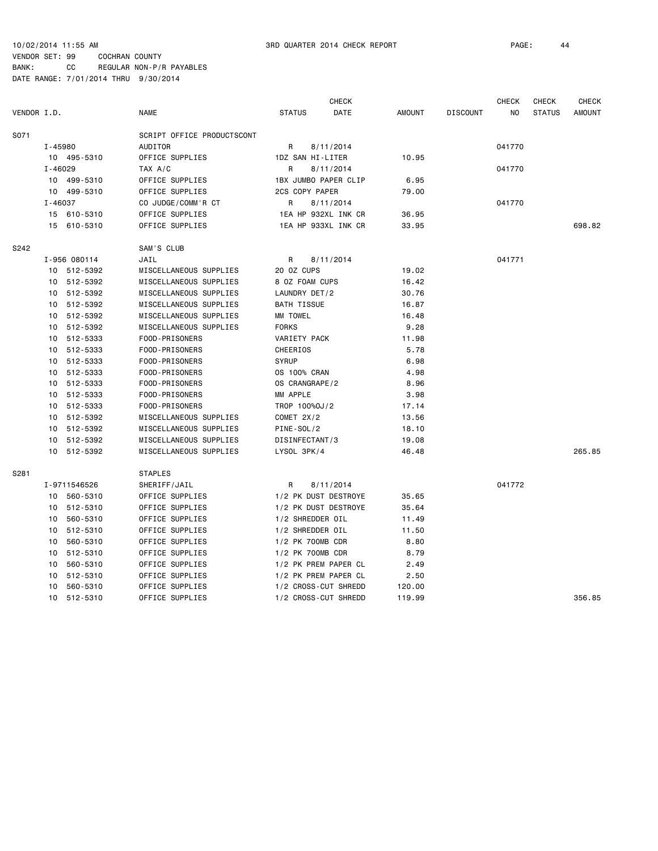CHECK CHECK CHECK CHECK VENDOR I.D. NAME STATUS DATE AMOUNT DISCOUNT NO STATUS AMOUNT S071 SCRIPT OFFICE PRODUCTSCONT I-45980 AUDITOR R 8/11/2014 041770 10 495-5310 OFFICE SUPPLIES 1DZ SAN HI-LITER 10.95 I-46029 TAX A/C R 8/11/2014 041770 10 499-5310 OFFICE SUPPLIES 1BX JUMBO PAPER CLIP 6.95 10 499-5310 OFFICE SUPPLIES 2CS COPY PAPER 79.00 I-46037 CO JUDGE/COMM'R CT R 8/11/2014 041770 15 610-5310 OFFICE SUPPLIES 1EA HP 932XL INK CR 36.95 15 610-5310 OFFICE SUPPLIES 1EA HP 933XL INK CR 33.95 698.82 S242 SAM'S CLUB I-956 080114 JAIL R 8/11/2014 041771 10 512-5392 MISCELLANEOUS SUPPLIES 20 OZ CUPS 19.02 10 512-5392 MISCELLANEOUS SUPPLIES 8 OZ FOAM CUPS 16.42 10 512-5392 MISCELLANEOUS SUPPLIES LAUNDRY DET/2 30.76 10 512-5392 MISCELLANEOUS SUPPLIES BATH TISSUE 16.87 10 512-5392 MISCELLANEOUS SUPPLIES MM TOWEL 16.48 10 512-5392 MISCELLANEOUS SUPPLIES FORKS 9.28 10 512-5333 FOOD-PRISONERS VARIETY PACK 11.98 10 512-5333 FOOD-PRISONERS CHEERIOS 5.78 10 512-5333 FOOD-PRISONERS SYRUP 6.98 10 512-5333 FOOD-PRISONERS OS 100% CRAN 4.98 10 512-5333 FOOD-PRISONERS OS CRANGRAPE/2 8.96 10 512-5333 FOOD-PRISONERS MM APPLE 3.98 10 512-5333 FOOD-PRISONERS TROP 100%OJ/2 17.14 10 512-5392 MISCELLANEOUS SUPPLIES COMET 2X/2 13.56 10 512-5392 MISCELLANEOUS SUPPLIES PINE-SOL/2 18.10 10 512-5392 MISCELLANEOUS SUPPLIES DISINFECTANT/3 19.08 10 512-5392 MISCELLANEOUS SUPPLIES LYSOL 3PK/4 46.48 265.85 S281 STAPLES I-9711546526 SHERIFF/JAIL R 8/11/2014 041772 10 560-5310 OFFICE SUPPLIES 1/2 PK DUST DESTROYE 35.65 10 512-5310 OFFICE SUPPLIES 1/2 PK DUST DESTROYE 35.64 10 560-5310 OFFICE SUPPLIES 1/2 SHREDDER OIL 11.49 10 512-5310 OFFICE SUPPLIES 1/2 SHREDDER OIL 11.50 10 560-5310 OFFICE SUPPLIES 1/2 PK 700MB CDR 8.80 10 512-5310 OFFICE SUPPLIES 1/2 PK 700MB CDR 8.79 10 560-5310 OFFICE SUPPLIES 1/2 PK PREM PAPER CL 2.49 10 512-5310 OFFICE SUPPLIES 1/2 PK PREM PAPER CL 2.50 10 560-5310 OFFICE SUPPLIES 1/2 CROSS-CUT SHREDD 120.00 10 512-5310 OFFICE SUPPLIES 1/2 CROSS-CUT SHREDD 119.99 356.85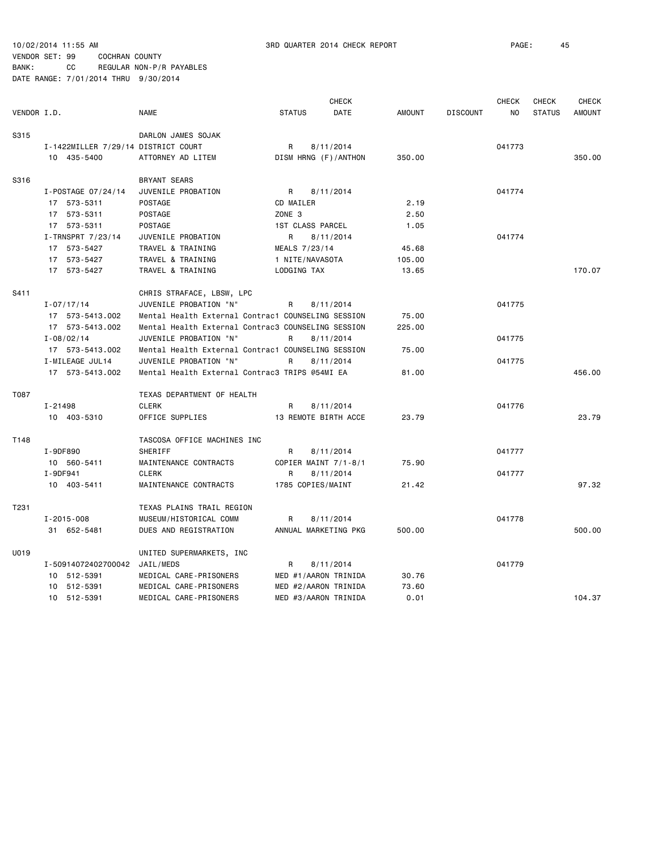|             |                                     |                                                    |                   | <b>CHECK</b>         |               |                 | <b>CHECK</b> | <b>CHECK</b>  | <b>CHECK</b>  |
|-------------|-------------------------------------|----------------------------------------------------|-------------------|----------------------|---------------|-----------------|--------------|---------------|---------------|
| VENDOR I.D. |                                     | <b>NAME</b>                                        | <b>STATUS</b>     | DATE                 | <b>AMOUNT</b> | <b>DISCOUNT</b> | NO.          | <b>STATUS</b> | <b>AMOUNT</b> |
| S315        |                                     | DARLON JAMES SOJAK                                 |                   |                      |               |                 |              |               |               |
|             | I-1422MILLER 7/29/14 DISTRICT COURT |                                                    | R                 | 8/11/2014            |               |                 | 041773       |               |               |
|             | 10 435-5400                         | ATTORNEY AD LITEM                                  |                   | DISM HRNG (F)/ANTHON | 350.00        |                 |              |               | 350.00        |
| S316        |                                     | <b>BRYANT SEARS</b>                                |                   |                      |               |                 |              |               |               |
|             | I-POSTAGE 07/24/14                  | JUVENILE PROBATION                                 | R                 | 8/11/2014            |               |                 | 041774       |               |               |
|             | 17 573-5311                         | POSTAGE                                            | CD MAILER         |                      | 2.19          |                 |              |               |               |
|             | 17 573-5311                         | <b>POSTAGE</b>                                     | ZONE <sub>3</sub> |                      | 2.50          |                 |              |               |               |
|             | 17 573-5311                         | POSTAGE                                            |                   | 1ST CLASS PARCEL     | 1.05          |                 |              |               |               |
|             | I-TRNSPRT 7/23/14                   | JUVENILE PROBATION                                 | R                 | 8/11/2014            |               |                 | 041774       |               |               |
|             | 17 573-5427                         | TRAVEL & TRAINING                                  | MEALS 7/23/14     |                      | 45.68         |                 |              |               |               |
|             | 17 573-5427                         | TRAVEL & TRAINING                                  | 1 NITE/NAVASOTA   |                      | 105.00        |                 |              |               |               |
|             | 17 573-5427                         | TRAVEL & TRAINING                                  | LODGING TAX       |                      | 13.65         |                 |              |               | 170.07        |
| S411        |                                     | CHRIS STRAFACE, LBSW, LPC                          |                   |                      |               |                 |              |               |               |
|             | $I - 07/17/14$                      | JUVENILE PROBATION "N"                             | R                 | 8/11/2014            |               |                 | 041775       |               |               |
|             | 17 573-5413.002                     | Mental Health External Contrac1 COUNSELING SESSION |                   |                      | 75.00         |                 |              |               |               |
|             | 17 573-5413.002                     | Mental Health External Contrac3 COUNSELING SESSION |                   |                      | 225.00        |                 |              |               |               |
|             | $I - 08/02/14$                      | JUVENILE PROBATION "N"                             | R                 | 8/11/2014            |               |                 | 041775       |               |               |
|             | 17 573-5413.002                     | Mental Health External Contrac1 COUNSELING SESSION |                   |                      | 75.00         |                 |              |               |               |
|             | I-MILEAGE JUL14                     | JUVENILE PROBATION "N"                             | R                 | 8/11/2014            |               |                 | 041775       |               |               |
|             | 17 573-5413.002                     | Mental Health External Contrac3 TRIPS @54MI EA     |                   |                      | 81.00         |                 |              |               | 456.00        |
| T087        |                                     | TEXAS DEPARTMENT OF HEALTH                         |                   |                      |               |                 |              |               |               |
|             | $I - 21498$                         | CLERK                                              | R                 | 8/11/2014            |               |                 | 041776       |               |               |
|             | 10 403-5310                         | OFFICE SUPPLIES                                    |                   | 13 REMOTE BIRTH ACCE | 23.79         |                 |              |               | 23.79         |
| T148        |                                     | TASCOSA OFFICE MACHINES INC                        |                   |                      |               |                 |              |               |               |
|             | I-9DF890                            | <b>SHERIFF</b>                                     | R                 | 8/11/2014            |               |                 | 041777       |               |               |
|             | 10 560-5411                         | MAINTENANCE CONTRACTS                              |                   | COPIER MAINT 7/1-8/1 | 75.90         |                 |              |               |               |
|             | I-9DF941                            | <b>CLERK</b>                                       | R                 | 8/11/2014            |               |                 | 041777       |               |               |
|             | 10 403-5411                         | MAINTENANCE CONTRACTS                              |                   | 1785 COPIES/MAINT    | 21.42         |                 |              |               | 97.32         |
| T231        |                                     | TEXAS PLAINS TRAIL REGION                          |                   |                      |               |                 |              |               |               |
|             | $I - 2015 - 008$                    | MUSEUM/HISTORICAL COMM                             | R                 | 8/11/2014            |               |                 | 041778       |               |               |
|             | 31 652-5481                         | DUES AND REGISTRATION                              |                   | ANNUAL MARKETING PKG | 500.00        |                 |              |               | 500.00        |
| U019        |                                     | UNITED SUPERMARKETS, INC                           |                   |                      |               |                 |              |               |               |
|             | I-50914072402700042 JAIL/MEDS       |                                                    | R                 | 8/11/2014            |               |                 | 041779       |               |               |
|             | 10 512-5391                         | MEDICAL CARE-PRISONERS                             |                   | MED #1/AARON TRINIDA | 30.76         |                 |              |               |               |
|             | 10 512-5391                         | MEDICAL CARE-PRISONERS                             |                   | MED #2/AARON TRINIDA | 73.60         |                 |              |               |               |
|             | 10 512-5391                         | MEDICAL CARE-PRISONERS                             |                   | MED #3/AARON TRINIDA | 0.01          |                 |              |               | 104.37        |
|             |                                     |                                                    |                   |                      |               |                 |              |               |               |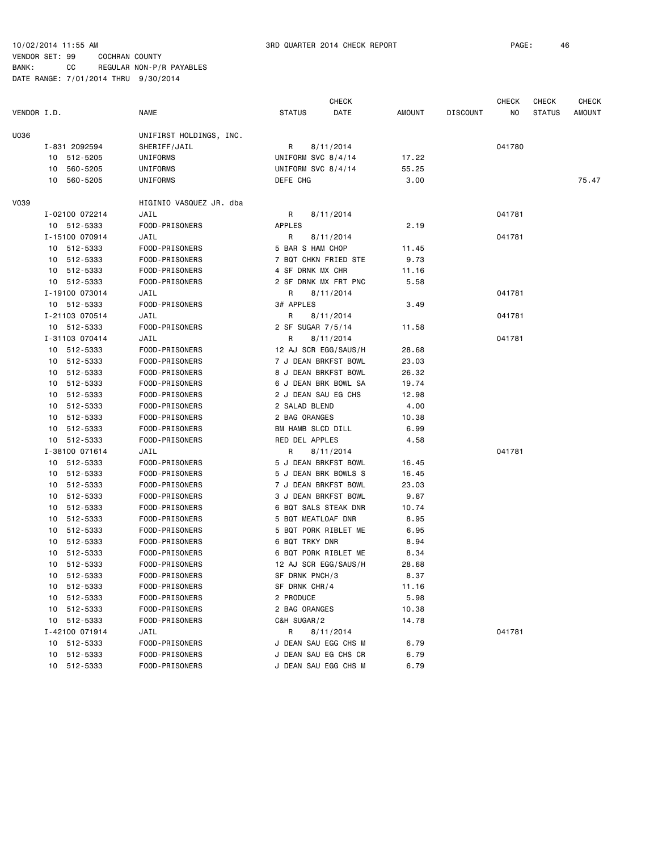|             |                |                         |                     | CHECK                |        |                 | CHECK  | CHECK         | CHECK  |
|-------------|----------------|-------------------------|---------------------|----------------------|--------|-----------------|--------|---------------|--------|
| VENDOR I.D. |                | <b>NAME</b>             | <b>STATUS</b>       | DATE                 | AMOUNT | <b>DISCOUNT</b> | NO.    | <b>STATUS</b> | AMOUNT |
| U036        |                | UNIFIRST HOLDINGS, INC. |                     |                      |        |                 |        |               |        |
|             | I-831 2092594  | SHERIFF/JAIL            | R                   | 8/11/2014            |        |                 | 041780 |               |        |
|             | 10 512-5205    | UNIFORMS                | UNIFORM SVC 8/4/14  |                      | 17.22  |                 |        |               |        |
|             | 560-5205<br>10 | UNIFORMS                | UNIFORM SVC 8/4/14  |                      | 55.25  |                 |        |               |        |
|             | 10<br>560-5205 | UNIFORMS                | DEFE CHG            |                      | 3.00   |                 |        |               | 75.47  |
| <b>V039</b> |                | HIGINIO VASQUEZ JR. dba |                     |                      |        |                 |        |               |        |
|             | I-02100 072214 | JAIL                    | R                   | 8/11/2014            |        |                 | 041781 |               |        |
|             | 10 512-5333    | FOOD-PRISONERS          | <b>APPLES</b>       |                      | 2.19   |                 |        |               |        |
|             | I-15100 070914 | JAIL                    | R                   | 8/11/2014            |        |                 | 041781 |               |        |
|             | 10 512-5333    | FOOD-PRISONERS          | 5 BAR S HAM CHOP    |                      | 11.45  |                 |        |               |        |
|             | 10 512-5333    | FOOD-PRISONERS          |                     | 7 BQT CHKN FRIED STE | 9.73   |                 |        |               |        |
|             | 10 512-5333    | FOOD-PRISONERS          | 4 SF DRNK MX CHR    |                      | 11.16  |                 |        |               |        |
|             | 10 512-5333    | FOOD-PRISONERS          |                     | 2 SF DRNK MX FRT PNC | 5.58   |                 |        |               |        |
|             | I-19100 073014 | JAIL                    | R                   | 8/11/2014            |        |                 | 041781 |               |        |
|             | 10 512-5333    | FOOD-PRISONERS          | 3# APPLES           |                      | 3.49   |                 |        |               |        |
|             | I-21103 070514 | JAIL                    | R                   | 8/11/2014            |        |                 | 041781 |               |        |
|             | 10 512-5333    | FOOD-PRISONERS          | 2 SF SUGAR 7/5/14   |                      | 11.58  |                 |        |               |        |
|             | I-31103 070414 | JAIL                    | R                   | 8/11/2014            |        |                 | 041781 |               |        |
|             | 10 512-5333    | FOOD-PRISONERS          |                     | 12 AJ SCR EGG/SAUS/H | 28.68  |                 |        |               |        |
|             | 10 512-5333    | FOOD-PRISONERS          |                     | 7 J DEAN BRKFST BOWL | 23.03  |                 |        |               |        |
|             | 10 512-5333    | FOOD-PRISONERS          |                     | 8 J DEAN BRKFST BOWL | 26.32  |                 |        |               |        |
|             | 10 512-5333    | FOOD-PRISONERS          |                     | 6 J DEAN BRK BOWL SA | 19.74  |                 |        |               |        |
|             | 10 512-5333    | FOOD-PRISONERS          | 2 J DEAN SAU EG CHS |                      | 12.98  |                 |        |               |        |
|             | 10 512-5333    | FOOD-PRISONERS          | 2 SALAD BLEND       |                      | 4.00   |                 |        |               |        |
|             | 10 512-5333    | FOOD-PRISONERS          | 2 BAG ORANGES       |                      | 10.38  |                 |        |               |        |
|             | 10 512-5333    | FOOD-PRISONERS          | BM HAMB SLCD DILL   |                      | 6.99   |                 |        |               |        |
|             | 10 512-5333    | FOOD-PRISONERS          | RED DEL APPLES      |                      | 4.58   |                 |        |               |        |
|             | I-38100 071614 | JAIL                    | R                   | 8/11/2014            |        |                 | 041781 |               |        |
|             | 10 512-5333    | FOOD-PRISONERS          |                     | 5 J DEAN BRKFST BOWL | 16.45  |                 |        |               |        |
|             | 10 512-5333    | FOOD-PRISONERS          |                     | 5 J DEAN BRK BOWLS S | 16.45  |                 |        |               |        |
|             | 10 512-5333    | FOOD-PRISONERS          |                     | 7 J DEAN BRKFST BOWL | 23.03  |                 |        |               |        |
|             | 10 512-5333    | FOOD-PRISONERS          |                     | 3 J DEAN BRKFST BOWL | 9.87   |                 |        |               |        |
|             | 10 512-5333    | FOOD-PRISONERS          |                     | 6 BQT SALS STEAK DNR | 10.74  |                 |        |               |        |
|             | 512-5333<br>10 | FOOD-PRISONERS          | 5 BQT MEATLOAF DNR  |                      | 8.95   |                 |        |               |        |
|             | 512-5333<br>10 | FOOD-PRISONERS          |                     | 5 BQT PORK RIBLET ME | 6.95   |                 |        |               |        |
|             | 10 512-5333    | FOOD-PRISONERS          | 6 BQT TRKY DNR      |                      | 8.94   |                 |        |               |        |
|             | 512-5333<br>10 | FOOD-PRISONERS          |                     | 6 BQT PORK RIBLET ME | 8.34   |                 |        |               |        |
|             | 512-5333<br>10 | FOOD-PRISONERS          |                     | 12 AJ SCR EGG/SAUS/H | 28.68  |                 |        |               |        |
|             | 10 512-5333    | FOOD-PRISONERS          | SF DRNK PNCH/3      |                      | 8.37   |                 |        |               |        |
|             | 10 512-5333    | FOOD-PRISONERS          | SF DRNK CHR/4       |                      | 11.16  |                 |        |               |        |
|             | 10 512-5333    | FOOD-PRISONERS          | 2 PRODUCE           |                      | 5.98   |                 |        |               |        |
|             | 10 512-5333    | FOOD-PRISONERS          | 2 BAG ORANGES       |                      | 10.38  |                 |        |               |        |
|             | 10 512-5333    | FOOD-PRISONERS          | C&H SUGAR/2         |                      | 14.78  |                 |        |               |        |
|             | I-42100 071914 | JAIL                    | R                   | 8/11/2014            |        |                 | 041781 |               |        |
|             | 10 512-5333    | FOOD-PRISONERS          |                     | J DEAN SAU EGG CHS M | 6.79   |                 |        |               |        |
|             | 512-5333<br>10 | FOOD-PRISONERS          |                     | J DEAN SAU EG CHS CR | 6.79   |                 |        |               |        |
|             | 10 512-5333    | FOOD-PRISONERS          |                     | J DEAN SAU EGG CHS M | 6.79   |                 |        |               |        |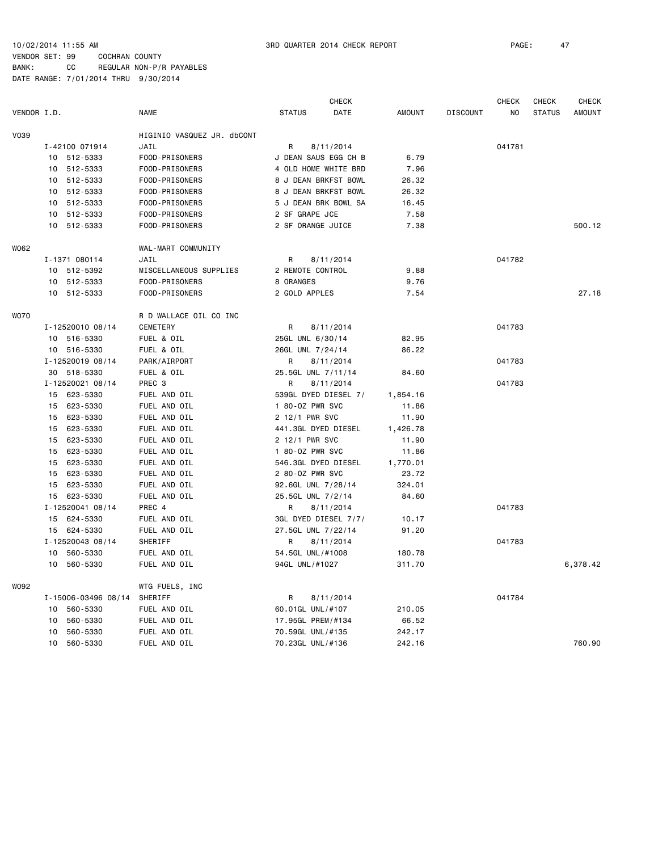CHECK CHECK CHECK CHECK VENDOR I.D. NAME STATUS DATE AMOUNT DISCOUNT NO STATUS AMOUNT V039 HIGINIO VASQUEZ JR. dbCONT I-42100 071914 JAIL R 8/11/2014 041781 10 512-5333 FOOD-PRISONERS J DEAN SAUS EGG CH B 6.79 10 512-5333 FOOD-PRISONERS 4 OLD HOME WHITE BRD 7.96 10 512-5333 FOOD-PRISONERS 8 J DEAN BRKFST BOWL 26.32 10 512-5333 FOOD-PRISONERS 8 J DEAN BRKFST BOWL 26.32 10 512-5333 FOOD-PRISONERS 5 J DEAN BRK BOWL SA 16.45 10 512-5333 FOOD-PRISONERS 2 SF GRAPE JCE 7.58 10 512-5333 FOOD-PRISONERS 2 SF ORANGE JUICE 7.38 500.12 WO62 WAL-MART COMMUNITY I-1371 080114 JAIL R 8/11/2014 041782 10 512-5392 MISCELLANEOUS SUPPLIES 2 REMOTE CONTROL 9.88 10 512-5333 FOOD-PRISONERS 8 ORANGES 9.76 10 512-5333 FOOD-PRISONERS 2 GOLD APPLES 7.54 27.18 W070 R D WALLACE OIL CO INC I-12520010 08/14 CEMETERY R 8/11/2014 041783 10 516-5330 FUEL & OIL 25GL UNL 6/30/14 82.95 10 516-5330 FUEL & OIL 26GL UNL 7/24/14 86.22 I-12520019 08/14 PARK/AIRPORT R 8/11/2014 041783 30 518-5330 FUEL & OIL 25.5GL UNL 7/11/14 84.60 I-12520021 08/14 PREC 3 R 8/11/2014 041783 15 623-5330 FUEL AND OIL 539GL DYED DIESEL 7/ 1,854.16 15 623-5330 FUEL AND OIL 1 80-0Z PWR SVC 11.86 15 623-5330 FUEL AND OIL 2 12/1 PWR SVC 11.90 15 623-5330 FUEL AND OIL 441.3GL DYED DIESEL 1,426.78 15 623-5330 FUEL AND OIL 2 12/1 PWR SVC 11.90 15 623-5330 FUEL AND OIL 1 80-0Z PWR SVC 11.86 15 623-5330 FUEL AND OIL 546.3GL DYED DIESEL 1,770.01 15 623-5330 FUEL AND OIL 2 80-OZ PWR SVC 23.72 15 623-5330 FUEL AND OIL 92.6GL UNL 7/28/14 324.01 15 623-5330 FUEL AND OIL 25.5GL UNL 7/2/14 84.60 I-12520041 08/14 PREC 4 R 8/11/2014 041783 15 624-5330 FUEL AND OIL 3GL DYED DIESEL 7/7/ 10.17 15 624-5330 FUEL AND OIL 27.5GL UNL 7/22/14 91.20 I-12520043 08/14 SHERIFF R 8/11/2014 041783 10 560-5330 FUEL AND OIL 54.5GL UNL/#1008 180.78 10 560-5330 FUEL AND OIL 94GL UNL/#1027 311.70 6,378.42 WO92 WTG FUELS, INC I-15006-03496 08/14 SHERIFF R 8/11/2014 041784 10 560-5330 FUEL AND OIL 60.01GL UNL/#107 210.05 10 560-5330 FUEL AND OIL 17.95GL PREM/#134 66.52 10 560-5330 FUEL AND OIL 70.59GL UNL/#135 242.17 10 560-5330 FUEL AND OIL 70.23GL UNL/#136 242.16 760.90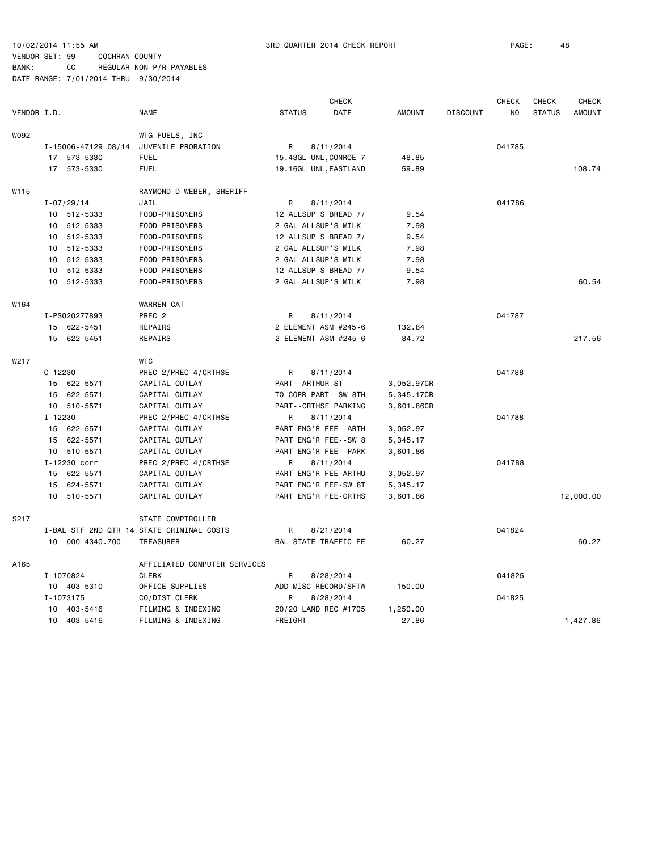|             |             |                     |                                           |               | <b>CHECK</b>          |            |                 | <b>CHECK</b>   | <b>CHECK</b>  | <b>CHECK</b>  |
|-------------|-------------|---------------------|-------------------------------------------|---------------|-----------------------|------------|-----------------|----------------|---------------|---------------|
| VENDOR I.D. |             |                     | <b>NAME</b>                               | <b>STATUS</b> | DATE                  | AMOUNT     | <b>DISCOUNT</b> | N <sub>O</sub> | <b>STATUS</b> | <b>AMOUNT</b> |
| W092        |             |                     | WTG FUELS, INC                            |               |                       |            |                 |                |               |               |
|             |             | I-15006-47129 08/14 | JUVENILE PROBATION                        | R             | 8/11/2014             |            |                 | 041785         |               |               |
|             |             | 17 573-5330         | <b>FUEL</b>                               |               | 15.43GL UNL, CONROE 7 | 48.85      |                 |                |               |               |
|             |             | 17 573-5330         | <b>FUEL</b>                               |               | 19.16GL UNL, EASTLAND | 59.89      |                 |                |               | 108.74        |
| W115        |             |                     | RAYMOND D WEBER, SHERIFF                  |               |                       |            |                 |                |               |               |
|             |             | $I - 07/29/14$      | JAIL                                      | R             | 8/11/2014             |            |                 | 041786         |               |               |
|             |             | 10 512-5333         | FOOD-PRISONERS                            |               | 12 ALLSUP'S BREAD 7/  | 9.54       |                 |                |               |               |
|             |             | 10 512-5333         | FOOD-PRISONERS                            |               | 2 GAL ALLSUP'S MILK   | 7.98       |                 |                |               |               |
|             |             | 10 512-5333         | FOOD-PRISONERS                            |               | 12 ALLSUP'S BREAD 7/  | 9.54       |                 |                |               |               |
|             |             | 10 512-5333         | FOOD-PRISONERS                            |               | 2 GAL ALLSUP'S MILK   | 7.98       |                 |                |               |               |
|             |             | 10 512-5333         | FOOD-PRISONERS                            |               | 2 GAL ALLSUP'S MILK   | 7.98       |                 |                |               |               |
|             |             | 10 512-5333         | FOOD-PRISONERS                            |               | 12 ALLSUP'S BREAD 7/  | 9.54       |                 |                |               |               |
|             |             | 10 512-5333         | FOOD-PRISONERS                            |               | 2 GAL ALLSUP'S MILK   | 7.98       |                 |                |               | 60.54         |
| W164        |             |                     | <b>WARREN CAT</b>                         |               |                       |            |                 |                |               |               |
|             |             | I-PS020277893       | PREC <sub>2</sub>                         | R             | 8/11/2014             |            |                 | 041787         |               |               |
|             |             | 15 622-5451         | REPAIRS                                   |               | 2 ELEMENT ASM #245-6  | 132.84     |                 |                |               |               |
|             |             | 15 622-5451         | REPAIRS                                   |               | 2 ELEMENT ASM #245-6  | 84.72      |                 |                |               | 217.56        |
| W217        |             |                     | <b>WTC</b>                                |               |                       |            |                 |                |               |               |
|             | $C - 12230$ |                     | PREC 2/PREC 4/CRTHSE                      | R             | 8/11/2014             |            |                 | 041788         |               |               |
|             |             | 15 622-5571         | CAPITAL OUTLAY                            |               | PART--ARTHUR ST       | 3,052.97CR |                 |                |               |               |
|             |             | 15 622-5571         | CAPITAL OUTLAY                            |               | TO CORR PART--SW 8TH  | 5,345.17CR |                 |                |               |               |
|             |             | 10 510-5571         | CAPITAL OUTLAY                            |               | PART--CRTHSE PARKING  | 3,601.86CR |                 |                |               |               |
|             | $I - 12230$ |                     | PREC 2/PREC 4/CRTHSE                      | R             | 8/11/2014             |            |                 | 041788         |               |               |
|             |             | 15 622-5571         | CAPITAL OUTLAY                            |               | PART ENG'R FEE--ARTH  | 3,052.97   |                 |                |               |               |
|             |             | 15 622-5571         | CAPITAL OUTLAY                            |               | PART ENG'R FEE--SW 8  | 5,345.17   |                 |                |               |               |
|             |             | 10 510-5571         | CAPITAL OUTLAY                            |               | PART ENG'R FEE--PARK  | 3,601.86   |                 |                |               |               |
|             |             | I-12230 corr        | PREC 2/PREC 4/CRTHSE                      | R             | 8/11/2014             |            |                 | 041788         |               |               |
|             |             | 15 622-5571         | CAPITAL OUTLAY                            |               | PART ENG'R FEE-ARTHU  | 3,052.97   |                 |                |               |               |
|             |             | 15 624-5571         | CAPITAL OUTLAY                            |               | PART ENG'R FEE-SW 8T  | 5,345.17   |                 |                |               |               |
|             |             | 10 510-5571         | CAPITAL OUTLAY                            |               | PART ENG'R FEE-CRTHS  | 3,601.86   |                 |                |               | 12,000.00     |
| S217        |             |                     | STATE COMPTROLLER                         |               |                       |            |                 |                |               |               |
|             |             |                     | I-BAL STF 2ND QTR 14 STATE CRIMINAL COSTS | R             | 8/21/2014             |            |                 | 041824         |               |               |
|             |             | 10 000-4340.700     | TREASURER                                 |               | BAL STATE TRAFFIC FE  | 60.27      |                 |                |               | 60.27         |
| A165        |             |                     | AFFILIATED COMPUTER SERVICES              |               |                       |            |                 |                |               |               |
|             |             | I-1070824           | <b>CLERK</b>                              | R             | 8/28/2014             |            |                 | 041825         |               |               |
|             |             | 10 403-5310         | OFFICE SUPPLIES                           |               | ADD MISC RECORD/SFTW  | 150.00     |                 |                |               |               |
|             |             | I-1073175           | CO/DIST CLERK                             | R             | 8/28/2014             |            |                 | 041825         |               |               |
|             |             | 10 403-5416         | FILMING & INDEXING                        |               | 20/20 LAND REC #1705  | 1,250.00   |                 |                |               |               |
|             |             | 10 403-5416         | FILMING & INDEXING                        | FREIGHT       |                       | 27.86      |                 |                |               | 1,427.86      |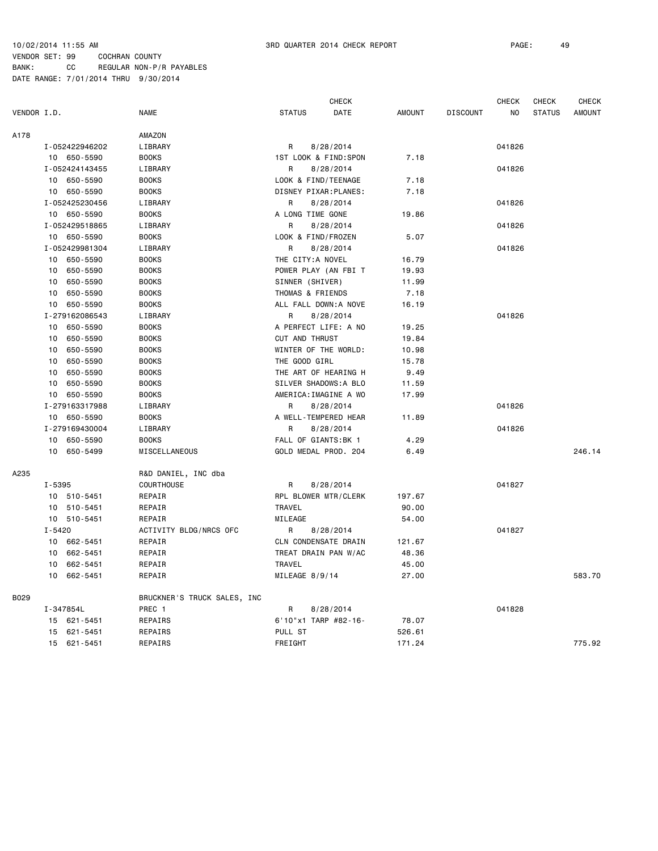|             |            |                |                             |                       | <b>CHECK</b>          |               |                 | <b>CHECK</b> | CHECK         | <b>CHECK</b>  |
|-------------|------------|----------------|-----------------------------|-----------------------|-----------------------|---------------|-----------------|--------------|---------------|---------------|
| VENDOR I.D. |            |                | <b>NAME</b>                 | <b>STATUS</b>         | DATE                  | <b>AMOUNT</b> | <b>DISCOUNT</b> | NO.          | <b>STATUS</b> | <b>AMOUNT</b> |
| A178        |            |                | AMAZON                      |                       |                       |               |                 |              |               |               |
|             |            | I-052422946202 | LIBRARY                     | R                     | 8/28/2014             |               |                 | 041826       |               |               |
|             |            | 10 650-5590    | <b>BOOKS</b>                |                       | 1ST LOOK & FIND:SPON  | 7.18          |                 |              |               |               |
|             |            | I-052424143455 | LIBRARY                     | R                     | 8/28/2014             |               |                 | 041826       |               |               |
|             |            | 10 650-5590    | <b>BOOKS</b>                | LOOK & FIND/TEENAGE   |                       | 7.18          |                 |              |               |               |
|             |            | 10 650-5590    | <b>BOOKS</b>                |                       | DISNEY PIXAR: PLANES: | 7.18          |                 |              |               |               |
|             |            | I-052425230456 | LIBRARY                     | R                     | 8/28/2014             |               |                 | 041826       |               |               |
|             |            | 10 650-5590    | <b>BOOKS</b>                | A LONG TIME GONE      |                       | 19.86         |                 |              |               |               |
|             |            | I-052429518865 | LIBRARY                     | R                     | 8/28/2014             |               |                 | 041826       |               |               |
|             |            | 10 650-5590    | <b>BOOKS</b>                | LOOK & FIND/FROZEN    |                       | 5.07          |                 |              |               |               |
|             |            | I-052429981304 | LIBRARY                     | R                     | 8/28/2014             |               |                 | 041826       |               |               |
|             |            | 10 650-5590    | <b>BOOKS</b>                | THE CITY:A NOVEL      |                       | 16.79         |                 |              |               |               |
|             | 10         | 650-5590       | <b>BOOKS</b>                |                       | POWER PLAY (AN FBI T  | 19.93         |                 |              |               |               |
|             | 10         | 650-5590       | <b>BOOKS</b>                | SINNER (SHIVER)       |                       | 11.99         |                 |              |               |               |
|             | 10         | 650-5590       | <b>BOOKS</b>                | THOMAS & FRIENDS      |                       | 7.18          |                 |              |               |               |
|             | 10         | 650-5590       | <b>BOOKS</b>                |                       | ALL FALL DOWN:A NOVE  | 16.19         |                 |              |               |               |
|             |            | I-279162086543 | LIBRARY                     | R                     | 8/28/2014             |               |                 | 041826       |               |               |
|             | 10         | 650-5590       | <b>BOOKS</b>                |                       | A PERFECT LIFE: A NO  | 19.25         |                 |              |               |               |
|             | 10         | 650-5590       | <b>BOOKS</b>                | <b>CUT AND THRUST</b> |                       | 19.84         |                 |              |               |               |
|             | 10         | 650-5590       | <b>BOOKS</b>                |                       | WINTER OF THE WORLD:  | 10.98         |                 |              |               |               |
|             | 10         | 650-5590       | <b>BOOKS</b>                | THE GOOD GIRL         |                       | 15.78         |                 |              |               |               |
|             | 10         | 650-5590       | <b>BOOKS</b>                |                       | THE ART OF HEARING H  | 9.49          |                 |              |               |               |
|             | 10         | 650-5590       | <b>BOOKS</b>                |                       | SILVER SHADOWS: A BLO | 11.59         |                 |              |               |               |
|             | 10         | 650-5590       | <b>BOOKS</b>                |                       | AMERICA: IMAGINE A WO | 17.99         |                 |              |               |               |
|             |            | I-279163317988 | LIBRARY                     | R                     | 8/28/2014             |               |                 | 041826       |               |               |
|             |            | 10 650-5590    | <b>BOOKS</b>                |                       | A WELL-TEMPERED HEAR  | 11.89         |                 |              |               |               |
|             |            | I-279169430004 | LIBRARY                     | R                     | 8/28/2014             |               |                 | 041826       |               |               |
|             | 10         | 650-5590       | <b>BOOKS</b>                | FALL OF GIANTS: BK 1  |                       | 4.29          |                 |              |               |               |
|             | 10         | 650-5499       | MISCELLANEOUS               |                       | GOLD MEDAL PROD. 204  | 6.49          |                 |              |               | 246.14        |
| A235        |            |                | R&D DANIEL, INC dba         |                       |                       |               |                 |              |               |               |
|             | I-5395     |                | COURTHOUSE                  | R                     | 8/28/2014             |               |                 | 041827       |               |               |
|             |            | 10 510-5451    | REPAIR                      |                       | RPL BLOWER MTR/CLERK  | 197.67        |                 |              |               |               |
|             |            | 10 510-5451    | REPAIR                      | <b>TRAVEL</b>         |                       | 90.00         |                 |              |               |               |
|             |            | 10 510-5451    | REPAIR                      | MILEAGE               |                       | 54.00         |                 |              |               |               |
|             | $I - 5420$ |                | ACTIVITY BLDG/NRCS OFC      | R                     | 8/28/2014             |               |                 | 041827       |               |               |
|             |            | 10 662-5451    | REPAIR                      |                       | CLN CONDENSATE DRAIN  | 121.67        |                 |              |               |               |
|             |            | 10 662-5451    | REPAIR                      |                       | TREAT DRAIN PAN W/AC  | 48.36         |                 |              |               |               |
|             |            | 10 662-5451    | REPAIR                      | <b>TRAVEL</b>         |                       | 45.00         |                 |              |               |               |
|             |            | 10 662-5451    | REPAIR                      | MILEAGE 8/9/14        |                       | 27.00         |                 |              |               | 583.70        |
| B029        |            |                | BRUCKNER'S TRUCK SALES, INC |                       |                       |               |                 |              |               |               |
|             |            | I-347854L      | PREC 1                      | R                     | 8/28/2014             |               |                 | 041828       |               |               |
|             |            | 15 621-5451    | REPAIRS                     |                       | 6'10"x1 TARP #82-16-  | 78.07         |                 |              |               |               |
|             | 15         | 621-5451       | REPAIRS                     | PULL ST               |                       | 526.61        |                 |              |               |               |
|             |            | 15 621-5451    | REPAIRS                     | FREIGHT               |                       | 171.24        |                 |              |               | 775.92        |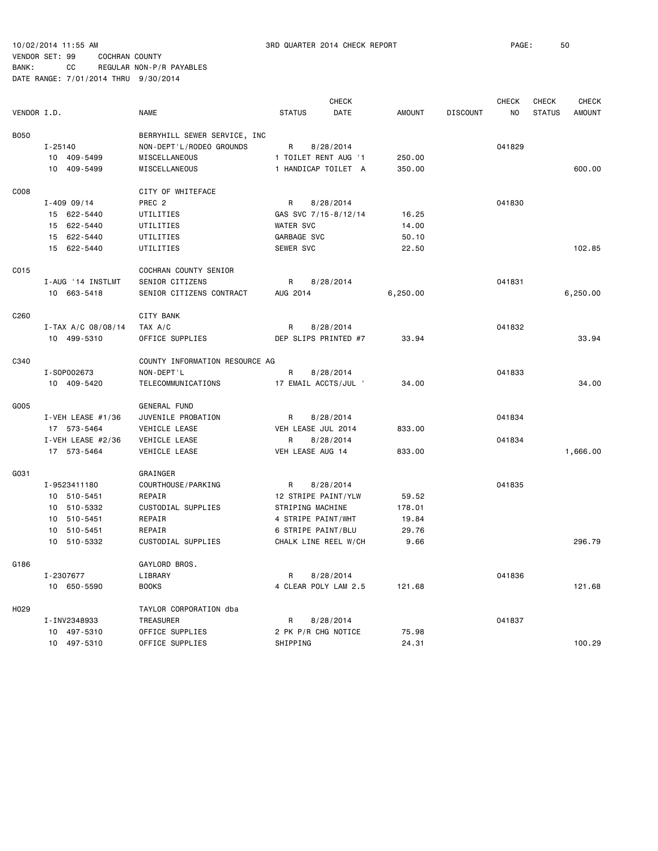10/02/2014 11:55 AM 3RD QUARTER 2014 CHECK REPORT PAGE: 50

|                  |                 |                     |                                |                      | <b>CHECK</b> |               |                 | <b>CHECK</b> | CHECK         | <b>CHECK</b>  |
|------------------|-----------------|---------------------|--------------------------------|----------------------|--------------|---------------|-----------------|--------------|---------------|---------------|
| VENDOR I.D.      |                 |                     | <b>NAME</b>                    | <b>STATUS</b>        | DATE         | <b>AMOUNT</b> | <b>DISCOUNT</b> | NO.          | <b>STATUS</b> | <b>AMOUNT</b> |
| <b>B050</b>      |                 |                     | BERRYHILL SEWER SERVICE, INC   |                      |              |               |                 |              |               |               |
|                  | $I - 25140$     |                     | NON-DEPT'L/RODEO GROUNDS       | R                    | 8/28/2014    |               |                 | 041829       |               |               |
|                  | 10              | 409-5499            | MISCELLANEOUS                  | 1 TOILET RENT AUG '1 |              | 250.00        |                 |              |               |               |
|                  | 10 409-5499     |                     | MISCELLANEOUS                  | 1 HANDICAP TOILET A  |              | 350.00        |                 |              |               | 600.00        |
|                  |                 |                     |                                |                      |              |               |                 |              |               |               |
| C008             |                 |                     | CITY OF WHITEFACE              |                      |              |               |                 |              |               |               |
|                  | $I - 409 09/14$ |                     | PREC <sub>2</sub>              | R                    | 8/28/2014    |               |                 | 041830       |               |               |
|                  | 15 622-5440     |                     | UTILITIES                      | GAS SVC 7/15-8/12/14 |              | 16.25         |                 |              |               |               |
|                  | 15 622-5440     |                     | UTILITIES                      | <b>WATER SVC</b>     |              | 14.00         |                 |              |               |               |
|                  | 15 622-5440     |                     | UTILITIES                      | GARBAGE SVC          |              | 50.10         |                 |              |               |               |
|                  | 15 622-5440     |                     | UTILITIES                      | SEWER SVC            |              | 22.50         |                 |              |               | 102.85        |
| C015             |                 |                     | COCHRAN COUNTY SENIOR          |                      |              |               |                 |              |               |               |
|                  |                 | I-AUG '14 INSTLMT   | SENIOR CITIZENS                | R                    | 8/28/2014    |               |                 | 041831       |               |               |
|                  | 10 663-5418     |                     | SENIOR CITIZENS CONTRACT       | AUG 2014             |              | 6,250.00      |                 |              |               | 6,250.00      |
|                  |                 |                     |                                |                      |              |               |                 |              |               |               |
| C <sub>260</sub> |                 |                     | <b>CITY BANK</b>               |                      |              |               |                 |              |               |               |
|                  |                 | I-TAX A/C 08/08/14  | TAX A/C                        | R                    | 8/28/2014    |               |                 | 041832       |               |               |
|                  | 10 499-5310     |                     | OFFICE SUPPLIES                | DEP SLIPS PRINTED #7 |              | 33.94         |                 |              |               | 33.94         |
| C340             |                 |                     | COUNTY INFORMATION RESOURCE AG |                      |              |               |                 |              |               |               |
|                  | I-S0P002673     |                     | NON-DEPT'L                     | R                    | 8/28/2014    |               |                 | 041833       |               |               |
|                  | 10 409-5420     |                     | TELECOMMUNICATIONS             | 17 EMAIL ACCTS/JUL ' |              | 34.00         |                 |              |               | 34.00         |
| G005             |                 |                     | <b>GENERAL FUND</b>            |                      |              |               |                 |              |               |               |
|                  |                 | I-VEH LEASE #1/36   | JUVENILE PROBATION             | R                    | 8/28/2014    |               |                 | 041834       |               |               |
|                  | 17 573-5464     |                     | VEHICLE LEASE                  | VEH LEASE JUL 2014   |              | 833.00        |                 |              |               |               |
|                  |                 | I-VEH LEASE $#2/36$ | VEHICLE LEASE                  | R                    | 8/28/2014    |               |                 | 041834       |               |               |
|                  | 17 573-5464     |                     | VEHICLE LEASE                  | VEH LEASE AUG 14     |              | 833.00        |                 |              |               | 1,666.00      |
| G031             |                 |                     | GRAINGER                       |                      |              |               |                 |              |               |               |
|                  | I-9523411180    |                     | COURTHOUSE / PARKING           | R                    | 8/28/2014    |               |                 | 041835       |               |               |
|                  | 10 510-5451     |                     | REPAIR                         | 12 STRIPE PAINT/YLW  |              | 59.52         |                 |              |               |               |
|                  | 10 510-5332     |                     | CUSTODIAL SUPPLIES             | STRIPING MACHINE     |              | 178.01        |                 |              |               |               |
|                  | 10 510-5451     |                     | REPAIR                         | 4 STRIPE PAINT/WHT   |              | 19.84         |                 |              |               |               |
|                  | 10 510-5451     |                     | REPAIR                         | 6 STRIPE PAINT/BLU   |              | 29.76         |                 |              |               |               |
|                  | 10              | 510-5332            | CUSTODIAL SUPPLIES             | CHALK LINE REEL W/CH |              | 9.66          |                 |              |               | 296.79        |
| G186             |                 |                     | GAYLORD BROS.                  |                      |              |               |                 |              |               |               |
|                  | I-2307677       |                     | LIBRARY                        | R                    | 8/28/2014    |               |                 | 041836       |               |               |
|                  | 10 650-5590     |                     | <b>BOOKS</b>                   | 4 CLEAR POLY LAM 2.5 |              | 121.68        |                 |              |               | 121.68        |
|                  |                 |                     |                                |                      |              |               |                 |              |               |               |
| H <sub>029</sub> |                 |                     | TAYLOR CORPORATION dba         |                      |              |               |                 |              |               |               |
|                  | I-INV2348933    |                     | TREASURER                      | R                    | 8/28/2014    |               |                 | 041837       |               |               |
|                  | 10              | 497-5310            | OFFICE SUPPLIES                | 2 PK P/R CHG NOTICE  |              | 75.98         |                 |              |               |               |
|                  | 10 497-5310     |                     | OFFICE SUPPLIES                | SHIPPING             |              | 24.31         |                 |              |               | 100.29        |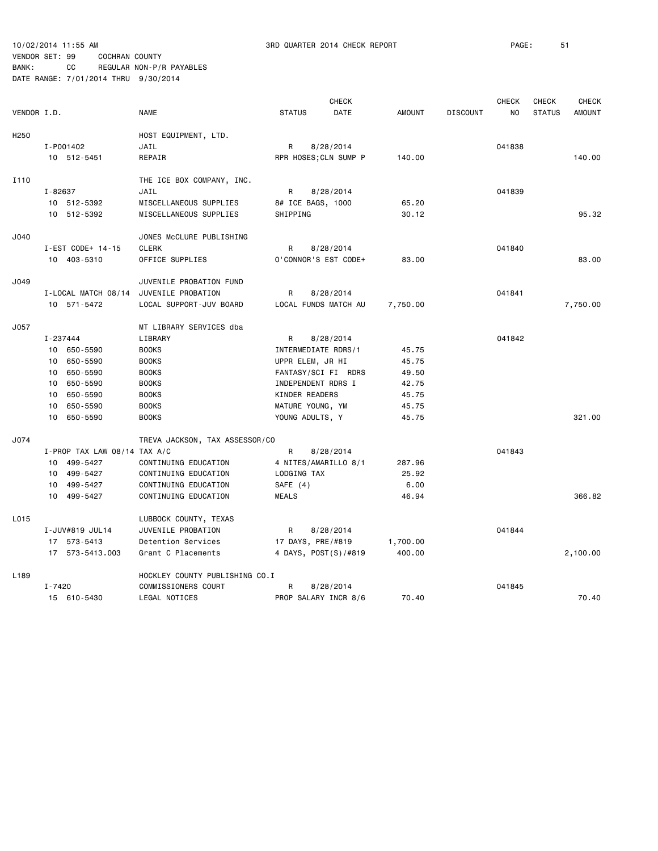|                  |                              |                                |                     | <b>CHECK</b>          |               |                 | <b>CHECK</b>   | <b>CHECK</b>  | CHECK         |
|------------------|------------------------------|--------------------------------|---------------------|-----------------------|---------------|-----------------|----------------|---------------|---------------|
| VENDOR I.D.      |                              | <b>NAME</b>                    | <b>STATUS</b>       | DATE                  | <b>AMOUNT</b> | <b>DISCOUNT</b> | N <sub>O</sub> | <b>STATUS</b> | <b>AMOUNT</b> |
| H <sub>250</sub> |                              | HOST EQUIPMENT, LTD.           |                     |                       |               |                 |                |               |               |
|                  | I-P001402                    | JAIL                           | R                   | 8/28/2014             |               |                 | 041838         |               |               |
|                  | 10 512-5451                  | REPAIR                         |                     | RPR HOSES; CLN SUMP P | 140.00        |                 |                |               | 140.00        |
|                  |                              |                                |                     |                       |               |                 |                |               |               |
| I110             |                              | THE ICE BOX COMPANY, INC.      |                     |                       |               |                 |                |               |               |
|                  | I-82637                      | JAIL                           | R                   | 8/28/2014             |               |                 | 041839         |               |               |
|                  | 10 512-5392                  | MISCELLANEOUS SUPPLIES         | 8# ICE BAGS, 1000   |                       | 65.20         |                 |                |               |               |
|                  | 10 512-5392                  | MISCELLANEOUS SUPPLIES         | SHIPPING            |                       | 30.12         |                 |                |               | 95.32         |
| J040             |                              | JONES McCLURE PUBLISHING       |                     |                       |               |                 |                |               |               |
|                  | I-EST CODE+ 14-15            | <b>CLERK</b>                   | R                   | 8/28/2014             |               |                 | 041840         |               |               |
|                  | 10 403-5310                  | OFFICE SUPPLIES                |                     | O'CONNOR'S EST CODE+  | 83.00         |                 |                |               | 83.00         |
| J049             |                              | JUVENILE PROBATION FUND        |                     |                       |               |                 |                |               |               |
|                  | I-LOCAL MATCH 08/14          | JUVENILE PROBATION             | $\mathsf{R}$        | 8/28/2014             |               |                 | 041841         |               |               |
|                  | 10 571-5472                  | LOCAL SUPPORT-JUV BOARD        |                     | LOCAL FUNDS MATCH AU  | 7,750.00      |                 |                |               | 7,750.00      |
| J057             |                              | MT LIBRARY SERVICES dba        |                     |                       |               |                 |                |               |               |
|                  | I-237444                     | LIBRARY                        | R                   | 8/28/2014             |               |                 | 041842         |               |               |
|                  | 10 650-5590                  | <b>BOOKS</b>                   | INTERMEDIATE RDRS/1 |                       | 45.75         |                 |                |               |               |
|                  | 650-5590<br>10               | <b>BOOKS</b>                   | UPPR ELEM, JR HI    |                       | 45.75         |                 |                |               |               |
|                  | 650-5590<br>10               | <b>BOOKS</b>                   |                     | FANTASY/SCI FI RDRS   | 49.50         |                 |                |               |               |
|                  | 650-5590<br>10               | <b>BOOKS</b>                   | INDEPENDENT RDRS I  |                       | 42.75         |                 |                |               |               |
|                  | 650-5590<br>10               | <b>BOOKS</b>                   | KINDER READERS      |                       | 45.75         |                 |                |               |               |
|                  | 650-5590<br>10               | <b>BOOKS</b>                   | MATURE YOUNG, YM    |                       | 45.75         |                 |                |               |               |
|                  | 650-5590<br>10               | <b>BOOKS</b>                   | YOUNG ADULTS, Y     |                       | 45.75         |                 |                |               | 321.00        |
| J074             |                              | TREVA JACKSON, TAX ASSESSOR/CO |                     |                       |               |                 |                |               |               |
|                  | I-PROP TAX LAW 08/14 TAX A/C |                                | R                   | 8/28/2014             |               |                 | 041843         |               |               |
|                  | 10 499-5427                  | CONTINUING EDUCATION           |                     | 4 NITES/AMARILLO 8/1  | 287.96        |                 |                |               |               |
|                  | 10 499-5427                  | CONTINUING EDUCATION           | LODGING TAX         |                       | 25.92         |                 |                |               |               |
|                  | 499-5427<br>10               | CONTINUING EDUCATION           | SAFE (4)            |                       | 6.00          |                 |                |               |               |
|                  | 499-5427<br>10               | CONTINUING EDUCATION           | <b>MEALS</b>        |                       | 46.94         |                 |                |               | 366.82        |
| L015             |                              | LUBBOCK COUNTY, TEXAS          |                     |                       |               |                 |                |               |               |
|                  | I-JUV#819 JUL14              | JUVENILE PROBATION             | R                   | 8/28/2014             |               |                 | 041844         |               |               |
|                  | 17 573-5413                  | Detention Services             | 17 DAYS, PRE/#819   |                       | 1,700.00      |                 |                |               |               |
|                  | 17 573-5413.003              | Grant C Placements             |                     | 4 DAYS, POST(S)/#819  | 400.00        |                 |                |               | 2,100.00      |
| L <sub>189</sub> |                              | HOCKLEY COUNTY PUBLISHING CO.I |                     |                       |               |                 |                |               |               |
|                  | $I - 7420$                   | COMMISSIONERS COURT            | R                   | 8/28/2014             |               |                 | 041845         |               |               |
|                  | 15 610-5430                  | LEGAL NOTICES                  |                     | PROP SALARY INCR 8/6  | 70.40         |                 |                |               | 70.40         |
|                  |                              |                                |                     |                       |               |                 |                |               |               |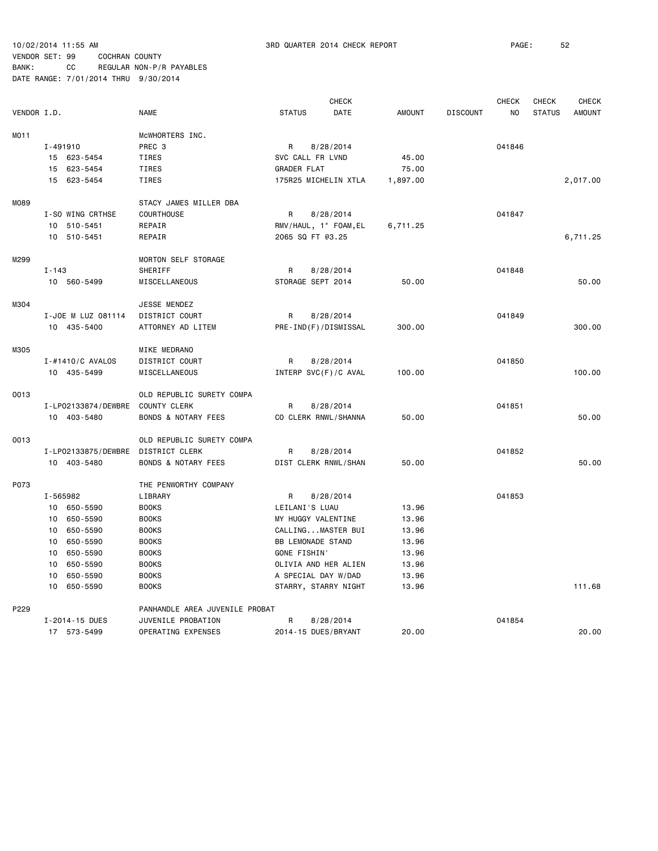10/02/2014 11:55 AM 3RD QUARTER 2014 CHECK REPORT PAGE: 52

#### VENDOR SET: 99 COCHRAN COUNTY BANK: CC REGULAR NON-P/R PAYABLES

|                  |                     |                                    |                          | <b>CHECK</b>          |               |                 | <b>CHECK</b> | <b>CHECK</b>  | <b>CHECK</b>  |
|------------------|---------------------|------------------------------------|--------------------------|-----------------------|---------------|-----------------|--------------|---------------|---------------|
| VENDOR I.D.      |                     | <b>NAME</b>                        | <b>STATUS</b>            | DATE                  | <b>AMOUNT</b> | <b>DISCOUNT</b> | NO           | <b>STATUS</b> | <b>AMOUNT</b> |
| MO <sub>11</sub> |                     | MCWHORTERS INC.                    |                          |                       |               |                 |              |               |               |
|                  | I-491910            | PREC 3                             | R                        | 8/28/2014             |               |                 | 041846       |               |               |
|                  | 15 623-5454         | TIRES                              | SVC CALL FR LVND         |                       | 45.00         |                 |              |               |               |
|                  | 623-5454<br>15      | TIRES                              | <b>GRADER FLAT</b>       |                       | 75.00         |                 |              |               |               |
|                  | 15<br>623-5454      | TIRES                              |                          | 175R25 MICHELIN XTLA  | 1,897.00      |                 |              |               | 2,017.00      |
| M089             |                     | STACY JAMES MILLER DBA             |                          |                       |               |                 |              |               |               |
|                  | I-SO WING CRTHSE    | COURTHOUSE                         | R                        | 8/28/2014             |               |                 | 041847       |               |               |
|                  | 10 510-5451         | REPAIR                             |                          | RMV/HAUL, 1" FOAM, EL | 6,711.25      |                 |              |               |               |
|                  | 10 510-5451         | REPAIR                             | 2065 SQ FT @3.25         |                       |               |                 |              |               | 6,711.25      |
| M299             |                     | MORTON SELF STORAGE                |                          |                       |               |                 |              |               |               |
|                  | $I - 143$           | SHERIFF                            | R                        | 8/28/2014             |               |                 | 041848       |               |               |
|                  | 10 560-5499         | MISCELLANEOUS                      | STORAGE SEPT 2014        |                       | 50.00         |                 |              |               | 50.00         |
| M304             |                     | JESSE MENDEZ                       |                          |                       |               |                 |              |               |               |
|                  | I-JOE M LUZ 081114  | DISTRICT COURT                     | R                        | 8/28/2014             |               |                 | 041849       |               |               |
|                  | 10 435-5400         | ATTORNEY AD LITEM                  |                          | PRE-IND(F)/DISMISSAL  | 300.00        |                 |              |               | 300.00        |
| M305             |                     | MIKE MEDRANO                       |                          |                       |               |                 |              |               |               |
|                  | I-#1410/C AVALOS    | DISTRICT COURT                     | R                        | 8/28/2014             |               |                 | 041850       |               |               |
|                  | 10 435-5499         | MISCELLANEOUS                      |                          | INTERP SVC(F)/C AVAL  | 100.00        |                 |              |               | 100.00        |
| 0013             |                     | OLD REPUBLIC SURETY COMPA          |                          |                       |               |                 |              |               |               |
|                  | I-LP02133874/DEWBRE | COUNTY CLERK                       | R                        | 8/28/2014             |               |                 | 041851       |               |               |
|                  | 10 403-5480         | <b>BONDS &amp; NOTARY FEES</b>     |                          | CO CLERK RNWL/SHANNA  | 50.00         |                 |              |               | 50.00         |
| 0013             |                     | OLD REPUBLIC SURETY COMPA          |                          |                       |               |                 |              |               |               |
|                  |                     | I-LP02133875/DEWBRE DISTRICT CLERK | R                        | 8/28/2014             |               |                 | 041852       |               |               |
|                  | 10 403-5480         | <b>BONDS &amp; NOTARY FEES</b>     |                          | DIST CLERK RNWL/SHAN  | 50.00         |                 |              |               | 50.00         |
| P073             |                     | THE PENWORTHY COMPANY              |                          |                       |               |                 |              |               |               |
|                  | I-565982            | LIBRARY                            | R                        | 8/28/2014             |               |                 | 041853       |               |               |
|                  | 10 650-5590         | <b>BOOKS</b>                       | LEILANI'S LUAU           |                       | 13.96         |                 |              |               |               |
|                  | 10 650-5590         | <b>BOOKS</b>                       |                          | MY HUGGY VALENTINE    | 13.96         |                 |              |               |               |
|                  | 650-5590<br>10      | <b>BOOKS</b>                       |                          | CALLINGMASTER BUI     | 13.96         |                 |              |               |               |
|                  | 10 650-5590         | <b>BOOKS</b>                       | <b>BB LEMONADE STAND</b> |                       | 13.96         |                 |              |               |               |
|                  | 10<br>650-5590      | <b>BOOKS</b>                       | GONE FISHIN'             |                       | 13.96         |                 |              |               |               |
|                  | 10<br>650-5590      | <b>BOOKS</b>                       |                          | OLIVIA AND HER ALIEN  | 13.96         |                 |              |               |               |
|                  | 10<br>650-5590      | <b>BOOKS</b>                       |                          | A SPECIAL DAY W/DAD   | 13.96         |                 |              |               |               |
|                  | 10 650-5590         | <b>BOOKS</b>                       |                          | STARRY, STARRY NIGHT  | 13.96         |                 |              |               | 111.68        |
| P229             |                     | PANHANDLE AREA JUVENILE PROBAT     |                          |                       |               |                 |              |               |               |
|                  | I-2014-15 DUES      | JUVENILE PROBATION                 | R                        | 8/28/2014             |               |                 | 041854       |               |               |
|                  | 17 573-5499         | OPERATING EXPENSES                 |                          | 2014-15 DUES/BRYANT   | 20,00         |                 |              |               | 20,00         |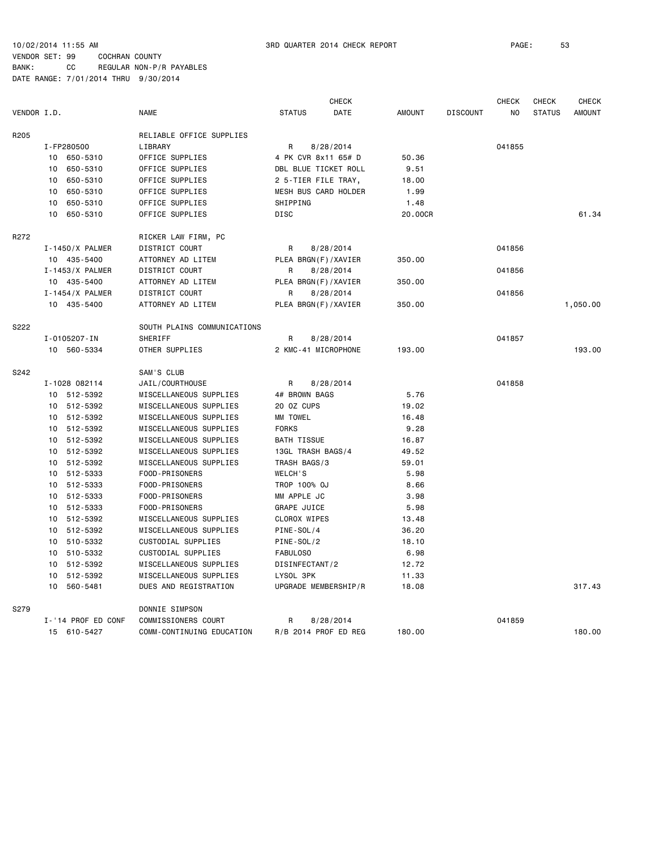CHECK CHECK CHECK CHECK VENDOR I.D. NAME STATUS DATE AMOUNT DISCOUNT NO STATUS AMOUNT R205 RELIABLE OFFICE SUPPLIES I-FP280500 LIBRARY R 8/28/2014 041855 10 650-5310 OFFICE SUPPLIES 4 PK CVR 8x11 65# D 50.36 10 650-5310 OFFICE SUPPLIES DBL BLUE TICKET ROLL 9.51 10 650-5310 OFFICE SUPPLIES 2 5-TIER FILE TRAY, 18.00 10 650-5310 OFFICE SUPPLIES MESH BUS CARD HOLDER 1.99 10 650-5310 OFFICE SUPPLIES SHIPPING 1.48 10 650-5310 OFFICE SUPPLIES DISC 20.00CR 61.34 R272 RICKER LAW FIRM, PC I-1450/X PALMER DISTRICT COURT R 8/28/2014 041856 10 435-5400 ATTORNEY AD LITEM PLEA BRGN(F)/XAVIER 350.00 I-1453/X PALMER DISTRICT COURT R 8/28/2014 041856 10 435-5400 ATTORNEY AD LITEM PLEA BRGN(F)/XAVIER 350.00 I-1454/X PALMER DISTRICT COURT R 8/28/2014 041856 10 435-5400 ATTORNEY AD LITEM PLEA BRGN(F)/XAVIER 350.00 1,050.00 S222 SOUTH PLAINS COMMUNICATIONS I-0105207-IN SHERIFF R 8/28/2014 041857 10 560-5334 OTHER SUPPLIES 2 KMC-41 MICROPHONE 193.00 193.00 S242 SAM'S CLUB I-1028 082114 JAIL/COURTHOUSE R 8/28/2014 041858 10 512-5392 MISCELLANEOUS SUPPLIES 4# BROWN BAGS 5.76 10 512-5392 MISCELLANEOUS SUPPLIES 20 OZ CUPS 19.02 10 512-5392 MISCELLANEOUS SUPPLIES MM TOWEL 16.48 10 512-5392 MISCELLANEOUS SUPPLIES FORKS 9.28 10 512-5392 MISCELLANEOUS SUPPLIES BATH TISSUE 16.87 10 512-5392 MISCELLANEOUS SUPPLIES 13GL TRASH BAGS/4 49.52 10 512-5392 MISCELLANEOUS SUPPLIES TRASH BAGS/3 59.01 10 512-5333 FOOD-PRISONERS WELCH'S 5.98 10 512-5333 FOOD-PRISONERS TROP 100% OJ 8.66 10 512-5333 FOOD-PRISONERS MM APPLE JC 3.98 10 512-5333 FOOD-PRISONERS GRAPE JUICE 5.98 10 512-5392 MISCELLANEOUS SUPPLIES CLOROX WIPES 13.48 10 512-5392 MISCELLANEOUS SUPPLIES PINE-SOL/4 36.20 10 510-5332 CUSTODIAL SUPPLIES PINE-SOL/2 18.10 10 510-5332 CUSTODIAL SUPPLIES FABULOSO 6.98 10 512-5392 MISCELLANEOUS SUPPLIES DISINFECTANT/2 12.72 10 512-5392 MISCELLANEOUS SUPPLIES LYSOL 3PK 11.33 10 560-5481 DUES AND REGISTRATION UPGRADE MEMBERSHIP/R 18.08 317.43 S279 DONNIE SIMPSON I-'14 PROF ED CONF COMMISSIONERS COURT R 8/28/2014 CALLED BY AND THE R 97 O 41859 15 610-5427 COMM-CONTINUING EDUCATION R/B 2014 PROF ED REG 180.00 180.00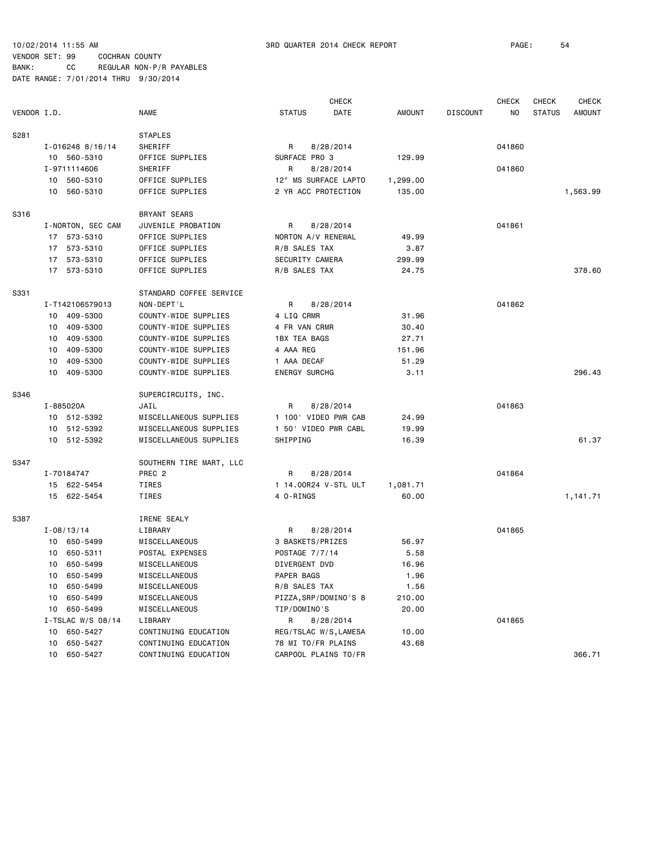|             |    |                      |                         |                      | <b>CHECK</b>          |               |                 | <b>CHECK</b> | <b>CHECK</b>  | <b>CHECK</b>  |
|-------------|----|----------------------|-------------------------|----------------------|-----------------------|---------------|-----------------|--------------|---------------|---------------|
| VENDOR I.D. |    |                      | <b>NAME</b>             | <b>STATUS</b>        | DATE                  | <b>AMOUNT</b> | <b>DISCOUNT</b> | NO           | <b>STATUS</b> | <b>AMOUNT</b> |
| S281        |    |                      | <b>STAPLES</b>          |                      |                       |               |                 |              |               |               |
|             |    | $I - 016248$ 8/16/14 | SHERIFF                 | R                    | 8/28/2014             |               |                 | 041860       |               |               |
|             |    | 10 560-5310          | OFFICE SUPPLIES         | SURFACE PRO 3        |                       | 129.99        |                 |              |               |               |
|             |    | I-9711114606         | SHERIFF                 | R                    | 8/28/2014             |               |                 | 041860       |               |               |
|             |    | 10 560-5310          | OFFICE SUPPLIES         |                      | 12" MS SURFACE LAPTO  | 1,299.00      |                 |              |               |               |
|             |    | 10 560-5310          | OFFICE SUPPLIES         | 2 YR ACC PROTECTION  |                       | 135.00        |                 |              |               | 1,563.99      |
| S316        |    |                      | BRYANT SEARS            |                      |                       |               |                 |              |               |               |
|             |    | I-NORTON, SEC CAM    | JUVENILE PROBATION      | R                    | 8/28/2014             |               |                 | 041861       |               |               |
|             |    | 17 573-5310          | OFFICE SUPPLIES         | NORTON A/V RENEWAL   |                       | 49.99         |                 |              |               |               |
|             |    | 17 573-5310          | OFFICE SUPPLIES         | R/B SALES TAX        |                       | 3.87          |                 |              |               |               |
|             |    | 17 573-5310          | OFFICE SUPPLIES         | SECURITY CAMERA      |                       | 299.99        |                 |              |               |               |
|             |    | 17 573-5310          | OFFICE SUPPLIES         | R/B SALES TAX        |                       | 24.75         |                 |              |               | 378.60        |
| S331        |    |                      | STANDARD COFFEE SERVICE |                      |                       |               |                 |              |               |               |
|             |    | I-T142106579013      | NON-DEPT'L              | R                    | 8/28/2014             |               |                 | 041862       |               |               |
|             |    | 10 409-5300          | COUNTY-WIDE SUPPLIES    | 4 LIQ CRMR           |                       | 31.96         |                 |              |               |               |
|             | 10 | 409-5300             | COUNTY-WIDE SUPPLIES    | 4 FR VAN CRMR        |                       | 30.40         |                 |              |               |               |
|             | 10 | 409-5300             | COUNTY-WIDE SUPPLIES    | <b>1BX TEA BAGS</b>  |                       | 27.71         |                 |              |               |               |
|             | 10 | 409-5300             | COUNTY-WIDE SUPPLIES    | 4 AAA REG            |                       | 151.96        |                 |              |               |               |
|             | 10 | 409-5300             | COUNTY-WIDE SUPPLIES    | 1 AAA DECAF          |                       | 51.29         |                 |              |               |               |
|             | 10 | 409-5300             | COUNTY-WIDE SUPPLIES    | <b>ENERGY SURCHG</b> |                       | 3.11          |                 |              |               | 296.43        |
| S346        |    |                      | SUPERCIRCUITS, INC.     |                      |                       |               |                 |              |               |               |
|             |    | I-885020A            | JAIL                    | R                    | 8/28/2014             |               |                 | 041863       |               |               |
|             |    | 10 512-5392          | MISCELLANEOUS SUPPLIES  |                      | 1 100' VIDEO PWR CAB  | 24.99         |                 |              |               |               |
|             |    | 10 512-5392          | MISCELLANEOUS SUPPLIES  |                      | 1 50' VIDEO PWR CABL  | 19.99         |                 |              |               |               |
|             |    | 10 512-5392          | MISCELLANEOUS SUPPLIES  | SHIPPING             |                       | 16.39         |                 |              |               | 61.37         |
| S347        |    |                      | SOUTHERN TIRE MART, LLC |                      |                       |               |                 |              |               |               |
|             |    | I-70184747           | PREC <sub>2</sub>       | R                    | 8/28/2014             |               |                 | 041864       |               |               |
|             |    | 15 622-5454          | TIRES                   |                      | 1 14.00R24 V-STL ULT  | 1,081.71      |                 |              |               |               |
|             |    | 15 622-5454          | TIRES                   | 4 O-RINGS            |                       | 60.00         |                 |              |               | 1,141.71      |
| S387        |    |                      | IRENE SEALY             |                      |                       |               |                 |              |               |               |
|             |    | $I - 08/13/14$       | LIBRARY                 | R                    | 8/28/2014             |               |                 | 041865       |               |               |
|             |    | 10 650-5499          | MISCELLANEOUS           | 3 BASKETS/PRIZES     |                       | 56.97         |                 |              |               |               |
|             | 10 | 650-5311             | POSTAL EXPENSES         | POSTAGE 7/7/14       |                       | 5.58          |                 |              |               |               |
|             |    | 10 650-5499          | MISCELLANEOUS           | DIVERGENT DVD        |                       | 16.96         |                 |              |               |               |
|             |    | 10 650-5499          | MISCELLANEOUS           | PAPER BAGS           |                       | 1.96          |                 |              |               |               |
|             |    | 10 650-5499          | MISCELLANEOUS           | R/B SALES TAX        |                       | 1.56          |                 |              |               |               |
|             | 10 | 650-5499             | MISCELLANEOUS           |                      | PIZZA, SRP/DOMINO'S 8 | 210.00        |                 |              |               |               |
|             | 10 | 650-5499             | MISCELLANEOUS           | TIP/DOMINO'S         |                       | 20.00         |                 |              |               |               |
|             |    | I-TSLAC W/S $08/14$  | LIBRARY                 | R                    | 8/28/2014             |               |                 | 041865       |               |               |
|             |    | 10 650-5427          | CONTINUING EDUCATION    |                      | REG/TSLAC W/S, LAMESA | 10.00         |                 |              |               |               |
|             | 10 | 650-5427             | CONTINUING EDUCATION    | 78 MI TO/FR PLAINS   |                       | 43.68         |                 |              |               |               |
|             |    | 10 650-5427          | CONTINUING EDUCATION    |                      | CARPOOL PLAINS TO/FR  |               |                 |              |               | 366.71        |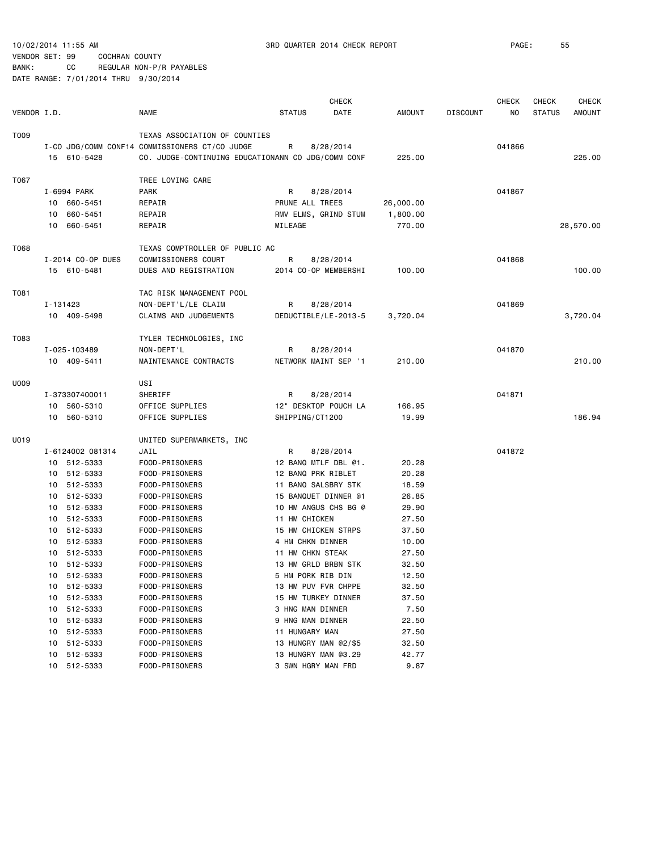10/02/2014 11:55 AM 3RD QUARTER 2014 CHECK REPORT PAGE: 55

#### VENDOR SET: 99 COCHRAN COUNTY BANK: CC REGULAR NON-P/R PAYABLES

|             |                   |                                                    |                  | <b>CHECK</b>         |           |                 | <b>CHECK</b> | <b>CHECK</b>  | <b>CHECK</b> |
|-------------|-------------------|----------------------------------------------------|------------------|----------------------|-----------|-----------------|--------------|---------------|--------------|
| VENDOR I.D. |                   | <b>NAME</b>                                        | <b>STATUS</b>    | DATE                 | AMOUNT    | <b>DISCOUNT</b> | NO           | <b>STATUS</b> | AMOUNT       |
| T009        |                   | TEXAS ASSOCIATION OF COUNTIES                      |                  |                      |           |                 |              |               |              |
|             |                   | I-CO JDG/COMM CONF14 COMMISSIONERS CT/CO JUDGE     | R                | 8/28/2014            |           |                 | 041866       |               |              |
|             | 15 610-5428       | CO. JUDGE-CONTINUING EDUCATIONANN CO JDG/COMM CONF |                  |                      | 225.00    |                 |              |               | 225.00       |
| T067        |                   | TREE LOVING CARE                                   |                  |                      |           |                 |              |               |              |
|             | I-6994 PARK       | PARK                                               | R                | 8/28/2014            |           |                 | 041867       |               |              |
|             | 10 660-5451       | REPAIR                                             | PRUNE ALL TREES  |                      | 26,000.00 |                 |              |               |              |
|             | 10 660-5451       | REPAIR                                             |                  | RMV ELMS, GRIND STUM | 1,800.00  |                 |              |               |              |
|             | 10 660-5451       | REPAIR                                             | MILEAGE          |                      | 770.00    |                 |              |               | 28,570.00    |
| T068        |                   | TEXAS COMPTROLLER OF PUBLIC AC                     |                  |                      |           |                 |              |               |              |
|             | I-2014 CO-OP DUES | COMMISSIONERS COURT                                | R                | 8/28/2014            |           |                 | 041868       |               |              |
|             | 15 610-5481       | DUES AND REGISTRATION                              |                  | 2014 CO-OP MEMBERSHI | 100.00    |                 |              |               | 100.00       |
| T081        |                   | TAC RISK MANAGEMENT POOL                           |                  |                      |           |                 |              |               |              |
|             | I-131423          | NON-DEPT'L/LE CLAIM                                | R                | 8/28/2014            |           |                 | 041869       |               |              |
|             | 10 409-5498       | CLAIMS AND JUDGEMENTS                              |                  | DEDUCTIBLE/LE-2013-5 | 3,720.04  |                 |              |               | 3,720.04     |
| T083        |                   | TYLER TECHNOLOGIES, INC                            |                  |                      |           |                 |              |               |              |
|             | I-025-103489      | NON-DEPT'L                                         | R                | 8/28/2014            |           |                 | 041870       |               |              |
|             | 10 409-5411       | MAINTENANCE CONTRACTS                              |                  | NETWORK MAINT SEP '1 | 210.00    |                 |              |               | 210.00       |
| U009        |                   | USI                                                |                  |                      |           |                 |              |               |              |
|             | I-373307400011    | SHERIFF                                            | R                | 8/28/2014            |           |                 | 041871       |               |              |
|             | 10 560-5310       | OFFICE SUPPLIES                                    |                  | 12" DESKTOP POUCH LA | 166.95    |                 |              |               |              |
|             | 10 560-5310       | OFFICE SUPPLIES                                    | SHIPPING/CT1200  |                      | 19.99     |                 |              |               | 186.94       |
| U019        |                   | UNITED SUPERMARKETS, INC                           |                  |                      |           |                 |              |               |              |
|             | I-6124002 081314  | JAIL                                               | R                | 8/28/2014            |           |                 | 041872       |               |              |
|             | 10 512-5333       | FOOD-PRISONERS                                     |                  | 12 BANQ MTLF DBL @1. | 20.28     |                 |              |               |              |
|             | 10 512-5333       | FOOD-PRISONERS                                     |                  | 12 BANQ PRK RIBLET   | 20.28     |                 |              |               |              |
|             | 10 512-5333       | FOOD-PRISONERS                                     |                  | 11 BANQ SALSBRY STK  | 18.59     |                 |              |               |              |
|             | 10 512-5333       | FOOD-PRISONERS                                     |                  | 15 BANQUET DINNER @1 | 26.85     |                 |              |               |              |
|             | 10 512-5333       | FOOD-PRISONERS                                     |                  | 10 HM ANGUS CHS BG @ | 29.90     |                 |              |               |              |
|             | 10 512-5333       | FOOD-PRISONERS                                     | 11 HM CHICKEN    |                      | 27.50     |                 |              |               |              |
|             | 10 512-5333       | FOOD-PRISONERS                                     |                  | 15 HM CHICKEN STRPS  | 37.50     |                 |              |               |              |
|             | 10 512-5333       | FOOD-PRISONERS                                     | 4 HM CHKN DINNER |                      | 10.00     |                 |              |               |              |
|             | 10 512-5333       | FOOD-PRISONERS                                     | 11 HM CHKN STEAK |                      | 27.50     |                 |              |               |              |
|             | 10 512-5333       | FOOD-PRISONERS                                     |                  | 13 HM GRLD BRBN STK  | 32.50     |                 |              |               |              |
|             | 10 512-5333       | FOOD-PRISONERS                                     |                  | 5 HM PORK RIB DIN    | 12.50     |                 |              |               |              |
|             | 10 512-5333       | FOOD-PRISONERS                                     |                  | 13 HM PUV FVR CHPPE  | 32.50     |                 |              |               |              |
|             | 512-5333<br>10    | FOOD-PRISONERS                                     |                  | 15 HM TURKEY DINNER  | 37.50     |                 |              |               |              |
|             | 512-5333<br>10    | FOOD-PRISONERS                                     | 3 HNG MAN DINNER |                      | 7.50      |                 |              |               |              |
|             | 512-5333<br>10    | FOOD-PRISONERS                                     | 9 HNG MAN DINNER |                      | 22.50     |                 |              |               |              |
|             | 512-5333<br>10    | FOOD-PRISONERS                                     | 11 HUNGARY MAN   |                      | 27.50     |                 |              |               |              |
|             | 10 512-5333       | FOOD-PRISONERS                                     |                  | 13 HUNGRY MAN @2/\$5 | 32.50     |                 |              |               |              |
|             | 10 512-5333       | FOOD-PRISONERS                                     |                  | 13 HUNGRY MAN @3.29  | 42.77     |                 |              |               |              |
|             | 10 512-5333       | FOOD-PRISONERS                                     |                  | 3 SWN HGRY MAN FRD   | 9.87      |                 |              |               |              |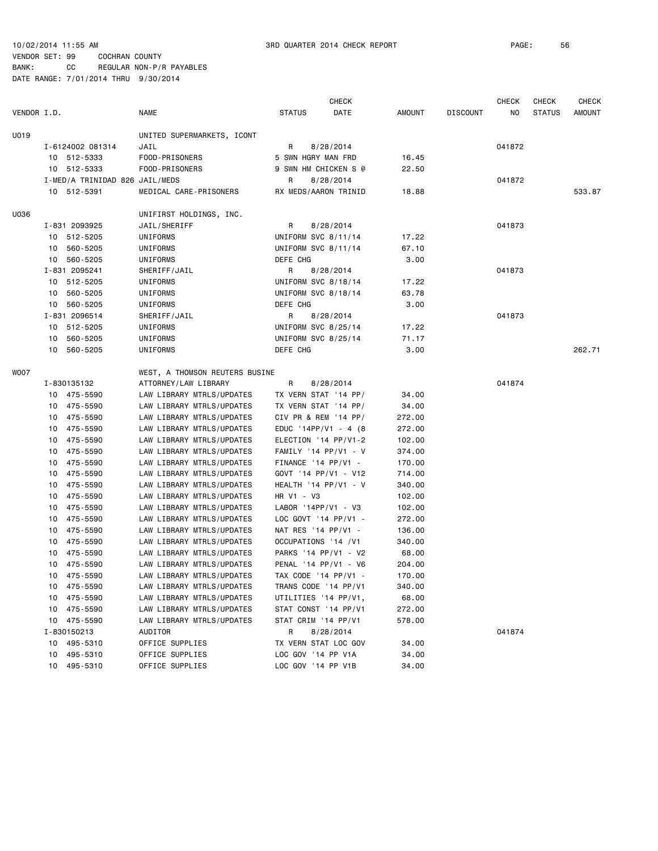|             |                                |                                |                       | <b>CHECK</b> |               |                 | CHECK  | <b>CHECK</b>  | <b>CHECK</b>  |
|-------------|--------------------------------|--------------------------------|-----------------------|--------------|---------------|-----------------|--------|---------------|---------------|
| VENDOR I.D. |                                | <b>NAME</b>                    | <b>STATUS</b>         | DATE         | <b>AMOUNT</b> | <b>DISCOUNT</b> | NO     | <b>STATUS</b> | <b>AMOUNT</b> |
| U019        |                                | UNITED SUPERMARKETS, ICONT     |                       |              |               |                 |        |               |               |
|             | I-6124002 081314               | JAIL                           | R                     | 8/28/2014    |               |                 | 041872 |               |               |
|             | 10 512-5333                    | FOOD-PRISONERS                 | 5 SWN HGRY MAN FRD    |              | 16.45         |                 |        |               |               |
|             | 10 512-5333                    | FOOD-PRISONERS                 | 9 SWN HM CHICKEN S @  |              | 22.50         |                 |        |               |               |
|             | I-MED/A TRINIDAD 826 JAIL/MEDS |                                | R                     | 8/28/2014    |               |                 | 041872 |               |               |
|             | 10 512-5391                    | MEDICAL CARE-PRISONERS         | RX MEDS/AARON TRINID  |              | 18.88         |                 |        |               | 533.87        |
| U036        |                                | UNIFIRST HOLDINGS, INC.        |                       |              |               |                 |        |               |               |
|             | I-831 2093925                  | JAIL/SHERIFF                   | R.                    | 8/28/2014    |               |                 | 041873 |               |               |
|             | 10 512-5205                    | UNIFORMS                       | UNIFORM SVC 8/11/14   |              | 17.22         |                 |        |               |               |
|             | 10 560-5205                    | UNIFORMS                       | UNIFORM SVC 8/11/14   |              | 67.10         |                 |        |               |               |
|             | 10 560-5205                    | UNIFORMS                       | DEFE CHG              |              | 3.00          |                 |        |               |               |
|             | I-831 2095241                  | SHERIFF/JAIL                   | R                     | 8/28/2014    |               |                 | 041873 |               |               |
|             | 10 512-5205                    | UNIFORMS                       | UNIFORM SVC 8/18/14   |              | 17.22         |                 |        |               |               |
|             | 10 560-5205                    | UNIFORMS                       | UNIFORM SVC 8/18/14   |              | 63.78         |                 |        |               |               |
|             | 10 560-5205                    | UNIFORMS                       | DEFE CHG              |              | 3.00          |                 |        |               |               |
|             | I-831 2096514                  | SHERIFF/JAIL                   | R.                    | 8/28/2014    |               |                 | 041873 |               |               |
|             | 10 512-5205                    | UNIFORMS                       | UNIFORM SVC 8/25/14   |              | 17.22         |                 |        |               |               |
|             | 560-5205<br>10                 | UNIFORMS                       | UNIFORM SVC 8/25/14   |              | 71.17         |                 |        |               |               |
|             | 10 560-5205                    | UNIFORMS                       | DEFE CHG              |              | 3.00          |                 |        |               | 262.71        |
| WOO7        |                                | WEST, A THOMSON REUTERS BUSINE |                       |              |               |                 |        |               |               |
|             | I-830135132                    | ATTORNEY/LAW LIBRARY           | R                     | 8/28/2014    |               |                 | 041874 |               |               |
|             | 10 475-5590                    | LAW LIBRARY MTRLS/UPDATES      | TX VERN STAT '14 PP/  |              | 34.00         |                 |        |               |               |
|             | 10 475-5590                    | LAW LIBRARY MTRLS/UPDATES      | TX VERN STAT '14 PP/  |              | 34.00         |                 |        |               |               |
|             | 10 475-5590                    | LAW LIBRARY MTRLS/UPDATES      | CIV PR & REM '14 PP/  |              | 272.00        |                 |        |               |               |
|             | 475-5590<br>10                 | LAW LIBRARY MTRLS/UPDATES      | EDUC '14PP/V1 - 4 (8  |              | 272.00        |                 |        |               |               |
|             | 10 475-5590                    | LAW LIBRARY MTRLS/UPDATES      | ELECTION '14 PP/V1-2  |              | 102.00        |                 |        |               |               |
|             | 475-5590<br>10                 | LAW LIBRARY MTRLS/UPDATES      | FAMILY '14 PP/V1 - V  |              | 374.00        |                 |        |               |               |
|             | 10 475-5590                    | LAW LIBRARY MTRLS/UPDATES      | $FINANCE '14 PP/V1 -$ |              | 170.00        |                 |        |               |               |
|             | 475-5590<br>10                 | LAW LIBRARY MTRLS/UPDATES      | GOVT '14 PP/V1 - V12  |              | 714.00        |                 |        |               |               |
|             | 475-5590<br>10                 | LAW LIBRARY MTRLS/UPDATES      | HEALTH '14 PP/V1 - V  |              | 340.00        |                 |        |               |               |
|             | 475-5590<br>10                 | LAW LIBRARY MTRLS/UPDATES      | HR V1 - V3            |              | 102.00        |                 |        |               |               |
|             | 10 475-5590                    | LAW LIBRARY MTRLS/UPDATES      | LABOR '14PP/V1 - V3   |              | 102.00        |                 |        |               |               |
|             | 475-5590<br>10                 | LAW LIBRARY MTRLS/UPDATES      | LOC GOVT '14 PP/V1 -  |              | 272.00        |                 |        |               |               |
|             | 475-5590<br>10                 | LAW LIBRARY MTRLS/UPDATES      | NAT RES '14 PP/V1 -   |              | 136.00        |                 |        |               |               |
|             | 475-5590<br>10                 | LAW LIBRARY MTRLS/UPDATES      | OCCUPATIONS '14 / V1  |              | 340.00        |                 |        |               |               |
|             | 10 475-5590                    | LAW LIBRARY MTRLS/UPDATES      | PARKS '14 PP/V1 - V2  |              | 68.00         |                 |        |               |               |
|             | 475-5590<br>10                 | LAW LIBRARY MTRLS/UPDATES      | PENAL '14 PP/V1 - V6  |              | 204.00        |                 |        |               |               |
|             | 10 475-5590                    | LAW LIBRARY MTRLS/UPDATES      | TAX CODE '14 PP/V1 -  |              | 170.00        |                 |        |               |               |
|             | 10 475-5590                    | LAW LIBRARY MTRLS/UPDATES      | TRANS CODE '14 PP/V1  |              | 340.00        |                 |        |               |               |
|             | 10 475-5590                    | LAW LIBRARY MTRLS/UPDATES      | UTILITIES '14 PP/V1,  |              | 68.00         |                 |        |               |               |
|             | 10 475-5590                    | LAW LIBRARY MTRLS/UPDATES      | STAT CONST '14 PP/V1  |              | 272.00        |                 |        |               |               |
|             | 10 475-5590                    | LAW LIBRARY MTRLS/UPDATES      | STAT CRIM '14 PP/V1   |              | 578.00        |                 |        |               |               |
|             | I-830150213                    | AUDITOR                        | R                     | 8/28/2014    |               |                 | 041874 |               |               |
|             | 10 495-5310                    | OFFICE SUPPLIES                | TX VERN STAT LOC GOV  |              | 34.00         |                 |        |               |               |
|             | 495-5310<br>10                 | OFFICE SUPPLIES                | LOC GOV '14 PP V1A    |              | 34.00         |                 |        |               |               |
|             | 10 495-5310                    | OFFICE SUPPLIES                | LOC GOV '14 PP V1B    |              | 34.00         |                 |        |               |               |
|             |                                |                                |                       |              |               |                 |        |               |               |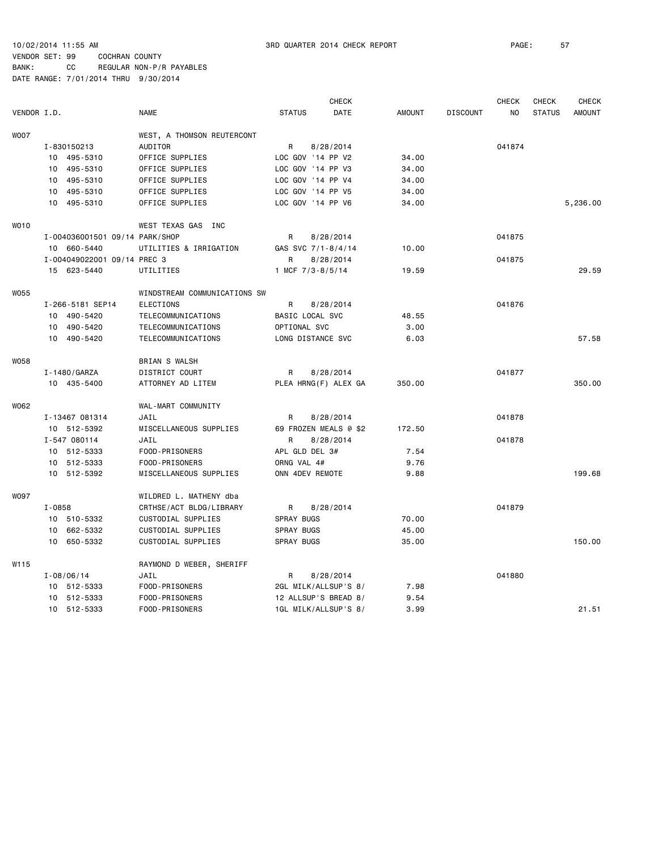|             |            |                                |                              |                | <b>CHECK</b>          |               |                 | <b>CHECK</b> | <b>CHECK</b>  | <b>CHECK</b>  |
|-------------|------------|--------------------------------|------------------------------|----------------|-----------------------|---------------|-----------------|--------------|---------------|---------------|
| VENDOR I.D. |            |                                | <b>NAME</b>                  | <b>STATUS</b>  | <b>DATE</b>           | <b>AMOUNT</b> | <b>DISCOUNT</b> | NO.          | <b>STATUS</b> | <b>AMOUNT</b> |
| <b>WOO7</b> |            |                                | WEST, A THOMSON REUTERCONT   |                |                       |               |                 |              |               |               |
|             |            | I-830150213                    | <b>AUDITOR</b>               | R              | 8/28/2014             |               |                 | 041874       |               |               |
|             |            | 10 495-5310                    | OFFICE SUPPLIES              |                | LOC GOV '14 PP V2     | 34.00         |                 |              |               |               |
|             |            | 10 495-5310                    | OFFICE SUPPLIES              |                | LOC GOV '14 PP V3     | 34.00         |                 |              |               |               |
|             |            | 10 495-5310                    | OFFICE SUPPLIES              |                | LOC GOV '14 PP V4     | 34.00         |                 |              |               |               |
|             |            | 10 495-5310                    | OFFICE SUPPLIES              |                | LOC GOV '14 PP V5     | 34.00         |                 |              |               |               |
|             |            | 10 495-5310                    | OFFICE SUPPLIES              |                | LOC GOV '14 PP V6     | 34.00         |                 |              |               | 5,236.00      |
| <b>WO10</b> |            |                                | WEST TEXAS GAS INC           |                |                       |               |                 |              |               |               |
|             |            | I-004036001501 09/14 PARK/SHOP |                              | R              | 8/28/2014             |               |                 | 041875       |               |               |
|             |            | 10 660-5440                    | UTILITIES & IRRIGATION       |                | GAS SVC 7/1-8/4/14    | 10.00         |                 |              |               |               |
|             |            | I-004049022001 09/14 PREC 3    |                              | R              | 8/28/2014             |               |                 | 041875       |               |               |
|             |            | 15 623-5440                    | UTILITIES                    |                | 1 MCF $7/3 - 8/5/14$  | 19.59         |                 |              |               | 29.59         |
| <b>W055</b> |            |                                | WINDSTREAM COMMUNICATIONS SW |                |                       |               |                 |              |               |               |
|             |            | I-266-5181 SEP14               | ELECTIONS                    | R              | 8/28/2014             |               |                 | 041876       |               |               |
|             |            | 10 490-5420                    | TELECOMMUNICATIONS           |                | BASIC LOCAL SVC       | 48.55         |                 |              |               |               |
|             |            | 10 490-5420                    | TELECOMMUNICATIONS           | OPTIONAL SVC   |                       | 3.00          |                 |              |               |               |
|             |            | 10 490-5420                    | TELECOMMUNICATIONS           |                | LONG DISTANCE SVC     | 6.03          |                 |              |               | 57.58         |
| W058        |            |                                | <b>BRIAN S WALSH</b>         |                |                       |               |                 |              |               |               |
|             |            | I-1480/GARZA                   | DISTRICT COURT               | R              | 8/28/2014             |               |                 | 041877       |               |               |
|             |            | 10 435-5400                    | ATTORNEY AD LITEM            |                | PLEA HRNG(F) ALEX GA  | 350.00        |                 |              |               | 350.00        |
| W062        |            |                                | WAL-MART COMMUNITY           |                |                       |               |                 |              |               |               |
|             |            | I-13467 081314                 | JAIL                         | R              | 8/28/2014             |               |                 | 041878       |               |               |
|             |            | 10 512-5392                    | MISCELLANEOUS SUPPLIES       |                | 69 FROZEN MEALS @ \$2 | 172.50        |                 |              |               |               |
|             |            | I-547 080114                   | JAIL                         | R              | 8/28/2014             |               |                 | 041878       |               |               |
|             |            | 10 512-5333                    | FOOD-PRISONERS               | APL GLD DEL 3# |                       | 7.54          |                 |              |               |               |
|             |            | 10 512-5333                    | FOOD-PRISONERS               | ORNG VAL 4#    |                       | 9.76          |                 |              |               |               |
|             |            | 10 512-5392                    | MISCELLANEOUS SUPPLIES       |                | ONN 4DEV REMOTE       | 9.88          |                 |              |               | 199.68        |
| <b>WO97</b> |            |                                | WILDRED L. MATHENY dba       |                |                       |               |                 |              |               |               |
|             | $I - 0858$ |                                | CRTHSE/ACT BLDG/LIBRARY      | R              | 8/28/2014             |               |                 | 041879       |               |               |
|             |            | 10 510-5332                    | CUSTODIAL SUPPLIES           | SPRAY BUGS     |                       | 70.00         |                 |              |               |               |
|             |            | 10 662-5332                    | CUSTODIAL SUPPLIES           | SPRAY BUGS     |                       | 45.00         |                 |              |               |               |
|             |            | 10 650-5332                    | CUSTODIAL SUPPLIES           | SPRAY BUGS     |                       | 35.00         |                 |              |               | 150.00        |
| W115        |            |                                | RAYMOND D WEBER, SHERIFF     |                |                       |               |                 |              |               |               |
|             |            | $I - 08/06/14$                 | JAIL                         | R              | 8/28/2014             |               |                 | 041880       |               |               |
|             |            | 10 512-5333                    | FOOD-PRISONERS               |                | 2GL MILK/ALLSUP'S 8/  | 7.98          |                 |              |               |               |
|             |            | 10 512-5333                    | FOOD-PRISONERS               |                | 12 ALLSUP'S BREAD 8/  | 9.54          |                 |              |               |               |
|             |            | 10 512-5333                    | FOOD-PRISONERS               |                | 1GL MILK/ALLSUP'S 8/  | 3.99          |                 |              |               | 21.51         |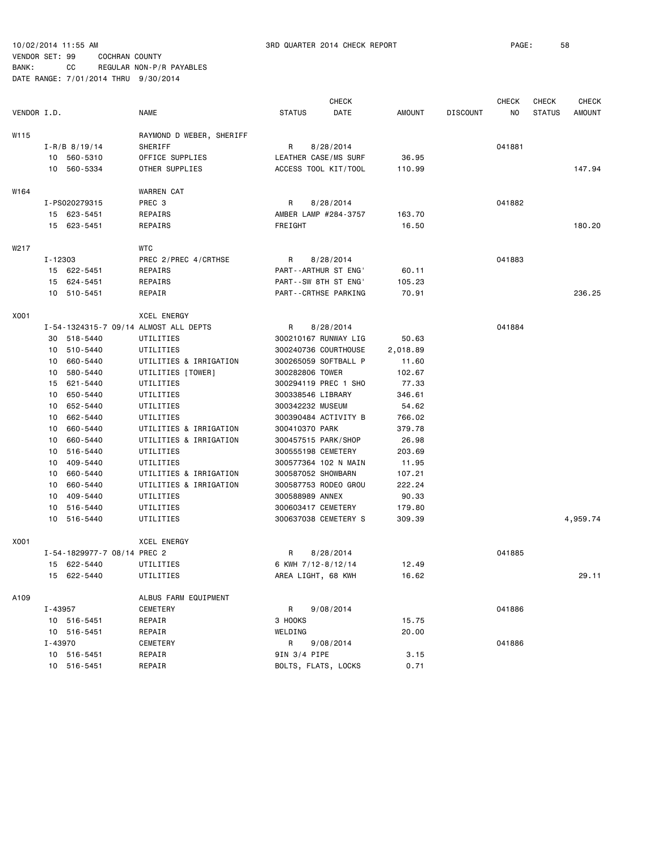|                             |                                       |                      | <b>CHECK</b> |               |                 | <b>CHECK</b> | <b>CHECK</b>  | <b>CHECK</b> |
|-----------------------------|---------------------------------------|----------------------|--------------|---------------|-----------------|--------------|---------------|--------------|
| VENDOR I.D.                 | <b>NAME</b>                           | <b>STATUS</b>        | DATE         | <b>AMOUNT</b> | <b>DISCOUNT</b> | NO           | <b>STATUS</b> | AMOUNT       |
| W115                        | RAYMOND D WEBER, SHERIFF              |                      |              |               |                 |              |               |              |
| $I - R/B$ 8/19/14           | SHERIFF                               | R                    | 8/28/2014    |               |                 | 041881       |               |              |
| 10 560-5310                 | OFFICE SUPPLIES                       | LEATHER CASE/MS SURF |              | 36.95         |                 |              |               |              |
| 10 560-5334                 | OTHER SUPPLIES                        | ACCESS TOOL KIT/TOOL |              | 110.99        |                 |              |               | 147.94       |
| W164                        | WARREN CAT                            |                      |              |               |                 |              |               |              |
| I-PS020279315               | PREC 3                                | R                    | 8/28/2014    |               |                 | 041882       |               |              |
| 15 623-5451                 | REPAIRS                               | AMBER LAMP #284-3757 |              | 163.70        |                 |              |               |              |
| 15 623-5451                 | REPAIRS                               | FREIGHT              |              | 16.50         |                 |              |               | 180.20       |
| W217                        | <b>WTC</b>                            |                      |              |               |                 |              |               |              |
| I-12303                     | PREC 2/PREC 4/CRTHSE                  | R                    | 8/28/2014    |               |                 | 041883       |               |              |
| 15 622-5451                 | REPAIRS                               | PART--ARTHUR ST ENG' |              | 60.11         |                 |              |               |              |
| 15 624-5451                 | REPAIRS                               | PART--SW 8TH ST ENG' |              | 105.23        |                 |              |               |              |
| 10 510-5451                 | REPAIR                                | PART--CRTHSE PARKING |              | 70.91         |                 |              |               | 236.25       |
| X001                        | <b>XCEL ENERGY</b>                    |                      |              |               |                 |              |               |              |
|                             | I-54-1324315-7 09/14 ALMOST ALL DEPTS | R                    | 8/28/2014    |               |                 | 041884       |               |              |
| 30 518-5440                 | UTILITIES                             | 300210167 RUNWAY LIG |              | 50.63         |                 |              |               |              |
| 510-5440<br>10              | UTILITIES                             | 300240736 COURTHOUSE |              | 2,018.89      |                 |              |               |              |
| 660-5440<br>10              | UTILITIES & IRRIGATION                | 300265059 SOFTBALL P |              | 11.60         |                 |              |               |              |
| 580-5440<br>10              | UTILITIES [TOWER]                     | 300282806 TOWER      |              | 102.67        |                 |              |               |              |
| 621-5440<br>15              | UTILITIES                             | 300294119 PREC 1 SHO |              | 77.33         |                 |              |               |              |
| 650-5440<br>10              | UTILITIES                             | 300338546 LIBRARY    |              | 346.61        |                 |              |               |              |
| 652-5440<br>10              | UTILITIES                             | 300342232 MUSEUM     |              | 54.62         |                 |              |               |              |
| 662-5440<br>10              | UTILITIES                             | 300390484 ACTIVITY B |              | 766.02        |                 |              |               |              |
| 660-5440<br>10              | UTILITIES & IRRIGATION                | 300410370 PARK       |              | 379.78        |                 |              |               |              |
| 660-5440<br>10              | UTILITIES & IRRIGATION                | 300457515 PARK/SHOP  |              | 26.98         |                 |              |               |              |
| 516-5440<br>10              | UTILITIES                             | 300555198 CEMETERY   |              | 203.69        |                 |              |               |              |
| 409-5440<br>10              | UTILITIES                             | 300577364 102 N MAIN |              | 11.95         |                 |              |               |              |
| 660-5440<br>10              | UTILITIES & IRRIGATION                | 300587052 SHOWBARN   |              | 107.21        |                 |              |               |              |
| 10<br>660-5440              | UTILITIES & IRRIGATION                | 300587753 RODEO GROU |              | 222.24        |                 |              |               |              |
| 409-5440<br>10              | UTILITIES                             | 300588989 ANNEX      |              | 90.33         |                 |              |               |              |
| 516-5440<br>10              | UTILITIES                             | 300603417 CEMETERY   |              | 179.80        |                 |              |               |              |
| 10 516-5440                 | UTILITIES                             | 300637038 CEMETERY S |              | 309.39        |                 |              |               | 4,959.74     |
| X001                        | <b>XCEL ENERGY</b>                    |                      |              |               |                 |              |               |              |
| I-54-1829977-7 08/14 PREC 2 |                                       | R                    | 8/28/2014    |               |                 | 041885       |               |              |
| 15 622-5440                 | UTILITIES                             | 6 KWH 7/12-8/12/14   |              | 12.49         |                 |              |               |              |
| 15 622-5440                 | UTILITIES                             | AREA LIGHT, 68 KWH   |              | 16.62         |                 |              |               | 29.11        |
| A109                        | ALBUS FARM EQUIPMENT                  |                      |              |               |                 |              |               |              |
| I-43957                     | CEMETERY                              | R.                   | 9/08/2014    |               |                 | 041886       |               |              |
| 10 516-5451                 | REPAIR                                | 3 HOOKS              |              | 15.75         |                 |              |               |              |
| 10 516-5451                 | REPAIR                                | WELDING              |              | 20.00         |                 |              |               |              |
| I-43970                     | CEMETERY                              | R                    | 9/08/2014    |               |                 | 041886       |               |              |
| 10 516-5451                 | REPAIR                                | 9IN 3/4 PIPE         |              | 3.15          |                 |              |               |              |
| 10 516-5451                 | REPAIR                                | BOLTS, FLATS, LOCKS  |              | 0.71          |                 |              |               |              |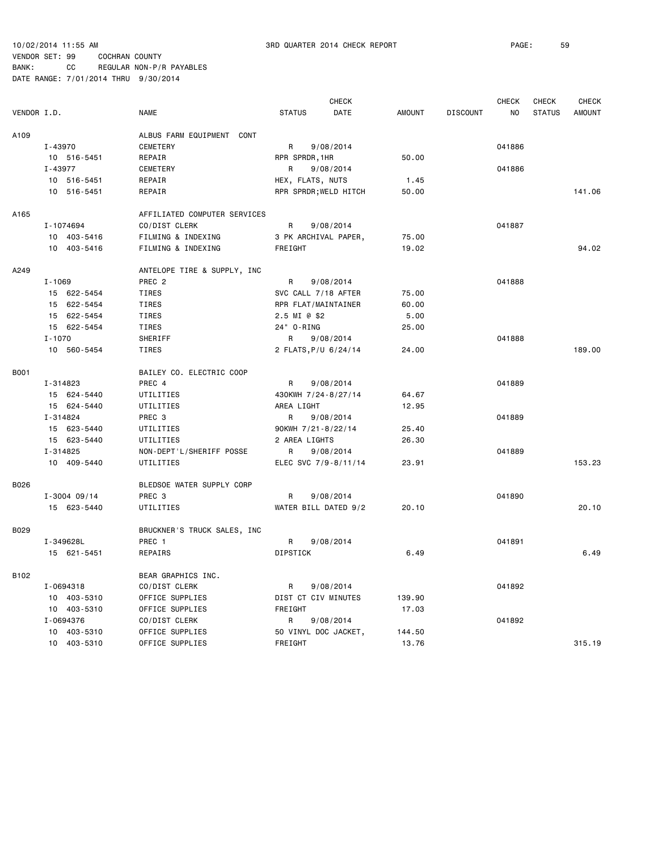10/02/2014 11:55 AM 3RD QUARTER 2014 CHECK REPORT PAGE: 59

## VENDOR SET: 99 COCHRAN COUNTY BANK: CC REGULAR NON-P/R PAYABLES

|                  |                   |                              |                      | <b>CHECK</b>          |               |                 | <b>CHECK</b> | <b>CHECK</b>  | <b>CHECK</b>  |
|------------------|-------------------|------------------------------|----------------------|-----------------------|---------------|-----------------|--------------|---------------|---------------|
| VENDOR I.D.      | <b>NAME</b>       |                              | <b>STATUS</b>        | DATE                  | <b>AMOUNT</b> | <b>DISCOUNT</b> | NO           | <b>STATUS</b> | <b>AMOUNT</b> |
| A109             |                   | ALBUS FARM EQUIPMENT CONT    |                      |                       |               |                 |              |               |               |
| I-43970          | CEMETERY          |                              | R                    | 9/08/2014             |               |                 | 041886       |               |               |
| 10 516-5451      | REPAIR            |                              | RPR SPRDR, 1HR       |                       | 50.00         |                 |              |               |               |
| I-43977          | CEMETERY          |                              | R                    | 9/08/2014             |               |                 | 041886       |               |               |
| 10 516-5451      | REPAIR            |                              | HEX, FLATS, NUTS     |                       | 1.45          |                 |              |               |               |
| 10 516-5451      | REPAIR            |                              |                      | RPR SPRDR; WELD HITCH | 50.00         |                 |              |               | 141.06        |
| A165             |                   | AFFILIATED COMPUTER SERVICES |                      |                       |               |                 |              |               |               |
| I-1074694        | CO/DIST CLERK     |                              | R                    | 9/08/2014             |               |                 | 041887       |               |               |
| 10 403-5416      |                   | FILMING & INDEXING           |                      | 3 PK ARCHIVAL PAPER,  | 75.00         |                 |              |               |               |
| 10 403-5416      |                   | FILMING & INDEXING           | FREIGHT              |                       | 19.02         |                 |              |               | 94.02         |
| A249             |                   | ANTELOPE TIRE & SUPPLY, INC  |                      |                       |               |                 |              |               |               |
| $I - 1069$       | PREC <sub>2</sub> |                              | R                    | 9/08/2014             |               |                 | 041888       |               |               |
| 15 622-5454      | TIRES             |                              | SVC CALL 7/18 AFTER  |                       | 75.00         |                 |              |               |               |
| 15 622-5454      | TIRES             |                              | RPR FLAT/MAINTAINER  |                       | 60.00         |                 |              |               |               |
| 15 622-5454      | TIRES             |                              | 2.5 MI @ \$2         |                       | 5.00          |                 |              |               |               |
| 15 622-5454      | TIRES             |                              | 24" 0-RING           |                       | 25.00         |                 |              |               |               |
| $I - 1070$       | SHERIFF           |                              | R                    | 9/08/2014             |               |                 | 041888       |               |               |
| 10 560-5454      | TIRES             |                              | 2 FLATS, P/U 6/24/14 |                       | 24.00         |                 |              |               | 189.00        |
| <b>B001</b>      |                   | BAILEY CO. ELECTRIC COOP     |                      |                       |               |                 |              |               |               |
| I-314823         | PREC 4            |                              | R                    | 9/08/2014             |               |                 | 041889       |               |               |
| 15 624-5440      | UTILITIES         |                              | 430KWH 7/24-8/27/14  |                       | 64.67         |                 |              |               |               |
| 15 624-5440      | UTILITIES         |                              | AREA LIGHT           |                       | 12.95         |                 |              |               |               |
| I-314824         | PREC 3            |                              | R                    | 9/08/2014             |               |                 | 041889       |               |               |
| 15 623-5440      | UTILITIES         |                              | 90KWH 7/21-8/22/14   |                       | 25.40         |                 |              |               |               |
| 15 623-5440      | UTILITIES         |                              | 2 AREA LIGHTS        |                       | 26.30         |                 |              |               |               |
| I-314825         |                   | NON-DEPT'L/SHERIFF POSSE     | R                    | 9/08/2014             |               |                 | 041889       |               |               |
| 10 409-5440      | UTILITIES         |                              |                      | ELEC SVC 7/9-8/11/14  | 23.91         |                 |              |               | 153.23        |
| B026             |                   | BLEDSOE WATER SUPPLY CORP    |                      |                       |               |                 |              |               |               |
| $I - 3004$ 09/14 | PREC <sub>3</sub> |                              | R                    | 9/08/2014             |               |                 | 041890       |               |               |
| 15 623-5440      | UTILITIES         |                              |                      | WATER BILL DATED 9/2  | 20.10         |                 |              |               | 20.10         |
| B029             |                   | BRUCKNER'S TRUCK SALES, INC  |                      |                       |               |                 |              |               |               |
| I-349628L        | PREC 1            |                              | R                    | 9/08/2014             |               |                 | 041891       |               |               |
| 15 621-5451      | REPAIRS           |                              | <b>DIPSTICK</b>      |                       | 6.49          |                 |              |               | 6.49          |
| B102             |                   | BEAR GRAPHICS INC.           |                      |                       |               |                 |              |               |               |
| I-0694318        | CO/DIST CLERK     |                              | R                    | 9/08/2014             |               |                 | 041892       |               |               |
| 10 403-5310      | OFFICE SUPPLIES   |                              | DIST CT CIV MINUTES  |                       | 139.90        |                 |              |               |               |
| 10 403-5310      | OFFICE SUPPLIES   |                              | FREIGHT              |                       | 17.03         |                 |              |               |               |
| I-0694376        | CO/DIST CLERK     |                              | R                    | 9/08/2014             |               |                 | 041892       |               |               |
| 10 403-5310      | OFFICE SUPPLIES   |                              |                      | 50 VINYL DOC JACKET,  | 144.50        |                 |              |               |               |
| 10 403-5310      | OFFICE SUPPLIES   |                              | FREIGHT              |                       | 13.76         |                 |              |               | 315.19        |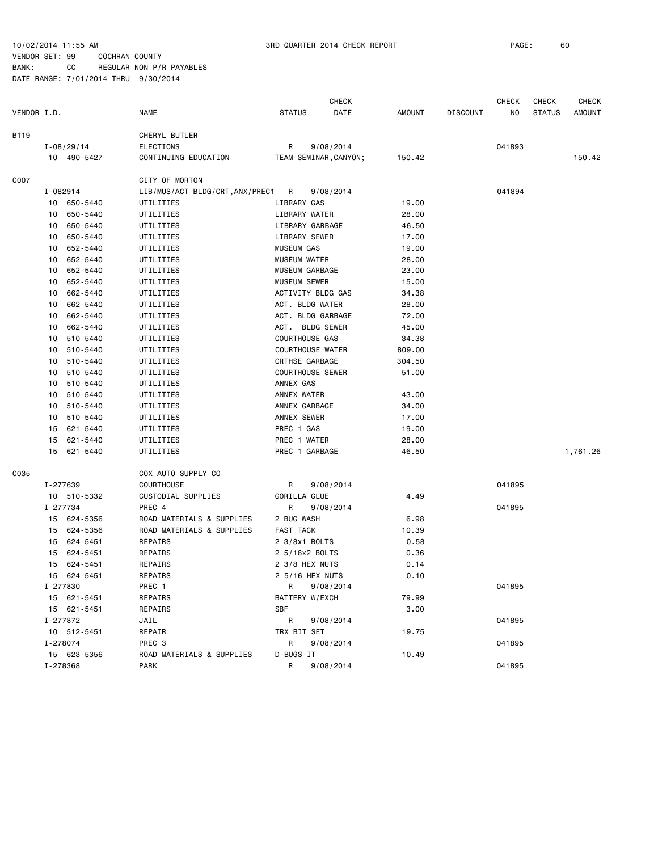|             |                                                    |                |                                 |                         | <b>CHECK</b>          |        |                 | CHECK  | <b>CHECK</b>  | <b>CHECK</b> |
|-------------|----------------------------------------------------|----------------|---------------------------------|-------------------------|-----------------------|--------|-----------------|--------|---------------|--------------|
| VENDOR I.D. |                                                    |                | <b>NAME</b>                     | <b>STATUS</b>           | DATE                  | AMOUNT | <b>DISCOUNT</b> | NO     | <b>STATUS</b> | AMOUNT       |
| B119        |                                                    |                | CHERYL BUTLER                   |                         |                       |        |                 |        |               |              |
|             |                                                    | $I - 08/29/14$ | <b>ELECTIONS</b>                | R                       | 9/08/2014             |        |                 | 041893 |               |              |
|             |                                                    | 10 490-5427    | CONTINUING EDUCATION            |                         | TEAM SEMINAR, CANYON; | 150.42 |                 |        |               | 150.42       |
| C007        |                                                    |                | CITY OF MORTON                  |                         |                       |        |                 |        |               |              |
|             | I-082914                                           |                | LIB/MUS/ACT BLDG/CRT, ANX/PREC1 | R                       | 9/08/2014             |        |                 | 041894 |               |              |
|             |                                                    | 10 650-5440    | UTILITIES                       | LIBRARY GAS             |                       | 19.00  |                 |        |               |              |
|             | 10                                                 | 650-5440       | UTILITIES                       | LIBRARY WATER           |                       | 28.00  |                 |        |               |              |
|             | 10                                                 | 650-5440       | UTILITIES                       | LIBRARY GARBAGE         |                       | 46.50  |                 |        |               |              |
|             | 10                                                 | 650-5440       | UTILITIES                       | LIBRARY SEWER           |                       | 17.00  |                 |        |               |              |
|             | 10                                                 | 652-5440       | UTILITIES                       | <b>MUSEUM GAS</b>       |                       | 19.00  |                 |        |               |              |
|             | 10                                                 | 652-5440       | UTILITIES                       | MUSEUM WATER            |                       | 28.00  |                 |        |               |              |
|             | 10                                                 | 652-5440       | UTILITIES                       | MUSEUM GARBAGE          |                       | 23.00  |                 |        |               |              |
|             | 10                                                 | 652-5440       | UTILITIES                       | <b>MUSEUM SEWER</b>     |                       | 15.00  |                 |        |               |              |
|             | 10                                                 | 662-5440       | UTILITIES                       | ACTIVITY BLDG GAS       |                       | 34.38  |                 |        |               |              |
|             | 10                                                 | 662-5440       | UTILITIES                       | ACT. BLDG WATER         |                       | 28.00  |                 |        |               |              |
|             | 10                                                 | 662-5440       | UTILITIES                       | ACT. BLDG GARBAGE       |                       | 72.00  |                 |        |               |              |
|             | 10                                                 | 662-5440       | UTILITIES                       | ACT. BLDG SEWER         |                       | 45.00  |                 |        |               |              |
|             | 10                                                 | 510-5440       | UTILITIES                       | COURTHOUSE GAS          |                       | 34.38  |                 |        |               |              |
|             | 10                                                 | 510-5440       | UTILITIES                       | <b>COURTHOUSE WATER</b> |                       | 809.00 |                 |        |               |              |
|             | 10                                                 | 510-5440       | UTILITIES                       | CRTHSE GARBAGE          |                       | 304.50 |                 |        |               |              |
|             | 510-5440<br>10<br>510-5440<br>10<br>510-5440<br>10 | UTILITIES      | <b>COURTHOUSE SEWER</b>         |                         | 51.00                 |        |                 |        |               |              |
|             |                                                    | UTILITIES      | ANNEX GAS                       |                         |                       |        |                 |        |               |              |
|             |                                                    | UTILITIES      | ANNEX WATER                     |                         | 43.00                 |        |                 |        |               |              |
|             | 10                                                 | 510-5440       | UTILITIES                       | ANNEX GARBAGE           |                       | 34.00  |                 |        |               |              |
|             | 10                                                 | 510-5440       | UTILITIES                       | ANNEX SEWER             |                       | 17.00  |                 |        |               |              |
|             | 15                                                 | 621-5440       | UTILITIES                       | PREC 1 GAS              |                       | 19.00  |                 |        |               |              |
|             | 15                                                 | 621-5440       | UTILITIES                       | PREC 1 WATER            |                       | 28.00  |                 |        |               |              |
|             |                                                    | 15 621-5440    | UTILITIES                       | PREC 1 GARBAGE          |                       | 46.50  |                 |        |               | 1,761.26     |
| C035        |                                                    |                | COX AUTO SUPPLY CO              |                         |                       |        |                 |        |               |              |
|             | I-277639                                           |                | COURTHOUSE                      | R                       | 9/08/2014             |        |                 | 041895 |               |              |
|             |                                                    | 10 510-5332    | CUSTODIAL SUPPLIES              | GORILLA GLUE            |                       | 4.49   |                 |        |               |              |
|             | I-277734                                           |                | PREC 4                          | R                       | 9/08/2014             |        |                 | 041895 |               |              |
|             |                                                    | 15 624-5356    | ROAD MATERIALS & SUPPLIES       | 2 BUG WASH              |                       | 6.98   |                 |        |               |              |
|             | 15                                                 | 624-5356       | ROAD MATERIALS & SUPPLIES       | <b>FAST TACK</b>        |                       | 10.39  |                 |        |               |              |
|             |                                                    | 15 624-5451    | REPAIRS                         | 2 3/8x1 BOLTS           |                       | 0.58   |                 |        |               |              |
|             | 15                                                 | 624-5451       | REPAIRS                         | 2 5/16x2 BOLTS          |                       | 0.36   |                 |        |               |              |
|             | 15                                                 | 624-5451       | REPAIRS                         | 2 3/8 HEX NUTS          |                       | 0.14   |                 |        |               |              |
|             | 15                                                 | 624-5451       | REPAIRS                         | 2 5/16 HEX NUTS         |                       | 0.10   |                 |        |               |              |
|             | I-277830                                           |                | PREC 1                          | R                       | 9/08/2014             |        |                 | 041895 |               |              |
|             |                                                    | 15 621-5451    | REPAIRS                         | BATTERY W/EXCH          |                       | 79.99  |                 |        |               |              |
|             |                                                    | 15 621-5451    | REPAIRS                         | <b>SBF</b>              |                       | 3.00   |                 |        |               |              |
|             | I-277872                                           |                | JAIL                            | R                       | 9/08/2014             |        |                 | 041895 |               |              |
|             |                                                    | 10 512-5451    | REPAIR                          | TRX BIT SET             |                       | 19.75  |                 |        |               |              |
|             | I-278074                                           |                | PREC 3                          | R                       | 9/08/2014             |        |                 | 041895 |               |              |
|             |                                                    | 15 623-5356    | ROAD MATERIALS & SUPPLIES       | D-BUGS-IT               |                       | 10.49  |                 |        |               |              |
|             | I-278368                                           |                | PARK                            | R                       | 9/08/2014             |        |                 | 041895 |               |              |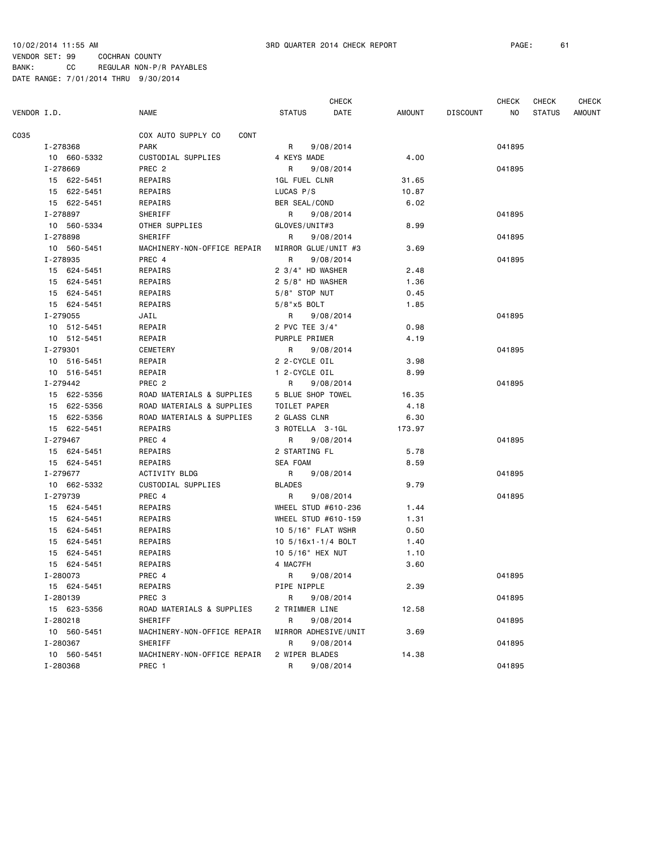|             |          |             |                             | <b>CHECK</b>         |                      |               | <b>CHECK</b>    | <b>CHECK</b> | <b>CHECK</b>  |        |
|-------------|----------|-------------|-----------------------------|----------------------|----------------------|---------------|-----------------|--------------|---------------|--------|
| VENDOR I.D. |          |             | <b>NAME</b>                 | <b>STATUS</b>        | DATE                 | <b>AMOUNT</b> | <b>DISCOUNT</b> | ΝO           | <b>STATUS</b> | AMOUNT |
| C035        |          |             | COX AUTO SUPPLY CO<br>CONT  |                      |                      |               |                 |              |               |        |
|             | I-278368 |             | <b>PARK</b>                 | R                    | 9/08/2014            |               |                 | 041895       |               |        |
|             |          | 10 660-5332 | CUSTODIAL SUPPLIES          | 4 KEYS MADE          |                      | 4.00          |                 |              |               |        |
|             | I-278669 |             | PREC <sub>2</sub>           | R                    | 9/08/2014            |               |                 | 041895       |               |        |
|             |          | 15 622-5451 | REPAIRS                     | <b>1GL FUEL CLNR</b> |                      | 31.65         |                 |              |               |        |
|             |          | 15 622-5451 | REPAIRS                     | LUCAS P/S            |                      | 10.87         |                 |              |               |        |
|             |          | 15 622-5451 | REPAIRS                     | BER SEAL/COND        |                      | 6.02          |                 |              |               |        |
|             | I-278897 |             | SHERIFF                     | R                    | 9/08/2014            |               |                 | 041895       |               |        |
|             |          | 10 560-5334 | OTHER SUPPLIES              | GLOVES/UNIT#3        |                      | 8.99          |                 |              |               |        |
|             | I-278898 |             | SHERIFF                     | R                    | 9/08/2014            |               |                 | 041895       |               |        |
|             |          | 10 560-5451 | MACHINERY-NON-OFFICE REPAIR | MIRROR GLUE/UNIT #3  |                      | 3.69          |                 |              |               |        |
|             | I-278935 |             | PREC 4                      | R                    | 9/08/2014            |               |                 | 041895       |               |        |
|             |          | 15 624-5451 | REPAIRS                     | 2 3/4" HD WASHER     |                      | 2.48          |                 |              |               |        |
|             |          | 15 624-5451 | REPAIRS                     | 2 5/8" HD WASHER     |                      | 1.36          |                 |              |               |        |
|             |          | 15 624-5451 | REPAIRS                     | $5/8"$ STOP NUT      |                      | 0.45          |                 |              |               |        |
|             |          | 15 624-5451 | REPAIRS                     | 5/8"x5 BOLT          |                      | 1.85          |                 |              |               |        |
|             | I-279055 |             | JAIL                        | R                    | 9/08/2014            |               |                 | 041895       |               |        |
|             |          | 10 512-5451 | REPAIR                      | 2 PVC TEE 3/4"       |                      | 0.98          |                 |              |               |        |
|             |          | 10 512-5451 | REPAIR                      | PURPLE PRIMER        |                      | 4.19          |                 |              |               |        |
|             | I-279301 |             | CEMETERY                    | R                    | 9/08/2014            |               |                 | 041895       |               |        |
|             |          | 10 516-5451 | REPAIR                      | 2 2-CYCLE OIL        |                      | 3.98          |                 |              |               |        |
|             |          | 10 516-5451 | REPAIR                      | 1 2-CYCLE OIL        |                      | 8.99          |                 |              |               |        |
|             | I-279442 |             | PREC <sub>2</sub>           | R                    | 9/08/2014            |               |                 | 041895       |               |        |
|             |          | 15 622-5356 | ROAD MATERIALS & SUPPLIES   | 5 BLUE SHOP TOWEL    |                      | 16.35         |                 |              |               |        |
|             |          | 15 622-5356 | ROAD MATERIALS & SUPPLIES   | TOILET PAPER         |                      | 4.18          |                 |              |               |        |
|             |          | 15 622-5356 | ROAD MATERIALS & SUPPLIES   | 2 GLASS CLNR         |                      | 6.30          |                 |              |               |        |
|             |          | 15 622-5451 | REPAIRS                     | 3 ROTELLA 3-1GL      |                      | 173.97        |                 |              |               |        |
|             | I-279467 |             | PREC 4                      | R                    | 9/08/2014            |               |                 | 041895       |               |        |
|             |          | 15 624-5451 | REPAIRS                     | 2 STARTING FL        |                      | 5.78          |                 |              |               |        |
|             |          | 15 624-5451 | REPAIRS                     | SEA FOAM             |                      | 8.59          |                 |              |               |        |
|             | I-279677 |             | ACTIVITY BLDG               | R                    | 9/08/2014            |               |                 | 041895       |               |        |
|             |          | 10 662-5332 | CUSTODIAL SUPPLIES          | <b>BLADES</b>        |                      | 9.79          |                 |              |               |        |
|             | I-279739 |             | PREC 4                      | R                    | 9/08/2014            |               |                 | 041895       |               |        |
|             |          | 15 624-5451 | REPAIRS                     | WHEEL STUD #610-236  |                      | 1.44          |                 |              |               |        |
|             |          | 15 624-5451 | REPAIRS                     | WHEEL STUD #610-159  |                      | 1.31          |                 |              |               |        |
|             |          | 15 624-5451 | REPAIRS                     | 10 5/16" FLAT WSHR   |                      | 0.50          |                 |              |               |        |
|             |          | 15 624-5451 | REPAIRS                     | 10 5/16x1-1/4 BOLT   |                      | 1.40          |                 |              |               |        |
|             |          | 15 624-5451 | REPAIRS                     | 10 5/16" HEX NUT     |                      | 1.10          |                 |              |               |        |
|             |          | 15 624-5451 | REPAIRS                     | 4 MAC7FH             |                      | 3.60          |                 |              |               |        |
|             |          | I-280073    | PREC 4                      | R 9/08/2014          |                      |               |                 | 041895       |               |        |
|             |          | 15 624-5451 | REPAIRS                     | PIPE NIPPLE          |                      | 2.39          |                 |              |               |        |
|             |          | I-280139    | PREC 3                      | R                    | 9/08/2014            |               |                 | 041895       |               |        |
|             |          | 15 623-5356 | ROAD MATERIALS & SUPPLIES   | 2 TRIMMER LINE       |                      | 12.58         |                 |              |               |        |
|             | I-280218 |             | SHERIFF                     | R                    | 9/08/2014            |               |                 | 041895       |               |        |
|             |          | 10 560-5451 | MACHINERY-NON-OFFICE REPAIR |                      | MIRROR ADHESIVE/UNIT | 3.69          |                 |              |               |        |
|             |          | I-280367    | SHERIFF                     | R                    | 9/08/2014            |               |                 | 041895       |               |        |
|             |          | 10 560-5451 | MACHINERY-NON-OFFICE REPAIR | 2 WIPER BLADES       |                      | 14.38         |                 |              |               |        |
|             | I-280368 |             | PREC 1                      | R                    | 9/08/2014            |               |                 | 041895       |               |        |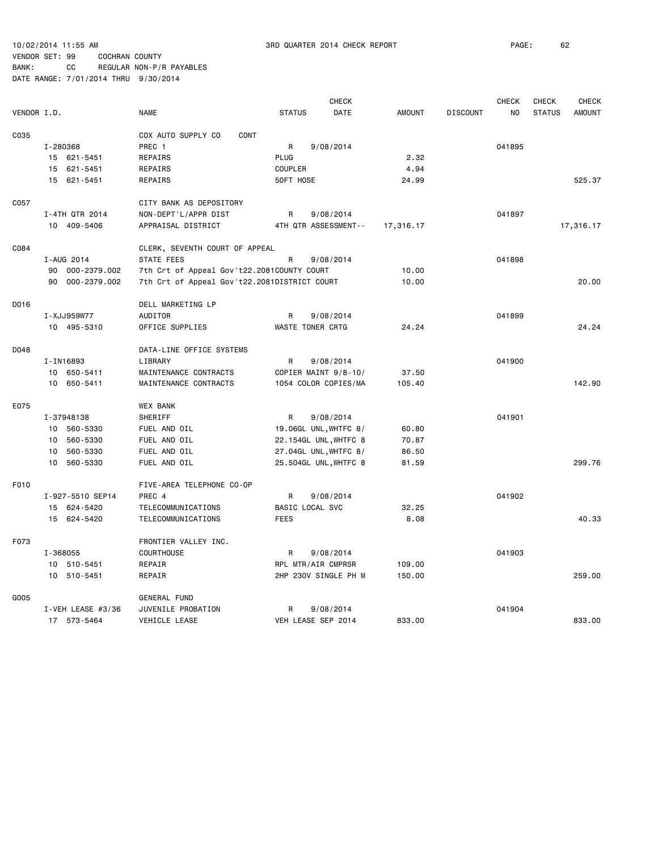|             |                    |                                              |               | <b>CHECK</b>            |               |                 | <b>CHECK</b>   | <b>CHECK</b>  | <b>CHECK</b>  |
|-------------|--------------------|----------------------------------------------|---------------|-------------------------|---------------|-----------------|----------------|---------------|---------------|
| VENDOR I.D. |                    | <b>NAME</b>                                  | <b>STATUS</b> | <b>DATE</b>             | <b>AMOUNT</b> | <b>DISCOUNT</b> | N <sub>O</sub> | <b>STATUS</b> | <b>AMOUNT</b> |
| C035        |                    | COX AUTO SUPPLY CO<br>CONT                   |               |                         |               |                 |                |               |               |
|             | I-280368           | PREC 1                                       | R             | 9/08/2014               |               |                 | 041895         |               |               |
|             | 15 621-5451        | REPAIRS                                      | <b>PLUG</b>   |                         | 2.32          |                 |                |               |               |
|             | 621-5451<br>15     | REPAIRS                                      | COUPLER       |                         | 4.94          |                 |                |               |               |
|             | 15<br>621-5451     | REPAIRS                                      | 50FT HOSE     |                         | 24.99         |                 |                |               | 525.37        |
| C057        |                    | CITY BANK AS DEPOSITORY                      |               |                         |               |                 |                |               |               |
|             | I-4TH QTR 2014     | NON-DEPT'L/APPR DIST                         | R             | 9/08/2014               |               |                 | 041897         |               |               |
|             | 10 409-5406        | APPRAISAL DISTRICT                           |               | 4TH QTR ASSESSMENT--    | 17,316.17     |                 |                |               | 17,316.17     |
| C084        |                    | CLERK, SEVENTH COURT OF APPEAL               |               |                         |               |                 |                |               |               |
|             | I-AUG 2014         | <b>STATE FEES</b>                            | R             | 9/08/2014               |               |                 | 041898         |               |               |
|             | 000-2379.002<br>90 | 7th Crt of Appeal Gov't22.2081COUNTY COURT   |               |                         | 10.00         |                 |                |               |               |
|             | 90<br>000-2379.002 | 7th Crt of Appeal Gov't22.2081DISTRICT COURT |               |                         | 10.00         |                 |                |               | 20.00         |
|             |                    |                                              |               |                         |               |                 |                |               |               |
| D016        |                    | DELL MARKETING LP                            |               |                         |               |                 |                |               |               |
|             | I-XJJ959W77        | <b>AUDITOR</b>                               | R             | 9/08/2014               |               |                 | 041899         |               |               |
|             | 10 495-5310        | OFFICE SUPPLIES                              |               | <b>WASTE TONER CRTG</b> | 24.24         |                 |                |               | 24.24         |
| D048        |                    | DATA-LINE OFFICE SYSTEMS                     |               |                         |               |                 |                |               |               |
|             | I-IN16893          | LIBRARY                                      | R             | 9/08/2014               |               |                 | 041900         |               |               |
|             | 650-5411<br>10     | MAINTENANCE CONTRACTS                        |               | COPIER MAINT 9/8-10/    | 37.50         |                 |                |               |               |
|             | 650-5411<br>10     | MAINTENANCE CONTRACTS                        |               | 1054 COLOR COPIES/MA    | 105.40        |                 |                |               | 142.90        |
| E075        |                    | <b>WEX BANK</b>                              |               |                         |               |                 |                |               |               |
|             | I-37948138         | SHERIFF                                      | R             | 9/08/2014               |               |                 | 041901         |               |               |
|             | 560-5330<br>10     | FUEL AND OIL                                 |               | 19.06GL UNL, WHTFC 8/   | 60.80         |                 |                |               |               |
|             | 560-5330<br>10     | FUEL AND OIL                                 |               | 22.154GL UNL, WHTFC 8   | 70.87         |                 |                |               |               |
|             | 560-5330<br>10     | FUEL AND OIL                                 |               | 27.04GL UNL, WHTFC 8/   | 86.50         |                 |                |               |               |
|             | 560-5330<br>10     | FUEL AND OIL                                 |               | 25.504GL UNL, WHTFC 8   | 81.59         |                 |                |               | 299.76        |
|             |                    |                                              |               |                         |               |                 |                |               |               |
| F010        |                    | FIVE-AREA TELEPHONE CO-OP                    |               |                         |               |                 |                |               |               |
|             | I-927-5510 SEP14   | PREC 4                                       | R             | 9/08/2014               |               |                 | 041902         |               |               |
|             | 624-5420<br>15     | TELECOMMUNICATIONS                           |               | <b>BASIC LOCAL SVC</b>  | 32.25         |                 |                |               |               |
|             | 15 624-5420        | TELECOMMUNICATIONS                           | <b>FEES</b>   |                         | 8.08          |                 |                |               | 40.33         |
| F073        |                    | FRONTIER VALLEY INC.                         |               |                         |               |                 |                |               |               |
|             | I-368055           | COURTHOUSE                                   | R             | 9/08/2014               |               |                 | 041903         |               |               |
|             | 10 510-5451        | REPAIR                                       |               | RPL MTR/AIR CMPRSR      | 109.00        |                 |                |               |               |
|             | 10 510-5451        | REPAIR                                       |               | 2HP 230V SINGLE PH M    | 150.00        |                 |                |               | 259.00        |
| G005        |                    |                                              |               |                         |               |                 |                |               |               |
|             |                    | <b>GENERAL FUND</b>                          |               |                         |               |                 |                |               |               |
|             | I-VEH LEASE #3/36  | JUVENILE PROBATION                           | R             | 9/08/2014               |               |                 | 041904         |               |               |
|             | 17 573-5464        | VEHICLE LEASE                                |               | VEH LEASE SEP 2014      | 833.00        |                 |                |               | 833.00        |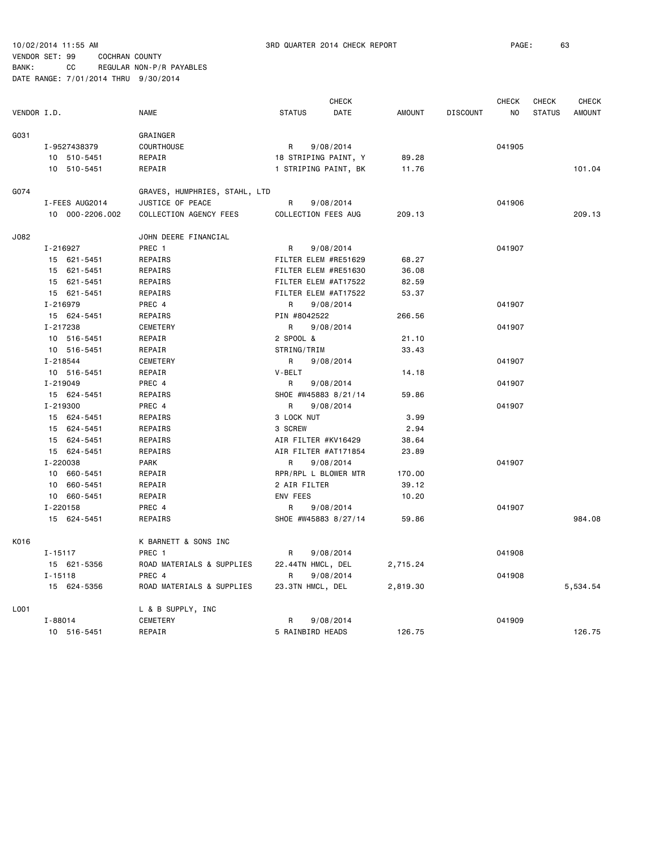|             |              |                 | <b>CHECK</b>                  |               | <b>CHECK</b>         | CHECK         | CHECK           |        |               |               |
|-------------|--------------|-----------------|-------------------------------|---------------|----------------------|---------------|-----------------|--------|---------------|---------------|
| VENDOR I.D. |              |                 | <b>NAME</b>                   | <b>STATUS</b> | DATE                 | <b>AMOUNT</b> | <b>DISCOUNT</b> | NO     | <b>STATUS</b> | <b>AMOUNT</b> |
| G031        |              |                 | GRAINGER                      |               |                      |               |                 |        |               |               |
|             |              | I-9527438379    | COURTHOUSE                    | R             | 9/08/2014            |               |                 | 041905 |               |               |
|             |              | 10 510-5451     | REPAIR                        |               | 18 STRIPING PAINT, Y | 89.28         |                 |        |               |               |
|             |              | 10 510-5451     | REPAIR                        |               | 1 STRIPING PAINT, BK | 11.76         |                 |        |               | 101.04        |
| G074        |              |                 | GRAVES, HUMPHRIES, STAHL, LTD |               |                      |               |                 |        |               |               |
|             |              | I-FEES AUG2014  | JUSTICE OF PEACE              | R             | 9/08/2014            |               |                 | 041906 |               |               |
|             |              | 10 000-2206.002 | COLLECTION AGENCY FEES        |               | COLLECTION FEES AUG  | 209.13        |                 |        |               | 209.13        |
| J082        |              |                 | JOHN DEERE FINANCIAL          |               |                      |               |                 |        |               |               |
|             | I-216927     |                 | PREC <sub>1</sub>             | R             | 9/08/2014            |               |                 | 041907 |               |               |
|             |              | 15 621-5451     | REPAIRS                       |               | FILTER ELEM #RE51629 | 68.27         |                 |        |               |               |
|             |              | 15 621-5451     | REPAIRS                       |               | FILTER ELEM #RE51630 | 36.08         |                 |        |               |               |
|             |              | 15 621-5451     | REPAIRS                       |               | FILTER ELEM #AT17522 | 82.59         |                 |        |               |               |
|             |              | 15 621-5451     | REPAIRS                       |               | FILTER ELEM #AT17522 | 53.37         |                 |        |               |               |
|             | I-216979     |                 | PREC 4                        | R             | 9/08/2014            |               |                 | 041907 |               |               |
|             |              | 15 624-5451     | REPAIRS                       | PIN #8042522  |                      | 266.56        |                 |        |               |               |
|             | I-217238     |                 | CEMETERY                      | R             | 9/08/2014            |               |                 | 041907 |               |               |
|             |              | 10 516-5451     | REPAIR                        | 2 SPOOL &     |                      | 21.10         |                 |        |               |               |
|             |              | 10 516-5451     | REPAIR                        | STRING/TRIM   |                      | 33.43         |                 |        |               |               |
|             | I-218544     |                 | <b>CEMETERY</b>               | R             | 9/08/2014            |               |                 | 041907 |               |               |
|             |              | 10 516-5451     | REPAIR                        | V-BELT        |                      | 14.18         |                 |        |               |               |
|             | $I - 219049$ |                 | PREC 4                        | R             | 9/08/2014            |               |                 | 041907 |               |               |
|             |              | 15 624-5451     | REPAIRS                       |               | SHOE #W45883 8/21/14 | 59.86         |                 |        |               |               |
|             | I-219300     |                 | PREC 4                        | R             | 9/08/2014            |               |                 | 041907 |               |               |
|             |              | 15 624-5451     | REPAIRS                       | 3 LOCK NUT    |                      | 3.99          |                 |        |               |               |
|             |              | 15 624-5451     | REPAIRS                       | 3 SCREW       |                      | 2.94          |                 |        |               |               |
|             |              | 15 624-5451     | REPAIRS                       |               | AIR FILTER #KV16429  | 38.64         |                 |        |               |               |
|             |              | 15 624-5451     | REPAIRS                       |               | AIR FILTER #AT171854 | 23.89         |                 |        |               |               |
|             | I-220038     |                 | PARK                          | R             | 9/08/2014            |               |                 | 041907 |               |               |
|             |              | 10 660-5451     | REPAIR                        |               | RPR/RPL L BLOWER MTR | 170.00        |                 |        |               |               |
|             |              | 10 660-5451     | REPAIR                        | 2 AIR FILTER  |                      | 39.12         |                 |        |               |               |
|             |              | 10 660-5451     | REPAIR                        | ENV FEES      |                      | 10.20         |                 |        |               |               |
|             | $I - 220158$ |                 | PREC 4                        | R             | 9/08/2014            |               |                 | 041907 |               |               |
|             |              | 15 624-5451     | REPAIRS                       |               | SHOE #W45883 8/27/14 | 59.86         |                 |        |               | 984.08        |
| K016        |              |                 | K BARNETT & SONS INC          |               |                      |               |                 |        |               |               |
|             | $I - 15117$  |                 | PREC 1                        | R             | 9/08/2014            |               |                 | 041908 |               |               |
|             |              | 15 621-5356     | ROAD MATERIALS & SUPPLIES     |               | 22.44TN HMCL, DEL    | 2,715.24      |                 |        |               |               |
|             | $I - 15118$  |                 | PREC 4                        | R             | 9/08/2014            |               |                 | 041908 |               |               |
|             |              | 15 624-5356     | ROAD MATERIALS & SUPPLIES     |               | 23.3TN HMCL, DEL     | 2,819.30      |                 |        |               | 5,534.54      |
| L001        |              |                 | L & B SUPPLY, INC             |               |                      |               |                 |        |               |               |
|             | $I - 88014$  |                 | CEMETERY                      | R             | 9/08/2014            |               |                 | 041909 |               |               |
|             |              | 10 516-5451     | REPAIR                        |               | 5 RAINBIRD HEADS     | 126.75        |                 |        |               | 126.75        |
|             |              |                 |                               |               |                      |               |                 |        |               |               |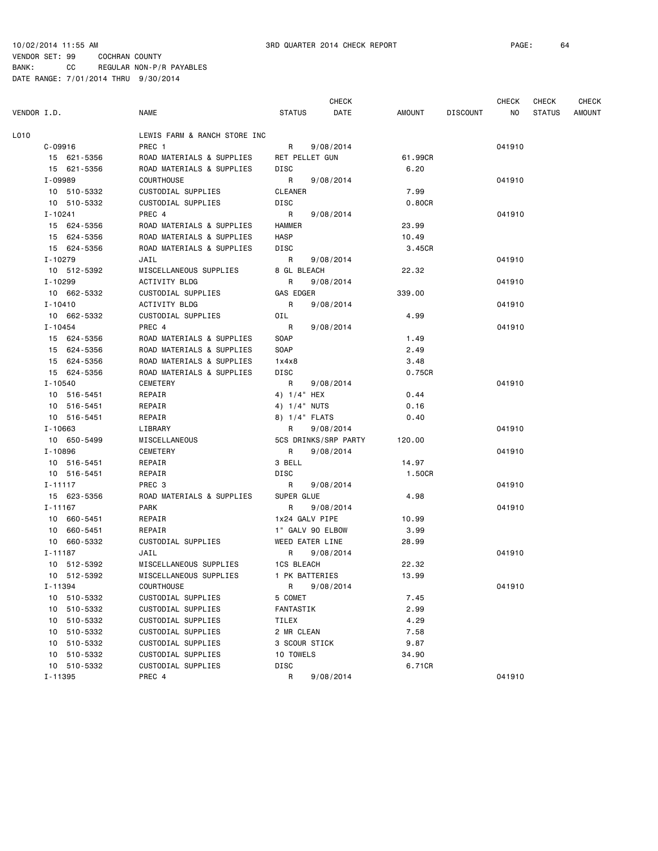| VENDOR I.D. |                | <b>NAME</b>                  | <b>STATUS</b>         | <b>CHECK</b><br>DATE | AMOUNT  | <b>DISCOUNT</b> | <b>CHECK</b><br>NO. | <b>CHECK</b><br><b>STATUS</b> | <b>CHECK</b><br>AMOUNT |
|-------------|----------------|------------------------------|-----------------------|----------------------|---------|-----------------|---------------------|-------------------------------|------------------------|
| L010        |                | LEWIS FARM & RANCH STORE INC |                       |                      |         |                 |                     |                               |                        |
|             | $C - 09916$    | PREC 1                       | R                     | 9/08/2014            |         |                 | 041910              |                               |                        |
|             | 15 621-5356    | ROAD MATERIALS & SUPPLIES    | <b>RET PELLET GUN</b> |                      | 61.99CR |                 |                     |                               |                        |
|             | 15 621-5356    | ROAD MATERIALS & SUPPLIES    | DISC                  |                      | 6.20    |                 |                     |                               |                        |
|             | I-09989        | <b>COURTHOUSE</b>            | R                     | 9/08/2014            |         |                 | 041910              |                               |                        |
|             | 10 510-5332    | CUSTODIAL SUPPLIES           | CLEANER               |                      | 7.99    |                 |                     |                               |                        |
|             | 10 510-5332    | CUSTODIAL SUPPLIES           | DISC                  |                      | 0.80CR  |                 |                     |                               |                        |
|             | $I - 10241$    | PREC 4                       | R                     | 9/08/2014            |         |                 | 041910              |                               |                        |
|             | 15 624-5356    | ROAD MATERIALS & SUPPLIES    | HAMMER                |                      | 23.99   |                 |                     |                               |                        |
|             | 15 624-5356    | ROAD MATERIALS & SUPPLIES    | <b>HASP</b>           |                      | 10.49   |                 |                     |                               |                        |
|             | 15 624-5356    | ROAD MATERIALS & SUPPLIES    | DISC                  |                      | 3.45CR  |                 |                     |                               |                        |
|             | $I - 10279$    | JAIL                         | R                     | 9/08/2014            |         |                 | 041910              |                               |                        |
|             | 10 512-5392    | MISCELLANEOUS SUPPLIES       | 8 GL BLEACH           |                      | 22.32   |                 |                     |                               |                        |
|             | $I - 10299$    | ACTIVITY BLDG                | R                     | 9/08/2014            |         |                 | 041910              |                               |                        |
|             | 10 662-5332    | CUSTODIAL SUPPLIES           | GAS EDGER             |                      | 339.00  |                 |                     |                               |                        |
|             | $I - 10410$    | <b>ACTIVITY BLDG</b>         | R                     | 9/08/2014            |         |                 | 041910              |                               |                        |
|             | 10 662-5332    | CUSTODIAL SUPPLIES           | OIL                   |                      | 4.99    |                 |                     |                               |                        |
|             | $I - 10454$    | PREC 4                       | R                     | 9/08/2014            |         |                 | 041910              |                               |                        |
|             | 15 624-5356    | ROAD MATERIALS & SUPPLIES    | SOAP                  |                      | 1.49    |                 |                     |                               |                        |
|             | 15 624-5356    | ROAD MATERIALS & SUPPLIES    | <b>SOAP</b>           |                      | 2.49    |                 |                     |                               |                        |
|             | 15 624-5356    | ROAD MATERIALS & SUPPLIES    | 1x4x8                 |                      | 3.48    |                 |                     |                               |                        |
|             | 15 624-5356    | ROAD MATERIALS & SUPPLIES    | DISC                  |                      | 0.75CR  |                 |                     |                               |                        |
|             | I-10540        | CEMETERY                     | R                     | 9/08/2014            |         |                 | 041910              |                               |                        |
|             | 10 516-5451    | REPAIR                       | 4) 1/4" HEX           |                      | 0.44    |                 |                     |                               |                        |
|             | 10 516-5451    | REPAIR                       | 4) 1/4" NUTS          |                      | 0.16    |                 |                     |                               |                        |
|             | 10 516-5451    | REPAIR                       | 8) 1/4" FLATS         |                      | 0.40    |                 |                     |                               |                        |
|             | I-10663        | LIBRARY                      | R                     | 9/08/2014            |         |                 | 041910              |                               |                        |
|             | 10 650-5499    | MISCELLANEOUS                |                       | 5CS DRINKS/SRP PARTY | 120.00  |                 |                     |                               |                        |
|             | I-10896        | <b>CEMETERY</b>              | R                     | 9/08/2014            |         |                 | 041910              |                               |                        |
|             | 10 516-5451    | REPAIR                       | 3 BELL                |                      | 14.97   |                 |                     |                               |                        |
|             | 10 516-5451    | REPAIR                       | DISC                  |                      | 1.50CR  |                 |                     |                               |                        |
|             | $I - 11117$    | PREC 3                       | R                     | 9/08/2014            |         |                 | 041910              |                               |                        |
|             | 15 623-5356    | ROAD MATERIALS & SUPPLIES    | SUPER GLUE            |                      | 4.98    |                 |                     |                               |                        |
|             | I-11167        | PARK                         | R.                    | 9/08/2014            |         |                 | 041910              |                               |                        |
|             | 10 660-5451    | REPAIR                       | 1x24 GALV PIPE        |                      | 10.99   |                 |                     |                               |                        |
|             | 10 660-5451    | REPAIR                       | 1" GALV 90 ELBOW      |                      | 3.99    |                 |                     |                               |                        |
|             | 10 660-5332    | CUSTODIAL SUPPLIES           | WEED EATER LINE       |                      | 28.99   |                 |                     |                               |                        |
|             | $I - 11187$    | JAIL                         | R                     | 9/08/2014            |         |                 | 041910              |                               |                        |
|             | 10 512-5392    | MISCELLANEOUS SUPPLIES       | 1CS BLEACH            |                      | 22.32   |                 |                     |                               |                        |
|             | 10 512-5392    | MISCELLANEOUS SUPPLIES       | 1 PK BATTERIES        |                      | 13.99   |                 |                     |                               |                        |
|             | I-11394        | COURTHOUSE                   | R                     | 9/08/2014            |         |                 | 041910              |                               |                        |
|             | 10 510-5332    | CUSTODIAL SUPPLIES           | 5 COMET               |                      | 7.45    |                 |                     |                               |                        |
|             | 10 510-5332    | CUSTODIAL SUPPLIES           | FANTASTIK             |                      | 2.99    |                 |                     |                               |                        |
|             | 10 510-5332    | CUSTODIAL SUPPLIES           | TILEX                 |                      | 4.29    |                 |                     |                               |                        |
|             | 510-5332<br>10 | CUSTODIAL SUPPLIES           | 2 MR CLEAN            |                      | 7.58    |                 |                     |                               |                        |
|             | 10<br>510-5332 | CUSTODIAL SUPPLIES           | 3 SCOUR STICK         |                      | 9.87    |                 |                     |                               |                        |
|             | 10 510-5332    | CUSTODIAL SUPPLIES           | 10 TOWELS             |                      | 34.90   |                 |                     |                               |                        |
|             | 10 510-5332    | CUSTODIAL SUPPLIES           | DISC                  |                      | 6.71CR  |                 |                     |                               |                        |
|             | I-11395        | PREC 4                       | R                     | 9/08/2014            |         |                 | 041910              |                               |                        |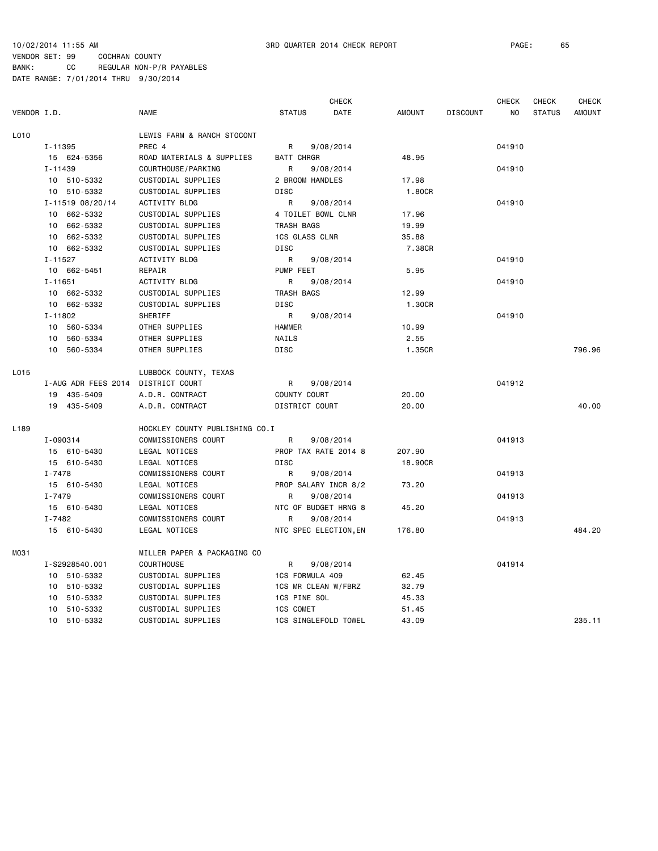|             |                     |                                |                       | <b>CHECK</b>          |               |                 | <b>CHECK</b> | <b>CHECK</b>  | <b>CHECK</b>  |
|-------------|---------------------|--------------------------------|-----------------------|-----------------------|---------------|-----------------|--------------|---------------|---------------|
| VENDOR I.D. |                     | <b>NAME</b>                    | <b>STATUS</b>         | DATE                  | <b>AMOUNT</b> | <b>DISCOUNT</b> | NO           | <b>STATUS</b> | <b>AMOUNT</b> |
| L010        |                     | LEWIS FARM & RANCH STOCONT     |                       |                       |               |                 |              |               |               |
|             | I-11395             | PREC 4                         | R                     | 9/08/2014             |               |                 | 041910       |               |               |
|             | 15 624-5356         | ROAD MATERIALS & SUPPLIES      | <b>BATT CHRGR</b>     |                       | 48.95         |                 |              |               |               |
|             | $I - 11439$         | COURTHOUSE / PARKING           | R                     | 9/08/2014             |               |                 | 041910       |               |               |
|             | 10 510-5332         | CUSTODIAL SUPPLIES             | 2 BROOM HANDLES       |                       | 17.98         |                 |              |               |               |
|             | 10 510-5332         | <b>CUSTODIAL SUPPLIES</b>      | DISC                  |                       | 1,80CR        |                 |              |               |               |
|             | I-11519 08/20/14    | ACTIVITY BLDG                  | R                     | 9/08/2014             |               |                 | 041910       |               |               |
|             | 10 662-5332         | CUSTODIAL SUPPLIES             |                       | 4 TOILET BOWL CLNR    | 17.96         |                 |              |               |               |
|             | 10 662-5332         | CUSTODIAL SUPPLIES             | TRASH BAGS            |                       | 19.99         |                 |              |               |               |
|             | 10 662-5332         | CUSTODIAL SUPPLIES             | <b>1CS GLASS CLNR</b> |                       | 35.88         |                 |              |               |               |
|             | 10 662-5332         | CUSTODIAL SUPPLIES             | <b>DISC</b>           |                       | 7.38CR        |                 |              |               |               |
|             | $I - 11527$         | <b>ACTIVITY BLDG</b>           | R                     | 9/08/2014             |               |                 | 041910       |               |               |
|             | 10 662-5451         | REPAIR                         | PUMP FEET             |                       | 5.95          |                 |              |               |               |
|             | $I - 11651$         | ACTIVITY BLDG                  | R                     | 9/08/2014             |               |                 | 041910       |               |               |
|             | 10 662-5332         | CUSTODIAL SUPPLIES             | TRASH BAGS            |                       | 12.99         |                 |              |               |               |
|             | 10 662-5332         | CUSTODIAL SUPPLIES             | DISC                  |                       | 1.30CR        |                 |              |               |               |
|             | $I - 11802$         | SHERIFF                        | R                     | 9/08/2014             |               |                 | 041910       |               |               |
|             | 10 560-5334         | OTHER SUPPLIES                 | <b>HAMMER</b>         |                       | 10.99         |                 |              |               |               |
|             | 10 560-5334         | OTHER SUPPLIES                 | NAILS                 |                       | 2.55          |                 |              |               |               |
|             | 10 560-5334         | OTHER SUPPLIES                 | DISC                  |                       | 1.35CR        |                 |              |               | 796.96        |
| L015        |                     | LUBBOCK COUNTY, TEXAS          |                       |                       |               |                 |              |               |               |
|             | I-AUG ADR FEES 2014 | DISTRICT COURT                 | R                     | 9/08/2014             |               |                 | 041912       |               |               |
|             | 19 435-5409         | A.D.R. CONTRACT                | COUNTY COURT          |                       | 20.00         |                 |              |               |               |
|             | 19 435-5409         | A.D.R. CONTRACT                | DISTRICT COURT        |                       | 20,00         |                 |              |               | 40.00         |
| L189        |                     | HOCKLEY COUNTY PUBLISHING CO.I |                       |                       |               |                 |              |               |               |
|             | I-090314            | COMMISSIONERS COURT            | R                     | 9/08/2014             |               |                 | 041913       |               |               |
|             | 15 610-5430         | LEGAL NOTICES                  |                       | PROP TAX RATE 2014 8  | 207.90        |                 |              |               |               |
|             | 15 610-5430         | LEGAL NOTICES                  | <b>DISC</b>           |                       | 18.90CR       |                 |              |               |               |
|             | I-7478              | COMMISSIONERS COURT            | R                     | 9/08/2014             |               |                 | 041913       |               |               |
|             | 15 610-5430         | LEGAL NOTICES                  |                       | PROP SALARY INCR 8/2  | 73.20         |                 |              |               |               |
|             | $I - 7479$          | COMMISSIONERS COURT            | R                     | 9/08/2014             |               |                 | 041913       |               |               |
|             | 15 610-5430         | LEGAL NOTICES                  |                       | NTC OF BUDGET HRNG 8  | 45.20         |                 |              |               |               |
|             | $I - 7482$          | COMMISSIONERS COURT            | R                     | 9/08/2014             |               |                 | 041913       |               |               |
|             | 15 610-5430         | LEGAL NOTICES                  |                       | NTC SPEC ELECTION, EN | 176.80        |                 |              |               | 484.20        |
| M031        |                     | MILLER PAPER & PACKAGING CO    |                       |                       |               |                 |              |               |               |
|             | I-S2928540.001      | <b>COURTHOUSE</b>              | R                     | 9/08/2014             |               |                 | 041914       |               |               |
|             | 10 510-5332         | CUSTODIAL SUPPLIES             | 1CS FORMULA 409       |                       | 62.45         |                 |              |               |               |
|             | 10 510-5332         | CUSTODIAL SUPPLIES             |                       | 1CS MR CLEAN W/FBRZ   | 32.79         |                 |              |               |               |
|             | 510-5332<br>10      | CUSTODIAL SUPPLIES             | 1CS PINE SOL          |                       | 45.33         |                 |              |               |               |
|             | 510-5332<br>10      | CUSTODIAL SUPPLIES             | <b>1CS COMET</b>      |                       | 51.45         |                 |              |               |               |
|             | 10 510-5332         | CUSTODIAL SUPPLIES             |                       | 1CS SINGLEFOLD TOWEL  | 43.09         |                 |              |               | 235.11        |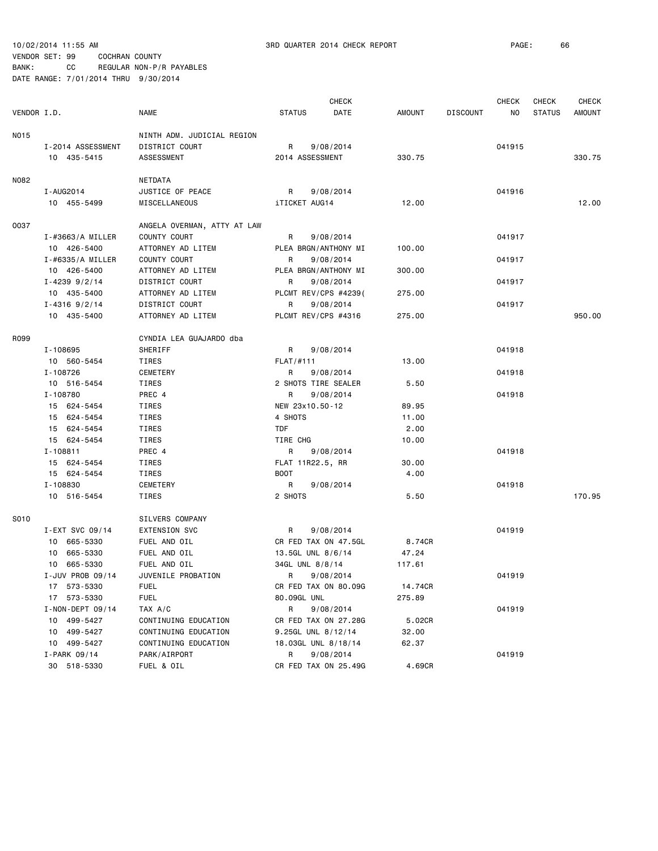| VENDOR I.D. |                                  | <b>NAME</b>                  | <b>STATUS</b>        | <b>CHECK</b><br>DATE | AMOUNT  | <b>DISCOUNT</b> | <b>CHECK</b><br>NO. | <b>CHECK</b><br><b>STATUS</b> | <b>CHECK</b><br><b>AMOUNT</b> |
|-------------|----------------------------------|------------------------------|----------------------|----------------------|---------|-----------------|---------------------|-------------------------------|-------------------------------|
|             |                                  |                              |                      |                      |         |                 |                     |                               |                               |
| NO15        |                                  | NINTH ADM. JUDICIAL REGION   |                      |                      |         |                 |                     |                               |                               |
|             | I-2014 ASSESSMENT<br>10 435-5415 | DISTRICT COURT<br>ASSESSMENT | R<br>2014 ASSESSMENT | 9/08/2014            | 330.75  |                 | 041915              |                               | 330.75                        |
|             |                                  |                              |                      |                      |         |                 |                     |                               |                               |
| N082        |                                  | NETDATA                      |                      |                      |         |                 |                     |                               |                               |
|             | I - AUG2014                      | JUSTICE OF PEACE             | R                    | 9/08/2014            |         |                 | 041916              |                               |                               |
|             | 10 455-5499                      | MISCELLANEOUS                | iTICKET AUG14        |                      | 12.00   |                 |                     |                               | 12.00                         |
| 0037        |                                  | ANGELA OVERMAN, ATTY AT LAW  |                      |                      |         |                 |                     |                               |                               |
|             | $I - #3663/A$ MILLER             | COUNTY COURT                 | R                    | 9/08/2014            |         |                 | 041917              |                               |                               |
|             | 10 426-5400                      | ATTORNEY AD LITEM            |                      | PLEA BRGN/ANTHONY MI | 100.00  |                 |                     |                               |                               |
|             | $I - #6335/A$ MILLER             | COUNTY COURT                 | R                    | 9/08/2014            |         |                 | 041917              |                               |                               |
|             | 10 426-5400                      | ATTORNEY AD LITEM            |                      | PLEA BRGN/ANTHONY MI | 300.00  |                 |                     |                               |                               |
|             | $I - 4239$ 9/2/14                | DISTRICT COURT               | R                    | 9/08/2014            |         |                 | 041917              |                               |                               |
|             | 10 435-5400                      | ATTORNEY AD LITEM            |                      | PLCMT REV/CPS #4239( | 275.00  |                 |                     |                               |                               |
|             | $I - 4316$ 9/2/14                | DISTRICT COURT               | R                    | 9/08/2014            |         |                 | 041917              |                               |                               |
|             | 10 435-5400                      | ATTORNEY AD LITEM            | PLCMT REV/CPS #4316  |                      | 275.00  |                 |                     |                               | 950.00                        |
| R099        |                                  | CYNDIA LEA GUAJARDO dba      |                      |                      |         |                 |                     |                               |                               |
|             | I-108695                         | SHERIFF                      | R                    | 9/08/2014            |         |                 | 041918              |                               |                               |
|             | 10 560-5454                      | TIRES                        | FLAT/H111            |                      | 13.00   |                 |                     |                               |                               |
|             | I-108726                         | CEMETERY                     | R                    | 9/08/2014            |         |                 | 041918              |                               |                               |
|             | 10 516-5454                      | TIRES                        | 2 SHOTS TIRE SEALER  |                      | 5.50    |                 |                     |                               |                               |
|             | I-108780                         | PREC 4                       | R                    | 9/08/2014            |         |                 | 041918              |                               |                               |
|             | 15 624-5454                      | TIRES                        | NEW 23x10.50-12      |                      | 89.95   |                 |                     |                               |                               |
|             | 15 624-5454                      | TIRES                        | 4 SHOTS              |                      | 11.00   |                 |                     |                               |                               |
|             | 15 624-5454                      | TIRES                        | <b>TDF</b>           |                      | 2.00    |                 |                     |                               |                               |
|             | 15 624-5454                      | TIRES                        | TIRE CHG             |                      | 10.00   |                 |                     |                               |                               |
|             | I-108811                         | PREC 4                       | R                    | 9/08/2014            |         |                 | 041918              |                               |                               |
|             | 15 624-5454                      | TIRES                        | FLAT 11R22.5, RR     |                      | 30.00   |                 |                     |                               |                               |
|             | 15 624-5454                      | TIRES                        | <b>BOOT</b>          |                      | 4.00    |                 |                     |                               |                               |
|             | I-108830                         | CEMETERY                     | R                    | 9/08/2014            |         |                 | 041918              |                               |                               |
|             | 10 516-5454                      | TIRES                        | 2 SHOTS              |                      | 5.50    |                 |                     |                               | 170.95                        |
| S010        |                                  | SILVERS COMPANY              |                      |                      |         |                 |                     |                               |                               |
|             | I-EXT SVC 09/14                  | <b>EXTENSION SVC</b>         | R                    | 9/08/2014            |         |                 | 041919              |                               |                               |
|             | 10 665-5330                      | FUEL AND OIL                 |                      | CR FED TAX ON 47.5GL | 8.74CR  |                 |                     |                               |                               |
|             | 10 665-5330                      | FUEL AND OIL                 | 13.5GL UNL 8/6/14    |                      | 47.24   |                 |                     |                               |                               |
|             | 10 665-5330                      | FUEL AND OIL                 | 34GL UNL 8/8/14      |                      | 117.61  |                 |                     |                               |                               |
|             | I-JUV PROB 09/14                 | JUVENILE PROBATION           | R 9/08/2014          |                      |         |                 | 041919              |                               |                               |
|             | 17 573-5330                      | <b>FUEL</b>                  |                      | CR FED TAX ON 80.09G | 14.74CR |                 |                     |                               |                               |
|             | 17 573-5330                      | <b>FUEL</b>                  | 80.09GL UNL          |                      | 275.89  |                 |                     |                               |                               |
|             | I-NON-DEPT 09/14                 | TAX A/C                      | R                    | 9/08/2014            |         |                 | 041919              |                               |                               |
|             | 10 499-5427                      | CONTINUING EDUCATION         |                      | CR FED TAX ON 27.28G | 5.02CR  |                 |                     |                               |                               |
|             | 10 499-5427                      | CONTINUING EDUCATION         | 9.25GL UNL 8/12/14   |                      | 32.00   |                 |                     |                               |                               |
|             | 10 499-5427                      | CONTINUING EDUCATION         | 18.03GL UNL 8/18/14  |                      | 62.37   |                 |                     |                               |                               |
|             | I-PARK 09/14                     | PARK/AIRPORT                 | R                    | 9/08/2014            |         |                 | 041919              |                               |                               |
|             | 30 518-5330                      | FUEL & OIL                   |                      | CR FED TAX ON 25.49G | 4.69CR  |                 |                     |                               |                               |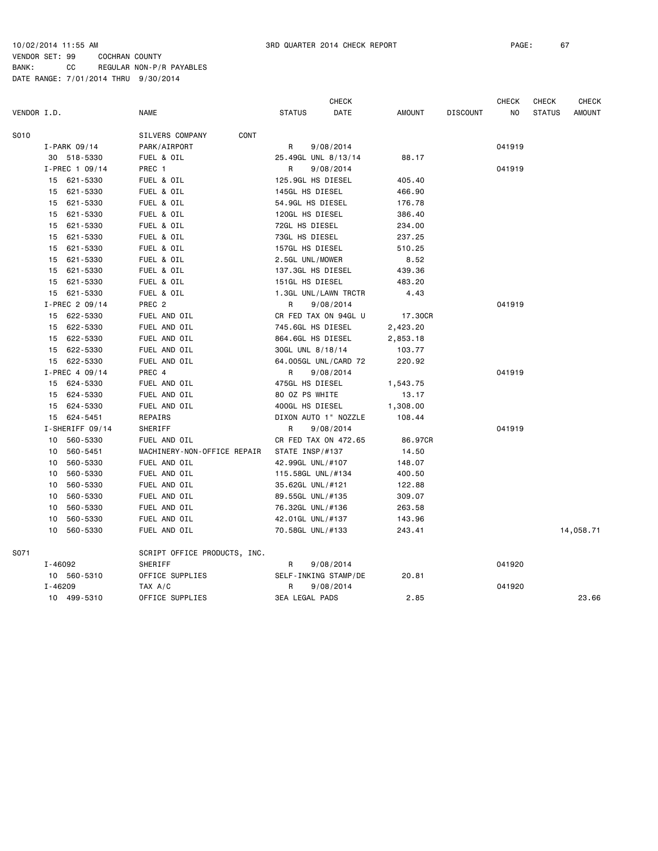|             |             |                 |                              |                       | <b>CHECK</b>         |               |                 | <b>CHECK</b> | CHECK         | <b>CHECK</b>  |
|-------------|-------------|-----------------|------------------------------|-----------------------|----------------------|---------------|-----------------|--------------|---------------|---------------|
| VENDOR I.D. |             |                 | <b>NAME</b>                  | <b>STATUS</b>         | DATE                 | <b>AMOUNT</b> | <b>DISCOUNT</b> | NO           | <b>STATUS</b> | <b>AMOUNT</b> |
| S010        |             |                 | CONT<br>SILVERS COMPANY      |                       |                      |               |                 |              |               |               |
|             |             | $I-PARK$ 09/14  | PARK/AIRPORT                 | R                     | 9/08/2014            |               |                 | 041919       |               |               |
|             |             | 30 518-5330     | FUEL & OIL                   |                       | 25.49GL UNL 8/13/14  | 88.17         |                 |              |               |               |
|             |             | I-PREC 1 09/14  | PREC 1                       | R                     | 9/08/2014            |               |                 | 041919       |               |               |
|             |             | 15 621-5330     | FUEL & OIL                   |                       | 125.9GL HS DIESEL    | 405.40        |                 |              |               |               |
|             | 15          | 621-5330        | FUEL & OIL                   | 145GL HS DIESEL       |                      | 466.90        |                 |              |               |               |
|             | 15          | 621-5330        | FUEL & OIL                   |                       | 54.9GL HS DIESEL     | 176.78        |                 |              |               |               |
|             |             | 15 621-5330     | FUEL & OIL                   | 120GL HS DIESEL       |                      | 386.40        |                 |              |               |               |
|             |             | 15 621-5330     | FUEL & OIL                   | 72GL HS DIESEL        |                      | 234.00        |                 |              |               |               |
|             | 15          | 621-5330        | FUEL & OIL                   | 73GL HS DIESEL        |                      | 237.25        |                 |              |               |               |
|             | 15          | 621-5330        | FUEL & OIL                   | 157GL HS DIESEL       |                      | 510.25        |                 |              |               |               |
|             | 15          | 621-5330        | FUEL & OIL                   | 2.5GL UNL/MOWER       |                      | 8.52          |                 |              |               |               |
|             | 15          | 621-5330        | FUEL & OIL                   |                       | 137.3GL HS DIESEL    | 439.36        |                 |              |               |               |
|             |             | 15 621-5330     | FUEL & OIL                   | 151GL HS DIESEL       |                      | 483.20        |                 |              |               |               |
|             |             | 15 621-5330     | FUEL & OIL                   |                       | 1.3GL UNL/LAWN TRCTR | 4.43          |                 |              |               |               |
|             |             | I-PREC 2 09/14  | PREC <sub>2</sub>            | R                     | 9/08/2014            |               |                 | 041919       |               |               |
|             |             | 15 622-5330     | FUEL AND OIL                 |                       | CR FED TAX ON 94GL U | 17.30CR       |                 |              |               |               |
|             |             | 15 622-5330     | FUEL AND OIL                 |                       | 745.6GL HS DIESEL    | 2,423.20      |                 |              |               |               |
|             |             | 15 622-5330     | FUEL AND OIL                 |                       | 864.6GL HS DIESEL    | 2,853.18      |                 |              |               |               |
|             |             | 15 622-5330     | FUEL AND OIL                 |                       | 30GL UNL 8/18/14     | 103.77        |                 |              |               |               |
|             |             | 15 622-5330     | FUEL AND OIL                 |                       | 64.005GL UNL/CARD 72 | 220.92        |                 |              |               |               |
|             |             | I-PREC 4 09/14  | PREC 4                       | R                     | 9/08/2014            |               |                 | 041919       |               |               |
|             |             | 15 624-5330     | FUEL AND OIL                 | 475GL HS DIESEL       |                      | 1,543.75      |                 |              |               |               |
|             | 15          | 624-5330        | FUEL AND OIL                 | 80 OZ PS WHITE        |                      | 13.17         |                 |              |               |               |
|             | 15          | 624-5330        | FUEL AND OIL                 | 400GL HS DIESEL       |                      | 1,308.00      |                 |              |               |               |
|             | 15          | 624-5451        | REPAIRS                      |                       | DIXON AUTO 1" NOZZLE | 108.44        |                 |              |               |               |
|             |             | I-SHERIFF 09/14 | SHERIFF                      | R                     | 9/08/2014            |               |                 | 041919       |               |               |
|             | 10          | 560-5330        | FUEL AND OIL                 |                       | CR FED TAX ON 472.65 | 86.97CR       |                 |              |               |               |
|             | 10          | 560-5451        | MACHINERY-NON-OFFICE REPAIR  | STATE INSP/#137       |                      | 14.50         |                 |              |               |               |
|             | 10          | 560-5330        | FUEL AND OIL                 |                       | 42.99GL UNL/#107     | 148.07        |                 |              |               |               |
|             | 10          | 560-5330        | FUEL AND OIL                 |                       | 115.58GL UNL/#134    | 400.50        |                 |              |               |               |
|             | 10          | 560-5330        | FUEL AND OIL                 |                       | 35.62GL UNL/#121     | 122.88        |                 |              |               |               |
|             | 10          | 560-5330        | FUEL AND OIL                 |                       | 89.55GL UNL/#135     | 309.07        |                 |              |               |               |
|             | 10          | 560-5330        | FUEL AND OIL                 |                       | 76.32GL UNL/#136     | 263.58        |                 |              |               |               |
|             | 10          | 560-5330        | FUEL AND OIL                 |                       | 42.01GL UNL/#137     | 143.96        |                 |              |               |               |
|             | 10          | 560-5330        | FUEL AND OIL                 |                       | 70.58GL UNL/#133     | 243.41        |                 |              |               | 14,058.71     |
| S071        |             |                 | SCRIPT OFFICE PRODUCTS, INC. |                       |                      |               |                 |              |               |               |
|             | $I - 46092$ |                 | SHERIFF                      | R                     | 9/08/2014            |               |                 | 041920       |               |               |
|             |             | 10 560-5310     | OFFICE SUPPLIES              |                       | SELF-INKING STAMP/DE | 20.81         |                 |              |               |               |
|             | I-46209     |                 | TAX A/C                      | R                     | 9/08/2014            |               |                 | 041920       |               |               |
|             |             | 10 499-5310     | OFFICE SUPPLIES              | <b>3EA LEGAL PADS</b> |                      | 2.85          |                 |              |               | 23.66         |
|             |             |                 |                              |                       |                      |               |                 |              |               |               |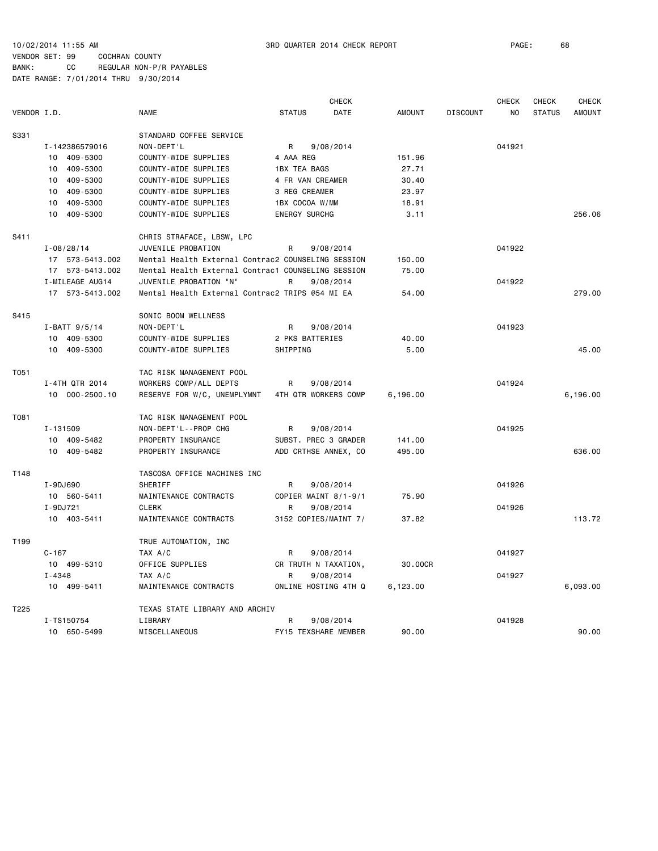10/02/2014 11:55 AM 3RD QUARTER 2014 CHECK REPORT PAGE: 68

VENDOR SET: 99 COCHRAN COUNTY BANK: CC REGULAR NON-P/R PAYABLES

|             |                       |                                                    |                      | <b>CHECK</b> |               |                 | <b>CHECK</b> | CHECK         | <b>CHECK</b>  |
|-------------|-----------------------|----------------------------------------------------|----------------------|--------------|---------------|-----------------|--------------|---------------|---------------|
| VENDOR I.D. |                       | <b>NAME</b>                                        | <b>STATUS</b>        | <b>DATE</b>  | <b>AMOUNT</b> | <b>DISCOUNT</b> | NO.          | <b>STATUS</b> | <b>AMOUNT</b> |
| S331        |                       | STANDARD COFFEE SERVICE                            |                      |              |               |                 |              |               |               |
|             | I-142386579016        | NON-DEPT'L                                         | R                    | 9/08/2014    |               |                 | 041921       |               |               |
|             | 10 409-5300           | COUNTY-WIDE SUPPLIES                               | 4 AAA REG            |              | 151.96        |                 |              |               |               |
|             | 409-5300<br>10        | COUNTY-WIDE SUPPLIES                               | <b>1BX TEA BAGS</b>  |              | 27.71         |                 |              |               |               |
|             | 409-5300<br>10        | COUNTY-WIDE SUPPLIES                               | 4 FR VAN CREAMER     |              | 30.40         |                 |              |               |               |
|             | 10 409-5300           | COUNTY-WIDE SUPPLIES                               | 3 REG CREAMER        |              | 23.97         |                 |              |               |               |
|             | 409-5300<br>10        | COUNTY-WIDE SUPPLIES                               | 1BX COCOA W/MM       |              | 18.91         |                 |              |               |               |
|             | 10 409-5300           | COUNTY-WIDE SUPPLIES                               | <b>ENERGY SURCHG</b> |              | 3.11          |                 |              |               | 256.06        |
| S411        |                       | CHRIS STRAFACE, LBSW, LPC                          |                      |              |               |                 |              |               |               |
|             | $I - 08/28/14$        | JUVENILE PROBATION                                 | R                    | 9/08/2014    |               |                 | 041922       |               |               |
|             | 17 573-5413.002       | Mental Health External Contrac2 COUNSELING SESSION |                      |              | 150.00        |                 |              |               |               |
|             |                       |                                                    |                      |              |               |                 |              |               |               |
|             | 17 573-5413.002       | Mental Health External Contrac1 COUNSELING SESSION |                      |              | 75.00         |                 |              |               |               |
|             | I-MILEAGE AUG14       | JUVENILE PROBATION "N"                             | R                    | 9/08/2014    |               |                 | 041922       |               |               |
|             | 17 573-5413.002       | Mental Health External Contrac2 TRIPS @54 MI EA    |                      |              | 54.00         |                 |              |               | 279.00        |
| S415        |                       | SONIC BOOM WELLNESS                                |                      |              |               |                 |              |               |               |
|             | $I-BATT$ 9/5/14       | NON-DEPT'L                                         | R                    | 9/08/2014    |               |                 | 041923       |               |               |
|             | 10 409-5300           | COUNTY-WIDE SUPPLIES                               | 2 PKS BATTERIES      |              | 40.00         |                 |              |               |               |
|             | 10 409-5300           | COUNTY-WIDE SUPPLIES                               | SHIPPING             |              | 5.00          |                 |              |               | 45.00         |
| T051        |                       | TAC RISK MANAGEMENT POOL                           |                      |              |               |                 |              |               |               |
|             | I-4TH QTR 2014        | WORKERS COMP/ALL DEPTS                             | R                    | 9/08/2014    |               |                 | 041924       |               |               |
|             | 10 000-2500.10        | RESERVE FOR W/C, UNEMPLYMNT                        | 4TH QTR WORKERS COMP |              | 6,196.00      |                 |              |               | 6,196.00      |
| T081        |                       | TAC RISK MANAGEMENT POOL                           |                      |              |               |                 |              |               |               |
|             | I-131509              | NON-DEPT'L--PROP CHG                               | R                    | 9/08/2014    |               |                 | 041925       |               |               |
|             | 10 409-5482           | PROPERTY INSURANCE                                 | SUBST. PREC 3 GRADER |              | 141.00        |                 |              |               |               |
|             | 10 409-5482           | PROPERTY INSURANCE                                 | ADD CRTHSE ANNEX, CO |              | 495.00        |                 |              |               | 636.00        |
| T148        |                       | TASCOSA OFFICE MACHINES INC                        |                      |              |               |                 |              |               |               |
|             | I-9DJ690              | <b>SHERIFF</b>                                     | R                    | 9/08/2014    |               |                 | 041926       |               |               |
|             | 10 560-5411           | MAINTENANCE CONTRACTS                              | COPIER MAINT 8/1-9/1 |              | 75.90         |                 |              |               |               |
|             | I-9DJ721              | <b>CLERK</b>                                       | R                    | 9/08/2014    |               |                 | 041926       |               |               |
|             | 10 403-5411           | MAINTENANCE CONTRACTS                              | 3152 COPIES/MAINT 7/ |              | 37.82         |                 |              |               | 113.72        |
| T199        |                       | TRUE AUTOMATION, INC                               |                      |              |               |                 |              |               |               |
|             |                       |                                                    |                      |              |               |                 |              |               |               |
|             | $C - 167$             | TAX A/C                                            | R                    | 9/08/2014    |               |                 | 041927       |               |               |
|             | 10 499-5310           | OFFICE SUPPLIES                                    | CR TRUTH N TAXATION, |              | 30.00CR       |                 |              |               |               |
|             | $I - 4348$<br>TAX A/C |                                                    | R                    | 9/08/2014    |               | 041927          |              |               |               |
|             | 10 499-5411           | MAINTENANCE CONTRACTS                              | ONLINE HOSTING 4TH Q |              | 6,123.00      |                 |              |               | 6,093.00      |
| T225        |                       | TEXAS STATE LIBRARY AND ARCHIV                     |                      |              |               |                 |              |               |               |
|             | I-TS150754            | LIBRARY                                            | R                    | 9/08/2014    |               |                 | 041928       |               |               |
|             | 10 650-5499           | MISCELLANEOUS                                      | FY15 TEXSHARE MEMBER |              | 90.00         |                 |              |               | 90.00         |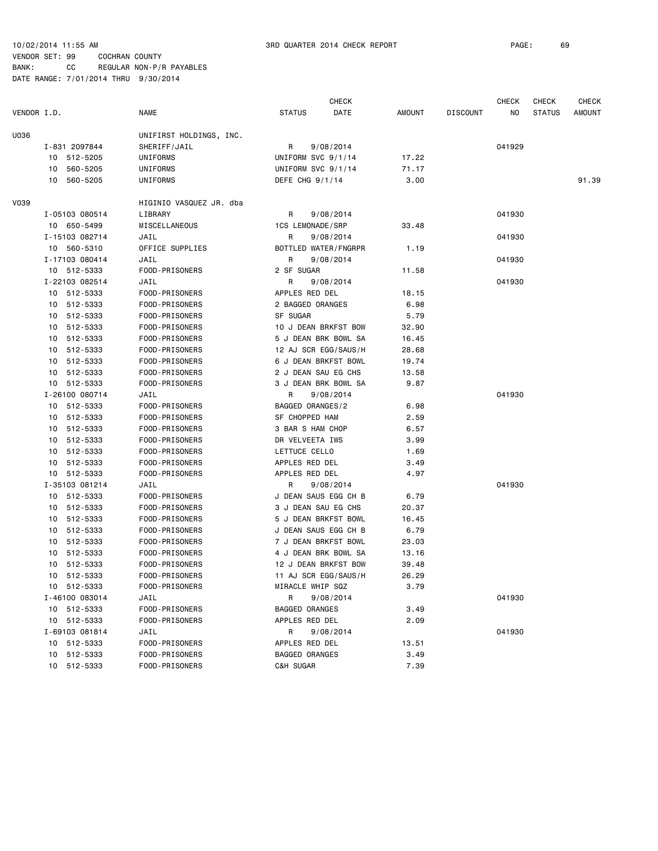|             |                |                         | <b>CHECK</b>          |        |                 | CHECK  | <b>CHECK</b>  | CHECK         |
|-------------|----------------|-------------------------|-----------------------|--------|-----------------|--------|---------------|---------------|
| VENDOR I.D. |                | <b>NAME</b>             | <b>STATUS</b><br>DATE | AMOUNT | <b>DISCOUNT</b> | ΝO     | <b>STATUS</b> | <b>AMOUNT</b> |
| U036        |                | UNIFIRST HOLDINGS, INC. |                       |        |                 |        |               |               |
|             | I-831 2097844  | SHERIFF/JAIL            | 9/08/2014<br>R        |        |                 | 041929 |               |               |
|             | 10 512-5205    | UNIFORMS                | UNIFORM SVC 9/1/14    | 17.22  |                 |        |               |               |
|             | 10 560-5205    | UNIFORMS                | UNIFORM SVC 9/1/14    | 71.17  |                 |        |               |               |
|             | 10<br>560-5205 | UNIFORMS                | DEFE CHG 9/1/14       | 3.00   |                 |        |               | 91.39         |
| V039        |                | HIGINIO VASQUEZ JR. dba |                       |        |                 |        |               |               |
|             | I-05103 080514 | LIBRARY                 | 9/08/2014<br>R        |        |                 | 041930 |               |               |
|             | 10 650-5499    | MISCELLANEOUS           | 1CS LEMONADE/SRP      | 33.48  |                 |        |               |               |
|             | I-15103 082714 | JAIL                    | 9/08/2014<br>R        |        |                 | 041930 |               |               |
|             | 10 560-5310    | OFFICE SUPPLIES         | BOTTLED WATER/FNGRPR  | 1.19   |                 |        |               |               |
|             | I-17103 080414 | JAIL                    | R<br>9/08/2014        |        |                 | 041930 |               |               |
|             | 10 512-5333    | FOOD-PRISONERS          | 2 SF SUGAR            | 11.58  |                 |        |               |               |
|             | I-22103 082514 | JAIL                    | 9/08/2014<br>R        |        |                 | 041930 |               |               |
|             | 10 512-5333    | FOOD-PRISONERS          | APPLES RED DEL        | 18.15  |                 |        |               |               |
|             | 10 512-5333    | FOOD-PRISONERS          | 2 BAGGED ORANGES      | 6.98   |                 |        |               |               |
|             | 10 512-5333    | FOOD-PRISONERS          | SF SUGAR              | 5.79   |                 |        |               |               |
|             | 10 512-5333    | FOOD-PRISONERS          | 10 J DEAN BRKFST BOW  | 32.90  |                 |        |               |               |
|             | 10 512-5333    | FOOD-PRISONERS          | 5 J DEAN BRK BOWL SA  | 16.45  |                 |        |               |               |
|             | 10 512-5333    | FOOD-PRISONERS          | 12 AJ SCR EGG/SAUS/H  | 28.68  |                 |        |               |               |
|             | 512-5333<br>10 | FOOD-PRISONERS          | 6 J DEAN BRKFST BOWL  | 19.74  |                 |        |               |               |
|             | 10 512-5333    | FOOD-PRISONERS          | 2 J DEAN SAU EG CHS   | 13.58  |                 |        |               |               |
|             | 10 512-5333    | FOOD-PRISONERS          | 3 J DEAN BRK BOWL SA  | 9.87   |                 |        |               |               |
|             | I-26100 080714 | JAIL                    | R<br>9/08/2014        |        |                 | 041930 |               |               |
|             | 10 512-5333    | FOOD-PRISONERS          | BAGGED ORANGES/2      | 6.98   |                 |        |               |               |
|             | 10 512-5333    | FOOD-PRISONERS          | SF CHOPPED HAM        | 2.59   |                 |        |               |               |
|             | 10 512-5333    | FOOD-PRISONERS          | 3 BAR S HAM CHOP      | 6.57   |                 |        |               |               |
|             | 10 512-5333    | FOOD-PRISONERS          | DR VELVEETA IWS       | 3.99   |                 |        |               |               |
|             | 512-5333<br>10 | FOOD-PRISONERS          | LETTUCE CELLO         | 1.69   |                 |        |               |               |
|             | 10 512-5333    | FOOD-PRISONERS          | APPLES RED DEL        | 3.49   |                 |        |               |               |
|             | 10 512-5333    | FOOD-PRISONERS          | APPLES RED DEL        | 4.97   |                 |        |               |               |
|             | I-35103 081214 | JAIL                    | R<br>9/08/2014        |        |                 | 041930 |               |               |
|             | 10 512-5333    | FOOD-PRISONERS          | J DEAN SAUS EGG CH B  | 6.79   |                 |        |               |               |
|             | 10 512-5333    | FOOD-PRISONERS          | 3 J DEAN SAU EG CHS   | 20.37  |                 |        |               |               |
|             | 10 512-5333    | FOOD-PRISONERS          | 5 J DEAN BRKFST BOWL  | 16.45  |                 |        |               |               |
|             | 10 512-5333    | FOOD-PRISONERS          | J DEAN SAUS EGG CH B  | 6.79   |                 |        |               |               |
|             | 512-5333<br>10 | FOOD-PRISONERS          | 7 J DEAN BRKFST BOWL  | 23.03  |                 |        |               |               |
|             | 10 512-5333    | FOOD-PRISONERS          | 4 J DEAN BRK BOWL SA  | 13.16  |                 |        |               |               |
|             | 512-5333<br>10 | FOOD-PRISONERS          | 12 J DEAN BRKFST BOW  | 39.48  |                 |        |               |               |
|             | 10 512-5333    | FOOD-PRISONERS          | 11 AJ SCR EGG/SAUS/H  | 26.29  |                 |        |               |               |
|             | 10 512-5333    | FOOD-PRISONERS          | MIRACLE WHIP SQZ      | 3.79   |                 |        |               |               |
|             | I-46100 083014 | JAIL                    | R<br>9/08/2014        |        |                 | 041930 |               |               |
|             | 10 512-5333    | FOOD-PRISONERS          | BAGGED ORANGES        | 3.49   |                 |        |               |               |
|             | 10 512-5333    | FOOD-PRISONERS          | APPLES RED DEL        | 2.09   |                 |        |               |               |
|             | I-69103 081814 | JAIL                    | R<br>9/08/2014        |        |                 | 041930 |               |               |
|             | 10 512-5333    | FOOD-PRISONERS          | APPLES RED DEL        | 13.51  |                 |        |               |               |
|             | 10 512-5333    | FOOD-PRISONERS          | <b>BAGGED ORANGES</b> | 3.49   |                 |        |               |               |
|             | 10 512-5333    | FOOD-PRISONERS          | C&H SUGAR             | 7.39   |                 |        |               |               |
|             |                |                         |                       |        |                 |        |               |               |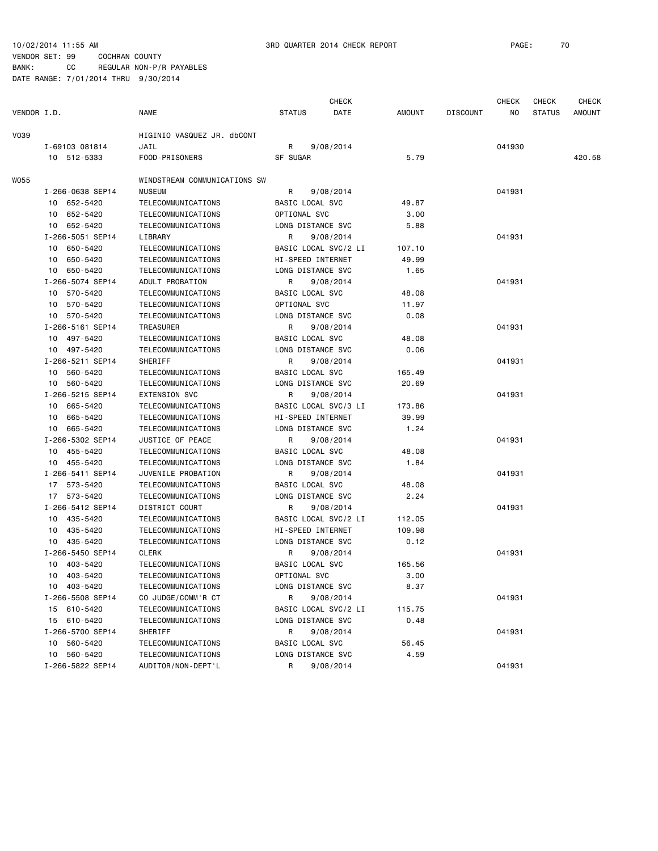|             |                                 |                                          |                                      | <b>CHECK</b>         |               |                 | <b>CHECK</b> | <b>CHECK</b>  | <b>CHECK</b> |
|-------------|---------------------------------|------------------------------------------|--------------------------------------|----------------------|---------------|-----------------|--------------|---------------|--------------|
| VENDOR I.D. |                                 | <b>NAME</b>                              | <b>STATUS</b>                        | DATE                 | AMOUNT        | <b>DISCOUNT</b> | NO.          | <b>STATUS</b> | AMOUNT       |
| <b>V039</b> |                                 | HIGINIO VASQUEZ JR. dbCONT               |                                      |                      |               |                 |              |               |              |
|             | I-69103 081814                  | JAIL                                     | R                                    | 9/08/2014            |               |                 | 041930       |               |              |
|             | 10 512-5333                     | FOOD-PRISONERS                           | SF SUGAR                             |                      | 5.79          |                 |              |               | 420.58       |
| <b>WO55</b> |                                 | WINDSTREAM COMMUNICATIONS SW             |                                      |                      |               |                 |              |               |              |
|             | I-266-0638 SEP14                | <b>MUSEUM</b>                            | R                                    | 9/08/2014            |               |                 | 041931       |               |              |
|             | 10 652-5420                     | TELECOMMUNICATIONS                       | BASIC LOCAL SVC                      |                      | 49.87         |                 |              |               |              |
|             | 10 652-5420                     | TELECOMMUNICATIONS                       | OPTIONAL SVC                         |                      | 3.00          |                 |              |               |              |
|             | 10 652-5420                     | TELECOMMUNICATIONS                       | LONG DISTANCE SVC                    |                      | 5.88          |                 |              |               |              |
|             | I-266-5051 SEP14                | LIBRARY                                  | R                                    | 9/08/2014            |               |                 | 041931       |               |              |
|             | 10 650-5420                     | TELECOMMUNICATIONS                       | BASIC LOCAL SVC/2 LI                 |                      | 107.10        |                 |              |               |              |
|             | 10 650-5420                     | TELECOMMUNICATIONS                       | HI-SPEED INTERNET                    |                      | 49.99         |                 |              |               |              |
|             | 10 650-5420                     | TELECOMMUNICATIONS                       | LONG DISTANCE SVC                    |                      | 1.65          |                 |              |               |              |
|             | I-266-5074 SEP14                | ADULT PROBATION                          | R                                    | 9/08/2014            |               |                 | 041931       |               |              |
|             | 10 570-5420                     | TELECOMMUNICATIONS                       | BASIC LOCAL SVC                      |                      | 48.08         |                 |              |               |              |
|             | 10 570-5420                     | TELECOMMUNICATIONS                       | OPTIONAL SVC                         |                      | 11.97         |                 |              |               |              |
|             | 10 570-5420                     | TELECOMMUNICATIONS                       | LONG DISTANCE SVC                    |                      | 0.08          |                 |              |               |              |
|             | I-266-5161 SEP14                | TREASURER                                | R                                    | 9/08/2014            |               |                 | 041931       |               |              |
|             | 10 497-5420                     | TELECOMMUNICATIONS                       | BASIC LOCAL SVC                      |                      | 48.08         |                 |              |               |              |
|             | 10 497-5420                     | TELECOMMUNICATIONS                       | LONG DISTANCE SVC                    |                      | 0.06          |                 |              |               |              |
|             | I-266-5211 SEP14                | <b>SHERIFF</b>                           | R                                    | 9/08/2014            |               |                 | 041931       |               |              |
|             | 10 560-5420                     | TELECOMMUNICATIONS                       | BASIC LOCAL SVC                      |                      | 165.49        |                 |              |               |              |
|             | 10 560-5420                     | TELECOMMUNICATIONS                       | LONG DISTANCE SVC                    |                      | 20.69         |                 |              |               |              |
|             | I-266-5215 SEP14                | <b>EXTENSION SVC</b>                     | R                                    | 9/08/2014            |               |                 | 041931       |               |              |
|             | 10 665-5420                     | TELECOMMUNICATIONS                       | BASIC LOCAL SVC/3 LI                 |                      | 173.86        |                 |              |               |              |
|             | 10 665-5420                     | TELECOMMUNICATIONS                       | HI-SPEED INTERNET                    |                      | 39.99         |                 |              |               |              |
|             | 10 665-5420                     | TELECOMMUNICATIONS                       | LONG DISTANCE SVC                    |                      | 1.24          |                 |              |               |              |
|             | I-266-5302 SEP14                | JUSTICE OF PEACE                         | R                                    | 9/08/2014            |               |                 | 041931       |               |              |
|             | 10 455-5420                     | TELECOMMUNICATIONS                       | BASIC LOCAL SVC                      |                      | 48.08         |                 |              |               |              |
|             | 10 455-5420                     | TELECOMMUNICATIONS                       | LONG DISTANCE SVC                    |                      | 1.84          |                 |              |               |              |
|             | I-266-5411 SEP14                | JUVENILE PROBATION                       | R                                    | 9/08/2014            |               |                 | 041931       |               |              |
|             | 17 573-5420                     | TELECOMMUNICATIONS                       | BASIC LOCAL SVC                      |                      | 48.08         |                 |              |               |              |
|             | 17 573-5420                     | TELECOMMUNICATIONS                       | LONG DISTANCE SVC                    |                      | 2.24          |                 |              |               |              |
|             | I-266-5412 SEP14                | DISTRICT COURT                           | R                                    | 9/08/2014            |               |                 | 041931       |               |              |
|             | 10 435-5420                     | TELECOMMUNICATIONS                       | BASIC LOCAL SVC/2 LI                 |                      | 112.05        |                 |              |               |              |
|             | 10 435-5420                     | TELECOMMUNICATIONS                       | HI-SPEED INTERNET                    |                      | 109.98        |                 |              |               |              |
|             | 10 435-5420                     | TELECOMMUNICATIONS                       | LONG DISTANCE SVC                    |                      | 0.12          |                 |              |               |              |
|             | I-266-5450 SEP14                | CLERK                                    | R                                    | 9/08/2014            |               |                 | 041931       |               |              |
|             | 10 403-5420                     | TELECOMMUNICATIONS                       | BASIC LOCAL SVC                      |                      | 165.56        |                 |              |               |              |
|             | 10 403-5420                     | TELECOMMUNICATIONS                       | OPTIONAL SVC                         |                      | 3.00          |                 |              |               |              |
|             | 10 403-5420<br>I-266-5508 SEP14 | TELECOMMUNICATIONS                       | LONG DISTANCE SVC                    |                      | 8.37          |                 |              |               |              |
|             |                                 | CO JUDGE/COMM'R CT                       | R                                    | 9/08/2014            |               |                 | 041931       |               |              |
|             | 15 610-5420                     | TELECOMMUNICATIONS                       | LONG DISTANCE SVC                    | BASIC LOCAL SVC/2 LI | 115.75        |                 |              |               |              |
|             | 15 610-5420                     | TELECOMMUNICATIONS                       |                                      |                      | 0.48          |                 |              |               |              |
|             | I-266-5700 SEP14                | SHERIFF                                  | R                                    | 9/08/2014            |               |                 | 041931       |               |              |
|             | 10 560-5420<br>10 560-5420      | TELECOMMUNICATIONS<br>TELECOMMUNICATIONS | BASIC LOCAL SVC<br>LONG DISTANCE SVC |                      | 56.45<br>4.59 |                 |              |               |              |
|             | I-266-5822 SEP14                | AUDITOR/NON-DEPT'L                       | R                                    | 9/08/2014            |               |                 | 041931       |               |              |
|             |                                 |                                          |                                      |                      |               |                 |              |               |              |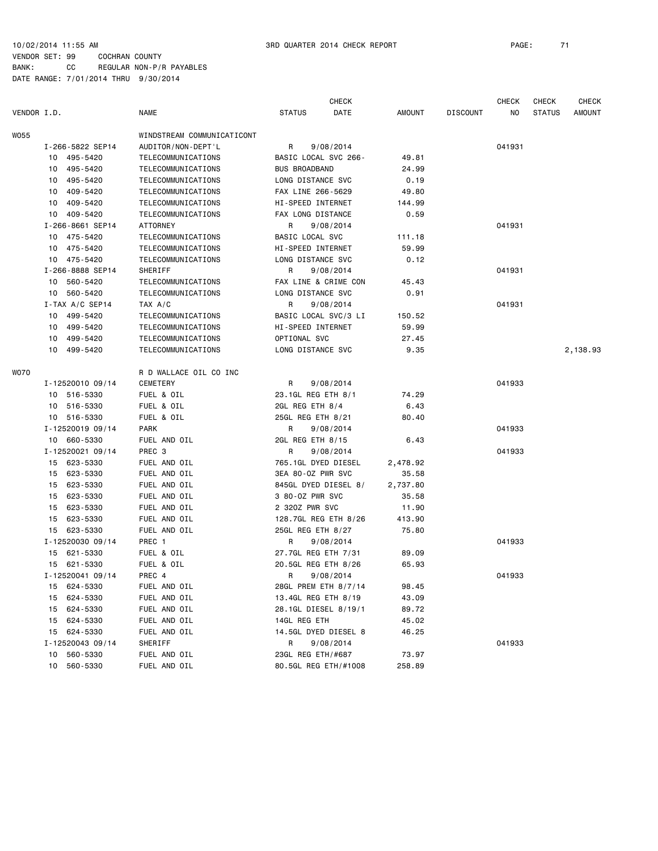CHECK CHECK CHECK CHECK VENDOR I.D. NAME STATUS DATE AMOUNT DISCOUNT NO STATUS AMOUNT WO55 WINDSTREAM COMMUNICATICONT I-266-5822 SEP14 AUDITOR/NON-DEPT'L R 9/08/2014 041931 10 495-5420 TELECOMMUNICATIONS BASIC LOCAL SVC 266- 49.81 10 495-5420 TELECOMMUNICATIONS BUS BROADBAND 24.99 10 495-5420 TELECOMMUNICATIONS LONG DISTANCE SVC 0.19 10 409-5420 TELECOMMUNICATIONS FAX LINE 266-5629 49.80 10 409-5420 TELECOMMUNICATIONS HI-SPEED INTERNET 144.99 10 409-5420 TELECOMMUNICATIONS FAX LONG DISTANCE 0.59 I-266-8661 SEP14 ATTORNEY R 9/08/2014 041931 10 475-5420 TELECOMMUNICATIONS BASIC LOCAL SVC 111.18 10 475-5420 TELECOMMUNICATIONS HI-SPEED INTERNET 59.99 10 475-5420 TELECOMMUNICATIONS LONG DISTANCE SVC 0.12 I-266-8888 SEP14 SHERIFF R 9/08/2014 041931 10 560-5420 TELECOMMUNICATIONS FAX LINE & CRIME CON 45.43 10 560-5420 TELECOMMUNICATIONS LONG DISTANCE SVC 0.91 I-TAX A/C SEP14 TAX A/C R 9/08/2014 041931 10 499-5420 TELECOMMUNICATIONS BASIC LOCAL SVC/3 LI 150.52 10 499-5420 TELECOMMUNICATIONS HI-SPEED INTERNET 59.99 10 499-5420 TELECOMMUNICATIONS OPTIONAL SVC 27.45 10 499-5420 TELECOMMUNICATIONS LONG DISTANCE SVC 9.35 2,138.93 W070 R D WALLACE OIL CO INC I-12520010 09/14 CEMETERY R 9/08/2014 041933 10 516-5330 FUEL & OIL 23.1GL REG ETH 8/1 74.29 10 516-5330 FUEL & OIL 2GL REG ETH 8/4 6.43 10 516-5330 FUEL & OIL 25GL REG ETH 8/21 80.40 I-12520019 09/14 PARK PARK R 9/08/2014 2019 041933 10 660-5330 FUEL AND OIL 2GL REG ETH 8/15 6.43 I-12520021 09/14 PREC 3 R 9/08/2014 041933 15 623-5330 FUEL AND OIL 765.1GL DYED DIESEL 2,478.92 15 623-5330 FUEL AND OIL 3EA 80-OZ PWR SVC 35.58 15 623-5330 FUEL AND OIL 845GL DYED DIESEL 8/ 2,737.80 15 623-5330 FUEL AND OIL 3 80-OZ PWR SVC 35.58 15 623-5330 FUEL AND OIL 2 32OZ PWR SVC 11.90 15 623-5330 FUEL AND OIL 128.7GL REG ETH 8/26 413.90 15 623-5330 FUEL AND OIL 25GL REG ETH 8/27 75.80 I-12520030 09/14 PREC 1 R 9/08/2014 041933 15 621-5330 FUEL & OIL 27.7GL REG ETH 7/31 89.09 15 621-5330 FUEL & OIL 20.5GL REG ETH 8/26 65.93 I-12520041 09/14 PREC 4 R 9/08/2014 041933 15 624-5330 FUEL AND OIL 28GL PREM ETH 8/7/14 98.45 15 624-5330 FUEL AND OIL 13.4GL REG ETH 8/19 43.09 15 624-5330 FUEL AND OIL 28.1GL DIESEL 8/19/1 89.72 15 624-5330 FUEL AND OIL 14GL REG ETH 45.02 15 624-5330 FUEL AND OIL 14.5GL DYED DIESEL 8 46.25 I-12520043 09/14 SHERIFF R 9/08/2014 R 9/08/2014 10 560-5330 FUEL AND OIL 23GL REG ETH/#687 73.97 10 560-5330 FUEL AND OIL 80.5GL REG ETH/#1008 258.89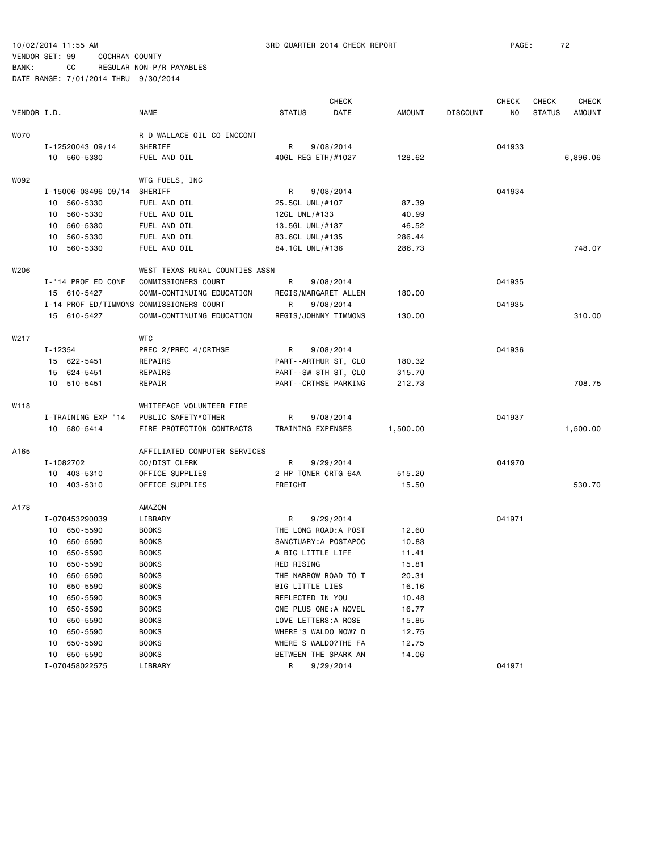|             |                               |                                          | <b>CHECK</b>                         |                       |                |                 | <b>CHECK</b> | <b>CHECK</b>  | <b>CHECK</b>  |
|-------------|-------------------------------|------------------------------------------|--------------------------------------|-----------------------|----------------|-----------------|--------------|---------------|---------------|
| VENDOR I.D. |                               | <b>NAME</b>                              | <b>STATUS</b>                        | DATE                  | <b>AMOUNT</b>  | <b>DISCOUNT</b> | NO           | <b>STATUS</b> | <b>AMOUNT</b> |
| <b>WO70</b> |                               | R D WALLACE OIL CO INCCONT               |                                      |                       |                |                 |              |               |               |
|             | I-12520043 09/14              | SHERIFF                                  | R<br>9/08/2014<br>40GL REG ETH/#1027 |                       |                |                 | 041933       |               |               |
|             | 10 560-5330                   | FUEL AND OIL                             |                                      |                       | 128.62         |                 |              |               | 6,896.06      |
| W092        |                               | WTG FUELS, INC                           |                                      |                       |                |                 |              |               |               |
|             | I-15006-03496 09/14           | SHERIFF                                  | R                                    | 9/08/2014             |                |                 | 041934       |               |               |
|             | 10 560-5330                   | FUEL AND OIL                             | 25.5GL UNL/#107                      |                       | 87.39          |                 |              |               |               |
|             | 10 560-5330                   | FUEL AND OIL                             | 12GL UNL/#133                        |                       | 40.99          |                 |              |               |               |
|             | 10 560-5330                   | FUEL AND OIL                             | 13.5GL UNL/#137                      |                       | 46.52          |                 |              |               |               |
|             | 10 560-5330                   | FUEL AND OIL                             | 83.6GL UNL/#135                      |                       | 286.44         |                 |              |               |               |
|             | 560-5330<br>10                | FUEL AND OIL                             | 84.1GL UNL/#136                      |                       | 286.73         |                 |              |               | 748.07        |
| W206        |                               | WEST TEXAS RURAL COUNTIES ASSN           |                                      |                       |                |                 |              |               |               |
|             | I-'14 PROF ED CONF            | COMMISSIONERS COURT                      | R                                    | 9/08/2014             |                |                 | 041935       |               |               |
|             | 15 610-5427                   | COMM-CONTINUING EDUCATION                |                                      | REGIS/MARGARET ALLEN  | 180.00         |                 |              |               |               |
|             |                               | I-14 PROF ED/TIMMONS COMMISSIONERS COURT | R                                    | 9/08/2014             |                |                 | 041935       |               |               |
|             | 15 610-5427                   | COMM-CONTINUING EDUCATION                |                                      | REGIS/JOHNNY TIMMONS  | 130.00         |                 |              |               | 310.00        |
|             |                               |                                          |                                      |                       |                |                 |              |               |               |
| W217        |                               | <b>WTC</b>                               |                                      |                       |                |                 |              |               |               |
|             | I-12354                       | PREC 2/PREC 4/CRTHSE                     | R                                    | 9/08/2014             |                |                 | 041936       |               |               |
|             | 15 622-5451                   | REPAIRS                                  |                                      | PART--ARTHUR ST, CLO  | 180.32         |                 |              |               |               |
|             | 15 624-5451                   | REPAIRS                                  |                                      | PART--SW 8TH ST, CLO  | 315.70         |                 |              |               |               |
|             | 10 510-5451                   | REPAIR                                   |                                      | PART--CRTHSE PARKING  | 212.73         |                 |              |               | 708.75        |
| W118        |                               | WHITEFACE VOLUNTEER FIRE                 |                                      |                       |                |                 |              |               |               |
|             | I-TRAINING EXP '14            | PUBLIC SAFETY*OTHER                      | R                                    | 9/08/2014             |                |                 | 041937       |               |               |
|             | 10 580-5414                   | FIRE PROTECTION CONTRACTS                | TRAINING EXPENSES                    |                       | 1,500.00       |                 |              |               | 1,500.00      |
| A165        |                               | AFFILIATED COMPUTER SERVICES             |                                      |                       |                |                 |              |               |               |
|             | I-1082702                     | CO/DIST CLERK                            | R                                    | 9/29/2014             |                |                 | 041970       |               |               |
|             | 10 403-5310                   | OFFICE SUPPLIES                          | 2 HP TONER CRTG 64A                  |                       | 515.20         |                 |              |               |               |
|             | 10 403-5310                   | OFFICE SUPPLIES                          | FREIGHT                              |                       | 15.50          |                 |              |               | 530.70        |
|             |                               |                                          |                                      |                       |                |                 |              |               |               |
| A178        |                               | AMAZON                                   |                                      |                       |                |                 |              |               |               |
|             | I-070453290039                | LIBRARY                                  | R                                    | 9/29/2014             | 12.60          |                 | 041971       |               |               |
|             | 10 650-5590                   | <b>BOOKS</b>                             |                                      | THE LONG ROAD: A POST |                |                 |              |               |               |
|             | 10 650-5590<br>10 650-5590    | <b>BOOKS</b>                             | A BIG LITTLE LIFE                    | SANCTUARY: A POSTAPOC | 10.83          |                 |              |               |               |
|             | 650-5590                      | <b>BOOKS</b><br><b>BOOKS</b>             | RED RISING                           |                       | 11.41          |                 |              |               |               |
|             | 10                            |                                          |                                      |                       | 15.81          |                 |              |               |               |
|             | 10 650-5590<br>650-5590<br>10 | <b>BOOKS</b><br><b>BOOKS</b>             | BIG LITTLE LIES                      | THE NARROW ROAD TO T  | 20.31<br>16.16 |                 |              |               |               |
|             | 650-5590<br>10                | <b>BOOKS</b>                             | REFLECTED IN YOU                     |                       | 10.48          |                 |              |               |               |
|             | 650-5590<br>10                | <b>BOOKS</b>                             |                                      | ONE PLUS ONE: A NOVEL | 16.77          |                 |              |               |               |
|             | 650-5590<br>10                | <b>BOOKS</b>                             | LOVE LETTERS: A ROSE                 |                       | 15.85          |                 |              |               |               |
|             | 650-5590<br>10                | <b>BOOKS</b>                             |                                      | WHERE'S WALDO NOW? D  | 12.75          |                 |              |               |               |
|             | 650-5590<br>10                | <b>BOOKS</b>                             |                                      | WHERE'S WALDO?THE FA  | 12.75          |                 |              |               |               |
|             | 650-5590<br>10                | <b>BOOKS</b>                             |                                      | BETWEEN THE SPARK AN  | 14.06          |                 |              |               |               |
|             | I-070458022575                | LIBRARY                                  | R                                    | 9/29/2014             |                |                 | 041971       |               |               |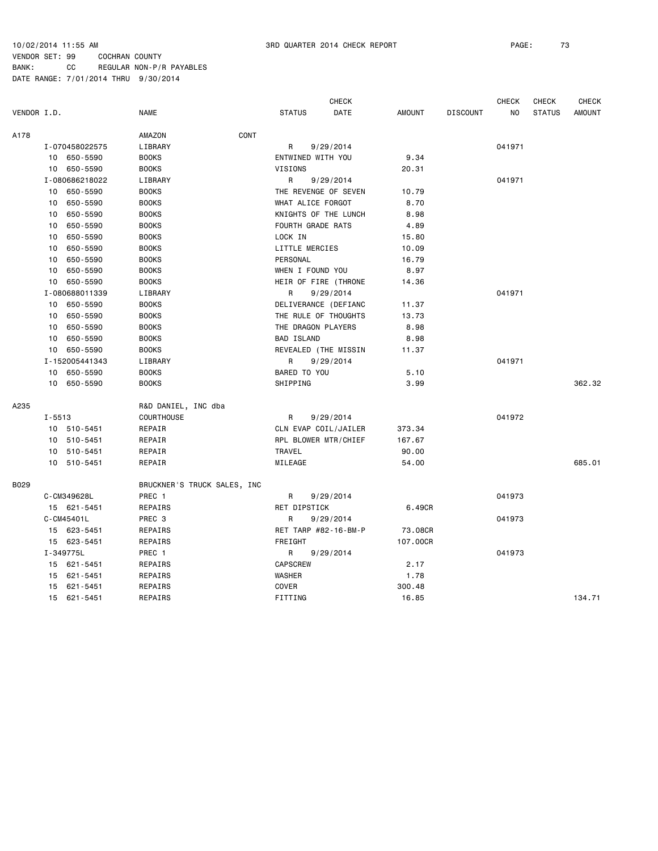|             |            |                |                             |                      | <b>CHECK</b> |               |                 | <b>CHECK</b> | <b>CHECK</b>  | <b>CHECK</b>  |
|-------------|------------|----------------|-----------------------------|----------------------|--------------|---------------|-----------------|--------------|---------------|---------------|
| VENDOR I.D. |            |                | <b>NAME</b>                 | <b>STATUS</b>        | DATE         | <b>AMOUNT</b> | <b>DISCOUNT</b> | NO.          | <b>STATUS</b> | <b>AMOUNT</b> |
| A178        |            |                | CONT<br>AMAZON              |                      |              |               |                 |              |               |               |
|             |            | I-070458022575 | LIBRARY                     | R                    | 9/29/2014    |               |                 | 041971       |               |               |
|             |            | 10 650-5590    | <b>BOOKS</b>                | ENTWINED WITH YOU    |              | 9.34          |                 |              |               |               |
|             |            | 10 650-5590    | <b>BOOKS</b>                | VISIONS              |              | 20.31         |                 |              |               |               |
|             |            | I-080686218022 | LIBRARY                     | R                    | 9/29/2014    |               |                 | 041971       |               |               |
|             | 10         | 650-5590       | <b>BOOKS</b>                | THE REVENGE OF SEVEN |              | 10.79         |                 |              |               |               |
|             | 10         | 650-5590       | <b>BOOKS</b>                | WHAT ALICE FORGOT    |              | 8.70          |                 |              |               |               |
|             | 10         | 650-5590       | <b>BOOKS</b>                | KNIGHTS OF THE LUNCH |              | 8.98          |                 |              |               |               |
|             | 10         | 650-5590       | <b>BOOKS</b>                | FOURTH GRADE RATS    |              | 4.89          |                 |              |               |               |
|             | 10         | 650-5590       | <b>BOOKS</b>                | LOCK IN              |              | 15.80         |                 |              |               |               |
|             | 10         | 650-5590       | <b>BOOKS</b>                | LITTLE MERCIES       |              | 10.09         |                 |              |               |               |
|             | 10         | 650-5590       | <b>BOOKS</b>                | PERSONAL             |              | 16.79         |                 |              |               |               |
|             | 10         | 650-5590       | <b>BOOKS</b>                | WHEN I FOUND YOU     |              | 8.97          |                 |              |               |               |
|             |            | 10 650-5590    | <b>BOOKS</b>                | HEIR OF FIRE (THRONE |              | 14.36         |                 |              |               |               |
|             |            | I-080688011339 | LIBRARY                     | R                    | 9/29/2014    |               |                 | 041971       |               |               |
|             |            | 10 650-5590    | <b>BOOKS</b>                | DELIVERANCE (DEFIANC |              | 11.37         |                 |              |               |               |
|             | 10         | 650-5590       | <b>BOOKS</b>                | THE RULE OF THOUGHTS |              | 13.73         |                 |              |               |               |
|             | 10         | 650-5590       | <b>BOOKS</b>                | THE DRAGON PLAYERS   |              | 8.98          |                 |              |               |               |
|             | 10         | 650-5590       | <b>BOOKS</b>                | <b>BAD ISLAND</b>    |              | 8.98          |                 |              |               |               |
|             |            | 10 650-5590    | <b>BOOKS</b>                | REVEALED (THE MISSIN |              | 11.37         |                 |              |               |               |
|             |            | I-152005441343 | LIBRARY                     | R                    | 9/29/2014    |               |                 | 041971       |               |               |
|             |            | 10 650-5590    | <b>BOOKS</b>                | BARED TO YOU         |              | 5.10          |                 |              |               |               |
|             |            | 10 650-5590    | <b>BOOKS</b>                | SHIPPING             |              | 3.99          |                 |              |               | 362.32        |
| A235        |            |                | R&D DANIEL, INC dba         |                      |              |               |                 |              |               |               |
|             | $I - 5513$ |                | <b>COURTHOUSE</b>           | R                    | 9/29/2014    |               |                 | 041972       |               |               |
|             |            | 10 510-5451    | REPAIR                      | CLN EVAP COIL/JAILER |              | 373.34        |                 |              |               |               |
|             |            | 10 510-5451    | REPAIR                      | RPL BLOWER MTR/CHIEF |              | 167.67        |                 |              |               |               |
|             |            | 10 510-5451    | REPAIR                      | TRAVEL               |              | 90.00         |                 |              |               |               |
|             |            | 10 510-5451    | REPAIR                      | MILEAGE              |              | 54.00         |                 |              |               | 685.01        |
| B029        |            |                | BRUCKNER'S TRUCK SALES, INC |                      |              |               |                 |              |               |               |
|             |            | C-CM349628L    | PREC 1                      | R                    | 9/29/2014    |               |                 | 041973       |               |               |
|             |            | 15 621-5451    | REPAIRS                     | RET DIPSTICK         |              | 6.49CR        |                 |              |               |               |
|             |            | C-CM45401L     | PREC 3                      | R                    | 9/29/2014    |               |                 | 041973       |               |               |
|             |            | 15 623-5451    | REPAIRS                     | RET TARP #82-16-BM-P |              | 73.08CR       |                 |              |               |               |
|             |            | 15 623-5451    | REPAIRS                     | FREIGHT              |              | 107.00CR      |                 |              |               |               |
|             |            | I-349775L      | PREC 1                      | R                    | 9/29/2014    |               |                 | 041973       |               |               |
|             |            | 15 621-5451    | REPAIRS                     | <b>CAPSCREW</b>      |              | 2.17          |                 |              |               |               |
|             |            | 15 621-5451    | REPAIRS                     | WASHER               |              | 1.78          |                 |              |               |               |
|             | 15         | 621-5451       | REPAIRS                     | COVER                |              | 300.48        |                 |              |               |               |
|             |            | 15 621-5451    | REPAIRS                     | FITTING              |              | 16.85         |                 |              |               | 134.71        |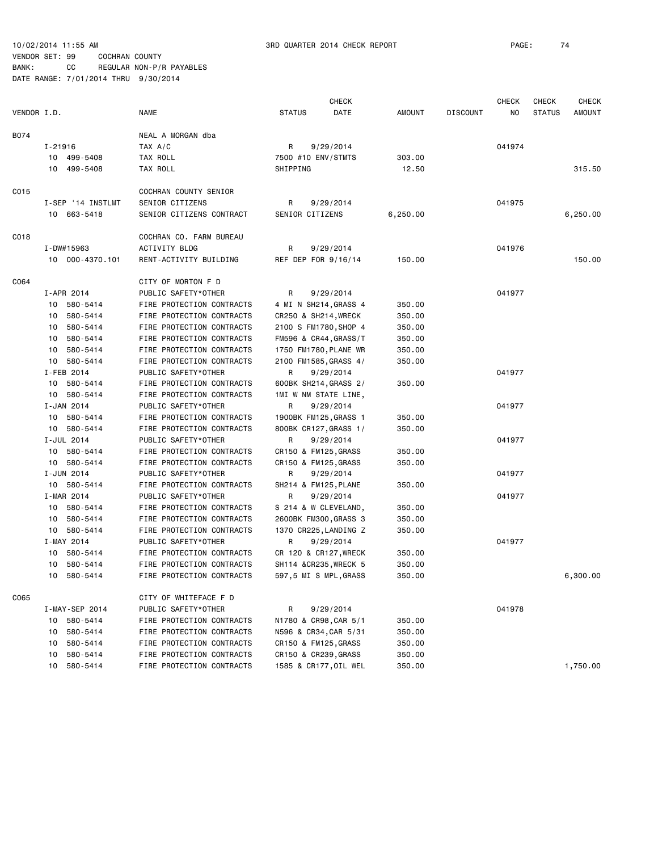|             |                   |                           | <b>CHECK</b>           |          |                 | <b>CHECK</b> | <b>CHECK</b>  | <b>CHECK</b> |
|-------------|-------------------|---------------------------|------------------------|----------|-----------------|--------------|---------------|--------------|
| VENDOR I.D. |                   | <b>NAME</b>               | <b>STATUS</b><br>DATE  | AMOUNT   | <b>DISCOUNT</b> | NO.          | <b>STATUS</b> | AMOUNT       |
| B074        |                   | NEAL A MORGAN dba         |                        |          |                 |              |               |              |
|             | I-21916           | TAX A/C                   | R<br>9/29/2014         |          |                 | 041974       |               |              |
|             | 10 499-5408       | TAX ROLL                  | 7500 #10 ENV/STMTS     | 303.00   |                 |              |               |              |
|             | 10 499-5408       | TAX ROLL                  | SHIPPING               | 12.50    |                 |              |               | 315.50       |
|             |                   |                           |                        |          |                 |              |               |              |
| C015        |                   | COCHRAN COUNTY SENIOR     |                        |          |                 |              |               |              |
|             | I-SEP '14 INSTLMT | SENIOR CITIZENS           | R<br>9/29/2014         |          |                 | 041975       |               |              |
|             | 10 663-5418       | SENIOR CITIZENS CONTRACT  | SENIOR CITIZENS        | 6,250.00 |                 |              |               | 6,250.00     |
| C018        |                   | COCHRAN CO. FARM BUREAU   |                        |          |                 |              |               |              |
|             | I-DW#15963        | ACTIVITY BLDG             | R<br>9/29/2014         |          |                 | 041976       |               |              |
|             | 10 000-4370.101   | RENT-ACTIVITY BUILDING    | REF DEP FOR 9/16/14    | 150.00   |                 |              |               | 150.00       |
| C064        |                   | CITY OF MORTON F D        |                        |          |                 |              |               |              |
|             | I-APR 2014        | PUBLIC SAFETY*OTHER       | R<br>9/29/2014         |          |                 | 041977       |               |              |
|             | 10 580-5414       | FIRE PROTECTION CONTRACTS | 4 MI N SH214, GRASS 4  | 350.00   |                 |              |               |              |
|             | 10 580-5414       | FIRE PROTECTION CONTRACTS | CR250 & SH214, WRECK   | 350.00   |                 |              |               |              |
|             | 10 580-5414       | FIRE PROTECTION CONTRACTS | 2100 S FM1780, SHOP 4  | 350.00   |                 |              |               |              |
|             | 10 580-5414       | FIRE PROTECTION CONTRACTS | FM596 & CR44, GRASS/T  | 350.00   |                 |              |               |              |
|             | 10 580-5414       | FIRE PROTECTION CONTRACTS | 1750 FM1780, PLANE WR  | 350.00   |                 |              |               |              |
|             | 10 580-5414       | FIRE PROTECTION CONTRACTS | 2100 FM1585, GRASS 4/  | 350.00   |                 |              |               |              |
|             | I-FEB 2014        | PUBLIC SAFETY*OTHER       | R<br>9/29/2014         |          |                 | 041977       |               |              |
|             | 10 580-5414       | FIRE PROTECTION CONTRACTS | 600BK SH214, GRASS 2/  | 350.00   |                 |              |               |              |
|             | 10 580-5414       | FIRE PROTECTION CONTRACTS | 1MI W NM STATE LINE,   |          |                 |              |               |              |
|             | I-JAN 2014        | PUBLIC SAFETY*OTHER       | R<br>9/29/2014         |          |                 | 041977       |               |              |
|             | 10 580-5414       | FIRE PROTECTION CONTRACTS | 1900BK FM125, GRASS 1  | 350.00   |                 |              |               |              |
|             | 10 580-5414       | FIRE PROTECTION CONTRACTS | 800BK CR127, GRASS 1/  | 350.00   |                 |              |               |              |
|             | I-JUL 2014        | PUBLIC SAFETY*OTHER       | R<br>9/29/2014         |          |                 | 041977       |               |              |
|             | 10 580-5414       | FIRE PROTECTION CONTRACTS | CR150 & FM125, GRASS   | 350.00   |                 |              |               |              |
|             | 10 580-5414       | FIRE PROTECTION CONTRACTS | CR150 & FM125, GRASS   | 350.00   |                 |              |               |              |
|             | I-JUN 2014        | PUBLIC SAFETY*OTHER       | R<br>9/29/2014         |          |                 | 041977       |               |              |
|             | 10 580-5414       | FIRE PROTECTION CONTRACTS | SH214 & FM125, PLANE   | 350.00   |                 |              |               |              |
|             | I-MAR 2014        | PUBLIC SAFETY*OTHER       | R<br>9/29/2014         |          |                 | 041977       |               |              |
|             | 10 580-5414       | FIRE PROTECTION CONTRACTS | S 214 & W CLEVELAND,   | 350.00   |                 |              |               |              |
|             | 10 580-5414       | FIRE PROTECTION CONTRACTS | 2600BK FM300, GRASS 3  | 350.00   |                 |              |               |              |
|             | 10 580-5414       | FIRE PROTECTION CONTRACTS | 1370 CR225, LANDING Z  | 350.00   |                 |              |               |              |
|             | I-MAY 2014        | PUBLIC SAFETY*OTHER       | R<br>9/29/2014         |          |                 | 041977       |               |              |
|             | 10 580-5414       | FIRE PROTECTION CONTRACTS | CR 120 & CR127, WRECK  | 350.00   |                 |              |               |              |
|             | 10 580-5414       | FIRE PROTECTION CONTRACTS | SH114 & CR235, WRECK 5 | 350.00   |                 |              |               |              |
|             | 10 580-5414       | FIRE PROTECTION CONTRACTS | 597,5 MI S MPL, GRASS  | 350.00   |                 |              |               | 6,300.00     |
| C065        |                   | CITY OF WHITEFACE F D     |                        |          |                 |              |               |              |
|             | I-MAY-SEP 2014    | PUBLIC SAFETY*OTHER       | R<br>9/29/2014         |          |                 | 041978       |               |              |
|             | 10 580-5414       | FIRE PROTECTION CONTRACTS | N1780 & CR98, CAR 5/1  | 350.00   |                 |              |               |              |
|             | 580-5414<br>10    | FIRE PROTECTION CONTRACTS | N596 & CR34, CAR 5/31  | 350.00   |                 |              |               |              |
|             | 580-5414<br>10    | FIRE PROTECTION CONTRACTS | CR150 & FM125, GRASS   | 350.00   |                 |              |               |              |
|             | 580-5414<br>10    | FIRE PROTECTION CONTRACTS | CR150 & CR239, GRASS   | 350.00   |                 |              |               |              |
|             | 580-5414<br>10    | FIRE PROTECTION CONTRACTS | 1585 & CR177, OIL WEL  | 350.00   |                 |              |               | 1,750.00     |
|             |                   |                           |                        |          |                 |              |               |              |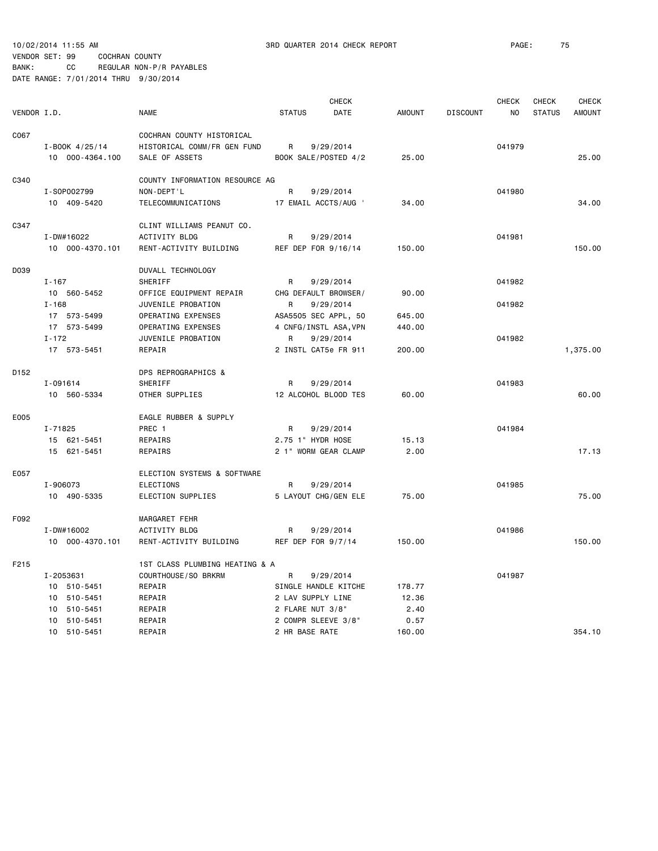10/02/2014 11:55 AM 3RD QUARTER 2014 CHECK REPORT PAGE: 75

### VENDOR SET: 99 COCHRAN COUNTY BANK: CC REGULAR NON-P/R PAYABLES

|                  |                 |                     |                                |                              | <b>CHECK</b>          |               |                 | <b>CHECK</b>   | CHECK         | <b>CHECK</b>  |
|------------------|-----------------|---------------------|--------------------------------|------------------------------|-----------------------|---------------|-----------------|----------------|---------------|---------------|
| VENDOR I.D.      |                 | <b>NAME</b>         |                                | <b>STATUS</b><br><b>DATE</b> |                       | <b>AMOUNT</b> | <b>DISCOUNT</b> | N <sub>O</sub> | <b>STATUS</b> | <b>AMOUNT</b> |
| C067             |                 |                     | COCHRAN COUNTY HISTORICAL      |                              |                       |               |                 |                |               |               |
|                  | I-BOOK 4/25/14  |                     | HISTORICAL COMM/FR GEN FUND    | R                            | 9/29/2014             |               |                 | 041979         |               |               |
|                  | 10 000-4364.100 | SALE OF ASSETS      |                                |                              | BOOK SALE/POSTED 4/2  | 25.00         |                 |                |               | 25.00         |
|                  |                 |                     |                                |                              |                       |               |                 |                |               |               |
| C340             |                 |                     | COUNTY INFORMATION RESOURCE AG |                              |                       |               |                 |                |               |               |
|                  | I-S0P002799     | NON-DEPT'L          |                                | R                            | 9/29/2014             |               |                 | 041980         |               |               |
|                  | 10 409-5420     | TELECOMMUNICATIONS  |                                |                              | 17 EMAIL ACCTS/AUG '  | 34.00         |                 |                |               | 34.00         |
| C347             |                 |                     | CLINT WILLIAMS PEANUT CO.      |                              |                       |               |                 |                |               |               |
|                  | I-DW#16022      | ACTIVITY BLDG       |                                | R                            | 9/29/2014             |               |                 | 041981         |               |               |
|                  | 10 000-4370.101 |                     | RENT-ACTIVITY BUILDING         | REF DEP FOR 9/16/14          |                       | 150.00        |                 |                |               | 150.00        |
|                  |                 |                     |                                |                              |                       |               |                 |                |               |               |
| D039             |                 | DUVALL TECHNOLOGY   |                                |                              |                       |               |                 |                |               |               |
|                  | $I - 167$       | SHERIFF             |                                | R                            | 9/29/2014             |               |                 | 041982         |               |               |
|                  | 10 560-5452     |                     | OFFICE EQUIPMENT REPAIR        |                              | CHG DEFAULT BROWSER/  | 90.00         |                 |                |               |               |
|                  | $I - 168$       | JUVENILE PROBATION  |                                | R                            | 9/29/2014             |               |                 | 041982         |               |               |
|                  | 17 573-5499     | OPERATING EXPENSES  |                                |                              | ASA5505 SEC APPL, 50  | 645.00        |                 |                |               |               |
|                  | 17 573-5499     | OPERATING EXPENSES  |                                |                              | 4 CNFG/INSTL ASA, VPN | 440.00        |                 |                |               |               |
|                  | $I - 172$       | JUVENILE PROBATION  |                                | R                            | 9/29/2014             |               |                 | 041982         |               |               |
|                  | 17 573-5451     | REPAIR              |                                |                              | 2 INSTL CAT5e FR 911  | 200.00        |                 |                |               | 1,375.00      |
| D <sub>152</sub> |                 | DPS REPROGRAPHICS & |                                |                              |                       |               |                 |                |               |               |
|                  | I-091614        | SHERIFF             |                                | R                            | 9/29/2014             |               |                 | 041983         |               |               |
|                  | 10 560-5334     | OTHER SUPPLIES      |                                |                              | 12 ALCOHOL BLOOD TES  | 60.00         |                 |                |               | 60.00         |
| E005             |                 |                     | EAGLE RUBBER & SUPPLY          |                              |                       |               |                 |                |               |               |
|                  | I-71825         | PREC 1              |                                | R                            | 9/29/2014             |               |                 | 041984         |               |               |
|                  | 15 621-5451     | REPAIRS             |                                | 2.75 1" HYDR HOSE            |                       | 15.13         |                 |                |               |               |
|                  | 15 621-5451     | REPAIRS             |                                |                              | 2 1" WORM GEAR CLAMP  | 2.00          |                 |                |               | 17.13         |
| E057             |                 |                     | ELECTION SYSTEMS & SOFTWARE    |                              |                       |               |                 |                |               |               |
|                  | I-906073        | <b>ELECTIONS</b>    |                                | R                            | 9/29/2014             |               |                 | 041985         |               |               |
|                  | 10 490-5335     | ELECTION SUPPLIES   |                                |                              | 5 LAYOUT CHG/GEN ELE  | 75.00         |                 |                |               | 75.00         |
|                  |                 |                     |                                |                              |                       |               |                 |                |               |               |
| F092             |                 | MARGARET FEHR       |                                |                              |                       |               |                 |                |               |               |
|                  | I-DW#16002      | ACTIVITY BLDG       |                                | R                            | 9/29/2014             |               |                 | 041986         |               |               |
|                  | 10 000-4370.101 |                     | RENT-ACTIVITY BUILDING         | REF DEP FOR 9/7/14           |                       | 150.00        |                 |                |               | 150.00        |
| F215             |                 |                     | 1ST CLASS PLUMBING HEATING & A |                              |                       |               |                 |                |               |               |
|                  | I-2053631       | COURTHOUSE/SO BRKRM |                                | R                            | 9/29/2014             |               |                 | 041987         |               |               |
|                  | 10 510-5451     | REPAIR              |                                |                              | SINGLE HANDLE KITCHE  | 178.77        |                 |                |               |               |
|                  | 10 510-5451     | REPAIR              |                                | 2 LAV SUPPLY LINE            |                       | 12.36         |                 |                |               |               |
|                  | 10 510-5451     | REPAIR              |                                | 2 FLARE NUT 3/8"             |                       | 2.40          |                 |                |               |               |
|                  | 10 510-5451     | REPAIR              |                                | 2 COMPR SLEEVE 3/8"          |                       | 0.57          |                 |                |               |               |
|                  | 10 510-5451     | REPAIR              |                                | 2 HR BASE RATE               |                       | 160.00        |                 |                |               | 354.10        |
|                  |                 |                     |                                |                              |                       |               |                 |                |               |               |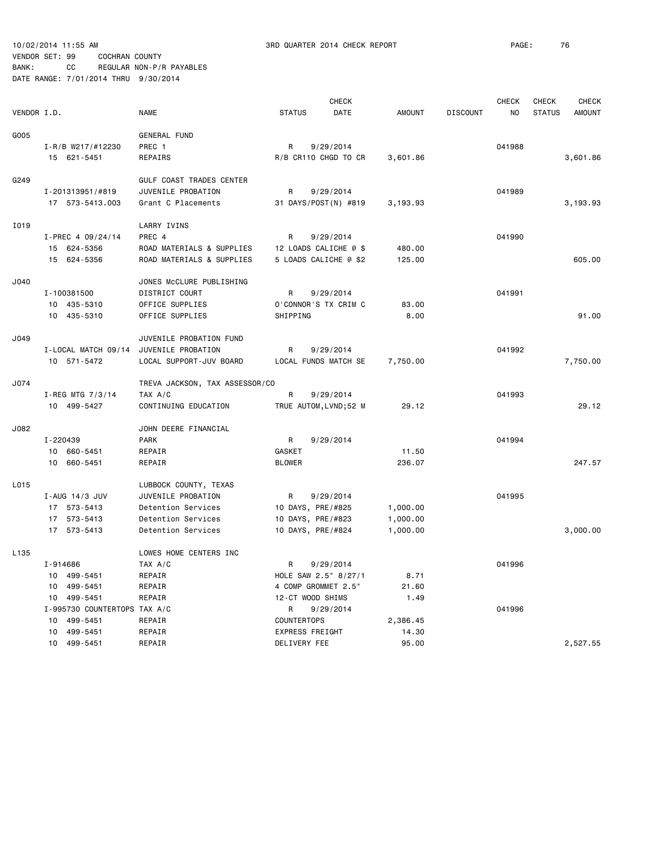|             |          |                              | <b>CHECK</b>                   |                        |                       |               |                 | <b>CHECK</b> | <b>CHECK</b>  | <b>CHECK</b>  |
|-------------|----------|------------------------------|--------------------------------|------------------------|-----------------------|---------------|-----------------|--------------|---------------|---------------|
| VENDOR I.D. |          |                              | <b>NAME</b>                    | <b>STATUS</b>          | DATE                  | <b>AMOUNT</b> | <b>DISCOUNT</b> | NO           | <b>STATUS</b> | <b>AMOUNT</b> |
| G005        |          |                              | <b>GENERAL FUND</b>            |                        |                       |               |                 |              |               |               |
|             |          | I-R/B W217/#12230            | PREC 1                         | R                      | 9/29/2014             |               |                 | 041988       |               |               |
|             |          | 15 621-5451                  | REPAIRS                        |                        | R/B CR110 CHGD TO CR  | 3,601.86      |                 |              |               | 3,601.86      |
| G249        |          |                              | GULF COAST TRADES CENTER       |                        |                       |               |                 |              |               |               |
|             |          | I-201313951/#819             | JUVENILE PROBATION             | R                      | 9/29/2014             |               |                 | 041989       |               |               |
|             |          | 17 573-5413.003              | Grant C Placements             |                        | 31 DAYS/POST(N) #819  | 3,193.93      |                 |              |               | 3,193.93      |
|             |          |                              |                                |                        |                       |               |                 |              |               |               |
| I019        |          |                              | LARRY IVINS                    |                        |                       |               |                 |              |               |               |
|             |          | I-PREC 4 09/24/14            | PREC 4                         | R                      | 9/29/2014             |               |                 | 041990       |               |               |
|             |          | 15 624-5356                  | ROAD MATERIALS & SUPPLIES      |                        | 12 LOADS CALICHE @ \$ | 480.00        |                 |              |               |               |
|             |          | 15 624-5356                  | ROAD MATERIALS & SUPPLIES      |                        | 5 LOADS CALICHE @ \$2 | 125.00        |                 |              |               | 605.00        |
| J040        |          |                              | JONES MCCLURE PUBLISHING       |                        |                       |               |                 |              |               |               |
|             |          | I-100381500                  | DISTRICT COURT                 | R                      | 9/29/2014             |               |                 | 041991       |               |               |
|             |          | 10 435-5310                  | OFFICE SUPPLIES                |                        | O'CONNOR'S TX CRIM C  | 83.00         |                 |              |               |               |
|             |          | 10 435-5310                  | OFFICE SUPPLIES                | SHIPPING               |                       | 8.00          |                 |              |               | 91.00         |
| J049        |          |                              | JUVENILE PROBATION FUND        |                        |                       |               |                 |              |               |               |
|             |          | I-LOCAL MATCH 09/14          | JUVENILE PROBATION             | R                      | 9/29/2014             |               |                 | 041992       |               |               |
|             |          | 10 571-5472                  | LOCAL SUPPORT-JUV BOARD        |                        | LOCAL FUNDS MATCH SE  | 7,750.00      |                 |              |               | 7,750.00      |
| J074        |          |                              | TREVA JACKSON, TAX ASSESSOR/CO |                        |                       |               |                 |              |               |               |
|             |          | I-REG MTG 7/3/14             | TAX A/C                        | R                      | 9/29/2014             |               |                 | 041993       |               |               |
|             |          | 10 499-5427                  | CONTINUING EDUCATION           |                        | TRUE AUTOM, LVND;52 M | 29.12         |                 |              |               | 29.12         |
|             |          |                              |                                |                        |                       |               |                 |              |               |               |
| J082        |          |                              | JOHN DEERE FINANCIAL           |                        |                       |               |                 |              |               |               |
|             | I-220439 |                              | <b>PARK</b>                    | R                      | 9/29/2014             |               |                 | 041994       |               |               |
|             | 10       | 660-5451                     | REPAIR                         | GASKET                 |                       | 11.50         |                 |              |               |               |
|             | 10       | 660-5451                     | REPAIR                         | <b>BLOWER</b>          |                       | 236.07        |                 |              |               | 247.57        |
| L015        |          |                              | LUBBOCK COUNTY, TEXAS          |                        |                       |               |                 |              |               |               |
|             |          | I-AUG 14/3 JUV               | JUVENILE PROBATION             | R                      | 9/29/2014             |               |                 | 041995       |               |               |
|             |          | 17 573-5413                  | Detention Services             | 10 DAYS, PRE/#825      |                       | 1,000.00      |                 |              |               |               |
|             |          | 17 573-5413                  | Detention Services             | 10 DAYS, PRE/#823      |                       | 1,000.00      |                 |              |               |               |
|             |          | 17 573-5413                  | Detention Services             | 10 DAYS, PRE/#824      |                       | 1,000.00      |                 |              |               | 3,000.00      |
| L135        |          |                              | LOWES HOME CENTERS INC         |                        |                       |               |                 |              |               |               |
|             | I-914686 |                              | TAX A/C                        | R                      | 9/29/2014             |               |                 | 041996       |               |               |
|             |          | 10 499-5451                  | REPAIR                         |                        | HOLE SAW 2.5" 8/27/1  | 8.71          |                 |              |               |               |
|             |          | 10 499-5451                  | REPAIR                         | 4 COMP GROMMET 2.5"    |                       | 21.60         |                 |              |               |               |
|             |          | 10 499-5451                  | REPAIR                         | 12-CT WOOD SHIMS       |                       | 1.49          |                 |              |               |               |
|             |          | I-995730 COUNTERTOPS TAX A/C |                                | R                      | 9/29/2014             |               |                 | 041996       |               |               |
|             | 10       | 499-5451                     | REPAIR                         | <b>COUNTERTOPS</b>     |                       | 2,386.45      |                 |              |               |               |
|             | 10       | 499-5451                     | REPAIR                         | <b>EXPRESS FREIGHT</b> |                       | 14.30         |                 |              |               |               |
|             |          | 10 499-5451                  | REPAIR                         | DELIVERY FEE           |                       | 95.00         |                 |              |               | 2,527.55      |
|             |          |                              |                                |                        |                       |               |                 |              |               |               |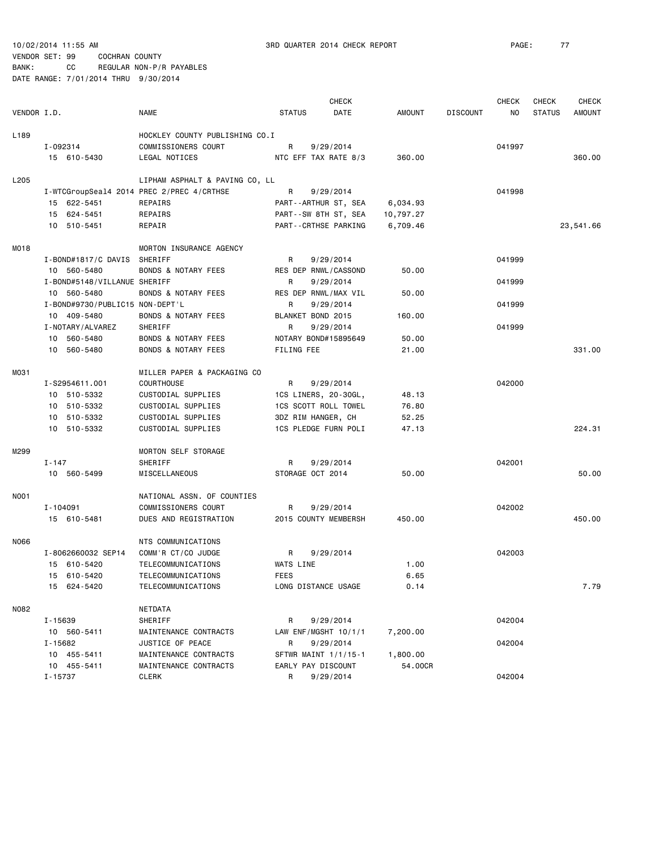|                  |                                 |                                           | <b>CHECK</b>        |                      |               |                 | <b>CHECK</b> | <b>CHECK</b>  | <b>CHECK</b>  |
|------------------|---------------------------------|-------------------------------------------|---------------------|----------------------|---------------|-----------------|--------------|---------------|---------------|
| VENDOR I.D.      |                                 | <b>NAME</b>                               | <b>STATUS</b>       | DATE                 | <b>AMOUNT</b> | <b>DISCOUNT</b> | NO.          | <b>STATUS</b> | <b>AMOUNT</b> |
| L <sub>189</sub> |                                 | HOCKLEY COUNTY PUBLISHING CO.I            |                     |                      |               |                 |              |               |               |
|                  | I-092314                        | COMMISSIONERS COURT                       | R                   | 9/29/2014            |               |                 | 041997       |               |               |
|                  | 15 610-5430                     | LEGAL NOTICES                             |                     | NTC EFF TAX RATE 8/3 | 360.00        |                 |              |               | 360.00        |
| L205             |                                 | LIPHAM ASPHALT & PAVING CO, LL            |                     |                      |               |                 |              |               |               |
|                  |                                 | I-WTCGroupSeal4 2014 PREC 2/PREC 4/CRTHSE | R                   | 9/29/2014            |               |                 | 041998       |               |               |
|                  | 15 622-5451                     | REPAIRS                                   |                     | PART--ARTHUR ST, SEA | 6,034.93      |                 |              |               |               |
|                  | 15 624-5451                     | REPAIRS                                   |                     | PART--SW 8TH ST, SEA | 10,797.27     |                 |              |               |               |
|                  | 10 510-5451                     | REPAIR                                    |                     | PART--CRTHSE PARKING | 6,709.46      |                 |              |               | 23,541.66     |
| MO18             |                                 | MORTON INSURANCE AGENCY                   |                     |                      |               |                 |              |               |               |
|                  | I-BOND#1817/C DAVIS SHERIFF     |                                           | R                   | 9/29/2014            |               |                 | 041999       |               |               |
|                  | 10 560-5480                     | <b>BONDS &amp; NOTARY FEES</b>            |                     | RES DEP RNWL/CASSOND | 50.00         |                 |              |               |               |
|                  | I-BOND#5148/VILLANUE SHERIFF    |                                           | R                   | 9/29/2014            |               |                 | 041999       |               |               |
|                  | 10 560-5480                     | <b>BONDS &amp; NOTARY FEES</b>            |                     | RES DEP RNWL/MAX VIL | 50.00         |                 |              |               |               |
|                  | I-BOND#9730/PUBLIC15 NON-DEPT'L |                                           | R                   | 9/29/2014            |               |                 | 041999       |               |               |
|                  | 10 409-5480                     | <b>BONDS &amp; NOTARY FEES</b>            | BLANKET BOND 2015   |                      | 160.00        |                 |              |               |               |
|                  | I-NOTARY/ALVAREZ                | SHERIFF                                   | R                   | 9/29/2014            |               |                 | 041999       |               |               |
|                  | 10 560-5480                     | <b>BONDS &amp; NOTARY FEES</b>            |                     | NOTARY BOND#15895649 | 50.00         |                 |              |               |               |
|                  | 10 560-5480                     | <b>BONDS &amp; NOTARY FEES</b>            | FILING FEE          |                      | 21.00         |                 |              |               | 331.00        |
| M031             |                                 | MILLER PAPER & PACKAGING CO               |                     |                      |               |                 |              |               |               |
|                  | I-S2954611.001                  | <b>COURTHOUSE</b>                         | R                   | 9/29/2014            |               |                 | 042000       |               |               |
|                  | 10 510-5332                     | CUSTODIAL SUPPLIES                        |                     | 1CS LINERS, 20-30GL, | 48.13         |                 |              |               |               |
|                  | 10 510-5332                     | CUSTODIAL SUPPLIES                        |                     | 1CS SCOTT ROLL TOWEL | 76.80         |                 |              |               |               |
|                  | 10 510-5332                     | CUSTODIAL SUPPLIES                        | 3DZ RIM HANGER, CH  |                      | 52.25         |                 |              |               |               |
|                  | 10 510-5332                     | CUSTODIAL SUPPLIES                        |                     | 1CS PLEDGE FURN POLI | 47.13         |                 |              |               | 224.31        |
| M299             |                                 | MORTON SELF STORAGE                       |                     |                      |               |                 |              |               |               |
|                  | $I - 147$                       | SHERIFF                                   | R                   | 9/29/2014            |               |                 | 042001       |               |               |
|                  | 10 560-5499                     | MISCELLANEOUS                             | STORAGE OCT 2014    |                      | 50.00         |                 |              |               | 50.00         |
| NO01             |                                 | NATIONAL ASSN. OF COUNTIES                |                     |                      |               |                 |              |               |               |
|                  | I-104091                        | COMMISSIONERS COURT                       | R                   | 9/29/2014            |               |                 | 042002       |               |               |
|                  | 15 610-5481                     | DUES AND REGISTRATION                     |                     | 2015 COUNTY MEMBERSH | 450.00        |                 |              |               | 450.00        |
| N066             |                                 | NTS COMMUNICATIONS                        |                     |                      |               |                 |              |               |               |
|                  | I-8062660032 SEP14              | COMM'R CT/CO JUDGE                        | R                   | 9/29/2014            |               |                 | 042003       |               |               |
|                  | 15 610-5420                     | TELECOMMUNICATIONS                        | WATS LINE           |                      | 1.00          |                 |              |               |               |
|                  | 15 610-5420                     | TELECOMMUNICATIONS                        | FEES                |                      | 6.65          |                 |              |               |               |
|                  | 15 624-5420                     | TELECOMMUNICATIONS                        | LONG DISTANCE USAGE |                      | 0.14          |                 |              |               | 7.79          |
| N082             |                                 | NETDATA                                   |                     |                      |               |                 |              |               |               |
|                  | I-15639                         | SHERIFF                                   | R                   | 9/29/2014            |               |                 | 042004       |               |               |
|                  | 10 560-5411                     | MAINTENANCE CONTRACTS                     |                     | LAW ENF/MGSHT 10/1/1 | 7,200.00      |                 |              |               |               |
|                  | I-15682                         | JUSTICE OF PEACE                          | R                   | 9/29/2014            |               |                 | 042004       |               |               |
|                  | 10 455-5411                     | MAINTENANCE CONTRACTS                     |                     | SFTWR MAINT 1/1/15-1 | 1,800.00      |                 |              |               |               |
|                  | 10 455-5411                     | MAINTENANCE CONTRACTS                     | EARLY PAY DISCOUNT  |                      | 54.00CR       |                 |              |               |               |
|                  | I - 15737                       | CLERK                                     |                     | R 9/29/2014          |               |                 | 042004       |               |               |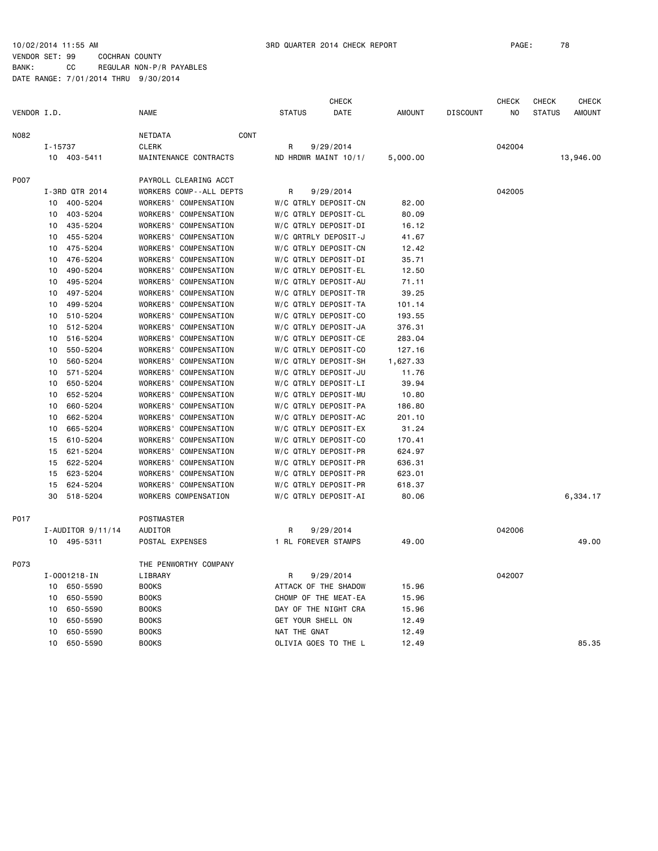|             |              |                   |                                 |                     | <b>CHECK</b>         |               |                 | <b>CHECK</b> | <b>CHECK</b>  | <b>CHECK</b>  |
|-------------|--------------|-------------------|---------------------------------|---------------------|----------------------|---------------|-----------------|--------------|---------------|---------------|
| VENDOR I.D. |              |                   | <b>NAME</b>                     | <b>STATUS</b>       | <b>DATE</b>          | <b>AMOUNT</b> | <b>DISCOUNT</b> | NO           | <b>STATUS</b> | <b>AMOUNT</b> |
| N082        |              |                   | NETDATA<br>CONT                 |                     |                      |               |                 |              |               |               |
|             | $I - 15737$  |                   | <b>CLERK</b>                    | R                   | 9/29/2014            |               |                 | 042004       |               |               |
|             | 10 403-5411  |                   | MAINTENANCE CONTRACTS           |                     | ND HRDWR MAINT 10/1/ | 5,000.00      |                 |              |               | 13,946.00     |
| P007        |              |                   | PAYROLL CLEARING ACCT           |                     |                      |               |                 |              |               |               |
|             |              | I-3RD QTR 2014    | WORKERS COMP--ALL DEPTS         | R                   | 9/29/2014            |               |                 | 042005       |               |               |
|             | 10           | 400-5204          | WORKERS' COMPENSATION           |                     | W/C QTRLY DEPOSIT-CN | 82.00         |                 |              |               |               |
|             | 10           | 403-5204          | WORKERS'<br>COMPENSATION        |                     | W/C QTRLY DEPOSIT-CL | 80.09         |                 |              |               |               |
|             | 10           | 435-5204          | WORKERS'<br>COMPENSATION        |                     | W/C QTRLY DEPOSIT-DI | 16.12         |                 |              |               |               |
|             | 10           | 455-5204          | <b>WORKERS'</b><br>COMPENSATION |                     | W/C QRTRLY DEPOSIT-J | 41.67         |                 |              |               |               |
|             | 10           | 475-5204          | WORKERS'<br>COMPENSATION        |                     | W/C QTRLY DEPOSIT-CN | 12.42         |                 |              |               |               |
|             | 10           | 476-5204          | <b>WORKERS'</b><br>COMPENSATION |                     | W/C QTRLY DEPOSIT-DI | 35.71         |                 |              |               |               |
|             | 10           | 490-5204          | WORKERS'<br>COMPENSATION        |                     | W/C QTRLY DEPOSIT-EL | 12.50         |                 |              |               |               |
|             | 10           | 495-5204          | WORKERS'<br>COMPENSATION        |                     | W/C QTRLY DEPOSIT-AU | 71.11         |                 |              |               |               |
|             | 10           | 497-5204          | <b>WORKERS'</b><br>COMPENSATION |                     | W/C QTRLY DEPOSIT-TR | 39.25         |                 |              |               |               |
|             | 10           | 499-5204          | <b>WORKERS'</b><br>COMPENSATION |                     | W/C QTRLY DEPOSIT-TA | 101.14        |                 |              |               |               |
|             | 10           | 510-5204          | <b>WORKERS'</b><br>COMPENSATION |                     | W/C QTRLY DEPOSIT-CO | 193.55        |                 |              |               |               |
|             | 10           | 512-5204          | <b>WORKERS'</b><br>COMPENSATION |                     | W/C QTRLY DEPOSIT-JA | 376.31        |                 |              |               |               |
|             | 10           | 516-5204          | <b>WORKERS'</b><br>COMPENSATION |                     | W/C QTRLY DEPOSIT-CE | 283.04        |                 |              |               |               |
|             | 10           | 550-5204          | WORKERS'<br>COMPENSATION        |                     | W/C QTRLY DEPOSIT-CO | 127.16        |                 |              |               |               |
|             | 10           | 560-5204          | <b>WORKERS'</b><br>COMPENSATION |                     | W/C QTRLY DEPOSIT-SH | 1,627.33      |                 |              |               |               |
|             | 10           | 571-5204          | <b>WORKERS'</b><br>COMPENSATION |                     | W/C QTRLY DEPOSIT-JU | 11.76         |                 |              |               |               |
|             | 10           | 650-5204          | <b>WORKERS'</b><br>COMPENSATION |                     | W/C QTRLY DEPOSIT-LI | 39.94         |                 |              |               |               |
|             | 10           | 652-5204          | WORKERS'<br>COMPENSATION        |                     | W/C QTRLY DEPOSIT-MU | 10.80         |                 |              |               |               |
|             | 10           | 660-5204          | <b>WORKERS'</b><br>COMPENSATION |                     | W/C QTRLY DEPOSIT-PA | 186.80        |                 |              |               |               |
|             | 10           | 662-5204          | WORKERS'<br>COMPENSATION        |                     | W/C QTRLY DEPOSIT-AC | 201.10        |                 |              |               |               |
|             | 10           | 665-5204          | WORKERS'<br>COMPENSATION        |                     | W/C QTRLY DEPOSIT-EX | 31.24         |                 |              |               |               |
|             | 15           | 610-5204          | <b>WORKERS'</b><br>COMPENSATION |                     | W/C QTRLY DEPOSIT-CO | 170.41        |                 |              |               |               |
|             | 15           | 621-5204          | <b>WORKERS'</b><br>COMPENSATION |                     | W/C QTRLY DEPOSIT-PR | 624.97        |                 |              |               |               |
|             | 15           | 622-5204          | <b>WORKERS'</b><br>COMPENSATION |                     | W/C QTRLY DEPOSIT-PR | 636.31        |                 |              |               |               |
|             | 15           | 623-5204          | <b>WORKERS'</b><br>COMPENSATION |                     | W/C QTRLY DEPOSIT-PR | 623.01        |                 |              |               |               |
|             | 15           | 624-5204          | WORKERS'<br>COMPENSATION        |                     | W/C QTRLY DEPOSIT-PR | 618.37        |                 |              |               |               |
|             | 30           | 518-5204          | WORKERS COMPENSATION            |                     | W/C QTRLY DEPOSIT-AI | 80.06         |                 |              |               | 6,334.17      |
| P017        |              |                   | <b>POSTMASTER</b>               |                     |                      |               |                 |              |               |               |
|             |              | I-AUDITOR 9/11/14 | AUDITOR                         | R                   | 9/29/2014            |               |                 | 042006       |               |               |
|             | 10 495-5311  |                   | POSTAL EXPENSES                 | 1 RL FOREVER STAMPS |                      | 49.00         |                 |              |               | 49.00         |
| P073        |              |                   | THE PENWORTHY COMPANY           |                     |                      |               |                 |              |               |               |
|             | I-0001218-IN |                   | LIBRARY                         | R                   | 9/29/2014            |               |                 | 042007       |               |               |
|             | 10           | 650-5590          | <b>BOOKS</b>                    |                     | ATTACK OF THE SHADOW | 15.96         |                 |              |               |               |
|             | 10           | 650-5590          | <b>BOOKS</b>                    |                     | CHOMP OF THE MEAT-EA | 15.96         |                 |              |               |               |
|             | 10           | 650-5590          | <b>BOOKS</b>                    |                     | DAY OF THE NIGHT CRA | 15.96         |                 |              |               |               |
|             | 10           | 650-5590          | <b>BOOKS</b>                    | GET YOUR SHELL ON   |                      | 12.49         |                 |              |               |               |
|             | 10           | 650-5590          | <b>BOOKS</b>                    | NAT THE GNAT        |                      | 12.49         |                 |              |               |               |
|             | 10           | 650-5590          | <b>BOOKS</b>                    |                     | OLIVIA GOES TO THE L | 12.49         |                 |              |               | 85.35         |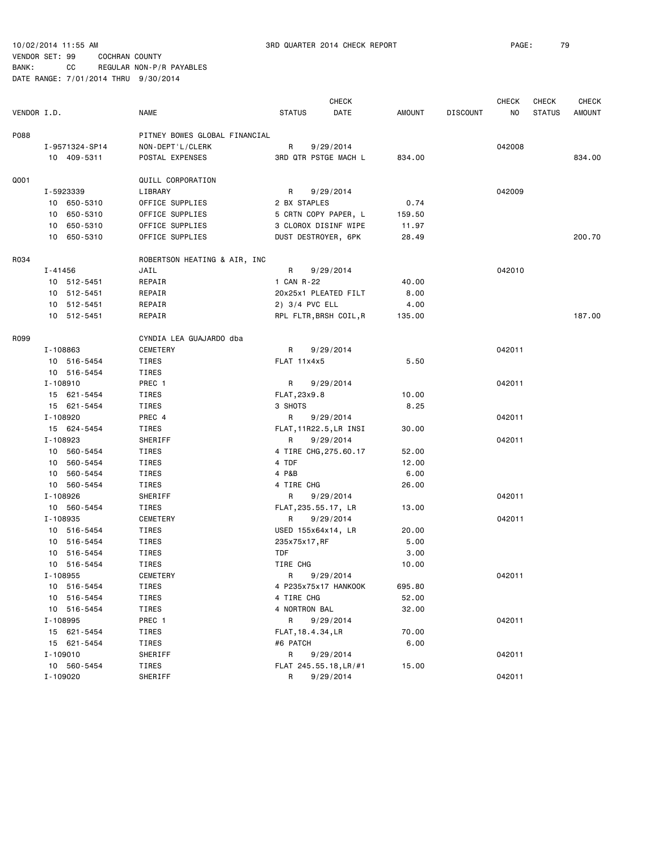|             |                |                               |                     | <b>CHECK</b>                |        |                 | <b>CHECK</b> | <b>CHECK</b>  | <b>CHECK</b> |
|-------------|----------------|-------------------------------|---------------------|-----------------------------|--------|-----------------|--------------|---------------|--------------|
| VENDOR I.D. |                | <b>NAME</b>                   | <b>STATUS</b>       | DATE                        | AMOUNT | <b>DISCOUNT</b> | NO           | <b>STATUS</b> | AMOUNT       |
| P088        |                | PITNEY BOWES GLOBAL FINANCIAL |                     |                             |        |                 |              |               |              |
|             | I-9571324-SP14 | NON-DEPT'L/CLERK              | R                   | 9/29/2014                   |        |                 | 042008       |               |              |
|             | 10 409-5311    | POSTAL EXPENSES               |                     | <b>3RD QTR PSTGE MACH L</b> | 834.00 |                 |              |               | 834.00       |
| Q001        |                | QUILL CORPORATION             |                     |                             |        |                 |              |               |              |
|             | I-5923339      | LIBRARY                       | R                   | 9/29/2014                   |        |                 | 042009       |               |              |
|             | 10 650-5310    | OFFICE SUPPLIES               | 2 BX STAPLES        |                             | 0.74   |                 |              |               |              |
|             | 10 650-5310    | OFFICE SUPPLIES               |                     | 5 CRTN COPY PAPER, L        | 159.50 |                 |              |               |              |
|             | 10 650-5310    | OFFICE SUPPLIES               |                     | 3 CLOROX DISINF WIPE        | 11.97  |                 |              |               |              |
|             | 10 650-5310    | OFFICE SUPPLIES               | DUST DESTROYER, 6PK |                             | 28.49  |                 |              |               | 200.70       |
| R034        |                | ROBERTSON HEATING & AIR, INC  |                     |                             |        |                 |              |               |              |
|             | I-41456        | JAIL                          | R                   | 9/29/2014                   |        |                 | 042010       |               |              |
|             | 10 512-5451    | REPAIR                        | 1 CAN R-22          |                             | 40.00  |                 |              |               |              |
|             | 10 512-5451    | REPAIR                        |                     | 20x25x1 PLEATED FILT        | 8.00   |                 |              |               |              |
|             | 10 512-5451    | REPAIR                        | 2) 3/4 PVC ELL      |                             | 4.00   |                 |              |               |              |
|             | 10 512-5451    | REPAIR                        |                     | RPL FLTR, BRSH COIL, R      | 135.00 |                 |              |               | 187.00       |
| R099        |                | CYNDIA LEA GUAJARDO dba       |                     |                             |        |                 |              |               |              |
|             | I-108863       | CEMETERY                      | R                   | 9/29/2014                   |        |                 | 042011       |               |              |
|             | 10 516-5454    | TIRES                         | FLAT 11x4x5         |                             | 5.50   |                 |              |               |              |
|             | 10 516-5454    | TIRES                         |                     |                             |        |                 |              |               |              |
|             | I-108910       | PREC 1                        | R                   | 9/29/2014                   |        |                 | 042011       |               |              |
|             | 15 621-5454    | TIRES                         | FLAT, 23x9.8        |                             | 10.00  |                 |              |               |              |
|             | 15 621-5454    | TIRES                         | 3 SHOTS             |                             | 8.25   |                 |              |               |              |
|             | I-108920       | PREC 4                        | R                   | 9/29/2014                   |        |                 | 042011       |               |              |
|             | 15 624-5454    | TIRES                         |                     | FLAT, 11R22.5, LR INSI      | 30.00  |                 |              |               |              |
|             | I-108923       | SHERIFF                       | R                   | 9/29/2014                   |        |                 | 042011       |               |              |
|             | 10 560-5454    | TIRES                         |                     | 4 TIRE CHG, 275.60.17       | 52.00  |                 |              |               |              |
|             | 10 560-5454    | TIRES                         | 4 TDF               |                             | 12.00  |                 |              |               |              |
|             | 10 560-5454    | TIRES                         | 4 P&B               |                             | 6.00   |                 |              |               |              |
|             | 10 560-5454    | TIRES                         | 4 TIRE CHG          |                             | 26.00  |                 |              |               |              |
|             | I-108926       | SHERIFF                       | R                   | 9/29/2014                   |        |                 | 042011       |               |              |
|             | 10 560-5454    | TIRES                         | FLAT, 235.55.17, LR |                             | 13.00  |                 |              |               |              |
|             | I-108935       | CEMETERY                      | R                   | 9/29/2014                   |        |                 | 042011       |               |              |
|             | 10 516-5454    | TIRES                         | USED 155x64x14, LR  |                             | 20.00  |                 |              |               |              |
|             | 10 516-5454    | TIRES                         | 235x75x17, RF       |                             | 5.00   |                 |              |               |              |
|             | 10 516-5454    | TIRES                         | <b>TDF</b>          |                             | 3.00   |                 |              |               |              |
|             | 10 516-5454    | TIRES                         | TIRE CHG            |                             | 10.00  |                 |              |               |              |
|             | I-108955       | CEMETERY                      | R                   | 9/29/2014                   |        |                 | 042011       |               |              |
|             | 10 516-5454    | TIRES                         |                     | 4 P235x75x17 HANKOOK        | 695.80 |                 |              |               |              |
|             | 10 516-5454    | TIRES                         | 4 TIRE CHG          |                             | 52.00  |                 |              |               |              |
|             | 10 516-5454    | TIRES                         | 4 NORTRON BAL       |                             | 32.00  |                 |              |               |              |
|             | I-108995       | PREC 1                        | R                   | 9/29/2014                   |        |                 | 042011       |               |              |
|             | 15 621-5454    | TIRES                         | FLAT, 18.4.34, LR   |                             | 70.00  |                 |              |               |              |
|             | 15 621-5454    | TIRES                         | #6 PATCH            |                             | 6.00   |                 |              |               |              |
|             | I-109010       | SHERIFF                       | R                   | 9/29/2014                   |        |                 | 042011       |               |              |
|             | 10 560-5454    | TIRES                         |                     | FLAT 245.55.18, LR/#1       | 15.00  |                 |              |               |              |
|             | I-109020       | SHERIFF                       | R                   | 9/29/2014                   |        |                 | 042011       |               |              |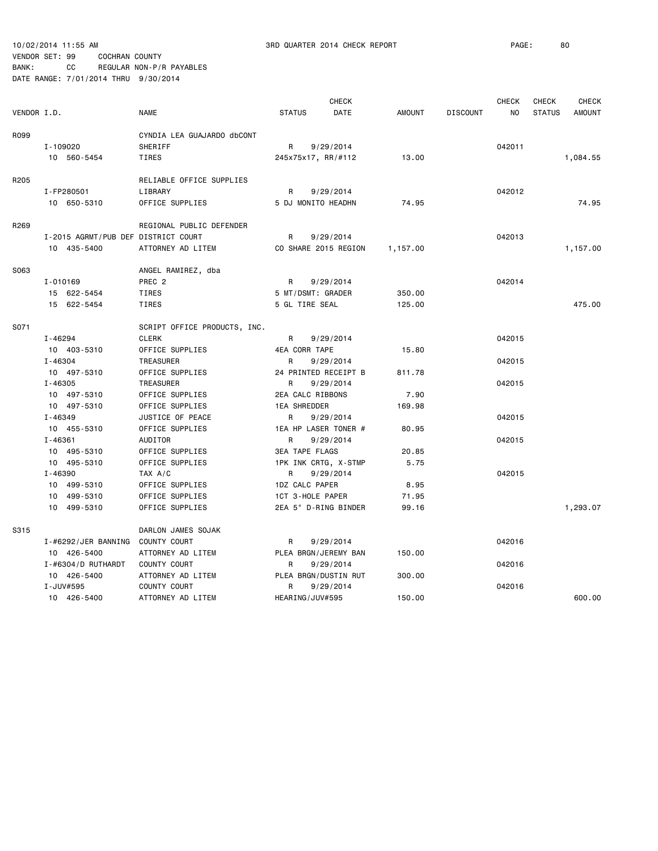|             |                                     |                              |                           | <b>CHECK</b> |               |                 | <b>CHECK</b>   | CHECK         | <b>CHECK</b>  |
|-------------|-------------------------------------|------------------------------|---------------------------|--------------|---------------|-----------------|----------------|---------------|---------------|
| VENDOR I.D. |                                     | <b>NAME</b>                  | <b>STATUS</b>             | <b>DATE</b>  | <b>AMOUNT</b> | <b>DISCOUNT</b> | N <sub>O</sub> | <b>STATUS</b> | <b>AMOUNT</b> |
| R099        |                                     | CYNDIA LEA GUAJARDO dbCONT   |                           |              |               |                 |                |               |               |
|             | I-109020                            | SHERIFF                      | R                         | 9/29/2014    |               |                 | 042011         |               |               |
|             | 10 560-5454                         | <b>TIRES</b>                 | 245x75x17, RR/#112        |              | 13.00         |                 |                |               | 1,084.55      |
|             |                                     |                              |                           |              |               |                 |                |               |               |
| R205        |                                     | RELIABLE OFFICE SUPPLIES     |                           |              |               |                 |                |               |               |
|             | I-FP280501                          | LIBRARY                      | R                         | 9/29/2014    |               |                 | 042012         |               |               |
|             | 10 650-5310                         | OFFICE SUPPLIES              | 5 DJ MONITO HEADHN        |              | 74.95         |                 |                |               | 74.95         |
| R269        |                                     | REGIONAL PUBLIC DEFENDER     |                           |              |               |                 |                |               |               |
|             | I-2015 AGRMT/PUB DEF DISTRICT COURT |                              | R                         | 9/29/2014    |               |                 | 042013         |               |               |
|             | 10 435-5400                         | ATTORNEY AD LITEM            | CO SHARE 2015 REGION      |              | 1,157.00      |                 |                |               | 1,157.00      |
|             |                                     |                              |                           |              |               |                 |                |               |               |
| S063        |                                     | ANGEL RAMIREZ, dba           |                           |              |               |                 |                |               |               |
|             | I-010169                            | PREC <sub>2</sub>            | R                         | 9/29/2014    |               |                 | 042014         |               |               |
|             | 15 622-5454                         | <b>TIRES</b>                 | 5 MT/DSMT: GRADER         |              | 350.00        |                 |                |               |               |
|             | 15 622-5454                         | TIRES                        | 5 GL TIRE SEAL            |              | 125.00        |                 |                |               | 475.00        |
| S071        |                                     | SCRIPT OFFICE PRODUCTS, INC. |                           |              |               |                 |                |               |               |
|             | I-46294                             | <b>CLERK</b>                 | R                         | 9/29/2014    |               |                 | 042015         |               |               |
|             | 10 403-5310                         | OFFICE SUPPLIES              | 4EA CORR TAPE             |              | 15.80         |                 |                |               |               |
|             | $I - 46304$                         | <b>TREASURER</b>             | R                         | 9/29/2014    |               |                 | 042015         |               |               |
|             | 10 497-5310                         | OFFICE SUPPLIES              | 24 PRINTED RECEIPT B      |              | 811.78        |                 |                |               |               |
|             | $I - 46305$                         | TREASURER                    | R                         | 9/29/2014    |               |                 | 042015         |               |               |
|             | 10 497-5310                         | OFFICE SUPPLIES              | 2EA CALC RIBBONS          |              | 7.90          |                 |                |               |               |
|             | 10 497-5310                         | OFFICE SUPPLIES              | <b>1EA SHREDDER</b>       |              | 169.98        |                 |                |               |               |
|             | I-46349                             | JUSTICE OF PEACE             | R                         | 9/29/2014    |               |                 | 042015         |               |               |
|             | 10 455-5310                         | OFFICE SUPPLIES              | 1EA HP LASER TONER #      |              | 80.95         |                 |                |               |               |
|             | I-46361                             | AUDITOR                      | R                         | 9/29/2014    |               |                 | 042015         |               |               |
|             | 10 495-5310                         | OFFICE SUPPLIES              | <b>3EA TAPE FLAGS</b>     |              | 20.85         |                 |                |               |               |
|             | 10 495-5310                         | OFFICE SUPPLIES              |                           |              | 5.75          |                 |                |               |               |
|             | I-46390                             | TAX A/C                      | 1PK INK CRTG, X-STMP<br>R | 9/29/2014    |               |                 | 042015         |               |               |
|             |                                     |                              |                           |              |               |                 |                |               |               |
|             | 10 499-5310                         | OFFICE SUPPLIES              | 1DZ CALC PAPER            |              | 8.95          |                 |                |               |               |
|             | 10 499-5310                         | OFFICE SUPPLIES              | 1CT 3-HOLE PAPER          |              | 71.95         |                 |                |               |               |
|             | 10 499-5310                         | OFFICE SUPPLIES              | 2EA 5" D-RING BINDER      |              | 99.16         |                 |                |               | 1,293.07      |
| S315        |                                     | DARLON JAMES SOJAK           |                           |              |               |                 |                |               |               |
|             | I-#6292/JER BANNING                 | COUNTY COURT                 | R                         | 9/29/2014    |               |                 | 042016         |               |               |
|             | 10 426-5400                         | ATTORNEY AD LITEM            | PLEA BRGN/JEREMY BAN      |              | 150.00        |                 |                |               |               |
|             | I-#6304/D RUTHARDT                  | COUNTY COURT                 | R                         | 9/29/2014    |               |                 | 042016         |               |               |
|             | 10 426-5400                         | ATTORNEY AD LITEM            | PLEA BRGN/DUSTIN RUT      |              | 300.00        |                 |                |               |               |
|             | I-JUV#595                           | COUNTY COURT                 | R                         | 9/29/2014    |               |                 | 042016         |               |               |
|             | 10 426-5400                         | ATTORNEY AD LITEM            | HEARING/JUV#595           |              | 150.00        |                 |                |               | 600.00        |
|             |                                     |                              |                           |              |               |                 |                |               |               |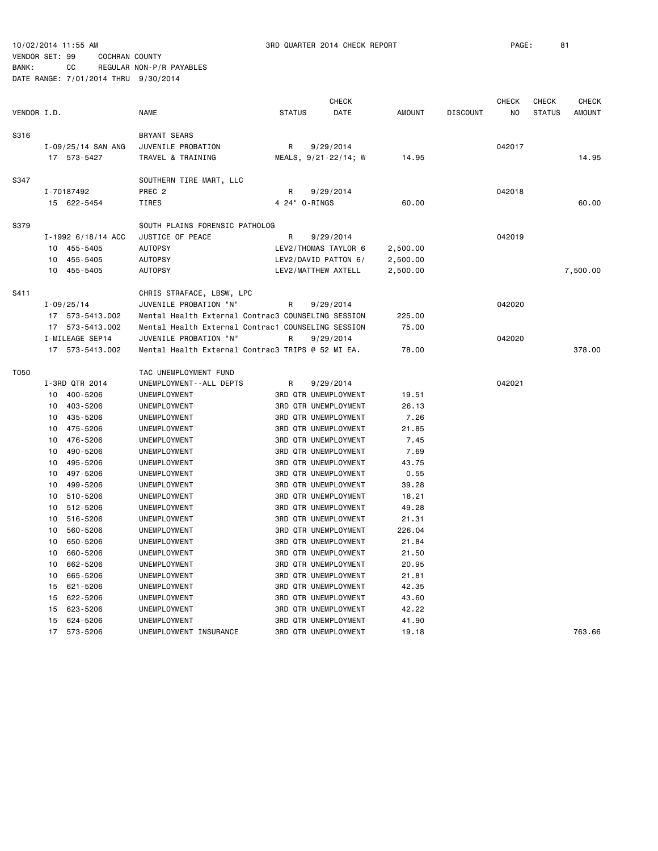10/02/2014 11:55 AM 3RD QUARTER 2014 CHECK REPORT PAGE: 81

### VENDOR SET: 99 COCHRAN COUNTY BANK: CC REGULAR NON-P/R PAYABLES

|             | <b>CHECK</b> |                    |                                                    |               |  | <b>CHECK</b>                | <b>CHECK</b>  | <b>CHECK</b>    |                |               |               |
|-------------|--------------|--------------------|----------------------------------------------------|---------------|--|-----------------------------|---------------|-----------------|----------------|---------------|---------------|
| VENDOR I.D. |              |                    | <b>NAME</b>                                        | <b>STATUS</b> |  | <b>DATE</b>                 | <b>AMOUNT</b> | <b>DISCOUNT</b> | N <sub>O</sub> | <b>STATUS</b> | <b>AMOUNT</b> |
| S316        |              |                    | <b>BRYANT SEARS</b>                                |               |  |                             |               |                 |                |               |               |
|             |              | I-09/25/14 SAN ANG | JUVENILE PROBATION                                 | R             |  | 9/29/2014                   |               |                 | 042017         |               |               |
|             |              | 17 573-5427        | TRAVEL & TRAINING                                  |               |  | MEALS, 9/21-22/14; W        | 14.95         |                 |                |               | 14.95         |
| S347        |              |                    | SOUTHERN TIRE MART, LLC                            |               |  |                             |               |                 |                |               |               |
|             |              | I-70187492         | PREC <sub>2</sub>                                  | R             |  | 9/29/2014                   |               |                 | 042018         |               |               |
|             |              | 15 622-5454        | TIRES                                              | 4 24" 0-RINGS |  |                             | 60.00         |                 |                |               | 60.00         |
| S379        |              |                    | SOUTH PLAINS FORENSIC PATHOLOG                     |               |  |                             |               |                 |                |               |               |
|             |              | I-1992 6/18/14 ACC | JUSTICE OF PEACE                                   | R             |  | 9/29/2014                   |               |                 | 042019         |               |               |
|             | 10           | 455-5405           | <b>AUTOPSY</b>                                     |               |  | LEV2/THOMAS TAYLOR 6        | 2,500.00      |                 |                |               |               |
|             | 10           | 455-5405           | <b>AUTOPSY</b>                                     |               |  | LEV2/DAVID PATTON 6/        | 2,500.00      |                 |                |               |               |
|             | 10           | 455-5405           | <b>AUTOPSY</b>                                     |               |  | LEV2/MATTHEW AXTELL         | 2,500.00      |                 |                |               | 7,500.00      |
| S411        |              |                    | CHRIS STRAFACE, LBSW, LPC                          |               |  |                             |               |                 |                |               |               |
|             |              | $I - 09/25/14$     | JUVENILE PROBATION "N"                             | R             |  | 9/29/2014                   |               |                 | 042020         |               |               |
|             | 17           | 573-5413.002       | Mental Health External Contrac3 COUNSELING SESSION |               |  |                             | 225.00        |                 |                |               |               |
|             | 17           | 573-5413.002       | Mental Health External Contrac1 COUNSELING SESSION |               |  |                             | 75.00         |                 |                |               |               |
|             |              | I-MILEAGE SEP14    | JUVENILE PROBATION "N"                             | R             |  | 9/29/2014                   |               |                 | 042020         |               |               |
|             |              | 17 573-5413.002    | Mental Health External Contrac3 TRIPS @ 52 MI EA.  |               |  |                             | 78.00         |                 |                |               | 378.00        |
| T050        |              |                    | TAC UNEMPLOYMENT FUND                              |               |  |                             |               |                 |                |               |               |
|             |              | I-3RD QTR 2014     | UNEMPLOYMENT - - ALL DEPTS                         | R             |  | 9/29/2014                   |               |                 | 042021         |               |               |
|             | 10           | 400-5206           | UNEMPLOYMENT                                       |               |  | <b>3RD QTR UNEMPLOYMENT</b> | 19.51         |                 |                |               |               |
|             | 10           | 403-5206           | UNEMPLOYMENT                                       |               |  | <b>3RD QTR UNEMPLOYMENT</b> | 26.13         |                 |                |               |               |
|             | 10           | 435-5206           | UNEMPLOYMENT                                       |               |  | <b>3RD QTR UNEMPLOYMENT</b> | 7.26          |                 |                |               |               |
|             | 10           | 475-5206           | UNEMPLOYMENT                                       |               |  | <b>3RD QTR UNEMPLOYMENT</b> | 21.85         |                 |                |               |               |
|             | 10           | 476-5206           | UNEMPLOYMENT                                       |               |  | <b>3RD QTR UNEMPLOYMENT</b> | 7.45          |                 |                |               |               |
|             | 10           | 490-5206           | UNEMPLOYMENT                                       |               |  | <b>3RD QTR UNEMPLOYMENT</b> | 7.69          |                 |                |               |               |
|             | 10           | 495-5206           | UNEMPLOYMENT                                       |               |  | <b>3RD QTR UNEMPLOYMENT</b> | 43.75         |                 |                |               |               |
|             | 10           | 497-5206           | UNEMPLOYMENT                                       |               |  | <b>3RD QTR UNEMPLOYMENT</b> | 0.55          |                 |                |               |               |
|             | 10           | 499-5206           | UNEMPLOYMENT                                       |               |  | <b>3RD QTR UNEMPLOYMENT</b> | 39.28         |                 |                |               |               |
|             | 10           | 510-5206           | UNEMPLOYMENT                                       |               |  | <b>3RD QTR UNEMPLOYMENT</b> | 18.21         |                 |                |               |               |
|             | 10           | 512-5206           | UNEMPLOYMENT                                       |               |  | <b>3RD QTR UNEMPLOYMENT</b> | 49.28         |                 |                |               |               |
|             | 10           | 516-5206           | UNEMPLOYMENT                                       |               |  | <b>3RD QTR UNEMPLOYMENT</b> | 21.31         |                 |                |               |               |
|             | 10           | 560-5206           | UNEMPLOYMENT                                       |               |  | <b>3RD QTR UNEMPLOYMENT</b> | 226.04        |                 |                |               |               |
|             | 10           | 650-5206           | UNEMPLOYMENT                                       |               |  | <b>3RD QTR UNEMPLOYMENT</b> | 21.84         |                 |                |               |               |
|             | 10           | 660-5206           | UNEMPLOYMENT                                       |               |  | <b>3RD QTR UNEMPLOYMENT</b> | 21.50         |                 |                |               |               |
|             | 10           | 662-5206           | UNEMPLOYMENT                                       |               |  | <b>3RD QTR UNEMPLOYMENT</b> | 20.95         |                 |                |               |               |
|             | 10           | 665-5206           | UNEMPLOYMENT                                       |               |  | <b>3RD QTR UNEMPLOYMENT</b> | 21.81         |                 |                |               |               |
|             | 15           | 621-5206           | UNEMPLOYMENT                                       |               |  | <b>3RD QTR UNEMPLOYMENT</b> | 42.35         |                 |                |               |               |
|             | 15           | 622-5206           | UNEMPLOYMENT                                       |               |  | <b>3RD QTR UNEMPLOYMENT</b> | 43.60         |                 |                |               |               |
|             | 15           | 623-5206           | UNEMPLOYMENT                                       |               |  | <b>3RD QTR UNEMPLOYMENT</b> | 42.22         |                 |                |               |               |
|             | 15           | 624-5206           | UNEMPLOYMENT                                       |               |  | <b>3RD QTR UNEMPLOYMENT</b> | 41.90         |                 |                |               |               |
|             | 17           | 573-5206           | UNEMPLOYMENT INSURANCE                             |               |  | <b>3RD QTR UNEMPLOYMENT</b> | 19.18         |                 |                |               | 763.66        |
|             |              |                    |                                                    |               |  |                             |               |                 |                |               |               |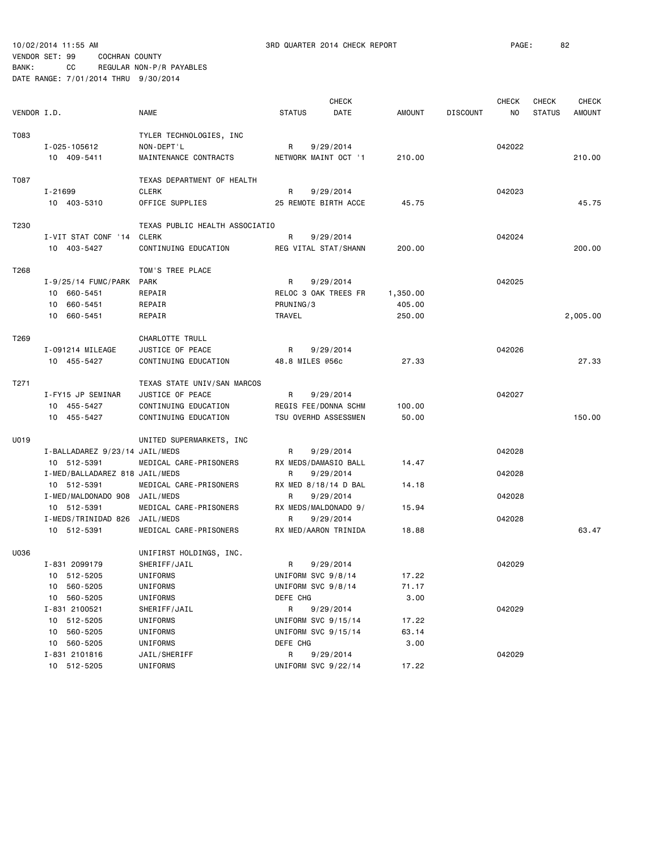10/02/2014 11:55 AM 3RD QUARTER 2014 CHECK REPORT PAGE: 82

## VENDOR SET: 99 COCHRAN COUNTY BANK: CC REGULAR NON-P/R PAYABLES

|             |                                |                                         |                     | <b>CHECK</b>                      |               |                 | <b>CHECK</b> | <b>CHECK</b>  | <b>CHECK</b> |
|-------------|--------------------------------|-----------------------------------------|---------------------|-----------------------------------|---------------|-----------------|--------------|---------------|--------------|
| VENDOR I.D. |                                | <b>NAME</b>                             | <b>STATUS</b>       | DATE                              | <b>AMOUNT</b> | <b>DISCOUNT</b> | NO           | <b>STATUS</b> | AMOUNT       |
| T083        |                                |                                         |                     |                                   |               |                 |              |               |              |
|             |                                | TYLER TECHNOLOGIES, INC                 |                     |                                   |               |                 |              |               |              |
|             | I-025-105612<br>10 409-5411    | NON-DEPT'L<br>MAINTENANCE CONTRACTS     | R                   | 9/29/2014<br>NETWORK MAINT OCT '1 | 210.00        |                 | 042022       |               | 210.00       |
|             |                                |                                         |                     |                                   |               |                 |              |               |              |
| T087        |                                | TEXAS DEPARTMENT OF HEALTH              |                     |                                   |               |                 |              |               |              |
|             | I-21699                        | <b>CLERK</b>                            | R                   | 9/29/2014                         |               |                 | 042023       |               |              |
|             | 10 403-5310                    | OFFICE SUPPLIES                         |                     | 25 REMOTE BIRTH ACCE              | 45.75         |                 |              |               | 45.75        |
|             |                                |                                         |                     |                                   |               |                 |              |               |              |
| T230        | I-VIT STAT CONF '14            | TEXAS PUBLIC HEALTH ASSOCIATIO<br>CLERK | R                   | 9/29/2014                         |               |                 | 042024       |               |              |
|             | 10 403-5427                    | CONTINUING EDUCATION                    |                     | REG VITAL STAT/SHANN              | 200.00        |                 |              |               | 200.00       |
|             |                                |                                         |                     |                                   |               |                 |              |               |              |
| T268        |                                | TOM'S TREE PLACE                        |                     |                                   |               |                 |              |               |              |
|             | I-9/25/14 FUMC/PARK            | PARK                                    | R                   | 9/29/2014                         |               |                 | 042025       |               |              |
|             | 10 660-5451                    | REPAIR                                  |                     | RELOC 3 OAK TREES FR              | 1,350.00      |                 |              |               |              |
|             | 10 660-5451                    | REPAIR                                  | PRUNING/3           |                                   | 405.00        |                 |              |               |              |
|             | 10 660-5451                    | REPAIR                                  | TRAVEL              |                                   | 250.00        |                 |              |               | 2,005.00     |
|             |                                |                                         |                     |                                   |               |                 |              |               |              |
| T269        |                                | CHARLOTTE TRULL                         |                     |                                   |               |                 |              |               |              |
|             | I-091214 MILEAGE               | JUSTICE OF PEACE                        | R                   | 9/29/2014                         |               |                 | 042026       |               |              |
|             | 10 455-5427                    | CONTINUING EDUCATION                    | 48.8 MILES @56c     |                                   | 27.33         |                 |              |               | 27.33        |
| T271        |                                | TEXAS STATE UNIV/SAN MARCOS             |                     |                                   |               |                 |              |               |              |
|             | I-FY15 JP SEMINAR              | JUSTICE OF PEACE                        | R                   | 9/29/2014                         |               |                 | 042027       |               |              |
|             | 10 455-5427                    | CONTINUING EDUCATION                    |                     | REGIS FEE/DONNA SCHM              | 100.00        |                 |              |               |              |
|             | 10 455-5427                    | CONTINUING EDUCATION                    |                     | TSU OVERHD ASSESSMEN              | 50.00         |                 |              |               | 150.00       |
|             |                                |                                         |                     |                                   |               |                 |              |               |              |
| U019        |                                | UNITED SUPERMARKETS, INC                |                     |                                   |               |                 |              |               |              |
|             | I-BALLADAREZ 9/23/14 JAIL/MEDS |                                         | R                   | 9/29/2014                         |               |                 | 042028       |               |              |
|             | 10 512-5391                    | MEDICAL CARE-PRISONERS                  |                     | RX MEDS/DAMASIO BALL              | 14.47         |                 |              |               |              |
|             | I-MED/BALLADAREZ 818 JAIL/MEDS |                                         | R                   | 9/29/2014                         |               |                 | 042028       |               |              |
|             | 10 512-5391                    | MEDICAL CARE-PRISONERS                  |                     | RX MED 8/18/14 D BAL              | 14.18         |                 |              |               |              |
|             | I-MED/MALDONADO 908 JAIL/MEDS  |                                         | R                   | 9/29/2014                         |               |                 | 042028       |               |              |
|             | 10 512-5391                    | MEDICAL CARE-PRISONERS                  |                     | RX MEDS/MALDONADO 9/              | 15.94         |                 |              |               |              |
|             | I-MEDS/TRINIDAD 826            | JAIL/MEDS                               | R                   | 9/29/2014                         |               |                 | 042028       |               |              |
|             | 10 512-5391                    | MEDICAL CARE-PRISONERS                  |                     | RX MED/AARON TRINIDA              | 18.88         |                 |              |               | 63.47        |
| U036        |                                | UNIFIRST HOLDINGS, INC.                 |                     |                                   |               |                 |              |               |              |
|             | I-831 2099179                  | SHERIFF/JAIL                            | R                   | 9/29/2014                         |               |                 | 042029       |               |              |
|             | 10 512-5205                    | UNIFORMS                                | UNIFORM SVC 9/8/14  |                                   | 17.22         |                 |              |               |              |
|             | 10 560-5205                    | UNIFORMS                                | UNIFORM SVC 9/8/14  |                                   | 71.17         |                 |              |               |              |
|             | 10 560-5205                    | UNIFORMS                                | DEFE CHG            |                                   | 3.00          |                 |              |               |              |
|             | I-831 2100521                  | SHERIFF/JAIL                            | R                   | 9/29/2014                         |               |                 | 042029       |               |              |
|             | 10 512-5205                    | UNIFORMS                                | UNIFORM SVC 9/15/14 |                                   | 17.22         |                 |              |               |              |
|             | 10 560-5205                    | UNIFORMS                                | UNIFORM SVC 9/15/14 |                                   | 63.14         |                 |              |               |              |
|             | 10 560-5205                    | UNIFORMS                                | DEFE CHG            |                                   | 3.00          |                 |              |               |              |
|             | I-831 2101816                  | JAIL/SHERIFF                            | R                   | 9/29/2014                         |               |                 | 042029       |               |              |
|             | 10 512-5205                    | UNIFORMS                                | UNIFORM SVC 9/22/14 |                                   | 17.22         |                 |              |               |              |
|             |                                |                                         |                     |                                   |               |                 |              |               |              |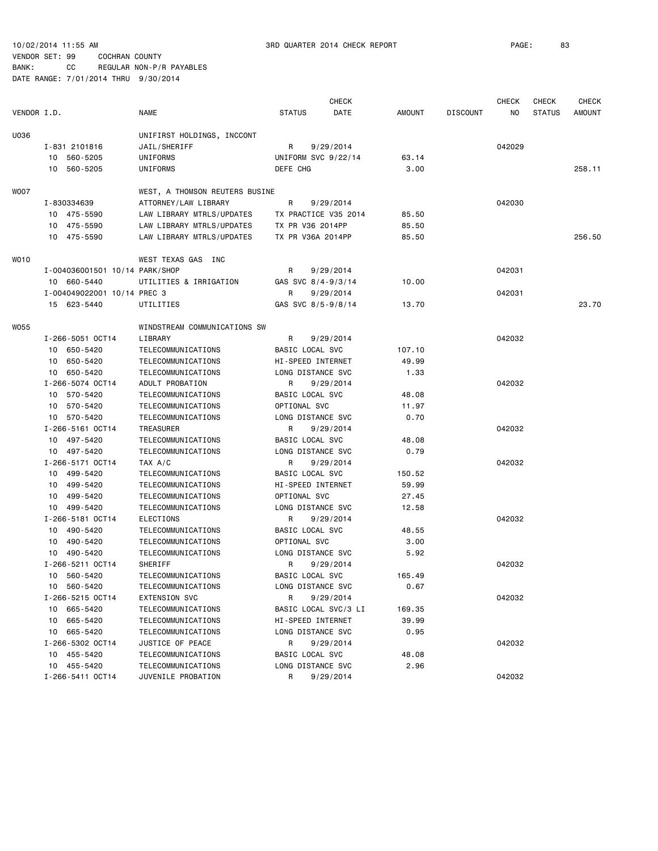|             |                                |                                |                      | <b>CHECK</b> |        |                 | <b>CHECK</b> | <b>CHECK</b>  | CHECK         |
|-------------|--------------------------------|--------------------------------|----------------------|--------------|--------|-----------------|--------------|---------------|---------------|
| VENDOR I.D. |                                | NAME                           | <b>STATUS</b>        | DATE         | AMOUNT | <b>DISCOUNT</b> | NO           | <b>STATUS</b> | <b>AMOUNT</b> |
| U036        |                                | UNIFIRST HOLDINGS, INCCONT     |                      |              |        |                 |              |               |               |
|             | I-831 2101816                  | JAIL/SHERIFF                   | R                    | 9/29/2014    |        |                 | 042029       |               |               |
|             | 10 560-5205                    | UNIFORMS                       | UNIFORM SVC 9/22/14  |              | 63.14  |                 |              |               |               |
|             | 10 560-5205                    | UNIFORMS                       | DEFE CHG             |              | 3.00   |                 |              |               | 258.11        |
|             |                                |                                |                      |              |        |                 |              |               |               |
| WOO7        |                                | WEST, A THOMSON REUTERS BUSINE |                      |              |        |                 |              |               |               |
|             | I-830334639                    | ATTORNEY/LAW LIBRARY           | R                    | 9/29/2014    |        |                 | 042030       |               |               |
|             | 10 475-5590                    | LAW LIBRARY MTRLS/UPDATES      | TX PRACTICE V35 2014 |              | 85.50  |                 |              |               |               |
|             | 10 475-5590                    | LAW LIBRARY MTRLS/UPDATES      | TX PR V36 2014PP     |              | 85.50  |                 |              |               |               |
|             | 10 475-5590                    | LAW LIBRARY MTRLS/UPDATES      | TX PR V36A 2014PP    |              | 85.50  |                 |              |               | 256.50        |
| WO10        |                                | WEST TEXAS GAS INC             |                      |              |        |                 |              |               |               |
|             | I-004036001501 10/14 PARK/SHOP |                                | R                    | 9/29/2014    |        |                 | 042031       |               |               |
|             | 10 660-5440                    | UTILITIES & IRRIGATION         | GAS SVC 8/4-9/3/14   |              | 10.00  |                 |              |               |               |
|             | I-004049022001 10/14 PREC 3    |                                | R                    | 9/29/2014    |        |                 | 042031       |               |               |
|             | 15 623-5440                    | UTILITIES                      | GAS SVC 8/5-9/8/14   |              | 13.70  |                 |              |               | 23.70         |
| <b>WO55</b> |                                | WINDSTREAM COMMUNICATIONS SW   |                      |              |        |                 |              |               |               |
|             | I-266-5051 OCT14               | LIBRARY                        | R                    | 9/29/2014    |        |                 | 042032       |               |               |
|             | 10 650-5420                    | TELECOMMUNICATIONS             | BASIC LOCAL SVC      |              | 107.10 |                 |              |               |               |
|             | 10 650-5420                    | TELECOMMUNICATIONS             | HI-SPEED INTERNET    |              | 49.99  |                 |              |               |               |
|             | 10 650-5420                    | TELECOMMUNICATIONS             | LONG DISTANCE SVC    |              | 1.33   |                 |              |               |               |
|             | I-266-5074 OCT14               | ADULT PROBATION                | R                    | 9/29/2014    |        |                 | 042032       |               |               |
|             | 10 570-5420                    | TELECOMMUNICATIONS             | BASIC LOCAL SVC      |              | 48.08  |                 |              |               |               |
|             | 10 570-5420                    | TELECOMMUNICATIONS             | OPTIONAL SVC         |              | 11.97  |                 |              |               |               |
|             | 10 570-5420                    | TELECOMMUNICATIONS             | LONG DISTANCE SVC    |              | 0.70   |                 |              |               |               |
|             | I-266-5161 OCT14               | TREASURER                      | R                    | 9/29/2014    |        |                 | 042032       |               |               |
|             | 10 497-5420                    | TELECOMMUNICATIONS             | BASIC LOCAL SVC      |              | 48.08  |                 |              |               |               |
|             | 10 497-5420                    | TELECOMMUNICATIONS             | LONG DISTANCE SVC    |              | 0.79   |                 |              |               |               |
|             | I-266-5171 OCT14               | TAX A/C                        | R                    | 9/29/2014    |        |                 | 042032       |               |               |
|             | 10 499-5420                    | TELECOMMUNICATIONS             | BASIC LOCAL SVC      |              | 150.52 |                 |              |               |               |
|             | 10 499-5420                    | TELECOMMUNICATIONS             | HI-SPEED INTERNET    |              | 59.99  |                 |              |               |               |
|             | 10 499-5420                    | TELECOMMUNICATIONS             | OPTIONAL SVC         |              | 27.45  |                 |              |               |               |
|             | 10 499-5420                    | TELECOMMUNICATIONS             | LONG DISTANCE SVC    |              | 12.58  |                 |              |               |               |
|             | I-266-5181 OCT14               | ELECTIONS                      | R                    | 9/29/2014    |        |                 | 042032       |               |               |
|             | 10 490-5420                    | TELECOMMUNICATIONS             | BASIC LOCAL SVC      |              | 48.55  |                 |              |               |               |
|             | 10 490-5420                    | TELECOMMUNICATIONS             | OPTIONAL SVC         |              | 3.00   |                 |              |               |               |
|             | 10 490-5420                    | TELECOMMUNICATIONS             | LONG DISTANCE SVC    |              | 5.92   |                 |              |               |               |
|             | I-266-5211 OCT14               | SHERIFF                        | R                    | 9/29/2014    |        |                 | 042032       |               |               |
|             | 10 560-5420                    | TELECOMMUNICATIONS             | BASIC LOCAL SVC      |              | 165.49 |                 |              |               |               |
|             | 10 560-5420                    | TELECOMMUNICATIONS             | LONG DISTANCE SVC    |              | 0.67   |                 |              |               |               |
|             | I-266-5215 OCT14               | <b>EXTENSION SVC</b>           | R                    | 9/29/2014    |        |                 | 042032       |               |               |
|             | 10 665-5420                    | TELECOMMUNICATIONS             | BASIC LOCAL SVC/3 LI |              | 169.35 |                 |              |               |               |
|             | 665-5420<br>10                 | TELECOMMUNICATIONS             | HI-SPEED INTERNET    |              | 39.99  |                 |              |               |               |
|             | 665-5420<br>10                 | TELECOMMUNICATIONS             | LONG DISTANCE SVC    |              | 0.95   |                 |              |               |               |
|             | I-266-5302 OCT14               | JUSTICE OF PEACE               | R                    | 9/29/2014    |        |                 | 042032       |               |               |
|             | 10 455-5420                    | TELECOMMUNICATIONS             | BASIC LOCAL SVC      |              | 48.08  |                 |              |               |               |
|             | 10 455-5420                    | TELECOMMUNICATIONS             | LONG DISTANCE SVC    |              | 2.96   |                 |              |               |               |
|             | I-266-5411 OCT14               | JUVENILE PROBATION             | R                    | 9/29/2014    |        |                 | 042032       |               |               |
|             |                                |                                |                      |              |        |                 |              |               |               |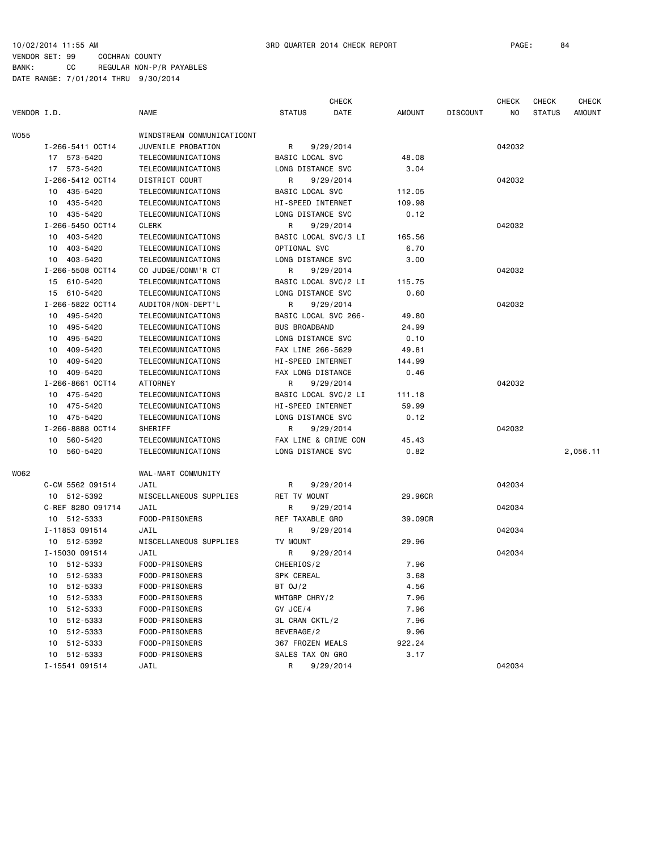|             |                   |                            |                        | <b>CHECK</b> |               |                 | <b>CHECK</b> | <b>CHECK</b>  | <b>CHECK</b>  |
|-------------|-------------------|----------------------------|------------------------|--------------|---------------|-----------------|--------------|---------------|---------------|
| VENDOR I.D. |                   | <b>NAME</b>                | <b>STATUS</b>          | DATE         | <b>AMOUNT</b> | <b>DISCOUNT</b> | NO           | <b>STATUS</b> | <b>AMOUNT</b> |
| <b>WO55</b> |                   | WINDSTREAM COMMUNICATICONT |                        |              |               |                 |              |               |               |
|             | I-266-5411 OCT14  | JUVENILE PROBATION         | R                      | 9/29/2014    |               |                 | 042032       |               |               |
|             | 17 573-5420       | TELECOMMUNICATIONS         | <b>BASIC LOCAL SVC</b> |              | 48.08         |                 |              |               |               |
|             | 17 573-5420       | TELECOMMUNICATIONS         | LONG DISTANCE SVC      |              | 3.04          |                 |              |               |               |
|             | I-266-5412 OCT14  | DISTRICT COURT             | R                      | 9/29/2014    |               |                 | 042032       |               |               |
|             | 10 435-5420       | TELECOMMUNICATIONS         | BASIC LOCAL SVC        |              | 112.05        |                 |              |               |               |
|             | 10 435-5420       | TELECOMMUNICATIONS         | HI-SPEED INTERNET      |              | 109.98        |                 |              |               |               |
|             | 10 435-5420       | TELECOMMUNICATIONS         | LONG DISTANCE SVC      |              | 0.12          |                 |              |               |               |
|             | I-266-5450 OCT14  | <b>CLERK</b>               | R                      | 9/29/2014    |               |                 | 042032       |               |               |
|             | 403-5420<br>10    | TELECOMMUNICATIONS         | BASIC LOCAL SVC/3 LI   |              | 165.56        |                 |              |               |               |
|             | 10 403-5420       | TELECOMMUNICATIONS         | OPTIONAL SVC           |              | 6.70          |                 |              |               |               |
|             | 10 403-5420       | TELECOMMUNICATIONS         | LONG DISTANCE SVC      |              | 3.00          |                 |              |               |               |
|             | I-266-5508 OCT14  | CO JUDGE/COMM'R CT         | R                      | 9/29/2014    |               |                 | 042032       |               |               |
|             | 15 610-5420       | TELECOMMUNICATIONS         | BASIC LOCAL SVC/2 LI   |              | 115.75        |                 |              |               |               |
|             | 15 610-5420       | TELECOMMUNICATIONS         | LONG DISTANCE SVC      |              | 0.60          |                 |              |               |               |
|             | I-266-5822 OCT14  | AUDITOR/NON-DEPT'L         | R                      | 9/29/2014    |               |                 | 042032       |               |               |
|             | 10 495-5420       | TELECOMMUNICATIONS         | BASIC LOCAL SVC 266-   |              | 49.80         |                 |              |               |               |
|             | 495-5420<br>10    | TELECOMMUNICATIONS         | <b>BUS BROADBAND</b>   |              | 24.99         |                 |              |               |               |
|             | 495-5420<br>10    | TELECOMMUNICATIONS         | LONG DISTANCE SVC      |              | 0.10          |                 |              |               |               |
|             | 409-5420<br>10    | TELECOMMUNICATIONS         | FAX LINE 266-5629      |              | 49.81         |                 |              |               |               |
|             | 10<br>409-5420    | TELECOMMUNICATIONS         | HI-SPEED INTERNET      |              | 144.99        |                 |              |               |               |
|             | 409-5420<br>10    | TELECOMMUNICATIONS         | FAX LONG DISTANCE      |              | 0.46          |                 |              |               |               |
|             | I-266-8661 OCT14  | <b>ATTORNEY</b>            | R                      | 9/29/2014    |               |                 | 042032       |               |               |
|             | 10 475-5420       | TELECOMMUNICATIONS         | BASIC LOCAL SVC/2 LI   |              | 111.18        |                 |              |               |               |
|             | 10 475-5420       | TELECOMMUNICATIONS         | HI-SPEED INTERNET      |              | 59.99         |                 |              |               |               |
|             | 10 475-5420       | TELECOMMUNICATIONS         | LONG DISTANCE SVC      |              | 0.12          |                 |              |               |               |
|             | I-266-8888 OCT14  | SHERIFF                    | R                      | 9/29/2014    |               |                 | 042032       |               |               |
|             | 10 560-5420       | TELECOMMUNICATIONS         | FAX LINE & CRIME CON   |              | 45.43         |                 |              |               |               |
|             | 10 560-5420       | TELECOMMUNICATIONS         | LONG DISTANCE SVC      |              | 0.82          |                 |              |               | 2,056.11      |
| W062        |                   | WAL-MART COMMUNITY         |                        |              |               |                 |              |               |               |
|             | C-CM 5562 091514  | JAIL                       | R                      | 9/29/2014    |               |                 | 042034       |               |               |
|             | 10 512-5392       | MISCELLANEOUS SUPPLIES     | RET TV MOUNT           |              | 29.96CR       |                 |              |               |               |
|             | C-REF 8280 091714 | JAIL                       | R                      | 9/29/2014    |               |                 | 042034       |               |               |
|             | 10 512-5333       | FOOD-PRISONERS             | REF TAXABLE GRO        |              | 39.09CR       |                 |              |               |               |
|             | I-11853 091514    | JAIL                       | R                      | 9/29/2014    |               |                 | 042034       |               |               |
|             | 10 512-5392       | MISCELLANEOUS SUPPLIES     | TV MOUNT               |              | 29.96         |                 |              |               |               |
|             | I-15030 091514    | JAIL                       | R                      | 9/29/2014    |               |                 | 042034       |               |               |
|             | 10 512-5333       | FOOD-PRISONERS             | CHEERIOS/2             |              | 7.96          |                 |              |               |               |
|             | 10 512-5333       | FOOD-PRISONERS             | SPK CEREAL             |              | 3.68          |                 |              |               |               |
|             | 10 512-5333       | FOOD-PRISONERS             | BT 0J/2                |              | 4.56          |                 |              |               |               |
|             | 10 512-5333       | FOOD-PRISONERS             | WHTGRP CHRY/2          |              | 7.96          |                 |              |               |               |
|             | 10 512-5333       | FOOD-PRISONERS             | GV JCE/4               |              | 7.96          |                 |              |               |               |
|             | 10 512-5333       | FOOD-PRISONERS             | 3L CRAN CKTL/2         |              | 7.96          |                 |              |               |               |
|             | 10 512-5333       | FOOD-PRISONERS             | BEVERAGE/2             |              | 9.96          |                 |              |               |               |
|             | 10 512-5333       | FOOD-PRISONERS             | 367 FROZEN MEALS       |              | 922.24        |                 |              |               |               |
|             | 10 512-5333       | FOOD-PRISONERS             | SALES TAX ON GRO       |              | 3.17          |                 |              |               |               |
|             | I-15541 091514    | JAIL                       | R                      | 9/29/2014    |               |                 | 042034       |               |               |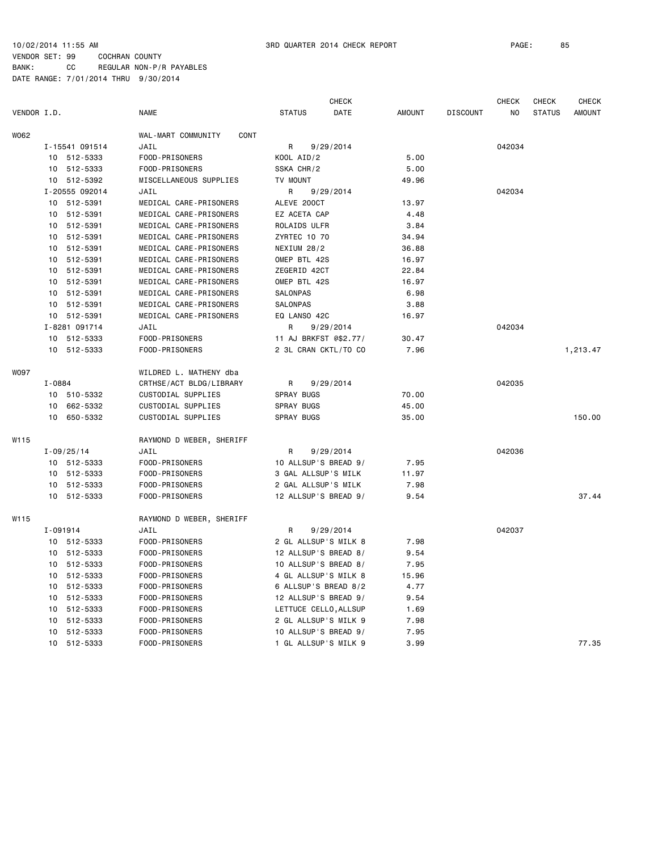| VENDOR I.D.<br><b>NAME</b><br>DATE<br>AMOUNT<br><b>DISCOUNT</b><br>N <sub>O</sub><br><b>STATUS</b><br>W062<br>WAL-MART COMMUNITY<br>CONT<br>I-15541 091514<br>JAIL<br>9/29/2014<br>042034<br>R<br>5.00<br>10 512-5333<br>FOOD-PRISONERS<br>KOOL AID/2<br>512-5333<br>FOOD-PRISONERS<br>SSKA CHR/2<br>5.00<br>10<br>10 512-5392<br>MISCELLANEOUS SUPPLIES<br>TV MOUNT<br>49.96<br>I-20555 092014<br>042034<br>JAIL<br>R<br>9/29/2014<br>10 512-5391<br>MEDICAL CARE-PRISONERS<br>ALEVE 200CT<br>13.97<br>10 512-5391<br>MEDICAL CARE-PRISONERS<br>EZ ACETA CAP<br>4.48<br>512-5391<br>10<br>MEDICAL CARE-PRISONERS<br>ROLAIDS ULFR<br>3.84<br>512-5391<br>MEDICAL CARE-PRISONERS<br><b>ZYRTEC 10 70</b><br>34.94<br>10<br>10 512-5391<br>MEDICAL CARE-PRISONERS<br>NEXIUM 28/2<br>36.88<br>10 512-5391<br>MEDICAL CARE-PRISONERS<br>OMEP BTL 42S<br>16.97<br>10 512-5391<br>MEDICAL CARE-PRISONERS<br>ZEGERID 42CT<br>22.84<br>10 512-5391<br>MEDICAL CARE-PRISONERS<br>OMEP BTL 42S<br>16.97<br>10 512-5391<br>MEDICAL CARE-PRISONERS<br>SALONPAS<br>6.98<br>10 512-5391<br>MEDICAL CARE-PRISONERS<br>SALONPAS<br>3.88<br>10 512-5391<br>MEDICAL CARE-PRISONERS<br>EQ LANSO 42C<br>16.97<br>I-8281 091714<br>042034<br>JAIL<br>R<br>9/29/2014<br>FOOD-PRISONERS<br>10 512-5333<br>11 AJ BRKFST @\$2.77/<br>30.47<br>10 512-5333<br>FOOD-PRISONERS<br>2 3L CRAN CKTL/TO CO<br>7.96<br><b>WO97</b><br>WILDRED L. MATHENY dba<br>042035<br>I-0884<br>CRTHSE/ACT BLDG/LIBRARY<br>R<br>9/29/2014<br>10 510-5332<br>CUSTODIAL SUPPLIES<br>SPRAY BUGS<br>70.00<br>662-5332<br>CUSTODIAL SUPPLIES<br>SPRAY BUGS<br>10<br>45.00<br>650-5332<br>CUSTODIAL SUPPLIES<br>150.00<br>10<br>SPRAY BUGS<br>35.00<br>W115<br>RAYMOND D WEBER, SHERIFF<br>042036<br>$I - 09/25/14$<br>JAIL<br>R<br>9/29/2014<br>10 512-5333<br>FOOD-PRISONERS<br>10 ALLSUP'S BREAD 9/<br>7.95<br>10 512-5333<br>FOOD-PRISONERS<br>3 GAL ALLSUP'S MILK<br>11.97<br>10 512-5333<br>2 GAL ALLSUP'S MILK<br>FOOD-PRISONERS<br>7.98<br>10 512-5333<br>FOOD-PRISONERS<br>12 ALLSUP'S BREAD 9/<br>9.54<br>W115<br>RAYMOND D WEBER, SHERIFF |  |  |               | <b>CHECK</b> |  | <b>CHECK</b> | <b>CHECK</b> | <b>CHECK</b>  |
|--------------------------------------------------------------------------------------------------------------------------------------------------------------------------------------------------------------------------------------------------------------------------------------------------------------------------------------------------------------------------------------------------------------------------------------------------------------------------------------------------------------------------------------------------------------------------------------------------------------------------------------------------------------------------------------------------------------------------------------------------------------------------------------------------------------------------------------------------------------------------------------------------------------------------------------------------------------------------------------------------------------------------------------------------------------------------------------------------------------------------------------------------------------------------------------------------------------------------------------------------------------------------------------------------------------------------------------------------------------------------------------------------------------------------------------------------------------------------------------------------------------------------------------------------------------------------------------------------------------------------------------------------------------------------------------------------------------------------------------------------------------------------------------------------------------------------------------------------------------------------------------------------------------------------------------------------------------------------------------------------------------------------------------------------------------------------------------------------|--|--|---------------|--------------|--|--------------|--------------|---------------|
|                                                                                                                                                                                                                                                                                                                                                                                                                                                                                                                                                                                                                                                                                                                                                                                                                                                                                                                                                                                                                                                                                                                                                                                                                                                                                                                                                                                                                                                                                                                                                                                                                                                                                                                                                                                                                                                                                                                                                                                                                                                                                                  |  |  | <b>STATUS</b> |              |  |              |              | <b>AMOUNT</b> |
|                                                                                                                                                                                                                                                                                                                                                                                                                                                                                                                                                                                                                                                                                                                                                                                                                                                                                                                                                                                                                                                                                                                                                                                                                                                                                                                                                                                                                                                                                                                                                                                                                                                                                                                                                                                                                                                                                                                                                                                                                                                                                                  |  |  |               |              |  |              |              |               |
|                                                                                                                                                                                                                                                                                                                                                                                                                                                                                                                                                                                                                                                                                                                                                                                                                                                                                                                                                                                                                                                                                                                                                                                                                                                                                                                                                                                                                                                                                                                                                                                                                                                                                                                                                                                                                                                                                                                                                                                                                                                                                                  |  |  |               |              |  |              |              |               |
|                                                                                                                                                                                                                                                                                                                                                                                                                                                                                                                                                                                                                                                                                                                                                                                                                                                                                                                                                                                                                                                                                                                                                                                                                                                                                                                                                                                                                                                                                                                                                                                                                                                                                                                                                                                                                                                                                                                                                                                                                                                                                                  |  |  |               |              |  |              |              |               |
|                                                                                                                                                                                                                                                                                                                                                                                                                                                                                                                                                                                                                                                                                                                                                                                                                                                                                                                                                                                                                                                                                                                                                                                                                                                                                                                                                                                                                                                                                                                                                                                                                                                                                                                                                                                                                                                                                                                                                                                                                                                                                                  |  |  |               |              |  |              |              |               |
|                                                                                                                                                                                                                                                                                                                                                                                                                                                                                                                                                                                                                                                                                                                                                                                                                                                                                                                                                                                                                                                                                                                                                                                                                                                                                                                                                                                                                                                                                                                                                                                                                                                                                                                                                                                                                                                                                                                                                                                                                                                                                                  |  |  |               |              |  |              |              |               |
|                                                                                                                                                                                                                                                                                                                                                                                                                                                                                                                                                                                                                                                                                                                                                                                                                                                                                                                                                                                                                                                                                                                                                                                                                                                                                                                                                                                                                                                                                                                                                                                                                                                                                                                                                                                                                                                                                                                                                                                                                                                                                                  |  |  |               |              |  |              |              |               |
|                                                                                                                                                                                                                                                                                                                                                                                                                                                                                                                                                                                                                                                                                                                                                                                                                                                                                                                                                                                                                                                                                                                                                                                                                                                                                                                                                                                                                                                                                                                                                                                                                                                                                                                                                                                                                                                                                                                                                                                                                                                                                                  |  |  |               |              |  |              |              |               |
|                                                                                                                                                                                                                                                                                                                                                                                                                                                                                                                                                                                                                                                                                                                                                                                                                                                                                                                                                                                                                                                                                                                                                                                                                                                                                                                                                                                                                                                                                                                                                                                                                                                                                                                                                                                                                                                                                                                                                                                                                                                                                                  |  |  |               |              |  |              |              |               |
|                                                                                                                                                                                                                                                                                                                                                                                                                                                                                                                                                                                                                                                                                                                                                                                                                                                                                                                                                                                                                                                                                                                                                                                                                                                                                                                                                                                                                                                                                                                                                                                                                                                                                                                                                                                                                                                                                                                                                                                                                                                                                                  |  |  |               |              |  |              |              |               |
|                                                                                                                                                                                                                                                                                                                                                                                                                                                                                                                                                                                                                                                                                                                                                                                                                                                                                                                                                                                                                                                                                                                                                                                                                                                                                                                                                                                                                                                                                                                                                                                                                                                                                                                                                                                                                                                                                                                                                                                                                                                                                                  |  |  |               |              |  |              |              |               |
|                                                                                                                                                                                                                                                                                                                                                                                                                                                                                                                                                                                                                                                                                                                                                                                                                                                                                                                                                                                                                                                                                                                                                                                                                                                                                                                                                                                                                                                                                                                                                                                                                                                                                                                                                                                                                                                                                                                                                                                                                                                                                                  |  |  |               |              |  |              |              |               |
|                                                                                                                                                                                                                                                                                                                                                                                                                                                                                                                                                                                                                                                                                                                                                                                                                                                                                                                                                                                                                                                                                                                                                                                                                                                                                                                                                                                                                                                                                                                                                                                                                                                                                                                                                                                                                                                                                                                                                                                                                                                                                                  |  |  |               |              |  |              |              |               |
|                                                                                                                                                                                                                                                                                                                                                                                                                                                                                                                                                                                                                                                                                                                                                                                                                                                                                                                                                                                                                                                                                                                                                                                                                                                                                                                                                                                                                                                                                                                                                                                                                                                                                                                                                                                                                                                                                                                                                                                                                                                                                                  |  |  |               |              |  |              |              |               |
|                                                                                                                                                                                                                                                                                                                                                                                                                                                                                                                                                                                                                                                                                                                                                                                                                                                                                                                                                                                                                                                                                                                                                                                                                                                                                                                                                                                                                                                                                                                                                                                                                                                                                                                                                                                                                                                                                                                                                                                                                                                                                                  |  |  |               |              |  |              |              |               |
|                                                                                                                                                                                                                                                                                                                                                                                                                                                                                                                                                                                                                                                                                                                                                                                                                                                                                                                                                                                                                                                                                                                                                                                                                                                                                                                                                                                                                                                                                                                                                                                                                                                                                                                                                                                                                                                                                                                                                                                                                                                                                                  |  |  |               |              |  |              |              |               |
|                                                                                                                                                                                                                                                                                                                                                                                                                                                                                                                                                                                                                                                                                                                                                                                                                                                                                                                                                                                                                                                                                                                                                                                                                                                                                                                                                                                                                                                                                                                                                                                                                                                                                                                                                                                                                                                                                                                                                                                                                                                                                                  |  |  |               |              |  |              |              |               |
|                                                                                                                                                                                                                                                                                                                                                                                                                                                                                                                                                                                                                                                                                                                                                                                                                                                                                                                                                                                                                                                                                                                                                                                                                                                                                                                                                                                                                                                                                                                                                                                                                                                                                                                                                                                                                                                                                                                                                                                                                                                                                                  |  |  |               |              |  |              |              |               |
|                                                                                                                                                                                                                                                                                                                                                                                                                                                                                                                                                                                                                                                                                                                                                                                                                                                                                                                                                                                                                                                                                                                                                                                                                                                                                                                                                                                                                                                                                                                                                                                                                                                                                                                                                                                                                                                                                                                                                                                                                                                                                                  |  |  |               |              |  |              |              |               |
|                                                                                                                                                                                                                                                                                                                                                                                                                                                                                                                                                                                                                                                                                                                                                                                                                                                                                                                                                                                                                                                                                                                                                                                                                                                                                                                                                                                                                                                                                                                                                                                                                                                                                                                                                                                                                                                                                                                                                                                                                                                                                                  |  |  |               |              |  |              |              |               |
|                                                                                                                                                                                                                                                                                                                                                                                                                                                                                                                                                                                                                                                                                                                                                                                                                                                                                                                                                                                                                                                                                                                                                                                                                                                                                                                                                                                                                                                                                                                                                                                                                                                                                                                                                                                                                                                                                                                                                                                                                                                                                                  |  |  |               |              |  |              |              | 1,213.47      |
|                                                                                                                                                                                                                                                                                                                                                                                                                                                                                                                                                                                                                                                                                                                                                                                                                                                                                                                                                                                                                                                                                                                                                                                                                                                                                                                                                                                                                                                                                                                                                                                                                                                                                                                                                                                                                                                                                                                                                                                                                                                                                                  |  |  |               |              |  |              |              |               |
|                                                                                                                                                                                                                                                                                                                                                                                                                                                                                                                                                                                                                                                                                                                                                                                                                                                                                                                                                                                                                                                                                                                                                                                                                                                                                                                                                                                                                                                                                                                                                                                                                                                                                                                                                                                                                                                                                                                                                                                                                                                                                                  |  |  |               |              |  |              |              |               |
|                                                                                                                                                                                                                                                                                                                                                                                                                                                                                                                                                                                                                                                                                                                                                                                                                                                                                                                                                                                                                                                                                                                                                                                                                                                                                                                                                                                                                                                                                                                                                                                                                                                                                                                                                                                                                                                                                                                                                                                                                                                                                                  |  |  |               |              |  |              |              |               |
|                                                                                                                                                                                                                                                                                                                                                                                                                                                                                                                                                                                                                                                                                                                                                                                                                                                                                                                                                                                                                                                                                                                                                                                                                                                                                                                                                                                                                                                                                                                                                                                                                                                                                                                                                                                                                                                                                                                                                                                                                                                                                                  |  |  |               |              |  |              |              |               |
|                                                                                                                                                                                                                                                                                                                                                                                                                                                                                                                                                                                                                                                                                                                                                                                                                                                                                                                                                                                                                                                                                                                                                                                                                                                                                                                                                                                                                                                                                                                                                                                                                                                                                                                                                                                                                                                                                                                                                                                                                                                                                                  |  |  |               |              |  |              |              |               |
|                                                                                                                                                                                                                                                                                                                                                                                                                                                                                                                                                                                                                                                                                                                                                                                                                                                                                                                                                                                                                                                                                                                                                                                                                                                                                                                                                                                                                                                                                                                                                                                                                                                                                                                                                                                                                                                                                                                                                                                                                                                                                                  |  |  |               |              |  |              |              |               |
|                                                                                                                                                                                                                                                                                                                                                                                                                                                                                                                                                                                                                                                                                                                                                                                                                                                                                                                                                                                                                                                                                                                                                                                                                                                                                                                                                                                                                                                                                                                                                                                                                                                                                                                                                                                                                                                                                                                                                                                                                                                                                                  |  |  |               |              |  |              |              |               |
|                                                                                                                                                                                                                                                                                                                                                                                                                                                                                                                                                                                                                                                                                                                                                                                                                                                                                                                                                                                                                                                                                                                                                                                                                                                                                                                                                                                                                                                                                                                                                                                                                                                                                                                                                                                                                                                                                                                                                                                                                                                                                                  |  |  |               |              |  |              |              |               |
|                                                                                                                                                                                                                                                                                                                                                                                                                                                                                                                                                                                                                                                                                                                                                                                                                                                                                                                                                                                                                                                                                                                                                                                                                                                                                                                                                                                                                                                                                                                                                                                                                                                                                                                                                                                                                                                                                                                                                                                                                                                                                                  |  |  |               |              |  |              |              |               |
|                                                                                                                                                                                                                                                                                                                                                                                                                                                                                                                                                                                                                                                                                                                                                                                                                                                                                                                                                                                                                                                                                                                                                                                                                                                                                                                                                                                                                                                                                                                                                                                                                                                                                                                                                                                                                                                                                                                                                                                                                                                                                                  |  |  |               |              |  |              |              |               |
|                                                                                                                                                                                                                                                                                                                                                                                                                                                                                                                                                                                                                                                                                                                                                                                                                                                                                                                                                                                                                                                                                                                                                                                                                                                                                                                                                                                                                                                                                                                                                                                                                                                                                                                                                                                                                                                                                                                                                                                                                                                                                                  |  |  |               |              |  |              |              |               |
|                                                                                                                                                                                                                                                                                                                                                                                                                                                                                                                                                                                                                                                                                                                                                                                                                                                                                                                                                                                                                                                                                                                                                                                                                                                                                                                                                                                                                                                                                                                                                                                                                                                                                                                                                                                                                                                                                                                                                                                                                                                                                                  |  |  |               |              |  |              |              | 37.44         |
|                                                                                                                                                                                                                                                                                                                                                                                                                                                                                                                                                                                                                                                                                                                                                                                                                                                                                                                                                                                                                                                                                                                                                                                                                                                                                                                                                                                                                                                                                                                                                                                                                                                                                                                                                                                                                                                                                                                                                                                                                                                                                                  |  |  |               |              |  |              |              |               |
| I-091914<br>R<br>9/29/2014<br>042037<br>JAIL                                                                                                                                                                                                                                                                                                                                                                                                                                                                                                                                                                                                                                                                                                                                                                                                                                                                                                                                                                                                                                                                                                                                                                                                                                                                                                                                                                                                                                                                                                                                                                                                                                                                                                                                                                                                                                                                                                                                                                                                                                                     |  |  |               |              |  |              |              |               |
| 2 GL ALLSUP'S MILK 8<br>7.98<br>10 512-5333<br>FOOD-PRISONERS                                                                                                                                                                                                                                                                                                                                                                                                                                                                                                                                                                                                                                                                                                                                                                                                                                                                                                                                                                                                                                                                                                                                                                                                                                                                                                                                                                                                                                                                                                                                                                                                                                                                                                                                                                                                                                                                                                                                                                                                                                    |  |  |               |              |  |              |              |               |
| 10 512-5333<br>FOOD-PRISONERS<br>12 ALLSUP'S BREAD 8/<br>9.54                                                                                                                                                                                                                                                                                                                                                                                                                                                                                                                                                                                                                                                                                                                                                                                                                                                                                                                                                                                                                                                                                                                                                                                                                                                                                                                                                                                                                                                                                                                                                                                                                                                                                                                                                                                                                                                                                                                                                                                                                                    |  |  |               |              |  |              |              |               |
| 10 512-5333<br>FOOD-PRISONERS<br>10 ALLSUP'S BREAD 8/<br>7.95                                                                                                                                                                                                                                                                                                                                                                                                                                                                                                                                                                                                                                                                                                                                                                                                                                                                                                                                                                                                                                                                                                                                                                                                                                                                                                                                                                                                                                                                                                                                                                                                                                                                                                                                                                                                                                                                                                                                                                                                                                    |  |  |               |              |  |              |              |               |
| 10 512-5333<br>FOOD-PRISONERS<br>4 GL ALLSUP'S MILK 8<br>15.96                                                                                                                                                                                                                                                                                                                                                                                                                                                                                                                                                                                                                                                                                                                                                                                                                                                                                                                                                                                                                                                                                                                                                                                                                                                                                                                                                                                                                                                                                                                                                                                                                                                                                                                                                                                                                                                                                                                                                                                                                                   |  |  |               |              |  |              |              |               |
| 10 512-5333<br>6 ALLSUP'S BREAD 8/2<br>4.77<br>FOOD-PRISONERS                                                                                                                                                                                                                                                                                                                                                                                                                                                                                                                                                                                                                                                                                                                                                                                                                                                                                                                                                                                                                                                                                                                                                                                                                                                                                                                                                                                                                                                                                                                                                                                                                                                                                                                                                                                                                                                                                                                                                                                                                                    |  |  |               |              |  |              |              |               |
| 12 ALLSUP'S BREAD 9/<br>10 512-5333<br>FOOD-PRISONERS<br>9.54                                                                                                                                                                                                                                                                                                                                                                                                                                                                                                                                                                                                                                                                                                                                                                                                                                                                                                                                                                                                                                                                                                                                                                                                                                                                                                                                                                                                                                                                                                                                                                                                                                                                                                                                                                                                                                                                                                                                                                                                                                    |  |  |               |              |  |              |              |               |
| 10 512-5333<br>LETTUCE CELLO, ALLSUP<br>1.69<br>FOOD-PRISONERS                                                                                                                                                                                                                                                                                                                                                                                                                                                                                                                                                                                                                                                                                                                                                                                                                                                                                                                                                                                                                                                                                                                                                                                                                                                                                                                                                                                                                                                                                                                                                                                                                                                                                                                                                                                                                                                                                                                                                                                                                                   |  |  |               |              |  |              |              |               |
| 512-5333<br>2 GL ALLSUP'S MILK 9<br>7.98<br>FOOD-PRISONERS<br>10                                                                                                                                                                                                                                                                                                                                                                                                                                                                                                                                                                                                                                                                                                                                                                                                                                                                                                                                                                                                                                                                                                                                                                                                                                                                                                                                                                                                                                                                                                                                                                                                                                                                                                                                                                                                                                                                                                                                                                                                                                 |  |  |               |              |  |              |              |               |
| 10 ALLSUP'S BREAD 9/<br>512-5333<br>FOOD-PRISONERS<br>7.95<br>10                                                                                                                                                                                                                                                                                                                                                                                                                                                                                                                                                                                                                                                                                                                                                                                                                                                                                                                                                                                                                                                                                                                                                                                                                                                                                                                                                                                                                                                                                                                                                                                                                                                                                                                                                                                                                                                                                                                                                                                                                                 |  |  |               |              |  |              |              |               |
| 3.99<br>10 512-5333<br>FOOD-PRISONERS<br>1 GL ALLSUP'S MILK 9                                                                                                                                                                                                                                                                                                                                                                                                                                                                                                                                                                                                                                                                                                                                                                                                                                                                                                                                                                                                                                                                                                                                                                                                                                                                                                                                                                                                                                                                                                                                                                                                                                                                                                                                                                                                                                                                                                                                                                                                                                    |  |  |               |              |  |              |              | 77.35         |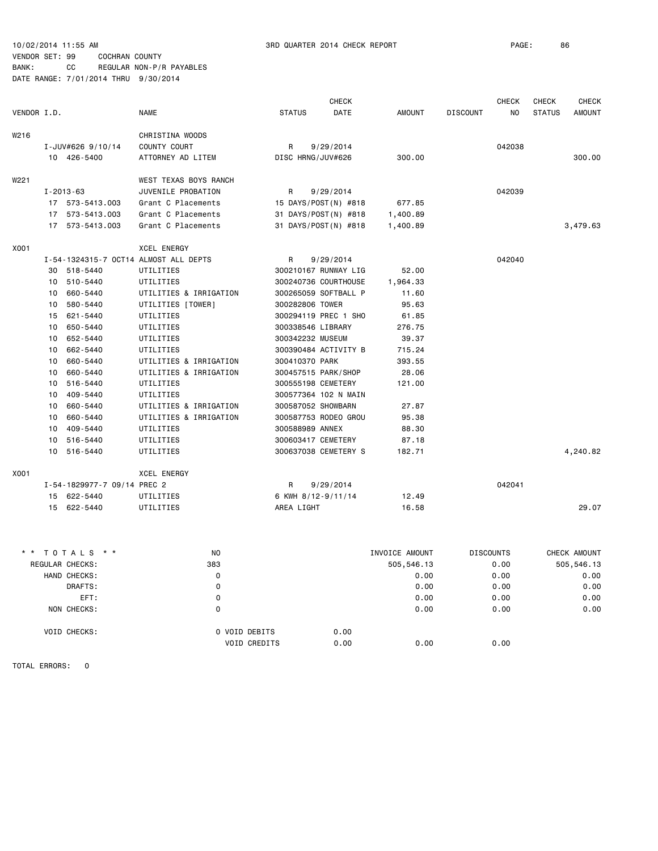CHECK CHECK CHECK CHECK VENDOR I.D. NAME STATUS DATE AMOUNT DISCOUNT NO STATUS AMOUNT W<sub>216</sub> CHRISTINA WOODS I-JUV#626 9/10/14 COUNTY COURT R 9/29/2014 042038 10 426-5400 ATTORNEY AD LITEM DISC HRNG/JUV#626 300.00 300.00 W221 WEST TEXAS BOYS RANCH I-2013-63 JUVENILE PROBATION R 9/29/2014 042039 17 573-5413.003 Grant C Placements 15 DAYS/POST(N) #818 677.85 17 573-5413.003 Grant C Placements 31 DAYS/POST(N) #818 1,400.89 17 573-5413.003 Grant C Placements 31 DAYS/POST(N) #818 1,400.89 3,479.63 X001 XCEL ENERGY I-54-1324315-7 OCT14 ALMOST ALL DEPTS R 9/29/2014 042040 30 518-5440 UTILITIES 300210167 RUNWAY LIG 52.00 10 510-5440 UTILITIES 300240736 COURTHOUSE 1,964.33 10 660-5440 UTILITIES & IRRIGATION 300265059 SOFTBALL P 11.60 10 580-5440 UTILITIES [TOWER] 300282806 TOWER 95.63 15 621-5440 UTILITIES 300294119 PREC 1 SHO 61.85 10 650-5440 UTILITIES 300338546 LIBRARY 276.75 10 652-5440 UTILITIES 300342232 MUSEUM 39.37 10 662-5440 UTILITIES 300390484 ACTIVITY B 715.24 10 660-5440 UTILITIES & IRRIGATION 300410370 PARK 393.55 10 660-5440 UTILITIES & IRRIGATION 300457515 PARK/SHOP 28.06 10 516-5440 UTILITIES 300555198 CEMETERY 121.00 10 409-5440 UTILITIES 300577364 102 N MAIN 10 660-5440 UTILITIES & IRRIGATION 300587052 SHOWBARN 27.87 10 660-5440 UTILITIES & IRRIGATION 300587753 RODEO GROU 95.38 10 409-5440 UTILITIES 300588989 ANNEX 88.30 10 516-5440 UTILITIES 300603417 CEMETERY 87.18 10 516-5440 UTILITIES 300637038 CEMETERY S 182.71 4,240.82 X001 XCEL ENERGY I-54-1829977-7 09/14 PREC 2 R 9/29/2014 042041 15 622-5440 UTILITIES 6 KWH 8/12-9/11/14 12.49 15 622-5440 UTILITIES AREA LIGHT 16.58 29.07 \* \* T O T A L S \* \* NO INVOICE AMOUNT DISCOUNTS CHECK AMOUNT REGULAR CHECKS: 383 505,546.13 0.00 505,546.13 HAND CHECKS: 0 0.00 0.00 0.00 DRAFTS: 0 0.00 0.00 0.00 EFT: 0 0.00 0.00 0.00 NON CHECKS: 0 0.00 0.00 0.00 VOID CHECKS: 0 VOID DEBITS 0.00 VOID CREDITS 0.00 0.00 0.00

TOTAL ERRORS: 0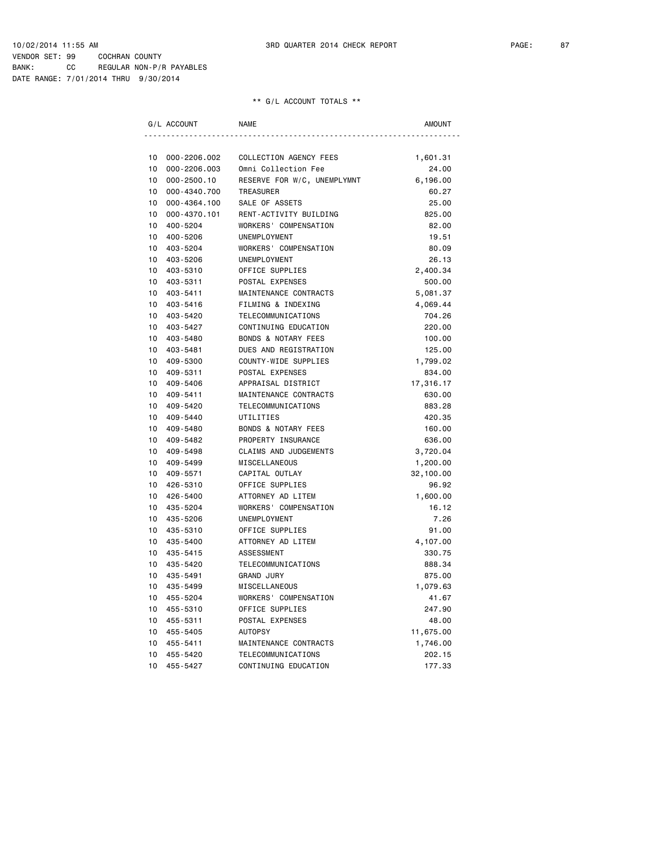DATE RANGE: 7/01/2014 THRU 9/30/2014

|    | G/L ACCOUNT     | <b>NAME</b>                    | <b>AMOUNT</b> |
|----|-----------------|--------------------------------|---------------|
|    |                 |                                |               |
| 10 | 000-2206.002    | COLLECTION AGENCY FEES         | 1,601.31      |
| 10 | 000-2206.003    | Omni Collection Fee            | 24.00         |
| 10 | $000 - 2500.10$ | RESERVE FOR W/C, UNEMPLYMNT    | 6,196.00      |
| 10 | 000-4340.700    | TREASURER                      | 60.27         |
| 10 | 000-4364.100    | SALE OF ASSETS                 | 25.00         |
| 10 | 000-4370.101    | RENT-ACTIVITY BUILDING         | 825.00        |
| 10 | 400-5204        | WORKERS' COMPENSATION          | 82.00         |
| 10 | 400-5206        | UNEMPLOYMENT                   | 19.51         |
| 10 | 403-5204        | WORKERS' COMPENSATION          | 80.09         |
| 10 | 403-5206        | UNEMPLOYMENT                   | 26.13         |
| 10 | 403-5310        | OFFICE SUPPLIES                | 2,400.34      |
| 10 | 403-5311        | POSTAL EXPENSES                | 500.00        |
| 10 | 403-5411        | MAINTENANCE CONTRACTS          | 5,081.37      |
| 10 | 403-5416        | FILMING & INDEXING             | 4,069.44      |
| 10 | 403-5420        | TELECOMMUNICATIONS             | 704.26        |
| 10 | 403-5427        | CONTINUING EDUCATION           | 220,00        |
| 10 | 403-5480        | <b>BONDS &amp; NOTARY FEES</b> | 100.00        |
| 10 | 403-5481        | DUES AND REGISTRATION          | 125.00        |
| 10 | 409-5300        | COUNTY-WIDE SUPPLIES           | 1,799.02      |
| 10 | 409-5311        | POSTAL EXPENSES                | 834.00        |
| 10 | 409-5406        | APPRAISAL DISTRICT             | 17,316.17     |
| 10 | 409-5411        | MAINTENANCE CONTRACTS          | 630.00        |
| 10 | 409-5420        | TELECOMMUNICATIONS             | 883.28        |
| 10 | 409-5440        | UTILITIES                      | 420.35        |
| 10 | 409-5480        | <b>BONDS &amp; NOTARY FEES</b> | 160.00        |
| 10 | 409-5482        | PROPERTY INSURANCE             | 636.00        |
| 10 | 409-5498        | <b>CLAIMS AND JUDGEMENTS</b>   | 3,720.04      |
| 10 | 409-5499        | MISCELLANEOUS                  | 1,200.00      |
| 10 | 409-5571        | CAPITAL OUTLAY                 | 32,100.00     |
| 10 | 426-5310        | OFFICE SUPPLIES                | 96.92         |
| 10 | 426-5400        | ATTORNEY AD LITEM              | 1,600.00      |
| 10 | 435-5204        | WORKERS' COMPENSATION          | 16.12         |
| 10 | 435-5206        | UNEMPLOYMENT                   | 7.26          |
| 10 | 435-5310        | OFFICE SUPPLIES                | 91.00         |
| 10 | 435-5400        | ATTORNEY AD LITEM              | 4,107.00      |
| 10 | 435-5415        | ASSESSMENT                     | 330.75        |
| 10 | 435-5420        | TELECOMMUNICATIONS             | 888.34        |
| 10 | 435-5491        | <b>GRAND JURY</b>              | 875.00        |
| 10 | 435-5499        | MISCELLANEOUS                  | 1,079.63      |
| 10 | 455-5204        | WORKERS' COMPENSATION          | 41.67         |
| 10 | 455-5310        | OFFICE SUPPLIES                | 247.90        |
| 10 | 455-5311        | POSTAL EXPENSES                | 48.00         |
| 10 | 455-5405        | <b>AUTOPSY</b>                 | 11,675.00     |
| 10 | 455-5411        | MAINTENANCE CONTRACTS          | 1,746.00      |
| 10 | 455-5420        | TELECOMMUNICATIONS             | 202.15        |
| 10 | 455-5427        | CONTINUING EDUCATION           | 177.33        |
|    |                 |                                |               |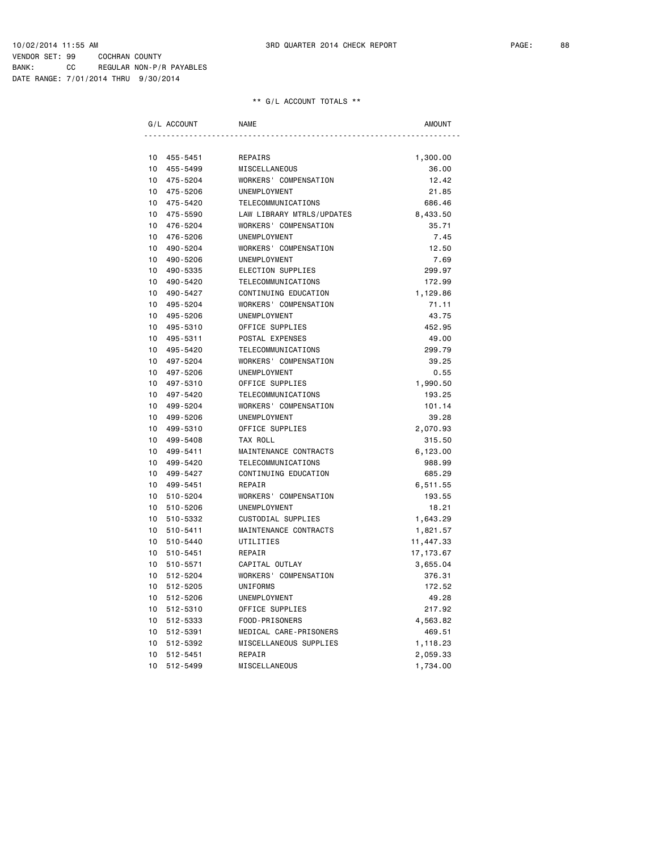|    | G/L ACCOUNT | <b>NAME</b>               | AMOUNT     |
|----|-------------|---------------------------|------------|
|    |             |                           |            |
| 10 | 455-5451    | REPAIRS                   | 1,300.00   |
| 10 | 455-5499    | MISCELLANEOUS             | 36.00      |
| 10 | 475-5204    | WORKERS' COMPENSATION     | 12.42      |
| 10 | 475-5206    | UNEMPLOYMENT              | 21.85      |
| 10 | 475-5420    | TELECOMMUNICATIONS        | 686.46     |
| 10 | 475-5590    | LAW LIBRARY MTRLS/UPDATES | 8,433.50   |
| 10 | 476-5204    | WORKERS' COMPENSATION     | 35.71      |
| 10 | 476-5206    | UNEMPLOYMENT              | 7.45       |
| 10 | 490-5204    | WORKERS' COMPENSATION     | 12.50      |
| 10 | 490-5206    | UNEMPLOYMENT              | 7.69       |
| 10 | 490-5335    | ELECTION SUPPLIES         | 299.97     |
| 10 | 490-5420    | TELECOMMUNICATIONS        | 172.99     |
| 10 | 490-5427    | CONTINUING EDUCATION      | 1,129.86   |
| 10 | 495-5204    | WORKERS' COMPENSATION     | 71.11      |
| 10 | 495-5206    | UNEMPLOYMENT              | 43.75      |
| 10 | 495-5310    | OFFICE SUPPLIES           | 452.95     |
| 10 | 495-5311    | POSTAL EXPENSES           | 49.00      |
| 10 | 495-5420    | TELECOMMUNICATIONS        | 299.79     |
| 10 | 497-5204    | WORKERS' COMPENSATION     | 39.25      |
| 10 | 497-5206    | UNEMPLOYMENT              | 0.55       |
| 10 | 497-5310    | OFFICE SUPPLIES           | 1,990.50   |
| 10 | 497-5420    | TELECOMMUNICATIONS        | 193.25     |
| 10 | 499-5204    | WORKERS' COMPENSATION     | 101.14     |
| 10 | 499-5206    | UNEMPLOYMENT              | 39.28      |
| 10 | 499-5310    | OFFICE SUPPLIES           | 2,070.93   |
| 10 | 499-5408    | TAX ROLL                  | 315.50     |
| 10 | 499-5411    | MAINTENANCE CONTRACTS     | 6,123.00   |
| 10 | 499-5420    | TELECOMMUNICATIONS        | 988.99     |
| 10 | 499-5427    | CONTINUING EDUCATION      | 685.29     |
| 10 | 499-5451    | REPAIR                    | 6,511.55   |
| 10 | 510-5204    | WORKERS' COMPENSATION     | 193.55     |
| 10 | 510-5206    | UNEMPLOYMENT              | 18.21      |
| 10 | 510-5332    | CUSTODIAL SUPPLIES        | 1,643.29   |
| 10 | 510-5411    | MAINTENANCE CONTRACTS     | 1,821.57   |
| 10 | 510-5440    | UTILITIES                 | 11,447.33  |
| 10 | 510-5451    | REPAIR                    | 17, 173.67 |
| 10 | 510-5571    | CAPITAL OUTLAY            | 3,655.04   |
| 10 | 512-5204    | WORKERS' COMPENSATION     | 376.31     |
| 10 | 512-5205    | UNIFORMS                  | 172.52     |
| 10 | 512-5206    | UNEMPLOYMENT              | 49.28      |
| 10 | 512-5310    | OFFICE SUPPLIES           | 217.92     |
| 10 | 512-5333    | FOOD-PRISONERS            | 4,563.82   |
| 10 | 512-5391    | MEDICAL CARE-PRISONERS    | 469.51     |
| 10 | 512-5392    | MISCELLANEOUS SUPPLIES    | 1,118.23   |
| 10 | 512-5451    | REPAIR                    | 2,059.33   |
| 10 | 512-5499    | MISCELLANEOUS             | 1,734.00   |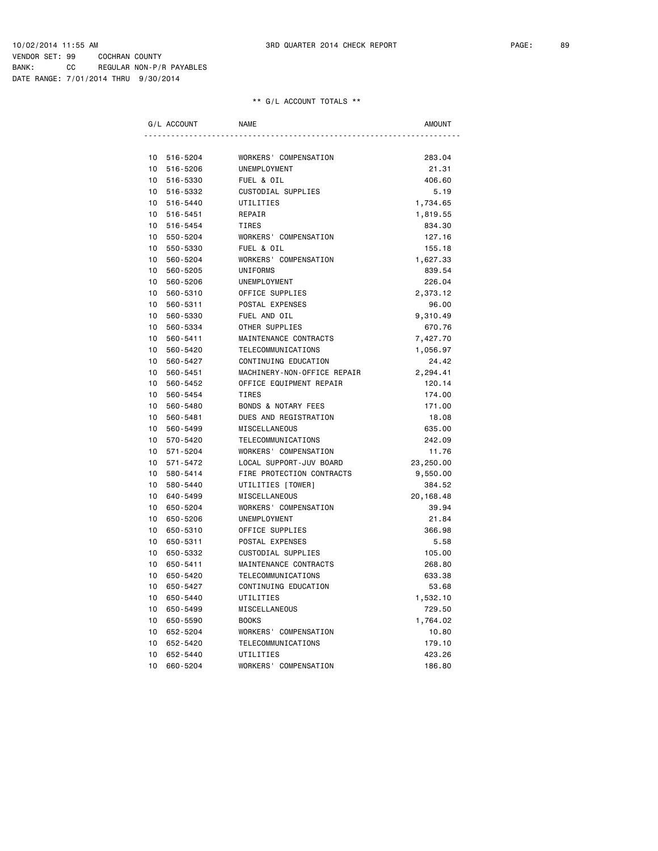| G/L ACCOUNT    | <b>NAME</b>                    | AMOUNT     |
|----------------|--------------------------------|------------|
|                |                                |            |
| 10<br>516-5204 | WORKERS' COMPENSATION          | 283.04     |
| 10<br>516-5206 | UNEMPLOYMENT                   | 21.31      |
| 10<br>516-5330 | FUEL & OIL                     | 406.60     |
| 516-5332<br>10 | CUSTODIAL SUPPLIES             | 5.19       |
| 10<br>516-5440 | UTILITIES                      | 1,734.65   |
| 10<br>516-5451 | REPAIR                         | 1,819.55   |
| 10<br>516-5454 | TIRES                          | 834.30     |
| 10<br>550-5204 | WORKERS' COMPENSATION          | 127.16     |
| 10<br>550-5330 | FUEL & OIL                     | 155.18     |
| 10<br>560-5204 | WORKERS' COMPENSATION          | 1,627.33   |
| 10<br>560-5205 | UNIFORMS                       | 839.54     |
| 10<br>560-5206 | UNEMPLOYMENT                   | 226.04     |
| 10<br>560-5310 | OFFICE SUPPLIES                | 2,373.12   |
| 10<br>560-5311 | POSTAL EXPENSES                | 96.00      |
| 10<br>560-5330 | FUEL AND OIL                   | 9,310.49   |
| 10<br>560-5334 | OTHER SUPPLIES                 | 670.76     |
| 10<br>560-5411 | MAINTENANCE CONTRACTS          | 7,427.70   |
| 10<br>560-5420 | TELECOMMUNICATIONS             | 1,056.97   |
| 10<br>560-5427 | CONTINUING EDUCATION           | 24.42      |
| 10<br>560-5451 | MACHINERY-NON-OFFICE REPAIR    | 2,294.41   |
| 10<br>560-5452 | OFFICE EQUIPMENT REPAIR        | 120.14     |
| 10<br>560-5454 | <b>TIRES</b>                   | 174.00     |
| 10<br>560-5480 | <b>BONDS &amp; NOTARY FEES</b> | 171.00     |
| 10<br>560-5481 | DUES AND REGISTRATION          | 18.08      |
| 10<br>560-5499 | MISCELLANEOUS                  | 635.00     |
| 10<br>570-5420 | TELECOMMUNICATIONS             | 242.09     |
| 10<br>571-5204 | WORKERS' COMPENSATION          | 11.76      |
| 10<br>571-5472 | LOCAL SUPPORT-JUV BOARD        | 23,250.00  |
| 10<br>580-5414 | FIRE PROTECTION CONTRACTS      | 9,550.00   |
| 10<br>580-5440 | UTILITIES [TOWER]              | 384.52     |
| 10<br>640-5499 | MISCELLANEOUS                  | 20, 168.48 |
| 10<br>650-5204 | WORKERS' COMPENSATION          | 39.94      |
| 10<br>650-5206 | UNEMPLOYMENT                   | 21.84      |
| 10<br>650-5310 | OFFICE SUPPLIES                | 366.98     |
| 10<br>650-5311 | POSTAL EXPENSES                | 5.58       |
| 10<br>650-5332 | CUSTODIAL SUPPLIES             | 105.00     |
| 10<br>650-5411 | MAINTENANCE CONTRACTS          | 268.80     |
| 10<br>650-5420 | TELECOMMUNICATIONS             | 633.38     |
| 10<br>650-5427 | CONTINUING EDUCATION           | 53.68      |
| 10<br>650-5440 | UTILITIES                      | 1,532.10   |
| 10<br>650-5499 | MISCELLANEOUS                  | 729.50     |
| 10<br>650-5590 | <b>BOOKS</b>                   | 1,764.02   |
| 10<br>652-5204 | WORKERS' COMPENSATION          | 10.80      |
| 10<br>652-5420 | TELECOMMUNICATIONS             | 179.10     |
| 10<br>652-5440 | UTILITIES                      | 423.26     |
| 10<br>660-5204 | WORKERS' COMPENSATION          | 186.80     |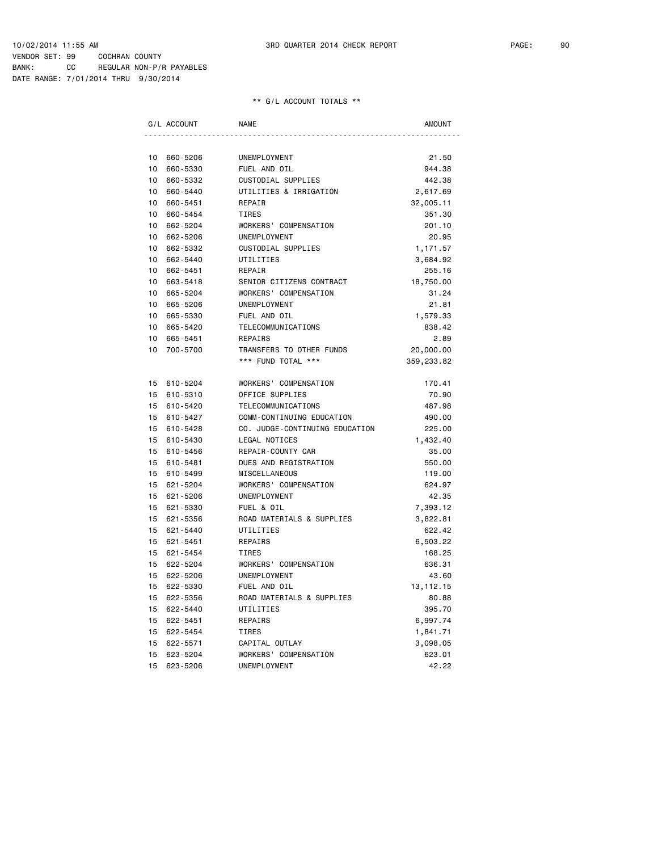DATE RANGE: 7/01/2014 THRU 9/30/2014

|    | G/L ACCOUNT | <b>NAME</b>                    | AMOUNT      |
|----|-------------|--------------------------------|-------------|
|    |             |                                |             |
| 10 | 660-5206    | UNEMPLOYMENT                   | 21.50       |
| 10 | 660-5330    | FUEL AND OIL                   | 944.38      |
| 10 | 660-5332    | CUSTODIAL SUPPLIES             | 442.38      |
| 10 | 660-5440    | UTILITIES & IRRIGATION         | 2,617.69    |
| 10 | 660-5451    | REPAIR                         | 32,005.11   |
| 10 | 660-5454    | TIRES                          | 351.30      |
| 10 | 662-5204    | WORKERS' COMPENSATION          | 201.10      |
| 10 | 662-5206    | UNEMPLOYMENT                   | 20.95       |
| 10 | 662-5332    | CUSTODIAL SUPPLIES             | 1,171.57    |
| 10 | 662-5440    | UTILITIES                      | 3,684.92    |
| 10 | 662-5451    | REPAIR                         | 255.16      |
| 10 | 663-5418    | SENIOR CITIZENS CONTRACT       | 18,750.00   |
| 10 | 665-5204    | WORKERS' COMPENSATION          | 31.24       |
| 10 | 665-5206    | UNEMPLOYMENT                   | 21.81       |
| 10 | 665-5330    | FUEL AND OIL                   | 1,579.33    |
| 10 | 665-5420    | TELECOMMUNICATIONS             | 838.42      |
| 10 | 665-5451    | REPAIRS                        | 2.89        |
| 10 | 700-5700    | TRANSFERS TO OTHER FUNDS       | 20,000.00   |
|    |             | *** FUND TOTAL ***             | 359,233.82  |
| 15 | 610-5204    | WORKERS' COMPENSATION          | 170.41      |
| 15 | 610-5310    | OFFICE SUPPLIES                | 70.90       |
| 15 | 610-5420    | TELECOMMUNICATIONS             | 487.98      |
| 15 | 610-5427    | COMM-CONTINUING EDUCATION      | 490.00      |
| 15 | 610-5428    | CO. JUDGE-CONTINUING EDUCATION | 225.00      |
| 15 | 610-5430    | LEGAL NOTICES                  | 1,432.40    |
| 15 | 610-5456    | REPAIR-COUNTY CAR              | 35.00       |
| 15 | 610-5481    | DUES AND REGISTRATION          | 550.00      |
| 15 | 610-5499    | MISCELLANEOUS                  | 119.00      |
| 15 | 621-5204    | WORKERS' COMPENSATION          | 624.97      |
|    | 15 621-5206 | UNEMPLOYMENT                   | 42.35       |
| 15 | 621-5330    | FUEL & OIL                     | 7,393.12    |
| 15 | 621-5356    | ROAD MATERIALS & SUPPLIES      | 3,822.81    |
| 15 | 621-5440    | UTILITIES                      | 622.42      |
| 15 | 621-5451    | REPAIRS                        | 6,503.22    |
| 15 | 621-5454    | TIRES                          | 168.25      |
| 15 | 622-5204    | WORKERS' COMPENSATION          | 636.31      |
| 15 | 622-5206    | UNEMPLOYMENT                   | 43.60       |
| 15 | 622-5330    | FUEL AND OIL                   | 13, 112. 15 |
|    | 15 622-5356 | ROAD MATERIALS & SUPPLIES      | 80.88       |
| 15 | 622-5440    | UTILITIES                      | 395.70      |
| 15 | 622-5451    | REPAIRS                        | 6,997.74    |
| 15 | 622-5454    | TIRES                          | 1,841.71    |
| 15 | 622-5571    | CAPITAL OUTLAY                 | 3,098.05    |
| 15 | 623-5204    | WORKERS' COMPENSATION          | 623.01      |
| 15 | 623-5206    | UNEMPLOYMENT                   | 42.22       |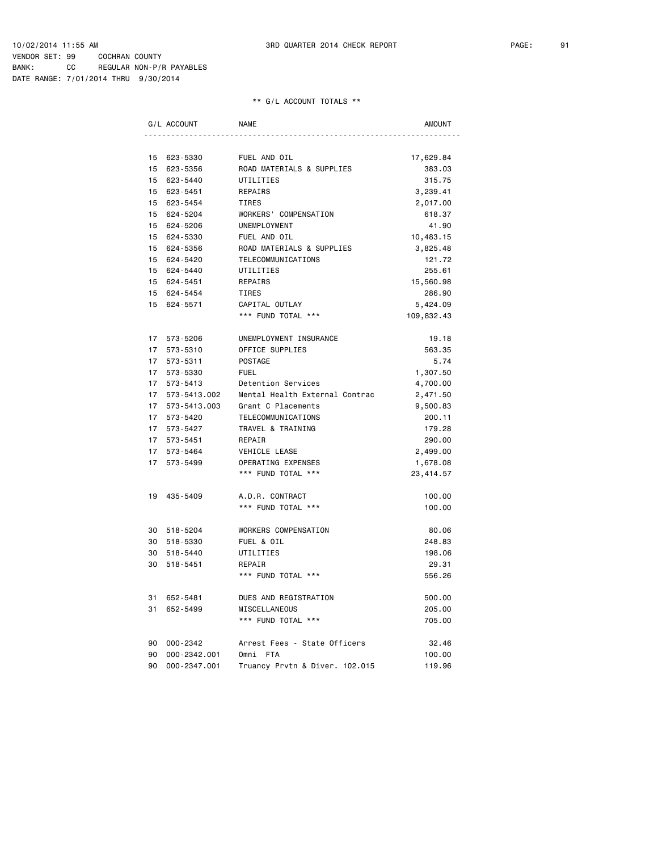DATE RANGE: 7/01/2014 THRU 9/30/2014

|                 | G/L ACCOUNT  | <b>NAME</b>                    | <b>AMOUNT</b> |
|-----------------|--------------|--------------------------------|---------------|
|                 |              |                                |               |
| 15              | 623-5330     | FUEL AND OIL                   | 17,629.84     |
| 15              | 623-5356     | ROAD MATERIALS & SUPPLIES      | 383.03        |
| 15              | 623-5440     | UTILITIES                      | 315.75        |
| 15              | 623-5451     | REPAIRS                        | 3,239.41      |
| 15              | 623-5454     | <b>TIRES</b>                   | 2,017.00      |
| 15              | 624-5204     | WORKERS' COMPENSATION          | 618.37        |
|                 | 15 624-5206  | UNEMPLOYMENT                   | 41.90         |
|                 | 15 624-5330  | FUEL AND OIL                   | 10,483.15     |
| 15              | 624-5356     | ROAD MATERIALS & SUPPLIES      | 3,825.48      |
| 15              | 624-5420     | TELECOMMUNICATIONS             | 121.72        |
| 15              | 624-5440     | UTILITIES                      | 255.61        |
|                 | 15 624-5451  | REPAIRS                        | 15,560.98     |
| 15              | 624-5454     | TIRES                          | 286.90        |
| 15              | 624-5571     | CAPITAL OUTLAY                 | 5,424.09      |
|                 |              | *** FUND TOTAL ***             | 109,832.43    |
|                 | 17 573-5206  | UNEMPLOYMENT INSURANCE         | 19.18         |
|                 | 17 573-5310  | OFFICE SUPPLIES                | 563.35        |
|                 | 17 573-5311  | POSTAGE                        | 5.74          |
| 17              | 573-5330     | <b>FUEL</b>                    | 1,307.50      |
| 17              | 573-5413     | Detention Services             | 4,700.00      |
| 17              | 573-5413.002 | Mental Health External Contrac | 2,471.50      |
| 17 <sup>7</sup> | 573-5413.003 | Grant C Placements             | 9,500.83      |
| 17              | 573-5420     | TELECOMMUNICATIONS             | 200.11        |
| 17              | 573-5427     | TRAVEL & TRAINING              | 179.28        |
| 17              | 573-5451     | REPAIR                         | 290.00        |
| 17              | 573-5464     | VEHICLE LEASE                  | 2,499.00      |
| 17              | 573-5499     | OPERATING EXPENSES             | 1,678.08      |
|                 |              | *** FUND TOTAL ***             | 23,414.57     |
| 19              | 435-5409     | A.D.R. CONTRACT                | 100.00        |
|                 |              | *** FUND TOTAL ***             | 100.00        |
|                 | 30 518-5204  | WORKERS COMPENSATION           | 80.06         |
| 30              | 518-5330     | FUEL & OIL                     | 248.83        |
| 30              | 518-5440     | UTILITIES                      | 198.06        |
| 30              | 518-5451     | REPAIR                         | 29.31         |
|                 |              | *** FUND TOTAL ***             | 556.26        |
| 31              | 652-5481     | DUES AND REGISTRATION          | 500.00        |
| 31              | 652-5499     | MISCELLANEOUS                  | 205.00        |
|                 |              | *** FUND TOTAL ***             | 705.00        |
| 90              | 000-2342     | Arrest Fees - State Officers   | 32.46         |
| 90              | 000-2342.001 | Omni FTA                       | 100.00        |
| 90              | 000-2347.001 | Truancy Prvtn & Diver. 102.015 | 119.96        |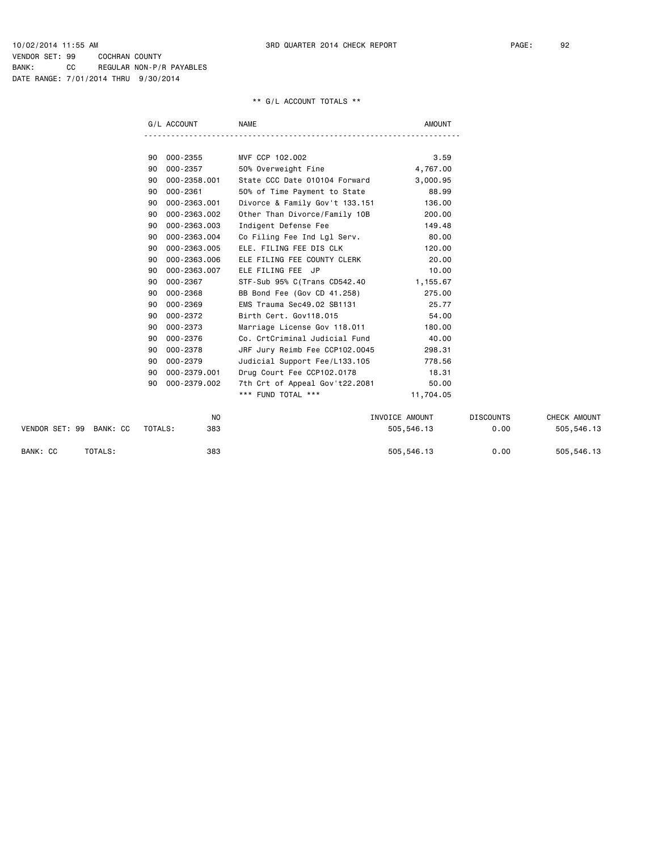|                         |         | G/L ACCOUNT  | <b>NAME</b>                    | <b>AMOUNT</b>  |                  |              |
|-------------------------|---------|--------------|--------------------------------|----------------|------------------|--------------|
|                         |         |              |                                |                |                  |              |
|                         | 90      | 000-2355     | MVF CCP 102.002                | 3.59           |                  |              |
|                         | 90      | 000-2357     | 50% Overweight Fine            | 4,767.00       |                  |              |
|                         | 90      | 000-2358.001 | State CCC Date 010104 Forward  | 3,000.95       |                  |              |
|                         | 90      | $000 - 2361$ | 50% of Time Payment to State   | 88.99          |                  |              |
|                         | 90      | 000-2363.001 | Divorce & Family Gov't 133.151 | 136.00         |                  |              |
|                         | 90      | 000-2363.002 | Other Than Divorce/Family 10B  | 200.00         |                  |              |
|                         | 90      | 000-2363.003 | Indigent Defense Fee           | 149.48         |                  |              |
|                         | 90      | 000-2363.004 | Co Filing Fee Ind Lgl Serv.    | 80.00          |                  |              |
|                         | 90      | 000-2363.005 | ELE. FILING FEE DIS CLK        | 120,00         |                  |              |
|                         | 90      | 000-2363.006 | ELE FILING FEE COUNTY CLERK    | 20.00          |                  |              |
|                         | 90      | 000-2363.007 | ELE FILING FEE JP              | 10.00          |                  |              |
|                         | 90      | 000-2367     | STF-Sub 95% C(Trans CD542.40   | 1,155.67       |                  |              |
|                         | 90      | 000-2368     | BB Bond Fee (Gov CD 41.258)    | 275.00         |                  |              |
|                         | 90      | 000-2369     | EMS Trauma Sec49.02 SB1131     | 25.77          |                  |              |
|                         | 90      | 000-2372     | Birth Cert, Gov118.015         | 54.00          |                  |              |
|                         | 90      | 000-2373     | Marriage License Gov 118.011   | 180.00         |                  |              |
|                         | 90      | 000-2376     | Co. CrtCriminal Judicial Fund  | 40.00          |                  |              |
|                         | 90      | 000-2378     | JRF Jury Reimb Fee CCP102.0045 | 298.31         |                  |              |
|                         | 90      | 000-2379     | Judicial Support Fee/L133.105  | 778.56         |                  |              |
|                         | 90      | 000-2379.001 | Drug Court Fee CCP102.0178     | 18.31          |                  |              |
|                         | 90      | 000-2379.002 | 7th Crt of Appeal Gov't22.2081 | 50.00          |                  |              |
|                         |         |              | *** FUND TOTAL ***             | 11,704.05      |                  |              |
|                         |         | NO.          |                                | INVOICE AMOUNT | <b>DISCOUNTS</b> | CHECK AMOUNT |
| VENDOR SET: 99 BANK: CC | TOTALS: | 383          |                                | 505,546.13     | 0.00             | 505,546.13   |
| TOTALS:<br>BANK: CC     |         | 383          |                                | 505,546.13     | 0.00             | 505,546.13   |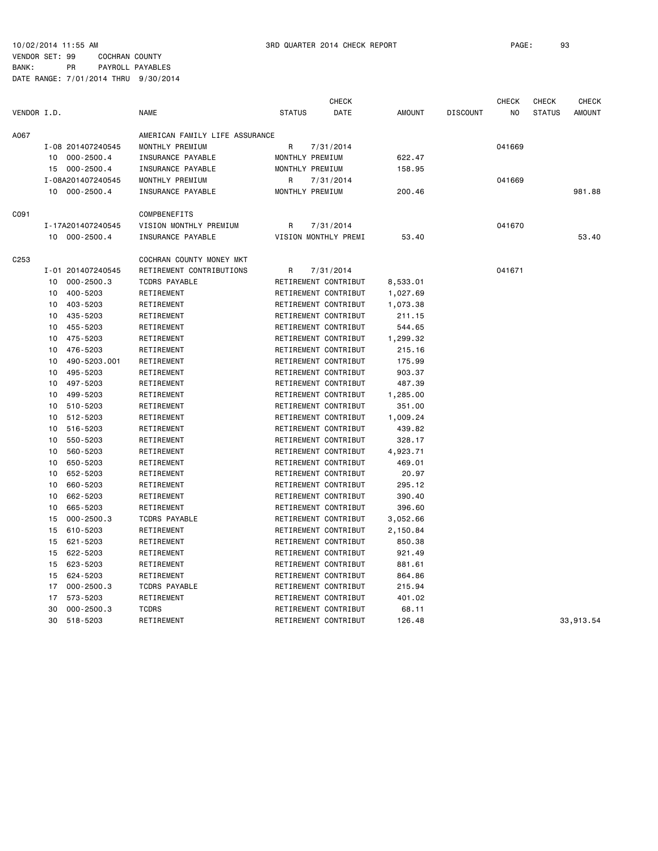VENDOR SET: 99 COCHRAN COUNTY BANK: PR PAYROLL PAYABLES

| VENDOR I.D.<br><b>NAME</b><br>AMOUNT<br><b>STATUS</b><br>DATE<br><b>DISCOUNT</b><br>N <sub>0</sub><br><b>STATUS</b><br><b>AMOUNT</b><br>A067<br>AMERICAN FAMILY LIFE ASSURANCE<br>MONTHLY PREMIUM<br>I-08 201407240545<br>R<br>7/31/2014<br>041669<br>622.47<br>$000 - 2500.4$<br>INSURANCE PAYABLE<br>MONTHLY PREMIUM<br>10<br>15<br>$000 - 2500.4$<br>INSURANCE PAYABLE<br>MONTHLY PREMIUM<br>158.95<br>I-08A201407240545<br>MONTHLY PREMIUM<br>7/31/2014<br>041669<br>R<br>10 000-2500.4<br>INSURANCE PAYABLE<br>200.46<br>981.88<br>MONTHLY PREMIUM<br>C091<br>COMPBENEFITS<br>I-17A201407240545<br>VISION MONTHLY PREMIUM<br>R<br>7/31/2014<br>041670<br>$000 - 2500.4$<br>INSURANCE PAYABLE<br>VISION MONTHLY PREMI<br>53.40<br>53.40<br>10<br>C <sub>253</sub><br>COCHRAN COUNTY MONEY MKT<br>I-01 201407240545<br>RETIREMENT CONTRIBUTIONS<br>041671<br>R<br>7/31/2014<br>$000 - 2500.3$<br><b>TCDRS PAYABLE</b><br>RETIREMENT CONTRIBUT<br>8,533.01<br>10<br>400-5203<br>10<br>RETIREMENT<br>RETIREMENT CONTRIBUT<br>1,027.69<br>10<br>403-5203<br>RETIREMENT<br>RETIREMENT CONTRIBUT<br>1,073.38<br>435-5203<br>RETIREMENT CONTRIBUT<br>10<br>RETIREMENT<br>211.15<br>455-5203<br>RETIREMENT<br>RETIREMENT CONTRIBUT<br>544.65<br>10<br>475-5203<br>RETIREMENT CONTRIBUT<br>1,299.32<br>10<br>RETIREMENT<br>476-5203<br>RETIREMENT CONTRIBUT<br>10<br>RETIREMENT<br>215.16<br>490-5203.001<br>RETIREMENT<br>RETIREMENT CONTRIBUT<br>175.99<br>10<br>495-5203<br>RETIREMENT<br>RETIREMENT CONTRIBUT<br>903.37<br>10<br>497-5203<br>RETIREMENT CONTRIBUT<br>487.39<br>10<br>RETIREMENT<br>499-5203<br>RETIREMENT CONTRIBUT<br>1,285.00<br>10<br>RETIREMENT<br>510-5203<br>RETIREMENT<br>RETIREMENT CONTRIBUT<br>351.00<br>10<br>512-5203<br>RETIREMENT<br>RETIREMENT CONTRIBUT<br>1,009.24<br>10<br>516-5203<br>RETIREMENT<br>RETIREMENT CONTRIBUT<br>439.82<br>10<br>550-5203<br>RETIREMENT CONTRIBUT<br>328.17<br>10<br>RETIREMENT<br>560-5203<br>RETIREMENT<br>RETIREMENT CONTRIBUT<br>4,923.71<br>10<br>650-5203<br>10<br>RETIREMENT<br>RETIREMENT CONTRIBUT<br>469.01<br>652-5203<br>RETIREMENT CONTRIBUT<br>RETIREMENT<br>20.97<br>10<br>660-5203<br>RETIREMENT<br>RETIREMENT CONTRIBUT<br>295.12<br>10<br>10<br>662-5203<br>RETIREMENT<br>RETIREMENT CONTRIBUT<br>390.40<br>665-5203<br>RETIREMENT CONTRIBUT<br>10<br>RETIREMENT<br>396.60<br>$000 - 2500.3$<br>RETIREMENT CONTRIBUT<br>15<br><b>TCDRS PAYABLE</b><br>3,052.66<br>610-5203<br>RETIREMENT<br>RETIREMENT CONTRIBUT<br>2,150.84<br>15<br>621-5203<br>RETIREMENT<br>RETIREMENT CONTRIBUT<br>850.38<br>15<br>622-5203<br>RETIREMENT CONTRIBUT<br>921.49<br>15<br>RETIREMENT<br>623-5203<br>RETIREMENT CONTRIBUT<br>881.61<br>15<br>RETIREMENT<br>RETIREMENT CONTRIBUT<br>15<br>624-5203<br>RETIREMENT<br>864.86<br>17<br>$000 - 2500.3$<br><b>TCDRS PAYABLE</b><br>RETIREMENT CONTRIBUT<br>215.94<br>573-5203<br>RETIREMENT<br>RETIREMENT CONTRIBUT<br>401.02<br>17<br>$000 - 2500.3$<br><b>TCDRS</b><br>RETIREMENT CONTRIBUT<br>30<br>68.11<br>30<br>518-5203<br>RETIREMENT CONTRIBUT<br>126.48<br>33,913.54<br>RETIREMENT |  |  | <b>CHECK</b> |  | <b>CHECK</b> | <b>CHECK</b> | <b>CHECK</b> |
|-------------------------------------------------------------------------------------------------------------------------------------------------------------------------------------------------------------------------------------------------------------------------------------------------------------------------------------------------------------------------------------------------------------------------------------------------------------------------------------------------------------------------------------------------------------------------------------------------------------------------------------------------------------------------------------------------------------------------------------------------------------------------------------------------------------------------------------------------------------------------------------------------------------------------------------------------------------------------------------------------------------------------------------------------------------------------------------------------------------------------------------------------------------------------------------------------------------------------------------------------------------------------------------------------------------------------------------------------------------------------------------------------------------------------------------------------------------------------------------------------------------------------------------------------------------------------------------------------------------------------------------------------------------------------------------------------------------------------------------------------------------------------------------------------------------------------------------------------------------------------------------------------------------------------------------------------------------------------------------------------------------------------------------------------------------------------------------------------------------------------------------------------------------------------------------------------------------------------------------------------------------------------------------------------------------------------------------------------------------------------------------------------------------------------------------------------------------------------------------------------------------------------------------------------------------------------------------------------------------------------------------------------------------------------------------------------------------------------------------------------------------------------------------------------------------------------------------------------------------------------------------------------------------------------------------------------------------------------------------------------------------------------------------------------------------------------------------------------------|--|--|--------------|--|--------------|--------------|--------------|
|                                                                                                                                                                                                                                                                                                                                                                                                                                                                                                                                                                                                                                                                                                                                                                                                                                                                                                                                                                                                                                                                                                                                                                                                                                                                                                                                                                                                                                                                                                                                                                                                                                                                                                                                                                                                                                                                                                                                                                                                                                                                                                                                                                                                                                                                                                                                                                                                                                                                                                                                                                                                                                                                                                                                                                                                                                                                                                                                                                                                                                                                                                       |  |  |              |  |              |              |              |
|                                                                                                                                                                                                                                                                                                                                                                                                                                                                                                                                                                                                                                                                                                                                                                                                                                                                                                                                                                                                                                                                                                                                                                                                                                                                                                                                                                                                                                                                                                                                                                                                                                                                                                                                                                                                                                                                                                                                                                                                                                                                                                                                                                                                                                                                                                                                                                                                                                                                                                                                                                                                                                                                                                                                                                                                                                                                                                                                                                                                                                                                                                       |  |  |              |  |              |              |              |
|                                                                                                                                                                                                                                                                                                                                                                                                                                                                                                                                                                                                                                                                                                                                                                                                                                                                                                                                                                                                                                                                                                                                                                                                                                                                                                                                                                                                                                                                                                                                                                                                                                                                                                                                                                                                                                                                                                                                                                                                                                                                                                                                                                                                                                                                                                                                                                                                                                                                                                                                                                                                                                                                                                                                                                                                                                                                                                                                                                                                                                                                                                       |  |  |              |  |              |              |              |
|                                                                                                                                                                                                                                                                                                                                                                                                                                                                                                                                                                                                                                                                                                                                                                                                                                                                                                                                                                                                                                                                                                                                                                                                                                                                                                                                                                                                                                                                                                                                                                                                                                                                                                                                                                                                                                                                                                                                                                                                                                                                                                                                                                                                                                                                                                                                                                                                                                                                                                                                                                                                                                                                                                                                                                                                                                                                                                                                                                                                                                                                                                       |  |  |              |  |              |              |              |
|                                                                                                                                                                                                                                                                                                                                                                                                                                                                                                                                                                                                                                                                                                                                                                                                                                                                                                                                                                                                                                                                                                                                                                                                                                                                                                                                                                                                                                                                                                                                                                                                                                                                                                                                                                                                                                                                                                                                                                                                                                                                                                                                                                                                                                                                                                                                                                                                                                                                                                                                                                                                                                                                                                                                                                                                                                                                                                                                                                                                                                                                                                       |  |  |              |  |              |              |              |
|                                                                                                                                                                                                                                                                                                                                                                                                                                                                                                                                                                                                                                                                                                                                                                                                                                                                                                                                                                                                                                                                                                                                                                                                                                                                                                                                                                                                                                                                                                                                                                                                                                                                                                                                                                                                                                                                                                                                                                                                                                                                                                                                                                                                                                                                                                                                                                                                                                                                                                                                                                                                                                                                                                                                                                                                                                                                                                                                                                                                                                                                                                       |  |  |              |  |              |              |              |
|                                                                                                                                                                                                                                                                                                                                                                                                                                                                                                                                                                                                                                                                                                                                                                                                                                                                                                                                                                                                                                                                                                                                                                                                                                                                                                                                                                                                                                                                                                                                                                                                                                                                                                                                                                                                                                                                                                                                                                                                                                                                                                                                                                                                                                                                                                                                                                                                                                                                                                                                                                                                                                                                                                                                                                                                                                                                                                                                                                                                                                                                                                       |  |  |              |  |              |              |              |
|                                                                                                                                                                                                                                                                                                                                                                                                                                                                                                                                                                                                                                                                                                                                                                                                                                                                                                                                                                                                                                                                                                                                                                                                                                                                                                                                                                                                                                                                                                                                                                                                                                                                                                                                                                                                                                                                                                                                                                                                                                                                                                                                                                                                                                                                                                                                                                                                                                                                                                                                                                                                                                                                                                                                                                                                                                                                                                                                                                                                                                                                                                       |  |  |              |  |              |              |              |
|                                                                                                                                                                                                                                                                                                                                                                                                                                                                                                                                                                                                                                                                                                                                                                                                                                                                                                                                                                                                                                                                                                                                                                                                                                                                                                                                                                                                                                                                                                                                                                                                                                                                                                                                                                                                                                                                                                                                                                                                                                                                                                                                                                                                                                                                                                                                                                                                                                                                                                                                                                                                                                                                                                                                                                                                                                                                                                                                                                                                                                                                                                       |  |  |              |  |              |              |              |
|                                                                                                                                                                                                                                                                                                                                                                                                                                                                                                                                                                                                                                                                                                                                                                                                                                                                                                                                                                                                                                                                                                                                                                                                                                                                                                                                                                                                                                                                                                                                                                                                                                                                                                                                                                                                                                                                                                                                                                                                                                                                                                                                                                                                                                                                                                                                                                                                                                                                                                                                                                                                                                                                                                                                                                                                                                                                                                                                                                                                                                                                                                       |  |  |              |  |              |              |              |
|                                                                                                                                                                                                                                                                                                                                                                                                                                                                                                                                                                                                                                                                                                                                                                                                                                                                                                                                                                                                                                                                                                                                                                                                                                                                                                                                                                                                                                                                                                                                                                                                                                                                                                                                                                                                                                                                                                                                                                                                                                                                                                                                                                                                                                                                                                                                                                                                                                                                                                                                                                                                                                                                                                                                                                                                                                                                                                                                                                                                                                                                                                       |  |  |              |  |              |              |              |
|                                                                                                                                                                                                                                                                                                                                                                                                                                                                                                                                                                                                                                                                                                                                                                                                                                                                                                                                                                                                                                                                                                                                                                                                                                                                                                                                                                                                                                                                                                                                                                                                                                                                                                                                                                                                                                                                                                                                                                                                                                                                                                                                                                                                                                                                                                                                                                                                                                                                                                                                                                                                                                                                                                                                                                                                                                                                                                                                                                                                                                                                                                       |  |  |              |  |              |              |              |
|                                                                                                                                                                                                                                                                                                                                                                                                                                                                                                                                                                                                                                                                                                                                                                                                                                                                                                                                                                                                                                                                                                                                                                                                                                                                                                                                                                                                                                                                                                                                                                                                                                                                                                                                                                                                                                                                                                                                                                                                                                                                                                                                                                                                                                                                                                                                                                                                                                                                                                                                                                                                                                                                                                                                                                                                                                                                                                                                                                                                                                                                                                       |  |  |              |  |              |              |              |
|                                                                                                                                                                                                                                                                                                                                                                                                                                                                                                                                                                                                                                                                                                                                                                                                                                                                                                                                                                                                                                                                                                                                                                                                                                                                                                                                                                                                                                                                                                                                                                                                                                                                                                                                                                                                                                                                                                                                                                                                                                                                                                                                                                                                                                                                                                                                                                                                                                                                                                                                                                                                                                                                                                                                                                                                                                                                                                                                                                                                                                                                                                       |  |  |              |  |              |              |              |
|                                                                                                                                                                                                                                                                                                                                                                                                                                                                                                                                                                                                                                                                                                                                                                                                                                                                                                                                                                                                                                                                                                                                                                                                                                                                                                                                                                                                                                                                                                                                                                                                                                                                                                                                                                                                                                                                                                                                                                                                                                                                                                                                                                                                                                                                                                                                                                                                                                                                                                                                                                                                                                                                                                                                                                                                                                                                                                                                                                                                                                                                                                       |  |  |              |  |              |              |              |
|                                                                                                                                                                                                                                                                                                                                                                                                                                                                                                                                                                                                                                                                                                                                                                                                                                                                                                                                                                                                                                                                                                                                                                                                                                                                                                                                                                                                                                                                                                                                                                                                                                                                                                                                                                                                                                                                                                                                                                                                                                                                                                                                                                                                                                                                                                                                                                                                                                                                                                                                                                                                                                                                                                                                                                                                                                                                                                                                                                                                                                                                                                       |  |  |              |  |              |              |              |
|                                                                                                                                                                                                                                                                                                                                                                                                                                                                                                                                                                                                                                                                                                                                                                                                                                                                                                                                                                                                                                                                                                                                                                                                                                                                                                                                                                                                                                                                                                                                                                                                                                                                                                                                                                                                                                                                                                                                                                                                                                                                                                                                                                                                                                                                                                                                                                                                                                                                                                                                                                                                                                                                                                                                                                                                                                                                                                                                                                                                                                                                                                       |  |  |              |  |              |              |              |
|                                                                                                                                                                                                                                                                                                                                                                                                                                                                                                                                                                                                                                                                                                                                                                                                                                                                                                                                                                                                                                                                                                                                                                                                                                                                                                                                                                                                                                                                                                                                                                                                                                                                                                                                                                                                                                                                                                                                                                                                                                                                                                                                                                                                                                                                                                                                                                                                                                                                                                                                                                                                                                                                                                                                                                                                                                                                                                                                                                                                                                                                                                       |  |  |              |  |              |              |              |
|                                                                                                                                                                                                                                                                                                                                                                                                                                                                                                                                                                                                                                                                                                                                                                                                                                                                                                                                                                                                                                                                                                                                                                                                                                                                                                                                                                                                                                                                                                                                                                                                                                                                                                                                                                                                                                                                                                                                                                                                                                                                                                                                                                                                                                                                                                                                                                                                                                                                                                                                                                                                                                                                                                                                                                                                                                                                                                                                                                                                                                                                                                       |  |  |              |  |              |              |              |
|                                                                                                                                                                                                                                                                                                                                                                                                                                                                                                                                                                                                                                                                                                                                                                                                                                                                                                                                                                                                                                                                                                                                                                                                                                                                                                                                                                                                                                                                                                                                                                                                                                                                                                                                                                                                                                                                                                                                                                                                                                                                                                                                                                                                                                                                                                                                                                                                                                                                                                                                                                                                                                                                                                                                                                                                                                                                                                                                                                                                                                                                                                       |  |  |              |  |              |              |              |
|                                                                                                                                                                                                                                                                                                                                                                                                                                                                                                                                                                                                                                                                                                                                                                                                                                                                                                                                                                                                                                                                                                                                                                                                                                                                                                                                                                                                                                                                                                                                                                                                                                                                                                                                                                                                                                                                                                                                                                                                                                                                                                                                                                                                                                                                                                                                                                                                                                                                                                                                                                                                                                                                                                                                                                                                                                                                                                                                                                                                                                                                                                       |  |  |              |  |              |              |              |
|                                                                                                                                                                                                                                                                                                                                                                                                                                                                                                                                                                                                                                                                                                                                                                                                                                                                                                                                                                                                                                                                                                                                                                                                                                                                                                                                                                                                                                                                                                                                                                                                                                                                                                                                                                                                                                                                                                                                                                                                                                                                                                                                                                                                                                                                                                                                                                                                                                                                                                                                                                                                                                                                                                                                                                                                                                                                                                                                                                                                                                                                                                       |  |  |              |  |              |              |              |
|                                                                                                                                                                                                                                                                                                                                                                                                                                                                                                                                                                                                                                                                                                                                                                                                                                                                                                                                                                                                                                                                                                                                                                                                                                                                                                                                                                                                                                                                                                                                                                                                                                                                                                                                                                                                                                                                                                                                                                                                                                                                                                                                                                                                                                                                                                                                                                                                                                                                                                                                                                                                                                                                                                                                                                                                                                                                                                                                                                                                                                                                                                       |  |  |              |  |              |              |              |
|                                                                                                                                                                                                                                                                                                                                                                                                                                                                                                                                                                                                                                                                                                                                                                                                                                                                                                                                                                                                                                                                                                                                                                                                                                                                                                                                                                                                                                                                                                                                                                                                                                                                                                                                                                                                                                                                                                                                                                                                                                                                                                                                                                                                                                                                                                                                                                                                                                                                                                                                                                                                                                                                                                                                                                                                                                                                                                                                                                                                                                                                                                       |  |  |              |  |              |              |              |
|                                                                                                                                                                                                                                                                                                                                                                                                                                                                                                                                                                                                                                                                                                                                                                                                                                                                                                                                                                                                                                                                                                                                                                                                                                                                                                                                                                                                                                                                                                                                                                                                                                                                                                                                                                                                                                                                                                                                                                                                                                                                                                                                                                                                                                                                                                                                                                                                                                                                                                                                                                                                                                                                                                                                                                                                                                                                                                                                                                                                                                                                                                       |  |  |              |  |              |              |              |
|                                                                                                                                                                                                                                                                                                                                                                                                                                                                                                                                                                                                                                                                                                                                                                                                                                                                                                                                                                                                                                                                                                                                                                                                                                                                                                                                                                                                                                                                                                                                                                                                                                                                                                                                                                                                                                                                                                                                                                                                                                                                                                                                                                                                                                                                                                                                                                                                                                                                                                                                                                                                                                                                                                                                                                                                                                                                                                                                                                                                                                                                                                       |  |  |              |  |              |              |              |
|                                                                                                                                                                                                                                                                                                                                                                                                                                                                                                                                                                                                                                                                                                                                                                                                                                                                                                                                                                                                                                                                                                                                                                                                                                                                                                                                                                                                                                                                                                                                                                                                                                                                                                                                                                                                                                                                                                                                                                                                                                                                                                                                                                                                                                                                                                                                                                                                                                                                                                                                                                                                                                                                                                                                                                                                                                                                                                                                                                                                                                                                                                       |  |  |              |  |              |              |              |
|                                                                                                                                                                                                                                                                                                                                                                                                                                                                                                                                                                                                                                                                                                                                                                                                                                                                                                                                                                                                                                                                                                                                                                                                                                                                                                                                                                                                                                                                                                                                                                                                                                                                                                                                                                                                                                                                                                                                                                                                                                                                                                                                                                                                                                                                                                                                                                                                                                                                                                                                                                                                                                                                                                                                                                                                                                                                                                                                                                                                                                                                                                       |  |  |              |  |              |              |              |
|                                                                                                                                                                                                                                                                                                                                                                                                                                                                                                                                                                                                                                                                                                                                                                                                                                                                                                                                                                                                                                                                                                                                                                                                                                                                                                                                                                                                                                                                                                                                                                                                                                                                                                                                                                                                                                                                                                                                                                                                                                                                                                                                                                                                                                                                                                                                                                                                                                                                                                                                                                                                                                                                                                                                                                                                                                                                                                                                                                                                                                                                                                       |  |  |              |  |              |              |              |
|                                                                                                                                                                                                                                                                                                                                                                                                                                                                                                                                                                                                                                                                                                                                                                                                                                                                                                                                                                                                                                                                                                                                                                                                                                                                                                                                                                                                                                                                                                                                                                                                                                                                                                                                                                                                                                                                                                                                                                                                                                                                                                                                                                                                                                                                                                                                                                                                                                                                                                                                                                                                                                                                                                                                                                                                                                                                                                                                                                                                                                                                                                       |  |  |              |  |              |              |              |
|                                                                                                                                                                                                                                                                                                                                                                                                                                                                                                                                                                                                                                                                                                                                                                                                                                                                                                                                                                                                                                                                                                                                                                                                                                                                                                                                                                                                                                                                                                                                                                                                                                                                                                                                                                                                                                                                                                                                                                                                                                                                                                                                                                                                                                                                                                                                                                                                                                                                                                                                                                                                                                                                                                                                                                                                                                                                                                                                                                                                                                                                                                       |  |  |              |  |              |              |              |
|                                                                                                                                                                                                                                                                                                                                                                                                                                                                                                                                                                                                                                                                                                                                                                                                                                                                                                                                                                                                                                                                                                                                                                                                                                                                                                                                                                                                                                                                                                                                                                                                                                                                                                                                                                                                                                                                                                                                                                                                                                                                                                                                                                                                                                                                                                                                                                                                                                                                                                                                                                                                                                                                                                                                                                                                                                                                                                                                                                                                                                                                                                       |  |  |              |  |              |              |              |
|                                                                                                                                                                                                                                                                                                                                                                                                                                                                                                                                                                                                                                                                                                                                                                                                                                                                                                                                                                                                                                                                                                                                                                                                                                                                                                                                                                                                                                                                                                                                                                                                                                                                                                                                                                                                                                                                                                                                                                                                                                                                                                                                                                                                                                                                                                                                                                                                                                                                                                                                                                                                                                                                                                                                                                                                                                                                                                                                                                                                                                                                                                       |  |  |              |  |              |              |              |
|                                                                                                                                                                                                                                                                                                                                                                                                                                                                                                                                                                                                                                                                                                                                                                                                                                                                                                                                                                                                                                                                                                                                                                                                                                                                                                                                                                                                                                                                                                                                                                                                                                                                                                                                                                                                                                                                                                                                                                                                                                                                                                                                                                                                                                                                                                                                                                                                                                                                                                                                                                                                                                                                                                                                                                                                                                                                                                                                                                                                                                                                                                       |  |  |              |  |              |              |              |
|                                                                                                                                                                                                                                                                                                                                                                                                                                                                                                                                                                                                                                                                                                                                                                                                                                                                                                                                                                                                                                                                                                                                                                                                                                                                                                                                                                                                                                                                                                                                                                                                                                                                                                                                                                                                                                                                                                                                                                                                                                                                                                                                                                                                                                                                                                                                                                                                                                                                                                                                                                                                                                                                                                                                                                                                                                                                                                                                                                                                                                                                                                       |  |  |              |  |              |              |              |
|                                                                                                                                                                                                                                                                                                                                                                                                                                                                                                                                                                                                                                                                                                                                                                                                                                                                                                                                                                                                                                                                                                                                                                                                                                                                                                                                                                                                                                                                                                                                                                                                                                                                                                                                                                                                                                                                                                                                                                                                                                                                                                                                                                                                                                                                                                                                                                                                                                                                                                                                                                                                                                                                                                                                                                                                                                                                                                                                                                                                                                                                                                       |  |  |              |  |              |              |              |
|                                                                                                                                                                                                                                                                                                                                                                                                                                                                                                                                                                                                                                                                                                                                                                                                                                                                                                                                                                                                                                                                                                                                                                                                                                                                                                                                                                                                                                                                                                                                                                                                                                                                                                                                                                                                                                                                                                                                                                                                                                                                                                                                                                                                                                                                                                                                                                                                                                                                                                                                                                                                                                                                                                                                                                                                                                                                                                                                                                                                                                                                                                       |  |  |              |  |              |              |              |
|                                                                                                                                                                                                                                                                                                                                                                                                                                                                                                                                                                                                                                                                                                                                                                                                                                                                                                                                                                                                                                                                                                                                                                                                                                                                                                                                                                                                                                                                                                                                                                                                                                                                                                                                                                                                                                                                                                                                                                                                                                                                                                                                                                                                                                                                                                                                                                                                                                                                                                                                                                                                                                                                                                                                                                                                                                                                                                                                                                                                                                                                                                       |  |  |              |  |              |              |              |
|                                                                                                                                                                                                                                                                                                                                                                                                                                                                                                                                                                                                                                                                                                                                                                                                                                                                                                                                                                                                                                                                                                                                                                                                                                                                                                                                                                                                                                                                                                                                                                                                                                                                                                                                                                                                                                                                                                                                                                                                                                                                                                                                                                                                                                                                                                                                                                                                                                                                                                                                                                                                                                                                                                                                                                                                                                                                                                                                                                                                                                                                                                       |  |  |              |  |              |              |              |
|                                                                                                                                                                                                                                                                                                                                                                                                                                                                                                                                                                                                                                                                                                                                                                                                                                                                                                                                                                                                                                                                                                                                                                                                                                                                                                                                                                                                                                                                                                                                                                                                                                                                                                                                                                                                                                                                                                                                                                                                                                                                                                                                                                                                                                                                                                                                                                                                                                                                                                                                                                                                                                                                                                                                                                                                                                                                                                                                                                                                                                                                                                       |  |  |              |  |              |              |              |
|                                                                                                                                                                                                                                                                                                                                                                                                                                                                                                                                                                                                                                                                                                                                                                                                                                                                                                                                                                                                                                                                                                                                                                                                                                                                                                                                                                                                                                                                                                                                                                                                                                                                                                                                                                                                                                                                                                                                                                                                                                                                                                                                                                                                                                                                                                                                                                                                                                                                                                                                                                                                                                                                                                                                                                                                                                                                                                                                                                                                                                                                                                       |  |  |              |  |              |              |              |
|                                                                                                                                                                                                                                                                                                                                                                                                                                                                                                                                                                                                                                                                                                                                                                                                                                                                                                                                                                                                                                                                                                                                                                                                                                                                                                                                                                                                                                                                                                                                                                                                                                                                                                                                                                                                                                                                                                                                                                                                                                                                                                                                                                                                                                                                                                                                                                                                                                                                                                                                                                                                                                                                                                                                                                                                                                                                                                                                                                                                                                                                                                       |  |  |              |  |              |              |              |
|                                                                                                                                                                                                                                                                                                                                                                                                                                                                                                                                                                                                                                                                                                                                                                                                                                                                                                                                                                                                                                                                                                                                                                                                                                                                                                                                                                                                                                                                                                                                                                                                                                                                                                                                                                                                                                                                                                                                                                                                                                                                                                                                                                                                                                                                                                                                                                                                                                                                                                                                                                                                                                                                                                                                                                                                                                                                                                                                                                                                                                                                                                       |  |  |              |  |              |              |              |
|                                                                                                                                                                                                                                                                                                                                                                                                                                                                                                                                                                                                                                                                                                                                                                                                                                                                                                                                                                                                                                                                                                                                                                                                                                                                                                                                                                                                                                                                                                                                                                                                                                                                                                                                                                                                                                                                                                                                                                                                                                                                                                                                                                                                                                                                                                                                                                                                                                                                                                                                                                                                                                                                                                                                                                                                                                                                                                                                                                                                                                                                                                       |  |  |              |  |              |              |              |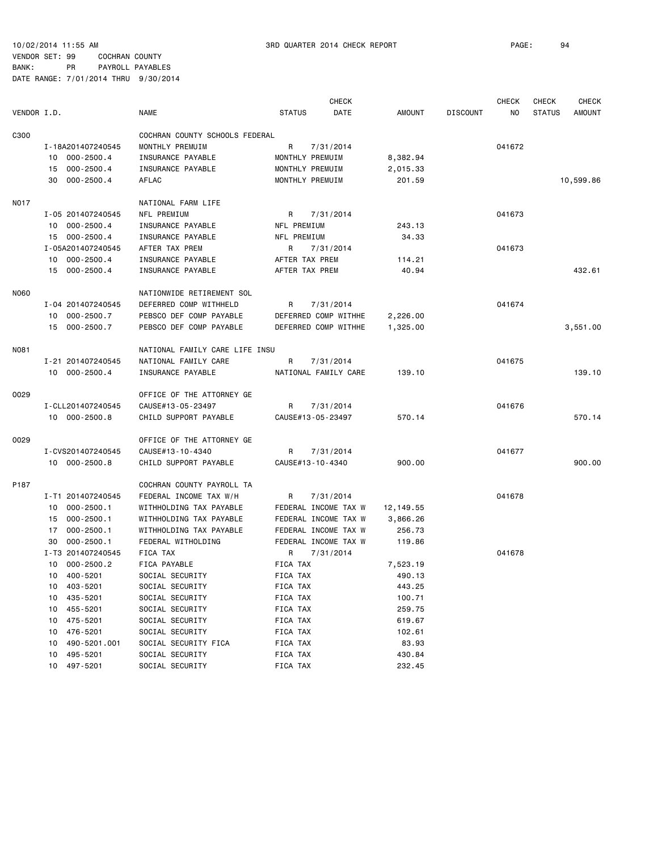10/02/2014 11:55 AM 3RD QUARTER 2014 CHECK REPORT PAGE: 94

VENDOR SET: 99 COCHRAN COUNTY BANK: PR PAYROLL PAYABLES DATE RANGE: 7/01/2014 THRU 9/30/2014

CHECK CHECK CHECK CHECK VENDOR I.D. NAME STATUS DATE AMOUNT DISCOUNT NO STATUS AMOUNT C300 COCHRAN COUNTY SCHOOLS FEDERAL I-18A201407240545 MONTHLY PREMUIM R 7/31/2014 041672 10 000-2500.4 INSURANCE PAYABLE MONTHLY PREMUIM 8,382.94 15 000-2500.4 INSURANCE PAYABLE MONTHLY PREMUIM 2,015.33 30 000-2500.4 AFLAC MONTHLY PREMUIM 201.59 10,599.86 NO17 NATIONAL FARM LIFE I-05 201407240545 NFL PREMIUM R 7/31/2014 041673 10 000-2500.4 INSURANCE PAYABLE NFL PREMIUM 243.13 15 000-2500.4 INSURANCE PAYABLE NFL PREMIUM 34.33 I-05A201407240545 AFTER TAX PREM R 7/31/2014 041673 10 000-2500.4 INSURANCE PAYABLE AFTER TAX PREM 114.21 15 000-2500.4 INSURANCE PAYABLE AFTER TAX PREM 40.94 432.61 N060 NATIONWIDE RETIREMENT SOL I-04 201407240545 DEFERRED COMP WITHHELD R 7/31/2014 041674 10 000-2500.7 PEBSCO DEF COMP PAYABLE DEFERRED COMP WITHHE 2,226.00 15 000-2500.7 PEBSCO DEF COMP PAYABLE DEFERRED COMP WITHHE 1,325.00 3,551.00 N081 NATIONAL FAMILY CARE LIFE INSU I-21 201407240545 NATIONAL FAMILY CARE R 7/31/2014 041675 10 000-2500.4 INSURANCE PAYABLE NATIONAL FAMILY CARE 139.10 139.10 O029 OFFICE OF THE ATTORNEY GE I-CLL201407240545 CAUSE#13-05-23497 R 7/31/2014 041676 10 000-2500.8 CHILD SUPPORT PAYABLE CAUSE#13-05-23497 570.14 570.14 O029 OFFICE OF THE ATTORNEY GE I-CVS201407240545 CAUSE#13-10-4340 R 7/31/2014 041677 10 000-2500.8 CHILD SUPPORT PAYABLE CAUSE#13-10-4340 900.00 900.00 P187 COCHRAN COUNTY PAYROLL TA I-T1 201407240545 FEDERAL INCOME TAX W/H R 7/31/2014 041678 10 000-2500.1 WITHHOLDING TAX PAYABLE FEDERAL INCOME TAX W 12,149.55 15 000-2500.1 WITHHOLDING TAX PAYABLE FEDERAL INCOME TAX W 3,866.26 17 000-2500.1 WITHHOLDING TAX PAYABLE FEDERAL INCOME TAX W 256.73 30 000-2500.1 FEDERAL WITHOLDING FEDERAL INCOME TAX W 119.86 I-T3 201407240545 FICA TAX R 7/31/2014 R 7/31/2014 041678 10 000-2500.2 FICA PAYABLE FICA TAX 7,523.19 10 400-5201 SOCIAL SECURITY FICA TAX 490.13 10 403-5201 SOCIAL SECURITY FICA TAX 443.25 10 435-5201 SOCIAL SECURITY FICA TAX 100.71 10 455-5201 SOCIAL SECURITY FICA TAX 259.75 10 475-5201 SOCIAL SECURITY FICA TAX 619.67 10 476-5201 SOCIAL SECURITY FICA TAX 102.61 10 490-5201.001 SOCIAL SECURITY FICA FICA TAX 83.93 10 495-5201 SOCIAL SECURITY FICA TAX 430.84 10 497-5201 SOCIAL SECURITY FICA TAX 232.45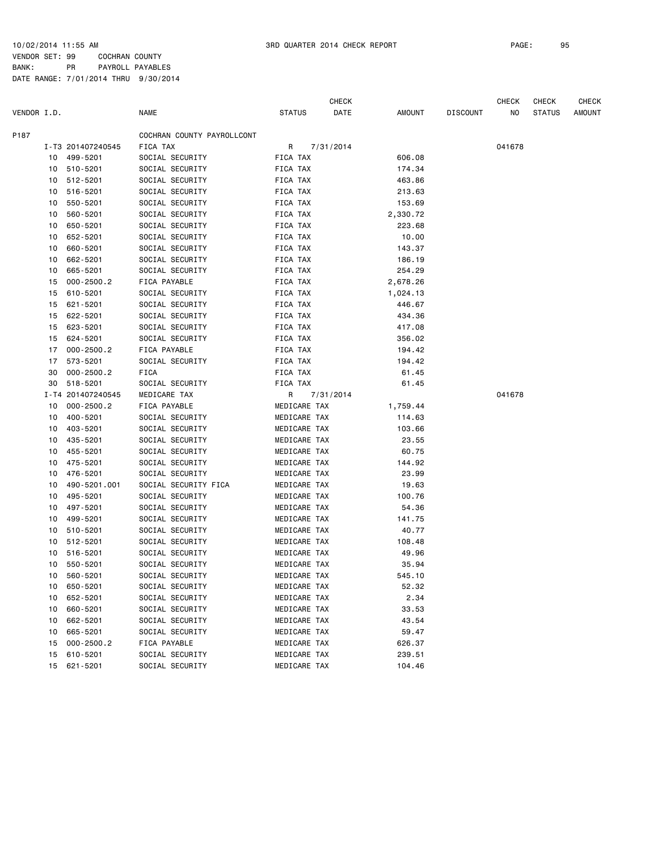VENDOR SET: 99 COCHRAN COUNTY BANK: PR PAYROLL PAYABLES DATE RANGE: 7/01/2014 THRU 9/30/2014

|             |    |                   |                            |               |              | CHECK     |          |                 | <b>CHECK</b> | <b>CHECK</b>  | <b>CHECK</b> |
|-------------|----|-------------------|----------------------------|---------------|--------------|-----------|----------|-----------------|--------------|---------------|--------------|
| VENDOR I.D. |    |                   | <b>NAME</b>                | <b>STATUS</b> |              | DATE      | AMOUNT   | <b>DISCOUNT</b> | ΝO           | <b>STATUS</b> | AMOUNT       |
| P187        |    |                   | COCHRAN COUNTY PAYROLLCONT |               |              |           |          |                 |              |               |              |
|             |    | I-T3 201407240545 | FICA TAX                   | R             |              | 7/31/2014 |          |                 | 041678       |               |              |
|             | 10 | 499-5201          | SOCIAL SECURITY            | FICA TAX      |              |           | 606.08   |                 |              |               |              |
|             | 10 | 510-5201          | SOCIAL SECURITY            | FICA TAX      |              |           | 174.34   |                 |              |               |              |
|             | 10 | 512-5201          | SOCIAL SECURITY            | FICA TAX      |              |           | 463.86   |                 |              |               |              |
|             | 10 | 516-5201          | SOCIAL SECURITY            | FICA TAX      |              |           | 213.63   |                 |              |               |              |
|             | 10 | 550-5201          | SOCIAL SECURITY            | FICA TAX      |              |           | 153.69   |                 |              |               |              |
|             | 10 | 560-5201          | SOCIAL SECURITY            | FICA TAX      |              |           | 2,330.72 |                 |              |               |              |
|             | 10 | 650-5201          | SOCIAL SECURITY            | FICA TAX      |              |           | 223.68   |                 |              |               |              |
|             | 10 | 652-5201          | SOCIAL SECURITY            | FICA TAX      |              |           | 10.00    |                 |              |               |              |
|             | 10 | 660-5201          | SOCIAL SECURITY            | FICA TAX      |              |           | 143.37   |                 |              |               |              |
|             | 10 | 662-5201          | SOCIAL SECURITY            | FICA TAX      |              |           | 186.19   |                 |              |               |              |
|             | 10 | 665-5201          | SOCIAL SECURITY            | FICA TAX      |              |           | 254.29   |                 |              |               |              |
|             | 15 | $000 - 2500.2$    | FICA PAYABLE               | FICA TAX      |              |           | 2,678.26 |                 |              |               |              |
|             | 15 | 610-5201          | SOCIAL SECURITY            | FICA TAX      |              |           | 1,024.13 |                 |              |               |              |
|             | 15 | 621-5201          | SOCIAL SECURITY            | FICA TAX      |              |           | 446.67   |                 |              |               |              |
|             | 15 | 622-5201          | SOCIAL SECURITY            | FICA TAX      |              |           | 434.36   |                 |              |               |              |
|             | 15 | 623-5201          | SOCIAL SECURITY            | FICA TAX      |              |           | 417.08   |                 |              |               |              |
|             | 15 | 624-5201          | SOCIAL SECURITY            | FICA TAX      |              |           | 356.02   |                 |              |               |              |
|             | 17 | $000 - 2500.2$    | FICA PAYABLE               | FICA TAX      |              |           | 194.42   |                 |              |               |              |
|             | 17 | 573-5201          | SOCIAL SECURITY            | FICA TAX      |              |           | 194.42   |                 |              |               |              |
|             | 30 | $000 - 2500.2$    | FICA                       | FICA TAX      |              |           | 61.45    |                 |              |               |              |
|             | 30 | 518-5201          | SOCIAL SECURITY            | FICA TAX      |              |           | 61.45    |                 |              |               |              |
|             |    | I-T4 201407240545 | MEDICARE TAX               | R.            |              | 7/31/2014 |          |                 | 041678       |               |              |
|             | 10 | $000 - 2500.2$    | FICA PAYABLE               |               | MEDICARE TAX |           | 1,759.44 |                 |              |               |              |
|             | 10 | 400-5201          | SOCIAL SECURITY            |               | MEDICARE TAX |           | 114.63   |                 |              |               |              |
|             | 10 | 403-5201          | SOCIAL SECURITY            |               | MEDICARE TAX |           | 103.66   |                 |              |               |              |
|             | 10 | 435-5201          | SOCIAL SECURITY            |               | MEDICARE TAX |           | 23.55    |                 |              |               |              |
|             | 10 | 455-5201          | SOCIAL SECURITY            |               | MEDICARE TAX |           | 60.75    |                 |              |               |              |
|             | 10 | 475-5201          | SOCIAL SECURITY            |               | MEDICARE TAX |           | 144.92   |                 |              |               |              |
|             | 10 | 476-5201          | SOCIAL SECURITY            |               | MEDICARE TAX |           | 23.99    |                 |              |               |              |
|             | 10 | 490-5201.001      | SOCIAL SECURITY FICA       |               | MEDICARE TAX |           | 19.63    |                 |              |               |              |
|             | 10 | 495-5201          | SOCIAL SECURITY            |               | MEDICARE TAX |           | 100.76   |                 |              |               |              |
|             | 10 | 497-5201          | SOCIAL SECURITY            |               | MEDICARE TAX |           | 54.36    |                 |              |               |              |
|             | 10 | 499-5201          | SOCIAL SECURITY            |               | MEDICARE TAX |           | 141.75   |                 |              |               |              |
|             | 10 | 510-5201          | SOCIAL SECURITY            |               | MEDICARE TAX |           | 40.77    |                 |              |               |              |
|             | 10 | 512-5201          | SOCIAL SECURITY            |               | MEDICARE TAX |           | 108.48   |                 |              |               |              |
|             | 10 | 516-5201          | SOCIAL SECURITY            |               | MEDICARE TAX |           | 49.96    |                 |              |               |              |
|             | 10 | 550-5201          | SOCIAL SECURITY            |               | MEDICARE TAX |           | 35.94    |                 |              |               |              |
|             |    | 10 560-5201       | SOCIAL SECURITY            |               | MEDICARE TAX |           | 545.10   |                 |              |               |              |
|             | 10 | 650-5201          | SOCIAL SECURITY            |               | MEDICARE TAX |           | 52.32    |                 |              |               |              |
|             | 10 | 652-5201          | SOCIAL SECURITY            |               | MEDICARE TAX |           | 2.34     |                 |              |               |              |
|             | 10 | 660-5201          | SOCIAL SECURITY            |               | MEDICARE TAX |           | 33.53    |                 |              |               |              |
|             | 10 | 662-5201          | SOCIAL SECURITY            |               | MEDICARE TAX |           | 43.54    |                 |              |               |              |
|             | 10 | 665-5201          | SOCIAL SECURITY            |               | MEDICARE TAX |           | 59.47    |                 |              |               |              |
|             | 15 | $000 - 2500.2$    | FICA PAYABLE               |               | MEDICARE TAX |           | 626.37   |                 |              |               |              |
|             | 15 | 610-5201          | SOCIAL SECURITY            |               | MEDICARE TAX |           | 239.51   |                 |              |               |              |
|             | 15 | 621-5201          | SOCIAL SECURITY            |               | MEDICARE TAX |           | 104.46   |                 |              |               |              |
|             |    |                   |                            |               |              |           |          |                 |              |               |              |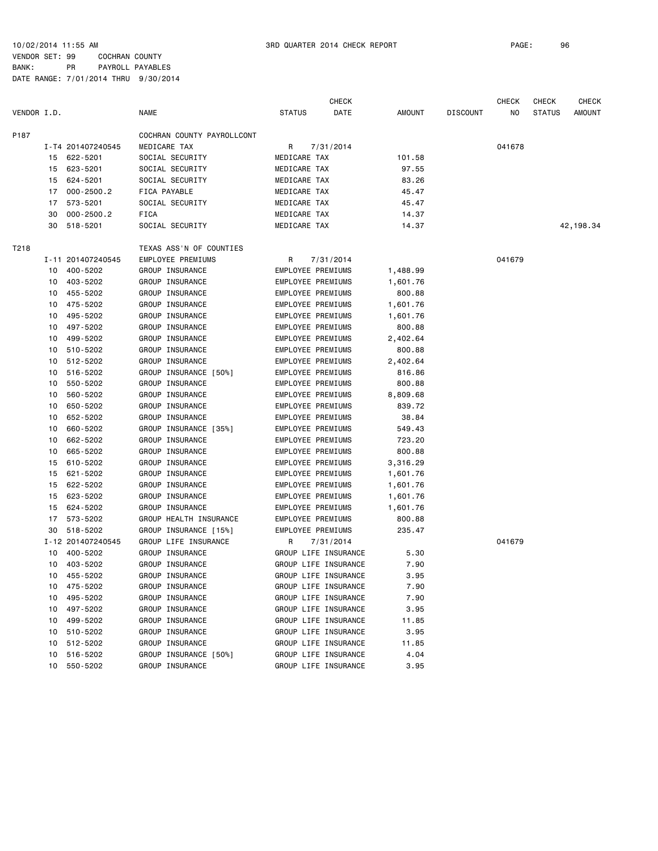VENDOR SET: 99 COCHRAN COUNTY BANK: PR PAYROLL PAYABLES

|             |    |                   |                            |                          | <b>CHECK</b>         |               |                 | <b>CHECK</b> | <b>CHECK</b>  | <b>CHECK</b>  |
|-------------|----|-------------------|----------------------------|--------------------------|----------------------|---------------|-----------------|--------------|---------------|---------------|
| VENDOR I.D. |    |                   | <b>NAME</b>                | <b>STATUS</b>            | DATE                 | <b>AMOUNT</b> | <b>DISCOUNT</b> | NO           | <b>STATUS</b> | <b>AMOUNT</b> |
| P187        |    |                   | COCHRAN COUNTY PAYROLLCONT |                          |                      |               |                 |              |               |               |
|             |    | I-T4 201407240545 | MEDICARE TAX               | R                        | 7/31/2014            |               |                 | 041678       |               |               |
|             |    | 15 622-5201       | SOCIAL SECURITY            | MEDICARE TAX             |                      | 101.58        |                 |              |               |               |
|             | 15 | 623-5201          | SOCIAL SECURITY            | MEDICARE TAX             |                      | 97.55         |                 |              |               |               |
|             | 15 | 624-5201          | SOCIAL SECURITY            | MEDICARE TAX             |                      | 83.26         |                 |              |               |               |
|             | 17 | $000 - 2500.2$    | FICA PAYABLE               | MEDICARE TAX             |                      | 45.47         |                 |              |               |               |
|             | 17 | 573-5201          | SOCIAL SECURITY            | MEDICARE TAX             |                      | 45.47         |                 |              |               |               |
|             | 30 | $000 - 2500.2$    | FICA                       | MEDICARE TAX             |                      | 14.37         |                 |              |               |               |
|             | 30 | 518-5201          | SOCIAL SECURITY            | MEDICARE TAX             |                      | 14.37         |                 |              |               | 42, 198.34    |
| T218        |    |                   | TEXAS ASS'N OF COUNTIES    |                          |                      |               |                 |              |               |               |
|             |    | I-11 201407240545 | EMPLOYEE PREMIUMS          | R                        | 7/31/2014            |               |                 | 041679       |               |               |
|             | 10 | 400-5202          | GROUP INSURANCE            | EMPLOYEE PREMIUMS        |                      | 1,488.99      |                 |              |               |               |
|             | 10 | 403-5202          | GROUP INSURANCE            | EMPLOYEE PREMIUMS        |                      | 1,601.76      |                 |              |               |               |
|             |    | 10 455-5202       | GROUP INSURANCE            | EMPLOYEE PREMIUMS        |                      | 800.88        |                 |              |               |               |
|             | 10 | 475-5202          | GROUP INSURANCE            | EMPLOYEE PREMIUMS        |                      | 1,601.76      |                 |              |               |               |
|             | 10 | 495-5202          | GROUP INSURANCE            | EMPLOYEE PREMIUMS        |                      | 1,601.76      |                 |              |               |               |
|             | 10 | 497-5202          | GROUP INSURANCE            | EMPLOYEE PREMIUMS        |                      | 800.88        |                 |              |               |               |
|             | 10 | 499-5202          | GROUP INSURANCE            | <b>EMPLOYEE PREMIUMS</b> |                      | 2,402.64      |                 |              |               |               |
|             | 10 | 510-5202          | GROUP INSURANCE            | EMPLOYEE PREMIUMS        |                      | 800.88        |                 |              |               |               |
|             | 10 | 512-5202          | GROUP INSURANCE            | EMPLOYEE PREMIUMS        |                      | 2,402.64      |                 |              |               |               |
|             | 10 | 516-5202          | GROUP INSURANCE [50%]      | EMPLOYEE PREMIUMS        |                      | 816.86        |                 |              |               |               |
|             | 10 | 550-5202          | GROUP INSURANCE            | EMPLOYEE PREMIUMS        |                      | 800.88        |                 |              |               |               |
|             | 10 | 560-5202          | GROUP INSURANCE            | EMPLOYEE PREMIUMS        |                      | 8,809.68      |                 |              |               |               |
|             | 10 | 650-5202          | GROUP INSURANCE            | EMPLOYEE PREMIUMS        |                      | 839.72        |                 |              |               |               |
|             | 10 | 652-5202          | GROUP INSURANCE            | EMPLOYEE PREMIUMS        |                      | 38.84         |                 |              |               |               |
|             | 10 | 660-5202          | GROUP INSURANCE [35%]      | EMPLOYEE PREMIUMS        |                      | 549.43        |                 |              |               |               |
|             |    | 662-5202          | GROUP INSURANCE            | EMPLOYEE PREMIUMS        |                      | 723.20        |                 |              |               |               |
|             | 10 |                   |                            | EMPLOYEE PREMIUMS        |                      |               |                 |              |               |               |
|             | 10 | 665-5202          | GROUP INSURANCE            |                          |                      | 800.88        |                 |              |               |               |
|             | 15 | 610-5202          | GROUP INSURANCE            | EMPLOYEE PREMIUMS        |                      | 3,316.29      |                 |              |               |               |
|             | 15 | 621-5202          | GROUP INSURANCE            | EMPLOYEE PREMIUMS        |                      | 1,601.76      |                 |              |               |               |
|             | 15 | 622-5202          | GROUP INSURANCE            | EMPLOYEE PREMIUMS        |                      | 1,601.76      |                 |              |               |               |
|             | 15 | 623-5202          | GROUP INSURANCE            | EMPLOYEE PREMIUMS        |                      | 1,601.76      |                 |              |               |               |
|             | 15 | 624-5202          | GROUP INSURANCE            | EMPLOYEE PREMIUMS        |                      | 1,601.76      |                 |              |               |               |
|             | 17 | 573-5202          | GROUP HEALTH INSURANCE     | EMPLOYEE PREMIUMS        |                      | 800.88        |                 |              |               |               |
|             | 30 | 518-5202          | GROUP INSURANCE [15%]      | EMPLOYEE PREMIUMS        |                      | 235.47        |                 |              |               |               |
|             |    | I-12 201407240545 | GROUP LIFE INSURANCE       | R                        | 7/31/2014            |               |                 | 041679       |               |               |
|             | 10 | 400-5202          | GROUP INSURANCE            |                          | GROUP LIFE INSURANCE | 5.30          |                 |              |               |               |
|             |    | 10 403-5202       | GROUP INSURANCE            |                          | GROUP LIFE INSURANCE | 7.90          |                 |              |               |               |
|             |    | 10 455-5202       | GROUP INSURANCE            |                          | GROUP LIFE INSURANCE | 3.95          |                 |              |               |               |
|             |    | 10 475-5202       | GROUP INSURANCE            |                          | GROUP LIFE INSURANCE | 7.90          |                 |              |               |               |
|             | 10 | 495-5202          | GROUP INSURANCE            |                          | GROUP LIFE INSURANCE | 7.90          |                 |              |               |               |
|             |    | 10 497-5202       | GROUP INSURANCE            |                          | GROUP LIFE INSURANCE | 3.95          |                 |              |               |               |
|             |    | 10 499-5202       | GROUP INSURANCE            |                          | GROUP LIFE INSURANCE | 11.85         |                 |              |               |               |
|             |    | 10 510-5202       | GROUP INSURANCE            |                          | GROUP LIFE INSURANCE | 3.95          |                 |              |               |               |
|             |    | 10 512-5202       | GROUP INSURANCE            |                          | GROUP LIFE INSURANCE | 11.85         |                 |              |               |               |
|             |    | 10 516-5202       | GROUP INSURANCE [50%]      |                          | GROUP LIFE INSURANCE | 4.04          |                 |              |               |               |
|             | 10 | 550-5202          | GROUP INSURANCE            |                          | GROUP LIFE INSURANCE | 3.95          |                 |              |               |               |
|             |    |                   |                            |                          |                      |               |                 |              |               |               |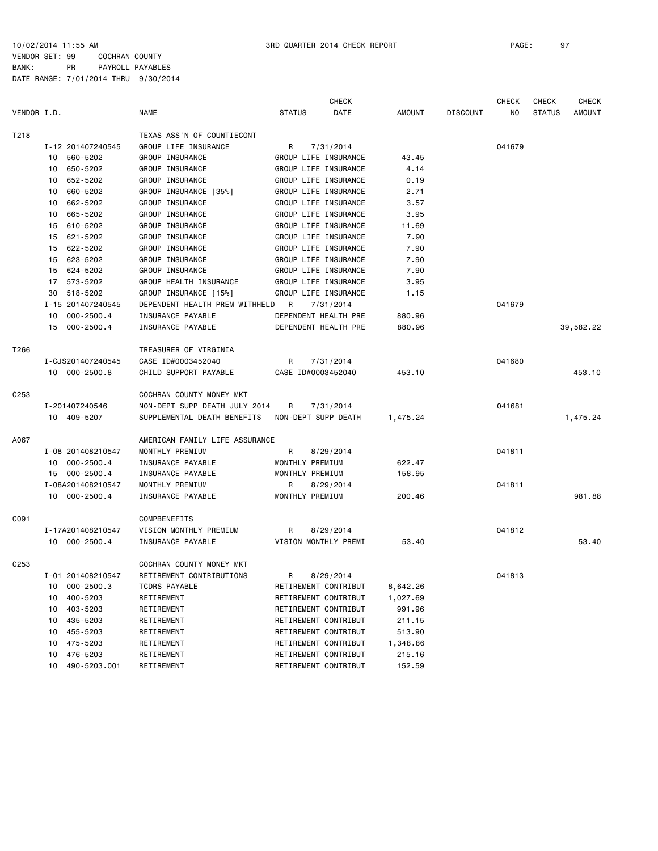VENDOR SET: 99 COCHRAN COUNTY BANK: PR PAYROLL PAYABLES DATE RANGE: 7/01/2014 THRU 9/30/2014

|                  |                    |                                |                     | <b>CHECK</b>         |               |                 | <b>CHECK</b> | <b>CHECK</b>  | <b>CHECK</b> |
|------------------|--------------------|--------------------------------|---------------------|----------------------|---------------|-----------------|--------------|---------------|--------------|
| VENDOR I.D.      |                    | <b>NAME</b>                    | <b>STATUS</b>       | DATE                 | <b>AMOUNT</b> | <b>DISCOUNT</b> | NO           | <b>STATUS</b> | AMOUNT       |
| T218             |                    | TEXAS ASS'N OF COUNTIECONT     |                     |                      |               |                 |              |               |              |
|                  | I-12 201407240545  | GROUP LIFE INSURANCE           | R                   | 7/31/2014            |               |                 | 041679       |               |              |
|                  | 10 560-5202        | GROUP INSURANCE                |                     | GROUP LIFE INSURANCE | 43.45         |                 |              |               |              |
|                  | 650-5202<br>10     | GROUP INSURANCE                |                     | GROUP LIFE INSURANCE | 4.14          |                 |              |               |              |
|                  | 652-5202<br>10     | GROUP INSURANCE                |                     | GROUP LIFE INSURANCE | 0.19          |                 |              |               |              |
|                  | 660-5202<br>10     | GROUP INSURANCE [35%]          |                     | GROUP LIFE INSURANCE | 2.71          |                 |              |               |              |
|                  | 10 662-5202        | GROUP INSURANCE                |                     | GROUP LIFE INSURANCE | 3.57          |                 |              |               |              |
|                  | 665-5202<br>10     | <b>GROUP INSURANCE</b>         |                     | GROUP LIFE INSURANCE | 3.95          |                 |              |               |              |
|                  | 15 610-5202        | GROUP INSURANCE                |                     | GROUP LIFE INSURANCE | 11.69         |                 |              |               |              |
|                  | 621-5202<br>15     | GROUP INSURANCE                |                     | GROUP LIFE INSURANCE | 7.90          |                 |              |               |              |
|                  | 622-5202<br>15     | GROUP INSURANCE                |                     | GROUP LIFE INSURANCE | 7.90          |                 |              |               |              |
|                  | 623-5202<br>15     | GROUP INSURANCE                |                     | GROUP LIFE INSURANCE | 7.90          |                 |              |               |              |
|                  | 15 624-5202        | GROUP INSURANCE                |                     | GROUP LIFE INSURANCE | 7.90          |                 |              |               |              |
|                  | 17 573-5202        | GROUP HEALTH INSURANCE         |                     | GROUP LIFE INSURANCE | 3.95          |                 |              |               |              |
|                  | 30 518-5202        | GROUP INSURANCE [15%]          |                     | GROUP LIFE INSURANCE | 1.15          |                 |              |               |              |
|                  | I-15 201407240545  | DEPENDENT HEALTH PREM WITHHELD | <b>R</b>            | 7/31/2014            |               |                 | 041679       |               |              |
|                  | 10 000-2500.4      | INSURANCE PAYABLE              |                     | DEPENDENT HEALTH PRE | 880.96        |                 |              |               |              |
|                  | 15 000-2500.4      | INSURANCE PAYABLE              |                     | DEPENDENT HEALTH PRE | 880.96        |                 |              |               | 39,582.22    |
| T266             |                    | TREASURER OF VIRGINIA          |                     |                      |               |                 |              |               |              |
|                  | I-CJS201407240545  | CASE ID#0003452040             | R                   | 7/31/2014            |               |                 | 041680       |               |              |
|                  | 10 000-2500.8      | CHILD SUPPORT PAYABLE          | CASE ID#0003452040  |                      | 453.10        |                 |              |               | 453.10       |
| C <sub>253</sub> |                    | COCHRAN COUNTY MONEY MKT       |                     |                      |               |                 |              |               |              |
|                  | I-201407240546     | NON-DEPT SUPP DEATH JULY 2014  | R                   | 7/31/2014            |               |                 | 041681       |               |              |
|                  | 10 409-5207        | SUPPLEMENTAL DEATH BENEFITS    | NON-DEPT SUPP DEATH |                      | 1,475.24      |                 |              |               | 1,475.24     |
| A067             |                    | AMERICAN FAMILY LIFE ASSURANCE |                     |                      |               |                 |              |               |              |
|                  | I-08 201408210547  | MONTHLY PREMIUM                | R                   | 8/29/2014            |               |                 | 041811       |               |              |
|                  | 10 000-2500.4      | INSURANCE PAYABLE              | MONTHLY PREMIUM     |                      | 622.47        |                 |              |               |              |
|                  | 15 000-2500.4      | INSURANCE PAYABLE              | MONTHLY PREMIUM     |                      | 158.95        |                 |              |               |              |
|                  | I-08A201408210547  | MONTHLY PREMIUM                | R                   | 8/29/2014            |               |                 | 041811       |               |              |
|                  | 10 000-2500.4      | INSURANCE PAYABLE              | MONTHLY PREMIUM     |                      | 200.46        |                 |              |               | 981.88       |
| C091             |                    | COMPBENEFITS                   |                     |                      |               |                 |              |               |              |
|                  | I-17A201408210547  | VISION MONTHLY PREMIUM         | R                   | 8/29/2014            |               |                 | 041812       |               |              |
|                  | 10 000-2500.4      | INSURANCE PAYABLE              |                     | VISION MONTHLY PREMI | 53.40         |                 |              |               | 53.40        |
| C <sub>253</sub> |                    | COCHRAN COUNTY MONEY MKT       |                     |                      |               |                 |              |               |              |
|                  | I-01 201408210547  | RETIREMENT CONTRIBUTIONS       | R                   | 8/29/2014            |               |                 | 041813       |               |              |
|                  | 10 000-2500.3      | TCDRS PAYABLE                  |                     | RETIREMENT CONTRIBUT | 8,642.26      |                 |              |               |              |
|                  | 400-5203<br>10     | RETIREMENT                     |                     | RETIREMENT CONTRIBUT | 1,027.69      |                 |              |               |              |
|                  | 403-5203<br>10     | RETIREMENT                     |                     | RETIREMENT CONTRIBUT | 991.96        |                 |              |               |              |
|                  | 435-5203<br>10     | RETIREMENT                     |                     | RETIREMENT CONTRIBUT | 211.15        |                 |              |               |              |
|                  | 10 455-5203        | RETIREMENT                     |                     | RETIREMENT CONTRIBUT | 513.90        |                 |              |               |              |
|                  | 475-5203<br>10     | RETIREMENT                     |                     | RETIREMENT CONTRIBUT | 1,348.86      |                 |              |               |              |
|                  | 10 476-5203        | RETIREMENT                     |                     | RETIREMENT CONTRIBUT | 215.16        |                 |              |               |              |
|                  | 10<br>490-5203.001 | RETIREMENT                     |                     | RETIREMENT CONTRIBUT | 152.59        |                 |              |               |              |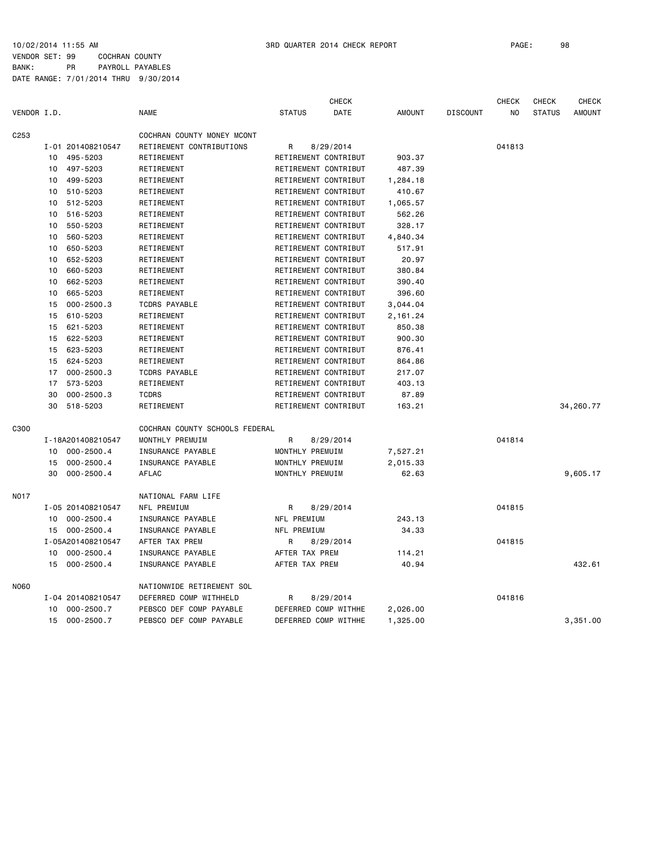VENDOR SET: 99 COCHRAN COUNTY BANK: PR PAYROLL PAYABLES DATE RANGE: 7/01/2014 THRU 9/30/2014

|             |    |                   |                                |                 | <b>CHECK</b>         |               |                 | <b>CHECK</b> | <b>CHECK</b>  | <b>CHECK</b>  |
|-------------|----|-------------------|--------------------------------|-----------------|----------------------|---------------|-----------------|--------------|---------------|---------------|
| VENDOR I.D. |    |                   | <b>NAME</b>                    | <b>STATUS</b>   | DATE                 | <b>AMOUNT</b> | <b>DISCOUNT</b> | NO           | <b>STATUS</b> | <b>AMOUNT</b> |
| C253        |    |                   | COCHRAN COUNTY MONEY MCONT     |                 |                      |               |                 |              |               |               |
|             |    | I-01 201408210547 | RETIREMENT CONTRIBUTIONS       | R               | 8/29/2014            |               |                 | 041813       |               |               |
|             | 10 | 495-5203          | RETIREMENT                     |                 | RETIREMENT CONTRIBUT | 903.37        |                 |              |               |               |
|             | 10 | 497-5203          | RETIREMENT                     |                 | RETIREMENT CONTRIBUT | 487.39        |                 |              |               |               |
|             | 10 | 499-5203          | RETIREMENT                     |                 | RETIREMENT CONTRIBUT | 1,284.18      |                 |              |               |               |
|             | 10 | 510-5203          | RETIREMENT                     |                 | RETIREMENT CONTRIBUT | 410.67        |                 |              |               |               |
|             | 10 | 512-5203          | RETIREMENT                     |                 | RETIREMENT CONTRIBUT | 1,065.57      |                 |              |               |               |
|             | 10 | 516-5203          | RETIREMENT                     |                 | RETIREMENT CONTRIBUT | 562.26        |                 |              |               |               |
|             | 10 | 550-5203          | RETIREMENT                     |                 | RETIREMENT CONTRIBUT | 328.17        |                 |              |               |               |
|             | 10 | 560-5203          | RETIREMENT                     |                 | RETIREMENT CONTRIBUT | 4,840.34      |                 |              |               |               |
|             | 10 | 650-5203          | RETIREMENT                     |                 | RETIREMENT CONTRIBUT | 517.91        |                 |              |               |               |
|             | 10 | 652-5203          | RETIREMENT                     |                 | RETIREMENT CONTRIBUT | 20.97         |                 |              |               |               |
|             | 10 | 660-5203          | RETIREMENT                     |                 | RETIREMENT CONTRIBUT | 380.84        |                 |              |               |               |
|             | 10 | 662-5203          | RETIREMENT                     |                 | RETIREMENT CONTRIBUT | 390.40        |                 |              |               |               |
|             | 10 | 665-5203          | RETIREMENT                     |                 | RETIREMENT CONTRIBUT | 396.60        |                 |              |               |               |
|             | 15 | $000 - 2500.3$    | <b>TCDRS PAYABLE</b>           |                 | RETIREMENT CONTRIBUT | 3,044.04      |                 |              |               |               |
|             | 15 | 610-5203          | RETIREMENT                     |                 | RETIREMENT CONTRIBUT | 2,161.24      |                 |              |               |               |
|             | 15 | 621-5203          | RETIREMENT                     |                 | RETIREMENT CONTRIBUT | 850.38        |                 |              |               |               |
|             | 15 | 622-5203          | RETIREMENT                     |                 | RETIREMENT CONTRIBUT | 900.30        |                 |              |               |               |
|             | 15 | 623-5203          | RETIREMENT                     |                 | RETIREMENT CONTRIBUT | 876.41        |                 |              |               |               |
|             | 15 | 624-5203          | RETIREMENT                     |                 | RETIREMENT CONTRIBUT | 864.86        |                 |              |               |               |
|             | 17 | $000 - 2500.3$    | <b>TCDRS PAYABLE</b>           |                 | RETIREMENT CONTRIBUT | 217.07        |                 |              |               |               |
|             | 17 | 573-5203          | RETIREMENT                     |                 | RETIREMENT CONTRIBUT | 403.13        |                 |              |               |               |
|             | 30 | $000 - 2500.3$    | <b>TCDRS</b>                   |                 | RETIREMENT CONTRIBUT | 87.89         |                 |              |               |               |
|             | 30 | 518-5203          | RETIREMENT                     |                 | RETIREMENT CONTRIBUT | 163.21        |                 |              |               | 34,260.77     |
| C300        |    |                   | COCHRAN COUNTY SCHOOLS FEDERAL |                 |                      |               |                 |              |               |               |
|             |    | I-18A201408210547 | MONTHLY PREMUIM                | R               | 8/29/2014            |               |                 | 041814       |               |               |
|             | 10 | $000 - 2500.4$    | INSURANCE PAYABLE              | MONTHLY PREMUIM |                      | 7,527.21      |                 |              |               |               |
|             | 15 | $000 - 2500.4$    | INSURANCE PAYABLE              | MONTHLY PREMUIM |                      | 2,015.33      |                 |              |               |               |
|             | 30 | $000 - 2500.4$    | <b>AFLAC</b>                   | MONTHLY PREMUIM |                      | 62.63         |                 |              |               | 9,605.17      |
| NO17        |    |                   | NATIONAL FARM LIFE             |                 |                      |               |                 |              |               |               |
|             |    | I-05 201408210547 | NFL PREMIUM                    | R               | 8/29/2014            |               |                 | 041815       |               |               |
|             | 10 | $000 - 2500.4$    | INSURANCE PAYABLE              | NFL PREMIUM     |                      | 243.13        |                 |              |               |               |
|             | 15 | 000-2500.4        | <b>INSURANCE PAYABLE</b>       | NFL PREMIUM     |                      | 34.33         |                 |              |               |               |
|             |    | I-05A201408210547 | AFTER TAX PREM                 | R               | 8/29/2014            |               |                 | 041815       |               |               |
|             | 10 | $000 - 2500.4$    | INSURANCE PAYABLE              | AFTER TAX PREM  |                      | 114.21        |                 |              |               |               |
|             | 15 | $000 - 2500.4$    | INSURANCE PAYABLE              | AFTER TAX PREM  |                      | 40.94         |                 |              |               | 432.61        |
| N060        |    |                   | NATIONWIDE RETIREMENT SOL      |                 |                      |               |                 |              |               |               |
|             |    | I-04 201408210547 | DEFERRED COMP WITHHELD         | R               | 8/29/2014            |               |                 | 041816       |               |               |
|             | 10 | $000 - 2500.7$    | PEBSCO DEF COMP PAYABLE        |                 | DEFERRED COMP WITHHE | 2,026.00      |                 |              |               |               |
|             | 15 | 000-2500.7        | PEBSCO DEF COMP PAYABLE        |                 | DEFERRED COMP WITHHE | 1,325.00      |                 |              |               | 3,351.00      |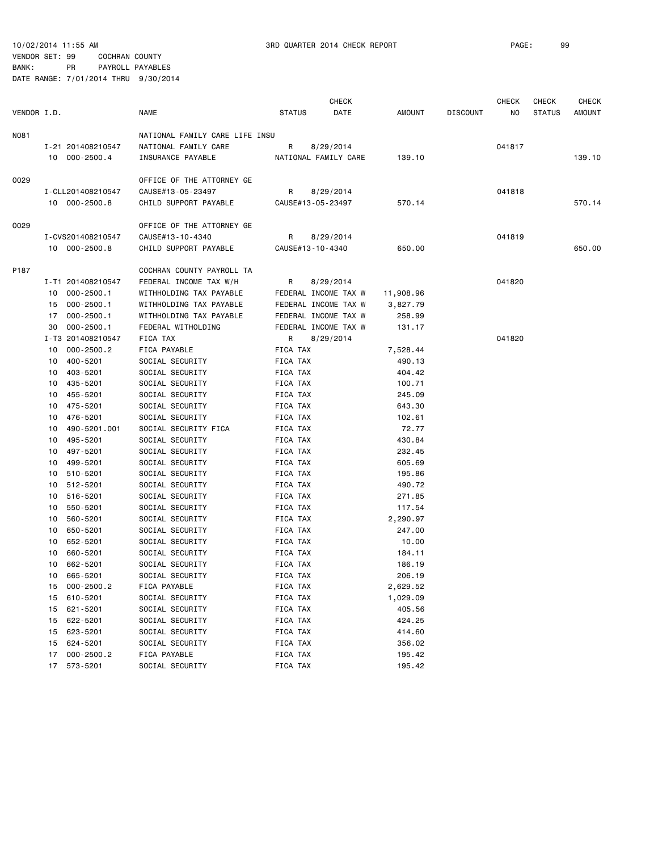VENDOR SET: 99 COCHRAN COUNTY BANK: PR PAYROLL PAYABLES

|             |          |                                  |                                               |               | <b>CHECK</b>                                 |                  |                 | <b>CHECK</b> | CHECK         | <b>CHECK</b> |
|-------------|----------|----------------------------------|-----------------------------------------------|---------------|----------------------------------------------|------------------|-----------------|--------------|---------------|--------------|
| VENDOR I.D. |          |                                  | <b>NAME</b>                                   | <b>STATUS</b> | DATE                                         | AMOUNT           | <b>DISCOUNT</b> | NO.          | <b>STATUS</b> | AMOUNT       |
| N081        |          |                                  | NATIONAL FAMILY CARE LIFE INSU                |               |                                              |                  |                 |              |               |              |
|             |          | I-21 201408210547                | NATIONAL FAMILY CARE                          | R             | 8/29/2014                                    |                  |                 | 041817       |               |              |
|             |          | 10 000-2500.4                    | INSURANCE PAYABLE                             |               | NATIONAL FAMILY CARE                         | 139.10           |                 |              |               | 139.10       |
|             |          |                                  |                                               |               |                                              |                  |                 |              |               |              |
| 0029        |          |                                  | OFFICE OF THE ATTORNEY GE                     |               |                                              |                  |                 |              |               |              |
|             |          | I-CLL201408210547                | CAUSE#13-05-23497                             | R             | 8/29/2014                                    |                  |                 | 041818       |               |              |
|             |          | 10 000-2500.8                    | CHILD SUPPORT PAYABLE                         |               | CAUSE#13-05-23497                            | 570.14           |                 |              |               | 570.14       |
| 0029        |          |                                  | OFFICE OF THE ATTORNEY GE                     |               |                                              |                  |                 |              |               |              |
|             |          | I-CVS201408210547                | CAUSE#13-10-4340                              | R             | 8/29/2014                                    |                  |                 | 041819       |               |              |
|             |          | 10 000-2500.8                    | CHILD SUPPORT PAYABLE                         |               | CAUSE#13-10-4340                             | 650.00           |                 |              |               | 650.00       |
|             |          |                                  |                                               |               |                                              |                  |                 |              |               |              |
| P187        |          |                                  | COCHRAN COUNTY PAYROLL TA                     |               |                                              |                  |                 |              |               |              |
|             |          | I-T1 201408210547                | FEDERAL INCOME TAX W/H                        | R             | 8/29/2014                                    |                  |                 | 041820       |               |              |
|             |          | 10 000-2500.1                    | WITHHOLDING TAX PAYABLE                       |               | FEDERAL INCOME TAX W                         | 11,908.96        |                 |              |               |              |
|             | 15       | 000-2500.1                       | WITHHOLDING TAX PAYABLE                       |               | FEDERAL INCOME TAX W                         | 3,827.79         |                 |              |               |              |
|             | 17<br>30 | $000 - 2500.1$<br>$000 - 2500.1$ | WITHHOLDING TAX PAYABLE<br>FEDERAL WITHOLDING |               | FEDERAL INCOME TAX W<br>FEDERAL INCOME TAX W | 258.99<br>131.17 |                 |              |               |              |
|             |          | I-T3 201408210547                | FICA TAX                                      | R             | 8/29/2014                                    |                  |                 | 041820       |               |              |
|             | 10       | $000 - 2500.2$                   | FICA PAYABLE                                  | FICA TAX      |                                              | 7,528.44         |                 |              |               |              |
|             | 10       | 400-5201                         | SOCIAL SECURITY                               | FICA TAX      |                                              | 490.13           |                 |              |               |              |
|             | 10       | 403-5201                         | SOCIAL SECURITY                               | FICA TAX      |                                              | 404.42           |                 |              |               |              |
|             | 10       | 435-5201                         | SOCIAL SECURITY                               | FICA TAX      |                                              | 100.71           |                 |              |               |              |
|             | 10       | 455-5201                         | SOCIAL SECURITY                               | FICA TAX      |                                              | 245.09           |                 |              |               |              |
|             | 10       | 475-5201                         | SOCIAL SECURITY                               | FICA TAX      |                                              | 643.30           |                 |              |               |              |
|             | 10       | 476-5201                         | SOCIAL SECURITY                               | FICA TAX      |                                              | 102.61           |                 |              |               |              |
|             | 10       | 490-5201.001                     | SOCIAL SECURITY FICA                          | FICA TAX      |                                              | 72.77            |                 |              |               |              |
|             | 10       | 495-5201                         | SOCIAL SECURITY                               | FICA TAX      |                                              | 430.84           |                 |              |               |              |
|             | 10       | 497-5201                         | SOCIAL SECURITY                               | FICA TAX      |                                              | 232.45           |                 |              |               |              |
|             | 10       | 499-5201                         | SOCIAL SECURITY                               | FICA TAX      |                                              | 605.69           |                 |              |               |              |
|             | 10       | 510-5201                         | SOCIAL SECURITY                               | FICA TAX      |                                              | 195.86           |                 |              |               |              |
|             | 10       | 512-5201                         | SOCIAL SECURITY                               | FICA TAX      |                                              | 490.72           |                 |              |               |              |
|             | 10       | 516-5201                         | SOCIAL SECURITY                               | FICA TAX      |                                              | 271.85           |                 |              |               |              |
|             | 10       | 550-5201                         | SOCIAL SECURITY                               | FICA TAX      |                                              | 117.54           |                 |              |               |              |
|             | 10       | 560-5201                         | SOCIAL SECURITY                               | FICA TAX      |                                              | 2,290.97         |                 |              |               |              |
|             | 10       | 650-5201                         | SOCIAL SECURITY                               | FICA TAX      |                                              | 247.00           |                 |              |               |              |
|             | 10       | 652-5201                         | SOCIAL SECURITY                               | FICA TAX      |                                              | 10.00            |                 |              |               |              |
|             | 10       | 660-5201                         | SOCIAL SECURITY                               | FICA TAX      |                                              | 184.11           |                 |              |               |              |
|             | 10       | 662-5201                         | SOCIAL SECURITY                               | FICA TAX      |                                              | 186.19           |                 |              |               |              |
|             | 10       | 665-5201                         | SOCIAL SECURITY                               | FICA TAX      |                                              | 206.19           |                 |              |               |              |
|             | 15       | 000-2500.2                       | FICA PAYABLE                                  | FICA TAX      |                                              | 2,629.52         |                 |              |               |              |
|             | 15       | 610-5201                         | SOCIAL SECURITY                               | FICA TAX      |                                              | 1,029.09         |                 |              |               |              |
|             | 15       | 621-5201                         | SOCIAL SECURITY                               | FICA TAX      |                                              | 405.56           |                 |              |               |              |
|             | 15       | 622-5201                         | SOCIAL SECURITY                               | FICA TAX      |                                              | 424.25           |                 |              |               |              |
|             | 15       | 623-5201                         | SOCIAL SECURITY                               | FICA TAX      |                                              | 414.60           |                 |              |               |              |
|             | 15       | 624-5201                         | SOCIAL SECURITY                               | FICA TAX      |                                              | 356.02           |                 |              |               |              |
|             | 17       | 000-2500.2                       | FICA PAYABLE                                  | FICA TAX      |                                              | 195.42           |                 |              |               |              |
|             | 17       | 573-5201                         | SOCIAL SECURITY                               | FICA TAX      |                                              | 195.42           |                 |              |               |              |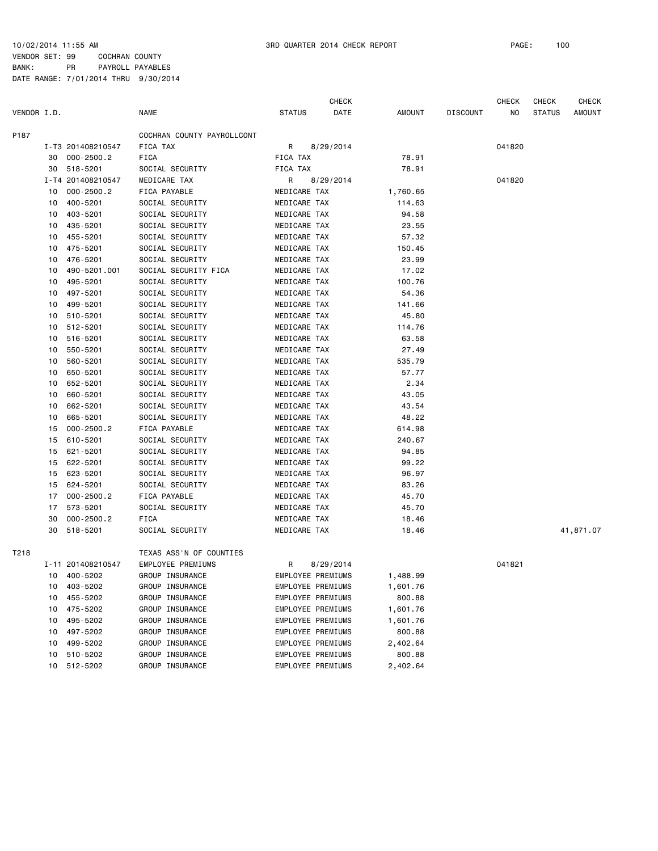VENDOR SET: 99 COCHRAN COUNTY BANK: PR PAYROLL PAYABLES

|             |    |                   |                            |                   | <b>CHECK</b> |          |                 | <b>CHECK</b> | <b>CHECK</b>  | <b>CHECK</b>  |
|-------------|----|-------------------|----------------------------|-------------------|--------------|----------|-----------------|--------------|---------------|---------------|
| VENDOR I.D. |    |                   | <b>NAME</b>                | <b>STATUS</b>     | DATE         | AMOUNT   | <b>DISCOUNT</b> | NO.          | <b>STATUS</b> | <b>AMOUNT</b> |
| P187        |    |                   | COCHRAN COUNTY PAYROLLCONT |                   |              |          |                 |              |               |               |
|             |    | I-T3 201408210547 | FICA TAX                   | R                 | 8/29/2014    |          |                 | 041820       |               |               |
|             | 30 | $000 - 2500.2$    | FICA                       | FICA TAX          |              | 78.91    |                 |              |               |               |
|             | 30 | 518-5201          | SOCIAL SECURITY            | FICA TAX          |              | 78.91    |                 |              |               |               |
|             |    | I-T4 201408210547 | MEDICARE TAX               | R                 | 8/29/2014    |          |                 | 041820       |               |               |
|             | 10 | $000 - 2500.2$    | FICA PAYABLE               | MEDICARE TAX      |              | 1,760.65 |                 |              |               |               |
|             | 10 | 400-5201          | SOCIAL SECURITY            | MEDICARE TAX      |              | 114.63   |                 |              |               |               |
|             | 10 | 403-5201          | SOCIAL SECURITY            | MEDICARE TAX      |              | 94.58    |                 |              |               |               |
|             | 10 | 435-5201          | SOCIAL SECURITY            | MEDICARE TAX      |              | 23.55    |                 |              |               |               |
|             | 10 | 455-5201          | SOCIAL SECURITY            | MEDICARE TAX      |              | 57.32    |                 |              |               |               |
|             | 10 | 475-5201          | SOCIAL SECURITY            | MEDICARE TAX      |              | 150.45   |                 |              |               |               |
|             | 10 | 476-5201          | SOCIAL SECURITY            | MEDICARE TAX      |              | 23.99    |                 |              |               |               |
|             | 10 | 490-5201.001      | SOCIAL SECURITY FICA       | MEDICARE TAX      |              | 17.02    |                 |              |               |               |
|             | 10 | 495-5201          | SOCIAL SECURITY            | MEDICARE TAX      |              | 100.76   |                 |              |               |               |
|             | 10 | 497-5201          | SOCIAL SECURITY            | MEDICARE TAX      |              | 54.36    |                 |              |               |               |
|             | 10 | 499-5201          | SOCIAL SECURITY            | MEDICARE TAX      |              | 141.66   |                 |              |               |               |
|             | 10 | 510-5201          | SOCIAL SECURITY            | MEDICARE TAX      |              | 45.80    |                 |              |               |               |
|             | 10 | 512-5201          | SOCIAL SECURITY            | MEDICARE TAX      |              | 114.76   |                 |              |               |               |
|             | 10 | 516-5201          | SOCIAL SECURITY            | MEDICARE TAX      |              | 63.58    |                 |              |               |               |
|             | 10 | 550-5201          | SOCIAL SECURITY            | MEDICARE TAX      |              | 27.49    |                 |              |               |               |
|             | 10 | 560-5201          | SOCIAL SECURITY            | MEDICARE TAX      |              | 535.79   |                 |              |               |               |
|             | 10 | 650-5201          | SOCIAL SECURITY            | MEDICARE TAX      |              | 57.77    |                 |              |               |               |
|             | 10 | 652-5201          | SOCIAL SECURITY            | MEDICARE TAX      |              | 2.34     |                 |              |               |               |
|             | 10 | 660-5201          | SOCIAL SECURITY            | MEDICARE TAX      |              | 43.05    |                 |              |               |               |
|             | 10 | 662-5201          | SOCIAL SECURITY            | MEDICARE TAX      |              | 43.54    |                 |              |               |               |
|             | 10 | 665-5201          | SOCIAL SECURITY            | MEDICARE TAX      |              | 48.22    |                 |              |               |               |
|             | 15 | $000 - 2500.2$    | FICA PAYABLE               | MEDICARE TAX      |              | 614.98   |                 |              |               |               |
|             | 15 | 610-5201          | SOCIAL SECURITY            | MEDICARE TAX      |              | 240.67   |                 |              |               |               |
|             | 15 | 621-5201          | SOCIAL SECURITY            | MEDICARE TAX      |              | 94.85    |                 |              |               |               |
|             | 15 | 622-5201          | SOCIAL SECURITY            | MEDICARE TAX      |              | 99.22    |                 |              |               |               |
|             | 15 | 623-5201          | SOCIAL SECURITY            | MEDICARE TAX      |              | 96.97    |                 |              |               |               |
|             | 15 | 624-5201          | SOCIAL SECURITY            | MEDICARE TAX      |              | 83.26    |                 |              |               |               |
|             | 17 | $000 - 2500.2$    | FICA PAYABLE               | MEDICARE TAX      |              | 45.70    |                 |              |               |               |
|             | 17 | 573-5201          | SOCIAL SECURITY            | MEDICARE TAX      |              | 45.70    |                 |              |               |               |
|             | 30 | $000 - 2500.2$    | FICA                       | MEDICARE TAX      |              | 18.46    |                 |              |               |               |
|             | 30 | 518-5201          | SOCIAL SECURITY            | MEDICARE TAX      |              | 18.46    |                 |              |               | 41,871.07     |
| T218        |    |                   | TEXAS ASS'N OF COUNTIES    |                   |              |          |                 |              |               |               |
|             |    | I-11 201408210547 | EMPLOYEE PREMIUMS          | R                 | 8/29/2014    |          |                 | 041821       |               |               |
|             |    | 10 400-5202       | GROUP INSURANCE            | EMPLOYEE PREMIUMS |              | 1,488.99 |                 |              |               |               |
|             | 10 | 403-5202          | GROUP INSURANCE            | EMPLOYEE PREMIUMS |              | 1,601.76 |                 |              |               |               |
|             | 10 | 455-5202          | GROUP INSURANCE            | EMPLOYEE PREMIUMS |              | 800.88   |                 |              |               |               |
|             | 10 | 475-5202          | GROUP INSURANCE            | EMPLOYEE PREMIUMS |              | 1,601.76 |                 |              |               |               |
|             | 10 | 495-5202          | GROUP INSURANCE            | EMPLOYEE PREMIUMS |              | 1,601.76 |                 |              |               |               |
|             | 10 | 497-5202          | GROUP INSURANCE            | EMPLOYEE PREMIUMS |              | 800.88   |                 |              |               |               |
|             | 10 | 499-5202          | GROUP INSURANCE            | EMPLOYEE PREMIUMS |              | 2,402.64 |                 |              |               |               |
|             | 10 | 510-5202          | GROUP INSURANCE            | EMPLOYEE PREMIUMS |              | 800.88   |                 |              |               |               |
|             | 10 | 512-5202          | GROUP INSURANCE            | EMPLOYEE PREMIUMS |              | 2,402.64 |                 |              |               |               |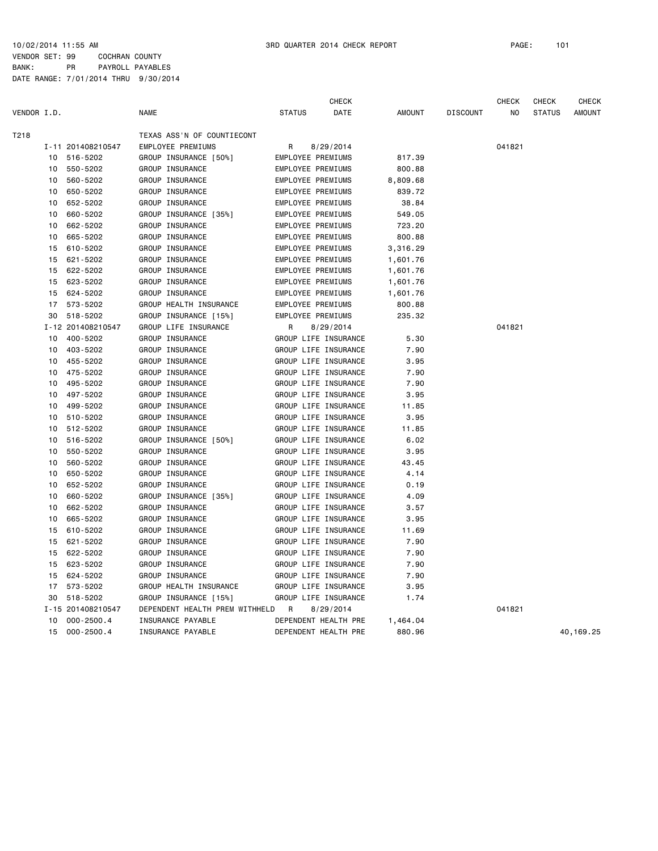VENDOR SET: 99 COCHRAN COUNTY BANK: PR PAYROLL PAYABLES DATE RANGE: 7/01/2014 THRU 9/30/2014

| T218<br>TEXAS ASS'N OF COUNTIECONT<br>I-11 201408210547<br><b>EMPLOYEE PREMIUMS</b><br>8/29/2014<br>041821<br>R<br>516-5202<br>GROUP INSURANCE [50%]<br>EMPLOYEE PREMIUMS<br>817.39<br>10<br>550-5202<br>EMPLOYEE PREMIUMS<br>GROUP INSURANCE<br>800.88<br>10<br>560-5202<br>GROUP INSURANCE<br>10<br>EMPLOYEE PREMIUMS<br>8,809.68<br>650-5202<br>GROUP INSURANCE<br>EMPLOYEE PREMIUMS<br>839.72<br>10<br>652-5202<br>GROUP INSURANCE<br>EMPLOYEE PREMIUMS<br>10<br>38.84<br>660-5202<br>GROUP INSURANCE [35%]<br><b>EMPLOYEE PREMIUMS</b><br>549.05<br>10<br>662-5202<br>GROUP INSURANCE<br>EMPLOYEE PREMIUMS<br>723.20<br>10<br>665-5202<br>800.88<br>GROUP INSURANCE<br>EMPLOYEE PREMIUMS<br>10<br>610-5202<br>GROUP INSURANCE<br>15<br><b>EMPLOYEE PREMIUMS</b><br>3,316.29<br>621-5202<br>GROUP INSURANCE<br>EMPLOYEE PREMIUMS<br>15<br>1,601.76<br>15<br>622-5202<br>GROUP INSURANCE<br>EMPLOYEE PREMIUMS<br>1,601.76<br>623-5202<br>GROUP INSURANCE<br>EMPLOYEE PREMIUMS<br>15<br>1,601.76<br>624-5202<br>GROUP INSURANCE<br>EMPLOYEE PREMIUMS<br>15<br>1,601.76<br>573-5202<br>17<br>GROUP HEALTH INSURANCE<br>EMPLOYEE PREMIUMS<br>800.88<br>518-5202<br>30<br>GROUP INSURANCE [15%]<br>EMPLOYEE PREMIUMS<br>235.32<br>I-12 201408210547<br>GROUP LIFE INSURANCE<br>R<br>041821<br>8/29/2014<br>10<br>400-5202<br>GROUP INSURANCE<br>GROUP LIFE INSURANCE<br>5.30<br>403-5202<br>GROUP INSURANCE<br>GROUP LIFE INSURANCE<br>7.90<br>10<br>455-5202<br>GROUP INSURANCE<br>GROUP LIFE INSURANCE<br>3.95<br>10<br>475-5202<br>GROUP INSURANCE<br>7.90<br>GROUP LIFE INSURANCE<br>10<br>495-5202<br>GROUP INSURANCE<br>GROUP LIFE INSURANCE<br>7.90<br>10<br>497-5202<br>GROUP INSURANCE<br>GROUP LIFE INSURANCE<br>3.95<br>10<br>10<br>499-5202<br>GROUP INSURANCE<br>GROUP LIFE INSURANCE<br>11.85<br>510-5202<br>GROUP INSURANCE<br>GROUP LIFE INSURANCE<br>3.95<br>10<br>512-5202<br>GROUP INSURANCE<br>GROUP LIFE INSURANCE<br>11.85<br>10<br>516-5202<br>GROUP INSURANCE [50%]<br>GROUP LIFE INSURANCE<br>6.02<br>10<br>3.95<br>550-5202<br>GROUP INSURANCE<br>GROUP LIFE INSURANCE<br>10<br>560-5202<br>GROUP INSURANCE<br>10<br>GROUP LIFE INSURANCE<br>43.45<br>650-5202<br>GROUP INSURANCE<br>GROUP LIFE INSURANCE<br>4.14<br>10<br>652-5202<br>GROUP INSURANCE<br>GROUP LIFE INSURANCE<br>0.19<br>10<br>660-5202<br>GROUP INSURANCE [35%]<br>GROUP LIFE INSURANCE<br>4.09<br>10<br>662-5202<br>GROUP INSURANCE<br>GROUP LIFE INSURANCE<br>3.57<br>10<br>GROUP LIFE INSURANCE<br>3.95<br>665-5202<br>GROUP INSURANCE<br>10<br>610-5202<br>GROUP INSURANCE<br>GROUP LIFE INSURANCE<br>11.69<br>15<br>15<br>621-5202<br>GROUP INSURANCE<br>GROUP LIFE INSURANCE<br>7.90<br>622-5202<br>GROUP INSURANCE<br>GROUP LIFE INSURANCE<br>7.90<br>15<br>623-5202<br>GROUP INSURANCE<br>GROUP LIFE INSURANCE<br>7.90<br>15<br>624-5202<br>GROUP INSURANCE<br>GROUP LIFE INSURANCE<br>7.90<br>15<br>17<br>573-5202<br>GROUP HEALTH INSURANCE<br>GROUP LIFE INSURANCE<br>3.95<br>GROUP INSURANCE [15%]<br>GROUP LIFE INSURANCE<br>1.74<br>30<br>518-5202<br>041821<br>I-15 201408210547<br>DEPENDENT HEALTH PREM WITHHELD<br>R<br>8/29/2014<br>$000 - 2500.4$<br>DEPENDENT HEALTH PRE<br>10<br>INSURANCE PAYABLE<br>1,464.04<br>15<br>$000 - 2500.4$<br>INSURANCE PAYABLE<br>DEPENDENT HEALTH PRE<br>880.96<br>40, 169. 25 | VENDOR I.D. |  | <b>NAME</b> | <b>STATUS</b> | <b>CHECK</b><br>DATE | <b>AMOUNT</b> | <b>DISCOUNT</b> | <b>CHECK</b><br>N <sub>O</sub> | <b>CHECK</b><br><b>STATUS</b> | <b>CHECK</b><br><b>AMOUNT</b> |
|-------------------------------------------------------------------------------------------------------------------------------------------------------------------------------------------------------------------------------------------------------------------------------------------------------------------------------------------------------------------------------------------------------------------------------------------------------------------------------------------------------------------------------------------------------------------------------------------------------------------------------------------------------------------------------------------------------------------------------------------------------------------------------------------------------------------------------------------------------------------------------------------------------------------------------------------------------------------------------------------------------------------------------------------------------------------------------------------------------------------------------------------------------------------------------------------------------------------------------------------------------------------------------------------------------------------------------------------------------------------------------------------------------------------------------------------------------------------------------------------------------------------------------------------------------------------------------------------------------------------------------------------------------------------------------------------------------------------------------------------------------------------------------------------------------------------------------------------------------------------------------------------------------------------------------------------------------------------------------------------------------------------------------------------------------------------------------------------------------------------------------------------------------------------------------------------------------------------------------------------------------------------------------------------------------------------------------------------------------------------------------------------------------------------------------------------------------------------------------------------------------------------------------------------------------------------------------------------------------------------------------------------------------------------------------------------------------------------------------------------------------------------------------------------------------------------------------------------------------------------------------------------------------------------------------------------------------------------------------------------------------------------------------------------------------------------------------------------------------------------------------------------------------------------------------------------------------------------------------------------------------------------------------------------------------------------------------|-------------|--|-------------|---------------|----------------------|---------------|-----------------|--------------------------------|-------------------------------|-------------------------------|
|                                                                                                                                                                                                                                                                                                                                                                                                                                                                                                                                                                                                                                                                                                                                                                                                                                                                                                                                                                                                                                                                                                                                                                                                                                                                                                                                                                                                                                                                                                                                                                                                                                                                                                                                                                                                                                                                                                                                                                                                                                                                                                                                                                                                                                                                                                                                                                                                                                                                                                                                                                                                                                                                                                                                                                                                                                                                                                                                                                                                                                                                                                                                                                                                                                                                                                                               |             |  |             |               |                      |               |                 |                                |                               |                               |
|                                                                                                                                                                                                                                                                                                                                                                                                                                                                                                                                                                                                                                                                                                                                                                                                                                                                                                                                                                                                                                                                                                                                                                                                                                                                                                                                                                                                                                                                                                                                                                                                                                                                                                                                                                                                                                                                                                                                                                                                                                                                                                                                                                                                                                                                                                                                                                                                                                                                                                                                                                                                                                                                                                                                                                                                                                                                                                                                                                                                                                                                                                                                                                                                                                                                                                                               |             |  |             |               |                      |               |                 |                                |                               |                               |
|                                                                                                                                                                                                                                                                                                                                                                                                                                                                                                                                                                                                                                                                                                                                                                                                                                                                                                                                                                                                                                                                                                                                                                                                                                                                                                                                                                                                                                                                                                                                                                                                                                                                                                                                                                                                                                                                                                                                                                                                                                                                                                                                                                                                                                                                                                                                                                                                                                                                                                                                                                                                                                                                                                                                                                                                                                                                                                                                                                                                                                                                                                                                                                                                                                                                                                                               |             |  |             |               |                      |               |                 |                                |                               |                               |
|                                                                                                                                                                                                                                                                                                                                                                                                                                                                                                                                                                                                                                                                                                                                                                                                                                                                                                                                                                                                                                                                                                                                                                                                                                                                                                                                                                                                                                                                                                                                                                                                                                                                                                                                                                                                                                                                                                                                                                                                                                                                                                                                                                                                                                                                                                                                                                                                                                                                                                                                                                                                                                                                                                                                                                                                                                                                                                                                                                                                                                                                                                                                                                                                                                                                                                                               |             |  |             |               |                      |               |                 |                                |                               |                               |
|                                                                                                                                                                                                                                                                                                                                                                                                                                                                                                                                                                                                                                                                                                                                                                                                                                                                                                                                                                                                                                                                                                                                                                                                                                                                                                                                                                                                                                                                                                                                                                                                                                                                                                                                                                                                                                                                                                                                                                                                                                                                                                                                                                                                                                                                                                                                                                                                                                                                                                                                                                                                                                                                                                                                                                                                                                                                                                                                                                                                                                                                                                                                                                                                                                                                                                                               |             |  |             |               |                      |               |                 |                                |                               |                               |
|                                                                                                                                                                                                                                                                                                                                                                                                                                                                                                                                                                                                                                                                                                                                                                                                                                                                                                                                                                                                                                                                                                                                                                                                                                                                                                                                                                                                                                                                                                                                                                                                                                                                                                                                                                                                                                                                                                                                                                                                                                                                                                                                                                                                                                                                                                                                                                                                                                                                                                                                                                                                                                                                                                                                                                                                                                                                                                                                                                                                                                                                                                                                                                                                                                                                                                                               |             |  |             |               |                      |               |                 |                                |                               |                               |
|                                                                                                                                                                                                                                                                                                                                                                                                                                                                                                                                                                                                                                                                                                                                                                                                                                                                                                                                                                                                                                                                                                                                                                                                                                                                                                                                                                                                                                                                                                                                                                                                                                                                                                                                                                                                                                                                                                                                                                                                                                                                                                                                                                                                                                                                                                                                                                                                                                                                                                                                                                                                                                                                                                                                                                                                                                                                                                                                                                                                                                                                                                                                                                                                                                                                                                                               |             |  |             |               |                      |               |                 |                                |                               |                               |
|                                                                                                                                                                                                                                                                                                                                                                                                                                                                                                                                                                                                                                                                                                                                                                                                                                                                                                                                                                                                                                                                                                                                                                                                                                                                                                                                                                                                                                                                                                                                                                                                                                                                                                                                                                                                                                                                                                                                                                                                                                                                                                                                                                                                                                                                                                                                                                                                                                                                                                                                                                                                                                                                                                                                                                                                                                                                                                                                                                                                                                                                                                                                                                                                                                                                                                                               |             |  |             |               |                      |               |                 |                                |                               |                               |
|                                                                                                                                                                                                                                                                                                                                                                                                                                                                                                                                                                                                                                                                                                                                                                                                                                                                                                                                                                                                                                                                                                                                                                                                                                                                                                                                                                                                                                                                                                                                                                                                                                                                                                                                                                                                                                                                                                                                                                                                                                                                                                                                                                                                                                                                                                                                                                                                                                                                                                                                                                                                                                                                                                                                                                                                                                                                                                                                                                                                                                                                                                                                                                                                                                                                                                                               |             |  |             |               |                      |               |                 |                                |                               |                               |
|                                                                                                                                                                                                                                                                                                                                                                                                                                                                                                                                                                                                                                                                                                                                                                                                                                                                                                                                                                                                                                                                                                                                                                                                                                                                                                                                                                                                                                                                                                                                                                                                                                                                                                                                                                                                                                                                                                                                                                                                                                                                                                                                                                                                                                                                                                                                                                                                                                                                                                                                                                                                                                                                                                                                                                                                                                                                                                                                                                                                                                                                                                                                                                                                                                                                                                                               |             |  |             |               |                      |               |                 |                                |                               |                               |
|                                                                                                                                                                                                                                                                                                                                                                                                                                                                                                                                                                                                                                                                                                                                                                                                                                                                                                                                                                                                                                                                                                                                                                                                                                                                                                                                                                                                                                                                                                                                                                                                                                                                                                                                                                                                                                                                                                                                                                                                                                                                                                                                                                                                                                                                                                                                                                                                                                                                                                                                                                                                                                                                                                                                                                                                                                                                                                                                                                                                                                                                                                                                                                                                                                                                                                                               |             |  |             |               |                      |               |                 |                                |                               |                               |
|                                                                                                                                                                                                                                                                                                                                                                                                                                                                                                                                                                                                                                                                                                                                                                                                                                                                                                                                                                                                                                                                                                                                                                                                                                                                                                                                                                                                                                                                                                                                                                                                                                                                                                                                                                                                                                                                                                                                                                                                                                                                                                                                                                                                                                                                                                                                                                                                                                                                                                                                                                                                                                                                                                                                                                                                                                                                                                                                                                                                                                                                                                                                                                                                                                                                                                                               |             |  |             |               |                      |               |                 |                                |                               |                               |
|                                                                                                                                                                                                                                                                                                                                                                                                                                                                                                                                                                                                                                                                                                                                                                                                                                                                                                                                                                                                                                                                                                                                                                                                                                                                                                                                                                                                                                                                                                                                                                                                                                                                                                                                                                                                                                                                                                                                                                                                                                                                                                                                                                                                                                                                                                                                                                                                                                                                                                                                                                                                                                                                                                                                                                                                                                                                                                                                                                                                                                                                                                                                                                                                                                                                                                                               |             |  |             |               |                      |               |                 |                                |                               |                               |
|                                                                                                                                                                                                                                                                                                                                                                                                                                                                                                                                                                                                                                                                                                                                                                                                                                                                                                                                                                                                                                                                                                                                                                                                                                                                                                                                                                                                                                                                                                                                                                                                                                                                                                                                                                                                                                                                                                                                                                                                                                                                                                                                                                                                                                                                                                                                                                                                                                                                                                                                                                                                                                                                                                                                                                                                                                                                                                                                                                                                                                                                                                                                                                                                                                                                                                                               |             |  |             |               |                      |               |                 |                                |                               |                               |
|                                                                                                                                                                                                                                                                                                                                                                                                                                                                                                                                                                                                                                                                                                                                                                                                                                                                                                                                                                                                                                                                                                                                                                                                                                                                                                                                                                                                                                                                                                                                                                                                                                                                                                                                                                                                                                                                                                                                                                                                                                                                                                                                                                                                                                                                                                                                                                                                                                                                                                                                                                                                                                                                                                                                                                                                                                                                                                                                                                                                                                                                                                                                                                                                                                                                                                                               |             |  |             |               |                      |               |                 |                                |                               |                               |
|                                                                                                                                                                                                                                                                                                                                                                                                                                                                                                                                                                                                                                                                                                                                                                                                                                                                                                                                                                                                                                                                                                                                                                                                                                                                                                                                                                                                                                                                                                                                                                                                                                                                                                                                                                                                                                                                                                                                                                                                                                                                                                                                                                                                                                                                                                                                                                                                                                                                                                                                                                                                                                                                                                                                                                                                                                                                                                                                                                                                                                                                                                                                                                                                                                                                                                                               |             |  |             |               |                      |               |                 |                                |                               |                               |
|                                                                                                                                                                                                                                                                                                                                                                                                                                                                                                                                                                                                                                                                                                                                                                                                                                                                                                                                                                                                                                                                                                                                                                                                                                                                                                                                                                                                                                                                                                                                                                                                                                                                                                                                                                                                                                                                                                                                                                                                                                                                                                                                                                                                                                                                                                                                                                                                                                                                                                                                                                                                                                                                                                                                                                                                                                                                                                                                                                                                                                                                                                                                                                                                                                                                                                                               |             |  |             |               |                      |               |                 |                                |                               |                               |
|                                                                                                                                                                                                                                                                                                                                                                                                                                                                                                                                                                                                                                                                                                                                                                                                                                                                                                                                                                                                                                                                                                                                                                                                                                                                                                                                                                                                                                                                                                                                                                                                                                                                                                                                                                                                                                                                                                                                                                                                                                                                                                                                                                                                                                                                                                                                                                                                                                                                                                                                                                                                                                                                                                                                                                                                                                                                                                                                                                                                                                                                                                                                                                                                                                                                                                                               |             |  |             |               |                      |               |                 |                                |                               |                               |
|                                                                                                                                                                                                                                                                                                                                                                                                                                                                                                                                                                                                                                                                                                                                                                                                                                                                                                                                                                                                                                                                                                                                                                                                                                                                                                                                                                                                                                                                                                                                                                                                                                                                                                                                                                                                                                                                                                                                                                                                                                                                                                                                                                                                                                                                                                                                                                                                                                                                                                                                                                                                                                                                                                                                                                                                                                                                                                                                                                                                                                                                                                                                                                                                                                                                                                                               |             |  |             |               |                      |               |                 |                                |                               |                               |
|                                                                                                                                                                                                                                                                                                                                                                                                                                                                                                                                                                                                                                                                                                                                                                                                                                                                                                                                                                                                                                                                                                                                                                                                                                                                                                                                                                                                                                                                                                                                                                                                                                                                                                                                                                                                                                                                                                                                                                                                                                                                                                                                                                                                                                                                                                                                                                                                                                                                                                                                                                                                                                                                                                                                                                                                                                                                                                                                                                                                                                                                                                                                                                                                                                                                                                                               |             |  |             |               |                      |               |                 |                                |                               |                               |
|                                                                                                                                                                                                                                                                                                                                                                                                                                                                                                                                                                                                                                                                                                                                                                                                                                                                                                                                                                                                                                                                                                                                                                                                                                                                                                                                                                                                                                                                                                                                                                                                                                                                                                                                                                                                                                                                                                                                                                                                                                                                                                                                                                                                                                                                                                                                                                                                                                                                                                                                                                                                                                                                                                                                                                                                                                                                                                                                                                                                                                                                                                                                                                                                                                                                                                                               |             |  |             |               |                      |               |                 |                                |                               |                               |
|                                                                                                                                                                                                                                                                                                                                                                                                                                                                                                                                                                                                                                                                                                                                                                                                                                                                                                                                                                                                                                                                                                                                                                                                                                                                                                                                                                                                                                                                                                                                                                                                                                                                                                                                                                                                                                                                                                                                                                                                                                                                                                                                                                                                                                                                                                                                                                                                                                                                                                                                                                                                                                                                                                                                                                                                                                                                                                                                                                                                                                                                                                                                                                                                                                                                                                                               |             |  |             |               |                      |               |                 |                                |                               |                               |
|                                                                                                                                                                                                                                                                                                                                                                                                                                                                                                                                                                                                                                                                                                                                                                                                                                                                                                                                                                                                                                                                                                                                                                                                                                                                                                                                                                                                                                                                                                                                                                                                                                                                                                                                                                                                                                                                                                                                                                                                                                                                                                                                                                                                                                                                                                                                                                                                                                                                                                                                                                                                                                                                                                                                                                                                                                                                                                                                                                                                                                                                                                                                                                                                                                                                                                                               |             |  |             |               |                      |               |                 |                                |                               |                               |
|                                                                                                                                                                                                                                                                                                                                                                                                                                                                                                                                                                                                                                                                                                                                                                                                                                                                                                                                                                                                                                                                                                                                                                                                                                                                                                                                                                                                                                                                                                                                                                                                                                                                                                                                                                                                                                                                                                                                                                                                                                                                                                                                                                                                                                                                                                                                                                                                                                                                                                                                                                                                                                                                                                                                                                                                                                                                                                                                                                                                                                                                                                                                                                                                                                                                                                                               |             |  |             |               |                      |               |                 |                                |                               |                               |
|                                                                                                                                                                                                                                                                                                                                                                                                                                                                                                                                                                                                                                                                                                                                                                                                                                                                                                                                                                                                                                                                                                                                                                                                                                                                                                                                                                                                                                                                                                                                                                                                                                                                                                                                                                                                                                                                                                                                                                                                                                                                                                                                                                                                                                                                                                                                                                                                                                                                                                                                                                                                                                                                                                                                                                                                                                                                                                                                                                                                                                                                                                                                                                                                                                                                                                                               |             |  |             |               |                      |               |                 |                                |                               |                               |
|                                                                                                                                                                                                                                                                                                                                                                                                                                                                                                                                                                                                                                                                                                                                                                                                                                                                                                                                                                                                                                                                                                                                                                                                                                                                                                                                                                                                                                                                                                                                                                                                                                                                                                                                                                                                                                                                                                                                                                                                                                                                                                                                                                                                                                                                                                                                                                                                                                                                                                                                                                                                                                                                                                                                                                                                                                                                                                                                                                                                                                                                                                                                                                                                                                                                                                                               |             |  |             |               |                      |               |                 |                                |                               |                               |
|                                                                                                                                                                                                                                                                                                                                                                                                                                                                                                                                                                                                                                                                                                                                                                                                                                                                                                                                                                                                                                                                                                                                                                                                                                                                                                                                                                                                                                                                                                                                                                                                                                                                                                                                                                                                                                                                                                                                                                                                                                                                                                                                                                                                                                                                                                                                                                                                                                                                                                                                                                                                                                                                                                                                                                                                                                                                                                                                                                                                                                                                                                                                                                                                                                                                                                                               |             |  |             |               |                      |               |                 |                                |                               |                               |
|                                                                                                                                                                                                                                                                                                                                                                                                                                                                                                                                                                                                                                                                                                                                                                                                                                                                                                                                                                                                                                                                                                                                                                                                                                                                                                                                                                                                                                                                                                                                                                                                                                                                                                                                                                                                                                                                                                                                                                                                                                                                                                                                                                                                                                                                                                                                                                                                                                                                                                                                                                                                                                                                                                                                                                                                                                                                                                                                                                                                                                                                                                                                                                                                                                                                                                                               |             |  |             |               |                      |               |                 |                                |                               |                               |
|                                                                                                                                                                                                                                                                                                                                                                                                                                                                                                                                                                                                                                                                                                                                                                                                                                                                                                                                                                                                                                                                                                                                                                                                                                                                                                                                                                                                                                                                                                                                                                                                                                                                                                                                                                                                                                                                                                                                                                                                                                                                                                                                                                                                                                                                                                                                                                                                                                                                                                                                                                                                                                                                                                                                                                                                                                                                                                                                                                                                                                                                                                                                                                                                                                                                                                                               |             |  |             |               |                      |               |                 |                                |                               |                               |
|                                                                                                                                                                                                                                                                                                                                                                                                                                                                                                                                                                                                                                                                                                                                                                                                                                                                                                                                                                                                                                                                                                                                                                                                                                                                                                                                                                                                                                                                                                                                                                                                                                                                                                                                                                                                                                                                                                                                                                                                                                                                                                                                                                                                                                                                                                                                                                                                                                                                                                                                                                                                                                                                                                                                                                                                                                                                                                                                                                                                                                                                                                                                                                                                                                                                                                                               |             |  |             |               |                      |               |                 |                                |                               |                               |
|                                                                                                                                                                                                                                                                                                                                                                                                                                                                                                                                                                                                                                                                                                                                                                                                                                                                                                                                                                                                                                                                                                                                                                                                                                                                                                                                                                                                                                                                                                                                                                                                                                                                                                                                                                                                                                                                                                                                                                                                                                                                                                                                                                                                                                                                                                                                                                                                                                                                                                                                                                                                                                                                                                                                                                                                                                                                                                                                                                                                                                                                                                                                                                                                                                                                                                                               |             |  |             |               |                      |               |                 |                                |                               |                               |
|                                                                                                                                                                                                                                                                                                                                                                                                                                                                                                                                                                                                                                                                                                                                                                                                                                                                                                                                                                                                                                                                                                                                                                                                                                                                                                                                                                                                                                                                                                                                                                                                                                                                                                                                                                                                                                                                                                                                                                                                                                                                                                                                                                                                                                                                                                                                                                                                                                                                                                                                                                                                                                                                                                                                                                                                                                                                                                                                                                                                                                                                                                                                                                                                                                                                                                                               |             |  |             |               |                      |               |                 |                                |                               |                               |
|                                                                                                                                                                                                                                                                                                                                                                                                                                                                                                                                                                                                                                                                                                                                                                                                                                                                                                                                                                                                                                                                                                                                                                                                                                                                                                                                                                                                                                                                                                                                                                                                                                                                                                                                                                                                                                                                                                                                                                                                                                                                                                                                                                                                                                                                                                                                                                                                                                                                                                                                                                                                                                                                                                                                                                                                                                                                                                                                                                                                                                                                                                                                                                                                                                                                                                                               |             |  |             |               |                      |               |                 |                                |                               |                               |
|                                                                                                                                                                                                                                                                                                                                                                                                                                                                                                                                                                                                                                                                                                                                                                                                                                                                                                                                                                                                                                                                                                                                                                                                                                                                                                                                                                                                                                                                                                                                                                                                                                                                                                                                                                                                                                                                                                                                                                                                                                                                                                                                                                                                                                                                                                                                                                                                                                                                                                                                                                                                                                                                                                                                                                                                                                                                                                                                                                                                                                                                                                                                                                                                                                                                                                                               |             |  |             |               |                      |               |                 |                                |                               |                               |
|                                                                                                                                                                                                                                                                                                                                                                                                                                                                                                                                                                                                                                                                                                                                                                                                                                                                                                                                                                                                                                                                                                                                                                                                                                                                                                                                                                                                                                                                                                                                                                                                                                                                                                                                                                                                                                                                                                                                                                                                                                                                                                                                                                                                                                                                                                                                                                                                                                                                                                                                                                                                                                                                                                                                                                                                                                                                                                                                                                                                                                                                                                                                                                                                                                                                                                                               |             |  |             |               |                      |               |                 |                                |                               |                               |
|                                                                                                                                                                                                                                                                                                                                                                                                                                                                                                                                                                                                                                                                                                                                                                                                                                                                                                                                                                                                                                                                                                                                                                                                                                                                                                                                                                                                                                                                                                                                                                                                                                                                                                                                                                                                                                                                                                                                                                                                                                                                                                                                                                                                                                                                                                                                                                                                                                                                                                                                                                                                                                                                                                                                                                                                                                                                                                                                                                                                                                                                                                                                                                                                                                                                                                                               |             |  |             |               |                      |               |                 |                                |                               |                               |
|                                                                                                                                                                                                                                                                                                                                                                                                                                                                                                                                                                                                                                                                                                                                                                                                                                                                                                                                                                                                                                                                                                                                                                                                                                                                                                                                                                                                                                                                                                                                                                                                                                                                                                                                                                                                                                                                                                                                                                                                                                                                                                                                                                                                                                                                                                                                                                                                                                                                                                                                                                                                                                                                                                                                                                                                                                                                                                                                                                                                                                                                                                                                                                                                                                                                                                                               |             |  |             |               |                      |               |                 |                                |                               |                               |
|                                                                                                                                                                                                                                                                                                                                                                                                                                                                                                                                                                                                                                                                                                                                                                                                                                                                                                                                                                                                                                                                                                                                                                                                                                                                                                                                                                                                                                                                                                                                                                                                                                                                                                                                                                                                                                                                                                                                                                                                                                                                                                                                                                                                                                                                                                                                                                                                                                                                                                                                                                                                                                                                                                                                                                                                                                                                                                                                                                                                                                                                                                                                                                                                                                                                                                                               |             |  |             |               |                      |               |                 |                                |                               |                               |
|                                                                                                                                                                                                                                                                                                                                                                                                                                                                                                                                                                                                                                                                                                                                                                                                                                                                                                                                                                                                                                                                                                                                                                                                                                                                                                                                                                                                                                                                                                                                                                                                                                                                                                                                                                                                                                                                                                                                                                                                                                                                                                                                                                                                                                                                                                                                                                                                                                                                                                                                                                                                                                                                                                                                                                                                                                                                                                                                                                                                                                                                                                                                                                                                                                                                                                                               |             |  |             |               |                      |               |                 |                                |                               |                               |
|                                                                                                                                                                                                                                                                                                                                                                                                                                                                                                                                                                                                                                                                                                                                                                                                                                                                                                                                                                                                                                                                                                                                                                                                                                                                                                                                                                                                                                                                                                                                                                                                                                                                                                                                                                                                                                                                                                                                                                                                                                                                                                                                                                                                                                                                                                                                                                                                                                                                                                                                                                                                                                                                                                                                                                                                                                                                                                                                                                                                                                                                                                                                                                                                                                                                                                                               |             |  |             |               |                      |               |                 |                                |                               |                               |
|                                                                                                                                                                                                                                                                                                                                                                                                                                                                                                                                                                                                                                                                                                                                                                                                                                                                                                                                                                                                                                                                                                                                                                                                                                                                                                                                                                                                                                                                                                                                                                                                                                                                                                                                                                                                                                                                                                                                                                                                                                                                                                                                                                                                                                                                                                                                                                                                                                                                                                                                                                                                                                                                                                                                                                                                                                                                                                                                                                                                                                                                                                                                                                                                                                                                                                                               |             |  |             |               |                      |               |                 |                                |                               |                               |
|                                                                                                                                                                                                                                                                                                                                                                                                                                                                                                                                                                                                                                                                                                                                                                                                                                                                                                                                                                                                                                                                                                                                                                                                                                                                                                                                                                                                                                                                                                                                                                                                                                                                                                                                                                                                                                                                                                                                                                                                                                                                                                                                                                                                                                                                                                                                                                                                                                                                                                                                                                                                                                                                                                                                                                                                                                                                                                                                                                                                                                                                                                                                                                                                                                                                                                                               |             |  |             |               |                      |               |                 |                                |                               |                               |
|                                                                                                                                                                                                                                                                                                                                                                                                                                                                                                                                                                                                                                                                                                                                                                                                                                                                                                                                                                                                                                                                                                                                                                                                                                                                                                                                                                                                                                                                                                                                                                                                                                                                                                                                                                                                                                                                                                                                                                                                                                                                                                                                                                                                                                                                                                                                                                                                                                                                                                                                                                                                                                                                                                                                                                                                                                                                                                                                                                                                                                                                                                                                                                                                                                                                                                                               |             |  |             |               |                      |               |                 |                                |                               |                               |
|                                                                                                                                                                                                                                                                                                                                                                                                                                                                                                                                                                                                                                                                                                                                                                                                                                                                                                                                                                                                                                                                                                                                                                                                                                                                                                                                                                                                                                                                                                                                                                                                                                                                                                                                                                                                                                                                                                                                                                                                                                                                                                                                                                                                                                                                                                                                                                                                                                                                                                                                                                                                                                                                                                                                                                                                                                                                                                                                                                                                                                                                                                                                                                                                                                                                                                                               |             |  |             |               |                      |               |                 |                                |                               |                               |
|                                                                                                                                                                                                                                                                                                                                                                                                                                                                                                                                                                                                                                                                                                                                                                                                                                                                                                                                                                                                                                                                                                                                                                                                                                                                                                                                                                                                                                                                                                                                                                                                                                                                                                                                                                                                                                                                                                                                                                                                                                                                                                                                                                                                                                                                                                                                                                                                                                                                                                                                                                                                                                                                                                                                                                                                                                                                                                                                                                                                                                                                                                                                                                                                                                                                                                                               |             |  |             |               |                      |               |                 |                                |                               |                               |
|                                                                                                                                                                                                                                                                                                                                                                                                                                                                                                                                                                                                                                                                                                                                                                                                                                                                                                                                                                                                                                                                                                                                                                                                                                                                                                                                                                                                                                                                                                                                                                                                                                                                                                                                                                                                                                                                                                                                                                                                                                                                                                                                                                                                                                                                                                                                                                                                                                                                                                                                                                                                                                                                                                                                                                                                                                                                                                                                                                                                                                                                                                                                                                                                                                                                                                                               |             |  |             |               |                      |               |                 |                                |                               |                               |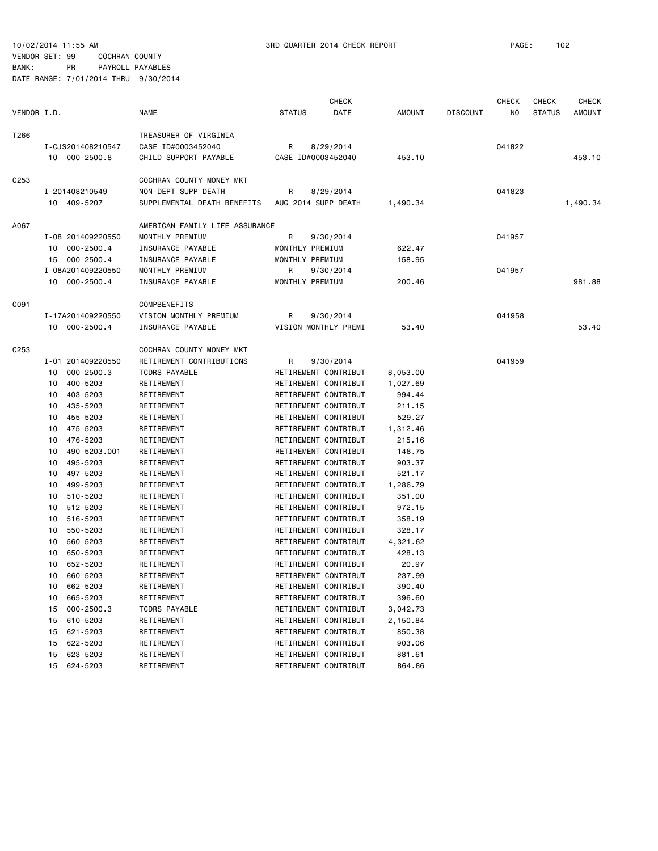VENDOR SET: 99 COCHRAN COUNTY BANK: PR PAYROLL PAYABLES

|                  |    |                   |                                |                     | <b>CHECK</b>         |               |                 | <b>CHECK</b> | <b>CHECK</b>  | <b>CHECK</b>  |
|------------------|----|-------------------|--------------------------------|---------------------|----------------------|---------------|-----------------|--------------|---------------|---------------|
| VENDOR I.D.      |    |                   | <b>NAME</b>                    | <b>STATUS</b>       | DATE                 | <b>AMOUNT</b> | <b>DISCOUNT</b> | NO.          | <b>STATUS</b> | <b>AMOUNT</b> |
| T266             |    |                   | TREASURER OF VIRGINIA          |                     |                      |               |                 |              |               |               |
|                  |    | I-CJS201408210547 | CASE ID#0003452040             | R                   | 8/29/2014            |               |                 | 041822       |               |               |
|                  |    | 10 000-2500.8     | CHILD SUPPORT PAYABLE          | CASE ID#0003452040  |                      | 453.10        |                 |              |               | 453.10        |
| C <sub>253</sub> |    |                   | COCHRAN COUNTY MONEY MKT       |                     |                      |               |                 |              |               |               |
|                  |    | I-201408210549    | NON-DEPT SUPP DEATH            | R                   | 8/29/2014            |               |                 | 041823       |               |               |
|                  |    | 10 409-5207       | SUPPLEMENTAL DEATH BENEFITS    | AUG 2014 SUPP DEATH |                      | 1,490.34      |                 |              |               | 1,490.34      |
| A067             |    |                   | AMERICAN FAMILY LIFE ASSURANCE |                     |                      |               |                 |              |               |               |
|                  |    | I-08 201409220550 | MONTHLY PREMIUM                | R                   | 9/30/2014            |               |                 | 041957       |               |               |
|                  |    | 10 000-2500.4     | INSURANCE PAYABLE              | MONTHLY PREMIUM     |                      | 622.47        |                 |              |               |               |
|                  |    | 15 000-2500.4     | INSURANCE PAYABLE              | MONTHLY PREMIUM     |                      | 158.95        |                 |              |               |               |
|                  |    | I-08A201409220550 | MONTHLY PREMIUM                | R                   | 9/30/2014            |               |                 | 041957       |               |               |
|                  |    | 10 000-2500.4     | INSURANCE PAYABLE              | MONTHLY PREMIUM     |                      | 200.46        |                 |              |               | 981.88        |
| C091             |    |                   | COMPBENEFITS                   |                     |                      |               |                 |              |               |               |
|                  |    | I-17A201409220550 | VISION MONTHLY PREMIUM         | R                   | 9/30/2014            |               |                 | 041958       |               |               |
|                  |    | 10 000-2500.4     | INSURANCE PAYABLE              |                     | VISION MONTHLY PREMI | 53.40         |                 |              |               | 53.40         |
|                  |    |                   |                                |                     |                      |               |                 |              |               |               |
| C <sub>253</sub> |    |                   | COCHRAN COUNTY MONEY MKT       |                     |                      |               |                 |              |               |               |
|                  |    | I-01 201409220550 | RETIREMENT CONTRIBUTIONS       | R                   | 9/30/2014            |               |                 | 041959       |               |               |
|                  | 10 | $000 - 2500.3$    | <b>TCDRS PAYABLE</b>           |                     | RETIREMENT CONTRIBUT | 8,053.00      |                 |              |               |               |
|                  | 10 | 400-5203          | RETIREMENT                     |                     | RETIREMENT CONTRIBUT | 1,027.69      |                 |              |               |               |
|                  | 10 | 403-5203          | RETIREMENT                     |                     | RETIREMENT CONTRIBUT | 994.44        |                 |              |               |               |
|                  | 10 | 435-5203          | RETIREMENT                     |                     | RETIREMENT CONTRIBUT | 211.15        |                 |              |               |               |
|                  | 10 | 455-5203          | RETIREMENT                     |                     | RETIREMENT CONTRIBUT | 529.27        |                 |              |               |               |
|                  | 10 | 475-5203          | RETIREMENT                     |                     | RETIREMENT CONTRIBUT | 1,312.46      |                 |              |               |               |
|                  | 10 | 476-5203          | RETIREMENT                     |                     | RETIREMENT CONTRIBUT | 215.16        |                 |              |               |               |
|                  | 10 | 490-5203.001      | RETIREMENT                     |                     | RETIREMENT CONTRIBUT | 148.75        |                 |              |               |               |
|                  | 10 | 495-5203          | RETIREMENT                     |                     | RETIREMENT CONTRIBUT | 903.37        |                 |              |               |               |
|                  | 10 | 497-5203          | RETIREMENT                     |                     | RETIREMENT CONTRIBUT | 521.17        |                 |              |               |               |
|                  | 10 | 499-5203          | RETIREMENT                     |                     | RETIREMENT CONTRIBUT | 1,286.79      |                 |              |               |               |
|                  | 10 | 510-5203          | RETIREMENT                     |                     | RETIREMENT CONTRIBUT | 351.00        |                 |              |               |               |
|                  | 10 | 512-5203          | RETIREMENT                     |                     | RETIREMENT CONTRIBUT | 972.15        |                 |              |               |               |
|                  | 10 | 516-5203          | RETIREMENT                     |                     | RETIREMENT CONTRIBUT | 358.19        |                 |              |               |               |
|                  | 10 | 550-5203          | RETIREMENT                     |                     | RETIREMENT CONTRIBUT | 328.17        |                 |              |               |               |
|                  | 10 | 560-5203          | RETIREMENT                     |                     | RETIREMENT CONTRIBUT | 4,321.62      |                 |              |               |               |
|                  | 10 | 650-5203          | RETIREMENT                     |                     | RETIREMENT CONTRIBUT | 428.13        |                 |              |               |               |
|                  | 10 | 652-5203          | RETIREMENT                     |                     | RETIREMENT CONTRIBUT | 20.97         |                 |              |               |               |
|                  | 10 | 660-5203          | RETIREMENT                     |                     | RETIREMENT CONTRIBUT | 237.99        |                 |              |               |               |
|                  | 10 | 662-5203          | RETIREMENT                     |                     | RETIREMENT CONTRIBUT | 390.40        |                 |              |               |               |
|                  | 10 | 665-5203          | RETIREMENT                     |                     | RETIREMENT CONTRIBUT | 396.60        |                 |              |               |               |
|                  | 15 | $000 - 2500.3$    | TCDRS PAYABLE                  |                     | RETIREMENT CONTRIBUT | 3,042.73      |                 |              |               |               |
|                  | 15 | 610-5203          | RETIREMENT                     |                     | RETIREMENT CONTRIBUT | 2,150.84      |                 |              |               |               |
|                  | 15 | 621-5203          | RETIREMENT                     |                     | RETIREMENT CONTRIBUT | 850.38        |                 |              |               |               |
|                  | 15 | 622-5203          | RETIREMENT                     |                     | RETIREMENT CONTRIBUT | 903.06        |                 |              |               |               |
|                  | 15 | 623-5203          | RETIREMENT                     |                     | RETIREMENT CONTRIBUT | 881.61        |                 |              |               |               |
|                  | 15 | 624-5203          | RETIREMENT                     |                     | RETIREMENT CONTRIBUT | 864.86        |                 |              |               |               |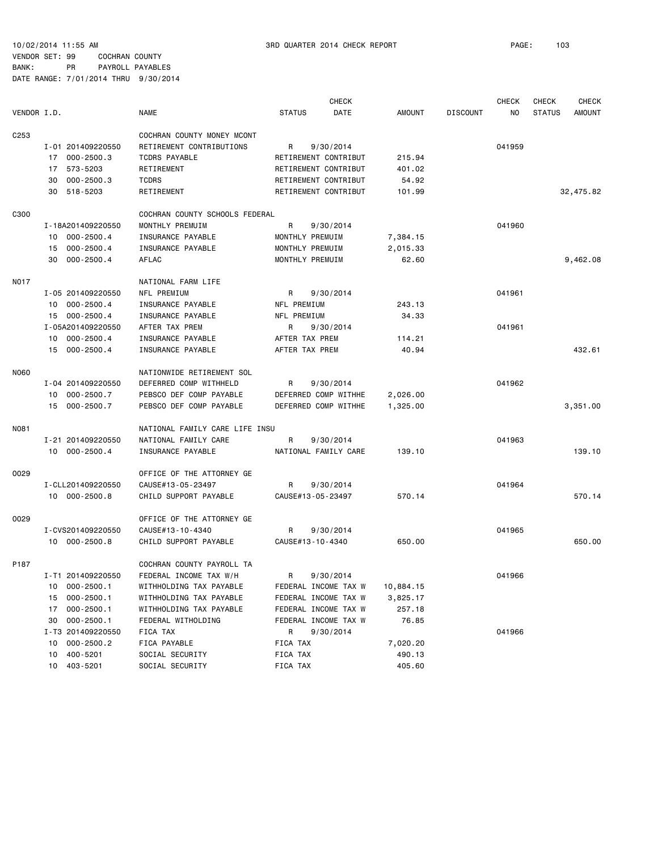VENDOR SET: 99 COCHRAN COUNTY BANK: PR PAYROLL PAYABLES

|                  |                      |                                | <b>CHECK</b>          |               |                 | <b>CHECK</b> | <b>CHECK</b>  | <b>CHECK</b>  |
|------------------|----------------------|--------------------------------|-----------------------|---------------|-----------------|--------------|---------------|---------------|
| VENDOR I.D.      |                      | <b>NAME</b>                    | <b>STATUS</b><br>DATE | <b>AMOUNT</b> | <b>DISCOUNT</b> | NO.          | <b>STATUS</b> | <b>AMOUNT</b> |
| C <sub>253</sub> |                      | COCHRAN COUNTY MONEY MCONT     |                       |               |                 |              |               |               |
|                  | I-01 201409220550    | RETIREMENT CONTRIBUTIONS       | R<br>9/30/2014        |               |                 | 041959       |               |               |
|                  | $000 - 2500.3$<br>17 | <b>TCDRS PAYABLE</b>           | RETIREMENT CONTRIBUT  | 215.94        |                 |              |               |               |
|                  | 573-5203<br>17       | RETIREMENT                     | RETIREMENT CONTRIBUT  | 401.02        |                 |              |               |               |
|                  | $000 - 2500.3$<br>30 | <b>TCDRS</b>                   | RETIREMENT CONTRIBUT  | 54.92         |                 |              |               |               |
|                  | 518-5203<br>30       | RETIREMENT                     | RETIREMENT CONTRIBUT  | 101.99        |                 |              |               | 32,475.82     |
| C300             |                      | COCHRAN COUNTY SCHOOLS FEDERAL |                       |               |                 |              |               |               |
|                  | I-18A201409220550    | MONTHLY PREMUIM                | R<br>9/30/2014        |               |                 | 041960       |               |               |
|                  | $000 - 2500.4$<br>10 | INSURANCE PAYABLE              | MONTHLY PREMUIM       | 7,384.15      |                 |              |               |               |
|                  | $000 - 2500.4$<br>15 | INSURANCE PAYABLE              | MONTHLY PREMUIM       | 2,015.33      |                 |              |               |               |
|                  | $000 - 2500.4$<br>30 | AFLAC                          | MONTHLY PREMUIM       | 62.60         |                 |              |               | 9,462.08      |
| <b>NO17</b>      |                      | NATIONAL FARM LIFE             |                       |               |                 |              |               |               |
|                  | I-05 201409220550    | NFL PREMIUM                    | R<br>9/30/2014        |               |                 | 041961       |               |               |
|                  | $000 - 2500.4$<br>10 | INSURANCE PAYABLE              | NFL PREMIUM           | 243.13        |                 |              |               |               |
|                  | $000 - 2500.4$<br>15 | INSURANCE PAYABLE              | NFL PREMIUM           | 34.33         |                 |              |               |               |
|                  | I-05A201409220550    | AFTER TAX PREM                 | R<br>9/30/2014        |               |                 | 041961       |               |               |
|                  | $000 - 2500.4$<br>10 | INSURANCE PAYABLE              | AFTER TAX PREM        | 114.21        |                 |              |               |               |
|                  | $000 - 2500.4$<br>15 | INSURANCE PAYABLE              | AFTER TAX PREM        | 40.94         |                 |              |               | 432.61        |
| <b>NO60</b>      |                      | NATIONWIDE RETIREMENT SOL      |                       |               |                 |              |               |               |
|                  | I-04 201409220550    | DEFERRED COMP WITHHELD         | 9/30/2014<br>R        |               |                 | 041962       |               |               |
|                  | 000-2500.7<br>10     | PEBSCO DEF COMP PAYABLE        | DEFERRED COMP WITHHE  | 2,026.00      |                 |              |               |               |
|                  | 15 000-2500.7        | PEBSCO DEF COMP PAYABLE        | DEFERRED COMP WITHHE  | 1,325.00      |                 |              |               | 3,351.00      |
| N081             |                      | NATIONAL FAMILY CARE LIFE INSU |                       |               |                 |              |               |               |
|                  | I-21 201409220550    | NATIONAL FAMILY CARE           | R<br>9/30/2014        |               |                 | 041963       |               |               |
|                  | 10 000-2500.4        | INSURANCE PAYABLE              | NATIONAL FAMILY CARE  | 139.10        |                 |              |               | 139.10        |
| 0029             |                      | OFFICE OF THE ATTORNEY GE      |                       |               |                 |              |               |               |
|                  | I-CLL201409220550    | CAUSE#13-05-23497              | R<br>9/30/2014        |               |                 | 041964       |               |               |
|                  | 10 000-2500.8        | CHILD SUPPORT PAYABLE          | CAUSE#13-05-23497     | 570.14        |                 |              |               | 570.14        |
| 0029             |                      | OFFICE OF THE ATTORNEY GE      |                       |               |                 |              |               |               |
|                  | I-CVS201409220550    | CAUSE#13-10-4340               | R<br>9/30/2014        |               |                 | 041965       |               |               |
|                  | 10 000-2500.8        | CHILD SUPPORT PAYABLE          | CAUSE#13-10-4340      | 650.00        |                 |              |               | 650.00        |
| P187             |                      | COCHRAN COUNTY PAYROLL TA      |                       |               |                 |              |               |               |
|                  | I-T1 201409220550    | FEDERAL INCOME TAX W/H         | 9/30/2014<br>R        |               |                 | 041966       |               |               |
|                  | 10 000-2500.1        | WITHHOLDING TAX PAYABLE        | FEDERAL INCOME TAX W  | 10,884.15     |                 |              |               |               |
|                  | $000 - 2500.1$<br>15 | WITHHOLDING TAX PAYABLE        | FEDERAL INCOME TAX W  | 3,825.17      |                 |              |               |               |
|                  | $000 - 2500.1$<br>17 | WITHHOLDING TAX PAYABLE        | FEDERAL INCOME TAX W  | 257.18        |                 |              |               |               |
|                  | $000 - 2500.1$<br>30 | FEDERAL WITHOLDING             | FEDERAL INCOME TAX W  | 76.85         |                 |              |               |               |
|                  | I-T3 201409220550    | FICA TAX                       | R<br>9/30/2014        |               |                 | 041966       |               |               |
|                  | $000 - 2500.2$<br>10 | FICA PAYABLE                   | FICA TAX              | 7,020.20      |                 |              |               |               |
|                  | 400-5201<br>10       | SOCIAL SECURITY                | FICA TAX              | 490.13        |                 |              |               |               |
|                  | 403-5201<br>10       | SOCIAL SECURITY                | FICA TAX              | 405.60        |                 |              |               |               |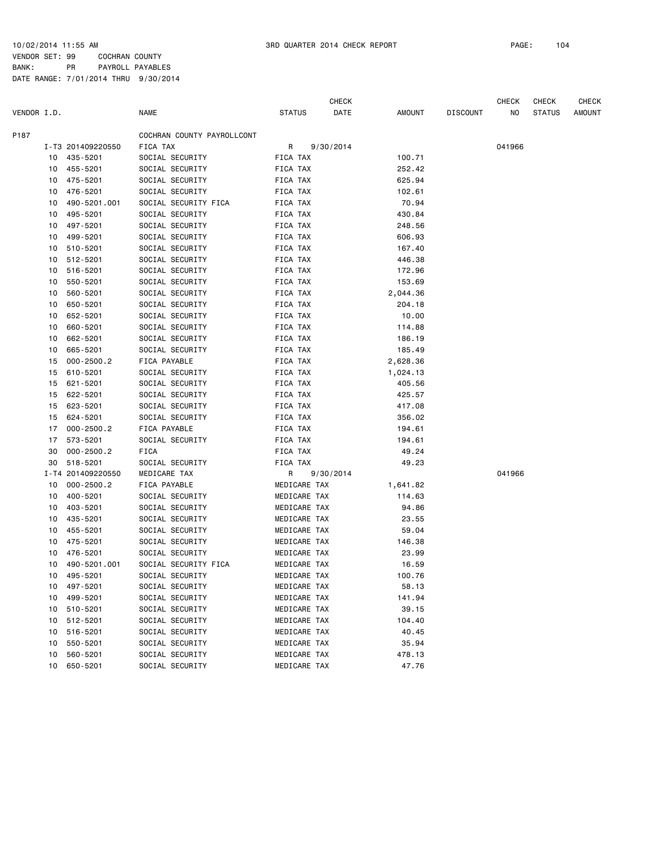VENDOR SET: 99 COCHRAN COUNTY BANK: PR PAYROLL PAYABLES DATE RANGE: 7/01/2014 THRU 9/30/2014

|             |    |                   |                            |               |              | <b>CHECK</b> |          |                 | CHECK  | CHECK         | <b>CHECK</b> |
|-------------|----|-------------------|----------------------------|---------------|--------------|--------------|----------|-----------------|--------|---------------|--------------|
| VENDOR I.D. |    |                   | <b>NAME</b>                | <b>STATUS</b> |              | DATE         | AMOUNT   | <b>DISCOUNT</b> | NO     | <b>STATUS</b> | AMOUNT       |
| P187        |    |                   | COCHRAN COUNTY PAYROLLCONT |               |              |              |          |                 |        |               |              |
|             |    | I-T3 201409220550 | FICA TAX                   | R             |              | 9/30/2014    |          |                 | 041966 |               |              |
|             |    | 10 435-5201       | SOCIAL SECURITY            | FICA TAX      |              |              | 100.71   |                 |        |               |              |
|             | 10 | 455-5201          | SOCIAL SECURITY            | FICA TAX      |              |              | 252.42   |                 |        |               |              |
|             | 10 | 475-5201          | SOCIAL SECURITY            | FICA TAX      |              |              | 625.94   |                 |        |               |              |
|             | 10 | 476-5201          | SOCIAL SECURITY            | FICA TAX      |              |              | 102.61   |                 |        |               |              |
|             | 10 | 490-5201.001      | SOCIAL SECURITY FICA       | FICA TAX      |              |              | 70.94    |                 |        |               |              |
|             | 10 | 495-5201          | SOCIAL SECURITY            | FICA TAX      |              |              | 430.84   |                 |        |               |              |
|             | 10 | 497-5201          | SOCIAL SECURITY            | FICA TAX      |              |              | 248.56   |                 |        |               |              |
|             | 10 | 499-5201          | SOCIAL SECURITY            | FICA TAX      |              |              | 606.93   |                 |        |               |              |
|             | 10 | 510-5201          | SOCIAL SECURITY            | FICA TAX      |              |              | 167.40   |                 |        |               |              |
|             | 10 | 512-5201          | SOCIAL SECURITY            | FICA TAX      |              |              | 446.38   |                 |        |               |              |
|             | 10 | 516-5201          | SOCIAL SECURITY            | FICA TAX      |              |              | 172.96   |                 |        |               |              |
|             | 10 | 550-5201          | SOCIAL SECURITY            | FICA TAX      |              |              | 153.69   |                 |        |               |              |
|             | 10 | 560-5201          | SOCIAL SECURITY            | FICA TAX      |              |              | 2,044.36 |                 |        |               |              |
|             | 10 | 650-5201          | SOCIAL SECURITY            | FICA TAX      |              |              | 204.18   |                 |        |               |              |
|             | 10 | 652-5201          | SOCIAL SECURITY            | FICA TAX      |              |              | 10.00    |                 |        |               |              |
|             | 10 | 660-5201          | SOCIAL SECURITY            | FICA TAX      |              |              | 114.88   |                 |        |               |              |
|             | 10 | 662-5201          | SOCIAL SECURITY            | FICA TAX      |              |              | 186.19   |                 |        |               |              |
|             | 10 | 665-5201          | SOCIAL SECURITY            | FICA TAX      |              |              | 185.49   |                 |        |               |              |
|             | 15 | $000 - 2500.2$    | FICA PAYABLE               | FICA TAX      |              |              | 2,628.36 |                 |        |               |              |
|             | 15 | 610-5201          | SOCIAL SECURITY            | FICA TAX      |              |              | 1,024.13 |                 |        |               |              |
|             | 15 | 621-5201          | SOCIAL SECURITY            | FICA TAX      |              |              | 405.56   |                 |        |               |              |
|             | 15 | 622-5201          | SOCIAL SECURITY            | FICA TAX      |              |              | 425.57   |                 |        |               |              |
|             | 15 | 623-5201          | SOCIAL SECURITY            | FICA TAX      |              |              | 417.08   |                 |        |               |              |
|             | 15 | 624-5201          | SOCIAL SECURITY            | FICA TAX      |              |              | 356.02   |                 |        |               |              |
|             | 17 | $000 - 2500.2$    | FICA PAYABLE               | FICA TAX      |              |              | 194.61   |                 |        |               |              |
|             | 17 | 573-5201          | SOCIAL SECURITY            | FICA TAX      |              |              | 194.61   |                 |        |               |              |
|             | 30 | $000 - 2500.2$    | FICA                       | FICA TAX      |              |              | 49.24    |                 |        |               |              |
|             | 30 | 518-5201          | SOCIAL SECURITY            | FICA TAX      |              |              | 49.23    |                 |        |               |              |
|             |    | I-T4 201409220550 | MEDICARE TAX               | R             |              | 9/30/2014    |          |                 | 041966 |               |              |
|             | 10 | $000 - 2500.2$    | FICA PAYABLE               |               | MEDICARE TAX |              | 1,641.82 |                 |        |               |              |
|             | 10 | 400-5201          | SOCIAL SECURITY            |               | MEDICARE TAX |              | 114.63   |                 |        |               |              |
|             | 10 | 403-5201          | SOCIAL SECURITY            |               | MEDICARE TAX |              | 94.86    |                 |        |               |              |
|             | 10 | 435-5201          | SOCIAL SECURITY            |               | MEDICARE TAX |              | 23.55    |                 |        |               |              |
|             | 10 | 455-5201          | SOCIAL SECURITY            |               | MEDICARE TAX |              | 59.04    |                 |        |               |              |
|             | 10 | 475-5201          | SOCIAL SECURITY            |               | MEDICARE TAX |              | 146.38   |                 |        |               |              |
|             | 10 | 476-5201          | SOCIAL SECURITY            |               | MEDICARE TAX |              | 23.99    |                 |        |               |              |
|             | 10 | 490-5201.001      | SOCIAL SECURITY FICA       |               | MEDICARE TAX |              | 16.59    |                 |        |               |              |
|             |    | 10 495-5201       | SOCIAL SECURITY            |               | MEDICARE TAX |              | 100.76   |                 |        |               |              |
|             | 10 | 497-5201          | SOCIAL SECURITY            |               | MEDICARE TAX |              | 58.13    |                 |        |               |              |
|             | 10 | 499-5201          | SOCIAL SECURITY            |               | MEDICARE TAX |              | 141.94   |                 |        |               |              |
|             | 10 | 510-5201          | SOCIAL SECURITY            |               | MEDICARE TAX |              | 39.15    |                 |        |               |              |
|             | 10 | 512-5201          | SOCIAL SECURITY            |               | MEDICARE TAX |              | 104.40   |                 |        |               |              |
|             | 10 | 516-5201          | SOCIAL SECURITY            |               | MEDICARE TAX |              | 40.45    |                 |        |               |              |
|             | 10 | 550-5201          | SOCIAL SECURITY            |               | MEDICARE TAX |              | 35.94    |                 |        |               |              |
|             | 10 | 560-5201          | SOCIAL SECURITY            |               | MEDICARE TAX |              | 478.13   |                 |        |               |              |
|             | 10 | 650-5201          | SOCIAL SECURITY            |               | MEDICARE TAX |              | 47.76    |                 |        |               |              |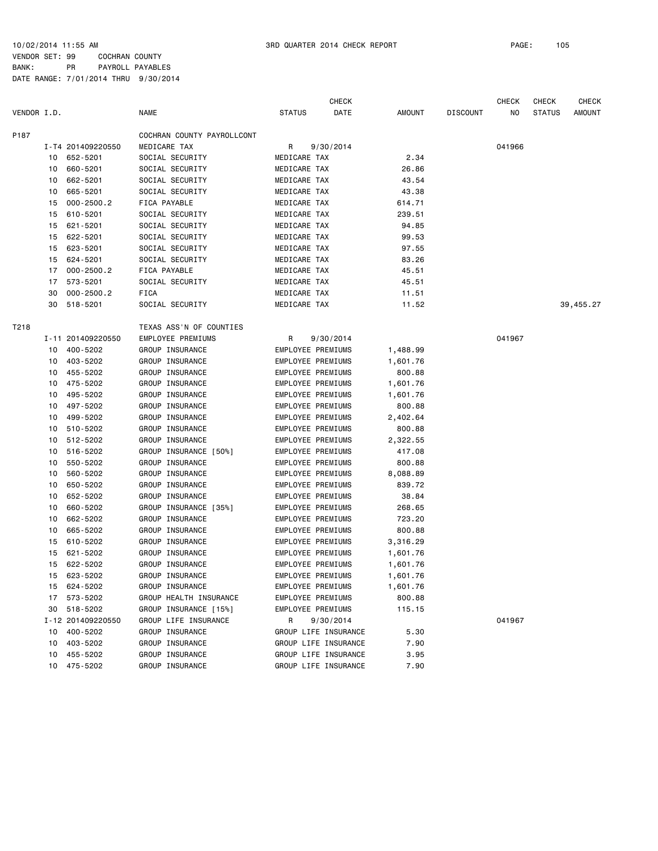VENDOR SET: 99 COCHRAN COUNTY BANK: PR PAYROLL PAYABLES DATE RANGE: 7/01/2014 THRU 9/30/2014

|             |    |                   |                            |                          | <b>CHECK</b> |               |                 | <b>CHECK</b> | <b>CHECK</b>  | <b>CHECK</b>  |
|-------------|----|-------------------|----------------------------|--------------------------|--------------|---------------|-----------------|--------------|---------------|---------------|
| VENDOR I.D. |    |                   | <b>NAME</b>                | <b>STATUS</b>            | DATE         | <b>AMOUNT</b> | <b>DISCOUNT</b> | ΝO           | <b>STATUS</b> | <b>AMOUNT</b> |
| P187        |    |                   | COCHRAN COUNTY PAYROLLCONT |                          |              |               |                 |              |               |               |
|             |    | I-T4 201409220550 | MEDICARE TAX               | R                        | 9/30/2014    |               |                 | 041966       |               |               |
|             | 10 | 652-5201          | SOCIAL SECURITY            | MEDICARE TAX             |              | 2.34          |                 |              |               |               |
|             | 10 | 660-5201          | SOCIAL SECURITY            | MEDICARE TAX             |              | 26.86         |                 |              |               |               |
|             | 10 | 662-5201          | SOCIAL SECURITY            | MEDICARE TAX             |              | 43.54         |                 |              |               |               |
|             | 10 | 665-5201          | SOCIAL SECURITY            | MEDICARE TAX             |              | 43.38         |                 |              |               |               |
|             | 15 | $000 - 2500.2$    | FICA PAYABLE               | MEDICARE TAX             |              | 614.71        |                 |              |               |               |
|             | 15 | 610-5201          | SOCIAL SECURITY            | MEDICARE TAX             |              | 239.51        |                 |              |               |               |
|             | 15 | 621-5201          | SOCIAL SECURITY            | MEDICARE TAX             |              | 94.85         |                 |              |               |               |
|             | 15 | 622-5201          | SOCIAL SECURITY            | MEDICARE TAX             |              | 99.53         |                 |              |               |               |
|             | 15 | 623-5201          | SOCIAL SECURITY            | MEDICARE TAX             |              | 97.55         |                 |              |               |               |
|             | 15 | 624-5201          | SOCIAL SECURITY            | MEDICARE TAX             |              | 83.26         |                 |              |               |               |
|             | 17 | $000 - 2500.2$    | FICA PAYABLE               | MEDICARE TAX             |              | 45.51         |                 |              |               |               |
|             | 17 | 573-5201          | SOCIAL SECURITY            | MEDICARE TAX             |              | 45.51         |                 |              |               |               |
|             | 30 | $000 - 2500.2$    | <b>FICA</b>                | MEDICARE TAX             |              | 11.51         |                 |              |               |               |
|             | 30 | 518-5201          | SOCIAL SECURITY            | MEDICARE TAX             |              | 11.52         |                 |              |               | 39,455.27     |
| T218        |    |                   | TEXAS ASS'N OF COUNTIES    |                          |              |               |                 |              |               |               |
|             |    | I-11 201409220550 | <b>EMPLOYEE PREMIUMS</b>   | R                        | 9/30/2014    |               |                 | 041967       |               |               |
|             | 10 | 400-5202          | GROUP INSURANCE            | EMPLOYEE PREMIUMS        |              | 1,488.99      |                 |              |               |               |
|             |    | 10 403-5202       | GROUP INSURANCE            | EMPLOYEE PREMIUMS        |              | 1,601.76      |                 |              |               |               |
|             | 10 | 455-5202          | GROUP INSURANCE            | EMPLOYEE PREMIUMS        |              | 800.88        |                 |              |               |               |
|             | 10 | 475-5202          | GROUP INSURANCE            | EMPLOYEE PREMIUMS        |              | 1,601.76      |                 |              |               |               |
|             | 10 | 495-5202          | GROUP INSURANCE            | EMPLOYEE PREMIUMS        |              | 1,601.76      |                 |              |               |               |
|             | 10 | 497-5202          | GROUP INSURANCE            | EMPLOYEE PREMIUMS        |              | 800.88        |                 |              |               |               |
|             | 10 | 499-5202          | GROUP INSURANCE            | EMPLOYEE PREMIUMS        |              | 2,402.64      |                 |              |               |               |
|             | 10 | 510-5202          | GROUP INSURANCE            | EMPLOYEE PREMIUMS        |              | 800.88        |                 |              |               |               |
|             | 10 | 512-5202          | GROUP INSURANCE            | EMPLOYEE PREMIUMS        |              | 2,322.55      |                 |              |               |               |
|             | 10 | 516-5202          | GROUP INSURANCE [50%]      | EMPLOYEE PREMIUMS        |              | 417.08        |                 |              |               |               |
|             | 10 | 550-5202          | GROUP INSURANCE            | EMPLOYEE PREMIUMS        |              | 800.88        |                 |              |               |               |
|             | 10 | 560-5202          | GROUP INSURANCE            | EMPLOYEE PREMIUMS        |              | 8,088.89      |                 |              |               |               |
|             | 10 | 650-5202          | GROUP INSURANCE            | EMPLOYEE PREMIUMS        |              | 839.72        |                 |              |               |               |
|             | 10 | 652-5202          | GROUP INSURANCE            | EMPLOYEE PREMIUMS        |              | 38.84         |                 |              |               |               |
|             | 10 | 660-5202          | GROUP INSURANCE [35%]      | EMPLOYEE PREMIUMS        |              | 268.65        |                 |              |               |               |
|             | 10 | 662-5202          | GROUP INSURANCE            | <b>EMPLOYEE PREMIUMS</b> |              | 723.20        |                 |              |               |               |
|             | 10 | 665-5202          | GROUP INSURANCE            | EMPLOYEE PREMIUMS        |              | 800.88        |                 |              |               |               |
|             | 15 | 610-5202          | GROUP INSURANCE            | EMPLOYEE PREMIUMS        |              | 3,316.29      |                 |              |               |               |
|             | 15 | 621-5202          | GROUP INSURANCE            | EMPLOYEE PREMIUMS        |              | 1,601.76      |                 |              |               |               |
|             |    | 15 622-5202       | GROUP INSURANCE            | EMPLOYEE PREMIUMS        |              | 1,601.76      |                 |              |               |               |
|             |    | 15 623-5202       | GROUP INSURANCE            | EMPLOYEE PREMIUMS        |              | 1,601.76      |                 |              |               |               |
|             |    | 15 624-5202       | GROUP INSURANCE            | EMPLOYEE PREMIUMS        |              | 1,601.76      |                 |              |               |               |
|             |    | 17 573-5202       | GROUP HEALTH INSURANCE     | EMPLOYEE PREMIUMS        |              | 800.88        |                 |              |               |               |
|             |    | 30 518-5202       | GROUP INSURANCE [15%]      | EMPLOYEE PREMIUMS        |              | 115.15        |                 |              |               |               |
|             |    | I-12 201409220550 | GROUP LIFE INSURANCE       | R                        | 9/30/2014    |               |                 | 041967       |               |               |
|             |    | 10 400-5202       | GROUP INSURANCE            | GROUP LIFE INSURANCE     |              | 5.30          |                 |              |               |               |
|             |    | 10 403-5202       | GROUP INSURANCE            | GROUP LIFE INSURANCE     |              | 7.90          |                 |              |               |               |
|             |    | 10 455-5202       | GROUP INSURANCE            | GROUP LIFE INSURANCE     |              | 3.95          |                 |              |               |               |
|             |    | 10 475-5202       | GROUP INSURANCE            | GROUP LIFE INSURANCE     |              | 7.90          |                 |              |               |               |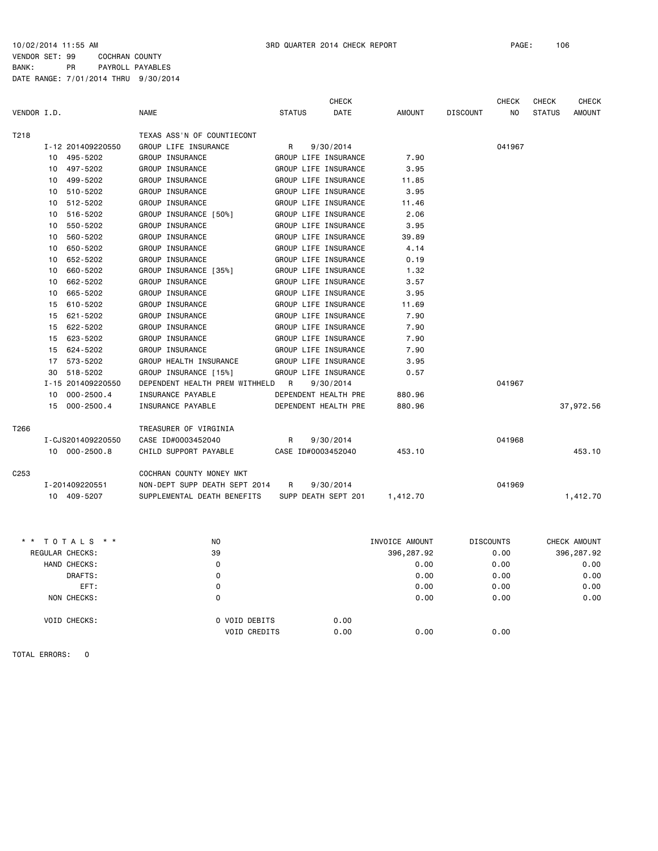$0.00$  0.00

VENDOR SET: 99 COCHRAN COUNTY BANK: PR PAYROLL PAYABLES DATE RANGE: 7/01/2014 THRU 9/30/2014

|                  |                      |                                | <b>CHECK</b>          |                |                 | <b>CHECK</b>     | <b>CHECK</b>  | <b>CHECK</b>  |
|------------------|----------------------|--------------------------------|-----------------------|----------------|-----------------|------------------|---------------|---------------|
| VENDOR I.D.      |                      | <b>NAME</b>                    | <b>STATUS</b><br>DATE | <b>AMOUNT</b>  | <b>DISCOUNT</b> | NO               | <b>STATUS</b> | <b>AMOUNT</b> |
| T218             |                      | TEXAS ASS'N OF COUNTIECONT     |                       |                |                 |                  |               |               |
|                  | I-12 201409220550    | GROUP LIFE INSURANCE           | R<br>9/30/2014        |                |                 | 041967           |               |               |
|                  | 495-5202<br>10       | GROUP INSURANCE                | GROUP LIFE INSURANCE  | 7.90           |                 |                  |               |               |
|                  | 497-5202<br>10       | GROUP INSURANCE                | GROUP LIFE INSURANCE  | 3.95           |                 |                  |               |               |
|                  | 499-5202<br>10       | GROUP INSURANCE                | GROUP LIFE INSURANCE  | 11.85          |                 |                  |               |               |
|                  | 510-5202<br>10       | GROUP INSURANCE                | GROUP LIFE INSURANCE  | 3.95           |                 |                  |               |               |
|                  | 512-5202<br>10       | GROUP INSURANCE                | GROUP LIFE INSURANCE  | 11.46          |                 |                  |               |               |
|                  | 516-5202<br>10       | GROUP INSURANCE [50%]          | GROUP LIFE INSURANCE  | 2.06           |                 |                  |               |               |
|                  | 550-5202<br>10       | GROUP INSURANCE                | GROUP LIFE INSURANCE  | 3.95           |                 |                  |               |               |
|                  | 560-5202<br>10       | GROUP INSURANCE                | GROUP LIFE INSURANCE  | 39.89          |                 |                  |               |               |
|                  | 650-5202<br>10       | GROUP INSURANCE                | GROUP LIFE INSURANCE  | 4.14           |                 |                  |               |               |
|                  | 652-5202<br>10       | GROUP INSURANCE                | GROUP LIFE INSURANCE  | 0.19           |                 |                  |               |               |
|                  | 660-5202<br>10       | GROUP INSURANCE [35%]          | GROUP LIFE INSURANCE  | 1.32           |                 |                  |               |               |
|                  | 662-5202<br>10       | GROUP INSURANCE                | GROUP LIFE INSURANCE  | 3.57           |                 |                  |               |               |
|                  | 665-5202<br>10       | GROUP INSURANCE                | GROUP LIFE INSURANCE  | 3.95           |                 |                  |               |               |
|                  | 610-5202<br>15       | GROUP INSURANCE                | GROUP LIFE INSURANCE  | 11.69          |                 |                  |               |               |
|                  | 621-5202<br>15       | GROUP INSURANCE                | GROUP LIFE INSURANCE  | 7.90           |                 |                  |               |               |
|                  | 622-5202<br>15       | GROUP INSURANCE                | GROUP LIFE INSURANCE  | 7.90           |                 |                  |               |               |
|                  | 15<br>623-5202       | GROUP INSURANCE                | GROUP LIFE INSURANCE  | 7.90           |                 |                  |               |               |
|                  | 624-5202<br>15       | GROUP INSURANCE                | GROUP LIFE INSURANCE  | 7.90           |                 |                  |               |               |
|                  | 573-5202<br>17       | GROUP HEALTH INSURANCE         | GROUP LIFE INSURANCE  | 3.95           |                 |                  |               |               |
|                  | 518-5202<br>30       | GROUP INSURANCE [15%]          | GROUP LIFE INSURANCE  | 0.57           |                 |                  |               |               |
|                  | I-15 201409220550    | DEPENDENT HEALTH PREM WITHHELD | R<br>9/30/2014        |                |                 | 041967           |               |               |
|                  | $000 - 2500.4$<br>10 | INSURANCE PAYABLE              | DEPENDENT HEALTH PRE  | 880.96         |                 |                  |               |               |
|                  | 15<br>$000 - 2500.4$ | INSURANCE PAYABLE              | DEPENDENT HEALTH PRE  | 880.96         |                 |                  |               | 37,972.56     |
| T266             |                      | TREASURER OF VIRGINIA          |                       |                |                 |                  |               |               |
|                  | I-CJS201409220550    | CASE ID#0003452040             | R<br>9/30/2014        |                |                 | 041968           |               |               |
|                  | 10 000-2500.8        | CHILD SUPPORT PAYABLE          | CASE ID#0003452040    | 453.10         |                 |                  |               | 453.10        |
| C <sub>253</sub> |                      | COCHRAN COUNTY MONEY MKT       |                       |                |                 |                  |               |               |
|                  | I-201409220551       | NON-DEPT SUPP DEATH SEPT 2014  | 9/30/2014<br>R        |                |                 | 041969           |               |               |
|                  | 10 409-5207          | SUPPLEMENTAL DEATH BENEFITS    | SUPP DEATH SEPT 201   | 1,412.70       |                 |                  |               | 1,412.70      |
|                  |                      |                                |                       |                |                 |                  |               |               |
|                  | TOTALS * *           | NO.                            |                       | INVOICE AMOUNT |                 | <b>DISCOUNTS</b> |               | CHECK AMOUNT  |
|                  | REGULAR CHECKS:      | 39                             |                       | 396, 287.92    |                 | 0.00             |               | 396,287.92    |
|                  | HAND CHECKS:         | $\mathbf 0$                    |                       | 0.00           |                 | 0.00             |               | 0.00          |
|                  | DRAFTS:              | 0                              |                       | 0.00           |                 | 0.00             |               | 0.00          |
|                  | EFT:                 | $\mathbf 0$                    |                       | 0.00           |                 | 0.00             |               | 0.00          |
|                  | NON CHECKS:          | $\mathbf 0$                    |                       | 0.00           |                 | 0.00             |               | 0.00          |

VOID CHECKS: 0 VOID DEBITS 0.00<br>VOID CREDITS 0.00

TOTAL ERRORS: 0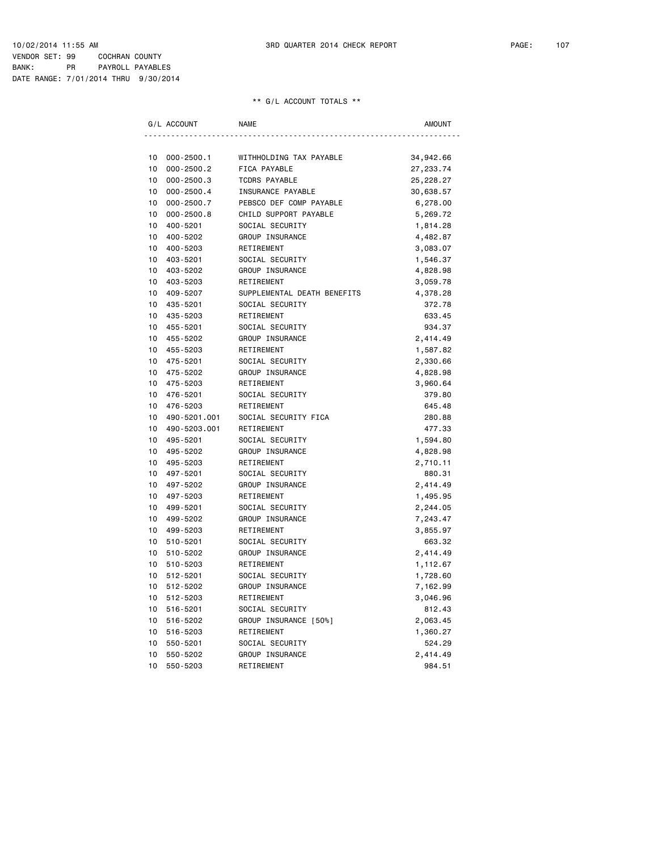BANK: PR PAYROLL PAYABLES DATE RANGE: 7/01/2014 THRU 9/30/2014

|    | G/L ACCOUNT    | <b>NAME</b>                 | <b>AMOUNT</b> |
|----|----------------|-----------------------------|---------------|
|    |                |                             |               |
| 10 | $000 - 2500.1$ | WITHHOLDING TAX PAYABLE     | 34,942.66     |
| 10 | $000 - 2500.2$ | FICA PAYABLE                | 27,233.74     |
| 10 | $000 - 2500.3$ | <b>TCDRS PAYABLE</b>        | 25,228.27     |
| 10 | $000 - 2500.4$ | <b>INSURANCE PAYABLE</b>    | 30,638.57     |
| 10 | $000 - 2500.7$ | PEBSCO DEF COMP PAYABLE     | 6,278.00      |
| 10 | $000 - 2500.8$ | CHILD SUPPORT PAYABLE       | 5,269.72      |
| 10 | 400-5201       | SOCIAL SECURITY             | 1,814.28      |
| 10 | 400-5202       | GROUP INSURANCE             | 4,482.87      |
| 10 | 400-5203       | RETIREMENT                  | 3,083.07      |
| 10 | 403-5201       | SOCIAL SECURITY             | 1,546.37      |
| 10 | 403-5202       | GROUP INSURANCE             | 4,828.98      |
| 10 | 403-5203       | RETIREMENT                  | 3,059.78      |
| 10 | 409-5207       | SUPPLEMENTAL DEATH BENEFITS | 4,378.28      |
| 10 | 435-5201       | SOCIAL SECURITY             | 372.78        |
| 10 | 435-5203       | RETIREMENT                  | 633.45        |
| 10 | 455-5201       | SOCIAL SECURITY             | 934.37        |
| 10 | 455-5202       | GROUP INSURANCE             | 2,414.49      |
| 10 | 455-5203       | RETIREMENT                  | 1,587.82      |
| 10 | 475-5201       | SOCIAL SECURITY             | 2,330.66      |
| 10 | 475-5202       | GROUP INSURANCE             | 4,828.98      |
| 10 | 475-5203       | RETIREMENT                  | 3,960.64      |
| 10 | 476-5201       | SOCIAL SECURITY             | 379.80        |
| 10 | 476-5203       | RETIREMENT                  | 645.48        |
| 10 | 490-5201.001   | SOCIAL SECURITY FICA        | 280.88        |
| 10 | 490-5203.001   | RETIREMENT                  | 477.33        |
| 10 | 495-5201       | SOCIAL SECURITY             | 1,594.80      |
| 10 | 495-5202       | GROUP INSURANCE             | 4,828.98      |
| 10 | 495-5203       | RETIREMENT                  | 2,710.11      |
| 10 | 497-5201       | SOCIAL SECURITY             | 880.31        |
| 10 | 497-5202       | GROUP INSURANCE             | 2,414.49      |
| 10 | 497-5203       | RETIREMENT                  | 1,495.95      |
| 10 | 499-5201       | SOCIAL SECURITY             | 2,244.05      |
| 10 | 499-5202       | GROUP INSURANCE             | 7,243.47      |
| 10 | 499-5203       | RETIREMENT                  | 3,855.97      |
| 10 | 510-5201       | SOCIAL SECURITY             | 663.32        |
| 10 | 510-5202       | GROUP INSURANCE             | 2,414.49      |
| 10 | 510-5203       | RETIREMENT                  | 1,112.67      |
| 10 | 512-5201       | SOCIAL SECURITY             | 1,728.60      |
| 10 | 512-5202       | GROUP INSURANCE             | 7,162.99      |
| 10 | 512-5203       | RETIREMENT                  | 3,046.96      |
| 10 | 516-5201       | SOCIAL SECURITY             | 812.43        |
| 10 | 516-5202       | GROUP INSURANCE [50%]       | 2,063.45      |
| 10 | 516-5203       | RETIREMENT                  | 1,360.27      |
| 10 | 550-5201       | SOCIAL SECURITY             | 524.29        |
| 10 | 550-5202       | GROUP INSURANCE             | 2,414.49      |
| 10 | 550-5203       | RETIREMENT                  | 984.51        |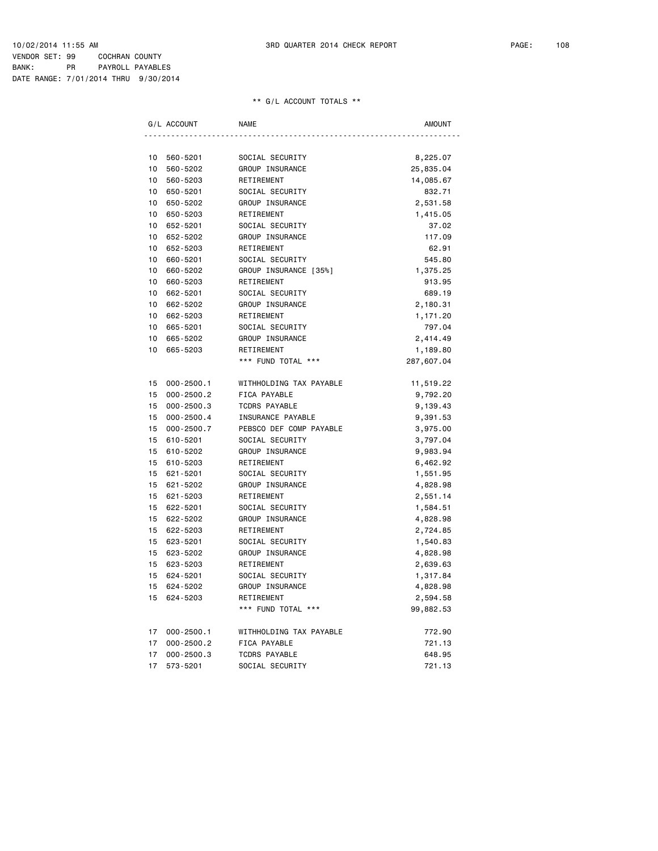BANK: PR PAYROLL PAYABLES DATE RANGE: 7/01/2014 THRU 9/30/2014

| G/L ACCOUNT          | <b>NAME</b>             | AMOUNT     |
|----------------------|-------------------------|------------|
|                      |                         |            |
| 10<br>560-5201       | SOCIAL SECURITY         | 8,225.07   |
| 10<br>560-5202       | GROUP INSURANCE         | 25,835.04  |
| 10<br>560-5203       | RETIREMENT              | 14,085.67  |
| 10<br>650-5201       | SOCIAL SECURITY         | 832.71     |
| 10<br>650-5202       | GROUP INSURANCE         | 2,531.58   |
| 10<br>650-5203       | RETIREMENT              | 1,415.05   |
| 10<br>652-5201       | SOCIAL SECURITY         | 37.02      |
| 10<br>652-5202       | GROUP INSURANCE         | 117.09     |
| 652-5203<br>10       | RETIREMENT              | 62.91      |
| 10<br>660-5201       | SOCIAL SECURITY         | 545.80     |
| 10<br>660-5202       | GROUP INSURANCE [35%]   | 1,375.25   |
| 10<br>660-5203       | RETIREMENT              | 913.95     |
| 10<br>662-5201       | SOCIAL SECURITY         | 689.19     |
| 10<br>662-5202       | GROUP INSURANCE         | 2,180.31   |
| 10<br>662-5203       | RETIREMENT              | 1,171.20   |
| 10<br>665-5201       | SOCIAL SECURITY         | 797.04     |
| 10<br>665-5202       | GROUP INSURANCE         | 2,414.49   |
| 10<br>665-5203       | RETIREMENT              | 1,189.80   |
|                      | *** FUND TOTAL ***      | 287,607.04 |
| $000 - 2500.1$<br>15 | WITHHOLDING TAX PAYABLE | 11,519.22  |
| 15<br>$000 - 2500.2$ | FICA PAYABLE            | 9,792.20   |
| $000 - 2500.3$<br>15 | <b>TCDRS PAYABLE</b>    | 9,139.43   |
| 15<br>$000 - 2500.4$ | INSURANCE PAYABLE       | 9,391.53   |
| 15<br>$000 - 2500.7$ | PEBSCO DEF COMP PAYABLE | 3,975.00   |
| 15<br>610-5201       | SOCIAL SECURITY         | 3,797.04   |
| 15<br>610-5202       | GROUP INSURANCE         | 9,983.94   |
| 15<br>610-5203       | RETIREMENT              | 6,462.92   |
| 15<br>621-5201       | SOCIAL SECURITY         | 1,551.95   |
| 15<br>621-5202       | GROUP INSURANCE         | 4,828.98   |
| 15<br>621-5203       | RETIREMENT              | 2,551.14   |
| 15<br>622-5201       | SOCIAL SECURITY         | 1,584.51   |
| 15<br>622-5202       | GROUP INSURANCE         | 4,828.98   |
| 15<br>622-5203       | RETIREMENT              | 2,724.85   |
| 15<br>623-5201       | SOCIAL SECURITY         | 1,540.83   |
| 623-5202<br>15       | GROUP INSURANCE         | 4,828.98   |
| 15<br>623-5203       | RETIREMENT              | 2,639.63   |
| 15<br>624-5201       | SOCIAL SECURITY         | 1,317.84   |
| 15<br>624-5202       | GROUP INSURANCE         | 4,828.98   |
| 15<br>624-5203       | RETIREMENT              | 2,594.58   |
|                      | *** FUND TOTAL ***      | 99,882.53  |
| 17<br>$000 - 2500.1$ | WITHHOLDING TAX PAYABLE | 772.90     |
| 17<br>$000 - 2500.2$ | FICA PAYABLE            | 721.13     |
| 17<br>$000 - 2500.3$ | <b>TCDRS PAYABLE</b>    | 648.95     |
| 17<br>573-5201       | SOCIAL SECURITY         | 721.13     |
|                      |                         |            |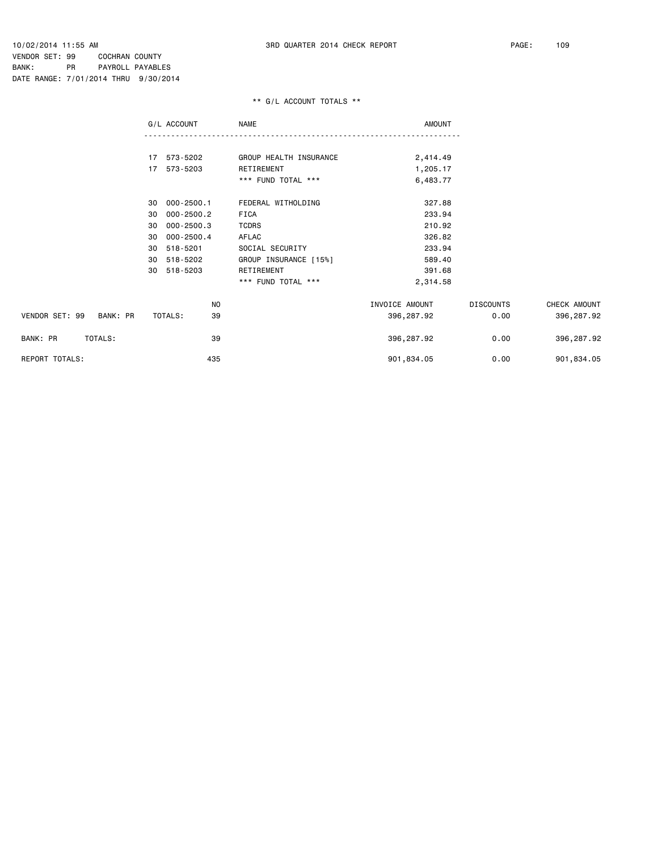VENDOR SET: 99 COCHRAN COUNTY BANK: PR PAYROLL PAYABLES DATE RANGE: 7/01/2014 THRU 9/30/2014

## \*\* G/L ACCOUNT TOTALS \*\*

|                            | G/L ACCOUNT          | NAME                   | <b>AMOUNT</b>  |                  |              |
|----------------------------|----------------------|------------------------|----------------|------------------|--------------|
|                            |                      |                        |                |                  |              |
|                            | 17 573-5202          | GROUP HEALTH INSURANCE | 2,414.49       |                  |              |
|                            | 17 573-5203          | RETIREMENT             | 1,205.17       |                  |              |
|                            |                      | *** FUND TOTAL ***     | 6,483.77       |                  |              |
|                            | 000-2500.1<br>30     | FEDERAL WITHOLDING     | 327.88         |                  |              |
|                            | $000 - 2500.2$<br>30 | FICA                   | 233.94         |                  |              |
|                            | 000-2500.3<br>30     | <b>TCDRS</b>           | 210.92         |                  |              |
|                            | $000 - 2500.4$<br>30 | AFLAC                  | 326.82         |                  |              |
|                            | 518-5201<br>30       | SOCIAL SECURITY        | 233.94         |                  |              |
|                            | 518-5202<br>30       | GROUP INSURANCE [15%]  | 589.40         |                  |              |
|                            | 518-5203<br>30       | RETIREMENT             | 391.68         |                  |              |
|                            |                      | *** FUND TOTAL ***     | 2,314.58       |                  |              |
|                            | NO                   |                        | INVOICE AMOUNT | <b>DISCOUNTS</b> | CHECK AMOUNT |
| VENDOR SET: 99<br>BANK: PR | TOTALS:<br>39        |                        | 396,287.92     | 0.00             | 396,287.92   |
| BANK: PR<br>TOTALS:        | 39                   |                        | 396,287.92     | 0.00             | 396,287.92   |
| REPORT TOTALS:             | 435                  |                        | 901,834.05     | 0.00             | 901,834.05   |